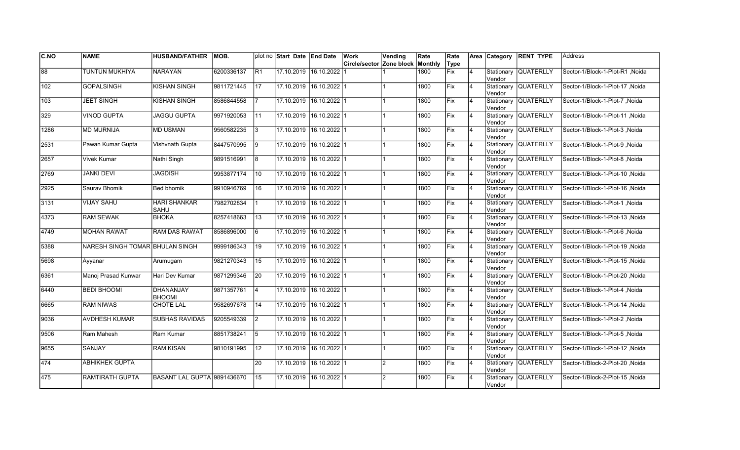| CNO  | <b>NAME</b>                     | <b>HUSBAND/FATHER</b>             | IMOB.      |                 | plot no Start Date End Date |                         | Work                     | Vending        | Rate    | Rate        |                | Area Category         | <b>RENT TYPE</b>     | <b>Address</b>                  |
|------|---------------------------------|-----------------------------------|------------|-----------------|-----------------------------|-------------------------|--------------------------|----------------|---------|-------------|----------------|-----------------------|----------------------|---------------------------------|
|      |                                 |                                   |            |                 |                             |                         | Circle/sector Zone block |                | Monthly | Type        |                |                       |                      |                                 |
| 88   | <b>TUNTUN MUKHIYA</b>           | <b>NARAYAN</b>                    | 6200336137 | IR <sub>1</sub> |                             | 17.10.2019 16.10.2022   |                          |                | 1800    | <b>Fix</b>  | $\overline{4}$ | Stationary<br>Vendor  | <b>QUATERLLY</b>     | Sector-1/Block-1-Plot-R1 ,Noida |
| 102  | <b>GOPALSINGH</b>               | <b>KISHAN SINGH</b>               | 9811721445 | 17              | 17.10.2019 16.10.2022 1     |                         |                          |                | 1800    | Fix         | 4              | Vendor                | Stationary QUATERLLY | Sector-1/Block-1-Plot-17 .Noida |
| 103  | <b>JEET SINGH</b>               | <b>KISHAN SINGH</b>               | 8586844558 |                 | 17.10.2019 16.10.2022 1     |                         |                          |                | 1800    | <b>IFix</b> | 4              | Vendor                | Stationary QUATERLLY | Sector-1/Block-1-Plot-7 .Noida  |
| 329  | <b>VINOD GUPTA</b>              | <b>JAGGU GUPTA</b>                | 9971920053 | 11              | 17.10.2019 16.10.2022 1     |                         |                          |                | 1800    | Fix         | $\overline{4}$ | Vendor                | Stationary QUATERLLY | Sector-1/Block-1-Plot-11, Noida |
| 1286 | <b>MD MURNIJA</b>               | <b>MD USMAN</b>                   | 9560582235 | l3              | 17.10.2019 16.10.2022 1     |                         |                          |                | 1800    | Fix         | $\overline{4}$ | lVendor               | Stationary QUATERLLY | Sector-1/Block-1-Plot-3, Noida  |
| 2531 | Pawan Kumar Gupta               | Vishvnath Gupta                   | 8447570995 | 9               | 17.10.2019 16.10.2022 1     |                         |                          |                | 1800    | Fix         | $\overline{4}$ | Vendor                | Stationary QUATERLLY | Sector-1/Block-1-Plot-9, Noida  |
| 2657 | <b>Vivek Kumar</b>              | Nathi Singh                       | 9891516991 | 18              | 17.10.2019 16.10.2022 1     |                         |                          |                | 1800    | Fix         | 4              | Vendor                | Stationary QUATERLLY | Sector-1/Block-1-Plot-8, Noida  |
| 2769 | <b>JANKI DEVI</b>               | JAGDISH                           | 9953877174 | 10              | 17.10.2019 16.10.2022 1     |                         |                          |                | 1800    | Fix         | 4              | Vendor                | Stationary QUATERLLY | Sector-1/Block-1-Plot-10, Noida |
| 2925 | Saurav Bhomik                   | Bed bhomik                        | 9910946769 | 16              | 17.10.2019 16.10.2022 1     |                         |                          |                | 1800    | Fix         | 4              | Stationary<br>Vendor  | <b>QUATERLLY</b>     | Sector-1/Block-1-Plot-16, Noida |
| 3131 | <b>VIJAY SAHU</b>               | <b>HARI SHANKAR</b><br>SAHU       | 7982702834 |                 | 17.10.2019                  | $16.10.2022$ 1          |                          |                | 1800    | Fix         | $\overline{4}$ | Stationary<br>Vendor  | <b>QUATERLLY</b>     | Sector-1/Block-1-Plot-1, Noida  |
| 4373 | <b>RAM SEWAK</b>                | <b>BHOKA</b>                      | 8257418663 | 13              |                             | 17.10.2019 16.10.2022 1 |                          |                | 1800    | Fix         | $\overline{4}$ | Vendor                | Stationary QUATERLLY | Sector-1/Block-1-Plot-13, Noida |
| 4749 | <b>MOHAN RAWAT</b>              | <b>RAM DAS RAWAT</b>              | 8586896000 | 6               | 17.10.2019 16.10.2022 1     |                         |                          |                | 1800    | Fix         | $\overline{4}$ | Vendor                | Stationary QUATERLLY | Sector-1/Block-1-Plot-6, Noida  |
| 5388 | NARESH SINGH TOMAR BHULAN SINGH |                                   | 9999186343 | 19              | 17.10.2019 16.10.2022 1     |                         |                          |                | 1800    | Fix         | $\overline{4}$ | Vendor                | Stationary QUATERLLY | Sector-1/Block-1-Plot-19, Noida |
| 5698 | Ayyanar                         | Arumugam                          | 9821270343 | 15              |                             | 17.10.2019 16.10.2022 1 |                          |                | 1800    | Fix         | $\overline{4}$ | Stationary<br>lVendor | <b>QUATERLLY</b>     | Sector-1/Block-1-Plot-15, Noida |
| 6361 | Manoj Prasad Kunwar             | Hari Dev Kumar                    | 9871299346 | 20              | 17.10.2019 16.10.2022 1     |                         |                          |                | 1800    | Fix         | 4              | lVendor               | Stationary QUATERLLY | Sector-1/Block-1-Plot-20, Noida |
| 6440 | <b>BEDI BHOOMI</b>              | <b>DHANANJAY</b><br><b>BHOOMI</b> | 9871357761 | $ 4\rangle$     | 17.10.2019 16.10.2022 1     |                         |                          |                | 1800    | <b>Fix</b>  | 4              | Vendor                | Stationary QUATERLLY | Sector-1/Block-1-Plot-4, Noida  |
| 6665 | <b>RAM NIWAS</b>                | CHOTE LAL                         | 9582697678 | 14              | 17.10.2019 16.10.2022 1     |                         |                          |                | 1800    | <b>IFix</b> | 4              | Vendor                | Stationary QUATERLLY | Sector-1/Block-1-Plot-14, Noida |
| 9036 | <b>AVDHESH KUMAR</b>            | <b>SUBHAS RAVIDAS</b>             | 9205549339 | $\vert$ 2       | 17.10.2019 16.10.2022 1     |                         |                          |                | 1800    | <b>IFix</b> | $\overline{4}$ | Vendor                | Stationary QUATERLLY | Sector-1/Block-1-Plot-2, Noida  |
| 9506 | Ram Mahesh                      | Ram Kumar                         | 8851738241 | 5               | 17.10.2019 16.10.2022 1     |                         |                          |                | 1800    | Fix         | $\overline{4}$ | Stationary<br>Vendor  | <b>QUATERLLY</b>     | Sector-1/Block-1-Plot-5 .Noida  |
| 9655 | SANJAY                          | RAM KISAN                         | 9810191995 | 12              | 17.10.2019 16.10.2022 1     |                         |                          |                | 1800    | Fix         | $\overline{4}$ | Vendor                | Stationary QUATERLLY | Sector-1/Block-1-Plot-12, Noida |
| 474  | <b>ABHIKHEK GUPTA</b>           |                                   |            | 20              | 17.10.2019 16.10.2022 1     |                         |                          | 2              | 1800    | Fix         | $\overline{4}$ | Vendor                | Stationary QUATERLLY | Sector-1/Block-2-Plot-20, Noida |
| 475  | <b>RAMTIRATH GUPTA</b>          | BASANT LAL GUPTA 9891436670       |            | 15              |                             | 17.10.2019 16.10.2022 1 |                          | $\overline{2}$ | 1800    | Fix         | 4              | Stationary<br>Vendor  | <b>QUATERLLY</b>     | Sector-1/Block-2-Plot-15, Noida |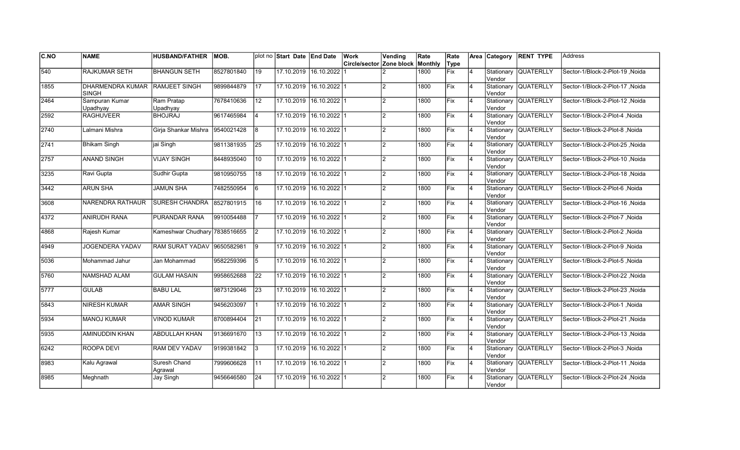| CNO               | <b>NAME</b>                             | <b>HUSBAND/FATHER</b>         | IMOB.      |                 | plot no Start Date End Date |                         | Work                     | Vending        | Rate    | Rate        |                | Area Category         | <b>RENT TYPE</b>     | <b>Address</b>                  |
|-------------------|-----------------------------------------|-------------------------------|------------|-----------------|-----------------------------|-------------------------|--------------------------|----------------|---------|-------------|----------------|-----------------------|----------------------|---------------------------------|
|                   |                                         |                               |            |                 |                             |                         | Circle/sector Zone block |                | Monthly | Type        |                |                       |                      |                                 |
| 540               | <b>RAJKUMAR SETH</b>                    | <b>BHANGUN SETH</b>           | 8527801840 | 19              |                             | 17.10.2019 16.10.2022   |                          |                | 1800    | <b>Fix</b>  | $\overline{4}$ | Stationary<br>Vendor  | <b>QUATERLLY</b>     | Sector-1/Block-2-Plot-19, Noida |
| 1855              | <b>DHARMENDRA KUMAR</b><br><b>SINGH</b> | <b>RAMJEET SINGH</b>          | 9899844879 | 17              | 17.10.2019 16.10.2022 1     |                         |                          | $\overline{2}$ | 1800    | Fix         | 4              | Vendor                | Stationary QUATERLLY | Sector-1/Block-2-Plot-17, Noida |
| 2464              | Sampuran Kumar<br>Upadhyay              | Ram Pratap<br>Upadhyay        | 7678410636 | 12              | 17.10.2019 16.10.2022 1     |                         |                          | $\overline{2}$ | 1800    | <b>IFix</b> | 4              | Vendor                | Stationary QUATERLLY | Sector-1/Block-2-Plot-12 .Noida |
| 2592              | <b>RAGHUVEER</b>                        | <b>BHOJRAJ</b>                | 9617465984 | 4               | 17.10.2019 16.10.2022 1     |                         |                          | $\overline{2}$ | 1800    | Fix         | $\overline{4}$ | Vendor                | Stationary QUATERLLY | Sector-1/Block-2-Plot-4, Noida  |
| 2740              | Lalmani Mishra                          | Girja Shankar Mishra          | 9540021428 | 8               | 17.10.2019 16.10.2022 1     |                         |                          | $\overline{2}$ | 1800    | Fix         | $\overline{4}$ | lVendor               | Stationary QUATERLLY | Sector-1/Block-2-Plot-8, Noida  |
| $\overline{2741}$ | <b>Bhikam Singh</b>                     | jai Singh                     | 9811381935 | $\overline{25}$ |                             | 17.10.2019 16.10.2022 1 |                          | $\overline{2}$ | 1800    | Fix         | $\overline{4}$ | Vendor                | Stationary QUATERLLY | Sector-1/Block-2-Plot-25, Noida |
| 2757              | <b>ANAND SINGH</b>                      | <b>VIJAY SINGH</b>            | 8448935040 | 10              | 17.10.2019 16.10.2022 1     |                         |                          | $\overline{2}$ | 1800    | Fix         | 4              | Vendor                | Stationary QUATERLLY | Sector-1/Block-2-Plot-10, Noida |
| 3235              | Ravi Gupta                              | Sudhir Gupta                  | 9810950755 | 18              | 17.10.2019 16.10.2022 1     |                         |                          | 2              | 1800    | Fix         | 4              | Vendor                | Stationary QUATERLLY | Sector-1/Block-2-Plot-18, Noida |
| 3442              | <b>ARUN SHA</b>                         | <b>JAMUN SHA</b>              | 7482550954 | 6               | 17.10.2019                  | $16.10.2022$   1        |                          | $\overline{2}$ | 1800    | Fix         | 4              | Stationary<br>Vendor  | <b>QUATERLLY</b>     | Sector-1/Block-2-Plot-6, Noida  |
| 3608              | <b>NARENDRA RATHAUR</b>                 | <b>SURESH CHANDRA</b>         | 8527801915 | 16              | 17.10.2019                  | $16.10.2022$ 1          |                          | $\overline{2}$ | 1800    | Fix         | $\overline{4}$ | Stationary<br>Vendor  | <b>QUATERLLY</b>     | Sector-1/Block-2-Plot-16, Noida |
| 4372              | <b>ANIRUDH RANA</b>                     | PURANDAR RANA                 | 9910054488 |                 |                             | 17.10.2019 16.10.2022 1 |                          | $\mathfrak{p}$ | 1800    | Fix         | $\overline{4}$ | Stationary<br>Vendor  | <b>QUATERLLY</b>     | Sector-1/Block-2-Plot-7, Noida  |
| 4868              | Rajesh Kumar                            | Kameshwar Chudhary 7838516655 |            | 2               | 17.10.2019 16.10.2022 1     |                         |                          | $\overline{2}$ | 1800    | Fix         | $\overline{4}$ | Vendor                | Stationary QUATERLLY | Sector-1/Block-2-Plot-2, Noida  |
| 4949              | JOGENDERA YADAV                         | RAM SURAT YADAV 9650582981    |            | 9               | 17.10.2019 16.10.2022 1     |                         |                          | $\overline{2}$ | 1800    | Fix         | $\overline{4}$ | Vendor                | Stationary QUATERLLY | Sector-1/Block-2-Plot-9, Noida  |
| 5036              | Mohammad Jahur                          | Jan Mohammad                  | 9582259396 | 5               | 17.10.2019                  | $16.10.2022$ 1          |                          | $\overline{2}$ | 1800    | Fix         | $\overline{4}$ | Stationary<br>lVendor | <b>QUATERLLY</b>     | Sector-1/Block-2-Plot-5, Noida  |
| 5760              | NAMSHAD ALAM                            | <b>GULAM HASAIN</b>           | 9958652688 | 22              | 17.10.2019 16.10.2022 1     |                         |                          | $\overline{2}$ | 1800    | Fix         | 4              | lVendor               | Stationary QUATERLLY | Sector-1/Block-2-Plot-22, Noida |
| 5777              | <b>GULAB</b>                            | <b>BABU LAL</b>               | 9873129046 | 23              | 17.10.2019 16.10.2022 1     |                         |                          | 2              | 1800    | <b>Fix</b>  | 4              | Vendor                | Stationary QUATERLLY | Sector-1/Block-2-Plot-23, Noida |
| 5843              | <b>NIRESH KUMAR</b>                     | <b>AMAR SINGH</b>             | 9456203097 | 1               | 17.10.2019 16.10.2022 1     |                         |                          | <u> 2</u>      | 1800    | Fix         | 4              | Vendor                | Stationary QUATERLLY | Sector-1/Block-2-Plot-1, Noida  |
| 5934              | <b>MANOJ KUMAR</b>                      | <b>VINOD KUMAR</b>            | 8700894404 | 21              | 17.10.2019 16.10.2022 1     |                         |                          | 2              | 1800    | <b>IFix</b> | $\overline{4}$ | Vendor                | Stationary QUATERLLY | Sector-1/Block-2-Plot-21, Noida |
| 5935              | AMINUDDIN KHAN                          | <b>ABDULLAH KHAN</b>          | 9136691670 | $\overline{13}$ |                             | 17.10.2019 16.10.2022 1 |                          | $\overline{2}$ | 1800    | Fix         | $\overline{4}$ | Stationary<br>Vendor  | <b>QUATERLLY</b>     | Sector-1/Block-2-Plot-13 .Noida |
| 6242              | ROOPA DEVI                              | <b>RAM DEV YADAV</b>          | 9199381842 | 3               | 17.10.2019 16.10.2022 1     |                         |                          | $\overline{2}$ | 1800    | Fix         | $\overline{4}$ | Vendor                | Stationary QUATERLLY | Sector-1/Block-2-Plot-3, Noida  |
| 8983              | Kalu Agrawal                            | Suresh Chand<br>Agrawal       | 7999606628 | 11              | 17.10.2019                  | $16.10.2022$ 1          |                          | $\overline{2}$ | 1800    | Fix         | $\overline{4}$ | Vendor                | Stationary QUATERLLY | Sector-1/Block-2-Plot-11, Noida |
| 8985              | Meghnath                                | Jay Singh                     | 9456646580 | 24              | 17.10.2019                  | $16.10.2022$ 1          |                          | $\overline{2}$ | 1800    | Fix         | 4              | Stationary<br>Vendor  | <b>QUATERLLY</b>     | Sector-1/Block-2-Plot-24, Noida |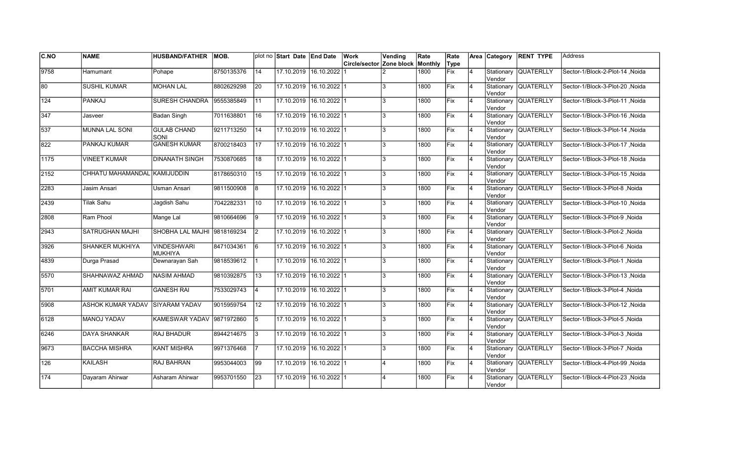| CNO              | <b>NAME</b>                  | <b>HUSBAND/FATHER</b>                | IMOB.      |                 | plot no Start Date End Date |                         | Work                     | Vending                 | Rate    | Rate        |                | Area Category         | <b>RENT TYPE</b>     | <b>Address</b>                  |
|------------------|------------------------------|--------------------------------------|------------|-----------------|-----------------------------|-------------------------|--------------------------|-------------------------|---------|-------------|----------------|-----------------------|----------------------|---------------------------------|
|                  |                              |                                      |            |                 |                             |                         | Circle/sector Zone block |                         | Monthly | Type        |                |                       |                      |                                 |
| 9758             | Hamumant                     | Pohape                               | 8750135376 | $\overline{14}$ |                             | 17.10.2019 16.10.2022   |                          |                         | 1800    | <b>Fix</b>  | $\overline{4}$ | Stationary<br>Vendor  | <b>QUATERLLY</b>     | Sector-1/Block-2-Plot-14, Noida |
| 180              | <b>SUSHIL KUMAR</b>          | <b>MOHAN LAL</b>                     | 8802629298 | 20              | 17.10.2019 16.10.2022 1     |                         |                          | 3                       | 1800    | Fix         | 4              | Vendor                | Stationary QUATERLLY | Sector-1/Block-3-Plot-20, Noida |
| 124              | <b>PANKAJ</b>                | <b>SURESH CHANDRA</b>                | 9555385849 | 11              | 17.10.2019 16.10.2022 1     |                         |                          | 3                       | 1800    | Fix         | 4              | Vendor                | Stationary QUATERLLY | Sector-1/Block-3-Plot-11, Noida |
| 347              | Jasveer                      | <b>Badan Singh</b>                   | 7011638801 | 16              | 17.10.2019 16.10.2022 1     |                         |                          | 3                       | 1800    | Fix         | $\overline{4}$ | Vendor                | Stationary QUATERLLY | Sector-1/Block-3-Plot-16, Noida |
| 537              | <b>MUNNA LAL SONI</b>        | <b>GULAB CHAND</b><br>SONI           | 9211713250 | 14              |                             | 17.10.2019 16.10.2022 1 |                          | 3                       | 1800    | Fix         | $\overline{4}$ | Vendor                | Stationary QUATERLLY | Sector-1/Block-3-Plot-14, Noida |
| 822              | PANKAJ KUMAR                 | <b>GANESH KUMAR</b>                  | 8700218403 | $\overline{17}$ |                             | 17.10.2019 16.10.2022 1 |                          | 3                       | 1800    | Fix         | $\overline{4}$ | Stationary<br>Vendor  | <b>QUATERLLY</b>     | Sector-1/Block-3-Plot-17, Noida |
| 1175             | <b>VINEET KUMAR</b>          | <b>DINANATH SINGH</b>                | 7530870685 | 18              | 17.10.2019 16.10.2022 1     |                         |                          | 3                       | 1800    | Fix         | 4              | Vendor                | Stationary QUATERLLY | Sector-1/Block-3-Plot-18, Noida |
| 2152             | CHHATU MAHAMANDAL KAMIJUDDIN |                                      | 8178650310 | 15              | 17.10.2019 16.10.2022 1     |                         |                          | 3                       | 1800    | Fix         | 4              | Vendor                | Stationary QUATERLLY | Sector-1/Block-3-Plot-15, Noida |
| 2283             | Jasim Ansari                 | Usman Ansari                         | 9811500908 | 8               | 17.10.2019                  | $16.10.2022$ 1          |                          | 3                       | 1800    | Fix         | $\overline{4}$ | Stationary<br>lVendor | <b>QUATERLLY</b>     | Sector-1/Block-3-Plot-8, Noida  |
| 2439             | Tilak Sahu                   | Jagdish Sahu                         | 7042282331 | 10              | 17.10.2019                  | $16.10.2022$ 1          |                          | 3                       | 1800    | Fix         | $\overline{4}$ | lVendor               | Stationary QUATERLLY | Sector-1/Block-3-Plot-10, Noida |
| 2808             | Ram Phool                    | Mange Lal                            | 9810664696 | Ι9              |                             | 17.10.2019 16.10.2022 1 |                          | 3                       | 1800    | Fix         | 4              | lVendor               | Stationary QUATERLLY | Sector-1/Block-3-Plot-9, Noida  |
| 2943             | SATRUGHAN MAJHI              | SHOBHA LAL MAJHI 9818169234          |            | I2              | 17.10.2019 16.10.2022 1     |                         |                          | 3                       | 1800    | Fix         | 4              | Vendor                | Stationary QUATERLLY | Sector-1/Block-3-Plot-2, Noida  |
| 3926             | SHANKER MUKHIYA              | <b>VINDESHWARI</b><br><b>MUKHIYA</b> | 8471034361 | l6              | 17.10.2019 16.10.2022 1     |                         |                          | Ι3                      | 1800    | Fix         | 4              | Vendor                | Stationary QUATERLLY | Sector-1/Block-3-Plot-6, Noida  |
| 4839             | Durga Prasad                 | Dewnarayan Sah                       | 9818539612 |                 | 17.10.2019                  | $16.10.2022$ 1          |                          | 3                       | 1800    | <b>IFix</b> | $\overline{4}$ | Stationary<br>Vendor  | <b>QUATERLLY</b>     | Sector-1/Block-3-Plot-1, Noida  |
| 5570             | SHAHNAWAZ AHMAD              | <b>NASIM AHMAD</b>                   | 9810392875 | 13              | 17.10.2019 16.10.2022 1     |                         |                          | 3                       | 1800    | Fix         | $\overline{4}$ | Vendor                | Stationary QUATERLLY | Sector-1/Block-3-Plot-13, Noida |
| 5701             | <b>AMIT KUMAR RAI</b>        | <b>GANESH RAI</b>                    | 7533029743 | 14              | 17.10.2019 16.10.2022 1     |                         |                          | 3                       | 1800    | Fix         | $\overline{4}$ | Vendor                | Stationary QUATERLLY | Sector-1/Block-3-Plot-4, Noida  |
| 5908             | ASHOK KUMAR YADAV            | <b>SIYARAM YADAV</b>                 | 9015959754 | 12              | 17.10.2019 16.10.2022 1     |                         |                          | 3                       | 1800    | Fix         | 4              | Vendor                | Stationary QUATERLLY | Sector-1/Block-3-Plot-12, Noida |
| 6128             | MANOJ YADAV                  | KAMESWAR YADAV  9871972860           |            | 5               | 17.10.2019 16.10.2022 1     |                         |                          | 3                       | 1800    | Fix         | 4              | Vendor                | Stationary QUATERLLY | Sector-1/Block-3-Plot-5, Noida  |
| 6246             | DAYA SHANKAR                 | RAJ BHADUR                           | 8944214675 | 3               | 17.10.2019                  | $16.10.2022$   1        |                          | 3                       | 1800    | Fix         | $\overline{4}$ | Stationary<br>Vendor  | <b>QUATERLLY</b>     | Sector-1/Block-3-Plot-3, Noida  |
| 9673             | <b>BACCHA MISHRA</b>         | <b>KANT MISHRA</b>                   | 9971376468 |                 | 17.10.2019 16.10.2022 1     |                         |                          | 3                       | 1800    | Fix         | $\overline{4}$ | Vendor                | Stationary QUATERLLY | Sector-1/Block-3-Plot-7, Noida  |
| $\overline{126}$ | <b>KAILASH</b>               | <b>RAJ BAHRAN</b>                    | 9953044003 | 99              | 17.10.2019 16.10.2022 1     |                         |                          | $\overline{A}$          | 1800    | Fix         | $\overline{4}$ | Vendor                | Stationary QUATERLLY | Sector-1/Block-4-Plot-99, Noida |
| $\overline{174}$ | Dayaram Ahirwar              | Asharam Ahirwar                      | 9953701550 | 23              |                             | 17.10.2019 16.10.2022 1 |                          | $\overline{\mathbf{A}}$ | 1800    | Fix         | 4              | Stationary<br>Vendor  | <b>QUATERLLY</b>     | Sector-1/Block-4-Plot-23, Noida |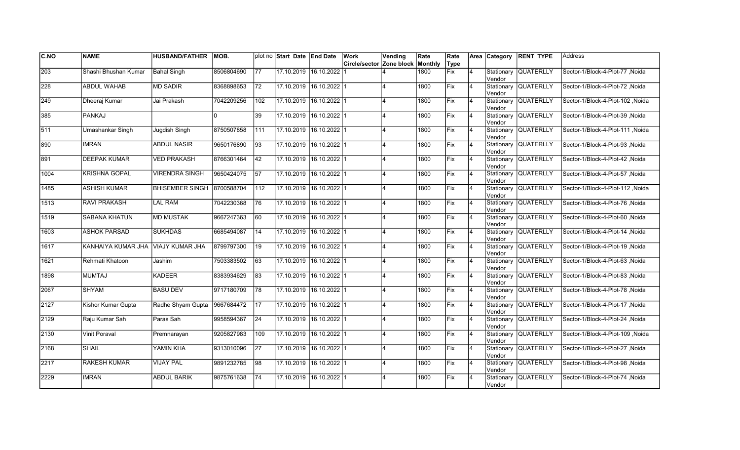| C.NO             | <b>NAME</b>                        | <b>HUSBAND/FATHER</b>  | IMOB.      |                 | plot no Start Date End Date |                         | Work                     | Vending                 | Rate    | Rate        |                | Area Category         | <b>RENT TYPE</b>     | <b>Address</b>                   |
|------------------|------------------------------------|------------------------|------------|-----------------|-----------------------------|-------------------------|--------------------------|-------------------------|---------|-------------|----------------|-----------------------|----------------------|----------------------------------|
|                  |                                    |                        |            |                 |                             |                         | Circle/sector Zone block |                         | Monthly | Type        |                |                       |                      |                                  |
| $\overline{203}$ | Shashi Bhushan Kumar               | <b>Bahal Singh</b>     | 8506804690 | 77              |                             | 17.10.2019 16.10.2022   |                          |                         | 1800    | <b>Fix</b>  | $\overline{4}$ | Stationary<br>Vendor  | <b>QUATERLLY</b>     | Sector-1/Block-4-Plot-77 ,Noida  |
| 228              | <b>ABDUL WAHAB</b>                 | <b>MD SADIR</b>        | 8368898653 | 72              |                             | 17.10.2019 16.10.2022 1 |                          |                         | 1800    | Fix         | 4              | Vendor                | Stationary QUATERLLY | Sector-1/Block-4-Plot-72, Noida  |
| 249              | Dheeraj Kumar                      | Jai Prakash            | 7042209256 | 102             | 17.10.2019 16.10.2022 1     |                         |                          | $\overline{\mathbf{A}}$ | 1800    | <b>IFix</b> | 4              | Vendor                | Stationary QUATERLLY | Sector-1/Block-4-Plot-102 .Noida |
| 385              | <b>PANKAJ</b>                      |                        |            | 39              | 17.10.2019 16.10.2022 1     |                         |                          | $\overline{4}$          | 1800    | Fix         | $\overline{4}$ | Vendor                | Stationary QUATERLLY | Sector-1/Block-4-Plot-39, Noida  |
| $\sqrt{511}$     | <b>Umashankar Singh</b>            | Jugdish Singh          | 8750507858 | 111             | 17.10.2019 16.10.2022 1     |                         |                          |                         | 1800    | Fix         | $\overline{4}$ | lVendor               | Stationary QUATERLLY | Sector-1/Block-4-Plot-111, Noida |
| 890              | <b>IMRAN</b>                       | <b>ABDUL NASIR</b>     | 9650176890 | $\overline{93}$ |                             | 17.10.2019 16.10.2022 1 |                          |                         | 1800    | Fix         | $\overline{4}$ | Vendor                | Stationary QUATERLLY | Sector-1/Block-4-Plot-93, Noida  |
| 891              | <b>DEEPAK KUMAR</b>                | <b>VED PRAKASH</b>     | 8766301464 | 42              | 17.10.2019 16.10.2022 1     |                         |                          |                         | 1800    | Fix         | 4              | Vendor                | Stationary QUATERLLY | Sector-1/Block-4-Plot-42, Noida  |
| 1004             | <b>KRISHNA GOPAL</b>               | <b>VIRENDRA SINGH</b>  | 9650424075 | 57              | 17.10.2019 16.10.2022 1     |                         |                          | $\overline{\mathbf{A}}$ | 1800    | Fix         | 4              | Vendor                | Stationary QUATERLLY | Sector-1/Block-4-Plot-57, Noida  |
| 1485             | <b>ASHISH KUMAR</b>                | <b>BHISEMBER SINGH</b> | 8700588704 | 112             | 17.10.2019 16.10.2022 1     |                         |                          | 4                       | 1800    | Fix         | 4              | Stationary<br>Vendor  | <b>QUATERLLY</b>     | Sector-1/Block-4-Plot-112, Noida |
| 1513             | <b>RAVI PRAKASH</b>                | <b>LAL RAM</b>         | 7042230368 | 176             | 17.10.2019                  | 16.10.202211            |                          |                         | 1800    | Fix         | $\overline{4}$ | Stationary<br>Vendor  | <b>QUATERLLY</b>     | Sector-1/Block-4-Plot-76, Noida  |
| 1519             | <b>SABANA KHATUN</b>               | <b>MD MUSTAK</b>       | 9667247363 | 60              |                             | 17.10.2019 16.10.2022 1 |                          |                         | 1800    | Fix         | $\overline{4}$ | Vendor                | Stationary QUATERLLY | Sector-1/Block-4-Plot-60, Noida  |
| 1603             | <b>ASHOK PARSAD</b>                | <b>SUKHDAS</b>         | 6685494087 | 14              | 17.10.2019 16.10.2022 1     |                         |                          | $\overline{A}$          | 1800    | Fix         | $\overline{4}$ | Vendor                | Stationary QUATERLLY | Sector-1/Block-4-Plot-14, Noida  |
| 1617             | KANHAIYA KUMAR JHA VIAJY KUMAR JHA |                        | 8799797300 | 19              |                             | 17.10.2019 16.10.2022 1 |                          | $\overline{\mathbf{A}}$ | 1800    | Fix         | $\overline{4}$ | Vendor                | Stationary QUATERLLY | Sector-1/Block-4-Plot-19, Noida  |
| 1621             | Rehmati Khatoon                    | Jashim                 | 7503383502 | 63              |                             | 17.10.2019 16.10.2022 1 |                          |                         | 1800    | Fix         | $\overline{4}$ | Stationary<br>lVendor | <b>QUATERLLY</b>     | Sector-1/Block-4-Plot-63, Noida  |
| 1898             | <b>MUMTAJ</b>                      | KADEER                 | 8383934629 | 83              | 17.10.2019 16.10.2022 1     |                         |                          |                         | 1800    | Fix         | 4              | lVendor               | Stationary QUATERLLY | Sector-1/Block-4-Plot-83, Noida  |
| 2067             | <b>SHYAM</b>                       | <b>BASU DEV</b>        | 9717180709 | 78              | 17.10.2019 16.10.2022 1     |                         |                          | $\overline{\mathbf{A}}$ | 1800    | <b>Fix</b>  | 4              | Vendor                | Stationary QUATERLLY | Sector-1/Block-4-Plot-78, Noida  |
| 2127             | Kishor Kumar Gupta                 | Radhe Shyam Gupta      | 9667684472 | 17              | 17.10.2019 16.10.2022 1     |                         |                          | $\overline{4}$          | 1800    | Fix         | 4              | Vendor                | Stationary QUATERLLY | Sector-1/Block-4-Plot-17, Noida  |
| 2129             | Raju Kumar Sah                     | Paras Sah              | 9958594367 | 24              |                             | 17.10.2019 16.10.2022 1 |                          | $\overline{\mathbf{A}}$ | 1800    | <b>IFix</b> | $\overline{4}$ | Vendor                | Stationary QUATERLLY | Sector-1/Block-4-Plot-24, Noida  |
| $\sqrt{2130}$    | <b>Vinit Poraval</b>               | Premnarayan            | 9205827983 | 109             |                             | 17.10.2019 16.10.2022 1 |                          |                         | 1800    | Fix         | 4              | Stationary<br>Vendor  | <b>QUATERLLY</b>     | Sector-1/Block-4-Plot-109, Noida |
| 2168             | <b>SHAIL</b>                       | YAMIN KHA              | 9313010096 | 27              | 17.10.2019 16.10.2022 1     |                         |                          | $\overline{A}$          | 1800    | Fix         | $\overline{4}$ | Vendor                | Stationary QUATERLLY | Sector-1/Block-4-Plot-27, Noida  |
| 2217             | <b>RAKESH KUMAR</b>                | <b>VIJAY PAL</b>       | 9891232785 | 98              | 17.10.2019 16.10.2022 1     |                         |                          | $\overline{4}$          | 1800    | Fix         | $\overline{4}$ | Vendor                | Stationary QUATERLLY | Sector-1/Block-4-Plot-98, Noida  |
| 2229             | <b>IMRAN</b>                       | <b>ABDUL BARIK</b>     | 9875761638 | 74              |                             | 17.10.2019 16.10.2022 1 |                          | 4                       | 1800    | Fix         | 4              | Stationary<br>Vendor  | <b>QUATERLLY</b>     | Sector-1/Block-4-Plot-74, Noida  |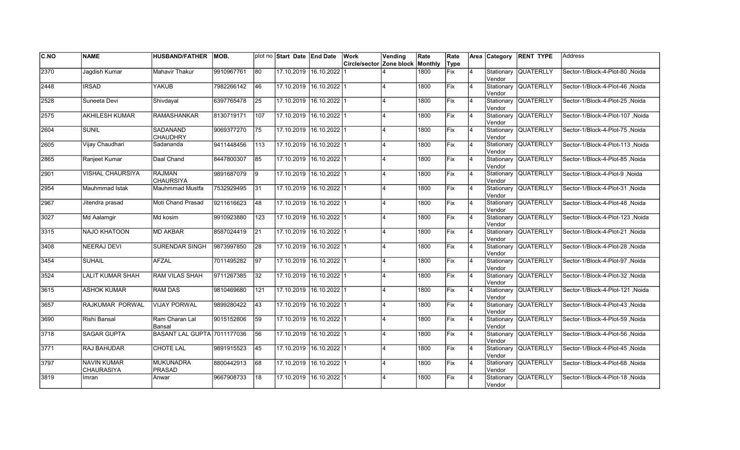| <b>C.NO</b> | <b>NAME</b>                      | <b>HUSBAND/FATHER</b>              | IMOB.      |                 | plot no Start Date End Date |                         | Work                     | Vending | Rate    | Rate |                |                      | Area Category RENT TYPE | lAddress                         |
|-------------|----------------------------------|------------------------------------|------------|-----------------|-----------------------------|-------------------------|--------------------------|---------|---------|------|----------------|----------------------|-------------------------|----------------------------------|
|             |                                  |                                    |            |                 |                             |                         | Circle/sector Zone block |         | Monthly | Type |                |                      |                         |                                  |
| 2370        | Jaqdish Kumar                    | Mahavir Thakur                     | 9910967761 | $\overline{80}$ | 17.10.2019                  | 16.10.2022              |                          |         | 1800    | Fix  | 4              | Stationary<br>Vendor | <b>QUATERLLY</b>        | Sector-1/Block-4-Plot-80, Noida  |
| 2448        | <b>IRSAD</b>                     | <b>YAKUB</b>                       | 7982266142 | 46              |                             | 17.10.2019 16.10.2022 1 |                          |         | 1800    | Fix  | $\overline{4}$ | Vendor               | Stationary QUATERLLY    | Sector-1/Block-4-Plot-46 Noida   |
| 2528        | Suneeta Devi                     | Shivdayal                          | 6397765478 | 25              |                             | 17.10.2019 16.10.2022 1 |                          |         | 1800    | Fix  | $\overline{4}$ | Vendor               | Stationary QUATERLLY    | Sector-1/Block-4-Plot-25 Noida   |
| 2575        | <b>AKHILESH KUMAR</b>            | RAMASHANKAR                        | 8130719171 | 107             |                             | 17.10.2019 16.10.2022 1 |                          | 4       | 1800    | Fix  | 4              | Vendor               | Stationary QUATERLLY    | Sector-1/Block-4-Plot-107, Noida |
| 2604        | <b>SUNIL</b>                     | <b>SADANAND</b><br><b>CHAUDHRY</b> | 9069377270 | 75              | 17.10.2019                  | $16.10.2022$ 1          |                          |         | 1800    | Fix  | 4              | Vendor               | Stationary QUATERLLY    | Sector-1/Block-4-Plot-75, Noida  |
| 2605        | Vijay Chaudhari                  | Sadananda                          | 9411448456 | 113             | 17.10.2019                  | $16.10.2022$ 1          |                          |         | 1800    | Fix  | $\overline{4}$ | lVendor              | Stationary QUATERLLY    | Sector-1/Block-4-Plot-113, Noida |
| 2865        | Ranjeet Kumar                    | Daal Chand                         | 8447800307 | 85              | 17.10.2019                  | $16.10.2022$ 1          |                          |         | 1800    | Fix  | $\overline{4}$ | Vendor               | Stationary QUATERLLY    | Sector-1/Block-4-Plot-85, Noida  |
| 2901        | VISHAL CHAURSIYA                 | <b>RAJMAN</b><br><b>CHAURSIYA</b>  | 9891687079 | <u> 19</u>      |                             | 17.10.2019 16.10.2022 1 |                          |         | 1800    | Fix  | $\overline{4}$ | Vendor               | Stationary QUATERLLY    | Sector-1/Block-4-Plot-9, Noida   |
| 2954        | Mauhmmad Istak                   | Mauhmmad Mustfa                    | 7532929495 | 31              |                             | 17.10.2019 16.10.2022 1 |                          |         | 1800    | Fix  | $\overline{4}$ | Vendor               | Stationary QUATERLLY    | Sector-1/Block-4-Plot-31, Noida  |
| 2967        | Jitendra prasad                  | Moti Chand Prasad                  | 9211616623 | 48              | 17.10.2019                  | $16.10.2022$ 1          |                          |         | 1800    | Fix  | 4              | Vendor               | Stationary QUATERLLY    | Sector-1/Block-4-Plot-48 Noida   |
| 3027        | Md Aalamgir                      | Md kosim                           | 9910923880 | 123             | 17.10.2019                  | 16.10.2022 1            |                          | 4       | 1800    | Fix  | $\overline{4}$ | Vendor               | Stationary QUATERLLY    | Sector-1/Block-4-Plot-123, Noida |
| 3315        | <b>NAJO KHATOON</b>              | MD AKBAR                           | 8587024419 | 21              |                             | 17.10.2019 16.10.2022 1 |                          | 4       | 1800    | Fix  | 4              | Vendor               | Stationary QUATERLLY    | Sector-1/Block-4-Plot-21, Noida  |
| 3408        | NEERAJ DEVI                      | <b>SURENDAR SINGH</b>              | 9873997850 | 28              |                             | 17.10.2019 16.10.2022 1 |                          | 4       | 1800    | Fix  | $\overline{4}$ | Vendor               | Stationary QUATERLLY    | Sector-1/Block-4-Plot-28, Noida  |
| 3454        | <b>SUHAIL</b>                    | <b>AFZAL</b>                       | 7011495282 | 97              | 17.10.2019                  | $16.10.2022$ 1          |                          |         | 1800    | Fix  | $\overline{4}$ | Vendor               | Stationary QUATERLLY    | Sector-1/Block-4-Plot-97, Noida  |
| 3524        | <b>LALIT KUMAR SHAH</b>          | <b>RAM VILAS SHAH</b>              | 9711267385 | $\overline{32}$ | 17.10.2019                  | $16.10.2022$ 1          |                          |         | 1800    | Fix  | $\overline{4}$ | Vendor               | Stationary QUATERLLY    | Sector-1/Block-4-Plot-32, Noida  |
| 3615        | <b>ASHOK KUMAR</b>               | <b>RAM DAS</b>                     | 9810469680 | 121             | 17.10.2019 16.10.2022 1     |                         |                          |         | 1800    | Fix  | $\overline{4}$ | Vendor               | Stationary QUATERLLY    | Sector-1/Block-4-Plot-121 ,Noida |
| 3657        | RAJKUMAR PORWAL                  | <b>VIJAY PORWAL</b>                | 9899280422 | 43              |                             | 17.10.2019 16.10.2022 1 |                          |         | 1800    | Fix  | 14             | Vendor               | Stationary QUATERLLY    | Sector-1/Block-4-Plot-43 ,Noida  |
| 3690        | Rishi Bansal                     | Ram Charan Lal<br>Bansal           | 9015152806 | 59              | 17.10.2019                  | $16.10.2022$   1        |                          |         | 1800    | lFix | 4              | Vendor               | Stationary QUATERLLY    | Sector-1/Block-4-Plot-59, Noida  |
| 3718        | <b>SAGAR GUPTA</b>               | <b>BASANT LAL GUPTA 7011177036</b> |            | 56              | 17.10.2019                  | 16.10.2022 1            |                          |         | 1800    | Fix  | $\overline{4}$ | Vendor               | Stationary QUATERLLY    | Sector-1/Block-4-Plot-56 Noida   |
| 3771        | <b>RAJ BAHUDAR</b>               | <b>CHOTE LAL</b>                   | 9891915523 | 45              | 17.10.2019                  | $16.10.2022$ 1          |                          |         | 1800    | Fix  | $\overline{4}$ | Vendor               | Stationary QUATERLLY    | Sector-1/Block-4-Plot-45, Noida  |
| 3797        | <b>NAVIN KUMAR</b><br>CHAURASIYA | <b>MUKUNADRA</b><br><b>PRASAD</b>  | 8800442913 | 68              | 17.10.2019 16.10.2022 1     |                         |                          |         | 1800    | Fix  | $\overline{4}$ | Vendor               | Stationary QUATERLLY    | Sector-1/Block-4-Plot-68, Noida  |
| 3819        | Imran                            | Anwar                              | 9667908733 | 18              |                             | 17.10.2019 16.10.2022 1 |                          |         | 1800    | Fix  |                | Vendor               | Stationary QUATERLLY    | Sector-1/Block-4-Plot-18, Noida  |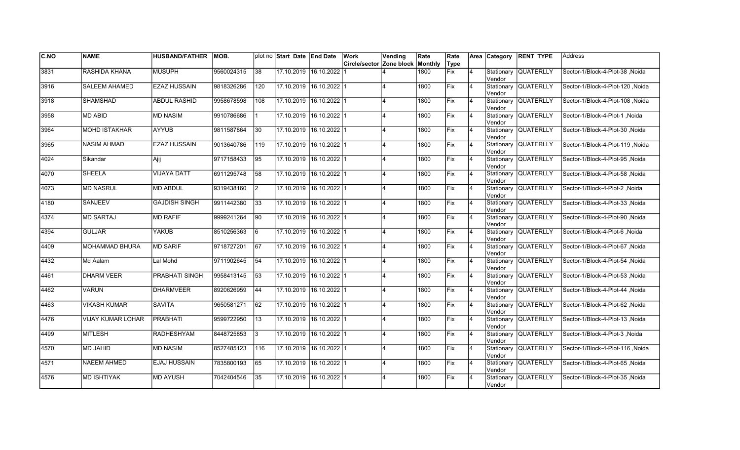| C.NO | <b>NAME</b>              | <b>HUSBAND/FATHER</b> | IMOB.      |                 | plot no Start Date End Date |                         | Work<br>Circle/sector Zone block | Vending                 | Rate<br>Monthly | Rate               |                | Area Category        | <b>RENT TYPE</b>     | <b>Address</b>                   |
|------|--------------------------|-----------------------|------------|-----------------|-----------------------------|-------------------------|----------------------------------|-------------------------|-----------------|--------------------|----------------|----------------------|----------------------|----------------------------------|
| 3831 |                          |                       |            | 38              |                             |                         |                                  |                         |                 | Type<br><b>Fix</b> | $\overline{4}$ |                      | <b>QUATERLLY</b>     |                                  |
|      | <b>RASHIDA KHANA</b>     | <b>MUSUPH</b>         | 9560024315 |                 |                             | 17.10.2019 16.10.2022   |                                  |                         | 1800            |                    |                | Stationary<br>Vendor |                      | Sector-1/Block-4-Plot-38, Noida  |
| 3916 | <b>SALEEM AHAMED</b>     | <b>EZAZ HUSSAIN</b>   | 9818326286 | 120             | 17.10.2019 16.10.2022 1     |                         |                                  |                         | 1800            | Fix                | 4              | Vendor               | Stationary QUATERLLY | Sector-1/Block-4-Plot-120, Noida |
| 3918 | <b>SHAMSHAD</b>          | <b>ABDUL RASHID</b>   | 9958678598 | 108             | 17.10.2019 16.10.2022 1     |                         |                                  | $\overline{\mathbf{A}}$ | 1800            | <b>IFix</b>        | 4              | Vendor               | Stationary QUATERLLY | Sector-1/Block-4-Plot-108 .Noida |
| 3958 | <b>MD ABID</b>           | <b>MD NASIM</b>       | 9910786686 |                 | 17.10.2019 16.10.2022 1     |                         |                                  | $\overline{4}$          | 1800            | Fix                | $\overline{4}$ | Vendor               | Stationary QUATERLLY | Sector-1/Block-4-Plot-1, Noida   |
| 3964 | <b>MOHD ISTAKHAR</b>     | <b>AYYUB</b>          | 9811587864 | 30              | 17.10.2019 16.10.2022 1     |                         |                                  |                         | 1800            | Fix                | $\overline{4}$ | Vendor               | Stationary QUATERLLY | Sector-1/Block-4-Plot-30, Noida  |
| 3965 | <b>NASIM AHMAD</b>       | <b>EZAZ HUSSAIN</b>   | 9013640786 | 119             | 17.10.2019 16.10.2022 1     |                         |                                  |                         | 1800            | Fix                | $\overline{4}$ | Vendor               | Stationary QUATERLLY | Sector-1/Block-4-Plot-119, Noida |
| 4024 | Sikandar                 | Ajij                  | 9717158433 | 95              | 17.10.2019 16.10.2022 1     |                         |                                  |                         | 1800            | Fix                | $\overline{4}$ | Vendor               | Stationary QUATERLLY | Sector-1/Block-4-Plot-95, Noida  |
| 4070 | <b>SHEELA</b>            | <b>VIJAYA DATT</b>    | 6911295748 | 58              | 17.10.2019 16.10.2022 1     |                         |                                  | $\overline{\mathbf{A}}$ | 1800            | Fix                | 4              | Vendor               | Stationary QUATERLLY | Sector-1/Block-4-Plot-58, Noida  |
| 4073 | <b>MD NASRUL</b>         | MD ABDUL              | 9319438160 | I2              | 17.10.2019 16.10.2022 1     |                         |                                  | 4                       | 1800            | Fix                | 4              | Stationary<br>Vendor | <b>QUATERLLY</b>     | Sector-1/Block-4-Plot-2, Noida   |
| 4180 | <b>SANJEEV</b>           | <b>GAJDISH SINGH</b>  | 9911442380 | 33              | 17.10.2019 16.10.2022 1     |                         |                                  |                         | 1800            | Fix                | $\overline{4}$ | Vendor               | Stationary QUATERLLY | Sector-1/Block-4-Plot-33, Noida  |
| 4374 | <b>MD SARTAJ</b>         | <b>MD RAFIF</b>       | 9999241264 | $\overline{90}$ | 17.10.2019 16.10.2022 1     |                         |                                  |                         | 1800            | Fix                | $\overline{4}$ | Vendor               | Stationary QUATERLLY | Sector-1/Block-4-Plot-90, Noida  |
| 4394 | <b>GULJAR</b>            | <b>YAKUB</b>          | 8510256363 | 6               | 17.10.2019 16.10.2022 1     |                         |                                  | $\overline{A}$          | 1800            | Fix                | $\overline{4}$ | Vendor               | Stationary QUATERLLY | Sector-1/Block-4-Plot-6, Noida   |
| 4409 | MOHAMMAD BHURA           | <b>MD SARIF</b>       | 9718727201 | 67              | 17.10.2019 16.10.2022 1     |                         |                                  | $\overline{\mathbf{A}}$ | 1800            | Fix                | $\overline{4}$ | Vendor               | Stationary QUATERLLY | Sector-1/Block-4-Plot-67, Noida  |
| 4432 | Md Aalam                 | Lal Mohd              | 9711902645 | 54              | 17.10.2019 16.10.2022 1     |                         |                                  |                         | 1800            | Fix                | $\overline{4}$ | Stationary<br>Vendor | <b>QUATERLLY</b>     | Sector-1/Block-4-Plot-54, Noida  |
| 4461 | <b>DHARM VEER</b>        | PRABHATI SINGH        | 9958413145 | 53              | 17.10.2019 16.10.2022 1     |                         |                                  |                         | 1800            | Fix                | 4              | lVendor              | Stationary QUATERLLY | Sector-1/Block-4-Plot-53, Noida  |
| 4462 | <b>VARUN</b>             | <b>DHARMVEER</b>      | 8920626959 | 44              | 17.10.2019 16.10.2022 1     |                         |                                  | $\overline{\mathbf{A}}$ | 1800            | <b>Fix</b>         | 4              | Vendor               | Stationary QUATERLLY | Sector-1/Block-4-Plot-44, Noida  |
| 4463 | <b>VIKASH KUMAR</b>      | SAVITA                | 9650581271 | 62              | 17.10.2019 16.10.2022 1     |                         |                                  | $\overline{4}$          | 1800            | Fix                | 4              | Vendor               | Stationary QUATERLLY | Sector-1/Block-4-Plot-62, Noida  |
| 4476 | <b>VIJAY KUMAR LOHAR</b> | <b>PRABHATI</b>       | 9599722950 | 13              | 17.10.2019 16.10.2022 1     |                         |                                  | $\overline{4}$          | 1800            | <b>IFix</b>        | $\overline{4}$ | Vendor               | Stationary QUATERLLY | Sector-1/Block-4-Plot-13, Noida  |
| 4499 | <b>MITLESH</b>           | <b>RADHESHYAM</b>     | 8448725853 | 3               | 17.10.2019 16.10.2022 1     |                         |                                  |                         | 1800            | Fix                | 4              | Vendor               | Stationary QUATERLLY | Sector-1/Block-4-Plot-3, Noida   |
| 4570 | <b>MD JAHID</b>          | <b>MD NASIM</b>       | 8527485123 | 116             | 17.10.2019 16.10.2022 1     |                         |                                  | $\overline{A}$          | 1800            | Fix                | $\overline{4}$ | Vendor               | Stationary QUATERLLY | Sector-1/Block-4-Plot-116, Noida |
| 4571 | <b>NAEEM AHMED</b>       | EJAJ HUSSAIN          | 7835800193 | 65              | 17.10.2019 16.10.2022 1     |                         |                                  | $\overline{4}$          | 1800            | Fix                | $\overline{4}$ | Vendor               | Stationary QUATERLLY | Sector-1/Block-4-Plot-65, Noida  |
| 4576 | <b>MD ISHTIYAK</b>       | <b>MD AYUSH</b>       | 7042404546 | 35              |                             | 17.10.2019 16.10.2022 1 |                                  | 4                       | 1800            | Fix                | 4              | Stationary<br>Vendor | <b>QUATERLLY</b>     | Sector-1/Block-4-Plot-35, Noida  |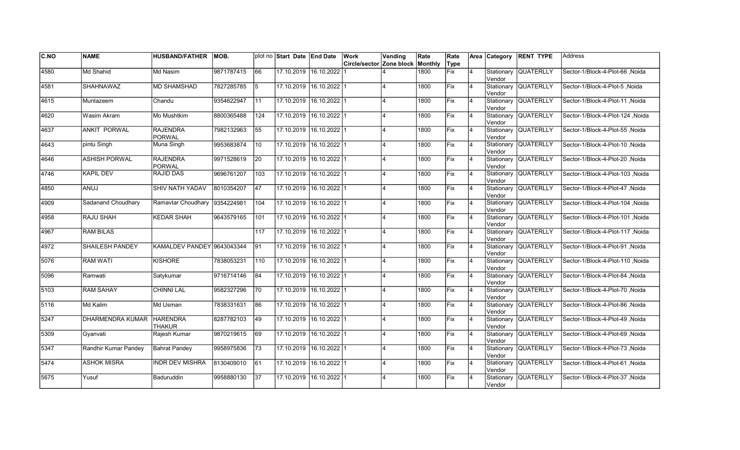| C.NO | <b>NAME</b>             | <b>HUSBAND/FATHER</b>            | IMOB.      |            | plot no Start Date End Date |                         | Work<br>Circle/sector Zone block | Vending        | Rate<br>Monthly | Rate<br>Type |                |                      | Area Category RENT TYPE | <b>Address</b>                   |
|------|-------------------------|----------------------------------|------------|------------|-----------------------------|-------------------------|----------------------------------|----------------|-----------------|--------------|----------------|----------------------|-------------------------|----------------------------------|
| 4580 | Md Shahid               | Md Nasim                         | 9871787415 | 66         | 17.10.2019                  | 16.10.2022              |                                  |                | 1800            | Fix          | $\overline{4}$ |                      | Stationary QUATERLLY    | Sector-1/Block-4-Plot-66 Noida   |
|      |                         |                                  |            |            |                             |                         |                                  |                |                 |              |                | Vendor               |                         |                                  |
| 4581 | <b>SHAHNAWAZ</b>        | <b>MD SHAMSHAD</b>               | 7827285785 | 5          |                             | 17.10.2019 16.10.2022 1 |                                  |                | 1800            | Fix          | $\overline{4}$ | Vendor               | Stationary QUATERLLY    | Sector-1/Block-4-Plot-5 .Noida   |
| 4615 | Muntazeem               | Chandu                           | 9354622947 | <b>111</b> |                             | 17.10.2019 16.10.2022 1 |                                  |                | 1800            | Fix          | <b>4</b>       | Vendor               | Stationary QUATERLLY    | Sector-1/Block-4-Plot-11 Noida   |
| 4620 | Wasim Akram             | Mo Mushtkim                      | 8800365488 | 124        | 17.10.2019                  | $16.10.2022$ 1          |                                  | 4              | 1800            | Fix          | 4              | Vendor               | Stationary QUATERLLY    | Noida  Sector-1/Block-4-Plot-124 |
| 4637 | <b>ANKIT PORWAL</b>     | <b>RAJENDRA</b><br><b>PORWAL</b> | 7982132963 | 55         | 17.10.2019                  | $16.10.2022$ 1          |                                  |                | 1800            | Fix          | $\overline{4}$ | Vendor               | Stationary QUATERLLY    | Sector-1/Block-4-Plot-55, Noida  |
| 4643 | pintu Singh             | Muna Singh                       | 9953683874 | 10         |                             | 17.10.2019 16.10.2022 1 |                                  |                | 1800            | Fix          | 4              | Vendor               | Stationary QUATERLLY    | Sector-1/Block-4-Plot-10, Noida  |
| 4646 | <b>ASHISH PORWAL</b>    | <b>RAJENDRA</b><br>PORWAL        | 9971528619 | 20         | 17.10.2019                  | $16.10.2022$ 1          |                                  |                | 1800            | Fix          | 14             | Vendor               | Stationary QUATERLLY    | Sector-1/Block-4-Plot-20, Noida  |
| 4746 | <b>KAPIL DEV</b>        | RAJID DAS                        | 9696761207 | 103        | 17.10.2019                  | $16.10.2022$   1        |                                  | 4              | 1800            | Fix          | $\overline{4}$ | Vendor               | Stationary QUATERLLY    | Sector-1/Block-4-Plot-103 Noida  |
| 4850 | <b>ANUJ</b>             | <b>SHIV NATH YADAV</b>           | 8010354207 | 47         | 17.10.2019                  | 16.10.2022 1            |                                  |                | 1800            | lFix         | 4              | Vendor               | Stationary QUATERLLY    | Sector-1/Block-4-Plot-47, Noida  |
| 4909 | Sadanand Choudhary      | Ramavtar Choudhary               | 9354224981 | 104        | 17.10.2019                  | 16.10.2022 1            |                                  |                | 1800            | Fix          | $\overline{4}$ | Vendor               | Stationary QUATERLLY    | Noida  Sector-1/Block-4-Plot-104 |
| 4958 | <b>RAJU SHAH</b>        | <b>KEDAR SHAH</b>                | 9643579165 | 101        | 17.10.2019                  | 16.10.2022 1            |                                  |                | 1800            | Fix          | $\overline{4}$ | lVendor              | Stationary QUATERLLY    | Sector-1/Block-4-Plot-101, Noida |
| 4967 | <b>RAM BILAS</b>        |                                  |            | 117        | 17.10.2019 16.10.2022 1     |                         |                                  |                | 1800            | Fix          | $\overline{4}$ | lVendor              | Stationary QUATERLLY    | Sector-1/Block-4-Plot-117, Noida |
| 4972 | SHAILESH PANDEY         | KAMALDEV PANDEY 9643043344       |            | 91         | 17.10.2019                  | $16.10.2022$ 1          |                                  |                | 1800            | Fix          | $\overline{4}$ | Vendor               | Stationary QUATERLLY    | Sector-1/Block-4-Plot-91, Noida  |
| 5076 | <b>RAM WATI</b>         | <b>KISHORE</b>                   | 7838053231 | 110        | 17.10.2019                  | $16.10.2022$ 1          |                                  |                | 1800            | Fix          | $\overline{4}$ | Vendor               | Stationary QUATERLLY    | Sector-1/Block-4-Plot-110, Noida |
| 5096 | Ramwati                 | Satykumar                        | 9716714146 | 84         | 17.10.2019                  | 16.10.2022 1            |                                  |                | 1800            | Fix          | $\overline{4}$ | Vendor               | Stationary QUATERLLY    | Sector-1/Block-4-Plot-84, Noida  |
| 5103 | <b>RAM SAHAY</b>        | <b>CHINNI LAL</b>                | 9582327296 | 170        |                             | 17.10.2019 16.10.2022 1 |                                  | 4              | 1800            | <b>Fix</b>   | $\overline{4}$ | Vendor               | Stationary QUATERLLY    | Sector-1/Block-4-Plot-70, Noida  |
| 5116 | Md Kalim                | Md Usman                         | 7838331631 | 86         |                             | 17.10.2019 16.10.2022 1 |                                  | 4              | 1800            | Fix          | $\overline{4}$ | Vendor               | Stationary QUATERLLY    | Sector-1/Block-4-Plot-86, Noida  |
| 5247 | <b>DHARMENDRA KUMAR</b> | <b>HARENDRA</b><br><b>THAKUR</b> | 8287782103 | 49         | 17.10.2019                  | $16.10.2022$ 1          |                                  |                | 1800            | lFix         | $\overline{4}$ | Vendor               | Stationary QUATERLLY    | Sector-1/Block-4-Plot-49, Noida  |
| 5309 | Gvanvati                | Rajesh Kumar                     | 9870219615 | 69         |                             | 17.10.2019 16.10.2022 1 |                                  |                | 1800            | Fix          | 4              | Vendor               | Stationary QUATERLLY    | Sector-1/Block-4-Plot-69, Noida  |
| 5347 | Randhir Kumar Pandey    | <b>Bahrat Pandey</b>             | 9958975836 | 73         | 17.10.2019                  | $16.10.2022$ 1          |                                  |                | 1800            | Fix          | $\overline{4}$ | Vendor               | Stationary QUATERLLY    | Sector-1/Block-4-Plot-73, Noida  |
| 5474 | <b>ASHOK MISRA</b>      | INDR DEV MISHRA                  | 8130409010 | 61         | 17.10.2019                  | $16.10.2022$ 1          |                                  | $\overline{4}$ | 1800            | Fix          | 4              | <b>Vendor</b>        | Stationary QUATERLLY    | Sector-1/Block-4-Plot-61, Noida  |
| 5675 | Yusuf                   | Baduruddin                       | 9958880130 | 37         | 17.10.2019                  | 16.10.2022 1            |                                  |                | 1800            | Fix          | 4              | Stationary<br>Vendor | <b>QUATERLLY</b>        | Sector-1/Block-4-Plot-37, Noida  |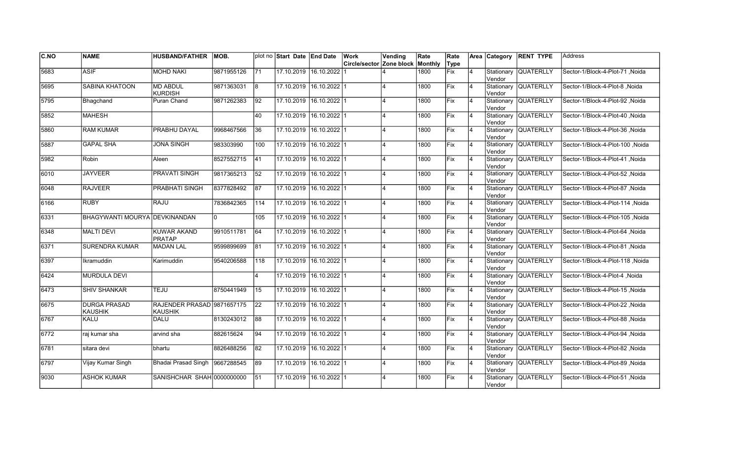| C.NO | <b>NAME</b>                           | <b>HUSBAND/FATHER</b>                        | MOB.       |                  | plot no Start Date End Date |                         | Work<br>Circle/sector Zone block | Vending        | Rate<br>Monthly | Rate<br>Type |                |               | Area Category RENT TYPE | <b>Address</b>                   |
|------|---------------------------------------|----------------------------------------------|------------|------------------|-----------------------------|-------------------------|----------------------------------|----------------|-----------------|--------------|----------------|---------------|-------------------------|----------------------------------|
| 5683 | <b>ASIF</b>                           | <b>MOHD NAKI</b>                             | 9871955126 | 171              | 17.10.2019                  | 16.10.2022              |                                  |                | 1800            | Fix          | $\overline{4}$ |               | Stationary QUATERLLY    | Sector-1/Block-4-Plot-71, Noida  |
|      |                                       |                                              |            |                  |                             |                         |                                  |                |                 |              |                | Vendor        |                         |                                  |
| 5695 | <b>SABINA KHATOON</b>                 | <b>MD ABDUL</b><br><b>KURDISH</b>            | 9871363031 | l8               |                             | 17.10.2019 16.10.2022 1 |                                  |                | 1800            | Fix          | $\overline{4}$ | Vendor        | Stationary QUATERLLY    | Sector-1/Block-4-Plot-8, Noida   |
| 5795 | Bhagchand                             | Puran Chand                                  | 9871262383 | 92               |                             | 17.10.2019 16.10.2022 1 |                                  |                | 1800            | Fix          | <b>4</b>       | Vendor        | Stationary QUATERLLY    | Sector-1/Block-4-Plot-92 .Noida  |
| 5852 | <b>MAHESH</b>                         |                                              |            | 40               |                             | 17.10.2019 16.10.2022 1 |                                  | 4              | 1800            | Fix          | 4              | Vendor        | Stationary QUATERLLY    | Sector-1/Block-4-Plot-40, Noida  |
| 5860 | <b>RAM KUMAR</b>                      | <b>PRABHU DAYAL</b>                          | 9968467566 | 36               |                             | 17.10.2019 16.10.2022 1 |                                  |                | 1800            | Fix          | $\overline{4}$ | Vendor        | Stationary QUATERLLY    | Sector-1/Block-4-Plot-36, Noida  |
| 5887 | <b>GAPAL SHA</b>                      | <b>JONA SINGH</b>                            | 983303990  | $\overline{100}$ |                             | 17.10.2019 16.10.2022 1 |                                  |                | 1800            | Fix          | 4              | Vendor        | Stationary QUATERLLY    | Sector-1/Block-4-Plot-100, Noida |
| 5982 | Robin                                 | Aleen                                        | 8527552715 | 41               |                             | 17.10.2019 16.10.2022 1 |                                  |                | 1800            | Fix          | 14             | Vendor        | Stationary QUATERLLY    | Sector-1/Block-4-Plot-41, Noida  |
| 6010 | <b>JAYVEER</b>                        | PRAVATI SINGH                                | 9817365213 | 52               | 17.10.2019                  | $16.10.2022$   1        |                                  |                | 1800            | Fix          | $\overline{4}$ | Vendor        | Stationary QUATERLLY    | Sector-1/Block-4-Plot-52, Noida  |
| 6048 | <b>RAJVEER</b>                        | PRABHATI SINGH                               | 8377828492 | 87               | 17.10.2019                  | $16.10.2022$   1        |                                  |                | 1800            | lFix         | 4              | Vendor        | Stationary QUATERLLY    | Sector-1/Block-4-Plot-87, Noida  |
| 6166 | <b>RUBY</b>                           | <b>RAJU</b>                                  | 7836842365 | 114              | 17.10.2019                  | $16.10.2022$ 1          |                                  |                | 1800            | Fix          | $\overline{4}$ | Vendor        | Stationary QUATERLLY    | Noida  Sector-1/Block-4-Plot-114 |
| 6331 | <b>BHAGYWANTI MOURYA DEVKINANDAN</b>  |                                              |            | 105              | 17.10.2019                  | 16.10.2022 1            |                                  |                | 1800            | Fix          | $\overline{4}$ | lVendor       | Stationary QUATERLLY    | Sector-1/Block-4-Plot-105, Noida |
| 6348 | <b>MALTI DEVI</b>                     | <b>KUWAR AKAND</b><br><b>PRATAP</b>          | 9910511781 | 64               |                             | 17.10.2019 16.10.2022 1 |                                  |                | 1800            | Fix          | $\overline{4}$ | lVendor       | Stationary QUATERLLY    | Sector-1/Block-4-Plot-64, Noida  |
| 6371 | <b>SURENDRA KUMAR</b>                 | <b>MADAN LAL</b>                             | 9599899699 | 81               |                             | 17.10.2019 16.10.2022 1 |                                  |                | 1800            | Fix          | $\overline{4}$ | Vendor        | Stationary QUATERLLY    | Sector-1/Block-4-Plot-81, Noida  |
| 6397 | Ikramuddin                            | Karimuddin                                   | 9540206588 | 118              | 17.10.2019                  | $16.10.2022$ 1          |                                  |                | 1800            | Fix          | $\overline{4}$ | Vendor        | Stationary QUATERLLY    | Sector-1/Block-4-Plot-118, Noida |
| 6424 | <b>MURDULA DEVI</b>                   |                                              |            | 4                | 17.10.2019                  | 16.10.2022 1            |                                  |                | 1800            | Fix          | 4              | Vendor        | Stationary QUATERLLY    | Sector-1/Block-4-Plot-4, Noida   |
| 6473 | <b>SHIV SHANKAR</b>                   | <b>TEJU</b>                                  | 8750441949 | 15               |                             | 17.10.2019 16.10.2022 1 |                                  | 4              | 1800            | <b>Fix</b>   | $\overline{4}$ | Vendor        | Stationary QUATERLLY    | Sector-1/Block-4-Plot-15, Noida  |
| 6675 | <b>DURGA PRASAD</b><br><b>KAUSHIK</b> | RAJENDER PRASAD 9871657175<br><b>KAUSHIK</b> |            | 22               |                             | 17.10.2019 16.10.2022 1 |                                  | 4              | 1800            | Fix          | $\overline{4}$ | Vendor        | Stationary QUATERLLY    | Sector-1/Block-4-Plot-22, Noida  |
| 6767 | <b>KALU</b>                           | <b>DALU</b>                                  | 8130243012 | 88               |                             | 17.10.2019 16.10.2022 1 |                                  |                | 1800            | lFix         | $\overline{4}$ | Vendor        | Stationary QUATERLLY    | Sector-1/Block-4-Plot-88, Noida  |
| 6772 | raj kumar sha                         | arvind sha                                   | 882615624  | 94               |                             | 17.10.2019 16.10.2022 1 |                                  |                | 1800            | Fix          | 4              | Vendor        | Stationary QUATERLLY    | Sector-1/Block-4-Plot-94, Noida  |
| 6781 | sitara devi                           | bhartu                                       | 8826488256 | 82               |                             | 17.10.2019 16.10.2022 1 |                                  |                | 1800            | Fix          | $\overline{4}$ | Vendor        | Stationary QUATERLLY    | Sector-1/Block-4-Plot-82, Noida  |
| 6797 | Vijay Kumar Singh                     | Bhadai Prasad Singh 9667288545               |            | 89               | 17.10.2019                  | $16.10.2022$ 1          |                                  | $\overline{4}$ | 1800            | Fix          | 4              | <b>Vendor</b> | Stationary QUATERLLY    | Sector-1/Block-4-Plot-89, Noida  |
| 9030 | <b>ASHOK KUMAR</b>                    | SANISHCHAR SHAH 0000000000                   |            | 51               | 17.10.2019                  | $16.10.2022$ 1          |                                  |                | 1800            | Fix          | $\overline{4}$ | Vendor        | Stationary QUATERLLY    | Sector-1/Block-4-Plot-51, Noida  |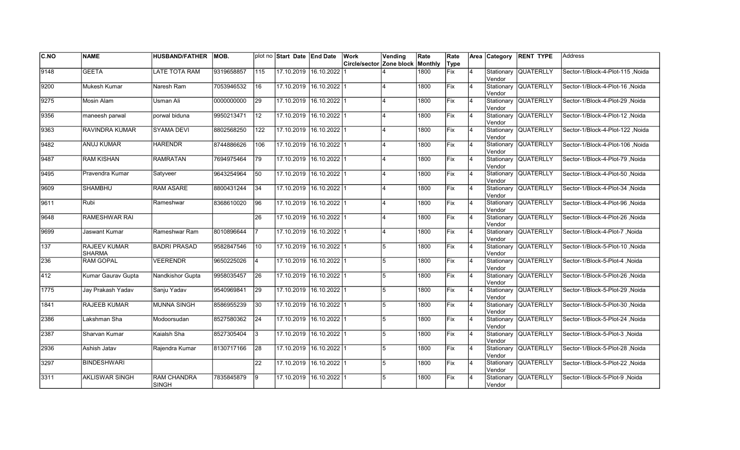| C.NO | <b>NAME</b>                          | <b>HUSBAND/FATHER</b>              | MOB.       |                 | plot no Start Date End Date | Work                     | Vending                 | Rate    | Rate        |                | Area Category        | <b>RENT TYPE</b>     | Address                          |
|------|--------------------------------------|------------------------------------|------------|-----------------|-----------------------------|--------------------------|-------------------------|---------|-------------|----------------|----------------------|----------------------|----------------------------------|
|      |                                      |                                    |            |                 |                             | Circle/sector Zone block |                         | Monthly | Type        |                |                      |                      |                                  |
| 9148 | <b>GEETA</b>                         | <b>LATE TOTA RAM</b>               | 9319658857 | 115             | 17.10.2019 16.10.2022       |                          |                         | 1800    | Fix         | 4              | Stationary<br>Vendor | <b>QUATERLLY</b>     | Sector-1/Block-4-Plot-115, Noida |
| 9200 | Mukesh Kumar                         | Naresh Ram                         | 7053946532 | 16              | 17.10.2019 16.10.2022 1     |                          |                         | 1800    | Fix         | $\overline{4}$ | Vendor               | Stationary QUATERLLY | Sector-1/Block-4-Plot-16, Noida  |
| 9275 | Mosin Alam                           | Usman Ali                          | 0000000000 | 29              | 17.10.2019 16.10.2022 1     |                          | $\Delta$                | 1800    | Fix         | 4              | Vendor               | Stationary QUATERLLY | Sector-1/Block-4-Plot-29, Noida  |
| 9356 | maneesh parwal                       | porwal biduna                      | 9950213471 | 12              | 17.10.2019 16.10.2022 1     |                          | $\overline{\mathbf{A}}$ | 1800    | Fix         | $\overline{4}$ | Vendor               | Stationary QUATERLLY | Sector-1/Block-4-Plot-12, Noida  |
| 9363 | <b>RAVINDRA KUMAR</b>                | <b>SYAMA DEVI</b>                  | 8802568250 | 122             | 17.10.2019 16.10.2022 1     |                          | $\overline{\mathbf{A}}$ | 1800    | Fix         | $\overline{4}$ | Stationary<br>Vendor | <b>QUATERLLY</b>     | Sector-1/Block-4-Plot-122, Noida |
| 9482 | <b>ANUJ KUMAR</b>                    | <b>HARENDR</b>                     | 8744886626 | 106             | 17.10.2019 16.10.2022 1     |                          |                         | 1800    | Fix         | $\overline{4}$ | Stationary<br>Vendor | <b>QUATERLLY</b>     | Sector-1/Block-4-Plot-106, Noida |
| 9487 | <b>RAM KISHAN</b>                    | <b>RAMRATAN</b>                    | 7694975464 | 79              | 17.10.2019 16.10.2022 1     |                          | $\overline{\mathbf{A}}$ | 1800    | Fix         | $\overline{4}$ | Vendor               | Stationary QUATERLLY | Sector-1/Block-4-Plot-79 , Noida |
| 9495 | Pravendra Kumar                      | Satvveer                           | 9643254964 | 50              | 17.10.2019 16.10.2022 1     |                          | $\overline{\mathbf{A}}$ | 1800    | Fix         | $\overline{4}$ | Vendor               | Stationary QUATERLLY | Sector-1/Block-4-Plot-50, Noida  |
| 9609 | <b>SHAMBHU</b>                       | <b>RAM ASARE</b>                   | 8800431244 | 34              | 17.10.2019 16.10.2022 1     |                          | $\Delta$                | 1800    | <b>IFix</b> | 4              | Stationary<br>Vendor | <b>QUATERLLY</b>     | Sector-1/Block-4-Plot-34, Noida  |
| 9611 | Rubi                                 | Rameshwar                          | 8368610020 | $\overline{96}$ | 17.10.2019 16.10.2022 1     |                          |                         | 1800    | Fix         | $\overline{4}$ | Vendor               | Stationary QUATERLLY | Sector-1/Block-4-Plot-96, Noida  |
| 9648 | <b>RAMESHWAR RAI</b>                 |                                    |            | 26              | 17.10.2019 16.10.2022 1     |                          | $\boldsymbol{\Lambda}$  | 1800    | Fix         | $\overline{4}$ | Vendor               | Stationary QUATERLLY | Sector-1/Block-4-Plot-26, Noida  |
| 9699 | Jaswant Kumar                        | Rameshwar Ram                      | 8010896644 |                 | 17.10.2019 16.10.2022 1     |                          | $\overline{A}$          | 1800    | Fix         | $\overline{4}$ | Vendor               | Stationary QUATERLLY | Sector-1/Block-4-Plot-7, Noida   |
| 137  | <b>RAJEEV KUMAR</b><br><b>SHARMA</b> | <b>BADRI PRASAD</b>                | 9582847546 | 10              | 17.10.2019 16.10.2022 1     |                          | 5                       | 1800    | Fix         | $\overline{4}$ | Vendor               | Stationary QUATERLLY | Sector-1/Block-5-Plot-10, Noida  |
| 236  | <b>RAM GOPAL</b>                     | <b>VEERENDR</b>                    | 9650225026 | 4               | 17.10.2019 16.10.2022 1     |                          | 5                       | 1800    | Fix         | $\overline{4}$ | Vendor               | Stationary QUATERLLY | Sector-1/Block-5-Plot-4, Noida   |
| 412  | Kumar Gaurav Gupta                   | Nandkishor Gupta                   | 9958035457 | $\overline{26}$ | 17.10.2019 16.10.2022 1     |                          | 5                       | 1800    | Fix         | 4              | Vendor               | Stationary QUATERLLY | Sector-1/Block-5-Plot-26, Noida  |
| 1775 | Jay Prakash Yadav                    | Sanju Yadav                        | 9540969841 | $\overline{29}$ | 17.10.2019 16.10.2022 1     |                          | 5                       | 1800    | Fix         | $\overline{4}$ | Vendor               | Stationary QUATERLLY | Sector-1/Block-5-Plot-29, Noida  |
| 1841 | RAJEEB KUMAR                         | <b>MUNNA SINGH</b>                 | 8586955239 | 30              | 17.10.2019 16.10.2022 1     |                          | 5                       | 1800    | Fix         | $\overline{4}$ | Vendor               | Stationary QUATERLLY | Sector-1/Block-5-Plot-30, Noida  |
| 2386 | Lakshman Sha                         | Modoorsudan                        | 8527580362 | 24              | 17.10.2019 16.10.2022 1     |                          | 5                       | 1800    | Fix         | $\overline{4}$ | Vendor               | Stationary QUATERLLY | Sector-1/Block-5-Plot-24, Noida  |
| 2387 | Sharvan Kumar                        | Kaialsh Sha                        | 8527305404 | l3              | 17.10.2019 16.10.2022 1     |                          | 5                       | 1800    | Fix         | $\overline{4}$ | Vendor               | Stationary QUATERLLY | Sector-1/Block-5-Plot-3, Noida   |
| 2936 | Ashish Jatav                         | Rajendra Kumar                     | 8130717166 | $\overline{28}$ | 17.10.2019 16.10.2022 1     |                          | 5                       | 1800    | Fix         | $\overline{4}$ | Vendor               | Stationary QUATERLLY | Sector-1/Block-5-Plot-28, Noida  |
| 3297 | <b>BINDESHWARI</b>                   |                                    |            | 22              | 17.10.2019 16.10.2022 1     |                          | 5                       | 1800    | Fix         | $\overline{4}$ | Vendor               | Stationary QUATERLLY | Sector-1/Block-5-Plot-22, Noida  |
| 3311 | <b>AKLISWAR SINGH</b>                | <b>RAM CHANDRA</b><br><b>SINGH</b> | 7835845879 | 9               | 17.10.2019 16.10.2022 1     |                          | 5                       | 1800    | Fix         | 4              | Vendor               | Stationary QUATERLLY | Sector-1/Block-5-Plot-9, Noida   |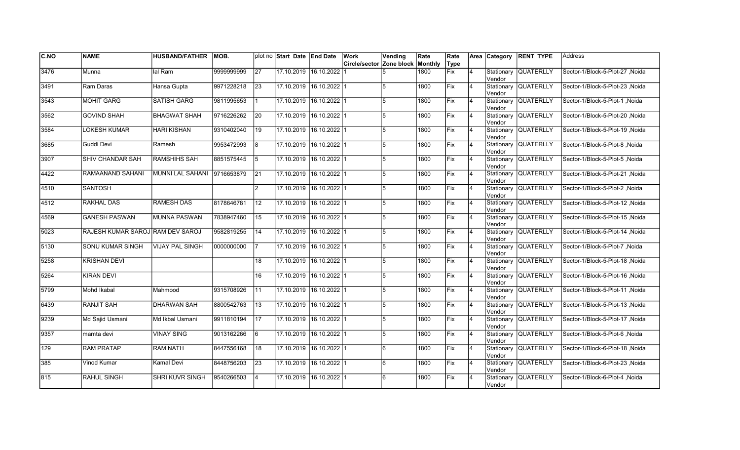| C.NO | <b>NAME</b>                      | <b>HUSBAND/FATHER</b>   | MOB.       |                 | plot no Start Date End Date |                         | Work                             | Vending        | Rate | Rate       |                |                       | Area Category RENT TYPE | <b>Address</b>                  |
|------|----------------------------------|-------------------------|------------|-----------------|-----------------------------|-------------------------|----------------------------------|----------------|------|------------|----------------|-----------------------|-------------------------|---------------------------------|
|      |                                  |                         |            |                 |                             |                         | Circle/sector Zone block Monthly |                |      | Type       |                |                       |                         |                                 |
| 3476 | Munna                            | lal Ram                 | 9999999999 | 27              | 17.10.2019 16.10.2022       |                         |                                  |                | 1800 | Fix        | 4              | Stationary<br>Vendor  | <b>QUATERLLY</b>        | Sector-1/Block-5-Plot-27, Noida |
| 3491 | Ram Daras                        | Hansa Gupta             | 9971228218 | 23              | 17.10.2019 16.10.2022 1     |                         |                                  | 5              | 1800 | Fix        | $\overline{4}$ | Vendor                | Stationary QUATERLLY    | Sector-1/Block-5-Plot-23, Noida |
| 3543 | <b>MOHIT GARG</b>                | <b>SATISH GARG</b>      | 9811995653 |                 | 17.10.2019 16.10.2022 1     |                         |                                  | 5              | 1800 | Fix        | 4              | Vendor                | Stationary QUATERLLY    | Sector-1/Block-5-Plot-1, Noida  |
| 3562 | <b>GOVIND SHAH</b>               | <b>BHAGWAT SHAH</b>     | 9716226262 | $\overline{20}$ | 17.10.2019 16.10.2022 1     |                         |                                  | 5              | 1800 | Fix        | $\overline{4}$ | Vendor                | Stationary QUATERLLY    | Sector-1/Block-5-Plot-20, Noida |
| 3584 | <b>LOKESH KUMAR</b>              | <b>HARI KISHAN</b>      | 9310402040 | 19              |                             | 17.10.2019 16.10.2022 1 |                                  | 5              | 1800 | Fix        | $\overline{4}$ | Stationary<br>Vendor  | QUATERLLY               | Sector-1/Block-5-Plot-19, Noida |
| 3685 | Guddi Devi                       | Ramesh                  | 9953472993 | 8               | 17.10.2019 16.10.2022 1     |                         |                                  | 5              | 1800 | Fix        | $\overline{4}$ | Stationary<br>Vendor  | <b>QUATERLLY</b>        | Sector-1/Block-5-Plot-8, Noida  |
| 3907 | SHIV CHANDAR SAH                 | RAMSHIHS SAH            | 8851575445 | 5               | 17.10.2019 16.10.2022 1     |                         |                                  | 5              | 1800 | Fix        | $\overline{4}$ | Vendor                | Stationary QUATERLLY    | Sector-1/Block-5-Plot-5, Noida  |
| 4422 | RAMAANAND SAHANI                 | <b>MUNNI LAL SAHANI</b> | 9716653879 | 21              | 17.10.2019 16.10.2022 1     |                         |                                  | 5              | 1800 | Fix        | $\overline{4}$ | Vendor                | Stationary QUATERLLY    | Sector-1/Block-5-Plot-21, Noida |
| 4510 | <b>SANTOSH</b>                   |                         |            | $\overline{2}$  | 17.10.2019 16.10.2022 1     |                         |                                  | 5              | 1800 | Fix        | 4              | Stationary<br>lVendor | <b>QUATERLLY</b>        | Sector-1/Block-5-Plot-2, Noida  |
| 4512 | <b>RAKHAL DAS</b>                | <b>RAMESH DAS</b>       | 8178646781 | 12              |                             | 17.10.2019 16.10.2022 1 |                                  | $\overline{5}$ | 1800 | Fix        | $\overline{4}$ | lVendor               | Stationary QUATERLLY    | Sector-1/Block-5-Plot-12, Noida |
| 4569 | <b>GANESH PASWAN</b>             | <b>MUNNA PASWAN</b>     | 7838947460 | 15              |                             | 17.10.2019 16.10.2022 1 |                                  | 5              | 1800 | Fix        | 4              | lVendor               | Stationary QUATERLLY    | Sector-1/Block-5-Plot-15, Noida |
| 5023 | RAJESH KUMAR SAROJ RAM DEV SAROJ |                         | 9582819255 | 14              | 17.10.2019 16.10.2022 1     |                         |                                  | 5              | 1800 | Fix        | 4              | Vendor                | Stationary QUATERLLY    | Sector-1/Block-5-Plot-14, Noida |
| 5130 | SONU KUMAR SINGH                 | <b>VIJAY PAL SINGH</b>  | 0000000000 |                 | 17.10.2019 16.10.2022 1     |                         |                                  | 15             | 1800 | Fix        | 4              | Vendor                | Stationary QUATERLLY    | Sector-1/Block-5-Plot-7, Noida  |
| 5258 | <b>KRISHAN DEVI</b>              |                         |            | 18              | 17.10.2019 16.10.2022 1     |                         |                                  | 5              | 1800 | Fix        | $\overline{4}$ | Vendor                | Stationary QUATERLLY    | Sector-1/Block-5-Plot-18, Noida |
| 5264 | <b>KIRAN DEVI</b>                |                         |            | 16              | 17.10.2019 16.10.2022 1     |                         |                                  | 5              | 1800 | Fix        | $\overline{4}$ | Vendor                | Stationary QUATERLLY    | Sector-1/Block-5-Plot-16, Noida |
| 5799 | Mohd Ikabal                      | Mahmood                 | 9315708926 | $\overline{11}$ | 17.10.2019 16.10.2022 1     |                         |                                  | 5              | 1800 | <b>Fix</b> | Ι4             | Vendor                | Stationary QUATERLLY    | Sector-1/Block-5-Plot-11 Noida  |
| 6439 | <b>RANJIT SAH</b>                | <b>DHARWAN SAH</b>      | 8800542763 | 13              | 17.10.2019 16.10.2022 1     |                         |                                  | 5              | 1800 | Fix        | 4              | Vendor                | Stationary QUATERLLY    | Sector-1/Block-5-Plot-13, Noida |
| 9239 | Md Sajid Usmani                  | Md Ikbal Usmani         | 9911810194 | 17              | 17.10.2019 16.10.2022 1     |                         |                                  | 5              | 1800 | Fix        | $\overline{4}$ | Vendor                | Stationary QUATERLLY    | Sector-1/Block-5-Plot-17, Noida |
| 9357 | mamta devi                       | <b>VINAY SING</b>       | 9013162266 | 6               | 17.10.2019 16.10.2022 1     |                         |                                  | $\overline{5}$ | 1800 | Fix        | 4              | Vendor                | Stationary QUATERLLY    | Sector-1/Block-5-Plot-6, Noida  |
| 129  | <b>RAM PRATAP</b>                | <b>RAM NATH</b>         | 8447556168 | 18              | 17.10.2019 16.10.2022 1     |                         |                                  | 6              | 1800 | Fix        | 4              | Vendor                | Stationary QUATERLLY    | Sector-1/Block-6-Plot-18, Noida |
| 385  | Vinod Kumar                      | Kamal Devi              | 8448756203 | $ 23\rangle$    | 17.10.2019 16.10.2022 1     |                         |                                  | 6              | 1800 | Fix        | $\overline{4}$ | Vendor                | Stationary QUATERLLY    | Sector-1/Block-6-Plot-23, Noida |
| 815  | RAHUL SINGH                      | <b>SHRI KUVR SINGH</b>  | 9540266503 | 4               |                             | 17.10.2019 16.10.2022 1 |                                  | 6              | 1800 | Fix        | 4              | Stationary<br>Vendor  | <b>QUATERLLY</b>        | Sector-1/Block-6-Plot-4, Noida  |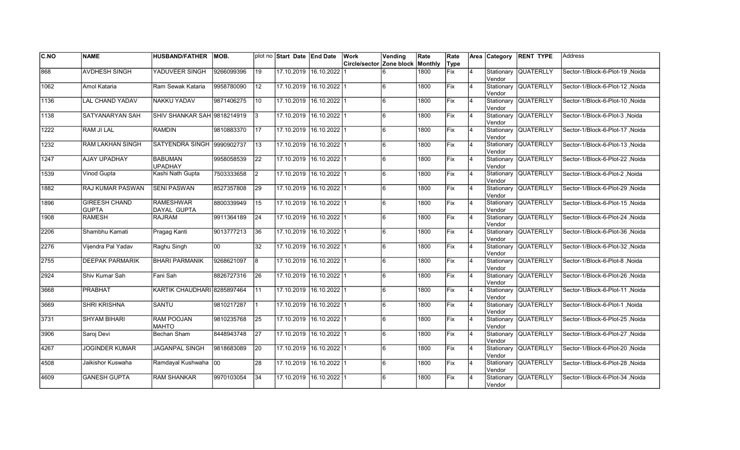| <b>C.NO</b> | <b>NAME</b>                          | <b>HUSBAND/FATHER</b>             | MOB.       |                 | plot no Start Date End Date |                         | Work                             | Vending | Rate | Rate        |                | Area Category         | <b>RENT TYPE</b>     | Address                          |
|-------------|--------------------------------------|-----------------------------------|------------|-----------------|-----------------------------|-------------------------|----------------------------------|---------|------|-------------|----------------|-----------------------|----------------------|----------------------------------|
|             |                                      |                                   |            |                 |                             |                         | Circle/sector Zone block Monthly |         |      | Type        |                |                       |                      |                                  |
| 868         | <b>AVDHESH SINGH</b>                 | YADUVEER SINGH                    | 9266099396 | 19              |                             | 17.10.2019 16.10.2022   |                                  | 6       | 1800 | Fix         | 4              | Stationary<br>Vendor  | <b>QUATERLLY</b>     | Sector-1/Block-6-Plot-19, Noida  |
| 1062        | Amol Kataria                         | Ram Sewak Kataria                 | 9958780090 | 12              |                             | 17.10.2019 16.10.2022 1 |                                  | l6      | 1800 | Fix         | $\overline{4}$ | Vendor                | Stationary QUATERLLY | Sector-1/Block-6-Plot-12, Noida  |
| 1136        | <b>LAL CHAND YADAV</b>               | <b>NAKKU YADAV</b>                | 9871406275 | 10              | 17.10.2019 16.10.2022 1     |                         |                                  | 6       | 1800 | Fix         | 4              | Vendor                | Stationary QUATERLLY | Sector-1/Block-6-Plot-10 Noida   |
| 1138        | SATYANARYAN SAH                      | SHIV SHANKAR SAH 9818214919       |            | 3               | 17.10.2019 16.10.2022 1     |                         |                                  | 6       | 1800 | Fix         | $\overline{4}$ | Vendor                | Stationary QUATERLLY | Sector-1/Block-6-Plot-3, Noida   |
| 1222        | <b>RAM JI LAL</b>                    | <b>RAMDIN</b>                     | 9810883370 | 17              | 17.10.2019                  | $16.10.2022$ 1          |                                  | 6       | 1800 | Fix         | $\overline{4}$ | Stationary<br>Vendor  | <b>QUATERLLY</b>     | Sector-1/Block-6-Plot-17 Noida   |
| 1232        | RAM LAKHAN SINGH                     | SATYENDRA SINGH 9990902737        |            | 13              |                             | 17.10.2019 16.10.2022 1 |                                  | 6       | 1800 | Fix         | $\overline{4}$ | Stationary<br>Vendor  | <b>QUATERLLY</b>     | Sector-1/Block-6-Plot-13, Noida  |
| 1247        | AJAY UPADHAY                         | <b>BABUMAN</b><br><b>UPADHAY</b>  | 9958058539 | 22              | 17.10.2019 16.10.2022 1     |                         |                                  | 6       | 1800 | Fix         | $\overline{4}$ | Vendor                | Stationary QUATERLLY | Sector-1/Block-6-Plot-22, Noida  |
| 1539        | Vinod Gupta                          | Kashi Nath Gupta                  | 7503333658 | 2               | 17.10.2019 16.10.2022 1     |                         |                                  | 6       | 1800 | Fix         | $\overline{4}$ | Vendor                | Stationary QUATERLLY | Sector-1/Block-6-Plot-2, Noida   |
| 1882        | <b>RAJ KUMAR PASWAN</b>              | <b>SENI PASWAN</b>                | 8527357808 | 29              |                             | 17.10.2019 16.10.2022 1 |                                  | 6       | 1800 | Fix         | 4              | Stationary<br>lVendor | <b>QUATERLLY</b>     | Sector-1/Block-6-Plot-29, Noida  |
| 1896        | <b>GIREESH CHAND</b><br><b>GUPTA</b> | <b>RAMESHWAR</b><br>DAYAL GUPTA   | 8800339949 | 15              |                             | 17.10.2019 16.10.2022 1 |                                  | 6       | 1800 | Fix         | $\overline{4}$ | lVendor               | Stationary QUATERLLY | Sector-1/Block-6-Plot-15, Noida  |
| 1908        | <b>RAMESH</b>                        | <b>RAJRAM</b>                     | 9911364189 | 24              |                             | 17.10.2019 16.10.2022 1 |                                  | 6       | 1800 | Fix         | 4              | lVendor               | Stationary QUATERLLY | Sector-1/Block-6-Plot-24 , Noida |
| 2206        | Shambhu Kamati                       | Pragag Kanti                      | 9013777213 | 36              | 17.10.2019 16.10.2022 1     |                         |                                  | 6       | 1800 | Fix         | 4              | Vendor                | Stationary QUATERLLY | Sector-1/Block-6-Plot-36, Noida  |
| 2276        | Vijendra Pal Yadav                   | Raghu Singh                       | l00        | 32              | 17.10.2019 16.10.2022 1     |                         |                                  | l6      | 1800 | Fix         | 4              | Vendor                | Stationary QUATERLLY | Sector-1/Block-6-Plot-32 , Noida |
| 2755        | <b>DEEPAK PARMARIK</b>               | <b>BHARI PARMANIK</b>             | 9268621097 | l8              | 17.10.2019 16.10.2022 1     |                         |                                  | 6       | 1800 | Fix         | $\overline{4}$ | Vendor                | Stationary QUATERLLY | Sector-1/Block-6-Plot-8, Noida   |
| 2924        | Shiv Kumar Sah                       | Fani Sah                          | 8826727316 | 26              | 17.10.2019 16.10.2022 1     |                         |                                  | l6      | 1800 | Fix         | 4              | Vendor                | Stationary QUATERLLY | Sector-1/Block-6-Plot-26, Noida  |
| 3668        | <b>PRABHAT</b>                       | KARTIK CHAUDHARI 8285897464       |            | $\overline{11}$ | 17.10.2019 16.10.2022 1     |                         |                                  | 6       | 1800 | <b>Fix</b>  | 4              | Vendor                | Stationary QUATERLLY | Sector-1/Block-6-Plot-11 Noida   |
| 3669        | <b>SHRI KRISHNA</b>                  | <b>SANTU</b>                      | 9810217287 | 1               | 17.10.2019 16.10.2022 1     |                         |                                  | l6      | 1800 | Fix         | 4              | Vendor                | Stationary QUATERLLY | Sector-1/Block-6-Plot-1 .Noida   |
| 3731        | <b>SHYAM BIHARI</b>                  | <b>RAM POOJAN</b><br><b>MAHTO</b> | 9810235768 | 25              |                             | 17.10.2019 16.10.2022 1 |                                  | 6       | 1800 | <b>IFix</b> | $\overline{4}$ | Vendor                | Stationary QUATERLLY | Sector-1/Block-6-Plot-25, Noida  |
| 3906        | Saroj Devi                           | Bechan Sham                       | 8448943748 | $\overline{27}$ | 17.10.2019 16.10.2022 1     |                         |                                  | 6       | 1800 | Fix         | 4              | Vendor                | Stationary QUATERLLY | Sector-1/Block-6-Plot-27, Noida  |
| 4267        | <b>JOGINDER KUMAR</b>                | <b>JAGANPAL SINGH</b>             | 9818683089 | 20              | 17.10.2019 16.10.2022 1     |                         |                                  | 6       | 1800 | Fix         | $\overline{4}$ | Vendor                | Stationary QUATERLLY | Sector-1/Block-6-Plot-20, Noida  |
| 4508        | Jaikishor Kuswaha                    | Ramdayal Kushwaha 00              |            | 28              | 17.10.2019 16.10.2022 1     |                         |                                  | 6       | 1800 | Fix         | $\overline{4}$ | Vendor                | Stationary QUATERLLY | Sector-1/Block-6-Plot-28, Noida  |
| 4609        | <b>GANESH GUPTA</b>                  | <b>RAM SHANKAR</b>                | 9970103054 | 34              |                             | 17.10.2019 16.10.2022 1 |                                  | 6       | 1800 | Fix         | 4              | Stationary<br>Vendor  | <b>QUATERLLY</b>     | Sector-1/Block-6-Plot-34, Noida  |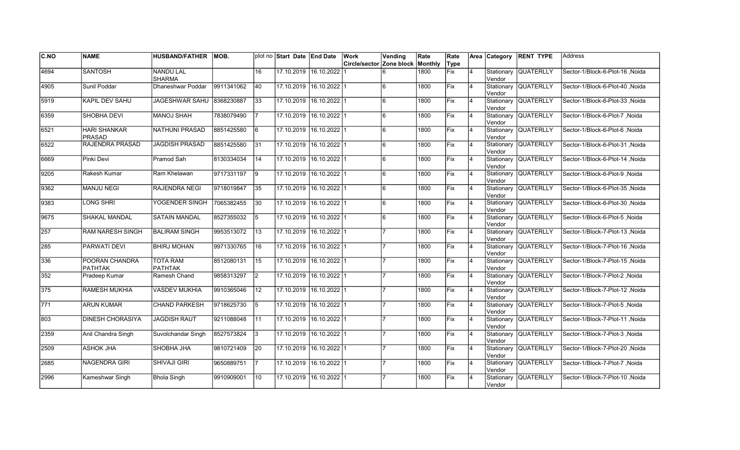| C.NO             | <b>NAME</b>                          | <b>HUSBAND/FATHER</b>             | MOB.       |                 | plot no Start Date End Date |                         | Work                                    | Vending | Rate | Rate |                |        | Area Category RENT TYPE | <b>Address</b>                        |
|------------------|--------------------------------------|-----------------------------------|------------|-----------------|-----------------------------|-------------------------|-----------------------------------------|---------|------|------|----------------|--------|-------------------------|---------------------------------------|
|                  |                                      |                                   |            |                 |                             |                         | <b>Circle/sector Zone block Monthly</b> |         |      | Type |                |        |                         |                                       |
| 4694             | <b>SANTOSH</b>                       | <b>NANDU LAL</b><br><b>SHARMA</b> |            | 16              |                             | 17.10.2019 16.10.2022   |                                         |         | 1800 | Fix  | $\overline{4}$ | Vendor | Stationary QUATERLLY    | Sector-1/Block-6-Plot-16, Noida       |
| 4905             | Sunil Poddar                         | Dhaneshwar Poddar                 | 9911341062 | 40              |                             | 17.10.2019 16.10.2022 1 |                                         |         | 1800 | Fix  | 14             | Vendor | Stationary QUATERLLY    | Sector-1/Block-6-Plot-40, Noida       |
| 5919             | <b>KAPIL DEV SAHU</b>                | <b>JAGESHWAR SAHU</b>             | 8368230887 | $\overline{33}$ | 17.10.2019 16.10.2022 1     |                         |                                         | 6       | 1800 | Fix  | 14             | Vendor | Stationary QUATERLLY    | Sector-1/Block-6-Plot-33, Noida       |
| 6359             | SHOBHA DEVI                          | <b>MANOJ SHAH</b>                 | 7838079490 |                 | 17.10.2019 16.10.2022 1     |                         |                                         | 6       | 1800 | Fix  | 14             | Vendor | Stationary QUATERLLY    | Sector-1/Block-6-Plot-7, Noida        |
| 6521             | <b>HARI SHANKAR</b><br><b>PRASAD</b> | <b>NATHUNI PRASAD</b>             | 8851425580 | l6              |                             | 17.10.2019 16.10.2022 1 |                                         | 6       | 1800 | Fix  | $\overline{4}$ | Vendor | Stationary QUATERLLY    | Sector-1/Block-6-Plot-6, Noida        |
| 6522             | RAJENDRA PRASAD                      | <b>JAGDISH PRASAD</b>             | 8851425580 | 31              |                             | 17.10.2019 16.10.2022 1 |                                         | 6       | 1800 | Fix  | $\overline{4}$ | Vendor | Stationary QUATERLLY    | Sector-1/Block-6-Plot-31, Noida       |
| 6669             | Pinki Devi                           | Pramod Sah                        | 8130334034 | 14              | 17.10.2019 16.10.2022 1     |                         |                                         | 6       | 1800 | Fix  | $\overline{4}$ | Vendor | Stationary QUATERLLY    | Sector-1/Block-6-Plot-14, Noida       |
| 9205             | Rakesh Kumar                         | Ram Khelawan                      | 9717331197 | 19              | 17.10.2019 16.10.2022 1     |                         |                                         | 6       | 1800 | Fix  | $\overline{4}$ | Vendor | Stationary QUATERLLY    | Sector-1/Block-6-Plot-9, Noida        |
| 9362             | <b>MANJU NEGI</b>                    | RAJENDRA NEGI                     | 9718019847 | 35              |                             | 17.10.2019 16.10.2022 1 |                                         | 6       | 1800 | Fix  | $\overline{4}$ | Vendor | Stationary QUATERLLY    | Sector-1/Block-6-Plot-35, Noida       |
| 9383             | <b>LONG SHRI</b>                     | YOGENDER SINGH                    | 7065382455 | 30              |                             | 17.10.2019 16.10.2022 1 |                                         | 6       | 1800 | Fix  | 4              | Vendor | Stationary QUATERLLY    | Sector-1/Block-6-Plot-30, Noida       |
| 9675             | <b>SHAKAL MANDAL</b>                 | <b>SATAIN MANDAL</b>              | 8527355032 | 5               |                             | 17.10.2019 16.10.2022 1 |                                         | ĥ       | 1800 | Fix  | 4              | Vendor | Stationary QUATERLLY    | Sector-1/Block-6-Plot-5, Noida        |
| $\overline{257}$ | <b>RAM NARESH SINGH</b>              | <b>BALIRAM SINGH</b>              | 9953513072 | 13              | 17.10.2019 16.10.2022 1     |                         |                                         |         | 1800 | Fix  | 14             | Vendor | Stationary QUATERLLY    | Sector-1/Block-7-Plot-13, Noida       |
| 285              | PARWATI DEVI                         | <b>BHIRJ MOHAN</b>                | 9971330765 | 16              | 17.10.2019 16.10.2022 1     |                         |                                         |         | 1800 | Fix  | 14             | Vendor | Stationary QUATERLLY    | Sector-1/Block-7-Plot-16, Noida       |
| 336              | POORAN CHANDRA<br><b>PATHTAK</b>     | <b>TOTA RAM</b><br><b>PATHTAK</b> | 8512080131 | 15              |                             | 17.10.2019 16.10.2022 1 |                                         |         | 1800 | Fix  | $\overline{4}$ | Vendor | Stationary QUATERLLY    | Sector-1/Block-7-Plot-15, Noida       |
| 352              | Pradeep Kumar                        | Ramesh Chand                      | 9858313297 | $\vert$ 2       |                             | 17.10.2019 16.10.2022 1 |                                         |         | 1800 | Fix  | $\overline{4}$ | Vendor | Stationary QUATERLLY    | Sector-1/Block-7-Plot-2, Noida        |
| 375              | <b>RAMESH MUKHIA</b>                 | <b>VASDEV MUKHIA</b>              | 9910365046 | 12              | 17.10.2019 16.10.2022 1     |                         |                                         |         | 1800 | Fix  | 14             | Vendor | Stationary QUATERLLY    | Sector-1/Block-7-Plot-12, Noida       |
| $\overline{771}$ | <b>ARUN KUMAR</b>                    | <b>CHAND PARKESH</b>              | 9718625730 | 5               | 17.10.2019 16.10.2022 1     |                         |                                         |         | 1800 | Fix  | 14             | Vendor | Stationary QUATERLLY    | Sector-1/Block-7-Plot-5, Noida        |
| 803              | <b>DINESH CHORASIYA</b>              | <b>JAGDISH RAUT</b>               | 9211088048 | l 11            | 17.10.2019 16.10.2022 1     |                         |                                         |         | 1800 | Fix  | $\overline{4}$ | Vendor | Stationary QUATERLLY    | Noida Sector-1/Block-7-Plot-11, Noida |
| 2359             | Anil Chandra Singh                   | Suvolchandar Singh                | 8527573824 | 3               | 17.10.2019 16.10.2022 1     |                         |                                         |         | 1800 | Fix  | $\overline{4}$ | Vendor | Stationary QUATERLLY    | Sector-1/Block-7-Plot-3, Noida        |
| 2509             | <b>ASHOK JHA</b>                     | <b>SHOBHA JHA</b>                 | 9810721409 | 20              | 17.10.2019 16.10.2022 1     |                         |                                         |         | 1800 | Fix  | 4              | Vendor | Stationary QUATERLLY    | Sector-1/Block-7-Plot-20, Noida       |
| 2685             | <b>NAGENDRA GIRI</b>                 | <b>SHIVAJI GIRI</b>               | 9650889751 |                 | 17.10.2019 16.10.2022 1     |                         |                                         |         | 1800 | Fix  | 14             | Vendor | Stationary QUATERLLY    | Sector-1/Block-7-Plot-7, Noida        |
| 2996             | Kameshwar Singh                      | <b>Bhola Singh</b>                | 9910909001 | 10              |                             | 17.10.2019 16.10.2022 1 |                                         |         | 1800 | Fix  | $\overline{4}$ | Vendor | Stationary QUATERLLY    | Sector-1/Block-7-Plot-10, Noida       |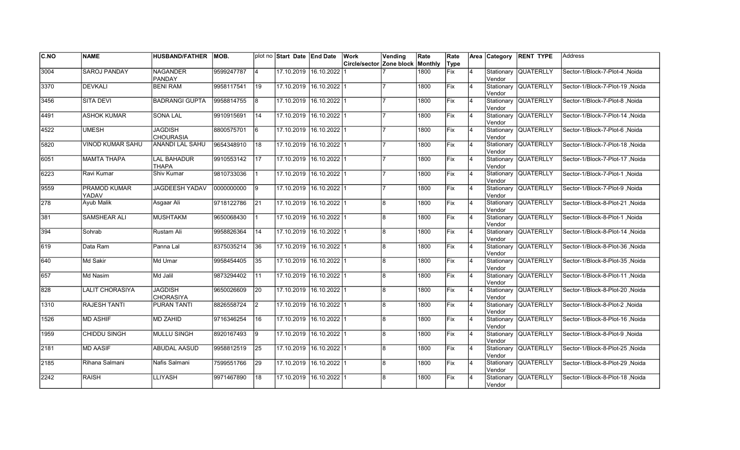| <b>C.NO</b> | <b>NAME</b>             | <b>HUSBAND/FATHER</b>              | MOB.       |                 | plot no Start Date End Date |                  | Work                                    | Vending | Rate | Rate |                | Area Category         | <b>RENT TYPE</b>     | <b>Address</b>                   |
|-------------|-------------------------|------------------------------------|------------|-----------------|-----------------------------|------------------|-----------------------------------------|---------|------|------|----------------|-----------------------|----------------------|----------------------------------|
|             |                         |                                    |            |                 |                             |                  | <b>Circle/sector Zone block Monthly</b> |         |      | Type |                |                       |                      |                                  |
| 3004        | <b>SAROJ PANDAY</b>     | <b>NAGANDER</b><br><b>PANDAY</b>   | 9599247787 | 14              | 17.10.2019 16.10.2022       |                  |                                         |         | 1800 | Fix  | 4              | Stationary<br>Vendor  | <b>QUATERLLY</b>     | Sector-1/Block-7-Plot-4 .Noida   |
| 3370        | <b>DEVKALI</b>          | <b>BENI RAM</b>                    | 9958117541 | 19              | 17.10.2019 16.10.2022 1     |                  |                                         |         | 1800 | Fix  | $\overline{4}$ | Vendor                | Stationary QUATERLLY | Sector-1/Block-7-Plot-19 Noida   |
| 3456        | <b>SITA DEVI</b>        | <b>BADRANGI GUPTA</b>              | 9958814755 | 8               | 17.10.2019 16.10.2022 1     |                  |                                         |         | 1800 | Fix  | 4              | Vendor                | Stationary QUATERLLY | Sector-1/Block-7-Plot-8 .Noida   |
| 4491        | <b>ASHOK KUMAR</b>      | SONA LAL                           | 9910915691 | 14              | 17.10.2019 16.10.2022 1     |                  |                                         |         | 1800 | Fix  | $\overline{4}$ | Vendor                | Stationary QUATERLLY | Sector-1/Block-7-Plot-14, Noida  |
| 4522        | <b>UMESH</b>            | <b>JAGDISH</b><br><b>CHOURASIA</b> | 8800575701 | l6              | 17.10.2019 16.10.2022 1     |                  |                                         |         | 1800 | Fix  | $\overline{4}$ | lVendor               | Stationary QUATERLLY | Sector-1/Block-7-Plot-6, Noida   |
| 5820        | <b>VINOD KUMAR SAHU</b> | <b>ANANDI LAL SAHU</b>             | 9654348910 | 18              | 17.10.2019                  | $16.10.2022$ 1   |                                         |         | 1800 | Fix  | $\overline{4}$ | Stationary<br>lVendor | <b>QUATERLLY</b>     | Sector-1/Block-7-Plot-18, Noida  |
| 6051        | <b>MAMTA THAPA</b>      | <b>LAL BAHADUR</b><br><b>THAPA</b> | 9910553142 | 17              | 17.10.2019 16.10.2022 1     |                  |                                         |         | 1800 | Fix  | $\overline{4}$ | Vendor                | Stationary QUATERLLY | Sector-1/Block-7-Plot-17, Noida  |
| 6223        | Ravi Kumar              | Shiv Kumar                         | 9810733036 |                 | 17.10.2019 16.10.2022 1     |                  |                                         |         | 1800 | Fix  | $\overline{4}$ | Vendor                | Stationary QUATERLLY | Sector-1/Block-7-Plot-1, Noida   |
| 9559        | PRAMOD KUMAR<br>YADAV   | JAGDEESH YADAV                     | 0000000000 | 9               | 17.10.2019 16.10.2022 1     |                  |                                         |         | 1800 | Fix  | $\overline{4}$ | Vendor                | Stationary QUATERLLY | Sector-1/Block-7-Plot-9, Noida   |
| 278         | <b>Ayub Malik</b>       | Asgaar Ali                         | 9718122786 | 21              | 17.10.2019 16.10.2022 1     |                  |                                         | 8       | 1800 | Fix  | $\overline{4}$ | Vendor                | Stationary QUATERLLY | Sector-1/Block-8-Plot-21, Noida  |
| 381         | SAMSHEAR ALI            | <b>MUSHTAKM</b>                    | 9650068430 |                 | 17.10.2019 16.10.2022 1     |                  |                                         | 8       | 1800 | Fix  | 4              | Vendor                | Stationary QUATERLLY | Sector-1/Block-8-Plot-1, Noida   |
| 394         | Sohrab                  | Rustam Ali                         | 9958826364 | 14              | 17.10.2019 16.10.2022 1     |                  |                                         | l8      | 1800 | Fix  | $\overline{4}$ | Vendor                | Stationary QUATERLLY | Sector-1/Block-8-Plot-14, Noida  |
| 619         | Data Ram                | Panna Lal                          | 8375035214 | 36              | 17.10.2019 16.10.2022 1     |                  |                                         | l8      | 1800 | Fix  | $\overline{4}$ | Vendor                | Stationary QUATERLLY | Sector-1/Block-8-Plot-36, Noida  |
| 640         | Md Sakir                | Md Umar                            | 9958454405 | 35              | 17.10.2019 16.10.2022 1     |                  |                                         | 8       | 1800 | Fix  | $\overline{4}$ | Stationary<br>lVendor | <b>QUATERLLY</b>     | Sector-1/Block-8-Plot-35, Noida  |
| 657         | Md Nasim                | Md Jalil                           | 9873294402 | 111             | 17.10.2019 16.10.2022 1     |                  |                                         | 8       | 1800 | Fix  | $\overline{4}$ | Vendor                | Stationary QUATERLLY | Sector-1/Block-8-Plot-11 , Noida |
| 828         | <b>LALIT CHORASIYA</b>  | <b>JAGDISH</b><br><b>CHORASIYA</b> | 9650026609 | 20              | 17.10.2019 16.10.2022 1     |                  |                                         | 8       | 1800 | Fix  | 4              | Vendor                | Stationary QUATERLLY | Sector-1/Block-8-Plot-20, Noida  |
| 1310        | <b>RAJESH TANTI</b>     | PURAN TANTI                        | 8826558724 | I2              | 17.10.2019 16.10.2022 1     |                  |                                         | 8       | 1800 | Fix  | 4              | Vendor                | Stationary QUATERLLY | Sector-1/Block-8-Plot-2, Noida   |
| 1526        | <b>MD ASHIF</b>         | <b>MD ZAHID</b>                    | 9716346254 | 16              | 17.10.2019 16.10.2022 1     |                  |                                         | 8       | 1800 | Fix  | 4              | Stationary<br>Vendor  | <b>QUATERLLY</b>     | Sector-1/Block-8-Plot-16, Noida  |
| 1959        | CHIDDU SINGH            | <b>MULLU SINGH</b>                 | 8920167493 | 9               | 17.10.2019                  | $16.10.2022$   1 |                                         | 8       | 1800 | Fix  | $\overline{4}$ | Stationary<br>Vendor  | <b>QUATERLLY</b>     | Sector-1/Block-8-Plot-9, Noida   |
| 2181        | <b>MD AASIF</b>         | <b>ABUDAL AASUD</b>                | 9958812519 | $\overline{25}$ | 17.10.2019 16.10.2022 1     |                  |                                         | Ι8.     | 1800 | Fix  | $\overline{4}$ | Vendor                | Stationary QUATERLLY | Sector-1/Block-8-Plot-25, Noida  |
| 2185        | Rihana Salmani          | Nafis Salmani                      | 7599551766 | $\overline{29}$ | 17.10.2019 16.10.2022 1     |                  |                                         | 8       | 1800 | Fix  | $\overline{4}$ | Vendor                | Stationary QUATERLLY | Sector-1/Block-8-Plot-29, Noida  |
| 2242        | <b>RAISH</b>            | LLIYASH                            | 9971467890 | 18              | 17.10.2019 16.10.2022 1     |                  |                                         | 8       | 1800 | Fix  | 4              | Stationary<br>Vendor  | <b>QUATERLLY</b>     | Sector-1/Block-8-Plot-18, Noida  |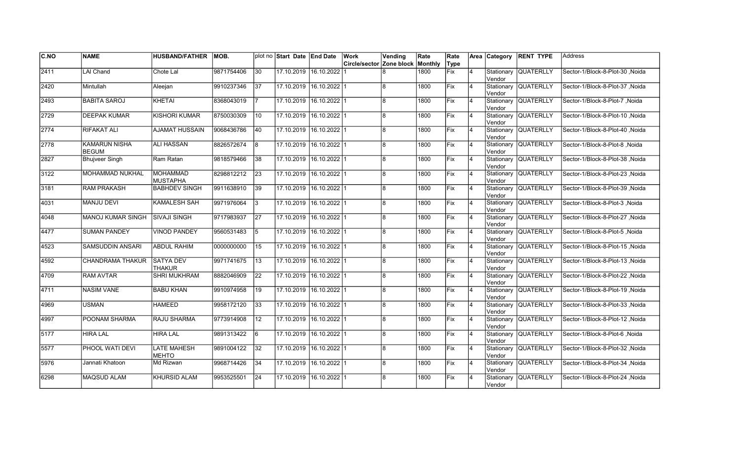| C.NO          | <b>NAME</b>                          | <b>HUSBAND/FATHER</b>              | IMOB.      |                 | plot no Start Date End Date |                         | Work                     | Vending        | Rate    | Rate        |                | Area Category         | <b>RENT TYPE</b>     | <b>Address</b>                   |
|---------------|--------------------------------------|------------------------------------|------------|-----------------|-----------------------------|-------------------------|--------------------------|----------------|---------|-------------|----------------|-----------------------|----------------------|----------------------------------|
|               |                                      |                                    |            |                 |                             |                         | Circle/sector Zone block |                | Monthly | Type        |                |                       |                      |                                  |
| 2411          | <b>LAI Chand</b>                     | Chote Lal                          | 9871754406 | $\overline{30}$ |                             | 17.10.2019 16.10.2022   |                          |                | 1800    | <b>Fix</b>  | $\overline{4}$ | Stationary<br>Vendor  | <b>QUATERLLY</b>     | Sector-1/Block-8-Plot-30, Noida  |
| 2420          | Mintullah                            | Aleejan                            | 9910237346 | 37              | 17.10.2019 16.10.2022 1     |                         |                          | l8             | 1800    | Fix         | 4              | Vendor                | Stationary QUATERLLY | Sector-1/Block-8-Plot-37 .Noida  |
| 2493          | <b>BABITA SAROJ</b>                  | KHETAI                             | 8368043019 |                 | 17.10.2019 16.10.2022 1     |                         |                          | l8             | 1800    | <b>IFix</b> | 4              | Vendor                | Stationary QUATERLLY | Sector-1/Block-8-Plot-7 .Noida   |
| 2729          | <b>DEEPAK KUMAR</b>                  | <b>KISHORI KUMAR</b>               | 8750030309 | 10              | 17.10.2019 16.10.2022 1     |                         |                          | l8             | 1800    | Fix         | $\overline{4}$ | Vendor                | Stationary QUATERLLY | Sector-1/Block-8-Plot-10, Noida  |
| $\sqrt{2774}$ | RIFAKAT ALI                          | <b>AJAMAT HUSSAIN</b>              | 9068436786 | 40              | 17.10.2019 16.10.2022 1     |                         |                          | 8              | 1800    | Fix         | $\overline{4}$ | lVendor               | Stationary QUATERLLY | Sector-1/Block-8-Plot-40, Noida  |
| 2778          | <b>KAMARUN NISHA</b><br><b>BEGUM</b> | <b>ALI HASSAN</b>                  | 8826572674 | 8               | 17.10.2019 16.10.2022 1     |                         |                          | $\overline{8}$ | 1800    | Fix         | $\overline{4}$ | Vendor                | Stationary QUATERLLY | Sector-1/Block-8-Plot-8, Noida   |
| 2827          | <b>Bhujveer Singh</b>                | Ram Ratan                          | 9818579466 | 38              | 17.10.2019 16.10.2022 1     |                         |                          | 8              | 1800    | Fix         | 4              | Vendor                | Stationary QUATERLLY | Sector-1/Block-8-Plot-38, Noida  |
| 3122          | MOHAMMAD NUKHAL                      | <b>MOHAMMAD</b><br><b>MUSTAPHA</b> | 8298812212 | 23              | 17.10.2019 16.10.2022 1     |                         |                          | 8              | 1800    | Fix         | 4              | Vendor                | Stationary QUATERLLY | Sector-1/Block-8-Plot-23, Noida  |
| 3181          | <b>RAM PRAKASH</b>                   | <b>BABHDEV SINGH</b>               | 9911638910 | 39              | 17.10.2019 16.10.2022 1     |                         |                          | 8              | 1800    | <b>IFix</b> | 4              | Stationary<br>Vendor  | <b>QUATERLLY</b>     | Sector-1/Block-8-Plot-39 , Noida |
| 4031          | <b>MANJU DEVI</b>                    | <b>KAMALESH SAH</b>                | 9971976064 | 3               | 17.10.2019                  | 16.10.2022 1            |                          | 8              | 1800    | Fix         | $\overline{4}$ | Stationary<br>Vendor  | <b>QUATERLLY</b>     | Sector-1/Block-8-Plot-3, Noida   |
| 4048          | <b>MANOJ KUMAR SINGH</b>             | <b>SIVAJI SINGH</b>                | 9717983937 | $\overline{27}$ |                             | 17.10.2019 16.10.2022 1 |                          | Ι8.            | 1800    | Fix         | $\overline{4}$ | Vendor                | Stationary QUATERLLY | Sector-1/Block-8-Plot-27, Noida  |
| 4477          | <b>SUMAN PANDEY</b>                  | <b>VINOD PANDEY</b>                | 9560531483 | 5               | 17.10.2019 16.10.2022 1     |                         |                          | 8              | 1800    | Fix         | $\overline{4}$ | Vendor                | Stationary QUATERLLY | Sector-1/Block-8-Plot-5, Noida   |
| 4523          | SAMSUDDIN ANSARI                     | <b>ABDUL RAHIM</b>                 | 0000000000 | 15              |                             | 17.10.2019 16.10.2022 1 |                          | 8              | 1800    | Fix         | $\overline{4}$ | Vendor                | Stationary QUATERLLY | Sector-1/Block-8-Plot-15, Noida  |
| 4592          | <b>CHANDRAMA THAKUR</b>              | <b>SATYA DEV</b><br><b>THAKUR</b>  | 9971741675 | 13              |                             | 17.10.2019 16.10.2022 1 |                          | 8              | 1800    | Fix         | $\overline{4}$ | Stationary<br>lVendor | <b>QUATERLLY</b>     | Sector-1/Block-8-Plot-13, Noida  |
| 4709          | <b>RAM AVTAR</b>                     | <b>SHRI MUKHRAM</b>                | 8882046909 | 22              | 17.10.2019 16.10.2022 1     |                         |                          | l8             | 1800    | Fix         | 4              | lVendor               | Stationary QUATERLLY | Sector-1/Block-8-Plot-22, Noida  |
| 4711          | <b>NASIM VANE</b>                    | <b>BABU KHAN</b>                   | 9910974958 | 19              | 17.10.2019 16.10.2022 1     |                         |                          | 18             | 1800    | <b>Fix</b>  | 4              | Vendor                | Stationary QUATERLLY | Sector-1/Block-8-Plot-19, Noida  |
| 4969          | <b>USMAN</b>                         | <b>HAMEED</b>                      | 9958172120 | 33              | 17.10.2019 16.10.2022 1     |                         |                          | l8             | 1800    | <b>IFix</b> | 4              | Vendor                | Stationary QUATERLLY | Sector-1/Block-8-Plot-33, Noida  |
| 4997          | POONAM SHARMA                        | RAJU SHARMA                        | 9773914908 | 12              | 17.10.2019 16.10.2022 1     |                         |                          | 8              | 1800    | <b>IFix</b> | $\overline{4}$ | Vendor                | Stationary QUATERLLY | Sector-1/Block-8-Plot-12, Noida  |
| 5177          | <b>HIRA LAL</b>                      | <b>HIRA LAL</b>                    | 9891313422 | 6               | 17.10.2019 16.10.2022 1     |                         |                          | 8              | 1800    | Fix         | $\overline{4}$ | Stationary<br>Vendor  | <b>QUATERLLY</b>     | Sector-1/Block-8-Plot-6 .Noida   |
| 5577          | PHOOL WATI DEVI                      | <b>LATE MAHESH</b><br>MEHTO        | 9891004122 | 32              | 17.10.2019 16.10.2022 1     |                         |                          | 8l             | 1800    | Fix         | $\overline{4}$ | Vendor                | Stationary QUATERLLY | Sector-1/Block-8-Plot-32, Noida  |
| 5976          | Jannati Khatoon                      | Md Rizwan                          | 9968714426 | 34              | 17.10.2019                  | $16.10.2022$ 1          |                          | l8             | 1800    | Fix         | $\overline{4}$ | Vendor                | Stationary QUATERLLY | Sector-1/Block-8-Plot-34, Noida  |
| 6298          | MAQSUD ALAM                          | <b>KHURSID ALAM</b>                | 9953525501 | 24              |                             | 17.10.2019 16.10.2022 1 |                          | 8              | 1800    | Fix         | 4              | Stationary<br>Vendor  | <b>QUATERLLY</b>     | Sector-1/Block-8-Plot-24, Noida  |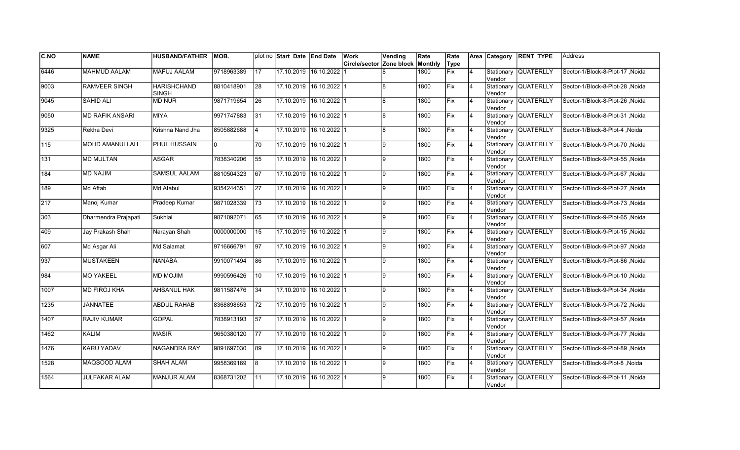| C.NO             | <b>NAME</b>            | <b>HUSBAND/FATHER</b>              | IMOB.      |                 | plot no Start Date End Date |                         | Work                     | Vending | Rate    | Rate        |                | Area Category         | <b>RENT TYPE</b>     | <b>Address</b>                   |
|------------------|------------------------|------------------------------------|------------|-----------------|-----------------------------|-------------------------|--------------------------|---------|---------|-------------|----------------|-----------------------|----------------------|----------------------------------|
|                  |                        |                                    |            |                 |                             |                         | Circle/sector Zone block |         | Monthly | Type        |                |                       |                      |                                  |
| 6446             | <b>MAHMUD AALAM</b>    | <b>MAFUJ AALAM</b>                 | 9718963389 | $\overline{17}$ | 17.10.2019 16.10.2022       |                         |                          |         | 1800    | <b>Fix</b>  | $\overline{4}$ | Stationary<br>Vendor  | <b>QUATERLLY</b>     | Sector-1/Block-8-Plot-17, Noida  |
| 9003             | <b>RAMVEER SINGH</b>   | <b>HARISHCHAND</b><br><b>SINGH</b> | 8810418901 | 28              | 17.10.2019 16.10.2022 1     |                         |                          | l8      | 1800    | Fix         | 4              | Vendor                | Stationary QUATERLLY | Sector-1/Block-8-Plot-28, Noida  |
| 9045             | <b>SAHID ALI</b>       | <b>MD NUR</b>                      | 9871719654 | 26              | 17.10.2019 16.10.2022 1     |                         |                          | 8       | 1800    | Fix         | 4              | Vendor                | Stationary QUATERLLY | Sector-1/Block-8-Plot-26, Noida  |
| 9050             | <b>MD RAFIK ANSARI</b> | <b>MIYA</b>                        | 9971747883 | 31              | 17.10.2019 16.10.2022 1     |                         |                          | l8      | 1800    | Fix         | $\overline{4}$ | Vendor                | Stationary QUATERLLY | Sector-1/Block-8-Plot-31, Noida  |
| 9325             | Rekha Devi             | Krishna Nand Jha                   | 8505882688 | 14              | 17.10.2019 16.10.2022 1     |                         |                          | 8       | 1800    | Fix         | $\overline{4}$ | Vendor                | Stationary QUATERLLY | Sector-1/Block-8-Plot-4, Noida   |
| $\overline{115}$ | <b>MOHD AMANULLAH</b>  | <b>PHUL HUSSAIN</b>                | I٥         | 70              |                             | 17.10.2019 16.10.2022 1 |                          | 9       | 1800    | Fix         | $\overline{4}$ | Stationary<br>Vendor  | <b>QUATERLLY</b>     | Sector-1/Block-9-Plot-70, Noida  |
| 131              | <b>MD MULTAN</b>       | <b>ASGAR</b>                       | 7838340206 | 55              | 17.10.2019 16.10.2022 1     |                         |                          | 9       | 1800    | <b>Fix</b>  | 4              | Vendor                | Stationary QUATERLLY | Sector-1/Block-9-Plot-55, Noida  |
| 184              | MD NAJIM               | <b>SAMSUL AALAM</b>                | 8810504323 | 67              | 17.10.2019 16.10.2022 1     |                         |                          | 9       | 1800    | Fix         | 4              | Vendor                | Stationary QUATERLLY | Sector-1/Block-9-Plot-67, Noida  |
| 189              | Md Aftab               | Md Atabul                          | 9354244351 | 27              | 17.10.2019                  | $16.10.2022$ 1          |                          | 9       | 1800    | Fix         | $\overline{4}$ | Stationary<br>lVendor | <b>QUATERLLY</b>     | Sector-1/Block-9-Plot-27, Noida  |
| 217              | Manoj Kumar            | Pradeep Kumar                      | 9871028339 | $\overline{73}$ | 17.10.2019                  | $16.10.2022$ 1          |                          | 9       | 1800    | Fix         | $\overline{4}$ | lVendor               | Stationary QUATERLLY | Sector-1/Block-9-Plot-73, Noida  |
| 303              | Dharmendra Prajapati   | Sukhlal                            | 9871092071 | 65              |                             | 17.10.2019 16.10.2022 1 |                          | 9       | 1800    | Fix         | 4              | lVendor               | Stationary QUATERLLY | Sector-1/Block-9-Plot-65, Noida  |
| 409              | Jay Prakash Shah       | Narayan Shah                       | 0000000000 | 15              | 17.10.2019 16.10.2022 1     |                         |                          | l9      | 1800    | Fix         | 4              | Vendor                | Stationary QUATERLLY | Sector-1/Block-9-Plot-15, Noida  |
| 607              | Md Asgar Ali           | Md Salamat                         | 9716666791 | 97              | 17.10.2019 16.10.2022 1     |                         |                          | l9      | 1800    | Fix         | 4              | Vendor                | Stationary QUATERLLY | Sector-1/Block-9-Plot-97, Noida  |
| $\sqrt{937}$     | <b>MUSTAKEEN</b>       | <b>NANABA</b>                      | 9910071494 | 86              | 17.10.2019                  | 16.10.202211            |                          | 9       | 1800    | <b>IFix</b> | $\overline{4}$ | Stationary<br>Vendor  | <b>QUATERLLY</b>     | Sector-1/Block-9-Plot-86 .Noida  |
| 984              | <b>MO YAKEEL</b>       | <b>MD MOJIM</b>                    | 9990596426 | 10              | 17.10.2019 16.10.2022 1     |                         |                          | 9       | 1800    | Fix         | $\overline{4}$ | Vendor                | Stationary QUATERLLY | Sector-1/Block-9-Plot-10, Noida  |
| 1007             | <b>MD FIROJ KHA</b>    | <b>AHSANUL HAK</b>                 | 9811587476 | 34              | 17.10.2019 16.10.2022 1     |                         |                          | 9       | 1800    | Fix         | $\overline{4}$ | Vendor                | Stationary QUATERLLY | Sector-1/Block-9-Plot-34, Noida  |
| 1235             | <b>JANNATEE</b>        | <b>ABDUL RAHAB</b>                 | 8368898653 | $\overline{72}$ | 17.10.2019 16.10.2022 1     |                         |                          | 9       | 1800    | Fix         | 4              | Vendor                | Stationary QUATERLLY | Sector-1/Block-9-Plot-72, Noida  |
| 1407             | <b>RAJIV KUMAR</b>     | GOPAL                              | 7838913193 | 57              | 17.10.2019 16.10.2022 1     |                         |                          | 9       | 1800    | Fix         | 4              | Vendor                | Stationary QUATERLLY | Sector-1/Block-9-Plot-57 , Noida |
| 1462             | <b>KALIM</b>           | <b>MASIR</b>                       | 9650380120 | 177             | 17.10.2019                  | $16.10.2022$   1        |                          | 9       | 1800    | Fix         | $\overline{4}$ | Stationary<br>Vendor  | <b>QUATERLLY</b>     | Sector-1/Block-9-Plot-77 , Noida |
| 1476             | <b>KARU YADAV</b>      | <b>NAGANDRA RAY</b>                | 9891697030 | 89              | 17.10.2019 16.10.2022 1     |                         |                          | l9      | 1800    | Fix         | $\overline{4}$ | Vendor                | Stationary QUATERLLY | Sector-1/Block-9-Plot-89, Noida  |
| 1528             | MAQSOOD ALAM           | <b>SHAH ALAM</b>                   | 9958369169 | 8               | 17.10.2019 16.10.2022 1     |                         |                          | l9.     | 1800    | Fix         | $\overline{4}$ | Vendor                | Stationary QUATERLLY | Sector-1/Block-9-Plot-8, Noida   |
| 1564             | <b>JULFAKAR ALAM</b>   | <b>MANJUR ALAM</b>                 | 8368731202 | 11              |                             | 17.10.2019 16.10.2022 1 |                          | 9       | 1800    | Fix         | 4              | Stationary<br>Vendor  | <b>QUATERLLY</b>     | Sector-1/Block-9-Plot-11, Noida  |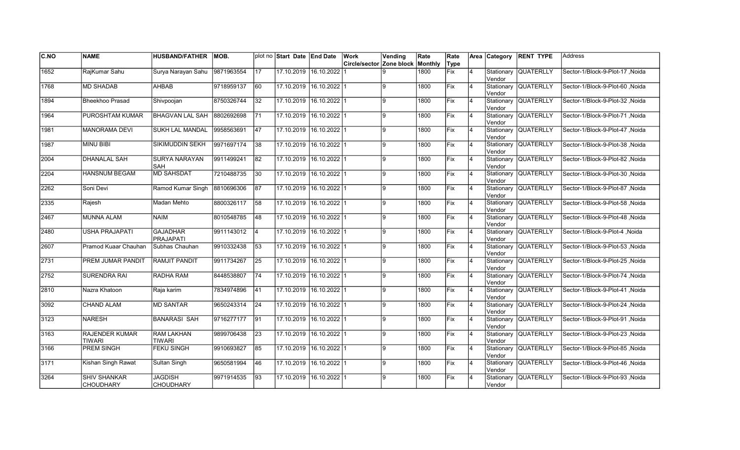| <b>C.NO</b>   | <b>NAME</b>                             | <b>HUSBAND/FATHER</b>               | MOB.       |                 | plot no Start Date End Date |                         | Work                                    | Vending        | Rate | Rate |                | Area Category         | <b>RENT TYPE</b>     | Address                          |
|---------------|-----------------------------------------|-------------------------------------|------------|-----------------|-----------------------------|-------------------------|-----------------------------------------|----------------|------|------|----------------|-----------------------|----------------------|----------------------------------|
|               |                                         |                                     |            |                 |                             |                         | <b>Circle/sector Zone block Monthly</b> |                |      | Type |                |                       |                      |                                  |
| 1652          | RajKumar Sahu                           | Surya Narayan Sahu                  | 9871963554 | $\overline{17}$ | 17.10.2019 16.10.2022       |                         |                                         | 9              | 1800 | Fix  | 4              | Stationary<br>Vendor  | <b>QUATERLLY</b>     | Sector-1/Block-9-Plot-17, Noida  |
| 1768          | <b>MD SHADAB</b>                        | AHBAB                               | 9718959137 | $\overline{60}$ | 17.10.2019 16.10.2022 1     |                         |                                         | ļ9             | 1800 | Fix  | $\overline{4}$ | Vendor                | Stationary QUATERLLY | Sector-1/Block-9-Plot-60, Noida  |
| 1894          | <b>Bheekhoo Prasad</b>                  | Shivpoojan                          | 8750326744 | 32              | 17.10.2019 16.10.2022 1     |                         |                                         | 9              | 1800 | Fix  | $\overline{4}$ | Vendor                | Stationary QUATERLLY | Sector-1/Block-9-Plot-32 .Noida  |
| 1964          | PUROSHTAM KUMAR                         | <b>BHAGVAN LAL SAH</b>              | 8802692698 | 71              | 17.10.2019 16.10.2022 1     |                         |                                         | 9              | 1800 | Fix  | $\overline{4}$ | Vendor                | Stationary QUATERLLY | Sector-1/Block-9-Plot-71, Noida  |
| 1981          | <b>MANORAMA DEVI</b>                    | <b>SUKH LAL MANDAL</b>              | 9958563691 | $\overline{47}$ | 17.10.2019                  | $16.10.2022$ 1          |                                         | 9              | 1800 | Fix  | $\overline{4}$ | Vendor                | Stationary QUATERLLY | Sector-1/Block-9-Plot-47, Noida  |
| 1987          | <b>MINU BIBI</b>                        | SIKIMUDDIN SEKH                     | 9971697174 | 38              | 17.10.2019                  | $16.10.2022$ 1          |                                         | $\overline{9}$ | 1800 | Fix  | $\overline{4}$ | Stationary<br>lVendor | <b>QUATERLLY</b>     | Sector-1/Block-9-Plot-38, Noida  |
| 2004          | <b>DHANALAL SAH</b>                     | <b>SURYA NARAYAN</b><br><b>SAH</b>  | 9911499241 | 82              | 17.10.2019 16.10.2022 1     |                         |                                         | 9              | 1800 | Fix  | $\overline{4}$ | Vendor                | Stationary QUATERLLY | Sector-1/Block-9-Plot-82, Noida  |
| 2204          | <b>HANSNUM BEGAM</b>                    | <b>MD SAHSDAT</b>                   | 7210488735 | 30              | 17.10.2019 16.10.2022 1     |                         |                                         | 9              | 1800 | Fix  | $\overline{4}$ | Vendor                | Stationary QUATERLLY | Sector-1/Block-9-Plot-30, Noida  |
| 2262          | Soni Devi                               | Ramod Kumar Singh                   | 8810696306 | 87              |                             | 17.10.2019 16.10.2022 1 |                                         | 9              | 1800 | Fix  | $\overline{4}$ | Vendor                | Stationary QUATERLLY | Sector-1/Block-9-Plot-87, Noida  |
| 2335          | Rajesh                                  | Madan Mehto                         | 8800326117 | 58              |                             | 17.10.2019 16.10.2022 1 |                                         | l9.            | 1800 | Fix  | $\overline{4}$ | Vendor                | Stationary QUATERLLY | Sector-1/Block-9-Plot-58, Noida  |
| 2467          | <b>MUNNA ALAM</b>                       | <b>NAIM</b>                         | 8010548785 | 48              |                             | 17.10.2019 16.10.2022 1 |                                         | 9              | 1800 | Fix  | 4              | Vendor                | Stationary QUATERLLY | Sector-1/Block-9-Plot-48, Noida  |
| 2480          | <b>USHA PRAJAPATI</b>                   | <b>GAJADHAR</b><br><b>PRAJAPATI</b> | 9911143012 | 14              | 17.10.2019 16.10.2022 1     |                         |                                         | l9.            | 1800 | Fix  | $\overline{4}$ | Vendor                | Stationary QUATERLLY | Sector-1/Block-9-Plot-4, Noida   |
| 2607          | Pramod Kuaar Chauhan                    | Subhas Chauhan                      | 9910332438 | 53              | 17.10.2019 16.10.2022 1     |                         |                                         | l9             | 1800 | Fix  | $\overline{4}$ | Vendor                | Stationary QUATERLLY | Sector-1/Block-9-Plot-53, Noida  |
| 2731          | PREM JUMAR PANDIT                       | <b>RAMJIT PANDIT</b>                | 9911734267 | 25              |                             | 17.10.2019 16.10.2022 1 |                                         | 9              | 1800 | Fix  | $\overline{4}$ | Stationary<br>Vendor  | <b>QUATERLLY</b>     | Sector-1/Block-9-Plot-25, Noida  |
| $\sqrt{2752}$ | <b>SURENDRA RAI</b>                     | <b>RADHA RAM</b>                    | 8448538807 | $\overline{74}$ | 17.10.2019 16.10.2022 1     |                         |                                         | 9              | 1800 | Fix  | $\overline{4}$ | Vendor                | Stationary QUATERLLY | Sector-1/Block-9-Plot-74 , Noida |
| 2810          | Nazra Khatoon                           | Raja karim                          | 7834974896 | 41              | 17.10.2019 16.10.2022 1     |                         |                                         | 9              | 1800 | Fix  | 4              | Vendor                | Stationary QUATERLLY | Sector-1/Block-9-Plot-41, Noida  |
| 3092          | <b>CHAND ALAM</b>                       | <b>MD SANTAR</b>                    | 9650243314 | 24              | 17.10.2019 16.10.2022 1     |                         |                                         | 9              | 1800 | Fix  | 4              | Vendor                | Stationary QUATERLLY | Sector-1/Block-9-Plot-24 , Noida |
| 3123          | <b>NARESH</b>                           | <b>BANARASI SAH</b>                 | 9716277177 | 191             | 17.10.2019 16.10.2022 1     |                         |                                         | 9              | 1800 | Fix  | 4              | Stationary<br>Vendor  | <b>QUATERLLY</b>     | Sector-1/Block-9-Plot-91 , Noida |
| 3163          | <b>RAJENDER KUMAR</b><br>TIWARI         | <b>RAM LAKHAN</b><br><b>TIWARI</b>  | 9899706438 | 23              | 17.10.2019                  | $16.10.2022$   1        |                                         | 9              | 1800 | Fix  | $\overline{4}$ | Stationary<br>Vendor  | <b>QUATERLLY</b>     | Sector-1/Block-9-Plot-23, Noida  |
| 3166          | <b>PREM SINGH</b>                       | <b>FEKU SINGH</b>                   | 9910693827 | 85              | 17.10.2019                  | $16.10.2022$ 1          |                                         | l9             | 1800 | Fix  | $\overline{4}$ | Vendor                | Stationary QUATERLLY | Sector-1/Block-9-Plot-85, Noida  |
| 3171          | Kishan Singh Rawat                      | Sultan Singh                        | 9650581994 | 46              | 17.10.2019 16.10.2022 1     |                         |                                         | 9              | 1800 | Fix  | $\overline{4}$ | Vendor                | Stationary QUATERLLY | Sector-1/Block-9-Plot-46, Noida  |
| 3264          | <b>SHIV SHANKAR</b><br><b>CHOUDHARY</b> | <b>JAGDISH</b><br><b>CHOUDHARY</b>  | 9971914535 | 93              |                             | 17.10.2019 16.10.2022 1 |                                         | Ι9             | 1800 | Fix  | 4              | Stationary<br>Vendor  | <b>QUATERLLY</b>     | Sector-1/Block-9-Plot-93, Noida  |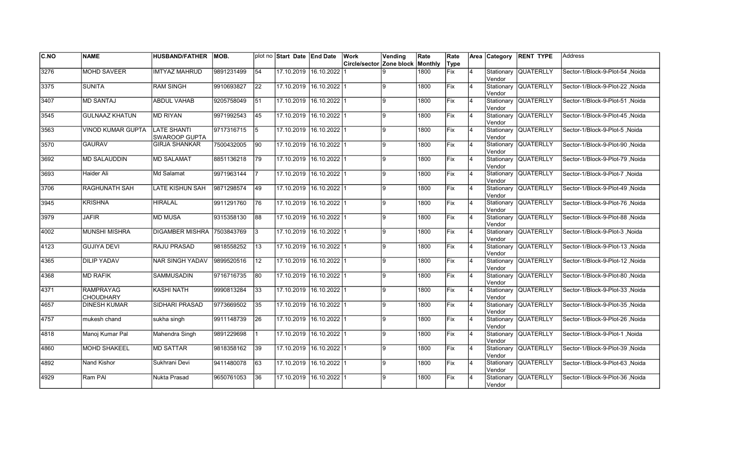| <b>C.NO</b> | <b>NAME</b>                   | <b>HUSBAND/FATHER</b>                      | IMOB.      |                 | plot no Start Date End Date |                         | Work                             | Vending | Rate | Rate |                | Area Category         | <b>RENT TYPE</b>     | <b>Address</b>                   |
|-------------|-------------------------------|--------------------------------------------|------------|-----------------|-----------------------------|-------------------------|----------------------------------|---------|------|------|----------------|-----------------------|----------------------|----------------------------------|
|             |                               |                                            |            |                 |                             |                         | Circle/sector Zone block Monthly |         |      | Type |                |                       |                      |                                  |
| 3276        | <b>MOHD SAVEER</b>            | <b>IMTYAZ MAHRUD</b>                       | 9891231499 | 54              |                             | 17.10.2019 16.10.2022   |                                  | 9       | 1800 | Fix  | 4              | Stationary<br>Vendor  | <b>QUATERLLY</b>     | Sector-1/Block-9-Plot-54, Noida  |
| 3375        | <b>SUNITA</b>                 | <b>RAM SINGH</b>                           | 9910693827 | 22              | 17.10.2019 16.10.2022 1     |                         |                                  | ļ9      | 1800 | Fix  | $\overline{4}$ | Vendor                | Stationary QUATERLLY | Sector-1/Block-9-Plot-22, Noida  |
| 3407        | <b>MD SANTAJ</b>              | <b>ABDUL VAHAB</b>                         | 9205758049 | $\overline{51}$ | 17.10.2019 16.10.2022 1     |                         |                                  | 9       | 1800 | Fix  | 4              | Vendor                | Stationary QUATERLLY | Sector-1/Block-9-Plot-51 Noida   |
| 3545        | <b>GULNAAZ KHATUN</b>         | <b>MD RIYAN</b>                            | 9971992543 | 45              | 17.10.2019 16.10.2022 1     |                         |                                  | 9       | 1800 | Fix  | $\overline{4}$ | Vendor                | Stationary QUATERLLY | Sector-1/Block-9-Plot-45, Noida  |
| 3563        | <b>VINOD KUMAR GUPTA</b>      | <b>LATE SHANTI</b><br><b>SWAROOP GUPTA</b> | 9717316715 | 5               | 17.10.2019                  | $16.10.2022$ 1          |                                  | 9       | 1800 | Fix  | $\overline{4}$ | Stationary<br>Vendor  | <b>QUATERLLY</b>     | Sector-1/Block-9-Plot-5, Noida   |
| 3570        | <b>GAURAV</b>                 | <b>GIRJA SHANKAR</b>                       | 7500432005 | 90              | 17.10.2019                  | $16.10.2022$ 1          |                                  | g.      | 1800 | Fix  | $\overline{4}$ | Stationary<br>lVendor | <b>QUATERLLY</b>     | Sector-1/Block-9-Plot-90, Noida  |
| 3692        | <b>MD SALAUDDIN</b>           | <b>MD SALAMAT</b>                          | 8851136218 | 79              | 17.10.2019 16.10.2022 1     |                         |                                  | 9       | 1800 | Fix  | $\overline{4}$ | Vendor                | Stationary QUATERLLY | Sector-1/Block-9-Plot-79 , Noida |
| 3693        | Haider Ali                    | Md Salamat                                 | 9971963144 |                 | 17.10.2019 16.10.2022 1     |                         |                                  | 9       | 1800 | Fix  | $\overline{4}$ | Vendor                | Stationary QUATERLLY | Sector-1/Block-9-Plot-7, Noida   |
| 3706        | RAGHUNATH SAH                 | LATE KISHUN SAH                            | 9871298574 | 49              |                             | 17.10.2019 16.10.2022 1 |                                  | 9       | 1800 | Fix  | $\overline{4}$ | Stationary<br>Vendor  | <b>QUATERLLY</b>     | Sector-1/Block-9-Plot-49, Noida  |
| 3945        | <b>KRISHNA</b>                | <b>HIRALAL</b>                             | 9911291760 | 176             |                             | 17.10.2019 16.10.2022 1 |                                  | l9.     | 1800 | Fix  | $\overline{4}$ | Vendor                | Stationary QUATERLLY | Sector-1/Block-9-Plot-76, Noida  |
| 3979        | <b>JAFIR</b>                  | <b>MD MUSA</b>                             | 9315358130 | 88              |                             | 17.10.2019 16.10.2022 1 |                                  | l9.     | 1800 | Fix  | 4              | Vendor                | Stationary QUATERLLY | Sector-1/Block-9-Plot-88, Noida  |
| 4002        | <b>MUNSHI MISHRA</b>          | DIGAMBER MISHRA 7503843769                 |            | 3               | 17.10.2019 16.10.2022 1     |                         |                                  | l9.     | 1800 | Fix  | $\overline{4}$ | Vendor                | Stationary QUATERLLY | Sector-1/Block-9-Plot-3, Noida   |
| 4123        | <b>GUJIYA DEVI</b>            | RAJU PRASAD                                | 9818558252 | 13              | 17.10.2019 16.10.2022 1     |                         |                                  | l9      | 1800 | Fix  | $\overline{4}$ | Vendor                | Stationary QUATERLLY | Sector-1/Block-9-Plot-13, Noida  |
| 4365        | <b>DILIP YADAV</b>            | <b>NAR SINGH YADAV</b>                     | 9899520516 | 12              |                             | 17.10.2019 16.10.2022 1 |                                  | 9       | 1800 | Fix  | $\overline{4}$ | Stationary<br>lVendor | <b>QUATERLLY</b>     | Sector-1/Block-9-Plot-12, Noida  |
| 4368        | <b>MD RAFIK</b>               | <b>SAMMUSADIN</b>                          | 9716716735 | 80              | 17.10.2019 16.10.2022 1     |                         |                                  | 9       | 1800 | Fix  | $\overline{4}$ | Vendor                | Stationary QUATERLLY | Sector-1/Block-9-Plot-80, Noida  |
| 4371        | <b>RAMPRAYAG</b><br>CHOUDHARY | <b>KASHI NATH</b>                          | 9990813284 | 33              | 17.10.2019 16.10.2022 1     |                         |                                  | 9       | 1800 | Fix  | 4              | Vendor                | Stationary QUATERLLY | Sector-1/Block-9-Plot-33, Noida  |
| 4657        | <b>DINESH KUMAR</b>           | SIDHARI PRASAD                             | 9773669502 | 35              | 17.10.2019 16.10.2022 1     |                         |                                  | 9       | 1800 | Fix  | 4              | Vendor                | Stationary QUATERLLY | Sector-1/Block-9-Plot-35, Noida  |
| 4757        | mukesh chand                  | sukha singh                                | 9911148739 | 26              | 17.10.2019 16.10.2022 1     |                         |                                  | 9       | 1800 | Fix  | 4              | Stationary<br>Vendor  | <b>QUATERLLY</b>     | Sector-1/Block-9-Plot-26, Noida  |
| 4818        | Manoj Kumar Pal               | Mahendra Singh                             | 9891229698 |                 | 17.10.2019                  | $16.10.2022$   1        |                                  | 9       | 1800 | Fix  | $\overline{4}$ | Stationary<br>Vendor  | <b>QUATERLLY</b>     | Sector-1/Block-9-Plot-1, Noida   |
| 4860        | <b>MOHD SHAKEEL</b>           | <b>MD SATTAR</b>                           | 9818358162 | 39              | 17.10.2019                  | $16.10.2022$ 1          |                                  | l9      | 1800 | Fix  | $\overline{4}$ | Vendor                | Stationary QUATERLLY | Sector-1/Block-9-Plot-39, Noida  |
| 4892        | Nand Kishor                   | Sukhrani Devi                              | 9411480078 | $\overline{63}$ | 17.10.2019 16.10.2022 1     |                         |                                  | 9       | 1800 | Fix  | $\overline{4}$ | Vendor                | Stationary QUATERLLY | Sector-1/Block-9-Plot-63, Noida  |
| 4929        | Ram PAI                       | Nukta Prasad                               | 9650761053 | 36              |                             | 17.10.2019 16.10.2022 1 |                                  | 9       | 1800 | Fix  | 4              | Stationary<br>Vendor  | <b>QUATERLLY</b>     | Sector-1/Block-9-Plot-36, Noida  |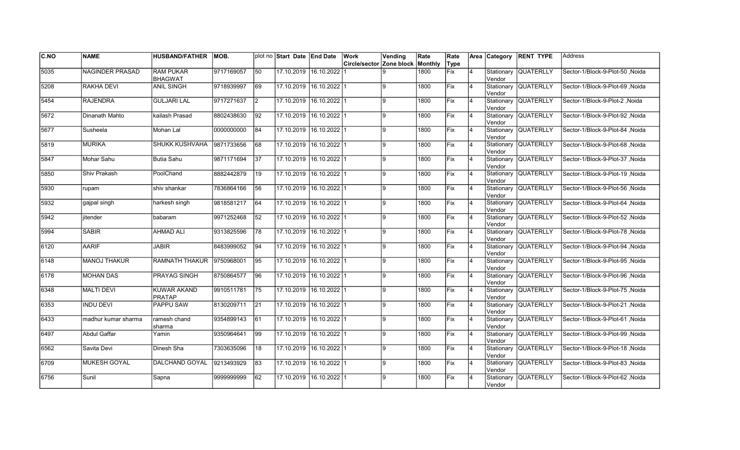| C.NO | <b>NAME</b>            | <b>HUSBAND/FATHER</b>               | MOB.       |                 | plot no Start Date End Date |                         | Work                     | Vending | Rate    | Rate        |                | Area Category        | <b>RENT TYPE</b>     | <b>Address</b>                   |
|------|------------------------|-------------------------------------|------------|-----------------|-----------------------------|-------------------------|--------------------------|---------|---------|-------------|----------------|----------------------|----------------------|----------------------------------|
|      |                        |                                     |            |                 |                             |                         | Circle/sector Zone block |         | Monthly | Type        |                |                      |                      |                                  |
| 5035 | <b>NAGINDER PRASAD</b> | <b>RAM PUKAR</b><br><b>BHAGWAT</b>  | 9717169057 | $\overline{50}$ |                             | 17.10.2019 16.10.2022   |                          |         | 1800    | Fix         | $\overline{4}$ | Stationary<br>Vendor | <b>QUATERLLY</b>     | Sector-1/Block-9-Plot-50, Noida  |
| 5208 | <b>RAKHA DEVI</b>      | <b>ANIL SINGH</b>                   | 9718939997 | 69              |                             | 17.10.2019 16.10.2022 1 |                          | g       | 1800    | Fix         | 4              | Vendor               | Stationary QUATERLLY | Sector-1/Block-9-Plot-69 .Noida  |
| 5454 | <b>RAJENDRA</b>        | <b>GULJARI LAL</b>                  | 9717271637 | $\vert$ 2       |                             | 17.10.2019 16.10.2022 1 |                          | 9       | 1800    | Fix         | 4              | Vendor               | Stationary QUATERLLY | Sector-1/Block-9-Plot-2 .Noida   |
| 5672 | Dinanath Mahto         | kailash Prasad                      | 8802438630 | 92              |                             | 17.10.2019 16.10.2022 1 |                          | 9       | 1800    | Fix         | $\overline{4}$ | Vendor               | Stationary QUATERLLY | Sector-1/Block-9-Plot-92, Noida  |
| 5677 | Susheela               | Mohan Lal                           | 0000000000 | 84              |                             | 17.10.2019 16.10.2022 1 |                          | 9       | 1800    | Fix         | $\overline{4}$ | Vendor               | Stationary QUATERLLY | Sector-1/Block-9-Plot-84, Noida  |
| 5819 | <b>MURIKA</b>          | <b>SHUKK KUSHVAHA</b>               | 9871733656 | 68              |                             | 17.10.2019 16.10.2022 1 |                          | g       | 1800    | Fix         | $\overline{4}$ | Vendor               | Stationary QUATERLLY | Sector-1/Block-9-Plot-68, Noida  |
| 5847 | Mohar Sahu             | <b>Butia Sahu</b>                   | 9871171694 | 37              |                             | 17.10.2019 16.10.2022 1 |                          | 9       | 1800    | Fix         | 4              | Vendor               | Stationary QUATERLLY | Sector-1/Block-9-Plot-37 , Noida |
| 5850 | Shiv Prakash           | PoolChand                           | 8882442879 | 19              |                             | 17.10.2019 16.10.2022 1 |                          | 9       | 1800    | Fix         | 4              | Vendor               | Stationary QUATERLLY | Sector-1/Block-9-Plot-19, Noida  |
| 5930 | rupam                  | shiv shankar                        | 7836864166 | 56              | 17.10.2019                  | $16.10.2022$ 1          |                          | 9       | 1800    | Fix         | 4              | Stationary<br>Vendor | <b>QUATERLLY</b>     | Sector-1/Block-9-Plot-56, Noida  |
| 5932 | gajpal singh           | harkesh singh                       | 9818581217 | 64              | 17.10.2019                  | $16.10.2022$ 1          |                          | 9       | 1800    | Fix         | $\overline{4}$ | Vendor               | Stationary QUATERLLY | Sector-1/Block-9-Plot-64, Noida  |
| 5942 | jitender               | babaram                             | 9971252468 | 52              |                             | 17.10.2019 16.10.2022 1 |                          | q       | 1800    | Fix         | 4              | Vendor               | Stationary QUATERLLY | Sector-1/Block-9-Plot-52, Noida  |
| 5994 | <b>SABIR</b>           | <b>AHMAD ALI</b>                    | 9313825596 | 78              |                             | 17.10.2019 16.10.2022 1 |                          | g       | 1800    | Fix         | $\overline{4}$ | Vendor               | Stationary QUATERLLY | Sector-1/Block-9-Plot-78, Noida  |
| 6120 | AARIF                  | <b>JABIR</b>                        | 8483999052 | 94              |                             | 17.10.2019 16.10.2022 1 |                          | 9       | 1800    | Fix         | $\overline{4}$ | Vendor               | Stationary QUATERLLY | Sector-1/Block-9-Plot-94, Noida  |
| 6148 | <b>MANOJ THAKUR</b>    | <b>RAMNATH THAKUR</b>               | 9750968001 | $\overline{95}$ | 17.10.2019                  | $16.10.2022$ 1          |                          | 9       | 1800    | Fix         | $\overline{4}$ | Vendor               | Stationary QUATERLLY | Sector-1/Block-9-Plot-95, Noida  |
| 6178 | <b>MOHAN DAS</b>       | PRAYAG SINGH                        | 8750864577 | 96              |                             | 17.10.2019 16.10.2022 1 |                          | 9       | 1800    | Fix         | 4              | Vendor               | Stationary QUATERLLY | Sector-1/Block-9-Plot-96, Noida  |
| 6348 | <b>MALTI DEVI</b>      | <b>KUWAR AKAND</b><br><b>PRATAP</b> | 9910511781 | $\overline{75}$ |                             | 17.10.2019 16.10.2022 1 |                          | 9       | 1800    | Fix         | 4              | Vendor               | Stationary QUATERLLY | Sector-1/Block-9-Plot-75, Noida  |
| 6353 | <b>INDU DEVI</b>       | <b>PAPPU SAW</b>                    | 8130209711 | 21              |                             | 17.10.2019 16.10.2022 1 |                          | 9       | 1800    | <b>Fix</b>  | $\overline{4}$ | Vendor               | Stationary QUATERLLY | Sector-1/Block-9-Plot-21 .Noida  |
| 6433 | madhur kumar sharma    | ramesh chand<br>sharma              | 9354899143 | 61              | 17.10.2019 16.10.2022 1     |                         |                          | 9       | 1800    | <b>IFix</b> | 4              | Vendor               | Stationary QUATERLLY | Sector-1/Block-9-Plot-61, Noida  |
| 6497 | <b>Abdul Gaffar</b>    | Yamin                               | 9350964641 | 99              |                             | 17.10.2019 16.10.2022 1 |                          | 9       | 1800    | Fix         | $\overline{4}$ | Vendor               | Stationary QUATERLLY | Sector-1/Block-9-Plot-99 .Noida  |
| 6562 | Savita Devi            | Dinesh Sha                          | 7303635096 | 18              |                             | 17.10.2019 16.10.2022 1 |                          | 9       | 1800    | Fix         | 4              | Vendor               | Stationary QUATERLLY | Sector-1/Block-9-Plot-18, Noida  |
| 6709 | <b>MUKESH GOYAL</b>    | DALCHAND GOYAL                      | 9213493929 | 83              |                             | 17.10.2019 16.10.2022 1 |                          | 9       | 1800    | Fix         | $\overline{4}$ | Vendor               | Stationary QUATERLLY | Sector-1/Block-9-Plot-83, Noida  |
| 6756 | Sunil                  | Sapna                               | 999999999  | 62              |                             | 17.10.2019 16.10.2022 1 |                          | 9       | 1800    | Fix         |                | Stationary<br>Vendor | <b>QUATERLLY</b>     | Sector-1/Block-9-Plot-62, Noida  |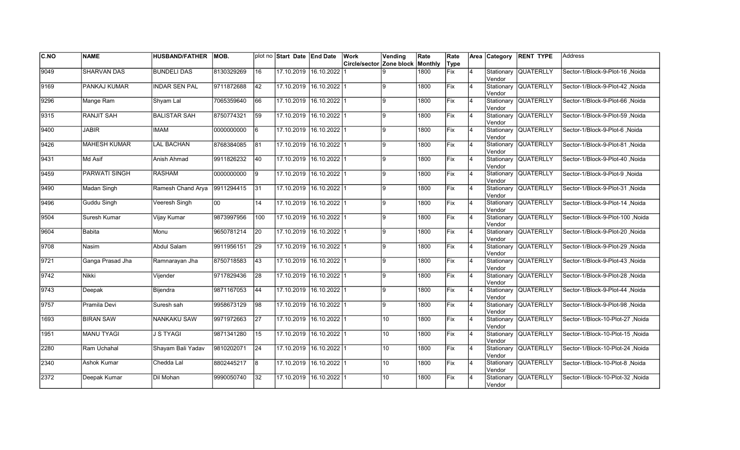| C.NO          | <b>NAME</b>         | <b>HUSBAND/FATHER</b> | IMOB.      |                 | plot no Start Date End Date |                         | Work                     | Vending         | Rate    | Rate        |                | Area Category         | <b>RENT TYPE</b>     | <b>Address</b>                   |
|---------------|---------------------|-----------------------|------------|-----------------|-----------------------------|-------------------------|--------------------------|-----------------|---------|-------------|----------------|-----------------------|----------------------|----------------------------------|
|               |                     |                       |            |                 |                             |                         | Circle/sector Zone block |                 | Monthly | Type        |                |                       |                      |                                  |
| 9049          | <b>SHARVAN DAS</b>  | <b>BUNDELI DAS</b>    | 8130329269 | 16              |                             | 17.10.2019 16.10.2022   |                          | q               | 1800    | <b>Fix</b>  | $\overline{4}$ | Stationary<br>Vendor  | <b>QUATERLLY</b>     | Sector-1/Block-9-Plot-16, Noida  |
| 9169          | PANKAJ KUMAR        | <b>INDAR SEN PAL</b>  | 9711872688 | 42              | 17.10.2019 16.10.2022 1     |                         |                          | l9.             | 1800    | Fix         | 4              | Vendor                | Stationary QUATERLLY | Sector-1/Block-9-Plot-42 .Noida  |
| 9296          | Mange Ram           | Shyam Lal             | 7065359640 | 66              | 17.10.2019 16.10.2022 1     |                         |                          | 9               | 1800    | Fix         | 4              | Vendor                | Stationary QUATERLLY | Sector-1/Block-9-Plot-66, Noida  |
| 9315          | <b>RANJIT SAH</b>   | <b>BALISTAR SAH</b>   | 8750774321 | 59              | 17.10.2019 16.10.2022 1     |                         |                          | l9              | 1800    | Fix         | $\overline{4}$ | Vendor                | Stationary QUATERLLY | Sector-1/Block-9-Plot-59, Noida  |
| 9400          | JABIR               | <b>IMAM</b>           | 0000000000 | l6              | 17.10.2019 16.10.2022 1     |                         |                          | 9               | 1800    | Fix         | $\overline{4}$ | Vendor                | Stationary QUATERLLY | Sector-1/Block-9-Plot-6, Noida   |
| 9426          | <b>MAHESH KUMAR</b> | <b>LAL BACHAN</b>     | 8768384085 | 81              |                             | 17.10.2019 16.10.2022 1 |                          | 9               | 1800    | Fix         | $\overline{4}$ | Stationary<br>Vendor  | <b>QUATERLLY</b>     | Sector-1/Block-9-Plot-81 , Noida |
| 9431          | Md Asif             | Anish Ahmad           | 9911826232 | 40              | 17.10.2019 16.10.2022 1     |                         |                          | 9               | 1800    | <b>Fix</b>  | $\overline{4}$ | Vendor                | Stationary QUATERLLY | Sector-1/Block-9-Plot-40, Noida  |
| 9459          | PARWATI SINGH       | <b>RASHAM</b>         | 0000000000 | l9              | 17.10.2019                  | $16.10.2022$   1        |                          | 9               | 1800    | Fix         | 4              | Vendor                | Stationary QUATERLLY | Sector-1/Block-9-Plot-9, Noida   |
| 9490          | Madan Singh         | Ramesh Chand Arya     | 9911294415 | 31              | 17.10.2019                  | $16.10.2022$ 1          |                          | 9               | 1800    | Fix         | $\overline{4}$ | Stationary<br>lVendor | <b>QUATERLLY</b>     | Sector-1/Block-9-Plot-31, Noida  |
| 9496          | <b>Guddu Singh</b>  | Veeresh Singh         | loo        | 14              | 17.10.2019                  | $16.10.2022$ 1          |                          | 9               | 1800    | Fix         | $\overline{4}$ | lVendor               | Stationary QUATERLLY | Sector-1/Block-9-Plot-14, Noida  |
| 9504          | Suresh Kumar        | Vijay Kumar           | 9873997956 | 100             |                             | 17.10.2019 16.10.2022 1 |                          | 9               | 1800    | Fix         | 4              | lVendor               | Stationary QUATERLLY | Sector-1/Block-9-Plot-100, Noida |
| 9604          | <b>Babita</b>       | Monu                  | 9650781214 | 20              | 17.10.2019 16.10.2022 1     |                         |                          | l9.             | 1800    | Fix         | 4              | Vendor                | Stationary QUATERLLY | Sector-1/Block-9-Plot-20, Noida  |
| 9708          | Nasim               | Abdul Salam           | 9911956151 | 29              | 17.10.2019 16.10.2022 1     |                         |                          | l9              | 1800    | Fix         | 4              | Vendor                | Stationary QUATERLLY | Sector-1/Block-9-Plot-29, Noida  |
| 9721          | Ganga Prasad Jha    | Ramnarayan Jha        | 8750718583 | 43              | 17.10.2019                  | 16.10.202211            |                          | 9               | 1800    | <b>IFix</b> | $\overline{4}$ | Stationary<br>Vendor  | <b>QUATERLLY</b>     | Sector-1/Block-9-Plot-43 .Noida  |
| $\sqrt{9742}$ | <b>Nikki</b>        | Vijender              | 9717829436 | 28              |                             | 17.10.2019 16.10.2022 1 |                          | 9               | 1800    | Fix         | $\overline{4}$ | Vendor                | Stationary QUATERLLY | Sector-1/Block-9-Plot-28, Noida  |
| $\sqrt{9743}$ | Deepak              | Bijendra              | 9871167053 | $\overline{44}$ | 17.10.2019 16.10.2022 1     |                         |                          | 9               | 1800    | Fix         | $\overline{4}$ | Vendor                | Stationary QUATERLLY | Sector-1/Block-9-Plot-44, Noida  |
| 9757          | Pramila Devi        | Suresh sah            | 9958673129 | 98              | 17.10.2019 16.10.2022 1     |                         |                          | 9               | 1800    | Fix         | 4              | Vendor                | Stationary QUATERLLY | Sector-1/Block-9-Plot-98, Noida  |
| 1693          | <b>BIRAN SAW</b>    | NANKAKU SAW           | 9971972663 | 27              |                             | 17.10.2019 16.10.2022 1 |                          | 10              | 1800    | Fix         | 4              | Stationary<br>Vendor  | <b>QUATERLLY</b>     | Sector-1/Block-10-Plot-27, Noida |
| 1951          | <b>MANU TYAGI</b>   | <b>J S TYAGI</b>      | 9871341280 | 15              | 17.10.2019                  | $16.10.2022$   1        |                          | 10 <sup>1</sup> | 1800    | Fix         | $\overline{4}$ | Stationary<br>Vendor  | <b>QUATERLLY</b>     | Sector-1/Block-10-Plot-15, Noida |
| 2280          | Ram Uchahal         | Shayam Bali Yadav     | 9810202071 | 24              | 17.10.2019                  | $16.10.2022$ 1          |                          | 10 <sup>1</sup> | 1800    | Fix         | $\overline{4}$ | Stationary<br>Vendor  | QUATERLLY            | Sector-1/Block-10-Plot-24, Noida |
| 2340          | <b>Ashok Kumar</b>  | Chedda Lal            | 8802445217 | 8               | 17.10.2019 16.10.2022 1     |                         |                          | 10 <sup>°</sup> | 1800    | Fix         | $\overline{4}$ | Vendor                | Stationary QUATERLLY | Sector-1/Block-10-Plot-8, Noida  |
| 2372          | Deepak Kumar        | Dil Mohan             | 9990050740 | 32              |                             | 17.10.2019 16.10.2022 1 |                          | 10 <sup>1</sup> | 1800    | Fix         | 4              | Stationary<br>Vendor  | <b>QUATERLLY</b>     | Sector-1/Block-10-Plot-32, Noida |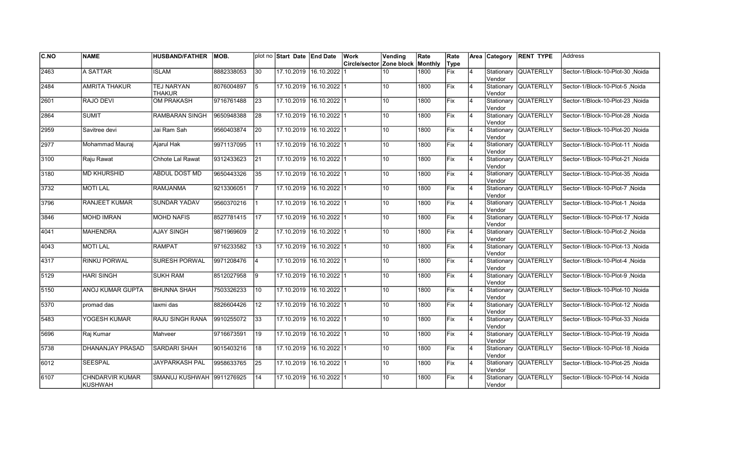| C.NO | <b>NAME</b>                              | <b>HUSBAND/FATHER</b>              | IMOB.      |                  | plot no Start Date End Date |                         | Work                     | Vending         | Rate    | Rate |                |         | Area Category RENT TYPE | <b>Address</b>                         |
|------|------------------------------------------|------------------------------------|------------|------------------|-----------------------------|-------------------------|--------------------------|-----------------|---------|------|----------------|---------|-------------------------|----------------------------------------|
|      |                                          |                                    |            |                  |                             |                         | Circle/sector Zone block |                 | Monthly | Type |                |         |                         |                                        |
| 2463 | A SATTAR                                 | <b>ISLAM</b>                       | 8882338053 | $\overline{30}$  |                             | 17.10.2019 16.10.2022   |                          | 10              | 1800    | Fix  | $\overline{4}$ | Vendor  | Stationary QUATERLLY    | Sector-1/Block-10-Plot-30 .Noida       |
| 2484 | <b>AMRITA THAKUR</b>                     | <b>TEJ NARYAN</b><br><b>THAKUR</b> | 8076004897 | 5                |                             | 17.10.2019 16.10.2022 1 |                          | 10 <sup>1</sup> | 1800    | Fix  | $\overline{4}$ | Vendor  | Stationary QUATERLLY    | Sector-1/Block-10-Plot-5 .Noida        |
| 2601 | RAJO DEVI                                | <b>OM PRAKASH</b>                  | 9716761488 | 23               |                             | 17.10.2019 16.10.2022 1 |                          | 10 <sup>1</sup> | 1800    | Fix  | 14             | Vendor  | Stationary QUATERLLY    | Sector-1/Block-10-Plot-23, Noida       |
| 2864 | <b>SUMIT</b>                             | RAMBARAN SINGH                     | 9650948388 | 28               | 17.10.2019                  | $16.10.2022$ 1          |                          | 10              | 1800    | Fix  | $\overline{4}$ | Vendor  | Stationary QUATERLLY    | Sector-1/Block-10-Plot-28, Noida       |
| 2959 | Savitree devi                            | Jai Ram Sah                        | 9560403874 | 20               | 17.10.2019                  | 16.10.2022 1            |                          | 10 <sup>°</sup> | 1800    | lFix | $\overline{4}$ | Vendor  | Stationary QUATERLLY    | Sector-1/Block-10-Plot-20, Noida       |
| 2977 | Mohammad Mauraj                          | Ajarul Hak                         | 9971137095 | $\overline{11}$  | 17.10.2019                  | $16.10.2022$ 1          |                          | 10              | 1800    | Fix  | 4              | Vendor  | Stationary QUATERLLY    | Sector-1/Block-10-Plot-11, Noida       |
| 3100 | Raju Rawat                               | Chhote Lal Rawat                   | 9312433623 | 21               | 17.10.2019                  | $16.10.2022$ 1          |                          | 10 <sup>°</sup> | 1800    | Fix  | $\overline{4}$ | Vendor  | Stationary QUATERLLY    | Sector-1/Block-10-Plot-21, Noida       |
| 3180 | <b>MD KHURSHID</b>                       | ABDUL DOST MD                      | 9650443326 | 35               | 17.10.2019                  | 16.10.2022 1            |                          | 10              | 1800    | Fix  |                | lVendor | Stationary QUATERLLY    | Sector-1/Block-10-Plot-35, Noida       |
| 3732 | <b>MOTILAL</b>                           | <b>RAMJANMA</b>                    | 9213306051 |                  | 17.10.2019                  | 16.10.2022 1            |                          | 10 <sup>1</sup> | 1800    | Fix  | $\overline{4}$ | Vendor  | Stationary QUATERLLY    | Sector-1/Block-10-Plot-7, Noida        |
| 3796 | <b>RANJEET KUMAR</b>                     | <b>SUNDAR YADAV</b>                | 9560370216 |                  | 17.10.2019                  | $16.10.2022$ 1          |                          | 10 <sub>1</sub> | 1800    | Fix  | $\overline{4}$ | Vendor  | Stationary QUATERLLY    | Sector-1/Block-10-Plot-1, Noida        |
| 3846 | <b>MOHD IMRAN</b>                        | <b>MOHD NAFIS</b>                  | 8527781415 | $\overline{117}$ | 17.10.2019                  | $16.10.2022$ 1          |                          | 10 <sup>°</sup> | 1800    | Fix  | 4              | lVendor | Stationary QUATERLLY    | Sector-1/Block-10-Plot-17, Noida       |
| 4041 | <b>MAHENDRA</b>                          | <b>AJAY SINGH</b>                  | 9871969609 | <u> 2</u>        |                             | 17.10.2019 16.10.2022 1 |                          | 10 <sup>1</sup> | 1800    | Fix  | <b>4</b>       | Vendor  | Stationary QUATERLLY    | Sector-1/Block-10-Plot-2 .Noida        |
| 4043 | <b>MOTI LAL</b>                          | <b>RAMPAT</b>                      | 9716233582 | 13               |                             | 17.10.2019 16.10.2022 1 |                          | 10 <sup>°</sup> | 1800    | Fix  | $\overline{4}$ | Vendor  | Stationary QUATERLLY    | Sector-1/Block-10-Plot-13, Noida       |
| 4317 | <b>RINKU PORWAL</b>                      | <b>SURESH PORWAL</b>               | 9971208476 | $\overline{4}$   | 17.10.2019                  | 16.10.2022 1            |                          | 10 <sup>1</sup> | 1800    | lFix | $\overline{4}$ | Vendor  | Stationary QUATERLLY    | Sector-1/Block-10-Plot-4 .Noida        |
| 5129 | <b>HARI SINGH</b>                        | <b>SUKH RAM</b>                    | 8512027958 | 9                | 17.10.2019                  | $16.10.2022$ 1          |                          | 10 <sup>1</sup> | 1800    | Fix  | 4              | Vendor  | Stationary QUATERLLY    | Sector-1/Block-10-Plot-9, Noida        |
| 5150 | ANOJ KUMAR GUPTA                         | <b>BHUNNA SHAH</b>                 | 7503326233 | 10               |                             | 17.10.2019 16.10.2022 1 |                          | 10              | 1800    | Fix  | 4              | lVendor | Stationary QUATERLLY    | Sector-1/Block-10-Plot-10, Noida       |
| 5370 | promad das                               | laxmi das                          | 8826604426 | 12               | 17.10.2019                  | $16.10.2022$ 1          |                          | 10 <sup>1</sup> | 1800    | Fix  | 4              | Vendor  | Stationary QUATERLLY    | Sector-1/Block-10-Plot-12, Noida       |
| 5483 | YOGESH KUMAR                             | RAJU SINGH RANA                    | 9910255072 | 33               | 17.10.2019                  | $16.10.2022$   1        |                          | 10 <sup>°</sup> | 1800    | lFix | 4              | Vendor  | Stationary QUATERLLY    | Sector-1/Block-10-Plot-33, Noida       |
| 5696 | Raj Kumar                                | Mahveer                            | 9716673591 | 19               | 17.10.2019                  | 16.10.2022 1            |                          | 10 <sup>1</sup> | 1800    | Fix  | $\overline{4}$ | Vendor  | Stationary QUATERLLY    | Noida Sector-1/Block-10-Plot-19, Noida |
| 5738 | DHANANJAY PRASAD                         | <b>SARDARI SHAH</b>                | 9015403216 | 18               | 17.10.2019                  | 16.10.2022 1            |                          | 10 <sup>1</sup> | 1800    | Fix  | $\overline{4}$ | Vendor  | Stationary QUATERLLY    | Sector-1/Block-10-Plot-18, Noida       |
| 6012 | <b>SEESPAL</b>                           | <b>JAYPARKASH PAL</b>              | 9958633765 | $\overline{25}$  |                             | 17.10.2019 16.10.2022 1 |                          | 10 <sup>1</sup> | 1800    | Fix  | $\overline{4}$ | Vendor  | Stationary QUATERLLY    | Sector-1/Block-10-Plot-25, Noida       |
| 6107 | <b>CHNDARVIR KUMAR</b><br><b>KUSHWAH</b> | SMANUJ KUSHWAH 9911276925          |            | 14               |                             | 17.10.2019 16.10.2022 1 |                          | 10              | 1800    | Fix  |                | Vendor  | Stationary QUATERLLY    | Sector-1/Block-10-Plot-14, Noida       |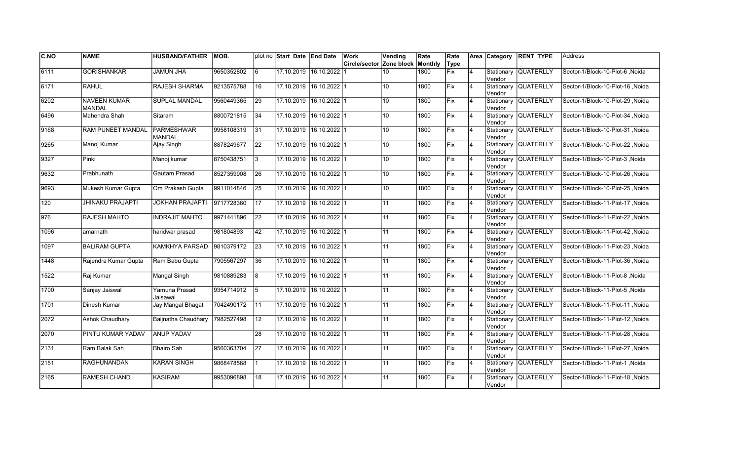| C.NO          | <b>NAME</b>                          | <b>HUSBAND/FATHER</b>              | IMOB.      |                 | plot no Start Date End Date |                         | Work                     | Vending         | Rate    | Rate        |                | Area Category         | <b>RENT TYPE</b>     | <b>Address</b>                   |
|---------------|--------------------------------------|------------------------------------|------------|-----------------|-----------------------------|-------------------------|--------------------------|-----------------|---------|-------------|----------------|-----------------------|----------------------|----------------------------------|
|               |                                      |                                    |            |                 |                             |                         | Circle/sector Zone block |                 | Monthly | Type        |                |                       |                      |                                  |
| 6111          | <b>GORISHANKAR</b>                   | <b>JAMUN JHA</b>                   | 9650352802 | l 6             | 17.10.2019 16.10.2022       |                         |                          | 10              | 1800    | <b>Fix</b>  | $\overline{4}$ | Stationary<br>Vendor  | <b>QUATERLLY</b>     | Sector-1/Block-10-Plot-6, Noida  |
| 6171          | <b>RAHUL</b>                         | <b>RAJESH SHARMA</b>               | 9213575788 | 16              | 17.10.2019 16.10.2022 1     |                         |                          | 10 <sup>°</sup> | 1800    | Fix         | 4              | Vendor                | Stationary QUATERLLY | Sector-1/Block-10-Plot-16 .Noida |
| 6202          | <b>NAVEEN KUMAR</b><br><b>MANDAL</b> | <b>SUPLAL MANDAL</b>               | 9560449365 | 29              | 17.10.2019 16.10.2022 1     |                         |                          | 10 <sup>°</sup> | 1800    | Fix         | 4              | Vendor                | Stationary QUATERLLY | Sector-1/Block-10-Plot-29, Noida |
| 6496          | Mahendra Shah                        | Sitaram                            | 8800721815 | 34              | 17.10.2019 16.10.2022 1     |                         |                          | 10              | 1800    | Fix         | $\overline{4}$ | Vendor                | Stationary QUATERLLY | Sector-1/Block-10-Plot-34, Noida |
| 9168          | RAM PUNEET MANDAL                    | <b>PARMESHWAR</b><br><b>MANDAL</b> | 9958108319 | 31              | 17.10.2019 16.10.2022 1     |                         |                          | 10 <sup>°</sup> | 1800    | Fix         | $\overline{4}$ | Vendor                | Stationary QUATERLLY | Sector-1/Block-10-Plot-31 ,Noida |
| 9265          | Manoj Kumar                          | Ajay Singh                         | 8878249677 | 22              |                             | 17.10.2019 16.10.2022 1 |                          | 10 <sup>1</sup> | 1800    | Fix         | $\overline{4}$ | Stationary<br>Vendor  | <b>QUATERLLY</b>     | Sector-1/Block-10-Plot-22 ,Noida |
| 9327          | Pinki                                | Manoj kumar                        | 8750438751 | 13              | 17.10.2019 16.10.2022 1     |                         |                          | 10 <sup>1</sup> | 1800    | <b>Fix</b>  | $\overline{4}$ | Vendor                | Stationary QUATERLLY | Sector-1/Block-10-Plot-3, Noida  |
| 9632          | Prabhunath                           | Gautam Prasad                      | 8527359908 | 26              | 17.10.2019                  | 16.10.2022 1            |                          | 10 <sup>°</sup> | 1800    | Fix         | 4              | Vendor                | Stationary QUATERLLY | Sector-1/Block-10-Plot-26, Noida |
| 9693          | Mukesh Kumar Gupta                   | Om Prakash Gupta                   | 9911014846 | 25              | 17.10.2019                  | $16.10.2022$ 1          |                          | 10 <sup>°</sup> | 1800    | Fix         | $\overline{4}$ | Stationary<br>lVendor | <b>QUATERLLY</b>     | Sector-1/Block-10-Plot-25, Noida |
| 120           | <b>JHINAKU PRAJAPTI</b>              | <b>JOKHAN PRAJAPTI</b>             | 9717728360 | 17              | 17.10.2019                  | $16.10.2022$ 1          |                          | 11              | 1800    | Fix         | $\overline{4}$ | lVendor               | Stationary QUATERLLY | Sector-1/Block-11-Plot-17, Noida |
| $\sqrt{976}$  | <b>RAJESH MAHTO</b>                  | <b>INDRAJIT MAHTO</b>              | 9971441896 | $\overline{22}$ |                             | 17.10.2019 16.10.2022 1 |                          | 11              | 1800    | Fix         | 4              | lVendor               | Stationary QUATERLLY | Sector-1/Block-11-Plot-22, Noida |
| 1096          | amarnath                             | haridwar prasad                    | 981804893  | 42              | 17.10.2019 16.10.2022 1     |                         |                          | 11              | 1800    | Fix         | 4              | Vendor                | Stationary QUATERLLY | Sector-1/Block-11-Plot-42, Noida |
| 1097          | <b>BALIRAM GUPTA</b>                 | <b>KAMKHYA PARSAD</b>              | 9810379172 | 23              | 17.10.2019 16.10.2022 1     |                         |                          | 11              | 1800    | Fix         | 4              | Vendor                | Stationary QUATERLLY | Sector-1/Block-11-Plot-23, Noida |
| 1448          | Rajendra Kumar Gupta                 | Ram Babu Gupta                     | 7905567297 | 36              | 17.10.2019                  | 16.10.202211            |                          | 11              | 1800    | <b>IFix</b> | $\overline{4}$ | Stationary<br>Vendor  | <b>QUATERLLY</b>     | Sector-1/Block-11-Plot-36 .Noida |
| 1522          | Raj Kumar                            | Mangal Singh                       | 9810889283 | 8               | 17.10.2019                  | $16.10.2022$ 1          |                          | 11              | 1800    | Fix         | $\overline{4}$ | Vendor                | Stationary QUATERLLY | Sector-1/Block-11-Plot-8, Noida  |
| 1700          | Sanjay Jaiswal                       | Yamuna Prasad<br>Jaisawal          | 9354714912 | 5               | 17.10.2019 16.10.2022 1     |                         |                          | 11              | 1800    | Fix         | $\overline{4}$ | Vendor                | Stationary QUATERLLY | Sector-1/Block-11-Plot-5, Noida  |
| 1701          | Dinesh Kumar                         | Jay Mangal Bhagat                  | 7042490172 | l 11            | 17.10.2019                  | $16.10.2022$ 1          |                          | 11              | 1800    | Fix         | 4              | Vendor                | Stationary QUATERLLY | Sector-1/Block-11-Plot-11, Noida |
| 2072          | Ashok Chaudhary                      | Baijnatha Chaudhary                | 7982527498 | 12              |                             | 17.10.2019 16.10.2022 1 |                          | 11              | 1800    | Fix         | 4              | Stationary<br>Vendor  | <b>QUATERLLY</b>     | Sector-1/Block-11-Plot-12, Noida |
| 2070          | PINTU KUMAR YADAV                    | <b>ANUP YADAV</b>                  |            | 28              | 17.10.2019                  | $16.10.2022$   1        |                          | 11              | 1800    | Fix         | $\overline{4}$ | Stationary<br>Vendor  | <b>QUATERLLY</b>     | Sector-1/Block-11-Plot-28, Noida |
| $\sqrt{2131}$ | Ram Balak Sah                        | <b>Bhairo Sah</b>                  | 9560363704 | $\overline{27}$ | 17.10.2019                  | $16.10.2022$ 1          |                          | 11              | 1800    | Fix         | $\overline{4}$ | Stationary<br>Vendor  | QUATERLLY            | Sector-1/Block-11-Plot-27 .Noida |
| $\sqrt{2151}$ | <b>RAGHUNANDAN</b>                   | <b>KARAN SINGH</b>                 | 9868478568 |                 | 17.10.2019 16.10.2022 1     |                         |                          | 11              | 1800    | Fix         | $\overline{4}$ | Vendor                | Stationary QUATERLLY | Sector-1/Block-11-Plot-1, Noida  |
| 2165          | RAMESH CHAND                         | <b>KASIRAM</b>                     | 9953096898 | 18              |                             | 17.10.2019 16.10.2022 1 |                          | 11              | 1800    | Fix         | 4              | Stationary<br>Vendor  | <b>QUATERLLY</b>     | Sector-1/Block-11-Plot-18, Noida |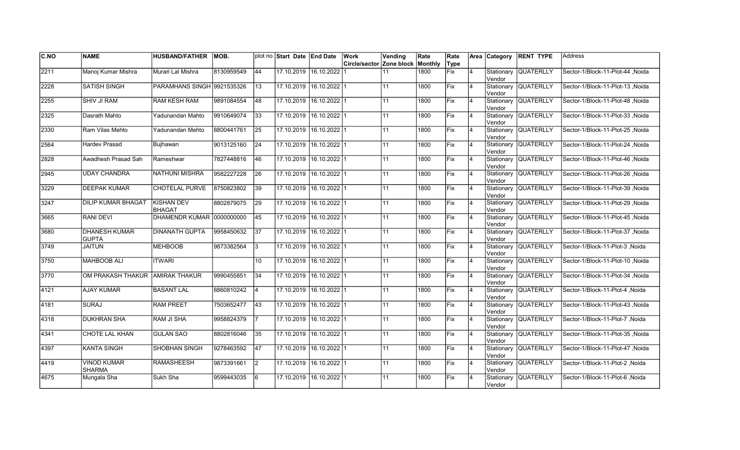| C.NO | <b>NAME</b>                          | <b>HUSBAND/FATHER</b>              | MOB.       |                 | plot no Start Date End Date |                         | Work                     | Vending | Rate    | Rate |                |                      | Area Category RENT TYPE | lAddress                         |
|------|--------------------------------------|------------------------------------|------------|-----------------|-----------------------------|-------------------------|--------------------------|---------|---------|------|----------------|----------------------|-------------------------|----------------------------------|
|      |                                      |                                    |            |                 |                             |                         | Circle/sector Zone block |         | Monthly | Type |                |                      |                         |                                  |
| 2211 | Manoj Kumar Mishra                   | Murari Lal Mishra                  | 8130959549 | 44              | 17.10.2019                  | 16.10.2022              |                          | 11      | 1800    | Fix  | $\overline{4}$ | Stationary<br>Vendor | <b>QUATERLLY</b>        | Sector-1/Block-11-Plot-44 .Noida |
| 2228 | <b>SATISH SINGH</b>                  | PARAMHANS SINGH 9921535326         |            | 13              |                             | 17.10.2019 16.10.2022 1 |                          | 11      | 1800    | Fix  | $\overline{4}$ | Vendor               | Stationary QUATERLLY    | Sector-1/Block-11-Plot-13 .Noida |
| 2255 | <b>SHIV JI RAM</b>                   | <b>RAM KESH RAM</b>                | 9891084554 | 48              | 17.10.2019                  | $16.10.2022$ 1          |                          | 11      | 1800    | Fix  | $\overline{4}$ | Vendor               | Stationary QUATERLLY    | Sector-1/Block-11-Plot-48 .Noida |
| 2325 | Dasrath Mahto                        | Yadunandan Mahto                   | 9910649074 | 33              |                             | 17.10.2019 16.10.2022 1 |                          | 11      | 1800    | Fix  | $\overline{4}$ | Vendor               | Stationary QUATERLLY    | Sector-1/Block-11-Plot-33 .Noida |
| 2330 | Ram Vilas Mehto                      | Yadunandan Mehto                   | 8800441761 | $ 25\rangle$    | 17.10.2019                  | 16.10.2022 1            |                          | 11      | 1800    | Fix  | $\overline{4}$ | Vendor               | Stationary QUATERLLY    | Sector-1/Block-11-Plot-25 .Noida |
| 2564 | <b>Hardev Prasad</b>                 | Bujhawan                           | 9013125160 | 24              | 17.10.2019                  | 16.10.2022 1            |                          | 11      | 1800    | Fix  | 4              | lVendor              | Stationary QUATERLLY    | Sector-1/Block-11-Plot-24, Noida |
| 2828 | Awadhesh Prasad Sah                  | Rameshwar                          | 7827448816 | 46              | 17.10.2019                  | 16.10.2022 1            |                          | 11      | 1800    | Fix  | 4              | Vendor               | Stationary QUATERLLY    | Sector-1/Block-11-Plot-46, Noida |
| 2945 | <b>UDAY CHANDRA</b>                  | <b>NATHUNI MISHRA</b>              | 9582227228 | 26              | 17.10.2019                  | 16.10.2022 1            |                          | 11      | 1800    | Fix  | 4              | lVendor              | Stationary QUATERLLY    | Sector-1/Block-11-Plot-26, Noida |
| 3229 | <b>DEEPAK KUMAR</b>                  | CHOTELAL PURVE                     | 8750823802 | 39              | 17.10.2019                  | 16.10.2022 1            |                          | 11      | 1800    | Fix  | $\overline{4}$ | Vendor               | Stationary QUATERLLY    | Sector-1/Block-11-Plot-39, Noida |
| 3247 | <b>DILIP KUMAR BHAGAT</b>            | <b>KISHAN DEV</b><br><b>BHAGAT</b> | 8802879075 | $\overline{29}$ | 17.10.2019                  | 16.10.2022 1            |                          | 11      | 1800    | Fix  | $\overline{4}$ | Vendor               | Stationary QUATERLLY    | Sector-1/Block-11-Plot-29, Noida |
| 3665 | <b>RANI DEVI</b>                     | DHAMENDR KUMAR 0000000000          |            | 45              | 17.10.2019                  | 16.10.2022 1            |                          | 11      | 1800    | Fix  | 4              | lVendor              | Stationary QUATERLLY    | Sector-1/Block-11-Plot-45, Noida |
| 3680 | <b>DHANESH KUMAR</b><br><b>GUPTA</b> | <b>DINANATH GUPTA</b>              | 9958450632 | 37              |                             | 17.10.2019 16.10.2022 1 |                          | 11      | 1800    | Fix  | 14             | Vendor               | Stationary QUATERLLY    | Sector-1/Block-11-Plot-37, Noida |
| 3749 | <b>JAITUN</b>                        | <b>MEHBOOB</b>                     | 9873382564 | Ι3              | 17.10.2019                  | $16.10.2022$   1        |                          | 11      | 1800    | Fix  | $\overline{4}$ | Vendor               | Stationary QUATERLLY    | Sector-1/Block-11-Plot-3, Noida  |
| 3750 | <b>MAHBOOB ALI</b>                   | <b>ITWARI</b>                      |            | 10              | 17.10.2019                  | 16.10.2022 1            |                          | 11      | 1800    | lFix | $\overline{4}$ | Vendor               | Stationary QUATERLLY    | Noida Sector-1/Block-11-Plot-10  |
| 3770 | OM PRAKASH THAKUR AMIRAK THAKUR      |                                    | 9990455851 | 34              | 17.10.2019                  | 16.10.2022 1            |                          | 11      | 1800    | Fix  | $\overline{4}$ | Vendor               | Stationary QUATERLLY    | Noida  Sector-1/Block-11-Plot-34 |
| 4121 | <b>AJAY KUMAR</b>                    | <b>BASANT LAL</b>                  | 8860810242 | $\overline{4}$  |                             | 17.10.2019 16.10.2022 1 |                          | 11      | 1800    | Fix  | $\overline{4}$ | Vendor               | Stationary QUATERLLY    | Sector-1/Block-11-Plot-4 .Noida  |
| 4181 | <b>SURAJ</b>                         | <b>RAM PREET</b>                   | 7503652477 | 43              |                             | 17.10.2019 16.10.2022 1 |                          | 11      | 1800    | Fix  | $\overline{4}$ | Vendor               | Stationary QUATERLLY    | Sector-1/Block-11-Plot-43 .Noida |
| 4318 | <b>DUKHRAN SHA</b>                   | <b>RAM JI SHA</b>                  | 9958824379 |                 | 17.10.2019                  | $16.10.2022$ 1          |                          | 11      | 1800    | Fix  | $\overline{4}$ | Vendor               | Stationary QUATERLLY    | Sector-1/Block-11-Plot-7 .Noida  |
| 4341 | CHOTE LAL KHAN                       | <b>GULAN SAO</b>                   | 8802816046 | 35              | 17.10.2019                  | $16.10.2022$ 1          |                          | 11      | 1800    | Fix  | 4              | Vendor               | Stationary QUATERLLY    | Sector-1/Block-11-Plot-35, Noida |
| 4397 | <b>KANTA SINGH</b>                   | <b>SHOBHAN SINGH</b>               | 9278463592 | $\overline{47}$ | 17.10.2019                  | 16.10.2022 1            |                          | 11      | 1800    | Fix  | 4              | Vendor               | Stationary QUATERLLY    | Sector-1/Block-11-Plot-47, Noida |
| 4419 | <b>VINOD KUMAR</b><br><b>SHARMA</b>  | <b>RAMASHEESH</b>                  | 9873391661 | $\vert$ 2       | 17.10.2019                  | $16.10.2022$ 1          |                          | 11      | 1800    | Fix  | 4              | Vendor               | Stationary QUATERLLY    | Sector-1/Block-11-Plot-2, Noida  |
| 4675 | Mungala Sha                          | Sukh Sha                           | 9599443035 | 6               | 17.10.2019                  | 16.10.2022 1            |                          | 11      | 1800    | Fix  | $\overline{4}$ | Stationary<br>Vendor | <b>QUATERLLY</b>        | Sector-1/Block-11-Plot-6, Noida  |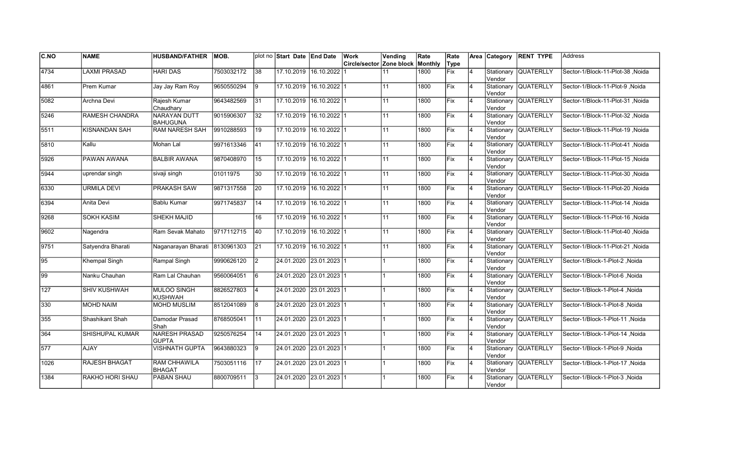| C.NO             | <b>NAME</b>           | <b>HUSBAND/FATHER</b>                | IMOB.      |                 | plot no Start Date End Date |                           | Work                     | Vending | Rate    | Rate |                |               | Area Category RENT TYPE | <b>Address</b>                         |
|------------------|-----------------------|--------------------------------------|------------|-----------------|-----------------------------|---------------------------|--------------------------|---------|---------|------|----------------|---------------|-------------------------|----------------------------------------|
|                  |                       |                                      |            |                 |                             |                           | Circle/sector Zone block |         | Monthly | Type |                |               |                         |                                        |
| 4734             | <b>LAXMI PRASAD</b>   | <b>HARI DAS</b>                      | 7503032172 | $\overline{38}$ | 17.10.2019                  | 16.10.2022                |                          | 11      | 1800    | Fix  | $\overline{4}$ | Vendor        | Stationary QUATERLLY    | Sector-1/Block-11-Plot-38 Noida        |
| 4861             | Prem Kumar            | Jay Jay Ram Roy                      | 9650550294 | l9              | 17.10.2019                  | 16.10.2022 1              |                          | 11      | 1800    | Fix  | 14             | Vendor        | Stationary QUATERLLY    | Sector-1/Block-11-Plot-9 .Noida        |
| 5082             | Archna Devi           | Rajesh Kumar<br>Chaudhary            | 9643482569 | 31              | 17.10.2019                  | 16.10.2022 1              |                          | 11      | 1800    | Fix  | $\overline{4}$ | Vendor        | Stationary QUATERLLY    | Sector-1/Block-11-Plot-31, Noida       |
| 5246             | <b>RAMESH CHANDRA</b> | NARAYAN DUTT<br>BAHUGUNA             | 9015906307 | $\overline{32}$ |                             | 17.10.2019 16.10.2022 1   |                          | 11      | 1800    | Fix  | $\overline{4}$ | Vendor        | Stationary QUATERLLY    | Sector-1/Block-11-Plot-32, Noida       |
| 5511             | <b>KISNANDAN SAH</b>  | <b>RAM NARESH SAH</b>                | 9910288593 | 19              | 17.10.2019                  | 16.10.2022 1              |                          | 11      | 1800    | Fix  | $\overline{4}$ | Vendor        | Stationary QUATERLLY    | Noida Sector-1/Block-11-Plot-19, Noida |
| 5810             | Kallu                 | Mohan Lal                            | 9971613346 | $ 41\rangle$    | 17.10.2019                  | $16.10.2022$ 1            |                          | 11      | 1800    | Fix  | 4              | Vendor        | Stationary QUATERLLY    | Sector-1/Block-11-Plot-41 .Noida       |
| 5926             | PAWAN AWANA           | BALBIR AWANA                         | 9870408970 | 15              | 17.10.2019                  | 16.10.2022 1              |                          | 11      | 1800    | Fix  | <b>4</b>       | Vendor        | Stationary QUATERLLY    | Sector-1/Block-11-Plot-15 .Noida       |
| 5944             | uprendar singh        | sivaji singh                         | 01011975   | 30              | 17.10.2019                  | 16.10.2022 1              |                          | 11      | 1800    | Fix  | $\overline{4}$ | Vendor        | Stationary QUATERLLY    | Sector-1/Block-11-Plot-30 .Noida       |
| 6330             | <b>URMILA DEVI</b>    | PRAKASH SAW                          | 9871317558 | 20              | 17.10.2019                  | $16.10.2022$   1          |                          | 11      | 1800    | Fix  | 4              | Vendor        | Stationary QUATERLLY    | Sector-1/Block-11-Plot-20, Noida       |
| 6394             | Anita Devi            | <b>Bablu Kumar</b>                   | 9971745837 | 14              | 17.10.2019                  | $16.10.2022$ 1            |                          | 11      | 1800    | Fix  | 4              | Vendor        | Stationary QUATERLLY    | Sector-1/Block-11-Plot-14, Noida       |
| 9268             | <b>SOKH KASIM</b>     | SHEKH MAJID                          |            | 16              |                             | 17.10.2019 16.10.2022 1   |                          | 11      | 1800    | Fix  | 4              | <b>Vendor</b> | Stationary QUATERLLY    | Noida Sector-1/Block-11-Plot-16, Noida |
| 9602             | Nagendra              | Ram Sevak Mahato                     | 9717112715 | 40              |                             | 17.10.2019 16.10.2022 1   |                          | 11      | 1800    | Fix  | <b>4</b>       | Vendor        | Stationary QUATERLLY    | Sector-1/Block-11-Plot-40 .Noida       |
| 9751             | Satvendra Bharati     | Naganarayan Bharati                  | 8130961303 | 21              |                             | 17.10.2019 16.10.2022 1   |                          | 11      | 1800    | Fix  | 14             | Vendor        | Stationary QUATERLLY    | Noida Sector-1/Block-11-Plot-21        |
| $\sqrt{95}$      | Khempal Singh         | Rampal Singh                         | 9990626120 | $\mathsf{I2}$   |                             | 24.01.2020  23.01.2023  1 |                          |         | 1800    | Fix  | $\overline{4}$ | Vendor        | Stationary QUATERLLY    | Sector-1/Block-1-Plot-2 .Noida         |
| $\sqrt{99}$      | Nanku Chauhan         | Ram Lal Chauhan                      | 9560064051 | $\overline{6}$  |                             | 24.01.2020 23.01.2023 1   |                          |         | 1800    | Fix  | $\overline{4}$ | Vendor        | Stationary QUATERLLY    | Sector-1/Block-1-Plot-6, Noida         |
| $\overline{127}$ | <b>SHIV KUSHWAH</b>   | <b>MULOO SINGH</b><br><b>KUSHWAH</b> | 8826527803 | $\overline{4}$  |                             | 24.01.2020 23.01.2023 1   |                          |         | 1800    | Fix  | $\overline{4}$ | Vendor        | Stationary QUATERLLY    | Sector-1/Block-1-Plot-4, Noida         |
| 330              | <b>MOHD NAIM</b>      | <b>MOHD MUSLIM</b>                   | 8512041089 | 8               |                             | 24.01.2020 23.01.2023 1   |                          |         | 1800    | Fix  | <b>4</b>       | Vendor        | Stationary QUATERLLY    | Sector-1/Block-1-Plot-8, Noida         |
| 355              | Shashikant Shah       | Damodar Prasad<br>Shah               | 8768505041 | l 11            |                             | 24.01.2020 23.01.2023 1   |                          |         | 1800    | lFix | 4              | Vendor        | Stationary QUATERLLY    | Sector-1/Block-1-Plot-11, Noida        |
| 364              | SHISHUPAL KUMAR       | <b>NARESH PRASAD</b><br><b>GUPTA</b> | 9250576254 | 14              |                             | 24.01.2020  23.01.2023  1 |                          |         | 1800    | Fix  | $\overline{4}$ | Vendor        | Stationary QUATERLLY    | Sector-1/Block-1-Plot-14, Noida        |
| $\sqrt{577}$     | <b>AJAY</b>           | <b>VISHNATH GUPTA</b>                | 9643880323 | l9              |                             | 24.01.2020 23.01.2023 1   |                          |         | 1800    | Fix  | $\overline{4}$ | Vendor        | Stationary QUATERLLY    | Sector-1/Block-1-Plot-9 .Noida         |
| 1026             | <b>RAJESH BHAGAT</b>  | <b>RAM CHHAWILA</b><br>BHAGAT        | 7503051116 | 17              |                             | 24.01.2020 23.01.2023 1   |                          |         | 1800    | Fix  | $\overline{4}$ | Vendor        | Stationary QUATERLLY    | Sector-1/Block-1-Plot-17, Noida        |
| 1384             | RAKHO HORI SHAU       | PABAN SHAU                           | 8800709511 | 3               |                             | 24.01.2020 23.01.2023 1   |                          |         | 1800    | Fix  |                | Vendor        | Stationary QUATERLLY    | Sector-1/Block-1-Plot-3, Noida         |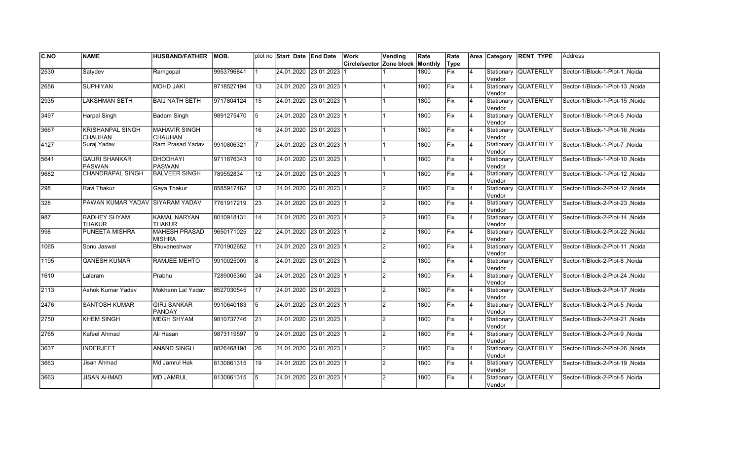| C.NO          | <b>NAME</b>                               | <b>HUSBAND/FATHER</b>                  | IMOB.      |                 | plot no Start Date End Date | Work                                    | Vending        | Rate | Rate |                |                      | Area Category RENT TYPE | <b>Address</b>                  |
|---------------|-------------------------------------------|----------------------------------------|------------|-----------------|-----------------------------|-----------------------------------------|----------------|------|------|----------------|----------------------|-------------------------|---------------------------------|
|               |                                           |                                        |            |                 |                             | <b>Circle/sector Zone block Monthly</b> |                |      | Type |                |                      |                         |                                 |
| 2530          | Satydev                                   | Ramgopal                               | 9953796841 |                 | 24.01.2020 23.01.2023       |                                         |                | 1800 | Fix  | $\overline{4}$ | Vendor               | Stationary QUATERLLY    | Sector-1/Block-1-Plot-1, Noida  |
| 2656          | <b>SUPHIYAN</b>                           | <b>MOHD JAKI</b>                       | 9718527194 | 13              | 24.01.2020 23.01.2023 1     |                                         |                | 1800 | Fix  | 14             | Vendor               | Stationary QUATERLLY    | Sector-1/Block-1-Plot-13, Noida |
| 2935          | <b>LAKSHMAN SETH</b>                      | <b>BAIJ NATH SETH</b>                  | 9717804124 | $\overline{15}$ | 24.01.2020 23.01.2023 1     |                                         |                | 1800 | Fix  | 14             | Vendor               | Stationary QUATERLLY    | Sector-1/Block-1-Plot-15 Noida  |
| 3497          | <b>Harpal Singh</b>                       | <b>Badam Singh</b>                     | 9891275470 | 5               | 24.01.2020 23.01.2023 1     |                                         |                | 1800 | Fix  | 14             | Vendor               | Stationary QUATERLLY    | Sector-1/Block-1-Plot-5, Noida  |
| 3667          | <b>KRISHANPAL SINGH</b><br><b>CHAUHAN</b> | <b>MAHAVIR SINGH</b><br><b>CHAUHAN</b> |            | 16              | 24.01.2020 23.01.2023 1     |                                         |                | 1800 | Fix  | $\overline{4}$ | Vendor               | Stationary QUATERLLY    | Sector-1/Block-1-Plot-16, Noida |
| 4127          | Suraj Yadav                               | Ram Prasad Yadav                       | 9910806321 |                 | 24.01.2020 23.01.2023 1     |                                         |                | 1800 | Fix  | $\overline{4}$ | Vendor               | Stationary QUATERLLY    | Sector-1/Block-1-Plot-7, Noida  |
| 5641          | <b>GAURI SHANKAR</b><br><b>PASWAN</b>     | <b>DHODHAYI</b><br><b>PASWAN</b>       | 9711876343 | 10              | 24.01.2020 23.01.2023 1     |                                         |                | 1800 | Fix  | $\overline{4}$ | Vendor               | Stationary QUATERLLY    | Sector-1/Block-1-Plot-10, Noida |
| 9682          | <b>CHANDRAPAL SINGH</b>                   | <b>BALVEER SINGH</b>                   | 789552834  | 12              | 24.01.2020 23.01.2023 1     |                                         |                | 1800 | Fix  | $\overline{4}$ | Vendor               | Stationary QUATERLLY    | Noida Sector-1/Block-1-Plot-12  |
| 298           | Ravi Thakur                               | Gaya Thakur                            | 8585917462 | 12              | 24.01.2020  23.01.2023  1   |                                         | $\mathcal{D}$  | 1800 | Fix  | $\overline{4}$ | Vendor               | Stationary QUATERLLY    | Sector-1/Block-2-Plot-12, Noida |
| 328           | PAWAN KUMAR YADAV SIYARAM YADAV           |                                        | 7761917219 | 23              | 24.01.2020 23.01.2023 1     |                                         | $\mathfrak{p}$ | 1800 | Fix  | 4              | Vendor               | Stationary QUATERLLY    | Sector-1/Block-2-Plot-23, Noida |
| 987           | <b>RADHEY SHYAM</b><br><b>THAKUR</b>      | <b>KAMAL NARYAN</b><br><b>THAKUR</b>   | 8010918131 | 14              | 24.01.2020 23.01.2023 1     |                                         | $\mathcal{P}$  | 1800 | Fix  | 4              | Vendor               | Stationary QUATERLLY    | Sector-1/Block-2-Plot-14, Noida |
| $\sqrt{998}$  | PUNEETA MISHRA                            | <b>MAHESH PRASAD</b><br><b>MISHRA</b>  | 9650171025 | 22              | 24.01.2020 23.01.2023 1     |                                         | $\mathcal{P}$  | 1800 | Fix  | 14             | Vendor               | Stationary QUATERLLY    | Sector-1/Block-2-Plot-22, Noida |
| 1065          | Sonu Jaswal                               | Bhuvaneshwar                           | 7701902652 | 11              | 24.01.2020 23.01.2023 1     |                                         | $\mathfrak{p}$ | 1800 | Fix  | 14             | Vendor               | Stationary QUATERLLY    | Sector-1/Block-2-Plot-11, Noida |
| 1195          | <b>GANESH KUMAR</b>                       | <b>RAMJEE MEHTO</b>                    | 9910025009 | 8               | 24.01.2020 23.01.2023 1     |                                         | $\mathfrak{p}$ | 1800 | Fix  | $\overline{4}$ | Vendor               | Stationary QUATERLLY    | Sector-1/Block-2-Plot-8, Noida  |
| 1610          | Lalaram                                   | Prabhu                                 | 7289005360 | $\overline{24}$ | 24.01.2020 23.01.2023 1     |                                         | $\mathcal{P}$  | 1800 | Fix  | $\overline{4}$ | Vendor               | Stationary QUATERLLY    | Sector-1/Block-2-Plot-24, Noida |
| $\sqrt{2113}$ | Ashok Kumar Yadav                         | Mokhann Lal Yadav                      | 8527030545 | $\overline{17}$ | 24.01.2020 23.01.2023 1     |                                         | $\mathfrak{p}$ | 1800 | Fix  | 14             | Vendor               | Stationary QUATERLLY    | Sector-1/Block-2-Plot-17, Noida |
| 2476          | <b>SANTOSH KUMAR</b>                      | <b>GIRJ SANKAR</b><br><b>PANDAY</b>    | 9910640183 | 5               | 24.01.2020 23.01.2023 1     |                                         | $\mathfrak{p}$ | 1800 | Fix  | 14             | Vendor               | Stationary QUATERLLY    | Sector-1/Block-2-Plot-5, Noida  |
| 2750          | <b>KHEM SINGH</b>                         | MEGH SHYAM                             | 9810737746 | 21              | 24.01.2020 23.01.2023 1     |                                         | $\mathfrak{p}$ | 1800 | Fix  | $\overline{4}$ | Vendor               | Stationary QUATERLLY    | Noida Sector-1/Block-2-Plot-21  |
| 2765          | Kafeel Ahmad                              | Ali Hasan                              | 9873119597 | 19              | 24.01.2020 23.01.2023 1     |                                         | $\mathcal{P}$  | 1800 | Fix  | $\overline{4}$ | Vendor               | Stationary QUATERLLY    | Sector-1/Block-2-Plot-9, Noida  |
| 3637          | <b>INDERJEET</b>                          | <b>ANAND SINGH</b>                     | 8826468198 | 26              | 24.01.2020 23.01.2023 1     |                                         | $\mathcal{P}$  | 1800 | Fix  | 4              | Vendor               | Stationary QUATERLLY    | Sector-1/Block-2-Plot-26, Noida |
| 3663          | Jisan Ahmad                               | Md Jamrul Hak                          | 8130861315 | 19              | 24.01.2020 23.01.2023 1     |                                         | $\mathfrak{p}$ | 1800 | Fix  | 14             | Vendor               | Stationary QUATERLLY    | Sector-1/Block-2-Plot-19, Noida |
| 3663          | <b>JISAN AHMAD</b>                        | <b>MD JAMRUL</b>                       | 8130861315 | 5               | 24.01.2020 23.01.2023 1     |                                         | $\mathcal{P}$  | 1800 | Fix  | $\overline{4}$ | Stationary<br>Vendor | <b>QUATERLLY</b>        | Sector-1/Block-2-Plot-5, Noida  |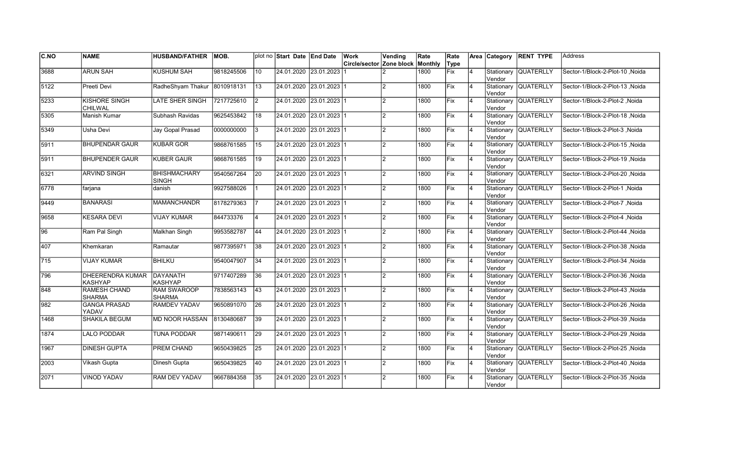| <b>C.NO</b>     | <b>NAME</b>                               | <b>HUSBAND/FATHER</b>               | IMOB.      |                 | plot no Start Date End Date | Work                                    | Vending        | Rate | Rate       |                |                      | Area Category RENT TYPE | <b>Address</b>                        |
|-----------------|-------------------------------------------|-------------------------------------|------------|-----------------|-----------------------------|-----------------------------------------|----------------|------|------------|----------------|----------------------|-------------------------|---------------------------------------|
|                 |                                           |                                     |            |                 |                             | <b>Circle/sector Zone block Monthly</b> |                |      | Type       |                |                      |                         |                                       |
| 3688            | <b>ARUN SAH</b>                           | <b>KUSHUM SAH</b>                   | 9818245506 | 10              | 24.01.2020 23.01.2023       |                                         |                | 1800 | Fix        | $\overline{4}$ | Vendor               | Stationary QUATERLLY    | Noida Sector-1/Block-2-Plot-10        |
| 5122            | Preeti Devi                               | RadheShyam Thakur                   | 8010918131 | 13              | 24.01.2020 23.01.2023 1     |                                         |                | 1800 | Fix        | 14             | Vendor               | Stationary QUATERLLY    | Sector-1/Block-2-Plot-13, Noida       |
| 5233            | KISHORE SINGH<br>CHILWAL                  | <b>LATE SHER SINGH</b>              | 7217725610 | I2              | 24.01.2020 23.01.2023 1     |                                         | $\mathfrak{p}$ | 1800 | Fix        | $\overline{4}$ | Vendor               | Stationary QUATERLLY    | Sector-1/Block-2-Plot-2 .Noida        |
| 5305            | Manish Kumar                              | Subhash Ravidas                     | 9625453842 | 18              | 24.01.2020 23.01.2023 1     |                                         | $\overline{2}$ | 1800 | Fix        | 14             | Vendor               | Stationary QUATERLLY    | Sector-1/Block-2-Plot-18, Noida       |
| 5349            | Usha Devi                                 | Jay Gopal Prasad                    | 0000000000 | l3              | 24.01.2020 23.01.2023 1     |                                         | 2              | 1800 | Fix        | $\overline{4}$ | Vendor               | Stationary QUATERLLY    | Sector-1/Block-2-Plot-3, Noida        |
| 5911            | <b>BHUPENDAR GAUR</b>                     | <b>KUBAR GOR</b>                    | 9868761585 | 15              | 24.01.2020 23.01.2023 1     |                                         | $\mathfrak{p}$ | 1800 | Fix        | $\overline{4}$ | Vendor               | Stationary QUATERLLY    | Sector-1/Block-2-Plot-15, Noida       |
| 5911            | <b>BHUPENDER GAUR</b>                     | <b>KUBER GAUR</b>                   | 9868761585 | 19              | 24.01.2020 23.01.2023 1     |                                         | $\mathcal{P}$  | 1800 | Fix        | $\overline{4}$ | Vendor               | Stationary QUATERLLY    | Noida Sector-1/Block-2-Plot-19, Noida |
| 6321            | <b>ARVIND SINGH</b>                       | <b>BHISHMACHARY</b><br>SINGH        | 9540567264 | 20              | 24.01.2020 23.01.2023 1     |                                         | $\mathcal{P}$  | 1800 | Fix        | $\overline{4}$ | Vendor               | Stationary QUATERLLY    | Noida Sector-1/Block-2-Plot-20        |
| 6778            | farjana                                   | danish                              | 9927588026 |                 | 24.01.2020 23.01.2023 1     |                                         | $\mathcal{P}$  | 1800 | Fix        | $\overline{4}$ | Vendor               | Stationary QUATERLLY    | Sector-1/Block-2-Plot-1, Noida        |
| 9449            | <b>BANARASI</b>                           | <b>MAMANCHANDR</b>                  | 8178279363 |                 | 24.01.2020 23.01.2023 1     |                                         | $\mathfrak{p}$ | 1800 | Fix        | $\overline{4}$ | Vendor               | Stationary QUATERLLY    | Sector-1/Block-2-Plot-7, Noida        |
| 9658            | <b>KESARA DEVI</b>                        | <b>VIJAY KUMAR</b>                  | 844733376  |                 | 24.01.2020 23.01.2023 1     |                                         | $\mathcal{P}$  | 1800 | Fix        | 14             | Vendor               | Stationary QUATERLLY    | Sector-1/Block-2-Plot-4, Noida        |
| $\overline{96}$ | Ram Pal Singh                             | Malkhan Singh                       | 9953582787 | 44              | 24.01.2020 23.01.2023 1     |                                         | $\mathcal{P}$  | 1800 | Fix        | 14             | Vendor               | Stationary QUATERLLY    | Sector-1/Block-2-Plot-44, Noida       |
| 407             | Khemkaran                                 | Ramautar                            | 9877395971 | 38              | 24.01.2020 23.01.2023 1     |                                         | $\mathfrak{p}$ | 1800 | Fix        | 14             | Vendor               | Stationary QUATERLLY    | Sector-1/Block-2-Plot-38, Noida       |
| 715             | <b>VIJAY KUMAR</b>                        | <b>BHILKU</b>                       | 9540047907 | 34              | 24.01.2020 23.01.2023 1     |                                         | $\mathfrak{p}$ | 1800 | Fix        | $\overline{4}$ | Vendor               | Stationary QUATERLLY    | Sector-1/Block-2-Plot-34, Noida       |
| 796             | <b>DHEERENDRA KUMAR</b><br><b>KASHYAP</b> | DAYANATH<br><b>KASHYAP</b>          | 9717407289 | $\overline{36}$ | 24.01.2020 23.01.2023 1     |                                         | $\mathcal{P}$  | 1800 | Fix        | 14             | Vendor               | Stationary QUATERLLY    | Noida Sector-1/Block-2-Plot-36        |
| 848             | <b>RAMESH CHAND</b><br><b>SHARMA</b>      | <b>RAM SWAROOP</b><br><b>SHARMA</b> | 7838563143 | 43              | 24.01.2020 23.01.2023 1     |                                         | $\mathfrak{p}$ | 1800 | Fix        | 14             | Vendor               | Stationary QUATERLLY    | Sector-1/Block-2-Plot-43, Noida       |
| 982             | <b>GANGA PRASAD</b><br>YADAV              | RAMDEV YADAV                        | 9650891070 | 26              | 24.01.2020 23.01.2023 1     |                                         | $\mathfrak{p}$ | 1800 | Fix        | <b>4</b>       | Vendor               | Stationary QUATERLLY    | Sector-1/Block-2-Plot-26, Noida       |
| 1468            | <b>SHAKILA BEGUM</b>                      | <b>MD NOOR HASSAN</b>               | 8130480687 | 39              | 24.01.2020 23.01.2023 1     |                                         | $\mathcal{P}$  | 1800 | <b>Fix</b> | $\overline{4}$ | Vendor               | Stationary QUATERLLY    | Noida Sector-1/Block-2-Plot-39        |
| 1874            | <b>LALO PODDAR</b>                        | <b>TUNA PODDAR</b>                  | 9871490611 | 29              | 24.01.2020 23.01.2023 1     |                                         | $\mathcal{P}$  | 1800 | Fix        | $\overline{4}$ | Vendor               | Stationary QUATERLLY    | Noida Sector-1/Block-2-Plot-29        |
| 1967            | <b>DINESH GUPTA</b>                       | <b>PREM CHAND</b>                   | 9650439825 | $\overline{25}$ | 24.01.2020 23.01.2023 1     |                                         | $\mathcal{P}$  | 1800 | Fix        | 4              | Vendor               | Stationary QUATERLLY    | Sector-1/Block-2-Plot-25, Noida       |
| 2003            | Vikash Gupta                              | Dinesh Gupta                        | 9650439825 | 40              | 24.01.2020 23.01.2023 1     |                                         | $\mathfrak{p}$ | 1800 | Fix        | 14             | Vendor               | Stationary QUATERLLY    | Sector-1/Block-2-Plot-40, Noida       |
| 2071            | VINOD YADAV                               | RAM DEV YADAV                       | 9667884358 | 35              | 24.01.2020 23.01.2023 1     |                                         | $\mathcal{P}$  | 1800 | Fix        |                | Stationary<br>Vendor | <b>QUATERLLY</b>        | Sector-1/Block-2-Plot-35, Noida       |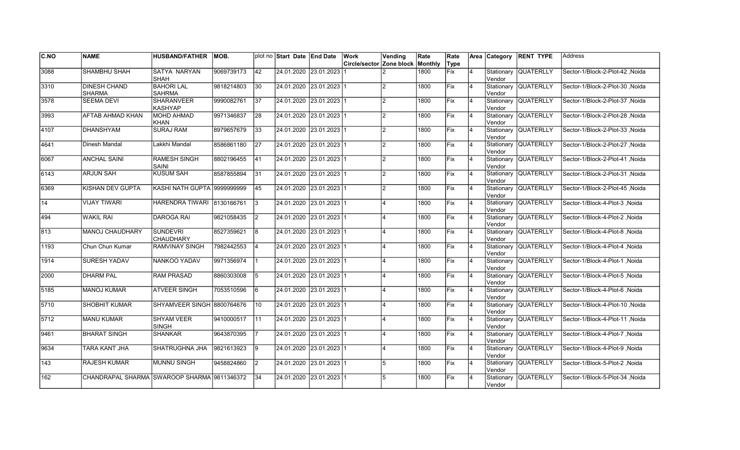| C.NO             | <b>NAME</b>                                 | <b>HUSBAND/FATHER</b>               | MOB.       |                 | plot no Start Date End Date |                         | Work                     | Vending                 | Rate    | Rate        |                | <b>Area</b> Category | <b>RENT TYPE</b>     | <b>Address</b>                  |
|------------------|---------------------------------------------|-------------------------------------|------------|-----------------|-----------------------------|-------------------------|--------------------------|-------------------------|---------|-------------|----------------|----------------------|----------------------|---------------------------------|
|                  |                                             |                                     |            |                 |                             |                         | Circle/sector Zone block |                         | Monthly | Type        |                |                      |                      |                                 |
| 3088             | <b>SHAMBHU SHAH</b>                         | <b>SATYA NARYAN</b><br><b>SHAH</b>  | 9069739173 | $\overline{42}$ | 24.01.2020 23.01.2023       |                         |                          |                         | 1800    | Fix         | 4              | Stationary<br>Vendor | <b>QUATERLLY</b>     | Sector-1/Block-2-Plot-42, Noida |
| 3310             | <b>DINESH CHAND</b><br><b>SHARMA</b>        | <b>BAHORI LAL</b><br><b>SAHRMA</b>  | 9818214803 | 30              | 24.01.2020 23.01.2023 1     |                         |                          | $\overline{2}$          | 1800    | Fix         | $\overline{4}$ | Vendor               | Stationary QUATERLLY | Sector-1/Block-2-Plot-30, Noida |
| 3578             | <b>SEEMA DEVI</b>                           | <b>SHARANVEER</b><br>KASHYAP        | 9990082761 | 37              | 24.01.2020 23.01.2023 1     |                         |                          | $\overline{2}$          | 1800    | <b>IFix</b> | 4              | Vendor               | Stationary QUATERLLY | Sector-1/Block-2-Plot-37, Noida |
| 3993             | AFTAB AHMAD KHAN                            | MOHD AHMAD<br><b>KHAN</b>           | 9971346837 | 28              | 24.01.2020 23.01.2023 1     |                         |                          | $\overline{2}$          | 1800    | Fix         | 4              | Vendor               | Stationary QUATERLLY | Sector-1/Block-2-Plot-28 .Noida |
| 4107             | <b>DHANSHYAM</b>                            | <b>SURAJ RAM</b>                    | 8979657679 | 33              |                             | 24.01.2020 23.01.2023 1 |                          | $\overline{2}$          | 1800    | Fix         | $\overline{4}$ | Vendor               | Stationary QUATERLLY | Sector-1/Block-2-Plot-33, Noida |
| 4641             | Dinesh Mandal                               | Lakkhi Mandal                       | 8586861180 | $\overline{27}$ |                             | 24.01.2020 23.01.2023 1 |                          | $\overline{2}$          | 1800    | Fix         | $\overline{4}$ | Vendor               | Stationary QUATERLLY | Sector-1/Block-2-Plot-27, Noida |
| 6067             | <b>ANCHAL SAINI</b>                         | <b>RAMESH SINGH</b><br><b>SAINI</b> | 8802196455 | 41              | 24.01.2020 23.01.2023 1     |                         |                          | $\overline{2}$          | 1800    | Fix         | 4              | Vendor               | Stationary QUATERLLY | Sector-1/Block-2-Plot-41, Noida |
| 6143             | <b>ARJUN SAH</b>                            | <b>KUSUM SAH</b>                    | 8587855894 | 31              | 24.01.2020 23.01.2023 1     |                         |                          | 2                       | 1800    | Fix         | 4              | Vendor               | Stationary QUATERLLY | Sector-1/Block-2-Plot-31, Noida |
| 6369             | KISHAN DEV GUPTA                            | <b>KASHI NATH GUPTA 9999999999</b>  |            | 45              |                             | 24.01.2020 23.01.2023 1 |                          | $\overline{2}$          | 1800    | Fix         | $\overline{4}$ | Stationary<br>Vendor | <b>QUATERLLY</b>     | Sector-1/Block-2-Plot-45, Noida |
| $\overline{14}$  | <b>VIJAY TIWARI</b>                         | <b>HARENDRA TIWARI</b>              | 8130166761 | 3               |                             | 24.01.2020 23.01.2023 1 |                          |                         | 1800    | Fix         | 4              | Stationary<br>Vendor | QUATERLLY            | Sector-1/Block-4-Plot-3, Noida  |
| 494              | <b>WAKIL RAI</b>                            | <b>DAROGA RAI</b>                   | 9821058435 | $\overline{2}$  |                             | 24.01.2020 23.01.2023 1 |                          |                         | 1800    | Fix         | 4              | Vendor               | Stationary QUATERLLY | Sector-1/Block-4-Plot-2, Noida  |
| 813              | MANOJ CHAUDHARY                             | SUNDEVRI<br><b>CHAUDHARY</b>        | 8527359621 | 8               | 24.01.2020 23.01.2023 1     |                         |                          |                         | 1800    | Fix         | 4              | Vendor               | Stationary QUATERLLY | Sector-1/Block-4-Plot-8, Noida  |
| 1193             | Chun Chun Kumar                             | <b>RAMVINAY SINGH</b>               | 7982442553 | <b>4</b>        |                             | 24.01.2020 23.01.2023 1 |                          |                         | 1800    | Fix         | $\overline{4}$ | Stationary<br>Vendor | <b>QUATERLLY</b>     | Sector-1/Block-4-Plot-4, Noida  |
| 1914             | <b>SURESH YADAV</b>                         | NANKOO YADAV                        | 9971356974 | $\mathbf{1}$    |                             | 24.01.2020 23.01.2023 1 |                          |                         | 1800    | Fix         | $\overline{4}$ | Stationary<br>Vendor | <b>QUATERLLY</b>     | Sector-1/Block-4-Plot-1, Noida  |
| 2000             | <b>DHARM PAL</b>                            | <b>RAM PRASAD</b>                   | 8860303008 | 5               |                             | 24.01.2020 23.01.2023 1 |                          |                         | 1800    | Fix         | 4              | Vendor               | Stationary QUATERLLY | Sector-1/Block-4-Plot-5, Noida  |
| 5185             | <b>MANOJ KUMAR</b>                          | <b>ATVEER SINGH</b>                 | 7053510596 | 6               | 24.01.2020 23.01.2023 1     |                         |                          | $\overline{\mathbf{A}}$ | 1800    | <b>Fix</b>  | 4              | Vendor               | Stationary QUATERLLY | Sector-1/Block-4-Plot-6, Noida  |
| 5710             | SHOBHIT KUMAR                               | SHYAMVEER SINGH 8800764676          |            | 10              | 24.01.2020 23.01.2023 1     |                         |                          | $\overline{A}$          | 1800    | Fix         | 4              | Vendor               | Stationary QUATERLLY | Sector-1/Block-4-Plot-10, Noida |
| $\sqrt{5712}$    | <b>MANU KUMAR</b>                           | <b>SHYAM VEER</b><br><b>SINGH</b>   | 9410000517 | 111             |                             | 24.01.2020 23.01.2023 1 |                          |                         | 1800    | lFix        | $\overline{4}$ | Stationary<br>Vendor | <b>QUATERLLY</b>     | Sector-1/Block-4-Plot-11, Noida |
| 9461             | <b>BHARAT SINGH</b>                         | SHANKAR                             | 9643870395 | $\overline{7}$  | 24.01.2020                  | $23.01.2023$ 1          |                          |                         | 1800    | Fix         | 4              | Stationary<br>Vendor | QUATERLLY            | Sector-1/Block-4-Plot-7, Noida  |
| 9634             | <b>TARA KANT JHA</b>                        | SHATRUGHNA JHA                      | 9821613923 | 9               | 24.01.2020 23.01.2023 1     |                         |                          | 4                       | 1800    | Fix         | 4              | Vendor               | Stationary QUATERLLY | Sector-1/Block-4-Plot-9, Noida  |
| $\overline{143}$ | <b>RAJESH KUMAR</b>                         | <b>MUNNU SINGH</b>                  | 9458824860 | $\overline{2}$  | 24.01.2020 23.01.2023 1     |                         |                          | 5                       | 1800    | Fix         | 4              | Vendor               | Stationary QUATERLLY | Sector-1/Block-5-Plot-2, Noida  |
| 162              | CHANDRAPAL SHARMA SWAROOP SHARMA 9811346372 |                                     |            | 34              |                             | 24.01.2020 23.01.2023 1 |                          | 5                       | 1800    | Fix         | 4              | Vendor               | Stationary QUATERLLY | Sector-1/Block-5-Plot-34, Noida |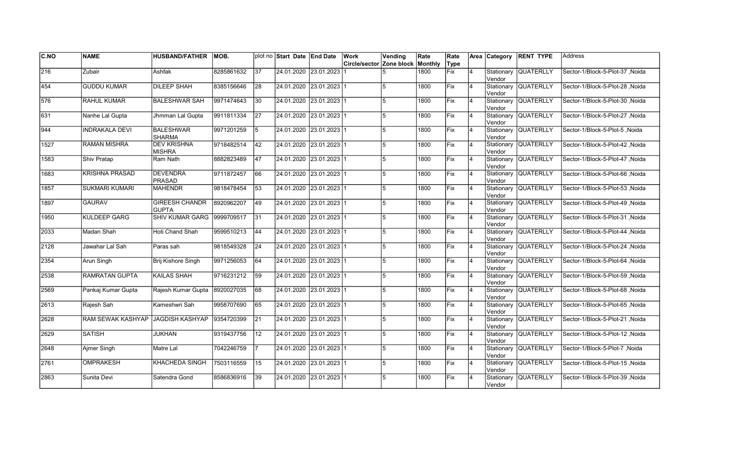| <b>C.NO</b>  | <b>NAME</b>           | <b>HUSBAND/FATHER</b>                 | MOB.       |                 | plot no Start Date End Date | Work                                    | Vending | Rate | Rate |                | Area Category         | <b>RENT TYPE</b>     | Address                          |
|--------------|-----------------------|---------------------------------------|------------|-----------------|-----------------------------|-----------------------------------------|---------|------|------|----------------|-----------------------|----------------------|----------------------------------|
|              |                       |                                       |            |                 |                             | <b>Circle/sector Zone block Monthly</b> |         |      | Type |                |                       |                      |                                  |
| $\sqrt{216}$ | Zubair                | Ashfak                                | 8285861632 | 37              | 24.01.2020 23.01.2023       |                                         |         | 1800 | Fix  | 4              | Stationary<br>Vendor  | <b>QUATERLLY</b>     | Sector-1/Block-5-Plot-37 ,Noida  |
| 454          | <b>GUDDU KUMAR</b>    | <b>DILEEP SHAH</b>                    | 8385156646 | 28              | 24.01.2020 23.01.2023 1     |                                         | 5       | 1800 | Fix  | $\overline{4}$ | Vendor                | Stationary QUATERLLY | Sector-1/Block-5-Plot-28, Noida  |
| 576          | <b>RAHUL KUMAR</b>    | <b>BALESHWAR SAH</b>                  | 9971474643 | 30              | 24.01.2020 23.01.2023 1     |                                         | 5       | 1800 | Fix  | $\overline{4}$ | Vendor                | Stationary QUATERLLY | Sector-1/Block-5-Plot-30 Noida   |
| 631          | Nanhe Lal Gupta       | Jhmman Lal Gupta                      | 9911811334 | $\overline{27}$ | 24.01.2020 23.01.2023 1     |                                         | 5       | 1800 | Fix  | $\overline{4}$ | Vendor                | Stationary QUATERLLY | Sector-1/Block-5-Plot-27, Noida  |
| 944          | <b>INDRAKALA DEVI</b> | <b>BALESHWAR</b><br><b>SHARMA</b>     | 9971201259 | 5               | 24.01.2020 23.01.2023 1     |                                         | 5       | 1800 | Fix  | $\overline{4}$ | Vendor                | Stationary QUATERLLY | Sector-1/Block-5-Plot-5, Noida   |
| 1527         | <b>RAMAN MISHRA</b>   | <b>DEV KRISHNA</b><br><b>MISHRA</b>   | 9718482514 | 42              | 24.01.2020 23.01.2023 1     |                                         | 5       | 1800 | Fix  | $\overline{4}$ | Stationary<br>lVendor | <b>QUATERLLY</b>     | Sector-1/Block-5-Plot-42, Noida  |
| 1583         | Shiv Pratap           | Ram Nath                              | 8882823489 | 47              | 24.01.2020 23.01.2023 1     |                                         | 5       | 1800 | Fix  | $\overline{4}$ | Vendor                | Stationary QUATERLLY | Sector-1/Block-5-Plot-47 , Noida |
| 1683         | <b>KRISHNA PRASAD</b> | <b>DEVENDRA</b><br><b>PRASAD</b>      | 9711872457 | 66              | 24.01.2020 23.01.2023 1     |                                         | 5       | 1800 | Fix  | $\overline{4}$ | Vendor                | Stationary QUATERLLY | Sector-1/Block-5-Plot-66, Noida  |
| 1857         | <b>SUKMARI KUMARI</b> | <b>MAHENDR</b>                        | 9818478454 | 53              | 24.01.2020 23.01.2023 1     |                                         | 5       | 1800 | Fix  | $\overline{4}$ | Vendor                | Stationary QUATERLLY | Sector-1/Block-5-Plot-53, Noida  |
| 1897         | <b>GAURAV</b>         | <b>GIREESH CHANDR</b><br><b>GUPTA</b> | 8920962207 | 49              | 24.01.2020 23.01.2023 1     |                                         | 5       | 1800 | Fix  | $\overline{4}$ | Vendor                | Stationary QUATERLLY | Sector-1/Block-5-Plot-49, Noida  |
| 1950         | <b>KULDEEP GARG</b>   | <b>SHIV KUMAR GARG</b>                | 9999709517 | $\overline{31}$ | 24.01.2020 23.01.2023 1     |                                         | 5       | 1800 | Fix  | 4              | Vendor                | Stationary QUATERLLY | Sector-1/Block-5-Plot-31, Noida  |
| 2033         | Madan Shah            | Hoti Chand Shah                       | 9599510213 | 44              | 24.01.2020 23.01.2023 1     |                                         | 15      | 1800 | Fix  | 4              | Vendor                | Stationary QUATERLLY | Sector-1/Block-5-Plot-44, Noida  |
| 2128         | Jawahar Lal Sah       | Paras sah                             | 9818549328 | 24              | 24.01.2020 23.01.2023 1     |                                         | 5       | 1800 | Fix  | $\overline{4}$ | Vendor                | Stationary QUATERLLY | Sector-1/Block-5-Plot-24, Noida  |
| 2354         | Arun Singh            | Brij Kishore Singh                    | 9971256053 | 64              | 24.01.2020 23.01.2023 1     |                                         | 5       | 1800 | Fix  | $\overline{4}$ | lVendor               | Stationary QUATERLLY | Sector-1/Block-5-Plot-64, Noida  |
| 2538         | <b>RAMRATAN GUPTA</b> | <b>KAILAS SHAH</b>                    | 9716231212 | 59              | 24.01.2020 23.01.2023 1     |                                         | 5       | 1800 | Fix  | $\overline{4}$ | Vendor                | Stationary QUATERLLY | Sector-1/Block-5-Plot-59, Noida  |
| 2569         | Pankaj Kumar Gupta    | Rajesh Kumar Gupta                    | 8920027035 | 68              | 24.01.2020 23.01.2023 1     |                                         | 5       | 1800 | Fix  | 4              | Vendor                | Stationary QUATERLLY | Sector-1/Block-5-Plot-68, Noida  |
| 2613         | Rajesh Sah            | Kameshwri Sah                         | 9958707690 | 65              | 24.01.2020 23.01.2023 1     |                                         | 5       | 1800 | Fix  | 4              | Vendor                | Stationary QUATERLLY | Sector-1/Block-5-Plot-65, Noida  |
| 2628         | RAM SEWAK KASHYAP     | JAGDISH KASHYAP                       | 9354720399 | <b>21</b>       | 24.01.2020 23.01.2023 1     |                                         | 5       | 1800 | Fix  | 4              | Stationary<br>Vendor  | <b>QUATERLLY</b>     | Sector-1/Block-5-Plot-21 , Noida |
| 2629         | <b>SATISH</b>         | JUKHAN                                | 9319437756 | 12              | 24.01.2020 23.01.2023 1     |                                         | 5       | 1800 | Fix  | $\overline{4}$ | Stationary<br>Vendor  | <b>QUATERLLY</b>     | Sector-1/Block-5-Plot-12, Noida  |
| 2648         | Ajmer Singh           | Matre Lal                             | 7042246759 |                 | 24.01.2020 23.01.2023 1     |                                         | 5       | 1800 | Fix  | $\overline{4}$ | Vendor                | Stationary QUATERLLY | Sector-1/Block-5-Plot-7, Noida   |
| 2761         | <b>OMPRAKESH</b>      | <b>KHACHEDA SINGH</b>                 | 7503116559 | 15              | 24.01.2020 23.01.2023 1     |                                         | 5       | 1800 | Fix  | $\overline{4}$ | Vendor                | Stationary QUATERLLY | Sector-1/Block-5-Plot-15, Noida  |
| 2863         | Sunita Devi           | Satendra Gond                         | 8586836916 | 39              | 24.01.2020 23.01.2023 1     |                                         | 5       | 1800 | Fix  | $\overline{4}$ | Stationary<br>Vendor  | <b>QUATERLLY</b>     | Sector-1/Block-5-Plot-39, Noida  |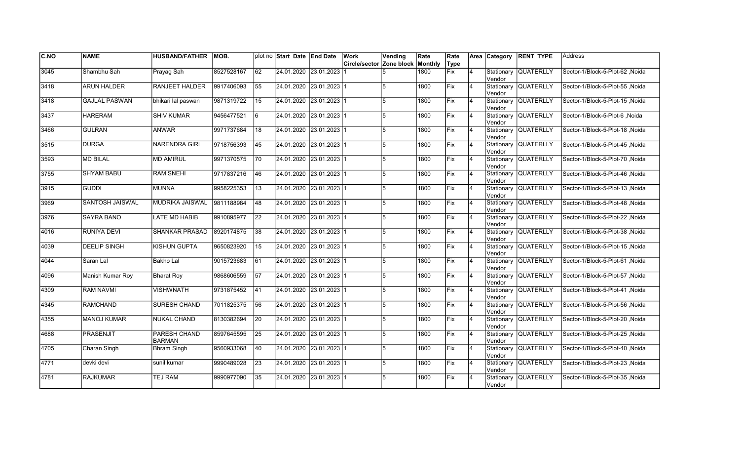| C.NO | <b>NAME</b>          | <b>HUSBAND/FATHER</b>         | MOB.       |                 | plot no Start Date End Date | Work                     | Vending        | Rate    | Rate        |                | Area Category         | <b>RENT TYPE</b>     | <b>Address</b>                   |
|------|----------------------|-------------------------------|------------|-----------------|-----------------------------|--------------------------|----------------|---------|-------------|----------------|-----------------------|----------------------|----------------------------------|
|      |                      |                               |            |                 |                             | Circle/sector Zone block |                | Monthly | Type        |                |                       |                      |                                  |
| 3045 | Shambhu Sah          | Prayag Sah                    | 8527528167 | $\overline{62}$ | 24.01.2020 23.01.2023       |                          |                | 1800    | <b>Fix</b>  | $\overline{4}$ | Stationary<br>Vendor  | <b>QUATERLLY</b>     | Sector-1/Block-5-Plot-62, Noida  |
| 3418 | <b>ARUN HALDER</b>   | <b>RANJEET HALDER</b>         | 9917406093 | 55              | 24.01.2020 23.01.2023 1     |                          | 5              | 1800    | Fix         | 4              | Vendor                | Stationary QUATERLLY | Sector-1/Block-5-Plot-55, Noida  |
| 3418 | <b>GAJLAL PASWAN</b> | bhikari lal paswan            | 9871319722 | 15              | 24.01.2020 23.01.2023 1     |                          | 15             | 1800    | <b>IFix</b> | 4              | Vendor                | Stationary QUATERLLY | Sector-1/Block-5-Plot-15 Noida   |
| 3437 | <b>HARERAM</b>       | <b>SHIV KUMAR</b>             | 9456477521 | 6               | 24.01.2020 23.01.2023 1     |                          | 5              | 1800    | Fix         | $\overline{4}$ | Vendor                | Stationary QUATERLLY | Sector-1/Block-5-Plot-6, Noida   |
| 3466 | <b>GULRAN</b>        | <b>ANWAR</b>                  | 9971737684 | 18              | 24.01.2020 23.01.2023 1     |                          | 5              | 1800    | Fix         | $\overline{4}$ | lVendor               | Stationary QUATERLLY | Sector-1/Block-5-Plot-18, Noida  |
| 3515 | <b>DURGA</b>         | <b>NARENDRA GIRI</b>          | 9718756393 | $\overline{45}$ | 24.01.2020 23.01.2023 1     |                          | $\overline{5}$ | 1800    | Fix         | $\overline{4}$ | Vendor                | Stationary QUATERLLY | Sector-1/Block-5-Plot-45, Noida  |
| 3593 | <b>MD BILAL</b>      | <b>MD AMIRUL</b>              | 9971370575 | 70              | 24.01.2020 23.01.2023 1     |                          | 5              | 1800    | Fix         | 4              | Vendor                | Stationary QUATERLLY | Sector-1/Block-5-Plot-70, Noida  |
| 3755 | <b>SHYAM BABU</b>    | <b>RAM SNEHI</b>              | 9717837216 | 46              | 24.01.2020 23.01.2023 1     |                          | 5              | 1800    | Fix         | 4              | Vendor                | Stationary QUATERLLY | Sector-1/Block-5-Plot-46, Noida  |
| 3915 | <b>GUDDI</b>         | <b>MUNNA</b>                  | 9958225353 | 13              | 24.01.2020 23.01.2023 1     |                          | 5              | 1800    | Fix         | 4              | Stationary<br>Vendor  | <b>QUATERLLY</b>     | Sector-1/Block-5-Plot-13, Noida  |
| 3969 | SANTOSH JAISWAL      | <b>MUDRIKA JAISWAL</b>        | 9811188984 | 48              | 24.01.2020 23.01.2023 1     |                          | 5              | 1800    | Fix         | $\overline{4}$ | Stationary<br>Vendor  | QUATERLLY            | Sector-1/Block-5-Plot-48, Noida  |
| 3976 | <b>SAYRA BANO</b>    | <b>LATE MD HABIB</b>          | 9910895977 | $\overline{22}$ | 24.01.2020 23.01.2023 1     |                          | 5              | 1800    | Fix         | $\overline{4}$ | Vendor                | Stationary QUATERLLY | Sector-1/Block-5-Plot-22, Noida  |
| 4016 | <b>RUNIYA DEVI</b>   | <b>SHANKAR PRASAD</b>         | 8920174875 | $\overline{38}$ | 24.01.2020 23.01.2023 1     |                          | 5              | 1800    | Fix         | $\overline{4}$ | Vendor                | Stationary QUATERLLY | Sector-1/Block-5-Plot-38, Noida  |
| 4039 | <b>DEELIP SINGH</b>  | <b>KISHUN GUPTA</b>           | 9650823920 | 15              | 24.01.2020 23.01.2023 1     |                          | 5              | 1800    | Fix         | $\overline{4}$ | Vendor                | Stationary QUATERLLY | Sector-1/Block-5-Plot-15, Noida  |
| 4044 | Saran Lal            | Bakho Lal                     | 9015723683 | 61              | 24.01.2020 23.01.2023 1     |                          | 5              | 1800    | Fix         | $\overline{4}$ | Stationary<br>lVendor | <b>QUATERLLY</b>     | Sector-1/Block-5-Plot-61, Noida  |
| 4096 | Manish Kumar Roy     | Bharat Roy                    | 9868606559 | 57              | 24.01.2020 23.01.2023 1     |                          | 5              | 1800    | Fix         | 4              | lVendor               | Stationary QUATERLLY | Sector-1/Block-5-Plot-57, Noida  |
| 4309 | <b>RAM NAVMI</b>     | VISHWNATH                     | 9731875452 | 41              | 24.01.2020 23.01.2023 1     |                          | 5              | 1800    | <b>Fix</b>  | 4              | Vendor                | Stationary QUATERLLY | Sector-1/Block-5-Plot-41 , Noida |
| 4345 | <b>RAMCHAND</b>      | SURESH CHAND                  | 7011825375 | 56              | 24.01.2020 23.01.2023 1     |                          | 5              | 1800    | Fix         | 4              | Vendor                | Stationary QUATERLLY | Sector-1/Block-5-Plot-56, Noida  |
| 4355 | <b>MANOJ KUMAR</b>   | <b>NUKAL CHAND</b>            | 8130382694 | 20              | 24.01.2020 23.01.2023 1     |                          | 5              | 1800    | <b>IFix</b> | $\overline{4}$ | Vendor                | Stationary QUATERLLY | Sector-1/Block-5-Plot-20, Noida  |
| 4688 | <b>PRASENJIT</b>     | PARESH CHAND<br><b>BARMAN</b> | 8597645595 | $\overline{25}$ | 24.01.2020 23.01.2023 1     |                          | 5              | 1800    | Fix         | 4              | Vendor                | Stationary QUATERLLY | Sector-1/Block-5-Plot-25, Noida  |
| 4705 | Charan Singh         | <b>Bhram Singh</b>            | 9560933068 | 40              | 24.01.2020 23.01.2023 1     |                          | 5              | 1800    | Fix         | $\overline{4}$ | Vendor                | Stationary QUATERLLY | Sector-1/Block-5-Plot-40, Noida  |
| 4771 | devki devi           | sunil kumar                   | 9990489028 | 23              | 24.01.2020 23.01.2023 1     |                          | 5              | 1800    | Fix         | $\overline{4}$ | Vendor                | Stationary QUATERLLY | Sector-1/Block-5-Plot-23, Noida  |
| 4781 | <b>RAJKUMAR</b>      | <b>TEJ RAM</b>                | 9990977090 | 35              | 24.01.2020 23.01.2023 1     |                          | 5              | 1800    | Fix         | 4              | Stationary<br>Vendor  | <b>QUATERLLY</b>     | Sector-1/Block-5-Plot-35, Noida  |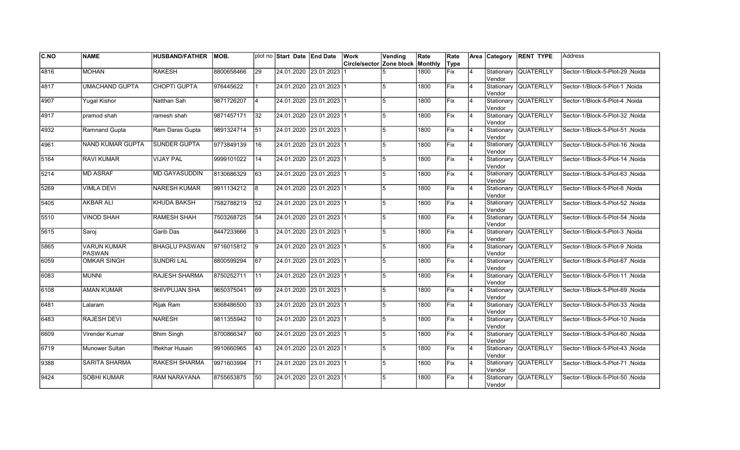| C.NO | <b>NAME</b>                         | HUSBAND/FATHER   MOB. |            |                  | plot no Start Date End Date |                         | <b>Work</b>                             | Vending        | Rate | Rate       |    |         | Area Category RENT TYPE | <b>Address</b>                  |
|------|-------------------------------------|-----------------------|------------|------------------|-----------------------------|-------------------------|-----------------------------------------|----------------|------|------------|----|---------|-------------------------|---------------------------------|
|      |                                     |                       |            |                  |                             |                         | <b>Circle/sector Zone block Monthly</b> |                |      | Type       |    |         |                         |                                 |
| 4816 | <b>MOHAN</b>                        | <b>RAKESH</b>         | 8800658466 | $\overline{29}$  |                             | 24.01.2020 23.01.2023   |                                         |                | 1800 | Fix        | 4  | Vendor  | Stationary QUATERLLY    | Sector-1/Block-5-Plot-29, Noida |
| 4817 | <b>UMACHAND GUPTA</b>               | <b>CHOPTI GUPTA</b>   | 976445622  |                  |                             | 24.01.2020 23.01.2023 1 |                                         |                | 1800 | Fix        | 4  | Vendor  | Stationary QUATERLLY    | Sector-1/Block-5-Plot-1, Noida  |
| 4907 | <b>Yugal Kishor</b>                 | Natthan Sah           | 9871726207 | $\overline{4}$   | 24.01.2020 23.01.2023 1     |                         |                                         | 5              | 1800 | Fix        | 14 | Vendor  | Stationary QUATERLLY    | Sector-1/Block-5-Plot-4, Noida  |
| 4917 | pramod shah                         | ramesh shah           | 9871457171 | 32               | 24.01.2020 23.01.2023 1     |                         |                                         | $\overline{5}$ | 1800 | Fix        | 4  | Vendor  | Stationary QUATERLLY    | Sector-1/Block-5-Plot-32, Noida |
| 4932 | Ramnand Gupta                       | Ram Daras Gupta       | 9891324714 | 51               |                             | 24.01.2020 23.01.2023 1 |                                         | 5              | 1800 | Fix        | 4  | Vendor  | Stationary QUATERLLY    | Sector-1/Block-5-Plot-51, Noida |
| 4961 | NAND KUMAR GUPTA                    | <b>SUNDER GUPTA</b>   | 9773849139 | 16               |                             | 24.01.2020 23.01.2023 1 |                                         |                | 1800 | Fix        | 4  | Vendor  | Stationary QUATERLLY    | Sector-1/Block-5-Plot-16, Noida |
| 5164 | <b>RAVI KUMAR</b>                   | <b>VIJAY PAL</b>      | 9999101022 | 14               |                             | 24.01.2020 23.01.2023 1 |                                         |                | 1800 | Fix        | 4  | Vendor  | Stationary QUATERLLY    | Sector-1/Block-5-Plot-14, Noida |
| 5214 | <b>MD ASRAF</b>                     | <b>MD GAYASUDDIN</b>  | 8130686329 | 63               | 24.01.2020 23.01.2023 1     |                         |                                         |                | 1800 | Fix        | 4  | Vendor  | Stationary QUATERLLY    | Sector-1/Block-5-Plot-63, Noida |
| 5269 | <b>VIMLA DEVI</b>                   | NARESH KUMAR          | 9911134212 | 18               |                             | 24.01.2020 23.01.2023 1 |                                         | $\sqrt{2}$     | 1800 | Fix        | 4  | Vendor  | Stationary QUATERLLY    | Sector-1/Block-5-Plot-8, Noida  |
| 5405 | <b>AKBAR ALI</b>                    | <b>KHUDA BAKSH</b>    | 7582788219 | 52               |                             | 24.01.2020 23.01.2023 1 |                                         |                | 1800 | Fix        | 4  | Vendor  | Stationary QUATERLLY    | Sector-1/Block-5-Plot-52, Noida |
| 5510 | <b>VINOD SHAH</b>                   | <b>RAMESH SHAH</b>    | 7503268725 | $\sqrt{54}$      |                             | 24.01.2020 23.01.2023 1 |                                         |                | 1800 | Fix        | 4  | Vendor  | Stationary QUATERLLY    | Sector-1/Block-5-Plot-54, Noida |
| 5615 | Saroj                               | Garib Das             | 8447233666 | 3                | 24.01.2020 23.01.2023 1     |                         |                                         | $\sqrt{2}$     | 1800 | Fix        | 14 | Vendor  | Stationary QUATERLLY    | Sector-1/Block-5-Plot-3, Noida  |
| 5865 | <b>VARUN KUMAR</b><br><b>PASWAN</b> | <b>BHAGLU PASWAN</b>  | 9716015812 | 19               |                             | 24.01.2020 23.01.2023 1 |                                         | 5              | 1800 | Fix        | 4  | Vendor  | Stationary QUATERLLY    | Sector-1/Block-5-Plot-9, Noida  |
| 6059 | <b>OMKAR SINGH</b>                  | <b>SUNDRI LAL</b>     | 8800599294 | 67               |                             | 24.01.2020 23.01.2023 1 |                                         | 5              | 1800 | Fix        | 4  | lVendor | Stationary QUATERLLY    | Sector-1/Block-5-Plot-67, Noida |
| 6083 | <b>MUNNI</b>                        | <b>RAJESH SHARMA</b>  | 8750252711 | $\overline{111}$ |                             | 24.01.2020 23.01.2023 1 |                                         |                | 1800 | Fix        | 4  | lVendor | Stationary QUATERLLY    | Sector-1/Block-5-Plot-11, Noida |
| 6108 | <b>AMAN KUMAR</b>                   | SHIVPUJAN SHA         | 9650375041 | 69               | 24.01.2020 23.01.2023 1     |                         |                                         | 5              | 1800 | Fix        | 14 | Vendor  | Stationary QUATERLLY    | Sector-1/Block-5-Plot-69, Noida |
| 6481 | Lalaram                             | Rijak Ram             | 8368486500 | 133              | 24.01.2020 23.01.2023 1     |                         |                                         | 5              | 1800 | <b>Fix</b> | 14 | Vendor  | Stationary QUATERLLY    | Sector-1/Block-5-Plot-33, Noida |
| 6483 | RAJESH DEVI                         | NARESH                | 9811355942 | 10               |                             | 24.01.2020 23.01.2023 1 |                                         | 5              | 1800 | lFix       | 4  | Vendor  | Stationary QUATERLLY    | Sector-1/Block-5-Plot-10, Noida |
| 6609 | Virender Kumar                      | <b>Bhim Singh</b>     | 8700866347 | 60               |                             | 24.01.2020 23.01.2023 1 |                                         |                | 1800 | Fix        | 4  | lVendor | Stationary QUATERLLY    | Sector-1/Block-5-Plot-60, Noida |
| 6719 | Munower Sultan                      | Iftekhar Husain       | 9910660965 | $ 43\rangle$     |                             | 24.01.2020 23.01.2023 1 |                                         | 5              | 1800 | Fix        | 4  | Vendor  | Stationary QUATERLLY    | Sector-1/Block-5-Plot-43, Noida |
| 9388 | <b>SARITA SHARMA</b>                | <b>RAKESH SHARMA</b>  | 9971603994 | 71               | 24.01.2020 23.01.2023 1     |                         |                                         | 5              | 1800 | Fix        | 4  | Vendor  | Stationary QUATERLLY    | Sector-1/Block-5-Plot-71, Noida |
| 9424 | <b>SOBHI KUMAR</b>                  | RAM NARAYANA          | 8755653875 | 50               |                             | 24.01.2020 23.01.2023 1 |                                         |                | 1800 | Fix        | l4 | Vendor  | Stationary QUATERLLY    | Sector-1/Block-5-Plot-50, Noida |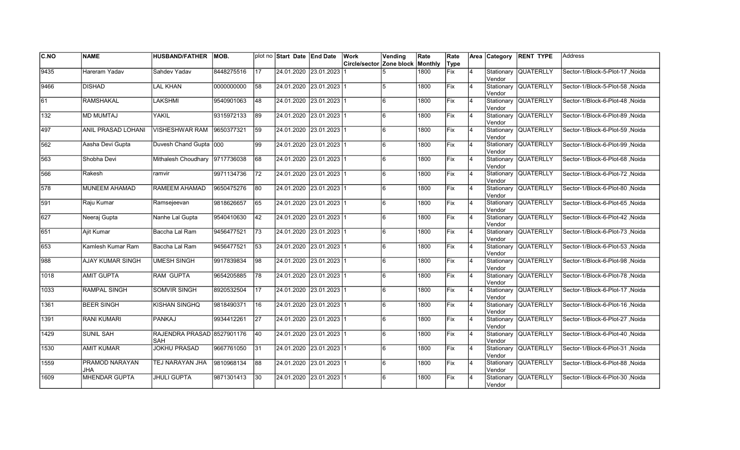| C.NO             | <b>NAME</b>                  | <b>HUSBAND/FATHER</b>             | MOB.       |                 | plot no Start Date End Date | Work                                    | Vending | Rate | Rate |                | Area Category         | <b>RENT TYPE</b>     | Address                          |
|------------------|------------------------------|-----------------------------------|------------|-----------------|-----------------------------|-----------------------------------------|---------|------|------|----------------|-----------------------|----------------------|----------------------------------|
|                  |                              |                                   |            |                 |                             | <b>Circle/sector Zone block Monthly</b> |         |      | Type |                |                       |                      |                                  |
| 9435             | Hareram Yadav                | Sahdev Yadav                      | 8448275516 | $\overline{17}$ | 24.01.2020 23.01.2023       |                                         |         | 1800 | Fix  | $\overline{4}$ | Stationary<br>Vendor  | <b>QUATERLLY</b>     | Sector-1/Block-5-Plot-17, Noida  |
| 9466             | <b>DISHAD</b>                | <b>LAL KHAN</b>                   | 0000000000 | $\overline{58}$ | 24.01.2020 23.01.2023 1     |                                         | 5       | 1800 | Fix  | $\overline{4}$ | Vendor                | Stationary QUATERLLY | Sector-1/Block-5-Plot-58, Noida  |
| 61               | <b>RAMSHAKAL</b>             | LAKSHMI                           | 9540901063 | 48              | 24.01.2020 23.01.2023 1     |                                         | 6       | 1800 | Fix  | $\overline{4}$ | Vendor                | Stationary QUATERLLY | Sector-1/Block-6-Plot-48 .Noida  |
| 132              | <b>MD MUMTAJ</b>             | YAKIL                             | 9315972133 | 89              | 24.01.2020 23.01.2023 1     |                                         | 6       | 1800 | Fix  | $\overline{4}$ | Vendor                | Stationary QUATERLLY | Sector-1/Block-6-Plot-89, Noida  |
| 497              | ANIL PRASAD LOHANI           | <b>VISHESHWAR RAM</b>             | 9650377321 | 59              | 24.01.2020 23.01.2023 1     |                                         | 6       | 1800 | Fix  | $\overline{4}$ | Vendor                | Stationary QUATERLLY | Sector-1/Block-6-Plot-59, Noida  |
| 562              | Aasha Devi Gupta             | Duvesh Chand Gupta 000            |            | 99              | 24.01.2020 23.01.2023 1     |                                         | 6       | 1800 | Fix  | $\overline{4}$ | Stationary<br>lVendor | <b>QUATERLLY</b>     | Sector-1/Block-6-Plot-99, Noida  |
| 563              | Shobha Devi                  | Mithalesh Choudhary               | 9717736038 | 68              | 24.01.2020 23.01.2023 1     |                                         | 6       | 1800 | Fix  | $\overline{4}$ | Vendor                | Stationary QUATERLLY | Sector-1/Block-6-Plot-68, Noida  |
| 566              | Rakesh                       | ramvir                            | 9971134736 | 72              | 24.01.2020 23.01.2023 1     |                                         | 6       | 1800 | Fix  | $\overline{4}$ | Vendor                | Stationary QUATERLLY | Sector-1/Block-6-Plot-72 , Noida |
| 578              | MUNEEM AHAMAD                | <b>RAMEEM AHAMAD</b>              | 9650475276 | 80              | 24.01.2020 23.01.2023 1     |                                         | 6       | 1800 | Fix  | $\overline{4}$ | Vendor                | Stationary QUATERLLY | Sector-1/Block-6-Plot-80, Noida  |
| 591              | Raju Kumar                   | Ramsejeevan                       | 9818626657 | 65              | 24.01.2020 23.01.2023 1     |                                         | 6       | 1800 | Fix  | $\overline{4}$ | Vendor                | Stationary QUATERLLY | Sector-1/Block-6-Plot-65, Noida  |
| 627              | Neeraj Gupta                 | Nanhe Lal Gupta                   | 9540410630 | 42              | 24.01.2020 23.01.2023 1     |                                         | l6      | 1800 | Fix  | 4              | Vendor                | Stationary QUATERLLY | Sector-1/Block-6-Plot-42, Noida  |
| 651              | Ajit Kumar                   | Baccha Lal Ram                    | 9456477521 | 73              | 24.01.2020 23.01.2023 1     |                                         | l6      | 1800 | Fix  | 4              | Vendor                | Stationary QUATERLLY | Sector-1/Block-6-Plot-73, Noida  |
| 653              | Kamlesh Kumar Ram            | Baccha Lal Ram                    | 9456477521 | 53              | 24.01.2020 23.01.2023 1     |                                         | l6      | 1800 | Fix  | $\overline{4}$ | Vendor                | Stationary QUATERLLY | Sector-1/Block-6-Plot-53, Noida  |
| 988              | AJAY KUMAR SINGH             | <b>UMESH SINGH</b>                | 9917839834 | 98              | 24.01.2020 23.01.2023 1     |                                         | 6       | 1800 | Fix  | $\overline{4}$ | lVendor               | Stationary QUATERLLY | Sector-1/Block-6-Plot-98, Noida  |
| $\frac{1}{1018}$ | <b>AMIT GUPTA</b>            | <b>RAM GUPTA</b>                  | 9654205885 | 78              | 24.01.2020 23.01.2023 1     |                                         | 6       | 1800 | Fix  | $\overline{4}$ | Vendor                | Stationary QUATERLLY | Sector-1/Block-6-Plot-78, Noida  |
| 1033             | <b>RAMPAL SINGH</b>          | <b>SOMVIR SINGH</b>               | 8920532504 | $\overline{17}$ | 24.01.2020 23.01.2023 1     |                                         | 6       | 1800 | Fix  | 4              | Vendor                | Stationary QUATERLLY | Sector-1/Block-6-Plot-17, Noida  |
| 1361             | <b>BEER SINGH</b>            | KISHAN SINGHQ                     | 9818490371 | 16              | 24.01.2020 23.01.2023 1     |                                         | 6       | 1800 | Fix  | $\overline{4}$ | Vendor                | Stationary QUATERLLY | Sector-1/Block-6-Plot-16, Noida  |
| 1391             | <b>RANI KUMARI</b>           | PANKAJ                            | 9934412261 | 27              | 24.01.2020 23.01.2023 1     |                                         | 6       | 1800 | Fix  | 4              | Stationary<br>Vendor  | <b>QUATERLLY</b>     | Sector-1/Block-6-Plot-27 , Noida |
| 1429             | <b>SUNIL SAH</b>             | RAJENDRA PRASAD 8527901176<br>SAH |            | 40              | 24.01.2020 23.01.2023 1     |                                         | 6       | 1800 | Fix  | $\overline{4}$ | Stationary<br>Vendor  | <b>QUATERLLY</b>     | Sector-1/Block-6-Plot-40, Noida  |
| 1530             | <b>AMIT KUMAR</b>            | <b>JOKHU PRASAD</b>               | 9667761050 | 31              | 24.01.2020 23.01.2023 1     |                                         | l6      | 1800 | Fix  | $\overline{4}$ | Vendor                | Stationary QUATERLLY | Sector-1/Block-6-Plot-31, Noida  |
| 1559             | PRAMOD NARAYAN<br><b>JHA</b> | TEJ NARAYAN JHA                   | 9810968134 | $\overline{88}$ | 24.01.2020 23.01.2023 1     |                                         | 6       | 1800 | Fix  | $\overline{4}$ | Vendor                | Stationary QUATERLLY | Sector-1/Block-6-Plot-88, Noida  |
| 1609             | MHENDAR GUPTA                | <b>JHULI GUPTA</b>                | 9871301413 | 30              | 24.01.2020 23.01.2023 1     |                                         | 6       | 1800 | Fix  | $\overline{4}$ | Stationary<br>Vendor  | <b>QUATERLLY</b>     | Sector-1/Block-6-Plot-30, Noida  |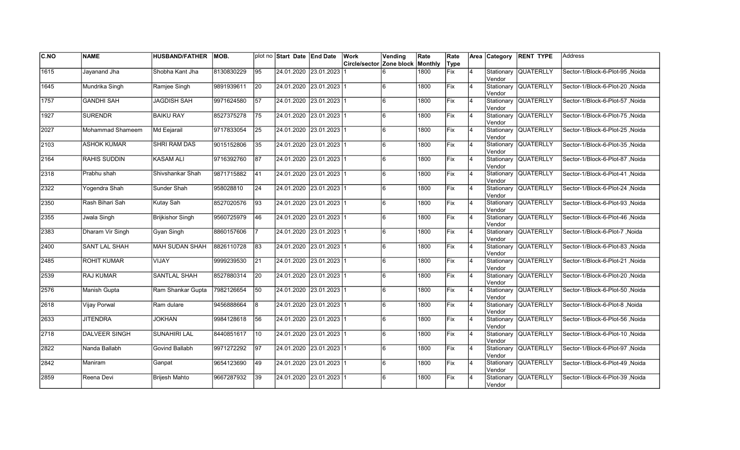| C.NO          | <b>NAME</b>          | <b>HUSBAND/FATHER</b>   | MOB.       |                 | plot no Start Date End Date |                           | Work                     | Vending | Rate    | Rate |                |         | Area Category RENT TYPE | Address                         |
|---------------|----------------------|-------------------------|------------|-----------------|-----------------------------|---------------------------|--------------------------|---------|---------|------|----------------|---------|-------------------------|---------------------------------|
|               |                      |                         |            |                 |                             |                           | Circle/sector Zone block |         | Monthly | Type |                |         |                         |                                 |
| 1615          | Jayanand Jha         | Shobha Kant Jha         | 8130830229 | $\overline{95}$ | 24.01.2020 23.01.2023       |                           |                          |         | 1800    | Fix  | $\overline{4}$ | Vendor  | Stationary QUATERLLY    | Sector-1/Block-6-Plot-95, Noida |
| 1645          | Mundrika Singh       | Ramjee Singh            | 9891939611 | 20              |                             | 24.01.2020 23.01.2023 1   |                          | l6.     | 1800    | Fix  | $\overline{4}$ | Vendor  | Stationary QUATERLLY    | Sector-1/Block-6-Plot-20 .Noida |
| 1757          | <b>GANDHI SAH</b>    | <b>JAGDISH SAH</b>      | 9971624580 | $\overline{57}$ | 24.01.2020 23.01.2023 1     |                           |                          | 6       | 1800    | Fix  | $\overline{4}$ | Vendor  | Stationary QUATERLLY    | Sector-1/Block-6-Plot-57, Noida |
| 1927          | <b>SURENDR</b>       | <b>BAIKU RAY</b>        | 8527375278 | 75              | 24.01.2020 23.01.2023 1     |                           |                          | 6       | 1800    | Fix  | 4              | Vendor  | Stationary QUATERLLY    | Sector-1/Block-6-Plot-75, Noida |
| 2027          | Mohammad Shameem     | Md Eejarail             | 9717833054 | 25              |                             | 24.01.2020 23.01.2023 1   |                          | 6       | 1800    | Fix  | $\overline{4}$ | Vendor  | Stationary QUATERLLY    | Sector-1/Block-6-Plot-25, Noida |
| $\sqrt{2103}$ | <b>ASHOK KUMAR</b>   | <b>SHRI RAM DAS</b>     | 9015152806 | 35              |                             | 24.01.2020 23.01.2023 1   |                          | 6       | 1800    | Fix  | 4              | lVendor | Stationary QUATERLLY    | Sector-1/Block-6-Plot-35, Noida |
| $\sqrt{2164}$ | RAHIS SUDDIN         | <b>KASAM ALI</b>        | 9716392760 | 87              |                             | 24.01.2020 23.01.2023 1   |                          | 6       | 1800    | Fix  | 4              | Vendor  | Stationary QUATERLLY    | Sector-1/Block-6-Plot-87, Noida |
| 2318          | Prabhu shah          | Shivshankar Shah        | 9871715882 | 41              | 24.01.2020 23.01.2023 1     |                           |                          | 6       | 1800    | lFix | <b>4</b>       | Vendor  | Stationary QUATERLLY    | Sector-1/Block-6-Plot-41, Noida |
| 2322          | Yogendra Shah        | Sunder Shah             | 958028810  | 24              |                             | 24.01.2020 23.01.2023 1   |                          | 6       | 1800    | lFix | $\overline{4}$ | Vendor  | Stationary QUATERLLY    | Sector-1/Block-6-Plot-24, Noida |
| 2350          | Rash Bihari Sah      | Kutay Sah               | 8527020576 | 193             |                             | 24.01.2020 23.01.2023 1   |                          |         | 1800    | Fix  | $\overline{4}$ | Vendor  | Stationary QUATERLLY    | Sector-1/Block-6-Plot-93, Noida |
| 2355          | Jwala Singh          | <b>Brijkishor Singh</b> | 9560725979 | 46              |                             | 24.01.2020 23.01.2023 1   |                          | 6       | 1800    | Fix  | $\overline{4}$ | Vendor  | Stationary QUATERLLY    | Sector-1/Block-6-Plot-46, Noida |
| 2383          | Dharam Vir Singh     | Gyan Singh              | 8860157606 | 7               | 24.01.2020 23.01.2023 1     |                           |                          | 6       | 1800    | Fix  | <b>4</b>       | Vendor  | Stationary QUATERLLY    | Sector-1/Block-6-Plot-7, Noida  |
| 2400          | SANT LAL SHAH        | MAH SUDAN SHAH          | 8826110728 | 83              | 24.01.2020 23.01.2023 1     |                           |                          | 6       | 1800    | Fix  | 4              | Vendor  | Stationary QUATERLLY    | Sector-1/Block-6-Plot-83, Noida |
| 2485          | <b>ROHIT KUMAR</b>   | VIJAY                   | 9999239530 | 21              |                             | 24.01.2020 23.01.2023 1   |                          | 6       | 1800    | Fix  | $\overline{4}$ | Vendor  | Stationary QUATERLLY    | Sector-1/Block-6-Plot-21, Noida |
| 2539          | <b>RAJ KUMAR</b>     | <b>SANTLAL SHAH</b>     | 8527880314 | $\overline{20}$ |                             | 24.01.2020 23.01.2023 1   |                          | 6       | 1800    | Fix  | $\overline{4}$ | Vendor  | Stationary QUATERLLY    | Sector-1/Block-6-Plot-20, Noida |
| 2576          | Manish Gupta         | Ram Shankar Gupta       | 7982126654 | 50              | 24.01.2020 23.01.2023 1     |                           |                          | 6       | 1800    | Fix  | 14             | Vendor  | Stationary QUATERLLY    | Sector-1/Block-6-Plot-50, Noida |
| 2618          | Vijay Porwal         | Ram dulare              | 9456888664 | 8               |                             | 24.01.2020 23.01.2023 1   |                          | 6       | 1800    | Fix  | $\overline{4}$ | Vendor  | Stationary QUATERLLY    | Sector-1/Block-6-Plot-8, Noida  |
| 2633          | <b>JITENDRA</b>      | <b>JOKHAN</b>           | 9984128618 | 56              |                             | 24.01.2020  23.01.2023  1 |                          | 6       | 1800    | lFix | $\overline{4}$ | Vendor  | Stationary QUATERLLY    | Sector-1/Block-6-Plot-56, Noida |
| $\sqrt{2718}$ | <b>DALVEER SINGH</b> | <b>SUNAHIRI LAL</b>     | 8440851617 | 10              |                             | 24.01.2020 23.01.2023 1   |                          | 6       | 1800    | Fix  | $\overline{4}$ | lVendor | Stationary QUATERLLY    | Sector-1/Block-6-Plot-10, Noida |
| 2822          | Nanda Ballabh        | <b>Govind Ballabh</b>   | 9971272292 | $\overline{97}$ |                             | 24.01.2020 23.01.2023 1   |                          | 6       | 1800    | Fix  | $\overline{4}$ | Vendor  | Stationary QUATERLLY    | Sector-1/Block-6-Plot-97, Noida |
| 2842          | Maniram              | Ganpat                  | 9654123690 | 49              | 24.01.2020 23.01.2023 1     |                           |                          | 6       | 1800    | Fix  | $\overline{4}$ | Vendor  | Stationary QUATERLLY    | Sector-1/Block-6-Plot-49, Noida |
| 2859          | Reena Devi           | <b>Brijesh Mahto</b>    | 9667287932 | 39              |                             | 24.01.2020 23.01.2023 1   |                          | 6       | 1800    | Fix  |                | Vendor  | Stationary QUATERLLY    | Sector-1/Block-6-Plot-39, Noida |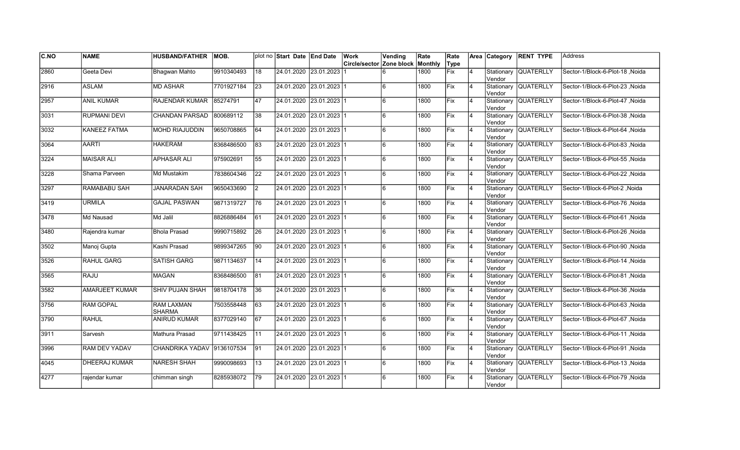| C.NO | <b>NAME</b>           | <b>HUSBAND/FATHER</b>              | MOB.       |                 | plot no Start Date End Date | Work                                    | Vending | Rate | Rate        |                |                       | Area Category RENT TYPE | <b>Address</b>                   |
|------|-----------------------|------------------------------------|------------|-----------------|-----------------------------|-----------------------------------------|---------|------|-------------|----------------|-----------------------|-------------------------|----------------------------------|
|      |                       |                                    |            |                 |                             | <b>Circle/sector Zone block Monthly</b> |         |      | Type        |                |                       |                         |                                  |
| 2860 | Geeta Devi            | Bhagwan Mahto                      | 9910340493 | 18              | 24.01.2020 23.01.2023       |                                         | 6       | 1800 | Fix         | 4              | Stationary<br>Vendor  | <b>QUATERLLY</b>        | Sector-1/Block-6-Plot-18, Noida  |
| 2916 | <b>ASLAM</b>          | <b>MD ASHAR</b>                    | 7701927184 | 23              | 24.01.2020 23.01.2023 1     |                                         | l6      | 1800 | Fix         | $\overline{4}$ | Vendor                | Stationary QUATERLLY    | Sector-1/Block-6-Plot-23, Noida  |
| 2957 | <b>ANIL KUMAR</b>     | RAJENDAR KUMAR                     | 85274791   | 47              | 24.01.2020 23.01.2023 1     |                                         | 6       | 1800 | Fix         | 4              | Vendor                | Stationary QUATERLLY    | Sector-1/Block-6-Plot-47 Noida   |
| 3031 | <b>RUPMANI DEVI</b>   | <b>CHANDAN PARSAD</b>              | 800689112  | 38              | 24.01.2020 23.01.2023 1     |                                         | 6       | 1800 | Fix         | $\overline{4}$ | Vendor                | Stationary QUATERLLY    | Sector-1/Block-6-Plot-38, Noida  |
| 3032 | <b>KANEEZ FATMA</b>   | <b>MOHD RIAJUDDIN</b>              | 9650708865 | 64              | 24.01.2020 23.01.2023 1     |                                         | 6       | 1800 | Fix         | $\overline{4}$ | Vendor                | Stationary QUATERLLY    | Sector-1/Block-6-Plot-64, Noida  |
| 3064 | <b>AARTI</b>          | <b>HAKERAM</b>                     | 8368486500 | 83              | 24.01.2020 23.01.2023 1     |                                         | 6       | 1800 | Fix         | $\overline{4}$ | Stationary<br>Vendor  | <b>QUATERLLY</b>        | Sector-1/Block-6-Plot-83, Noida  |
| 3224 | <b>MAISAR ALI</b>     | <b>APHASAR ALI</b>                 | 975902691  | 55              | 24.01.2020 23.01.2023 1     |                                         | 6       | 1800 | Fix         | $\overline{4}$ | Vendor                | Stationary QUATERLLY    | Sector-1/Block-6-Plot-55, Noida  |
| 3228 | Shama Parveen         | Md Mustakim                        | 7838604346 | 22              | 24.01.2020 23.01.2023 1     |                                         | 6       | 1800 | Fix         | $\overline{4}$ | Vendor                | Stationary QUATERLLY    | Sector-1/Block-6-Plot-22, Noida  |
| 3297 | RAMABABU SAH          | <b>JANARADAN SAH</b>               | 9650433690 | 2               | 24.01.2020 23.01.2023 1     |                                         | 6       | 1800 | Fix         | $\overline{4}$ | Stationary<br>lVendor | <b>QUATERLLY</b>        | Sector-1/Block-6-Plot-2, Noida   |
| 3419 | <b>URMILA</b>         | <b>GAJAL PASWAN</b>                | 9871319727 | 76              | 24.01.2020 23.01.2023 1     |                                         | 6       | 1800 | Fix         | $\overline{4}$ | lVendor               | Stationary QUATERLLY    | Sector-1/Block-6-Plot-76, Noida  |
| 3478 | Md Nausad             | Md Jalil                           | 8826886484 | 61              | 24.01.2020 23.01.2023 1     |                                         | 6       | 1800 | Fix         | 4              | lVendor               | Stationary QUATERLLY    | Sector-1/Block-6-Plot-61 , Noida |
| 3480 | Rajendra kumar        | <b>Bhola Prasad</b>                | 9990715892 | 26              | 24.01.2020 23.01.2023 1     |                                         | 6       | 1800 | Fix         | 4              | Vendor                | Stationary QUATERLLY    | Sector-1/Block-6-Plot-26, Noida  |
| 3502 | Manoj Gupta           | Kashi Prasad                       | 9899347265 | 90              | 24.01.2020 23.01.2023 1     |                                         | l6      | 1800 | Fix         | 4              | Vendor                | Stationary QUATERLLY    | Sector-1/Block-6-Plot-90, Noida  |
| 3526 | <b>RAHUL GARG</b>     | <b>SATISH GARG</b>                 | 9871134637 | 14              | 24.01.2020 23.01.2023 1     |                                         | 6       | 1800 | Fix         | $\overline{4}$ | Vendor                | Stationary QUATERLLY    | Sector-1/Block-6-Plot-14, Noida  |
| 3565 | <b>RAJU</b>           | MAGAN                              | 8368486500 | 81              | 24.01.2020 23.01.2023 1     |                                         | l6      | 1800 | Fix         | 4              | Vendor                | Stationary QUATERLLY    | Sector-1/Block-6-Plot-81 , Noida |
| 3582 | <b>AMARJEET KUMAR</b> | <b>SHIV PUJAN SHAH</b>             | 9818704178 | 36              | 24.01.2020 23.01.2023 1     |                                         | 6       | 1800 | <b>Fix</b>  | Ι4             | Vendor                | Stationary QUATERLLY    | Sector-1/Block-6-Plot-36 Noida   |
| 3756 | <b>RAM GOPAL</b>      | <b>RAM LAXMAN</b><br><b>SHARMA</b> | 7503558448 | 63              | 24.01.2020 23.01.2023 1     |                                         | l6      | 1800 | Fix         | 4              | Vendor                | Stationary QUATERLLY    | Sector-1/Block-6-Plot-63 .Noida  |
| 3790 | <b>RAHUL</b>          | <b>ANIRUD KUMAR</b>                | 8377029140 | 67              | 24.01.2020 23.01.2023 1     |                                         | 6       | 1800 | <b>IFix</b> | $\overline{4}$ | Vendor                | Stationary QUATERLLY    | Sector-1/Block-6-Plot-67, Noida  |
| 3911 | Sarvesh               | Mathura Prasad                     | 9711438425 | $\overline{11}$ | 24.01.2020 23.01.2023 1     |                                         | 6       | 1800 | Fix         | 4              | Vendor                | Stationary QUATERLLY    | Sector-1/Block-6-Plot-11, Noida  |
| 3996 | <b>RAM DEV YADAV</b>  | CHANDRIKA YADAV 9136107534         |            | 91              | 24.01.2020 23.01.2023 1     |                                         | 6       | 1800 | Fix         | $\overline{4}$ | Vendor                | Stationary QUATERLLY    | Sector-1/Block-6-Plot-91, Noida  |
| 4045 | <b>DHEERAJ KUMAR</b>  | <b>NARESH SHAH</b>                 | 9990098693 | 13              | 24.01.2020 23.01.2023 1     |                                         | 6       | 1800 | Fix         | $\overline{4}$ | Vendor                | Stationary QUATERLLY    | Sector-1/Block-6-Plot-13, Noida  |
| 4277 | rajendar kumar        | chimman singh                      | 8285938072 | 79              | 24.01.2020 23.01.2023 1     |                                         | 6       | 1800 | Fix         | 4              | Stationary<br>Vendor  | <b>QUATERLLY</b>        | Sector-1/Block-6-Plot-79, Noida  |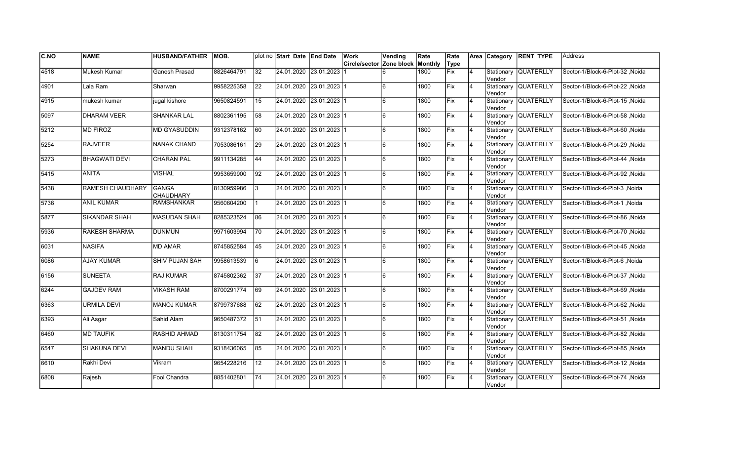| CNO           | <b>NAME</b>          | <b>HUSBAND/FATHER</b>     | MOB.       |                 | plot no Start Date End Date |                           | Work                     | Vending      | Rate    | Rate       |                |                      | Area Category RENT TYPE | <b>Address</b>                  |
|---------------|----------------------|---------------------------|------------|-----------------|-----------------------------|---------------------------|--------------------------|--------------|---------|------------|----------------|----------------------|-------------------------|---------------------------------|
|               |                      |                           |            |                 |                             |                           | Circle/sector Zone block |              | Monthly | Type       |                |                      |                         |                                 |
| 4518          | Mukesh Kumar         | Ganesh Prasad             | 8826464791 | $\overline{32}$ |                             | 24.01.2020 23.01.2023     |                          |              | 1800    | Fix        | $\overline{4}$ | Vendor               | Stationary QUATERLLY    | Sector-1/Block-6-Plot-32, Noida |
| 4901          | Lala Ram             | Sharwan                   | 9958225358 | 22              |                             | 24.01.2020 23.01.2023 1   |                          | 6            | 1800    | Fix        | $\overline{4}$ | Vendor               | Stationary QUATERLLY    | Sector-1/Block-6-Plot-22, Noida |
| 4915          | mukesh kumar         | jugal kishore             | 9650824591 | 15              | 24.01.2020 23.01.2023 1     |                           |                          | 6            | 1800    | Fix        | <b>4</b>       | Vendor               | Stationary QUATERLLY    | Sector-1/Block-6-Plot-15 .Noida |
| 5097          | <b>DHARAM VEER</b>   | SHANKAR LAL               | 8802361195 | 58              | 24.01.2020 23.01.2023 1     |                           |                          | 6            | 1800    | Fix        | 4              | Vendor               | Stationary QUATERLLY    | Sector-1/Block-6-Plot-58, Noida |
| $\sqrt{5212}$ | <b>MD FIROZ</b>      | <b>MD GYASUDDIN</b>       | 9312378162 | 60              |                             | 24.01.2020 23.01.2023 1   |                          | 6            | 1800    | Fix        | $\overline{4}$ | Vendor               | Stationary QUATERLLY    | Sector-1/Block-6-Plot-60, Noida |
| 5254          | <b>RAJVEER</b>       | <b>NANAK CHAND</b>        | 7053086161 | $\overline{29}$ |                             | 24.01.2020 23.01.2023 1   |                          | 6            | 1800    | Fix        | 4              | Vendor               | Stationary QUATERLLY    | Sector-1/Block-6-Plot-29, Noida |
| 5273          | <b>BHAGWATI DEVI</b> | <b>CHARAN PAL</b>         | 9911134285 | 44              | 24.01.2020 23.01.2023 1     |                           |                          | 6            | 1800    | Fix        | 14             | Vendor               | Stationary QUATERLLY    | Sector-1/Block-6-Plot-44, Noida |
| 5415          | <b>ANITA</b>         | VISHAL                    | 9953659900 | 92              | 24.01.2020 23.01.2023 1     |                           |                          | 6            | 1800    | Fix        | $\overline{4}$ | Vendor               | Stationary QUATERLLY    | Sector-1/Block-6-Plot-92, Noida |
| 5438          | RAMESH CHAUDHARY     | <b>GANGA</b><br>CHAUDHARY | 8130959986 | l 3             |                             | 24.01.2020  23.01.2023  1 |                          | 6            | 1800    | lFix       | 4              | Vendor               | Stationary QUATERLLY    | Sector-1/Block-6-Plot-3, Noida  |
| 5736          | <b>ANIL KUMAR</b>    | <b>RAMSHANKAR</b>         | 9560604200 |                 |                             | 24.01.2020 23.01.2023 1   |                          | 6            | 1800    | Fix        | $\overline{4}$ | Vendor               | Stationary QUATERLLY    | Sector-1/Block-6-Plot-1, Noida  |
| 5877          | <b>SIKANDAR SHAH</b> | <b>MASUDAN SHAH</b>       | 8285323524 | 86              |                             | 24.01.2020 23.01.2023 1   |                          |              | 1800    | Fix        | $\overline{4}$ | Vendor               | Stationary QUATERLLY    | Sector-1/Block-6-Plot-86, Noida |
| 5936          | <b>RAKESH SHARMA</b> | <b>DUNMUN</b>             | 9971603994 | 70              | 24.01.2020 23.01.2023 1     |                           |                          | 6            | 1800    | Fix        | $\overline{4}$ | lVendor              | Stationary QUATERLLY    | Sector-1/Block-6-Plot-70, Noida |
| 6031          | <b>NASIFA</b>        | <b>MD AMAR</b>            | 8745852584 | 45              |                             | 24.01.2020 23.01.2023 1   |                          | 6            | 1800    | Fix        | $\overline{4}$ | Vendor               | Stationary QUATERLLY    | Sector-1/Block-6-Plot-45, Noida |
| 6086          | <b>AJAY KUMAR</b>    | <b>SHIV PUJAN SAH</b>     | 9958613539 | 6               |                             | 24.01.2020 23.01.2023 1   |                          | 6            | 1800    | Fix        | $\overline{4}$ | Vendor               | Stationary QUATERLLY    | Sector-1/Block-6-Plot-6, Noida  |
| 6156          | <b>SUNEETA</b>       | <b>RAJ KUMAR</b>          | 8745802362 | 37              |                             | 24.01.2020 23.01.2023 1   |                          | 6            | 1800    | Fix        | $\overline{4}$ | Vendor               | Stationary QUATERLLY    | Sector-1/Block-6-Plot-37, Noida |
| 6244          | <b>GAJDEV RAM</b>    | <b>VIKASH RAM</b>         | 8700291774 | 69              | 24.01.2020 23.01.2023 1     |                           |                          | 6            | 1800    | <b>Fix</b> | $\overline{4}$ | Vendor               | Stationary QUATERLLY    | Sector-1/Block-6-Plot-69, Noida |
| 6363          | <b>URMILA DEVI</b>   | <b>MANOJ KUMAR</b>        | 8799737688 | 62              | 24.01.2020 23.01.2023 1     |                           |                          | <sup>6</sup> | 1800    | Fix        | $\overline{4}$ | Vendor               | Stationary QUATERLLY    | Sector-1/Block-6-Plot-62 .Noida |
| 6393          | Ali Asgar            | Sahid Alam                | 9650487372 | 51              |                             | 24.01.2020 23.01.2023 1   |                          | 6            | 1800    | lFix       | $\overline{4}$ | Vendor               | Stationary QUATERLLY    | Sector-1/Block-6-Plot-51 .Noida |
| 6460          | <b>MD TAUFIK</b>     | RASHID AHMAD              | 8130311754 | $\overline{82}$ |                             | 24.01.2020 23.01.2023 1   |                          | 6            | 1800    | Fix        | 4              | Vendor               | Stationary QUATERLLY    | Sector-1/Block-6-Plot-82 .Noida |
| 6547          | SHAKUNA DEVI         | <b>MANDU SHAH</b>         | 9318436065 | 85              | 24.01.2020 23.01.2023 1     |                           |                          | 6            | 1800    | Fix        | $\overline{4}$ | Vendor               | Stationary QUATERLLY    | Sector-1/Block-6-Plot-85, Noida |
| 6610          | Rakhi Devi           | Vikram                    | 9654228216 | 12              | 24.01.2020 23.01.2023 1     |                           |                          | 6            | 1800    | Fix        | 4              | <b>Vendor</b>        | Stationary QUATERLLY    | Sector-1/Block-6-Plot-12, Noida |
| 6808          | Rajesh               | Fool Chandra              | 8851402801 | 74              |                             | 24.01.2020 23.01.2023 1   |                          | 6            | 1800    | Fix        |                | Stationary<br>Vendor | <b>QUATERLLY</b>        | Sector-1/Block-6-Plot-74, Noida |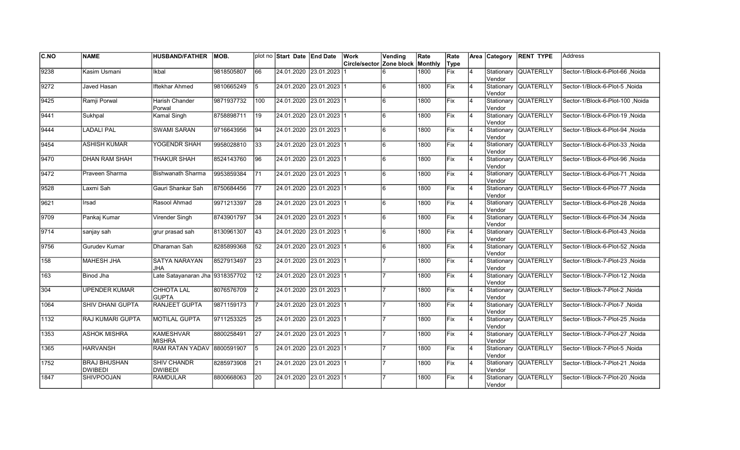| <b>C.NO</b>   | <b>NAME</b>                           | <b>HUSBAND/FATHER</b>                | MOB.       |                 | plot no Start Date End Date | Work                                    | Vending | Rate | Rate |                | Area Category         | <b>RENT TYPE</b>     | <b>Address</b>                   |
|---------------|---------------------------------------|--------------------------------------|------------|-----------------|-----------------------------|-----------------------------------------|---------|------|------|----------------|-----------------------|----------------------|----------------------------------|
|               |                                       |                                      |            |                 |                             | <b>Circle/sector Zone block Monthly</b> |         |      | Type |                |                       |                      |                                  |
| 9238          | Kasim Usmani                          | Ikbal                                | 9818505807 | 66              | 24.01.2020 23.01.2023       |                                         | 6       | 1800 | Fix  | 4              | Stationary<br>Vendor  | <b>QUATERLLY</b>     | Sector-1/Block-6-Plot-66, Noida  |
| $\sqrt{9272}$ | Javed Hasan                           | Iftekhar Ahmed                       | 9810665249 | 5               | 24.01.2020 23.01.2023 1     |                                         | l6      | 1800 | Fix  | $\overline{4}$ | Vendor                | Stationary QUATERLLY | Sector-1/Block-6-Plot-5, Noida   |
| 9425          | Ramji Porwal                          | Harish Chander<br>Porwal             | 9871937732 | 100             | 24.01.2020 23.01.2023 1     |                                         | 6       | 1800 | Fix  | $\overline{4}$ | Vendor                | Stationary QUATERLLY | Sector-1/Block-6-Plot-100 .Noida |
| 9441          | Sukhpal                               | Kamal Singh                          | 8758898711 | 19              | 24.01.2020 23.01.2023 1     |                                         | 6       | 1800 | Fix  | $\overline{4}$ | Vendor                | Stationary QUATERLLY | Sector-1/Block-6-Plot-19, Noida  |
| 9444          | <b>LADALI PAL</b>                     | <b>SWAMI SARAN</b>                   | 9716643956 | 94              | 24.01.2020 23.01.2023 1     |                                         | 6       | 1800 | Fix  | $\overline{4}$ | Vendor                | Stationary QUATERLLY | Sector-1/Block-6-Plot-94, Noida  |
| 9454          | <b>ASHISH KUMAR</b>                   | YOGENDR SHAH                         | 9958028810 | 33              | 24.01.2020 23.01.2023 1     |                                         | 6       | 1800 | Fix  | $\overline{4}$ | Stationary<br>lVendor | <b>QUATERLLY</b>     | Sector-1/Block-6-Plot-33, Noida  |
| 9470          | <b>DHAN RAM SHAH</b>                  | THAKUR SHAH                          | 8524143760 | 96              | 24.01.2020 23.01.2023 1     |                                         | 6       | 1800 | Fix  | $\overline{4}$ | Vendor                | Stationary QUATERLLY | Sector-1/Block-6-Plot-96, Noida  |
| 9472          | Praveen Sharma                        | <b>Bishwanath Sharma</b>             | 9953859384 | 171             | 24.01.2020 23.01.2023 1     |                                         | 6       | 1800 | Fix  | $\overline{4}$ | Vendor                | Stationary QUATERLLY | Sector-1/Block-6-Plot-71 , Noida |
| 9528          | Laxmi Sah                             | Gauri Shankar Sah                    | 8750684456 | 177             | 24.01.2020 23.01.2023 1     |                                         | 6       | 1800 | Fix  | $\overline{4}$ | Vendor                | Stationary QUATERLLY | Sector-1/Block-6-Plot-77 , Noida |
| 9621          | Irsad                                 | Rasool Ahmad                         | 9971213397 | 28              | 24.01.2020 23.01.2023 1     |                                         | 6       | 1800 | Fix  | $\overline{4}$ | Vendor                | Stationary QUATERLLY | Sector-1/Block-6-Plot-28, Noida  |
| 9709          | Pankaj Kumar                          | Virender Singh                       | 8743901797 | 34              | 24.01.2020 23.01.2023 1     |                                         | 6       | 1800 | Fix  | 4              | Vendor                | Stationary QUATERLLY | Sector-1/Block-6-Plot-34, Noida  |
| 9714          | sanjay sah                            | grur prasad sah                      | 8130961307 | 43              | 24.01.2020 23.01.2023 1     |                                         | l6      | 1800 | Fix  | 4              | Vendor                | Stationary QUATERLLY | Sector-1/Block-6-Plot-43, Noida  |
| 9756          | Gurudev Kumar                         | Dharaman Sah                         | 8285899368 | 52              | 24.01.2020 23.01.2023 1     |                                         | l6      | 1800 | Fix  | $\overline{4}$ | Vendor                | Stationary QUATERLLY | Sector-1/Block-6-Plot-52, Noida  |
| 158           | <b>MAHESH JHA</b>                     | <b>SATYA NARAYAN</b><br>JHA          | 8527913497 | 23              | 24.01.2020 23.01.2023 1     |                                         |         | 1800 | Fix  | $\overline{4}$ | Stationary<br>lVendor | <b>QUATERLLY</b>     | Sector-1/Block-7-Plot-23, Noida  |
| 163           | Binod Jha                             | Late Satayanaran Jha 9318357702      |            | 12              | 24.01.2020 23.01.2023 1     |                                         |         | 1800 | Fix  | $\overline{4}$ | Vendor                | Stationary QUATERLLY | Sector-1/Block-7-Plot-12, Noida  |
| 304           | <b>UPENDER KUMAR</b>                  | <b>CHHOTA LAL</b><br><b>GUPTA</b>    | 8076576709 | $\vert$ 2       | 24.01.2020 23.01.2023 1     |                                         |         | 1800 | Fix  | 4              | Vendor                | Stationary QUATERLLY | Sector-1/Block-7-Plot-2, Noida   |
| 1064          | SHIV DHANI GUPTA                      | RANJEET GUPTA                        | 9871159173 |                 | 24.01.2020 23.01.2023 1     |                                         |         | 1800 | Fix  | $\overline{4}$ | Vendor                | Stationary QUATERLLY | Sector-1/Block-7-Plot-7, Noida   |
| 1132          | RAJ KUMARI GUPTA                      | <b>MOTILAL GUPTA</b>                 | 9711253325 | 25              | 24.01.2020 23.01.2023 1     |                                         |         | 1800 | Fix  | 4              | Stationary<br>Vendor  | <b>QUATERLLY</b>     | Sector-1/Block-7-Plot-25, Noida  |
| 1353          | <b>ASHOK MISHRA</b>                   | <b>KAMESHVAR</b><br><b>MISHRA</b>    | 8800258491 | 27              | 24.01.2020 23.01.2023 1     |                                         |         | 1800 | Fix  | $\overline{4}$ | Stationary<br>Vendor  | <b>QUATERLLY</b>     | Sector-1/Block-7-Plot-27, Noida  |
| 1365          | <b>HARVANSH</b>                       | RAM RATAN YADAV 8800591907           |            | 5               | 24.01.2020 23.01.2023 1     |                                         |         | 1800 | Fix  | $\overline{4}$ | Vendor                | Stationary QUATERLLY | Sector-1/Block-7-Plot-5, Noida   |
| 1752          | <b>BRAJ BHUSHAN</b><br><b>DWIBEDI</b> | <b>SHIV CHANDR</b><br><b>DWIBEDI</b> | 8285973908 | $\overline{21}$ | 24.01.2020 23.01.2023 1     |                                         |         | 1800 | Fix  | $\overline{4}$ | Vendor                | Stationary QUATERLLY | Sector-1/Block-7-Plot-21, Noida  |
| 1847          | <b>SHIVPOOJAN</b>                     | <b>RAMDULAR</b>                      | 8800668063 | 20              | 24.01.2020 23.01.2023 1     |                                         |         | 1800 | Fix  | $\overline{4}$ | Stationary<br>Vendor  | <b>QUATERLLY</b>     | Sector-1/Block-7-Plot-20, Noida  |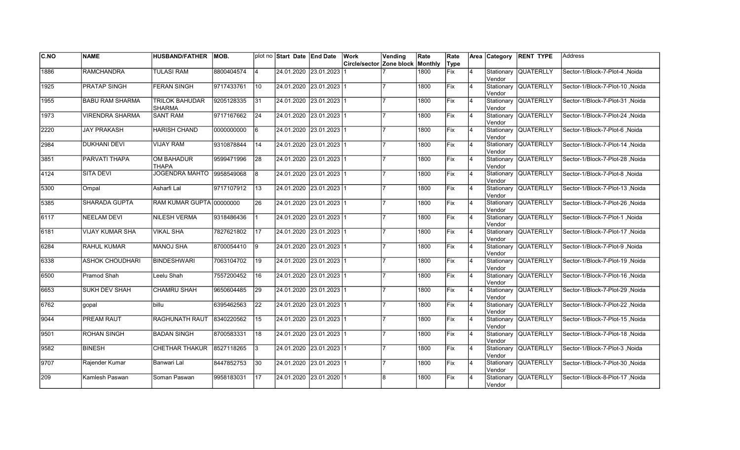| CNO  | <b>NAME</b>            | <b>HUSBAND/FATHER</b>                  | IMOB.      |                 | plot no Start Date End Date | Work                     | Vending | Rate    | Rate        |                | Area Category         | <b>RENT TYPE</b>     | <b>Address</b>                  |
|------|------------------------|----------------------------------------|------------|-----------------|-----------------------------|--------------------------|---------|---------|-------------|----------------|-----------------------|----------------------|---------------------------------|
|      |                        |                                        |            |                 |                             | Circle/sector Zone block |         | Monthly | Type        |                |                       |                      |                                 |
| 1886 | <b>RAMCHANDRA</b>      | <b>TULASI RAM</b>                      | 8800404574 | 4               | 24.01.2020 23.01.2023       |                          |         | 1800    | <b>Fix</b>  | $\overline{4}$ | Stationary<br>Vendor  | <b>QUATERLLY</b>     | Sector-1/Block-7-Plot-4, Noida  |
| 1925 | <b>PRATAP SINGH</b>    | <b>FERAN SINGH</b>                     | 9717433761 | 10              | 24.01.2020 23.01.2023 1     |                          |         | 1800    | Fix         | 4              | Vendor                | Stationary QUATERLLY | Sector-1/Block-7-Plot-10 Noida  |
| 1955 | <b>BABU RAM SHARMA</b> | <b>TRILOK BAHUDAR</b><br><b>SHARMA</b> | 9205128335 | 31              | 24.01.2020 23.01.2023 1     |                          |         | 1800    | Fix         | 4              | Vendor                | Stationary QUATERLLY | Sector-1/Block-7-Plot-31, Noida |
| 1973 | <b>VIRENDRA SHARMA</b> | <b>SANT RAM</b>                        | 9717167662 | $\overline{24}$ | 24.01.2020 23.01.2023 1     |                          |         | 1800    | Fix         | $\overline{4}$ | Vendor                | Stationary QUATERLLY | Sector-1/Block-7-Plot-24, Noida |
| 2220 | <b>JAY PRAKASH</b>     | <b>HARISH CHAND</b>                    | 0000000000 | l6              | 24.01.2020 23.01.2023 1     |                          |         | 1800    | Fix         | $\overline{4}$ | Vendor                | Stationary QUATERLLY | Sector-1/Block-7-Plot-6, Noida  |
| 2984 | <b>DUKHANI DEVI</b>    | <b>VIJAY RAM</b>                       | 9310878844 | 14              | 24.01.2020 23.01.2023 1     |                          |         | 1800    | Fix         | $\overline{4}$ | Stationary<br>Vendor  | <b>QUATERLLY</b>     | Sector-1/Block-7-Plot-14, Noida |
| 3851 | PARVATI THAPA          | <b>OM BAHADUR</b><br><b>THAPA</b>      | 9599471996 | 28              | 24.01.2020 23.01.2023 1     |                          |         | 1800    | Fix         | 4              | Vendor                | Stationary QUATERLLY | Sector-1/Block-7-Plot-28, Noida |
| 4124 | <b>SITA DEVI</b>       | <b>JOGENDRA MAHTO</b>                  | 9958549068 | 8               | 24.01.2020 23.01.2023 1     |                          |         | 1800    | Fix         | 4              | Vendor                | Stationary QUATERLLY | Sector-1/Block-7-Plot-8, Noida  |
| 5300 | Ompal                  | Asharfi Lal                            | 9717107912 | 13              | 24.01.2020 23.01.2023 1     |                          |         | 1800    | Fix         | $\overline{4}$ | Stationary<br>lVendor | <b>QUATERLLY</b>     | Sector-1/Block-7-Plot-13, Noida |
| 5385 | <b>SHARADA GUPTA</b>   | RAM KUMAR GUPTA 00000000               |            | 26              | 24.01.2020 23.01.2023 1     |                          |         | 1800    | Fix         | $\overline{4}$ | lVendor               | Stationary QUATERLLY | Sector-1/Block-7-Plot-26, Noida |
| 6117 | <b>NEELAM DEVI</b>     | <b>NILESH VERMA</b>                    | 9318486436 |                 | 24.01.2020 23.01.2023 1     |                          |         | 1800    | Fix         | 4              | lVendor               | Stationary QUATERLLY | Sector-1/Block-7-Plot-1, Noida  |
| 6181 | VIJAY KUMAR SHA        | <b>VIKAL SHA</b>                       | 7827621802 | 17              | 24.01.2020 23.01.2023 1     |                          |         | 1800    | Fix         | 4              | Vendor                | Stationary QUATERLLY | Sector-1/Block-7-Plot-17, Noida |
| 6284 | RAHUL KUMAR            | MANOJ SHA                              | 8700054410 | 19              | 24.01.2020 23.01.2023 1     |                          |         | 1800    | Fix         | 4              | Vendor                | Stationary QUATERLLY | Sector-1/Block-7-Plot-9, Noida  |
| 6338 | <b>ASHOK CHOUDHARI</b> | <b>BINDESHWARI</b>                     | 7063104702 | 19              | 24.01.2020 23.01.2023 1     |                          |         | 1800    | <b>IFix</b> | $\overline{4}$ | Vendor                | Stationary QUATERLLY | Sector-1/Block-7-Plot-19 Noida  |
| 6500 | Pramod Shah            | Leelu Shah                             | 7557200452 | 16              | 24.01.2020 23.01.2023 1     |                          |         | 1800    | Fix         | $\overline{4}$ | Vendor                | Stationary QUATERLLY | Sector-1/Block-7-Plot-16, Noida |
| 6653 | <b>SUKH DEV SHAH</b>   | <b>CHAMRU SHAH</b>                     | 9650604485 | $\overline{29}$ | 24.01.2020 23.01.2023 1     |                          |         | 1800    | Fix         | $\overline{4}$ | Vendor                | Stationary QUATERLLY | Sector-1/Block-7-Plot-29, Noida |
| 6762 | gopal                  | billu                                  | 6395462563 | $\overline{22}$ | 24.01.2020 23.01.2023 1     |                          |         | 1800    | Fix         | 4              | Vendor                | Stationary QUATERLLY | Sector-1/Block-7-Plot-22, Noida |
| 9044 | PREAM RAUT             | RAGHUNATH RAUT                         | 8340220562 | 15              | 24.01.2020 23.01.2023 1     |                          |         | 1800    | Fix         | 4              | Vendor                | Stationary QUATERLLY | Sector-1/Block-7-Plot-15, Noida |
| 9501 | <b>ROHAN SINGH</b>     | <b>BADAN SINGH</b>                     | 8700583331 | 18              | 24.01.2020 23.01.2023 1     |                          |         | 1800    | Fix         | $\overline{4}$ | Stationary<br>Vendor  | <b>QUATERLLY</b>     | Sector-1/Block-7-Plot-18, Noida |
| 9582 | <b>BINESH</b>          | <b>CHETHAR THAKUR</b>                  | 8527118265 | 3               | 24.01.2020 23.01.2023 1     |                          |         | 1800    | Fix         | $\overline{4}$ | Vendor                | Stationary QUATERLLY | Sector-1/Block-7-Plot-3, Noida  |
| 9707 | Rajender Kumar         | Banwari Lal                            | 8447852753 | $\overline{30}$ | 24.01.2020 23.01.2023 1     |                          |         | 1800    | Fix         | $\overline{4}$ | Vendor                | Stationary QUATERLLY | Sector-1/Block-7-Plot-30, Noida |
| 209  | Kamlesh Paswan         | Soman Paswan                           | 9958183031 | 17              | 24.01.2020 23.01.2020 1     |                          | 8       | 1800    | Fix         | 4              | Stationary<br>Vendor  | <b>QUATERLLY</b>     | Sector-1/Block-8-Plot-17, Noida |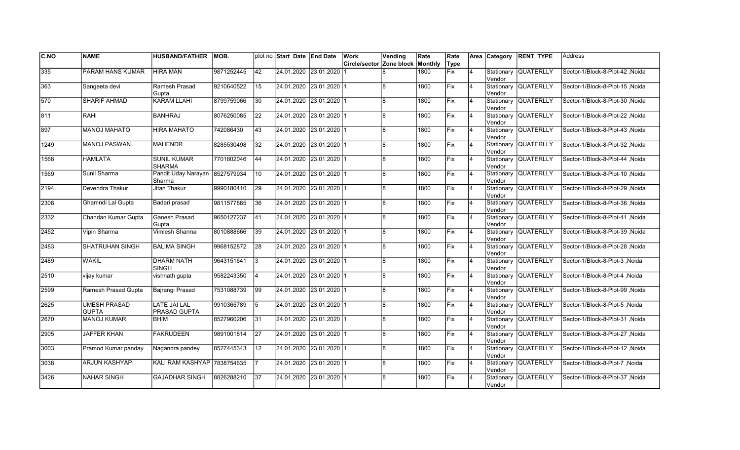| CNO           | <b>NAME</b>                         | <b>HUSBAND/FATHER</b>                    | IMOB.      |                 | plot no Start Date End Date | Work                     | Vending | Rate    | Rate        |                | Area Category         | <b>RENT TYPE</b>     | <b>Address</b>                   |
|---------------|-------------------------------------|------------------------------------------|------------|-----------------|-----------------------------|--------------------------|---------|---------|-------------|----------------|-----------------------|----------------------|----------------------------------|
|               |                                     |                                          |            |                 |                             | Circle/sector Zone block |         | Monthly | Type        |                |                       |                      |                                  |
| 335           | PARAM HANS KUMAR                    | <b>HIRA MAN</b>                          | 9871252445 | $ 42\rangle$    | 24.01.2020 23.01.2020       |                          |         | 1800    | <b>Fix</b>  | $\overline{4}$ | Stationary<br>Vendor  | <b>QUATERLLY</b>     | Sector-1/Block-8-Plot-42, Noida  |
| 363           | Sangeeta devi                       | Ramesh Prasad<br>Gupta                   | 9210640522 | 15              | 24.01.2020 23.01.2020 1     |                          | l8      | 1800    | Fix         | 4              | Vendor                | Stationary QUATERLLY | Sector-1/Block-8-Plot-15 Noida   |
| 570           | <b>SHARIF AHMAD</b>                 | <b>KARAM LLAHI</b>                       | 8799759066 | $ 30\rangle$    | 24.01.2020 23.01.2020 1     |                          | 8       | 1800    | Fix         | 4              | Vendor                | Stationary QUATERLLY | Sector-1/Block-8-Plot-30, Noida  |
| 811           | <b>RAHI</b>                         | <b>BANHRAJ</b>                           | 8076250085 | $\overline{22}$ | 24.01.2020 23.01.2020 1     |                          | l8      | 1800    | Fix         | $\overline{4}$ | Vendor                | Stationary QUATERLLY | Sector-1/Block-8-Plot-22, Noida  |
| 897           | <b>MANOJ MAHATO</b>                 | <b>HIRA MAHATO</b>                       | 742086430  | 43              | 24.01.2020 23.01.2020 1     |                          | 8       | 1800    | Fix         | $\overline{4}$ | Vendor                | Stationary QUATERLLY | Sector-1/Block-8-Plot-43, Noida  |
| 1249          | <b>MANOJ PASWAN</b>                 | <b>MAHENDR</b>                           | 8285530498 | 32              | 24.01.2020 23.01.2020 1     |                          | 8       | 1800    | Fix         | $\overline{4}$ | Stationary<br>Vendor  | <b>QUATERLLY</b>     | Sector-1/Block-8-Plot-32, Noida  |
| 1568          | <b>HAMLATA</b>                      | <b>SUNIL KUMAR</b><br><b>SHARMA</b>      | 7701802046 | 44              | 24.01.2020 23.01.2020 1     |                          | 8       | 1800    | Fix         | 4              | Vendor                | Stationary QUATERLLY | Sector-1/Block-8-Plot-44, Noida  |
| 1569          | Sunil Sharma                        | Pandit Uday Narayan 8527579934<br>Sharma |            | 10              | 24.01.2020 23.01.2020 1     |                          | 8       | 1800    | Fix         | 4              | Vendor                | Stationary QUATERLLY | Sector-1/Block-8-Plot-10, Noida  |
| 2194          | Devendra Thakur                     | Jitan Thakur                             | 9990180410 | 29              | 24.01.2020 23.01.2020 1     |                          | 8       | 1800    | Fix         | $\overline{4}$ | Stationary<br>lVendor | <b>QUATERLLY</b>     | Sector-1/Block-8-Plot-29, Noida  |
| 2308          | Ghamndi Lal Gupta                   | Badari prasad                            | 9811577885 | $\overline{36}$ | 24.01.2020 23.01.2020 1     |                          | 8       | 1800    | Fix         | $\overline{4}$ | lVendor               | Stationary QUATERLLY | Sector-1/Block-8-Plot-36, Noida  |
| 2332          | Chandan Kumar Gupta                 | Ganesh Prasad<br>Gupta                   | 9650127237 | $\overline{41}$ | 24.01.2020 23.01.2020 1     |                          | 8       | 1800    | Fix         | 4              | lVendor               | Stationary QUATERLLY | Sector-1/Block-8-Plot-41 , Noida |
| 2452          | Vipin Sharma                        | Vimlesh Sharma                           | 8010888666 | 39              | 24.01.2020 23.01.2020 1     |                          | 8       | 1800    | Fix         | 4              | Vendor                | Stationary QUATERLLY | Sector-1/Block-8-Plot-39, Noida  |
| 2483          | SHATRUHAN SINGH                     | <b>BALIMA SINGH</b>                      | 9968152872 | 28              | 24.01.2020 23.01.2020 1     |                          | l8      | 1800    | Fix         | 4              | Vendor                | Stationary QUATERLLY | Sector-1/Block-8-Plot-28, Noida  |
| 2489          | <b>WAKIL</b>                        | <b>DHARM NATH</b><br><b>SINGH</b>        | 9643151641 | l3              | 24.01.2020 23.01.2020 1     |                          | 8       | 1800    | <b>IFix</b> | $\overline{4}$ | Stationary<br>Vendor  | <b>QUATERLLY</b>     | Sector-1/Block-8-Plot-3, Noida   |
| $\sqrt{2510}$ | vijay kumar                         | vishnath gupta                           | 9582243350 |                 | 24.01.2020 23.01.2020 1     |                          | 8       | 1800    | Fix         | $\overline{4}$ | Vendor                | Stationary QUATERLLY | Sector-1/Block-8-Plot-4, Noida   |
| 2599          | Ramesh Prasad Gupta                 | Bajrangi Prasad                          | 7531088739 | $\overline{99}$ | 24.01.2020 23.01.2020 1     |                          | 8       | 1800    | Fix         | $\overline{4}$ | Vendor                | Stationary QUATERLLY | Sector-1/Block-8-Plot-99, Noida  |
| 2625          | <b>UMESH PRASAD</b><br><b>GUPTA</b> | <b>LATE JAI LAL</b><br>PRASAD GUPTA      | 9910365789 | 5               | 24.01.2020 23.01.2020 1     |                          | 8       | 1800    | Fix         | 4              | Vendor                | Stationary QUATERLLY | Sector-1/Block-8-Plot-5, Noida   |
| 2670          | <b>MANOJ KUMAR</b>                  | BHIM                                     | 8527960206 | 31              | 24.01.2020 23.01.2020 1     |                          | 8       | 1800    | Fix         | 4              | Vendor                | Stationary QUATERLLY | Sector-1/Block-8-Plot-31 , Noida |
| 2905          | <b>JAFFER KHAN</b>                  | <b>FAKRUDEEN</b>                         | 9891001814 | 27              | 24.01.2020 23.01.2020 1     |                          | 8       | 1800    | Fix         | $\overline{4}$ | Stationary<br>Vendor  | <b>QUATERLLY</b>     | Sector-1/Block-8-Plot-27 , Noida |
| 3003          | Pramod Kumar panday                 | Nagandra pandey                          | 8527445343 | 12              | 24.01.2020 23.01.2020 1     |                          | 8       | 1800    | Fix         | $\overline{4}$ | Vendor                | Stationary QUATERLLY | Sector-1/Block-8-Plot-12, Noida  |
| 3038          | <b>ARJUN KASHYAP</b>                | KALI RAM KASHYAP 7838754635              |            |                 | 24.01.2020 23.01.2020 1     |                          | 8       | 1800    | Fix         | $\overline{4}$ | Vendor                | Stationary QUATERLLY | Sector-1/Block-8-Plot-7, Noida   |
| 3426          | <b>NAHAR SINGH</b>                  | <b>GAJADHAR SINGH</b>                    | 8826288210 | 37              | 24.01.2020 23.01.2020 1     |                          | 8       | 1800    | Fix         | 4              | Stationary<br>Vendor  | <b>QUATERLLY</b>     | Sector-1/Block-8-Plot-37, Noida  |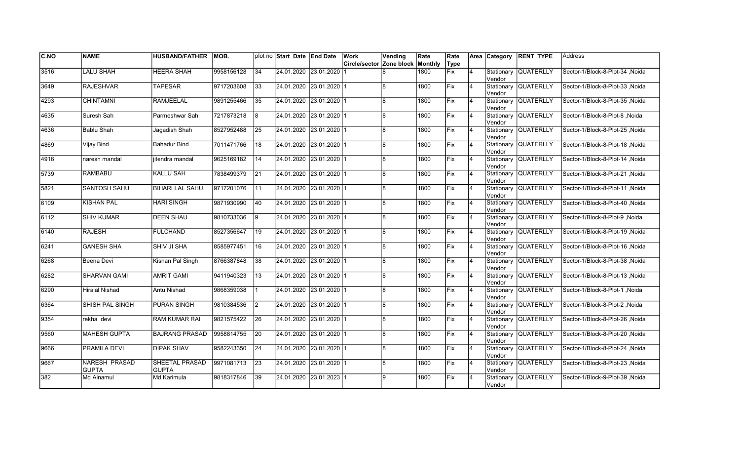| C.NO | <b>NAME</b>                          | <b>HUSBAND/FATHER</b>                 | MOB.       |                  | plot no Start Date End Date | Work                     | Vending        | Rate    | Rate        |                | Area Category        | <b>RENT TYPE</b>     | <b>Address</b>                   |
|------|--------------------------------------|---------------------------------------|------------|------------------|-----------------------------|--------------------------|----------------|---------|-------------|----------------|----------------------|----------------------|----------------------------------|
|      |                                      |                                       |            |                  |                             | Circle/sector Zone block |                | Monthly | Type        |                |                      |                      |                                  |
| 3516 | <b>LALU SHAH</b>                     | <b>HEERA SHAH</b>                     | 9958156128 | $\overline{34}$  | 24.01.2020 23.01.2020       |                          |                | 1800    | <b>Fix</b>  | $\overline{4}$ | Vendor               | Stationary QUATERLLY | Sector-1/Block-8-Plot-34, Noida  |
| 3649 | <b>RAJESHVAR</b>                     | <b>TAPESAR</b>                        | 9717203608 | 33               | 24.01.2020 23.01.2020 1     |                          | 8l             | 1800    | Fix         | 4              | Vendor               | Stationary QUATERLLY | Sector-1/Block-8-Plot-33, Noida  |
| 4293 | <b>CHINTAMNI</b>                     | <b>RAMJEELAL</b>                      | 9891255466 | 35               | 24.01.2020 23.01.2020 1     |                          | 8              | 1800    | Fix         | 4              | Vendor               | Stationary QUATERLLY | Sector-1/Block-8-Plot-35 .Noida  |
| 4635 | Suresh Sah                           | Parmeshwar Sah                        | 7217873218 | l8               | 24.01.2020 23.01.2020 1     |                          | 8              | 1800    | Fix         | $\overline{4}$ | Vendor               | Stationary QUATERLLY | Sector-1/Block-8-Plot-8, Noida   |
| 4636 | <b>Bablu Shah</b>                    | Jagadish Shah                         | 8527952488 | 25               | 24.01.2020 23.01.2020 1     |                          | 8              | 1800    | Fix         | $\overline{4}$ | Vendor               | Stationary QUATERLLY | Sector-1/Block-8-Plot-25, Noida  |
| 4869 | Vijay Bind                           | <b>Bahadur Bind</b>                   | 7011471766 | $\overline{118}$ | 24.01.2020 23.01.2020 1     |                          | $\overline{8}$ | 1800    | Fix         | $\overline{4}$ | Vendor               | Stationary QUATERLLY | Sector-1/Block-8-Plot-18, Noida  |
| 4916 | naresh mandal                        | jitendra mandal                       | 9625169182 | 14               | 24.01.2020 23.01.2020 1     |                          | 8              | 1800    | Fix         | $\overline{4}$ | Vendor               | Stationary QUATERLLY | Sector-1/Block-8-Plot-14, Noida  |
| 5739 | <b>RAMBABU</b>                       | KALLU SAH                             | 7838499379 | 21               | 24.01.2020 23.01.2020 1     |                          | 8              | 1800    | Fix         | 4              | Vendor               | Stationary QUATERLLY | Sector-1/Block-8-Plot-21 , Noida |
| 5821 | SANTOSH SAHU                         | <b>BIHARI LAL SAHU</b>                | 9717201076 | l 11             | 24.01.2020  23.01.2020  1   |                          | 8              | 1800    | Fix         | 4              | Stationary<br>Vendor | <b>QUATERLLY</b>     | Sector-1/Block-8-Plot-11 , Noida |
| 6109 | <b>KISHAN PAL</b>                    | <b>HARI SINGH</b>                     | 9871930990 | 40               | 24.01.2020 23.01.2020 1     |                          | 8              | 1800    | Fix         | $\overline{4}$ | Vendor               | Stationary QUATERLLY | Sector-1/Block-8-Plot-40, Noida  |
| 6112 | <b>SHIV KUMAR</b>                    | <b>DEEN SHAU</b>                      | 9810733036 | l9               | 24.01.2020 23.01.2020 1     |                          | R              | 1800    | Fix         | 4              | Vendor               | Stationary QUATERLLY | Sector-1/Block-8-Plot-9, Noida   |
| 6140 | <b>RAJESH</b>                        | <b>FULCHAND</b>                       | 8527356647 | 19               | 24.01.2020 23.01.2020 1     |                          | R.             | 1800    | Fix         | $\overline{4}$ | Vendor               | Stationary QUATERLLY | Sector-1/Block-8-Plot-19, Noida  |
| 6241 | <b>GANESH SHA</b>                    | <b>SHIV JI SHA</b>                    | 8585977451 | 16               | 24.01.2020 23.01.2020 1     |                          | 8              | 1800    | Fix         | $\overline{4}$ | Vendor               | Stationary QUATERLLY | Sector-1/Block-8-Plot-16, Noida  |
| 6268 | Beena Devi                           | Kishan Pal Singh                      | 8766387848 | $\overline{38}$  | 24.01.2020 23.01.2020 1     |                          | 8              | 1800    | Fix         | $\overline{4}$ | Vendor               | Stationary QUATERLLY | Sector-1/Block-8-Plot-38, Noida  |
| 6282 | <b>SHARVAN GAMI</b>                  | <b>AMRIT GAMI</b>                     | 9411940323 | 13               | 24.01.2020 23.01.2020 1     |                          | 8              | 1800    | Fix         | 4              | Vendor               | Stationary QUATERLLY | Sector-1/Block-8-Plot-13, Noida  |
| 6290 | Hiralal Nishad                       | Antu Nishad                           | 9868359038 |                  | 24.01.2020 23.01.2020 1     |                          | 8              | 1800    | Fix         | 4              | Vendor               | Stationary QUATERLLY | Sector-1/Block-8-Plot-1, Noida   |
| 6364 | SHISH PAL SINGH                      | <b>PURAN SINGH</b>                    | 9810384536 | I2               | 24.01.2020 23.01.2020 1     |                          | 8              | 1800    | Fix         | 4              | Vendor               | Stationary QUATERLLY | Sector-1/Block-8-Plot-2, Noida   |
| 9354 | rekha devi                           | <b>RAM KUMAR RAI</b>                  | 9821575422 | 26               | 24.01.2020 23.01.2020 1     |                          | 8              | 1800    | <b>IFix</b> | $\overline{4}$ | Vendor               | Stationary QUATERLLY | Sector-1/Block-8-Plot-26, Noida  |
| 9560 | MAHESH GUPTA                         | <b>BAJRANG PRASAD</b>                 | 9958814755 | $\overline{20}$  | 24.01.2020 23.01.2020 1     |                          | 8              | 1800    | Fix         | $\overline{4}$ | Vendor               | Stationary QUATERLLY | Sector-1/Block-8-Plot-20, Noida  |
| 9666 | <b>PRAMILA DEVI</b>                  | <b>DIPAK SHAV</b>                     | 9582243350 | 24               | 24.01.2020 23.01.2020 1     |                          | 8              | 1800    | Fix         | 4              | Vendor               | Stationary QUATERLLY | Sector-1/Block-8-Plot-24, Noida  |
| 9667 | <b>NARESH PRASAD</b><br><b>GUPTA</b> | <b>SHEETAL PRASAD</b><br><b>GUPTA</b> | 9971081713 | 23               | 24.01.2020 23.01.2020 1     |                          | 8              | 1800    | Fix         | $\overline{4}$ | Vendor               | Stationary QUATERLLY | Sector-1/Block-8-Plot-23, Noida  |
| 382  | Md Ainamul                           | Md Karimula                           | 9818317846 | 39               | 24.01.2020 23.01.2023 1     |                          | 9              | 1800    | Fix         | 4              | Stationary<br>Vendor | <b>QUATERLLY</b>     | Sector-1/Block-9-Plot-39, Noida  |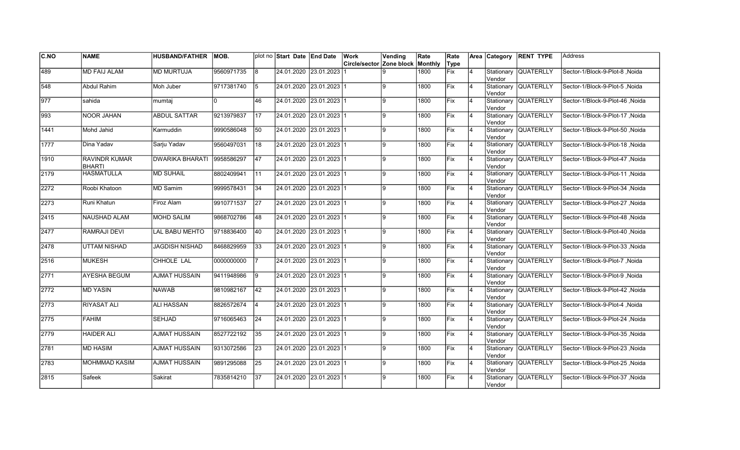| CNO              | <b>NAME</b>                    | <b>HUSBAND/FATHER</b>  | IMOB.      |                 | plot no Start Date End Date | Work                                    | Vending | Rate | Rate |                |                       | Area Category RENT TYPE | <b>Address</b>                   |
|------------------|--------------------------------|------------------------|------------|-----------------|-----------------------------|-----------------------------------------|---------|------|------|----------------|-----------------------|-------------------------|----------------------------------|
|                  |                                |                        |            |                 |                             | <b>Circle/sector Zone block Monthly</b> |         |      | Type |                |                       |                         |                                  |
| 489              | <b>MD FAIJ ALAM</b>            | <b>MD MURTUJA</b>      | 9560971735 | 8               | 24.01.2020 23.01.2023       |                                         | 9       | 1800 | Fix  | $\overline{4}$ | Stationary<br>Vendor  | <b>QUATERLLY</b>        | Sector-1/Block-9-Plot-8, Noida   |
| 548              | <b>Abdul Rahim</b>             | Moh Juber              | 9717381740 | 5               | 24.01.2020 23.01.2023 1     |                                         | ļ9      | 1800 | Fix  | $\overline{4}$ | Vendor                | Stationary QUATERLLY    | Sector-1/Block-9-Plot-5, Noida   |
| $\overline{977}$ | sahida                         | mumtaj                 |            | 46              | 24.01.2020 23.01.2023 1     |                                         | 9       | 1800 | Fix  | $\overline{4}$ | Vendor                | Stationary QUATERLLY    | Sector-1/Block-9-Plot-46 .Noida  |
| 993              | <b>NOOR JAHAN</b>              | <b>ABDUL SATTAR</b>    | 9213979837 | $\overline{17}$ | 24.01.2020 23.01.2023 1     |                                         | l9      | 1800 | Fix  | $\overline{4}$ | Vendor                | Stationary QUATERLLY    | Sector-1/Block-9-Plot-17, Noida  |
| 1441             | Mohd Jahid                     | Karmuddin              | 9990586048 | 50              | 24.01.2020 23.01.2023 1     |                                         | 9       | 1800 | Fix  | $\overline{4}$ | Vendor                | Stationary QUATERLLY    | Sector-1/Block-9-Plot-50, Noida  |
| 1777             | Dina Yadav                     | Sarju Yadav            | 9560497031 | 18              | 24.01.2020 23.01.2023 1     |                                         | g.      | 1800 | Fix  | $\overline{4}$ | Stationary<br>lVendor | <b>QUATERLLY</b>        | Sector-1/Block-9-Plot-18, Noida  |
| 1910             | RAVINDR KUMAR<br><b>BHARTI</b> | <b>DWARIKA BHARATI</b> | 9958586297 | 47              | 24.01.2020 23.01.2023 1     |                                         | 9       | 1800 | Fix  | $\overline{4}$ | Vendor                | Stationary QUATERLLY    | Sector-1/Block-9-Plot-47 , Noida |
| 2179             | <b>HASMATULLA</b>              | <b>MD SUHAIL</b>       | 8802409941 | 111             | 24.01.2020 23.01.2023 1     |                                         | 9       | 1800 | Fix  | $\overline{4}$ | Vendor                | Stationary QUATERLLY    | Sector-1/Block-9-Plot-11 , Noida |
| 2272             | Roobi Khatoon                  | MD Samim               | 9999578431 | 34              | 24.01.2020 23.01.2023 1     |                                         | l9      | 1800 | Fix  | $\overline{4}$ | Vendor                | Stationary QUATERLLY    | Sector-1/Block-9-Plot-34, Noida  |
| 2273             | Runi Khatun                    | Firoz Alam             | 9910771537 | 27              | 24.01.2020 23.01.2023 1     |                                         | l9.     | 1800 | Fix  | $\overline{4}$ | Vendor                | Stationary QUATERLLY    | Sector-1/Block-9-Plot-27, Noida  |
| 2415             | <b>NAUSHAD ALAM</b>            | <b>MOHD SALIM</b>      | 9868702786 | 48              | 24.01.2020 23.01.2023 1     |                                         | 9       | 1800 | Fix  | $\overline{4}$ | Vendor                | Stationary QUATERLLY    | Sector-1/Block-9-Plot-48, Noida  |
| 2477             | RAMRAJI DEVI                   | LAL BABU MEHTO         | 9718836400 | 40              | 24.01.2020 23.01.2023 1     |                                         | l9      | 1800 | Fix  | 4              | Vendor                | Stationary QUATERLLY    | Sector-1/Block-9-Plot-40, Noida  |
| 2478             | UTTAM NISHAD                   | JAGDISH NISHAD         | 8468829959 | 33              | 24.01.2020 23.01.2023 1     |                                         | l9      | 1800 | Fix  | $\overline{4}$ | Vendor                | Stationary QUATERLLY    | Sector-1/Block-9-Plot-33, Noida  |
| 2516             | <b>MUKESH</b>                  | CHHOLE LAL             | 0000000000 |                 | 24.01.2020 23.01.2023 1     |                                         | 9       | 1800 | Fix  | $\overline{4}$ | Vendor                | Stationary QUATERLLY    | Sector-1/Block-9-Plot-7, Noida   |
| 2771             | <b>AYESHA BEGUM</b>            | <b>AJMAT HUSSAIN</b>   | 9411948986 | Ι9              | 24.01.2020 23.01.2023 1     |                                         | 9       | 1800 | Fix  | $\overline{4}$ | Vendor                | Stationary QUATERLLY    | Sector-1/Block-9-Plot-9, Noida   |
| 2772             | <b>MD YASIN</b>                | <b>NAWAB</b>           | 9810982167 | 42              | 24.01.2020 23.01.2023 1     |                                         | 9       | 1800 | Fix  | 4              | Vendor                | Stationary QUATERLLY    | Sector-1/Block-9-Plot-42, Noida  |
| 2773             | <b>RIYASAT ALI</b>             | <b>ALI HASSAN</b>      | 8826572674 | 14              | 24.01.2020 23.01.2023 1     |                                         | 9       | 1800 | Fix  | $\overline{4}$ | Vendor                | Stationary QUATERLLY    | Sector-1/Block-9-Plot-4, Noida   |
| 2775             | <b>FAHIM</b>                   | SEHJAD                 | 9716065463 | 24              | 24.01.2020 23.01.2023 1     |                                         | 9       | 1800 | Fix  | 4              | Stationary<br>Vendor  | <b>QUATERLLY</b>        | Sector-1/Block-9-Plot-24 , Noida |
| 2779             | <b>HAIDER ALI</b>              | <b>AJMAT HUSSAIN</b>   | 8527722192 | 35              | 24.01.2020 23.01.2023 1     |                                         | 9       | 1800 | Fix  | $\overline{4}$ | Stationary<br>Vendor  | <b>QUATERLLY</b>        | Sector-1/Block-9-Plot-35, Noida  |
| 2781             | <b>MD HASIM</b>                | <b>AJMAT HUSSAIN</b>   | 9313072586 | $\overline{23}$ | 24.01.2020 23.01.2023 1     |                                         | l9      | 1800 | Fix  | $\overline{4}$ | Vendor                | Stationary QUATERLLY    | Sector-1/Block-9-Plot-23, Noida  |
| 2783             | <b>MOHMMAD KASIM</b>           | <b>AJMAT HUSSAIN</b>   | 9891295088 | $\overline{25}$ | 24.01.2020 23.01.2023 1     |                                         | 9       | 1800 | Fix  | $\overline{4}$ | Vendor                | Stationary QUATERLLY    | Sector-1/Block-9-Plot-25, Noida  |
| 2815             | Safeek                         | Sakirat                | 7835814210 | 37              | 24.01.2020 23.01.2023 1     |                                         | Ι9      | 1800 | Fix  | $\overline{4}$ | Stationary<br>Vendor  | <b>QUATERLLY</b>        | Sector-1/Block-9-Plot-37, Noida  |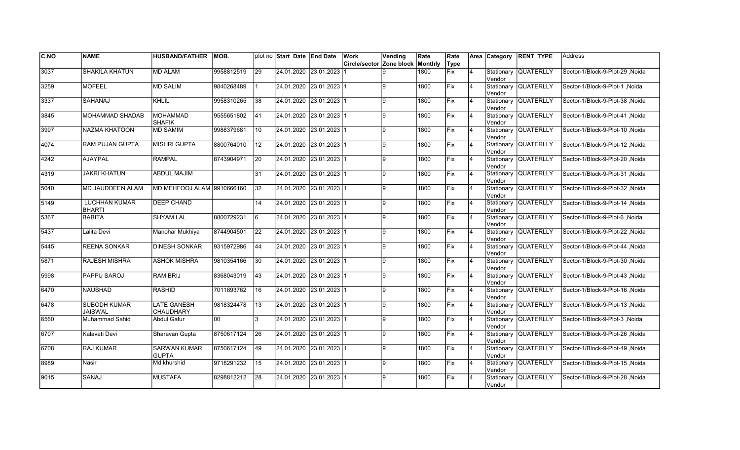| C.NO | <b>NAME</b>                           | <b>HUSBAND/FATHER</b>                  | IMOB.      |                 | plot no Start Date End Date | Work                     | Vending  | Rate    | Rate        |                | Area Category         | <b>RENT TYPE</b>     | <b>Address</b>                   |
|------|---------------------------------------|----------------------------------------|------------|-----------------|-----------------------------|--------------------------|----------|---------|-------------|----------------|-----------------------|----------------------|----------------------------------|
|      |                                       |                                        |            |                 |                             | Circle/sector Zone block |          | Monthly | Type        |                |                       |                      |                                  |
| 3037 | <b>SHAKILA KHATUN</b>                 | <b>MD ALAM</b>                         | 9958812519 | $\overline{29}$ | 24.01.2020 23.01.2023       |                          | <b>g</b> | 1800    | <b>Fix</b>  | $\overline{4}$ | Stationary<br>Vendor  | <b>QUATERLLY</b>     | Sector-1/Block-9-Plot-29, Noida  |
| 3259 | <b>MOFEEL</b>                         | <b>MD SALIM</b>                        | 9840268489 |                 | 24.01.2020 23.01.2023 1     |                          | l9.      | 1800    | Fix         | 4              | Vendor                | Stationary QUATERLLY | Sector-1/Block-9-Plot-1 .Noida   |
| 3337 | SAHANAJ                               | <b>KHLIL</b>                           | 9958310265 | 38              | 24.01.2020 23.01.2023 1     |                          | l9.      | 1800    | <b>IFix</b> | 4              | Vendor                | Stationary QUATERLLY | Sector-1/Block-9-Plot-38 .Noida  |
| 3845 | MOHAMMAD SHADAB                       | <b>MOHAMMAD</b><br><b>SHAFIK</b>       | 9555651802 | 41              | 24.01.2020 23.01.2023 1     |                          | l9       | 1800    | Fix         | $\overline{4}$ | Vendor                | Stationary QUATERLLY | Sector-1/Block-9-Plot-41, Noida  |
| 3997 | <b>NAZMA KHATOON</b>                  | <b>MD SAMIM</b>                        | 9988379681 | 10              | 24.01.2020 23.01.2023 1     |                          | 9        | 1800    | Fix         | $\overline{4}$ | lVendor               | Stationary QUATERLLY | Sector-1/Block-9-Plot-10, Noida  |
| 4074 | <b>RAM PUJAN GUPTA</b>                | <b>MISHRI GUPTA</b>                    | 8800764010 | $\overline{12}$ | 24.01.2020 23.01.2023 1     |                          | g        | 1800    | Fix         | $\overline{4}$ | Vendor                | Stationary QUATERLLY | Sector-1/Block-9-Plot-12, Noida  |
| 4242 | <b>AJAYPAL</b>                        | <b>RAMPAL</b>                          | 8743904971 | 20              | 24.01.2020 23.01.2023 1     |                          | 9        | 1800    | Fix         | 4              | Vendor                | Stationary QUATERLLY | Sector-1/Block-9-Plot-20, Noida  |
| 4319 | <b>JAKRI KHATUN</b>                   | ABDUL MAJIM                            |            | 31              | 24.01.2020 23.01.2023 1     |                          | 9        | 1800    | Fix         | 4              | Vendor                | Stationary QUATERLLY | Sector-1/Block-9-Plot-31 , Noida |
| 5040 | <b>MD JAUDDEEN ALAM</b>               | MD MEHFOOJ ALAM 9910666160             |            | 32              | 24.01.2020 23.01.2023 1     |                          | 9        | 1800    | <b>IFix</b> | 4              | Stationary<br>Vendor  | <b>QUATERLLY</b>     | Sector-1/Block-9-Plot-32 , Noida |
| 5149 | <b>LUCHHAN KUMAR</b><br><b>BHARTI</b> | <b>DEEP CHAND</b>                      |            | 14              | 24.01.2020 23.01.2023 1     |                          | 9        | 1800    | Fix         | $\overline{4}$ | Stationary<br>Vendor  | QUATERLLY            | Sector-1/Block-9-Plot-14, Noida  |
| 5367 | <b>BABITA</b>                         | <b>SHYAM LAL</b>                       | 8800729231 | l6              | 24.01.2020 23.01.2023 1     |                          | g.       | 1800    | Fix         | $\overline{4}$ | Vendor                | Stationary QUATERLLY | Sector-1/Block-9-Plot-6, Noida   |
| 5437 | Lalita Devi                           | Manohar Mukhiya                        | 8744904501 | $\overline{22}$ | 24.01.2020 23.01.2023 1     |                          | 9        | 1800    | Fix         | $\overline{4}$ | Vendor                | Stationary QUATERLLY | Sector-1/Block-9-Plot-22, Noida  |
| 5445 | <b>REENA SONKAR</b>                   | <b>DINESH SONKAR</b>                   | 9315972986 | 44              | 24.01.2020 23.01.2023 1     |                          | l9       | 1800    | Fix         | $\overline{4}$ | Vendor                | Stationary QUATERLLY | Sector-1/Block-9-Plot-44, Noida  |
| 5871 | <b>RAJESH MISHRA</b>                  | <b>ASHOK MISHRA</b>                    | 9810354166 | 30              | 24.01.2020 23.01.2023 1     |                          | 9        | 1800    | Fix         | $\overline{4}$ | Stationary<br>lVendor | <b>QUATERLLY</b>     | Sector-1/Block-9-Plot-30, Noida  |
| 5998 | PAPPU SAROJ                           | RAM BRIJ                               | 8368043019 | 43              | 24.01.2020 23.01.2023 1     |                          | 9        | 1800    | Fix         | 4              | lVendor               | Stationary QUATERLLY | Sector-1/Block-9-Plot-43, Noida  |
| 6470 | <b>NAUSHAD</b>                        | <b>RASHID</b>                          | 7011893762 | 16              | 24.01.2020 23.01.2023 1     |                          | Ι9       | 1800    | <b>Fix</b>  | 4              | Vendor                | Stationary QUATERLLY | Sector-1/Block-9-Plot-16, Noida  |
| 6478 | <b>SUBODH KUMAR</b><br><b>JAISWAL</b> | <b>LATE GANESH</b><br><b>CHAUDHARY</b> | 9818324478 | 13              | 24.01.2020 23.01.2023 1     |                          | l9       | 1800    | Fix         | 4              | Vendor                | Stationary QUATERLLY | Sector-1/Block-9-Plot-13 .Noida  |
| 6560 | Muhammad Sahid                        | <b>Abdul Gafur</b>                     | loo -      | 3               | 24.01.2020 23.01.2023 1     |                          | 9        | 1800    | <b>IFix</b> | $\overline{4}$ | Vendor                | Stationary QUATERLLY | Sector-1/Block-9-Plot-3, Noida   |
| 6707 | Kalavati Devi                         | Sharavan Gupta                         | 8750617124 | $\overline{26}$ | 24.01.2020 23.01.2023 1     |                          | 9        | 1800    | Fix         | 4              | Vendor                | Stationary QUATERLLY | Sector-1/Block-9-Plot-26 .Noida  |
| 6708 | <b>RAJ KUMAR</b>                      | <b>SARWAN KUMAR</b><br><b>GUPTA</b>    | 8750617124 | 49              | 24.01.2020 23.01.2023 1     |                          | l9       | 1800    | Fix         | $\overline{4}$ | Vendor                | Stationary QUATERLLY | Sector-1/Block-9-Plot-49, Noida  |
| 8989 | Nasir                                 | Md khurshid                            | 9718291232 | 15              | 24.01.2020 23.01.2023 1     |                          | l9       | 1800    | Fix         | $\overline{4}$ | Vendor                | Stationary QUATERLLY | Sector-1/Block-9-Plot-15, Noida  |
| 9015 | SANAJ                                 | <b>MUSTAFA</b>                         | 8298812212 | 28              | 24.01.2020 23.01.2023 1     |                          | 9        | 1800    | Fix         | 4              | Stationary<br>Vendor  | <b>QUATERLLY</b>     | Sector-1/Block-9-Plot-28, Noida  |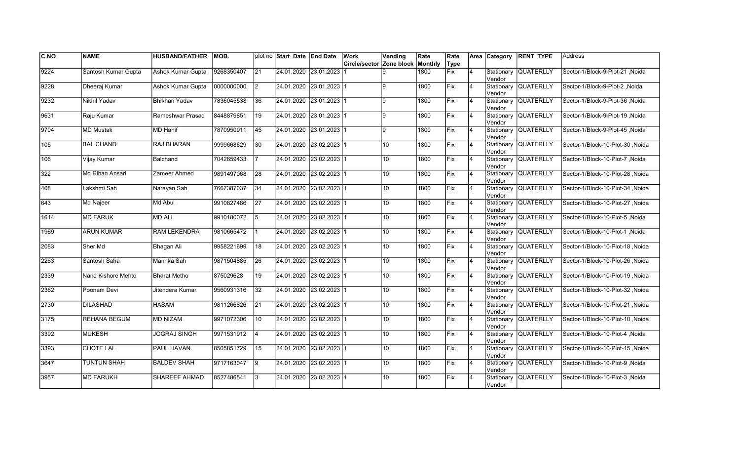| C.NO          | <b>NAME</b>         | <b>HUSBAND/FATHER</b>    | MOB.       |                 | plot no Start Date End Date |                         | <b>Work</b>                      | Vending         | Rate | Rate       |                | Area Category        | <b>RENT TYPE</b>     | <b>Address</b>                   |
|---------------|---------------------|--------------------------|------------|-----------------|-----------------------------|-------------------------|----------------------------------|-----------------|------|------------|----------------|----------------------|----------------------|----------------------------------|
|               |                     |                          |            |                 |                             |                         | Circle/sector Zone block Monthly |                 |      | Type       |                |                      |                      |                                  |
| 9224          | Santosh Kumar Gupta | <b>Ashok Kumar Gupta</b> | 9268350407 | $\overline{21}$ | 24.01.2020 23.01.2023       |                         |                                  |                 | 1800 | Fix        | 14             | Vendor               | Stationary QUATERLLY | Sector-1/Block-9-Plot-21, Noida  |
| 9228          | Dheeraj Kumar       | Ashok Kumar Gupta        | 0000000000 | $\overline{2}$  |                             | 24.01.2020 23.01.2023 1 |                                  | ۱q              | 1800 | Fix        | 4              | Vendor               | Stationary QUATERLLY | Sector-1/Block-9-Plot-2 .Noida   |
| 9232          | Nikhil Yadav        | <b>Bhikhari Yadav</b>    | 7836045538 | 36              | 24.01.2020 23.01.2023 1     |                         |                                  | $\mathbf{q}$    | 1800 | Fix        | 14             | lVendor              | Stationary QUATERLLY | Sector-1/Block-9-Plot-36, Noida  |
| 9631          | Raju Kumar          | Rameshwar Prasad         | 8448879851 | 19              | 24.01.2020 23.01.2023 1     |                         |                                  | 9               | 1800 | Fix        | 4              | Vendor               | Stationary QUATERLLY | Sector-1/Block-9-Plot-19, Noida  |
| $\sqrt{9704}$ | <b>MD Mustak</b>    | <b>MD Hanif</b>          | 7870950911 | 45              |                             | 24.01.2020 23.01.2023 1 |                                  | 9               | 1800 | Fix        | 4              | Vendor               | Stationary QUATERLLY | Sector-1/Block-9-Plot-45, Noida  |
| 105           | <b>BAL CHAND</b>    | <b>RAJ BHARAN</b>        | 9999668629 | $\overline{30}$ |                             | 24.01.2020 23.02.2023 1 |                                  | 10 <sup>1</sup> | 1800 | Fix        | 4              | Vendor               | Stationary QUATERLLY | Sector-1/Block-10-Plot-30, Noida |
| 106           | Vijay Kumar         | Balchand                 | 7042659433 |                 |                             | 24.01.2020 23.02.2023 1 |                                  | 10 <sup>1</sup> | 1800 | <b>Fix</b> | 4              | Vendor               | Stationary QUATERLLY | Sector-1/Block-10-Plot-7, Noida  |
| 322           | Md Rihan Ansari     | Zameer Ahmed             | 9891497068 | 28              | 24.01.2020 23.02.2023 1     |                         |                                  | 10 <sup>1</sup> | 1800 | Fix        | 4              | Vendor               | Stationary QUATERLLY | Sector-1/Block-10-Plot-28, Noida |
| 408           | Lakshmi Sah         | Narayan Sah              | 7667387037 | 34              |                             | 24.01.2020 23.02.2023 1 |                                  | 10 <sup>1</sup> | 1800 | Fix        | 4              | Vendor               | Stationary QUATERLLY | Sector-1/Block-10-Plot-34, Noida |
| 643           | <b>Md Najeer</b>    | Md Abul                  | 9910827486 | $\overline{27}$ |                             | 24.01.2020 23.02.2023 1 |                                  | 10              | 1800 | Fix        | 4              | Vendor               | Stationary QUATERLLY | Sector-1/Block-10-Plot-27, Noida |
| 1614          | <b>MD FARUK</b>     | <b>MD ALI</b>            | 9910180072 | 5               |                             | 24.01.2020 23.02.2023 1 |                                  | 10 <sup>1</sup> | 1800 | Fix        | 14             | lVendor              | Stationary QUATERLLY | Noida Sector-1/Block-10-Plot-5   |
| 1969          | <b>ARUN KUMAR</b>   | <b>RAM LEKENDRA</b>      | 9810665472 |                 | 24.01.2020 23.02.2023 1     |                         |                                  | 10 <sup>1</sup> | 1800 | Fix        | 14             | Vendor               | Stationary QUATERLLY | Sector-1/Block-10-Plot-1, Noida  |
| 2083          | Sher Md             | Bhagan Ali               | 9958221699 | 18              |                             | 24.01.2020 23.02.2023 1 |                                  | 10 <sup>°</sup> | 1800 | Fix        | $\overline{4}$ | Vendor               | Stationary QUATERLLY | Sector-1/Block-10-Plot-18, Noida |
| 2263          | Santosh Saha        | Manrika Sah              | 9871504885 | 26              |                             | 24.01.2020 23.02.2023 1 |                                  | 10 <sup>1</sup> | 1800 | Fix        | 4              | Vendor               | Stationary QUATERLLY | Sector-1/Block-10-Plot-26 .Noida |
| 2339          | Nand Kishore Mehto  | <b>Bharat Metho</b>      | 875029628  | 19              |                             | 24.01.2020 23.02.2023 1 |                                  | 10 <sup>°</sup> | 1800 | Fix        | 4              | lVendor              | Stationary QUATERLLY | Sector-1/Block-10-Plot-19, Noida |
| 2362          | Poonam Devi         | Jitendera Kumar          | 9560931316 | $\overline{32}$ | 24.01.2020 23.02.2023 1     |                         |                                  | 10 <sup>1</sup> | 1800 | Fix        | 4              | lVendor              | Stationary QUATERLLY | Sector-1/Block-10-Plot-32, Noida |
| 2730          | <b>DILASHAD</b>     | <b>HASAM</b>             | 9811266826 | $\overline{21}$ |                             | 24.01.2020 23.02.2023 1 |                                  | 10              | 1800 | Fix        | 14             | Vendor               | Stationary QUATERLLY | Sector-1/Block-10-Plot-21, Noida |
| 3175          | REHANA BEGUM        | <b>MD NIZAM</b>          | 9971072306 | 10              |                             | 24.01.2020 23.02.2023 1 |                                  | 10 <sup>°</sup> | 1800 | Fix        | 4              | Vendor               | Stationary QUATERLLY | Sector-1/Block-10-Plot-10, Noida |
| 3392          | <b>MUKESH</b>       | <b>JOGRAJ SINGH</b>      | 9971531912 | $\overline{4}$  |                             | 24.01.2020 23.02.2023 1 |                                  | 10 <sup>1</sup> | 1800 | Fix        | 4              | Vendor               | Stationary QUATERLLY | Sector-1/Block-10-Plot-4, Noida  |
| 3393          | <b>CHOTE LAL</b>    | <b>PAUL HAVAN</b>        | 8505851729 | 15              |                             | 24.01.2020 23.02.2023 1 |                                  | 10 <sup>1</sup> | 1800 | Fix        | 4              | Vendor               | Stationary QUATERLLY | Sector-1/Block-10-Plot-15, Noida |
| 3647          | <b>TUNTUN SHAH</b>  | <b>BALDEV SHAH</b>       | 9717163047 | 19              | 24.01.2020 23.02.2023 1     |                         |                                  | 10 <sup>1</sup> | 1800 | Fix        | l4             | Vendor               | Stationary QUATERLLY | Sector-1/Block-10-Plot-9, Noida  |
| 3957          | <b>MD FARUKH</b>    | <b>SHAREEF AHMAD</b>     | 8527486541 | 13              |                             | 24.01.2020 23.02.2023 1 |                                  | 10              | 1800 | Fix        |                | Stationary<br>Vendor | <b>QUATERLLY</b>     | Sector-1/Block-10-Plot-3, Noida  |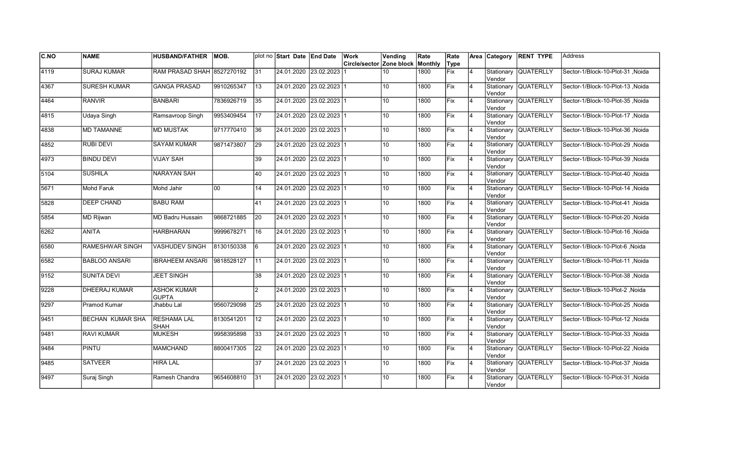| $\overline{C.NO}$ | <b>NAME</b>             | <b>HUSBAND/FATHER</b>              | MOB.       |                 | plot no Start Date End Date |                           | Work                     | Vending         | Rate    | Rate |                |         | Area Category RENT TYPE | <b>Address</b>                   |
|-------------------|-------------------------|------------------------------------|------------|-----------------|-----------------------------|---------------------------|--------------------------|-----------------|---------|------|----------------|---------|-------------------------|----------------------------------|
|                   |                         |                                    |            |                 |                             |                           | Circle/sector Zone block |                 | Monthly | Type |                |         |                         |                                  |
| 4119              | <b>SURAJ KUMAR</b>      | RAM PRASAD SHAH 8527270192         |            | 31              | 24.01.2020 23.02.2023       |                           |                          | 10 <sup>°</sup> | 1800    | Fix  | $\overline{4}$ | Vendor  | Stationary QUATERLLY    | Sector-1/Block-10-Plot-31 .Noida |
| 4367              | <b>SURESH KUMAR</b>     | <b>GANGA PRASAD</b>                | 9910265347 | 13              |                             | 24.01.2020 23.02.2023 1   |                          | 10 <sup>1</sup> | 1800    | Fix  | $\overline{4}$ | Vendor  | Stationary QUATERLLY    | Sector-1/Block-10-Plot-13 .Noida |
| 4464              | <b>RANVIR</b>           | <b>BANBARI</b>                     | 7836926719 | 35              | 24.01.2020 23.02.2023 1     |                           |                          | 10 <sup>1</sup> | 1800    | Fix  | $\overline{4}$ | Vendor  | Stationary QUATERLLY    | Sector-1/Block-10-Plot-35, Noida |
| 4815              | <b>Udaya Singh</b>      | Ramsavroop Singh                   | 9953409454 | $\overline{17}$ | 24.01.2020 23.02.2023 1     |                           |                          | 10 <sup>°</sup> | 1800    | Fix  | 4              | Vendor  | Stationary QUATERLLY    | Sector-1/Block-10-Plot-17, Noida |
| 4838              | <b>MD TAMANNE</b>       | <b>MD MUSTAK</b>                   | 9717770410 | 36              |                             | 24.01.2020 23.02.2023 1   |                          | 10 <sup>1</sup> | 1800    | Fix  | $\overline{4}$ | Vendor  | Stationary QUATERLLY    | Sector-1/Block-10-Plot-36, Noida |
| 4852              | <b>RUBI DEVI</b>        | <b>SAYAM KUMAR</b>                 | 9871473807 | 29              |                             | 24.01.2020 23.02.2023 1   |                          | 10              | 1800    | Fix  | 4              | lVendor | Stationary QUATERLLY    | Sector-1/Block-10-Plot-29, Noida |
| 4973              | <b>BINDU DEVI</b>       | <b>VIJAY SAH</b>                   |            | 39              |                             | 24.01.2020 23.02.2023 1   |                          | 10 <sup>1</sup> | 1800    | Fix  | 4              | Vendor  | Stationary QUATERLLY    | Sector-1/Block-10-Plot-39, Noida |
| 5104              | <b>SUSHILA</b>          | NARAYAN SAH                        |            | 40              | 24.01.2020 23.02.2023 1     |                           |                          | 10 <sup>1</sup> | 1800    | lFix | 4              | Vendor  | Stationary QUATERLLY    | Sector-1/Block-10-Plot-40, Noida |
| 5671              | Mohd Faruk              | Mohd Jahir                         | 100        | 14              |                             | 24.01.2020 23.02.2023 1   |                          | 10 <sup>1</sup> | 1800    | Fix  | $\overline{4}$ | Vendor  | Stationary QUATERLLY    | Sector-1/Block-10-Plot-14, Noida |
| 5828              | <b>DEEP CHAND</b>       | <b>BABU RAM</b>                    |            | 41              |                             | 24.01.2020 23.02.2023 1   |                          | 10 <sup>1</sup> | 1800    | Fix  | $\overline{4}$ | Vendor  | Stationary QUATERLLY    | Noida  Sector-1/Block-10-Plot-41 |
| 5854              | <b>MD Rijwan</b>        | MD Badru Hussain                   | 9868721885 | $ 20\rangle$    |                             | 24.01.2020 23.02.2023 1   |                          | 10              | 1800    | Fix  | $\overline{4}$ | Vendor  | Stationary QUATERLLY    | Sector-1/Block-10-Plot-20 .Noida |
| 6262              | <b>ANITA</b>            | <b>HARBHARAN</b>                   | 9999678271 | 16              | 24.01.2020 23.02.2023 1     |                           |                          | 10 <sup>1</sup> | 1800    | Fix  | <b>4</b>       | Vendor  | Stationary QUATERLLY    | Sector-1/Block-10-Plot-16, Noida |
| 6580              | RAMESHWAR SINGH         | VASHUDEV SINGH                     | 8130150338 | 6               | 24.01.2020 23.02.2023 1     |                           |                          | 10 <sup>°</sup> | 1800    | Fix  | 4              | Vendor  | Stationary QUATERLLY    | Sector-1/Block-10-Plot-6, Noida  |
| 6582              | <b>BABLOO ANSARI</b>    | <b>IBRAHEEM ANSARI</b>             | 9818528127 | 11              |                             | 24.01.2020 23.02.2023 1   |                          | 10 <sup>1</sup> | 1800    | Fix  | $\overline{4}$ | Vendor  | Stationary QUATERLLY    | Sector-1/Block-10-Plot-11, Noida |
| 9152              | <b>SUNITA DEVI</b>      | <b>JEET SINGH</b>                  |            | 38              | 24.01.2020 23.02.2023 1     |                           |                          | 10              | 1800    | Fix  | $\overline{4}$ | Vendor  | Stationary QUATERLLY    | Sector-1/Block-10-Plot-38, Noida |
| 9228              | <b>DHEERAJ KUMAR</b>    | <b>ASHOK KUMAR</b><br><b>GUPTA</b> |            | $\overline{2}$  | 24.01.2020 23.02.2023 1     |                           |                          | 10 <sup>1</sup> | 1800    | Fix  | 4              | Vendor  | Stationary QUATERLLY    | Sector-1/Block-10-Plot-2, Noida  |
| 9297              | Pramod Kumar            | Jhabbu Lal                         | 9560729098 | 25              | 24.01.2020 23.02.2023 1     |                           |                          | 10 <sup>1</sup> | 1800    | Fix  | $\overline{4}$ | Vendor  | Stationary QUATERLLY    | Sector-1/Block-10-Plot-25, Noida |
| 9451              | <b>BECHAN KUMAR SHA</b> | <b>RESHAMA LAL</b><br><b>SHAH</b>  | 8130541201 | 12              |                             | 24.01.2020  23.02.2023  1 |                          | 10 <sup>1</sup> | 1800    | lFix | $\overline{4}$ | Vendor  | Stationary QUATERLLY    | Sector-1/Block-10-Plot-12, Noida |
| 9481              | <b>RAVI KUMAR</b>       | <b>MUKESH</b>                      | 9958395898 | 33              |                             | 24.01.2020  23.02.2023  1 |                          | 10 <sup>1</sup> | 1800    | Fix  | $\overline{4}$ | lVendor | Stationary QUATERLLY    | Sector-1/Block-10-Plot-33, Noida |
| 9484              | <b>PINTU</b>            | <b>MAMCHAND</b>                    | 8800417305 | 22              |                             | 24.01.2020 23.02.2023 1   |                          | 10              | 1800    | Fix  | $\overline{4}$ | Vendor  | Stationary QUATERLLY    | Sector-1/Block-10-Plot-22, Noida |
| 9485              | <b>SATVEER</b>          | <b>HIRA LAL</b>                    |            | $\overline{37}$ | 24.01.2020 23.02.2023 1     |                           |                          | 10 <sup>1</sup> | 1800    | Fix  | $\overline{4}$ | Vendor  | Stationary QUATERLLY    | Sector-1/Block-10-Plot-37, Noida |
| 9497              | Suraj Singh             | Ramesh Chandra                     | 9654608810 | 31              |                             | 24.01.2020 23.02.2023 1   |                          | 10              | 1800    | Fix  |                | Vendor  | Stationary QUATERLLY    | Sector-1/Block-10-Plot-31, Noida |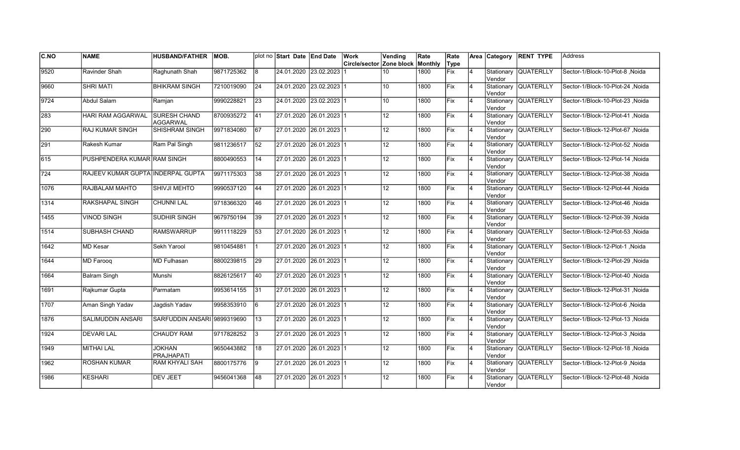| C.NO | <b>NAME</b>                       | <b>HUSBAND/FATHER</b>              | MOB.       |                 | plot no Start Date End Date | Work                     | Vending         | Rate    | Rate       |                |        | Area Category RENT TYPE | Address                          |
|------|-----------------------------------|------------------------------------|------------|-----------------|-----------------------------|--------------------------|-----------------|---------|------------|----------------|--------|-------------------------|----------------------------------|
|      |                                   |                                    |            |                 |                             | Circle/sector Zone block |                 | Monthly | Type       |                |        |                         |                                  |
| 9520 | Ravinder Shah                     | Raghunath Shah                     | 9871725362 | <u>8</u>        | 24.01.2020 23.02.2023       |                          | 10              | 1800    | Fix        | $\overline{4}$ | Vendor | Stationary QUATERLLY    | Sector-1/Block-10-Plot-8 Noida   |
| 9660 | <b>SHRI MATI</b>                  | <b>BHIKRAM SINGH</b>               | 7210019090 | 24              | 24.01.2020 23.02.2023 1     |                          | 10 <sup>1</sup> | 1800    | Fix        | $\overline{4}$ | Vendor | Stationary QUATERLLY    | Sector-1/Block-10-Plot-24 .Noida |
| 9724 | <b>Abdul Salam</b>                | Ramjan                             | 9990228821 | 23              | 24.01.2020 23.02.2023 1     |                          | 10 <sup>1</sup> | 1800    | <b>Fix</b> | $\overline{4}$ | Vendor | Stationary QUATERLLY    | Sector-1/Block-10-Plot-23 .Noida |
| 283  | HARI RAM AGGARWAL                 | <b>SURESH CHAND</b><br>AGGARWAL    | 8700935272 | 41              | 27.01.2020 26.01.2023 1     |                          | 12 <sub>2</sub> | 1800    | Fix        | $\overline{4}$ | Vendor | Stationary QUATERLLY    | Sector-1/Block-12-Plot-41, Noida |
| 290  | <b>RAJ KUMAR SINGH</b>            | <b>SHISHRAM SINGH</b>              | 9971834080 | 67              | 27.01.2020 26.01.2023 1     |                          | 12 <sup>°</sup> | 1800    | Fix        | 4              | Vendor | Stationary QUATERLLY    | Sector-1/Block-12-Plot-67, Noida |
| 291  | Rakesh Kumar                      | Ram Pal Singh                      | 9811236517 | $\overline{52}$ | 27.01.2020 26.01.2023 1     |                          | $\overline{12}$ | 1800    | Fix        | $\overline{4}$ | Vendor | Stationary QUATERLLY    | Sector-1/Block-12-Plot-52, Noida |
| 615  | PUSHPENDERA KUMAR RAM SINGH       |                                    | 8800490553 | 14              | 27.01.2020 26.01.2023 1     |                          | 12 <sub>2</sub> | 1800    | Fix        | 14             | Vendor | Stationary QUATERLLY    | Sector-1/Block-12-Plot-14, Noida |
| 724  | RAJEEV KUMAR GUPTA INDERPAL GUPTA |                                    | 9971175303 | 38              | 27.01.2020 26.01.2023 1     |                          | 12 <sup>°</sup> | 1800    | Fix        | 4              | Vendor | Stationary QUATERLLY    | Sector-1/Block-12-Plot-38, Noida |
| 1076 | RAJBALAM MAHTO                    | SHIVJI MEHTO                       | 9990537120 | 44              | 27.01.2020  26.01.2023  1   |                          | 12 <sup>°</sup> | 1800    | lFix.      | $\overline{4}$ | Vendor | Stationary QUATERLLY    | Sector-1/Block-12-Plot-44, Noida |
| 1314 | RAKSHAPAL SINGH                   | <b>CHUNNI LAL</b>                  | 9718366320 | 46              | 27.01.2020 26.01.2023 1     |                          | 12 <sub>2</sub> | 1800    | Fix        | $\overline{4}$ | Vendor | Stationary QUATERLLY    | Sector-1/Block-12-Plot-46, Noida |
| 1455 | <b>VINOD SINGH</b>                | <b>SUDHIR SINGH</b>                | 9679750194 | $\overline{39}$ | 27.01.2020 26.01.2023 1     |                          | 12              | 1800    | Fix        | $\overline{4}$ | Vendor | Stationary QUATERLLY    | Sector-1/Block-12-Plot-39, Noida |
| 1514 | SUBHASH CHAND                     | RAMSWARRUP                         | 9911118229 | 53              | 27.01.2020 26.01.2023 1     |                          | $\overline{12}$ | 1800    | Fix        | $\overline{4}$ | Vendor | Stationary QUATERLLY    | Sector-1/Block-12-Plot-53, Noida |
| 1642 | MD Kesar                          | Sekh Yarool                        | 9810454881 | $\vert$ 1       | 27.01.2020 26.01.2023 1     |                          | 12              | 1800    | Fix        | 4              | Vendor | Stationary QUATERLLY    | Sector-1/Block-12-Plot-1, Noida  |
| 1644 | <b>MD Farooq</b>                  | MD Fulhasan                        | 8800239815 | 29              | 27.01.2020 26.01.2023 1     |                          | $\overline{12}$ | 1800    | Fix        | $\overline{4}$ | Vendor | Stationary QUATERLLY    | Sector-1/Block-12-Plot-29, Noida |
| 1664 | <b>Balram Singh</b>               | Munshi                             | 8826125617 | 40              | 27.01.2020 26.01.2023 1     |                          | 12              | 1800    | Fix        | 14             | Vendor | Stationary QUATERLLY    | Sector-1/Block-12-Plot-40, Noida |
| 1691 | Rajkumar Gupta                    | Parmatam                           | 9953614155 | 31              | 27.01.2020 26.01.2023 1     |                          | 12              | 1800    | <b>Fix</b> | <b>4</b>       | Vendor | Stationary QUATERLLY    | Sector-1/Block-12-Plot-31 .Noida |
| 1707 | Aman Singh Yadav                  | Jaqdish Yadav                      | 9958353910 | $\overline{6}$  | 27.01.2020 26.01.2023 1     |                          | 12 <sub>2</sub> | 1800    | Fix        | $\overline{4}$ | Vendor | Stationary QUATERLLY    | Sector-1/Block-12-Plot-6 .Noida  |
| 1876 | SALIMUDDIN ANSARI                 | SARFUDDIN ANSARI 9899319690        |            | <b>13</b>       | 27.01.2020 26.01.2023 1     |                          | 12 <sup>°</sup> | 1800    | Fix        | $\overline{4}$ | Vendor | Stationary QUATERLLY    | Sector-1/Block-12-Plot-13 .Noida |
| 1924 | <b>DEVARI LAL</b>                 | <b>CHAUDY RAM</b>                  | 9717828252 | Iз              | 27.01.2020 26.01.2023 1     |                          | 12 <sub>2</sub> | 1800    | Fix        | $\overline{4}$ | Vendor | Stationary QUATERLLY    | Sector-1/Block-12-Plot-3, Noida  |
| 1949 | <b>MITHAI LAL</b>                 | <b>JOKHAN</b><br><b>PRAJHAPATI</b> | 9650443882 | 18              | 27.01.2020 26.01.2023 1     |                          | 12 <sub>2</sub> | 1800    | Fix        | 14             | Vendor | Stationary QUATERLLY    | Sector-1/Block-12-Plot-18, Noida |
| 1962 | <b>ROSHAN KUMAR</b>               | RAM KHYALI SAH                     | 8800175776 | <u>9</u>        | 27.01.2020 26.01.2023 1     |                          | $\overline{12}$ | 1800    | Fix        | $\overline{4}$ | Vendor | Stationary QUATERLLY    | Sector-1/Block-12-Plot-9, Noida  |
| 1986 | <b>KESHARI</b>                    | <b>DEV JEET</b>                    | 9456041368 | 48              | 27.01.2020 26.01.2023 1     |                          | 12 <sup>°</sup> | 1800    | Fix        |                | Vendor | Stationary QUATERLLY    | Sector-1/Block-12-Plot-48, Noida |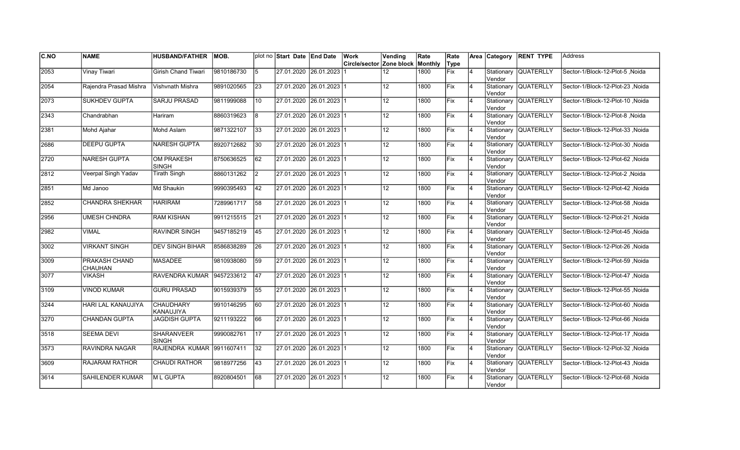| <b>C.NO</b> | <b>NAME</b>              | <b>HUSBAND/FATHER</b>             | MOB.       |                 | plot no Start Date End Date | Work                                    | Vending         | Rate | Rate        |                | Area Category         | <b>RENT TYPE</b>     | <b>Address</b>                   |
|-------------|--------------------------|-----------------------------------|------------|-----------------|-----------------------------|-----------------------------------------|-----------------|------|-------------|----------------|-----------------------|----------------------|----------------------------------|
|             |                          |                                   |            |                 |                             | <b>Circle/sector Zone block Monthly</b> |                 |      | Type        |                |                       |                      |                                  |
| 2053        | Vinay Tiwari             | <b>Girish Chand Tiwari</b>        | 9810186730 | 5               | 27.01.2020 26.01.2023       |                                         | 12              | 1800 | Fix         | $\overline{4}$ | Stationary<br>Vendor  | <b>QUATERLLY</b>     | Sector-1/Block-12-Plot-5 .Noida  |
| 2054        | Rajendra Prasad Mishra   | Vishvnath Mishra                  | 9891020565 | 23              | 27.01.2020 26.01.2023 1     |                                         | 12 <sup>2</sup> | 1800 | Fix         | $\overline{4}$ | Vendor                | Stationary QUATERLLY | Sector-1/Block-12-Plot-23, Noida |
| 2073        | <b>SUKHDEV GUPTA</b>     | <b>SARJU PRASAD</b>               | 9811999088 | 10              | 27.01.2020 26.01.2023 1     |                                         | 12              | 1800 | Fix         | $\overline{4}$ | Vendor                | Stationary QUATERLLY | Sector-1/Block-12-Plot-10 .Noida |
| 2343        | Chandrabhan              | Hariram                           | 8860319623 | l8              | 27.01.2020 26.01.2023 1     |                                         | 12              | 1800 | Fix         | $\overline{4}$ | Vendor                | Stationary QUATERLLY | Sector-1/Block-12-Plot-8, Noida  |
| 2381        | Mohd Ajahar              | Mohd Aslam                        | 9871322107 | $ 33\rangle$    | 27.01.2020 26.01.2023 1     |                                         | 12 <sup>°</sup> | 1800 | Fix         | $\overline{4}$ | Vendor                | Stationary QUATERLLY | Sector-1/Block-12-Plot-33, Noida |
| 2686        | <b>DEEPU GUPTA</b>       | <b>NARESH GUPTA</b>               | 8920712682 | 30              | 27.01.2020 26.01.2023 1     |                                         | $\overline{12}$ | 1800 | Fix         | $\overline{4}$ | Stationary<br>lVendor | <b>QUATERLLY</b>     | Sector-1/Block-12-Plot-30, Noida |
| 2720        | <b>NARESH GUPTA</b>      | <b>OM PRAKESH</b><br><b>SINGH</b> | 8750636525 | 62              | 27.01.2020 26.01.2023 1     |                                         | 12 <sup>°</sup> | 1800 | Fix         | $\overline{4}$ | Vendor                | Stationary QUATERLLY | Sector-1/Block-12-Plot-62, Noida |
| 2812        | Veerpal Singh Yadav      | <b>Tirath Singh</b>               | 8860131262 | I2              | 27.01.2020 26.01.2023 1     |                                         | 12              | 1800 | Fix         | $\overline{4}$ | Vendor                | Stationary QUATERLLY | Sector-1/Block-12-Plot-2, Noida  |
| 2851        | Md Janoo                 | Md Shaukin                        | 9990395493 | 42              | 27.01.2020 26.01.2023 1     |                                         | 12              | 1800 | Fix         | $\overline{4}$ | Vendor                | Stationary QUATERLLY | Sector-1/Block-12-Plot-42, Noida |
| 2852        | <b>CHANDRA SHEKHAR</b>   | <b>HARIRAM</b>                    | 7289961717 | 58              | 27.01.2020 26.01.2023 1     |                                         | 12              | 1800 | Fix         | $\overline{4}$ | Vendor                | Stationary QUATERLLY | Sector-1/Block-12-Plot-58, Noida |
| 2956        | <b>UMESH CHNDRA</b>      | <b>RAM KISHAN</b>                 | 9911215515 | 21              | 27.01.2020 26.01.2023 1     |                                         | 12              | 1800 | Fix         | 4              | Vendor                | Stationary QUATERLLY | Sector-1/Block-12-Plot-21, Noida |
| 2982        | <b>VIMAL</b>             | RAVINDR SINGH                     | 9457185219 | 45              | 27.01.2020 26.01.2023 1     |                                         | 12              | 1800 | Fix         | 4              | Vendor                | Stationary QUATERLLY | Sector-1/Block-12-Plot-45, Noida |
| 3002        | <b>VIRKANT SINGH</b>     | <b>DEV SINGH BIHAR</b>            | 8586838289 | 26              | 27.01.2020 26.01.2023 1     |                                         | 12              | 1800 | Fix         | $\overline{4}$ | Vendor                | Stationary QUATERLLY | Sector-1/Block-12-Plot-26, Noida |
| 3009        | PRAKASH CHAND<br>CHAUHAN | <b>MASADEE</b>                    | 9810938080 | 59              | 27.01.2020 26.01.2023 1     |                                         | 12              | 1800 | Fix         | $\overline{4}$ | Stationary<br>lVendor | <b>QUATERLLY</b>     | Sector-1/Block-12-Plot-59, Noida |
| 3077        | <b>VIKASH</b>            | RAVENDRA KUMAR 9457233612         |            | 47              | 27.01.2020 26.01.2023 1     |                                         | $\overline{12}$ | 1800 | Fix         | $\overline{4}$ | Vendor                | Stationary QUATERLLY | Sector-1/Block-12-Plot-47, Noida |
| 3109        | <b>VINOD KUMAR</b>       | <b>GURU PRASAD</b>                | 9015939379 | 55              | 27.01.2020 26.01.2023 1     |                                         | 12              | 1800 | Fix         | 4              | Vendor                | Stationary QUATERLLY | Sector-1/Block-12-Plot-55, Noida |
| 3244        | HARI LAL KANAUJIYA       | <b>CHAUDHARY</b><br>KANAUJIYA     | 9910146295 | 60              | 27.01.2020 26.01.2023 1     |                                         | 12              | 1800 | Fix         | 4              | Vendor                | Stationary QUATERLLY | Sector-1/Block-12-Plot-60, Noida |
| 3270        | CHANDAN GUPTA            | <b>JAGDISH GUPTA</b>              | 9211193222 | 66              | 27.01.2020 26.01.2023 1     |                                         | 12              | 1800 | <b>IFix</b> | 4              | Stationary<br>Vendor  | <b>QUATERLLY</b>     | Sector-1/Block-12-Plot-66, Noida |
| 3518        | <b>SEEMA DEVI</b>        | <b>SHARANVEER</b><br><b>SINGH</b> | 9990082761 | 17              | 27.01.2020 26.01.2023 1     |                                         | 12              | 1800 | Fix         | $\overline{4}$ | Stationary<br>Vendor  | <b>QUATERLLY</b>     | Sector-1/Block-12-Plot-17, Noida |
| 3573        | <b>RAVINDRA NAGAR</b>    | RAJENDRA KUMAR 9911607411         |            | $\overline{32}$ | 27.01.2020 26.01.2023 1     |                                         | 12 <sub>2</sub> | 1800 | Fix         | $\overline{4}$ | Vendor                | Stationary QUATERLLY | Sector-1/Block-12-Plot-32, Noida |
| 3609        | <b>RAJARAM RATHOR</b>    | <b>CHAUDI RATHOR</b>              | 9818977256 | 43              | 27.01.2020 26.01.2023 1     |                                         | $\overline{12}$ | 1800 | Fix         | $\overline{4}$ | Vendor                | Stationary QUATERLLY | Sector-1/Block-12-Plot-43, Noida |
| 3614        | SAHILENDER KUMAR         | M L GUPTA                         | 8920804501 | 68              | 27.01.2020 26.01.2023 1     |                                         | 12              | 1800 | Fix         | $\overline{4}$ | Stationary<br>Vendor  | <b>QUATERLLY</b>     | Sector-1/Block-12-Plot-68, Noida |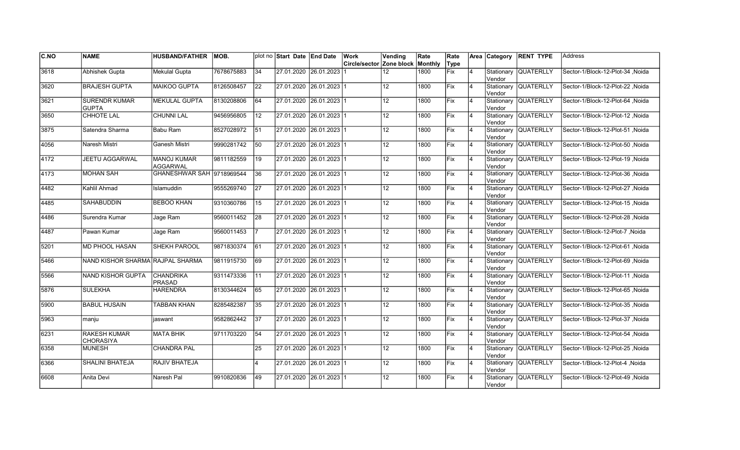| C.NO          | <b>NAME</b>                          | <b>HUSBAND/FATHER</b>                 | MOB.       |                 | plot no Start Date End Date |                           | Work                     | Vending         | Rate    | Rate |                |         | Area Category RENT TYPE | <b>Address</b>                   |
|---------------|--------------------------------------|---------------------------------------|------------|-----------------|-----------------------------|---------------------------|--------------------------|-----------------|---------|------|----------------|---------|-------------------------|----------------------------------|
|               |                                      |                                       |            |                 |                             |                           | Circle/sector Zone block |                 | Monthly | Type |                |         |                         |                                  |
| 3618          | <b>Abhishek Gupta</b>                | <b>Mekulal Gupta</b>                  | 7678675883 | 34              |                             | 27.01.2020 26.01.2023     |                          | 12              | 1800    | Fix  | $\overline{4}$ | Vendor  | Stationary QUATERLLY    | Sector-1/Block-12-Plot-34, Noida |
| 3620          | <b>BRAJESH GUPTA</b>                 | <b>MAIKOO GUPTA</b>                   | 8126508457 | $ 22\rangle$    | 27.01.2020 26.01.2023 1     |                           |                          | 12 <sup>2</sup> | 1800    | Fix  | $\overline{4}$ | Vendor  | Stationary QUATERLLY    | Sector-1/Block-12-Plot-22 .Noida |
| 3621          | <b>SURENDR KUMAR</b><br><b>GUPTA</b> | <b>MEKULAL GUPTA</b>                  | 8130208806 | 64              | 27.01.2020 26.01.2023 1     |                           |                          | 12              | 1800    | Fix  | 14             | lVendor | Stationary QUATERLLY    | Sector-1/Block-12-Plot-64, Noida |
| 3650          | <b>CHHOTE LAL</b>                    | <b>CHUNNI LAL</b>                     | 9456956805 | 12              | 27.01.2020 26.01.2023 1     |                           |                          | $\overline{12}$ | 1800    | Fix  | 4              | Vendor  | Stationary QUATERLLY    | Sector-1/Block-12-Plot-12, Noida |
| 3875          | Satendra Sharma                      | Babu Ram                              | 8527028972 | 51              | 27.01.2020 26.01.2023 1     |                           |                          | 12 <sup>2</sup> | 1800    | lFix | $\overline{4}$ | Vendor  | Stationary QUATERLLY    | Sector-1/Block-12-Plot-51, Noida |
| 4056          | Naresh Mistri                        | Ganesh Mistri                         | 9990281742 | 50              |                             | 27.01.2020 26.01.2023 1   |                          | 12 <sup>7</sup> | 1800    | Fix  | 4              | Vendor  | Stationary QUATERLLY    | Sector-1/Block-12-Plot-50, Noida |
| $\sqrt{4172}$ | JEETU AGGARWAL                       | <b>MANOJ KUMAR</b><br><b>AGGARWAL</b> | 9811182559 | 19              | 27.01.2020 26.01.2023 1     |                           |                          | 12 <sub>2</sub> | 1800    | Fix  | $\overline{4}$ | Vendor  | Stationary QUATERLLY    | Sector-1/Block-12-Plot-19, Noida |
| 4173          | <b>MOHAN SAH</b>                     | GHANESHWAR SAH 9718969544             |            | 36              | 27.01.2020 26.01.2023 1     |                           |                          | 12              | 1800    | Fix  |                | lVendor | Stationary QUATERLLY    | Sector-1/Block-12-Plot-36, Noida |
| 4482          | Kahlil Ahmad                         | Islamuddin                            | 9555269740 | 27              |                             | 27.01.2020 26.01.2023 1   |                          | 12              | 1800    | Fix  | $\overline{4}$ | Vendor  | Stationary QUATERLLY    | Sector-1/Block-12-Plot-27, Noida |
| 4485          | <b>SAHABUDDIN</b>                    | <b>BEBOO KHAN</b>                     | 9310360786 | 15              |                             | 27.01.2020 26.01.2023 1   |                          | 12              | 1800    | Fix  | $\overline{4}$ | Vendor  | Stationary QUATERLLY    | Sector-1/Block-12-Plot-15, Noida |
| 4486          | Surendra Kumar                       | Jage Ram                              | 9560011452 | $\overline{28}$ |                             | 27.01.2020 26.01.2023 1   |                          | 12 <sup>°</sup> | 1800    | Fix  | 4              | lVendor | Stationary QUATERLLY    | Sector-1/Block-12-Plot-28, Noida |
| 4487          | Pawan Kumar                          | Jage Ram                              | 9560011453 | 17              | 27.01.2020 26.01.2023 1     |                           |                          | 12              | 1800    | Fix  | <b>4</b>       | Vendor  | Stationary QUATERLLY    | Sector-1/Block-12-Plot-7 .Noida  |
| 5201          | MD PHOOL HASAN                       | SHEKH PAROOL                          | 9871830374 | 61              | 27.01.2020 26.01.2023 1     |                           |                          | 12 <sup>2</sup> | 1800    | Fix  | $\overline{4}$ | Vendor  | Stationary QUATERLLY    | Sector-1/Block-12-Plot-61, Noida |
| 5466          | NAND KISHOR SHARMA RAJPAL SHARMA     |                                       | 9811915730 | 69              | 27.01.2020 26.01.2023 1     |                           |                          | 12 <sup>2</sup> | 1800    | lFix | $\overline{4}$ | Vendor  | Stationary QUATERLLY    | Sector-1/Block-12-Plot-69 .Noida |
| 5566          | <b>NAND KISHOR GUPTA</b>             | <b>CHANDRIKA</b><br><b>PRASAD</b>     | 9311473336 | 11              | 27.01.2020 26.01.2023 1     |                           |                          | $\overline{12}$ | 1800    | Fix  | 4              | Vendor  | Stationary QUATERLLY    | Noida Sector-1/Block-12-Plot-11  |
| 5876          | <b>SULEKHA</b>                       | <b>HARENDRA</b>                       | 8130344624 | 65              | 27.01.2020 26.01.2023 1     |                           |                          | $\overline{12}$ | 1800    | Fix  | 4              | lVendor | Stationary QUATERLLY    | Sector-1/Block-12-Plot-65, Noida |
| 5900          | <b>BABUL HUSAIN</b>                  | <b>TABBAN KHAN</b>                    | 8285482387 | 35              | 27.01.2020 26.01.2023 1     |                           |                          | 12              | 1800    | Fix  | 4              | Vendor  | Stationary QUATERLLY    | Sector-1/Block-12-Plot-35, Noida |
| 5963          | manju                                | iaswant                               | 9582862442 | 37              |                             | 27.01.2020 26.01.2023 1   |                          | 12              | 1800    | lFix | 4              | Vendor  | Stationary QUATERLLY    | Sector-1/Block-12-Plot-37, Noida |
| 6231          | <b>RAKESH KUMAR</b><br>CHORASIYA     | <b>MATA BHIK</b>                      | 9711703220 | 54              |                             | 27.01.2020  26.01.2023  1 |                          | 12 <sub>2</sub> | 1800    | Fix  | $\overline{4}$ | Vendor  | Stationary QUATERLLY    | Sector-1/Block-12-Plot-54, Noida |
| 6358          | <b>MUNESH</b>                        | <b>CHANDRA PAL</b>                    |            | 25              | 27.01.2020 26.01.2023 1     |                           |                          | 12 <sup>°</sup> | 1800    | Fix  | 4              | Vendor  | Stationary QUATERLLY    | Sector-1/Block-12-Plot-25, Noida |
| 6366          | <b>SHALINI BHATEJA</b>               | RAJIV BHATEJA                         |            | 4               | 27.01.2020 26.01.2023 1     |                           |                          | $\overline{12}$ | 1800    | Fix  | $\overline{4}$ | Vendor  | Stationary QUATERLLY    | Sector-1/Block-12-Plot-4, Noida  |
| 6608          | Anita Devi                           | Naresh Pal                            | 9910820836 | 49              |                             | 27.01.2020 26.01.2023 1   |                          | $\overline{12}$ | 1800    | Fix  |                | Vendor  | Stationary QUATERLLY    | Sector-1/Block-12-Plot-49, Noida |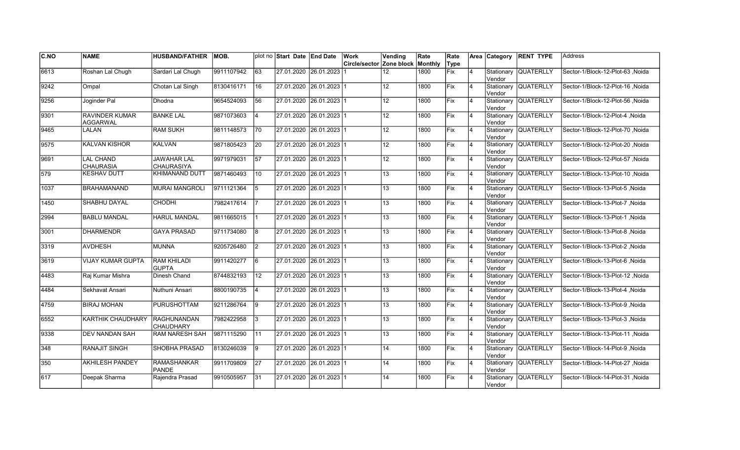| C.NO          | <b>NAME</b>                          | <b>HUSBAND/FATHER</b>                   | MOB.       |                 | plot no Start Date End Date | Work                     | Vending          | Rate    | Rate |                |                      | Area Category RENT TYPE | lAddress                         |
|---------------|--------------------------------------|-----------------------------------------|------------|-----------------|-----------------------------|--------------------------|------------------|---------|------|----------------|----------------------|-------------------------|----------------------------------|
|               |                                      |                                         |            |                 |                             | Circle/sector Zone block |                  | Monthly | Type |                |                      |                         |                                  |
| 6613          | Roshan Lal Chugh                     | Sardari Lal Chugh                       | 9911107942 | $\overline{63}$ | 27.01.2020 26.01.2023       |                          | 12               | 1800    | Fix  | 4              | Stationary<br>Vendor | <b>QUATERLLY</b>        | Sector-1/Block-12-Plot-63 Noida  |
| $\sqrt{9242}$ | Ompal                                | Chotan Lal Singh                        | 8130416171 | 16              | 27.01.2020 26.01.2023 1     |                          | 12 <sup>2</sup>  | 1800    | Fix  | $\overline{4}$ | Vendor               | Stationary QUATERLLY    | Sector-1/Block-12-Plot-16 .Noida |
| 9256          | Joginder Pal                         | Dhodna                                  | 9654524093 | 56              | 27.01.2020 26.01.2023 1     |                          | 12 <sup>°</sup>  | 1800    | Fix  | $\overline{4}$ | Vendor               | Stationary QUATERLLY    | Sector-1/Block-12-Plot-56, Noida |
| 9301          | RAVINDER KUMAR<br><b>AGGARWAL</b>    | <b>BANKE LAL</b>                        | 9871073603 | $\vert$ 4       | 27.01.2020 26.01.2023 1     |                          | 12 <sub>2</sub>  | 1800    | Fix  | 4              | Vendor               | Stationary QUATERLLY    | Noida  Sector-1/Block-12-Plot-4  |
| 9465          | LALAN                                | <b>RAM SUKH</b>                         | 9811148573 | 70              | 27.01.2020 26.01.2023 1     |                          | 12 <sup>°</sup>  | 1800    | Fix  | 4              | Vendor               | Stationary QUATERLLY    | Sector-1/Block-12-Plot-70, Noida |
| 9575          | <b>KALVAN KISHOR</b>                 | <b>KALVAN</b>                           | 9871805423 | 20              | 27.01.2020 26.01.2023 1     |                          | 12 <sup>7</sup>  | 1800    | Fix  | $\overline{4}$ | lVendor              | Stationary QUATERLLY    | Sector-1/Block-12-Plot-20, Noida |
| 9691          | <b>LAL CHAND</b><br><b>CHAURASIA</b> | <b>JAWAHAR LAL</b><br><b>CHAURASIYA</b> | 9971979031 | 57              | 27.01.2020 26.01.2023 1     |                          | 12 <sup>°</sup>  | 1800    | Fix  | $\overline{4}$ | Vendor               | Stationary QUATERLLY    | Sector-1/Block-12-Plot-57, Noida |
| 579           | <b>KESHAV DUTT</b>                   | <b>KHIMANAND DUTT</b>                   | 9871460493 | 10              | 27.01.2020 26.01.2023 1     |                          | 13               | 1800    | Fix  | $\overline{4}$ | Vendor               | Stationary QUATERLLY    | Sector-1/Block-13-Plot-10, Noida |
| 1037          | <b>BRAHAMANAND</b>                   | <b>MURAI MANGROLI</b>                   | 9711121364 | <u>5</u>        | 27.01.2020 26.01.2023 1     |                          | 13               | 1800    | Fix  | $\overline{4}$ | Vendor               | Stationary QUATERLLY    | Sector-1/Block-13-Plot-5, Noida  |
| 1450          | SHABHU DAYAL                         | <b>CHODHI</b>                           | 7982417614 | 17              | 27.01.2020 26.01.2023 1     |                          | 13               | 1800    | Fix  | 4              | Vendor               | Stationary QUATERLLY    | Sector-1/Block-13-Plot-7 .Noida  |
| 2994          | <b>BABLU MANDAL</b>                  | <b>HARUL MANDAL</b>                     | 9811665015 | 11              | 27.01.2020 26.01.2023 1     |                          | $\overline{13}$  | 1800    | Fix  | $\overline{4}$ | Vendor               | Stationary QUATERLLY    | Sector-1/Block-13-Plot-1 Noida   |
| 3001          | <b>DHARMENDR</b>                     | <b>GAYA PRASAD</b>                      | 9711734080 | 8               | 27.01.2020 26.01.2023 1     |                          | 13               | 1800    | Fix  | <b>4</b>       | Vendor               | Stationary QUATERLLY    | Sector-1/Block-13-Plot-8, Noida  |
| 3319          | <b>AVDHESH</b>                       | <b>MUNNA</b>                            | 9205726480 | $\vert$ 2       | 27.01.2020 26.01.2023 1     |                          | 13               | 1800    | Fix  | $\overline{4}$ | Vendor               | Stationary QUATERLLY    | Sector-1/Block-13-Plot-2, Noida  |
| 3619          | <b>VIJAY KUMAR GUPTA</b>             | <b>RAM KHILADI</b><br><b>GUPTA</b>      | 9911420277 | 6               | 27.01.2020 26.01.2023 1     |                          | 13               | 1800    | Fix  | $\overline{4}$ | Vendor               | Stationary QUATERLLY    | Sector-1/Block-13-Plot-6, Noida  |
| 4483          | Raj Kumar Mishra                     | Dinesh Chand                            | 8744832193 | $\overline{12}$ | 27.01.2020 26.01.2023 1     |                          | $\overline{13}$  | 1800    | Fix  | $\overline{4}$ | Vendor               | Stationary QUATERLLY    | Sector-1/Block-13-Plot-12, Noida |
| 4484          | Sekhavat Ansari                      | Nuthuni Ansari                          | 8800190735 | <b>4</b>        | 27.01.2020 26.01.2023 1     |                          | 13 <sup>13</sup> | 1800    | Fix  | <b>4</b>       | Vendor               | Stationary QUATERLLY    | Sector-1/Block-13-Plot-4, Noida  |
| 4759          | <b>BIRAJ MOHAN</b>                   | PURUSHOTTAM                             | 9211286764 | <u> 19</u>      | 27.01.2020 26.01.2023 1     |                          | 13               | 1800    | Fix  | 14             | Vendor               | Stationary QUATERLLY    | Sector-1/Block-13-Plot-9, Noida  |
| 6552          | KARTHIK CHAUDHARY                    | <b>RAGHUNANDAN</b><br><b>CHAUDHARY</b>  | 7982422958 | 13              | 27.01.2020  26.01.2023  1   |                          | 13               | 1800    | lFix | 4              | Vendor               | Stationary QUATERLLY    | Sector-1/Block-13-Plot-3, Noida  |
| 9338          | <b>DEV NANDAN SAH</b>                | <b>RAM NARESH SAH</b>                   | 9871115290 | 111             | 27.01.2020 26.01.2023 1     |                          | 13 <sup>13</sup> | 1800    | Fix  | $\overline{4}$ | Vendor               | Stationary QUATERLLY    | Sector-1/Block-13-Plot-11 .Noida |
| 348           | <b>RANAJIT SINGH</b>                 | <b>SHOBHA PRASAD</b>                    | 8130246039 | 9               | 27.01.2020 26.01.2023 1     |                          | 14               | 1800    | Fix  | $\overline{4}$ | Vendor               | Stationary QUATERLLY    | Sector-1/Block-14-Plot-9, Noida  |
| 350           | <b>AKHILESH PANDEY</b>               | <b>RAMASHANKAR</b><br>PANDE             | 9911709809 | $\overline{27}$ | 27.01.2020 26.01.2023 1     |                          | 14               | 1800    | Fix  | $\overline{4}$ | Vendor               | Stationary QUATERLLY    | Sector-1/Block-14-Plot-27, Noida |
| 617           | Deepak Sharma                        | Rajendra Prasad                         | 9910505957 | 31              | 27.01.2020 26.01.2023 1     |                          | 14               | 1800    | Fix  |                | Vendor               | Stationary QUATERLLY    | Sector-1/Block-14-Plot-31, Noida |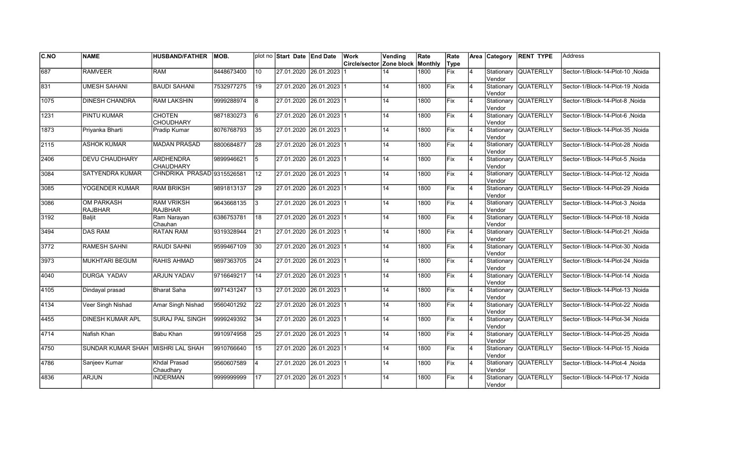| C.NO          | <b>NAME</b>                         | <b>HUSBAND/FATHER</b>                | MOB.       |                 | plot no Start Date End Date |                         | Work                     | Vending | Rate    | Rate        |                | Area Category        | <b>RENT TYPE</b>     | <b>Address</b>                   |
|---------------|-------------------------------------|--------------------------------------|------------|-----------------|-----------------------------|-------------------------|--------------------------|---------|---------|-------------|----------------|----------------------|----------------------|----------------------------------|
|               |                                     |                                      |            |                 |                             |                         | Circle/sector Zone block |         | Monthly | Type        |                |                      |                      |                                  |
| 687           | <b>RAMVEER</b>                      | <b>RAM</b>                           | 8448673400 | 10              |                             | 27.01.2020 26.01.2023   |                          | 14      | 1800    | Fix         | 4              | Stationary<br>Vendor | <b>QUATERLLY</b>     | Sector-1/Block-14-Plot-10 .Noida |
| 831           | <b>UMESH SAHANI</b>                 | <b>BAUDI SAHANI</b>                  | 7532977275 | 19              | 27.01.2020 26.01.2023 1     |                         |                          | 14      | 1800    | Fix         | $\overline{4}$ | Vendor               | Stationary QUATERLLY | Sector-1/Block-14-Plot-19 .Noida |
| 1075          | <b>DINESH CHANDRA</b>               | IRAM LAKSHIN                         | 9999288974 | l8              | 27.01.2020 26.01.2023 1     |                         |                          | 14      | 1800    | <b>IFix</b> | Ι4             | Vendor               | Stationary QUATERLLY | Sector-1/Block-14-Plot-8 .Noida  |
| 1231          | PINTU KUMAR                         | <b>CHOTEN</b><br><b>CHOUDHARY</b>    | 9871830273 | 6               | 27.01.2020 26.01.2023 1     |                         |                          | 14      | 1800    | Fix         | 4              | Vendor               | Stationary QUATERLLY | Sector-1/Block-14-Plot-6, Noida  |
| 1873          | Priyanka Bharti                     | <b>Pradip Kumar</b>                  | 8076768793 | 35              |                             | 27.01.2020 26.01.2023 1 |                          | 14      | 1800    | Fix         | $\overline{4}$ | Vendor               | Stationary QUATERLLY | Sector-1/Block-14-Plot-35, Noida |
| $\sqrt{2115}$ | <b>ASHOK KUMAR</b>                  | <b>MADAN PRASAD</b>                  | 8800684877 | $\overline{28}$ |                             | 27.01.2020 26.01.2023 1 |                          | 14      | 1800    | Fix         | $\overline{4}$ | Stationary<br>Vendor | QUATERLLY            | Sector-1/Block-14-Plot-28, Noida |
| 2406          | <b>DEVU CHAUDHARY</b>               | <b>ARDHENDRA</b><br><b>CHAUDHARY</b> | 9899946621 | 5               | 27.01.2020 26.01.2023 1     |                         |                          | 14      | 1800    | Fix         | 4              | Vendor               | Stationary QUATERLLY | Sector-1/Block-14-Plot-5, Noida  |
| 3084          | <b>SATYENDRA KUMAR</b>              | CHNDRIKA PRASAD 9315526581           |            | 12              | 27.01.2020 26.01.2023 1     |                         |                          | 14      | 1800    | Fix         | 4              | Vendor               | Stationary QUATERLLY | Sector-1/Block-14-Plot-12, Noida |
| 3085          | YOGENDER KUMAR                      | <b>RAM BRIKSH</b>                    | 9891813137 | 29              |                             | 27.01.2020 26.01.2023 1 |                          | 14      | 1800    | lFix        | Ι4             | Stationary<br>Vendor | <b>QUATERLLY</b>     | Sector-1/Block-14-Plot-29, Noida |
| 3086          | <b>OM PARKASH</b><br><b>RAJBHAR</b> | <b>RAM VRIKSH</b><br><b>RAJBHAR</b>  | 9643668135 | 3               |                             | 27.01.2020 26.01.2023 1 |                          | 14      | 1800    | Fix         | $\overline{4}$ | Stationary<br>Vendor | QUATERLLY            | Sector-1/Block-14-Plot-3, Noida  |
| 3192          | <b>Baljit</b>                       | Ram Narayan<br>Chauhan               | 6386753781 | 18              |                             | 27.01.2020 26.01.2023 1 |                          | 14      | 1800    | Fix         | 4              | Vendor               | Stationary QUATERLLY | Sector-1/Block-14-Plot-18, Noida |
| 3494          | <b>DAS RAM</b>                      | <b>RATAN RAM</b>                     | 9319328944 | 21              | 27.01.2020 26.01.2023 1     |                         |                          | 14      | 1800    | Fix         | 4              | Vendor               | Stationary QUATERLLY | Sector-1/Block-14-Plot-21, Noida |
| 3772          | <b>RAMESH SAHNI</b>                 | <b>RAUDI SAHNI</b>                   | 9599467109 | 30              | 27.01.2020 26.01.2023 1     |                         |                          | 14      | 1800    | Fix         | 4              | Vendor               | Stationary QUATERLLY | Sector-1/Block-14-Plot-30, Noida |
| 3973          | MUKHTARI BEGUM                      | <b>RAHIS AHMAD</b>                   | 9897363705 | 24              | 27.01.2020 26.01.2023 1     |                         |                          | 14      | 1800    | Fix         | 4              | Stationary<br>Vendor | <b>QUATERLLY</b>     | Sector-1/Block-14-Plot-24, Noida |
| 4040          | <b>DURGA YADAV</b>                  | <b>ARJUN YADAV</b>                   | 9716649217 | 14              | 27.01.2020 26.01.2023 1     |                         |                          | 14      | 1800    | Fix         | 4              | Vendor               | Stationary QUATERLLY | Sector-1/Block-14-Plot-14, Noida |
| 4105          | Dindayal prasad                     | Bharat Saha                          | 9971431247 | $\overline{13}$ | 27.01.2020 26.01.2023 1     |                         |                          | 14      | 1800    | lFix        | Ι4             | Vendor               | Stationary QUATERLLY | Sector-1/Block-14-Plot-13, Noida |
| $\sqrt{4134}$ | Veer Singh Nishad                   | Amar Singh Nishad                    | 9560401292 | 22              | 27.01.2020 26.01.2023 1     |                         |                          | 14      | 1800    | Fix         | 4              | Vendor               | Stationary QUATERLLY | Sector-1/Block-14-Plot-22, Noida |
| 4455          | <b>DINESH KUMAR APL</b>             | <b>SURAJ PAL SINGH</b>               | 9999249392 | 34              |                             | 27.01.2020 26.01.2023 1 |                          | 14      | 1800    | lFix        | $\overline{4}$ | Stationary<br>Vendor | <b>QUATERLLY</b>     | Sector-1/Block-14-Plot-34, Noida |
| 4714          | Nafish Khan                         | Babu Khan                            | 9910974958 | $\overline{25}$ | 27.01.2020 26.01.2023 1     |                         |                          | 14      | 1800    | Fix         | 4              | Stationary<br>Vendor | <b>QUATERLLY</b>     | Sector-1/Block-14-Plot-25 .Noida |
| 4750          | SUNDAR KUMAR SHAH MISHRI LAL SHAH   |                                      | 9910766640 | 15              | 27.01.2020 26.01.2023 1     |                         |                          | 14      | 1800    | Fix         | 4              | Vendor               | Stationary QUATERLLY | Sector-1/Block-14-Plot-15, Noida |
| 4786          | Sanjeev Kumar                       | <b>Khdal Prasad</b><br>Chaudhary     | 9560607589 | $\overline{4}$  | 27.01.2020 26.01.2023 1     |                         |                          | 14      | 1800    | Fix         | 4              | Vendor               | Stationary QUATERLLY | Sector-1/Block-14-Plot-4, Noida  |
| 4836          | <b>ARJUN</b>                        | <b>INDERMAN</b>                      | 9999999999 | 17              |                             | 27.01.2020 26.01.2023 1 |                          | 14      | 1800    | Fix         | 4              | Stationary<br>Vendor | <b>QUATERLLY</b>     | Sector-1/Block-14-Plot-17, Noida |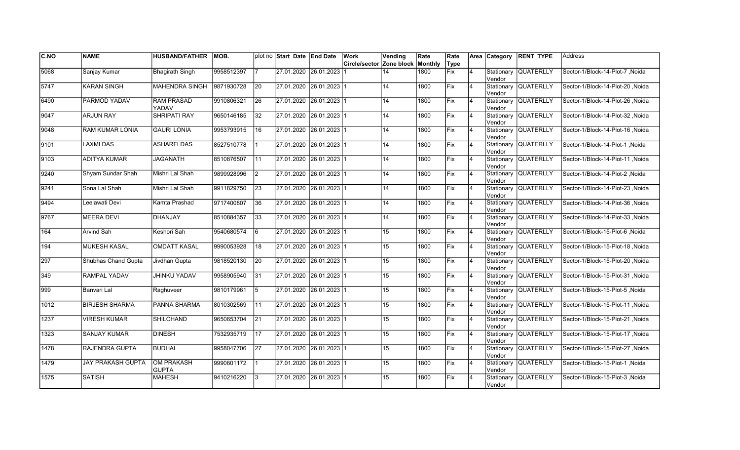| C.NO             | <b>NAME</b>              | <b>HUSBAND/FATHER</b>             | MOB.       |                 | plot no Start Date End Date | Work                     | Vending          | Rate    | Rate |                |         | Area Category RENT TYPE | <b>Address</b>                   |
|------------------|--------------------------|-----------------------------------|------------|-----------------|-----------------------------|--------------------------|------------------|---------|------|----------------|---------|-------------------------|----------------------------------|
|                  |                          |                                   |            |                 |                             | Circle/sector Zone block |                  | Monthly | Type |                |         |                         |                                  |
| 5068             | Sanjay Kumar             | <b>Bhagirath Singh</b>            | 9958512397 | 17.             | 27.01.2020 26.01.2023       |                          | 14               | 1800    | Fix  | $\overline{4}$ | Vendor  | Stationary QUATERLLY    | Sector-1/Block-14-Plot-7 Noida   |
| 5747             | <b>KARAN SINGH</b>       | <b>MAHENDRA SINGH</b>             | 9871930728 | 20              | 27.01.2020 26.01.2023 1     |                          | 14               | 1800    | Fix  | 14             | Vendor  | Stationary QUATERLLY    | Sector-1/Block-14-Plot-20 .Noida |
| 6490             | PARMOD YADAV             | <b>RAM PRASAD</b><br>YADAV        | 9910806321 | 26              | 27.01.2020 26.01.2023 1     |                          | 14               | 1800    | Fix  | $\overline{4}$ | Vendor  | Stationary QUATERLLY    | Sector-1/Block-14-Plot-26, Noida |
| 9047             | <b>ARJUN RAY</b>         | <b>SHRIPATI RAY</b>               | 9650146185 | 32              | 27.01.2020 26.01.2023 1     |                          | 14               | 1800    | Fix  | $\overline{4}$ | Vendor  | Stationary QUATERLLY    | Sector-1/Block-14-Plot-32, Noida |
| 9048             | <b>RAM KUMAR LONIA</b>   | <b>GAURI LONIA</b>                | 9953793915 | 16              | 27.01.2020  26.01.2023  1   |                          | 14               | 1800    | Fix  | $\overline{4}$ | Vendor  | Stationary QUATERLLY    | Sector-1/Block-14-Plot-16, Noida |
| 9101             | <b>LAXMI DAS</b>         | <b>ASHARFI DAS</b>                | 8527510778 | 11              | 27.01.2020 26.01.2023 1     |                          | 14               | 1800    | Fix  | 4              | Vendor  | Stationary QUATERLLY    | Sector-1/Block-14-Plot-1, Noida  |
| 9103             | <b>ADITYA KUMAR</b>      | <b>JAGANATH</b>                   | 8510876507 | $\vert$ 11      | 27.01.2020 26.01.2023 1     |                          | 14               | 1800    | Fix  | 14             | Vendor  | Stationary QUATERLLY    | Sector-1/Block-14-Plot-11, Noida |
| 9240             | Shyam Sundar Shah        | Mishri Lal Shah                   | 9899928996 | $\mathsf{I2}$   | 27.01.2020 26.01.2023 1     |                          | 14               | 1800    | Fix  | 14             | Vendor  | Stationary QUATERLLY    | Sector-1/Block-14-Plot-2, Noida  |
| 9241             | Sona Lal Shah            | Mishri Lal Shah                   | 9911829750 | 23              | 27.01.2020 26.01.2023 1     |                          | 14               | 1800    | Fix  | $\overline{4}$ | Vendor  | Stationary QUATERLLY    | Sector-1/Block-14-Plot-23, Noida |
| 9494             | Leelawati Devi           | Kamta Prashad                     | 9717400807 | 36              | 27.01.2020 26.01.2023 1     |                          | 14               | 1800    | Fix  | 4              | Vendor  | Stationary QUATERLLY    | Sector-1/Block-14-Plot-36, Noida |
| 9767             | <b>MEERA DEVI</b>        | DHANJAY                           | 8510884357 | $\overline{33}$ | 27.01.2020 26.01.2023 1     |                          | 14               | 1800    | Fix  | 4              | lVendor | Stationary QUATERLLY    | Sector-1/Block-14-Plot-33, Noida |
| 164              | Arvind Sah               | Keshori Sah                       | 9540680574 | 6               | 27.01.2020 26.01.2023 1     |                          | 15               | 1800    | Fix  | <b>4</b>       | Vendor  | Stationary QUATERLLY    | Sector-1/Block-15-Plot-6 Noida   |
| 194              | MUKESH KASAL             | İOMDATT KASAL                     | 9990053928 | 18              | 27.01.2020 26.01.2023 1     |                          | 15               | 1800    | Fix  | 14             | Vendor  | Stationary QUATERLLY    | Sector-1/Block-15-Plot-18, Noida |
| 297              | Shubhas Chand Gupta      | Jivdhan Gupta                     | 9818520130 | <b>20</b>       | 27.01.2020 26.01.2023 1     |                          | 15               | 1800    | Fix  | $\overline{4}$ | Vendor  | Stationary QUATERLLY    | Sector-1/Block-15-Plot-20 .Noida |
| 349              | <b>RAMPAL YADAV</b>      | <b>JHINKU YADAV</b>               | 9958905940 | 31              | 27.01.2020 26.01.2023 1     |                          | 15 <sub>15</sub> | 1800    | Fix  | $\overline{4}$ | Vendor  | Stationary QUATERLLY    | Sector-1/Block-15-Plot-31, Noida |
| $\overline{999}$ | Banvari Lal              | Raghuveer                         | 9810179961 | $\sqrt{5}$      | 27.01.2020 26.01.2023 1     |                          | 15               | 1800    | Fix  | 4              | Vendor  | Stationary QUATERLLY    | Sector-1/Block-15-Plot-5, Noida  |
| 1012             | <b>BIRJESH SHARMA</b>    | PANNA SHARMA                      | 8010302569 | 11              | 27.01.2020 26.01.2023 1     |                          | $\overline{15}$  | 1800    | Fix  | 14             | Vendor  | Stationary QUATERLLY    | Sector-1/Block-15-Plot-11, Noida |
| 1237             | <b>VIRESH KUMAR</b>      | SHILCHAND                         | 9650653704 | 21              | 27.01.2020 26.01.2023 1     |                          | 15 <sup>15</sup> | 1800    | lFix | 4              | Vendor  | Stationary QUATERLLY    | Sector-1/Block-15-Plot-21, Noida |
| 1323             | <b>SANJAY KUMAR</b>      | <b>DINESH</b>                     | 7532935719 | 117             | 27.01.2020  26.01.2023  1   |                          | 15               | 1800    | Fix  | $\overline{4}$ | Vendor  | Stationary QUATERLLY    | Sector-1/Block-15-Plot-17, Noida |
| 1478             | RAJENDRA GUPTA           | BUDHAI                            | 9958047706 | 27              | 27.01.2020 26.01.2023 1     |                          | 15 <sup>15</sup> | 1800    | Fix  | 14             | Vendor  | Stationary QUATERLLY    | Sector-1/Block-15-Plot-27, Noida |
| 1479             | <b>JAY PRAKASH GUPTA</b> | <b>OM PRAKASH</b><br><b>GUPTA</b> | 9990601172 | 11              | 27.01.2020 26.01.2023 1     |                          | 15               | 1800    | Fix  | $\overline{4}$ | Vendor  | Stationary QUATERLLY    | Sector-1/Block-15-Plot-1, Noida  |
| 1575             | <b>SATISH</b>            | <b>MAHESH</b>                     | 9410216220 | l3              | 27.01.2020 26.01.2023 1     |                          | 15               | 1800    | Fix  |                | Vendor  | Stationary QUATERLLY    | Sector-1/Block-15-Plot-3, Noida  |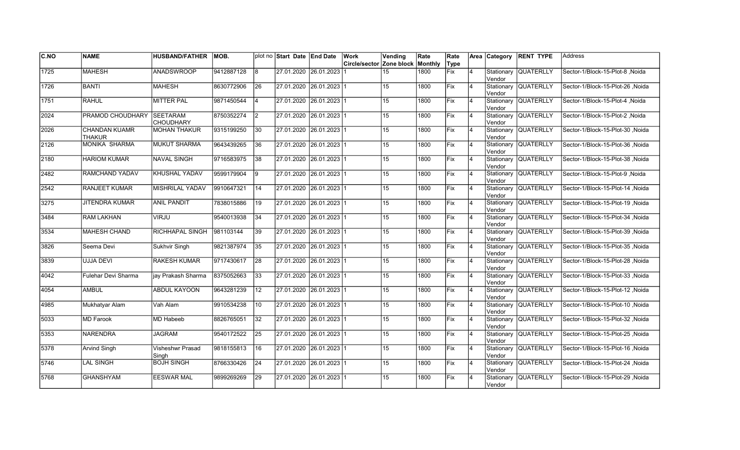| C.NO | <b>NAME</b>                           | <b>HUSBAND/FATHER</b>               | MOB.       |                 | plot no Start Date End Date | Work                     | Vending          | Rate    | Rate |                |                      | Area Category RENT TYPE | Address                                |
|------|---------------------------------------|-------------------------------------|------------|-----------------|-----------------------------|--------------------------|------------------|---------|------|----------------|----------------------|-------------------------|----------------------------------------|
|      |                                       |                                     |            |                 |                             | Circle/sector Zone block |                  | Monthly | Type |                |                      |                         |                                        |
| 1725 | <b>MAHESH</b>                         | <b>ANADSWROOP</b>                   | 9412887128 | 8               | 27.01.2020 26.01.2023       |                          | 15               | 1800    | Fix  | $\overline{4}$ | Stationary<br>Vendor | <b>QUATERLLY</b>        | Sector-1/Block-15-Plot-8 .Noida        |
| 1726 | <b>BANTI</b>                          | <b>MAHESH</b>                       | 8630772906 | 26              | 27.01.2020 26.01.2023 1     |                          | 15               | 1800    | Fix  | $\overline{4}$ | Vendor               | Stationary QUATERLLY    | Sector-1/Block-15-Plot-26 .Noida       |
| 1751 | <b>RAHUL</b>                          | <b>MITTER PAL</b>                   | 9871450544 | $\overline{4}$  | 27.01.2020 26.01.2023 1     |                          | 15               | 1800    | Fix  | $\overline{4}$ | Vendor               | Stationary QUATERLLY    | Sector-1/Block-15-Plot-4, Noida        |
| 2024 | PRAMOD CHOUDHARY                      | <b>SEETARAM</b><br><b>CHOUDHARY</b> | 8750352274 | $\overline{2}$  | 27.01.2020 26.01.2023 1     |                          | 15               | 1800    | Fix  | 4              | Vendor               | Stationary QUATERLLY    | Sector-1/Block-15-Plot-2, Noida        |
| 2026 | <b>CHANDAN KUAMR</b><br><b>THAKUR</b> | <b>MOHAN THAKUR</b>                 | 9315199250 | 30              | 27.01.2020 26.01.2023 1     |                          | 15               | 1800    | Fix  | $\overline{4}$ | Vendor               | Stationary QUATERLLY    | Sector-1/Block-15-Plot-30, Noida       |
| 2126 | MONIKA SHARMA                         | <b>MUKUT SHARMA</b>                 | 9643439265 | 36              | 27.01.2020 26.01.2023 1     |                          | 15               | 1800    | Fix  | 4              | lVendor              | Stationary QUATERLLY    | Sector-1/Block-15-Plot-36, Noida       |
| 2180 | <b>HARIOM KUMAR</b>                   | <b>NAVAL SINGH</b>                  | 9716583975 | 38              | 27.01.2020 26.01.2023 1     |                          | 15               | 1800    | Fix  | 4              | Vendor               | Stationary QUATERLLY    | Sector-1/Block-15-Plot-38, Noida       |
| 2482 | RAMCHAND YADAV                        | KHUSHAL YADAV                       | 9599179904 | l 9             | 27.01.2020 26.01.2023 1     |                          | 15               | 1800    | lFix | $\overline{4}$ | Vendor               | Stationary QUATERLLY    | Sector-1/Block-15-Plot-9, Noida        |
| 2542 | RANJEET KUMAR                         | MISHRILAL YADAV                     | 9910647321 | 14              | 27.01.2020 26.01.2023 1     |                          | 15               | 1800    | lFix | $\overline{4}$ | Vendor               | Stationary QUATERLLY    | Sector-1/Block-15-Plot-14, Noida       |
| 3275 | <b>JITENDRA KUMAR</b>                 | <b>ANIL PANDIT</b>                  | 7838015886 | 19              | 27.01.2020 26.01.2023 1     |                          | 15               | 1800    | Fix  | $\overline{4}$ | Vendor               | Stationary QUATERLLY    | Noida Sector-1/Block-15-Plot-19, Noida |
| 3484 | <b>RAM LAKHAN</b>                     | VIRJU                               | 9540013938 | 34              | 27.01.2020 26.01.2023 1     |                          | 15               | 1800    | Fix  | $\overline{4}$ | Vendor               | Stationary QUATERLLY    | Sector-1/Block-15-Plot-34 .Noida       |
| 3534 | <b>MAHESH CHAND</b>                   | RICHHAPAL SINGH                     | 981103144  | 39              | 27.01.2020 26.01.2023 1     |                          | 15               | 1800    | Fix  | <b>4</b>       | Vendor               | Stationary QUATERLLY    | Sector-1/Block-15-Plot-39, Noida       |
| 3826 | Seema Devi                            | Sukhvir Singh                       | 9821387974 | 35              | 27.01.2020 26.01.2023 1     |                          | 15               | 1800    | Fix  | 4              | Vendor               | Stationary QUATERLLY    | Sector-1/Block-15-Plot-35, Noida       |
| 3839 | <b>UJJA DEVI</b>                      | <b>RAKESH KUMAR</b>                 | 9717430617 | 28              | 27.01.2020 26.01.2023 1     |                          | 15               | 1800    | Fix  | $\overline{4}$ | Vendor               | Stationary QUATERLLY    | Sector-1/Block-15-Plot-28, Noida       |
| 4042 | Fulehar Devi Sharma                   | jay Prakash Sharma                  | 8375052663 | $\overline{33}$ | 27.01.2020 26.01.2023 1     |                          | $\overline{15}$  | 1800    | Fix  | $\overline{4}$ | Vendor               | Stationary QUATERLLY    | Sector-1/Block-15-Plot-33, Noida       |
| 4054 | <b>AMBUL</b>                          | <b>ABDUL KAYOON</b>                 | 9643281239 | 12              | 27.01.2020 26.01.2023 1     |                          | 15               | 1800    | Fix  | 14             | Vendor               | Stationary QUATERLLY    | Sector-1/Block-15-Plot-12, Noida       |
| 4985 | Mukhatyar Alam                        | Vah Alam                            | 9910534238 | 10              | 27.01.2020 26.01.2023 1     |                          | 15               | 1800    | Fix  | $\overline{4}$ | Vendor               | Stationary QUATERLLY    | Sector-1/Block-15-Plot-10, Noida       |
| 5033 | <b>MD Farook</b>                      | MD Habeeb                           | 8826765051 | 32              | 27.01.2020 26.01.2023 1     |                          | 15               | 1800    | lFix | $\overline{4}$ | Vendor               | Stationary QUATERLLY    | Sector-1/Block-15-Plot-32, Noida       |
| 5353 | <b>NARENDRA</b>                       | <b>JAGRAM</b>                       | 9540172522 | 25              | 27.01.2020  26.01.2023  1   |                          | 15               | 1800    | Fix  | $\overline{4}$ | lVendor              | Stationary QUATERLLY    | Sector-1/Block-15-Plot-25, Noida       |
| 5378 | <b>Arvind Singh</b>                   | <b>Visheshwr Prasad</b><br>Singh    | 9818155813 | 16              | 27.01.2020 26.01.2023 1     |                          | 15 <sub>15</sub> | 1800    | Fix  | 14             | Vendor               | Stationary QUATERLLY    | Sector-1/Block-15-Plot-16, Noida       |
| 5746 | <b>LAL SINGH</b>                      | <b>BOJH SINGH</b>                   | 8766330426 | 24              | 27.01.2020 26.01.2023 1     |                          | 15               | 1800    | Fix  | $\overline{4}$ | Vendor               | Stationary QUATERLLY    | Sector-1/Block-15-Plot-24, Noida       |
| 5768 | <b>GHANSHYAM</b>                      | <b>EESWAR MAL</b>                   | 9899269269 | 29              | 27.01.2020 26.01.2023 1     |                          | 15 <sub>1</sub>  | 1800    | Fix  |                | Vendor               | Stationary QUATERLLY    | Sector-1/Block-15-Plot-29, Noida       |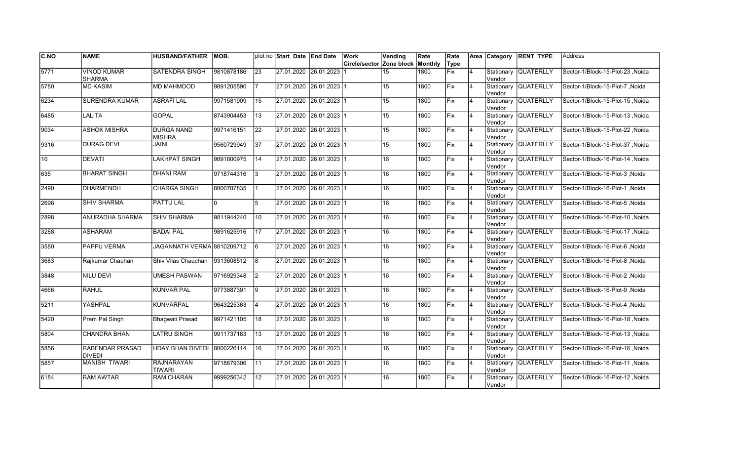| C.NO | <b>NAME</b>                         | <b>HUSBAND/FATHER</b>              | IMOB.      |                 | plot no Start Date End Date | Work                     | Vending          | Rate    | Rate        |                | Area Category         | <b>RENT TYPE</b>     | <b>Address</b>                   |
|------|-------------------------------------|------------------------------------|------------|-----------------|-----------------------------|--------------------------|------------------|---------|-------------|----------------|-----------------------|----------------------|----------------------------------|
|      |                                     |                                    |            |                 |                             | Circle/sector Zone block |                  | Monthly | Type        |                |                       |                      |                                  |
| 5771 | <b>VINOD KUMAR</b><br><b>SHARMA</b> | <b>SATENDRA SINGH</b>              | 9810878186 | $\overline{23}$ | 27.01.2020 26.01.2023       |                          | 15               | 1800    | <b>Fix</b>  | $\overline{4}$ | Stationary<br>Vendor  | <b>QUATERLLY</b>     | Sector-1/Block-15-Plot-23, Noida |
| 5780 | <b>MD KASIM</b>                     | <b>MD MAHMOOD</b>                  | 9891205590 |                 | 27.01.2020 26.01.2023 1     |                          | 15 <sup>15</sup> | 1800    | Fix         | 4              | Vendor                | Stationary QUATERLLY | Sector-1/Block-15-Plot-7 .Noida  |
| 6234 | <b>SURENDRA KUMAR</b>               | <b>ASRAFILAL</b>                   | 9971581909 | 15              | 27.01.2020 26.01.2023 1     |                          | 15               | 1800    | <b>IFix</b> | 4              | Vendor                | Stationary QUATERLLY | Sector-1/Block-15-Plot-15 .Noida |
| 6485 | LALITA                              | <b>GOPAL</b>                       | 8743904453 | 13              | 27.01.2020 26.01.2023 1     |                          | 15               | 1800    | Fix         | $\overline{4}$ | Vendor                | Stationary QUATERLLY | Sector-1/Block-15-Plot-13, Noida |
| 9034 | <b>ASHOK MISHRA</b>                 | <b>DURGA NAND</b><br><b>MISHRA</b> | 9971416151 | 22              | 27.01.2020 26.01.2023 1     |                          | 15               | 1800    | Fix         | $\overline{4}$ | lVendor               | Stationary QUATERLLY | Sector-1/Block-15-Plot-22, Noida |
| 9316 | <b>DURAG DEVI</b>                   | <b>JAINI</b>                       | 9560729949 | $\overline{37}$ | 27.01.2020 26.01.2023 1     |                          | 15               | 1800    | Fix         | $\overline{4}$ | Vendor                | Stationary QUATERLLY | Sector-1/Block-15-Plot-37, Noida |
| 10   | <b>DEVATI</b>                       | LAKHPAT SINGH                      | 9891800975 | 14              | 27.01.2020 26.01.2023 1     |                          | 16               | 1800    | Fix         | $\overline{4}$ | Vendor                | Stationary QUATERLLY | Sector-1/Block-16-Plot-14, Noida |
| 635  | <b>BHARAT SINGH</b>                 | <b>DHANI RAM</b>                   | 9718744316 | l 3             | 27.01.2020 26.01.2023 1     |                          | 16               | 1800    | Fix         | 4              | Vendor                | Stationary QUATERLLY | Sector-1/Block-16-Plot-3, Noida  |
| 2490 | <b>DHARMENDH</b>                    | CHARGA SINGH                       | 8800787835 |                 | 27.01.2020 26.01.2023 1     |                          | 16               | 1800    | <b>IFix</b> | 4              | Stationary<br>Vendor  | <b>QUATERLLY</b>     | Sector-1/Block-16-Plot-1 Noida   |
| 2696 | <b>SHIV SHARMA</b>                  | <b>PATTU LAL</b>                   |            | 5               | 27.01.2020 26.01.2023 1     |                          | 16               | 1800    | Fix         | $\overline{4}$ | Vendor                | Stationary QUATERLLY | Sector-1/Block-16-Plot-5, Noida  |
| 2898 | ANURADHA SHARMA                     | <b>SHIV SHARMA</b>                 | 9811944240 | 110             | 27.01.2020 26.01.2023 1     |                          | 16               | 1800    | Fix         | $\overline{4}$ | Vendor                | Stationary QUATERLLY | Sector-1/Block-16-Plot-10, Noida |
| 3288 | <b>ASHARAM</b>                      | <b>BADAI PAL</b>                   | 9891625916 | <b>17</b>       | 27.01.2020 26.01.2023 1     |                          | 16               | 1800    | Fix         | $\overline{4}$ | Vendor                | Stationary QUATERLLY | Sector-1/Block-16-Plot-17, Noida |
| 3580 | <b>PAPPU VERMA</b>                  | JAGANNATH VERMA 8810209712         |            | 6               | 27.01.2020 26.01.2023 1     |                          | 16               | 1800    | Fix         | $\overline{4}$ | Vendor                | Stationary QUATERLLY | Sector-1/Block-16-Plot-6, Noida  |
| 3683 | Rajkumar Chauhan                    | Shiv Vilas Chauchan                | 9313608512 | 8               | 27.01.2020 26.01.2023 1     |                          | 16               | 1800    | Fix         | $\overline{4}$ | Stationary<br>lVendor | <b>QUATERLLY</b>     | Sector-1/Block-16-Plot-8, Noida  |
| 3848 | <b>NILU DEVI</b>                    | <b>UMESH PASWAN</b>                | 9716929348 | <u>2</u>        | 27.01.2020 26.01.2023 1     |                          | 16               | 1800    | Fix         | 4              | lVendor               | Stationary QUATERLLY | Sector-1/Block-16-Plot-2, Noida  |
| 4666 | <b>RAHUL</b>                        | <b>KUNVAR PAL</b>                  | 9773887391 | 19              | 27.01.2020 26.01.2023 1     |                          | 16               | 1800    | <b>Fix</b>  | 4              | Vendor                | Stationary QUATERLLY | Sector-1/Block-16-Plot-9 .Noida  |
| 5211 | YASHPAL                             | <b>KUNVARPAL</b>                   | 9643225363 | $\overline{4}$  | 27.01.2020 26.01.2023 1     |                          | 16               | 1800    | Fix         | 4              | Vendor                | Stationary QUATERLLY | Sector-1/Block-16-Plot-4, Noida  |
| 5420 | Prem Pal Singh                      | <b>Bhagwati Prasad</b>             | 9971421105 | 18              | 27.01.2020 26.01.2023 1     |                          | 16               | 1800    | <b>IFix</b> | $\overline{4}$ | Vendor                | Stationary QUATERLLY | Sector-1/Block-16-Plot-18, Noida |
| 5804 | <b>CHANDRA BHAN</b>                 | <b>LATRU SINGH</b>                 | 9911737183 | $\overline{13}$ | 27.01.2020 26.01.2023 1     |                          | 16               | 1800    | Fix         | 4              | Vendor                | Stationary QUATERLLY | Sector-1/Block-16-Plot-13 .Noida |
| 5856 | RABENDAR PRASAD<br><b>DIVEDI</b>    | <b>UDAY BHAN DIVEDI</b>            | 8800226114 | 16              | 27.01.2020 26.01.2023 1     |                          | 16               | 1800    | Fix         | $\overline{4}$ | Vendor                | Stationary QUATERLLY | Sector-1/Block-16-Plot-16, Noida |
| 5857 | <b>MANISH TIWARI</b>                | <b>RAJNARAYAN</b><br><b>TIWARI</b> | 9718679306 | 11              | 27.01.2020 26.01.2023 1     |                          | 16               | 1800    | Fix         | $\overline{4}$ | Vendor                | Stationary QUATERLLY | Sector-1/Block-16-Plot-11, Noida |
| 6184 | <b>RAM AWTAR</b>                    | <b>RAM CHARAN</b>                  | 9999256342 | 12              | 27.01.2020 26.01.2023 1     |                          | 16               | 1800    | Fix         | 4              | Stationary<br>Vendor  | <b>QUATERLLY</b>     | Sector-1/Block-16-Plot-12, Noida |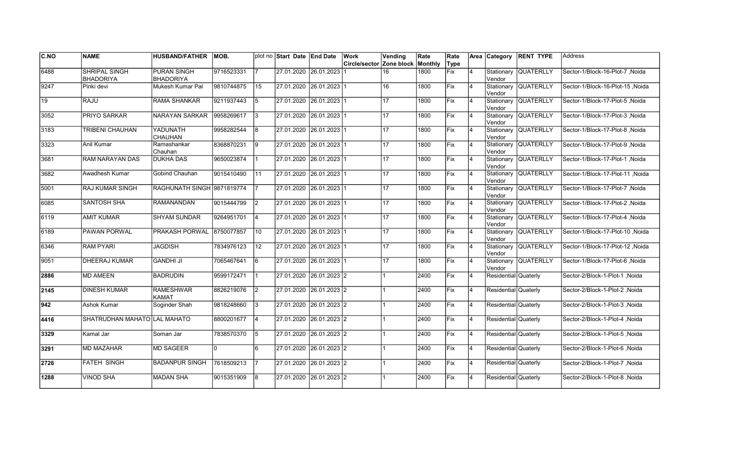| C.NO | <b>NAME</b>                              | <b>HUSBAND/FATHER</b>                  | MOB.       |                | plot no Start Date End Date | Work          | Vending         | Rate    | Rate       |                |                      | Area Category RENT TYPE | <b>Address</b>                    |
|------|------------------------------------------|----------------------------------------|------------|----------------|-----------------------------|---------------|-----------------|---------|------------|----------------|----------------------|-------------------------|-----------------------------------|
|      |                                          |                                        |            |                |                             | Circle/sector | Zone block      | Monthly | Type       |                |                      |                         |                                   |
| 6488 | <b>SHRIPAL SINGH</b><br><b>BHADORIYA</b> | <b>PURAN SINGH</b><br><b>BHADORIYA</b> | 9716523331 | 17.            | 27.01.2020 26.01.2023       |               | 16              | 1800    | Fix        | $\overline{4}$ | Vendor               | Stationary QUATERLLY    | Sector-1/Block-16-Plot-7 Noida    |
| 9247 | Pinki devi                               | Mukesh Kumar Pal                       | 9810744875 | 15             | 27.01.2020 26.01.2023 1     |               | 16              | 1800    | Fix        | 14             | Vendor               | Stationary QUATERLLY    | Sector-1/Block-16-Plot-15 Noida   |
| 19   | RAJU                                     | <b>RAMA SHANKAR</b>                    | 9211937443 | <u>5</u>       | 27.01.2020 26.01.2023 1     |               | 17              | 1800    | <b>Fix</b> | $\overline{4}$ | Vendor               | Stationary QUATERLLY    | Sector-1/Block-17-Plot-5 .Noida   |
| 3052 | PRIYO SARKAR                             | NARAYAN SARKAR                         | 9958269617 | $\vert$ 3      | 27.01.2020 26.01.2023 1     |               | 17 <sup>1</sup> | 1800    | Fix        | $\overline{4}$ | Vendor               | Stationary QUATERLLY    | Sector-1/Block-17-Plot-3, Noida   |
| 3183 | <b>TRIBENI CHAUHAN</b>                   | YADUNATH<br><b>CHAUHAN</b>             | 9958282544 | 8              | 27.01.2020 26.01.2023 1     |               | 17              | 1800    | Fix        | 4              | Vendor               | Stationary QUATERLLY    | Sector-1/Block-17-Plot-8, Noida   |
| 3323 | Anil Kumar                               | Ramashankar<br>Chauhan                 | 8368870231 | 9              | 27.01.2020 26.01.2023 1     |               | $\overline{17}$ | 1800    | Fix        | $\overline{4}$ | Vendor               | Stationary QUATERLLY    | Sector-1/Block-17-Plot-9, Noida   |
| 3681 | RAM NARAYAN DAS                          | <b>DUKHA DAS</b>                       | 9650023874 | 11             | 27.01.2020 26.01.2023 1     |               | 17              | 1800    | Fix        | 4              | Vendor               | Stationary QUATERLLY    | Sector-1/Block-17-Plot-1, Noida   |
| 3682 | Awadhesh Kumar                           | Gobind Chauhan                         | 9015410490 | <b>111</b>     | 27.01.2020 26.01.2023 1     |               | 17              | 1800    | Fix        | $\overline{4}$ | Vendor               | Stationary QUATERLLY    | Noida   Sector-1/Block-17-Plot-11 |
| 5001 | RAJ KUMAR SINGH                          | RAGHUNATH SINGH 9871819774             |            | 17             | 27.01.2020  26.01.2023  1   |               | 17              | 1800    | lFix.      | $\overline{4}$ | Vendor               | Stationary QUATERLLY    | Sector-1/Block-17-Plot-7, Noida   |
| 6085 | <b>SANTOSH SHA</b>                       | <b>RAMANANDAN</b>                      | 9015444799 | $\mathsf{I2}$  | 27.01.2020 26.01.2023 1     |               | 17              | 1800    | Fix        | $\overline{4}$ | Vendor               | Stationary QUATERLLY    | Sector-1/Block-17-Plot-2 .Noida   |
| 6119 | <b>AMIT KUMAR</b>                        | <b>SHYAM SUNDAR</b>                    | 9264951701 | $\vert$ 4      | 27.01.2020 26.01.2023 1     |               | 17              | 1800    | Fix        | $\overline{4}$ | Vendor               | Stationary QUATERLLY    | Sector-1/Block-17-Plot-4, Noida   |
| 6189 | PAWAN PORWAL                             | PRAKASH PORWAL                         | 8750077857 | 10             | 27.01.2020 26.01.2023 1     |               | 17              | 1800    | Fix        | $\overline{4}$ | Vendor               | Stationary QUATERLLY    | Sector-1/Block-17-Plot-10, Noida  |
| 6346 | RAM PYARI                                | <b>JAGDISH</b>                         | 7834976123 | 12             | 27.01.2020 26.01.2023 1     |               | 17              | 1800    | Fix        | 4              | Vendor               | Stationary QUATERLLY    | Sector-1/Block-17-Plot-12, Noida  |
| 9051 | <b>DHEERAJ KUMAR</b>                     | <b>GANDHI JI</b>                       | 7065467641 | $\overline{6}$ | 27.01.2020 26.01.2023 1     |               | 17              | 1800    | Fix        | 4              | Vendor               | Stationary QUATERLLY    | Sector-1/Block-17-Plot-6, Noida   |
| 2886 | <b>MD AMEEN</b>                          | <b>BADRUDIN</b>                        | 9599172471 | $\vert$ 1      | 27.01.2020 26.01.2023 2     |               |                 | 2400    | Fix        | 4              | Residential Quaterly |                         | Sector-2/Block-1-Plot-1, Noida    |
| 2145 | <b>DINESH KUMAR</b>                      | RAMESHWAR<br><b>KAMAT</b>              | 8826219076 | $ 2\rangle$    | 27.01.2020 26.01.2023 2     |               |                 | 2400    | <b>Fix</b> | 14             | Residential Quaterly |                         | Noida Sector-2/Block-1-Plot-2     |
| 942  | Ashok Kumar                              | Soqinder Shah                          | 9818248660 | 13             | 27.01.2020 26.01.2023 2     |               |                 | 2400    | Fix        | $\overline{4}$ | Residential Quaterly |                         | Sector-2/Block-1-Plot-3, Noida    |
| 4416 | SHATRUDHAN MAHATO LAL MAHATO             |                                        | 8800201677 | $\vert$ 4      | 27.01.2020 26.01.2023 2     |               |                 | 2400    | Fix        | $\overline{4}$ | Residential Quaterly |                         | Sector-2/Block-1-Plot-4 .Noida    |
| 3329 | Kamal Jar                                | Soman Jar                              | 7838570370 | 15             | 27.01.2020 26.01.2023 2     |               |                 | 2400    | Fix        | $\overline{4}$ | Residential Quaterly |                         | Sector-2/Block-1-Plot-5 .Noida    |
| 3291 | <b>MD MAZAHAR</b>                        | <b>MD SAGEER</b>                       | $\Omega$   | 6              | 27.01.2020 26.01.2023 2     |               |                 | 2400    | Fix        | $\overline{4}$ | Residential Quaterly |                         | Sector-2/Block-1-Plot-6, Noida    |
| 2726 | <b>FATEH SINGH</b>                       | <b>BADANPUR SINGH</b>                  | 7618509213 | 17             | 27.01.2020 26.01.2023 2     |               |                 | 2400    | Fix        | <b>4</b>       | Residential Quaterly |                         | Sector-2/Block-1-Plot-7, Noida    |
| 1288 | <b>VINOD SHA</b>                         | <b>MADAN SHA</b>                       | 9015351909 | 8              | 27.01.2020 26.01.2023 2     |               |                 | 2400    | Fix        | $\overline{4}$ | Residential Quaterly |                         | Sector-2/Block-1-Plot-8, Noida    |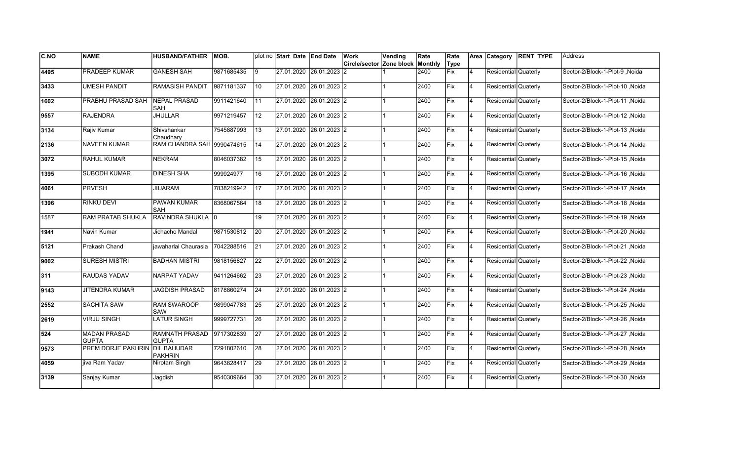| C.NO | <b>NAME</b>                         | <b>HUSBAND/FATHER</b>                 | IMOB.      |                 | plot no Start Date End Date | Work<br>Circle/sector Zone block | Vending | Rate<br>Monthly | Rate<br>Type |                | Area Category        | <b>RENT TYPE</b> | <b>Address</b>                   |
|------|-------------------------------------|---------------------------------------|------------|-----------------|-----------------------------|----------------------------------|---------|-----------------|--------------|----------------|----------------------|------------------|----------------------------------|
| 4495 | PRADEEP KUMAR                       | <b>GANESH SAH</b>                     | 9871685435 | Ι9              | 27.01.2020 26.01.2023 2     |                                  |         | 2400            | <b>Fix</b>   | $\overline{4}$ | Residential Quaterly |                  | Sector-2/Block-1-Plot-9, Noida   |
| 3433 | <b>UMESH PANDIT</b>                 | <b>RAMASISH PANDIT</b>                | 9871181337 | 10              | 27.01.2020 26.01.2023 2     |                                  |         | 2400            | Fix          | 4              | Residential Quaterly |                  | Sector-2/Block-1-Plot-10 .Noida  |
| 1602 | PRABHU PRASAD SAH                   | NEPAL PRASAD<br><b>SAH</b>            | 9911421640 | 111             | 27.01.2020 26.01.2023 2     |                                  |         | 2400            | Fix          | 4              | Residential Quaterly |                  | Sector-2/Block-1-Plot-11, Noida  |
| 9557 | <b>RAJENDRA</b>                     | <b>JHULLAR</b>                        | 9971219457 | 12              | 27.01.2020 26.01.2023 2     |                                  |         | 2400            | Fix          | 4              | Residential Quaterly |                  | Sector-2/Block-1-Plot-12, Noida  |
| 3134 | Rajiv Kumar                         | Shivshankar<br>Chaudhary              | 7545887993 | 13              | 27.01.2020 26.01.2023 2     |                                  |         | 2400            | Fix          | $\overline{4}$ | Residential Quaterly |                  | Sector-2/Block-1-Plot-13, Noida  |
| 2136 | <b>NAVEEN KUMAR</b>                 | RAM CHANDRA SAH 9990474615            |            | 14              | 27.01.2020 26.01.2023 2     |                                  |         | 2400            | Fix          | $\overline{4}$ | Residential Quaterly |                  | Sector-2/Block-1-Plot-14, Noida  |
| 3072 | <b>RAHUL KUMAR</b>                  | <b>NEKRAM</b>                         | 8046037382 | 15              | 27.01.2020 26.01.2023 2     |                                  |         | 2400            | Fix          | 4              | Residential Quaterly |                  | Sector-2/Block-1-Plot-15, Noida  |
| 1395 | SUBODH KUMAR                        | <b>DINESH SHA</b>                     | 999924977  | 16              | 27.01.2020 26.01.2023 2     |                                  |         | 2400            | Fix          | 4              | Residential Quaterly |                  | Sector-2/Block-1-Plot-16, Noida  |
| 4061 | <b>PRVESH</b>                       | <b>JIUARAM</b>                        | 7838219942 | 17              | 27.01.2020 26.01.2023 2     |                                  |         | 2400            | Fix          | $\overline{4}$ | Residential Quaterly |                  | Sector-2/Block-1-Plot-17, Noida  |
| 1396 | <b>RINKU DEVI</b>                   | <b>PAWAN KUMAR</b><br><b>SAH</b>      | 8368067564 | 18              | 27.01.2020 26.01.2023 2     |                                  |         | 2400            | Fix          | $\overline{4}$ | Residential Quaterly |                  | Sector-2/Block-1-Plot-18, Noida  |
| 1587 | <b>RAM PRATAB SHUKLA</b>            | RAVINDRA SHUKLA 0                     |            | 19              | 27.01.2020 26.01.2023 2     |                                  |         | 2400            | Fix          | 4              | Residential Quaterly |                  | Sector-2/Block-1-Plot-19, Noida  |
| 1941 | Navin Kumar                         | Jichacho Mandal                       | 9871530812 | 20              | 27.01.2020 26.01.2023 2     |                                  |         | 2400            | Fix          | 4              | Residential Quaterly |                  | Sector-2/Block-1-Plot-20, Noida  |
| 5121 | Prakash Chand                       | jawaharlal Chaurasia                  | 7042288516 | 21              | 27.01.2020 26.01.2023 2     |                                  |         | 2400            | Fix          | 4              | Residential Quaterly |                  | Sector-2/Block-1-Plot-21 , Noida |
| 9002 | <b>SURESH MISTRI</b>                | <b>BADHAN MISTRI</b>                  | 9818156827 | 22              | 27.01.2020 26.01.2023 2     |                                  |         | 2400            | Fix          | $\overline{4}$ | Residential Quaterly |                  | Sector-2/Block-1-Plot-22 .Noida  |
| 311  | <b>RAUDAS YADAV</b>                 | <b>NARPAT YADAV</b>                   | 9411264662 | $\overline{23}$ | 27.01.2020 26.01.2023 2     |                                  |         | 2400            | Fix          | 4              | Residential Quaterly |                  | Sector-2/Block-1-Plot-23, Noida  |
| 9143 | <b>JITENDRA KUMAR</b>               | <b>JAGDISH PRASAD</b>                 | 8178860274 | $\overline{24}$ | 27.01.2020 26.01.2023 2     |                                  |         | 2400            | Fix          | 4              | Residential Quaterly |                  | Sector-2/Block-1-Plot-24, Noida  |
| 2552 | <b>SACHITA SAW</b>                  | <b>RAM SWAROOP</b><br>SAW             | 9899047783 | $\overline{25}$ | 27.01.2020 26.01.2023 2     |                                  |         | 2400            | Fix          | <b>4</b>       | Residential Quaterly |                  | Sector-2/Block-1-Plot-25, Noida  |
| 2619 | <b>VIRJU SINGH</b>                  | <b>LATUR SINGH</b>                    | 9999727731 | 26              | 27.01.2020 26.01.2023 2     |                                  |         | 2400            | Fix          | 4              | Residential Quaterly |                  | Sector-2/Block-1-Plot-26, Noida  |
| 524  | <b>MADAN PRASAD</b><br><b>GUPTA</b> | <b>RAMNATH PRASAD</b><br><b>GUPTA</b> | 9717302839 | $\overline{27}$ | 27.01.2020 26.01.2023 2     |                                  |         | 2400            | Fix          | $\overline{4}$ | Residential Quaterly |                  | Sector-2/Block-1-Plot-27 ,Noida  |
| 9573 | PREM DORJE PAKHRIN DIL BAHUDAR      | <b>PAKHRIN</b>                        | 7291802610 | $\overline{28}$ | 27.01.2020 26.01.2023 2     |                                  |         | 2400            | Fix          | $\overline{4}$ | Residential Quaterly |                  | Sector-2/Block-1-Plot-28, Noida  |
| 4059 | jiva Ram Yadav                      | Nirotam Singh                         | 9643628417 | $\overline{29}$ | 27.01.2020 26.01.2023 2     |                                  |         | 2400            | Fix          | 4              | Residential Quaterly |                  | Sector-2/Block-1-Plot-29, Noida  |
| 3139 | Sanjay Kumar                        | Jagdish                               | 9540309664 | 30              | 27.01.2020 26.01.2023 2     |                                  |         | 2400            | Fix          | $\overline{4}$ | Residential Quaterly |                  | Sector-2/Block-1-Plot-30, Noida  |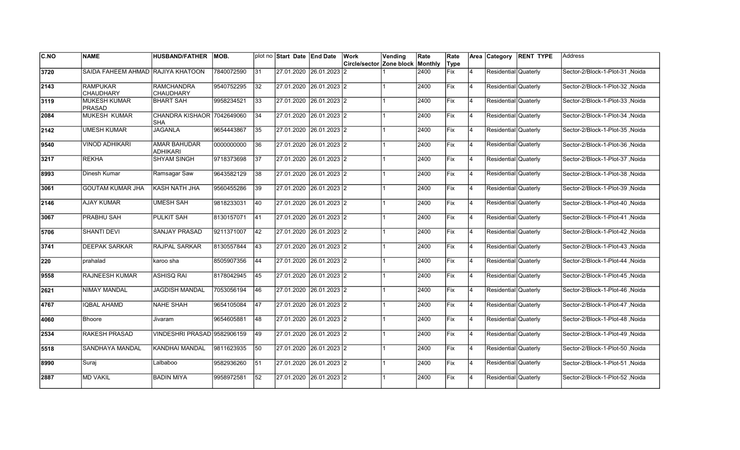| <b>C.NO</b> | <b>NAME</b>                          | <b>HUSBAND/FATHER</b>                    | <b>MOB.</b> |              | plot no Start Date End Date |                         | Work                     | Vending | Rate    | Rate        |                | Area Category        | <b>RENT TYPE</b> | <b>Address</b>                  |
|-------------|--------------------------------------|------------------------------------------|-------------|--------------|-----------------------------|-------------------------|--------------------------|---------|---------|-------------|----------------|----------------------|------------------|---------------------------------|
|             |                                      |                                          |             |              |                             |                         | Circle/sector Zone block |         | Monthly | Type        |                |                      |                  |                                 |
| 3720        | SAIDA FAHEEM AHMAD RAJIYA KHATOON    |                                          | 7840072590  | 31           |                             | 27.01.2020 26.01.2023 2 |                          |         | 2400    | Fix         | 4              | Residential Quaterly |                  | Sector-2/Block-1-Plot-31, Noida |
| 2143        | <b>RAMPUKAR</b><br><b>CHAUDHARY</b>  | <b>RAMCHANDRA</b><br><b>CHAUDHARY</b>    | 9540752295  | 32           |                             | 27.01.2020 26.01.2023 2 |                          |         | 2400    | Fix         | 4              | Residential Quaterly |                  | Sector-2/Block-1-Plot-32, Noida |
| 3119        | <b>MUKESH KUMAR</b><br><b>PRASAD</b> | <b>BHART SAH</b>                         | 9958234521  | 33           |                             | 27.01.2020 26.01.2023 2 |                          |         | 2400    | Fix         | 4              | Residential Quaterly |                  | Sector-2/Block-1-Plot-33, Noida |
| 2084        | <b>MUKESH KUMAR</b>                  | CHANDRA KISHAOR 7042649060<br><b>SHA</b> |             | 34           |                             | 27.01.2020 26.01.2023 2 |                          |         | 2400    | <b>IFix</b> | 4              | Residential Quaterly |                  | Sector-2/Block-1-Plot-34, Noida |
| 2142        | <b>UMESH KUMAR</b>                   | JAGANLA                                  | 9654443867  | 35           | 27.01.2020                  | 26.01.2023 2            |                          |         | 2400    | lFix        | 4              | Residential Quaterly |                  | Sector-2/Block-1-Plot-35, Noida |
| 9540        | <b>VINOD ADHIKARI</b>                | <b>AMAR BAHUDAR</b><br><b>ADHIKARI</b>   | 0000000000  | 36           | 27.01.2020                  | 26.01.2023 2            |                          |         | 2400    | Fix         | $\overline{4}$ | Residential Quaterly |                  | Sector-2/Block-1-Plot-36 .Noida |
| 3217        | <b>REKHA</b>                         | <b>SHYAM SINGH</b>                       | 9718373698  | 37           | 27.01.2020                  | $26.01.2023$ 2          |                          |         | 2400    | Fix         | 4              | Residential Quaterly |                  | Sector-2/Block-1-Plot-37, Noida |
| 8993        | Dinesh Kumar                         | Ramsagar Saw                             | 9643582129  | 38           | $\sqrt{27}.01.2020$         | $26.01.2023$ 2          |                          |         | 2400    | Fix         | 4              | Residential Quaterly |                  | Sector-2/Block-1-Plot-38, Noida |
| 3061        | GOUTAM KUMAR JHA                     | KASH NATH JHA                            | 9560455286  | 39           |                             | 27.01.2020 26.01.2023 2 |                          |         | 2400    | Fix         | 4              | Residential Quaterly |                  | Sector-2/Block-1-Plot-39, Noida |
| 2146        | <b>AJAY KUMAR</b>                    | <b>UMESH SAH</b>                         | 9818233031  | 40           | 27.01.2020                  | 26.01.2023 2            |                          |         | 2400    | lFix        | 4              | Residential Quaterly |                  | Sector-2/Block-1-Plot-40, Noida |
| 3067        | <b>PRABHU SAH</b>                    | <b>PULKIT SAH</b>                        | 8130157071  | $ 41\rangle$ | 27.01.2020                  | 26.01.2023 2            |                          |         | 2400    | Fix         | $\overline{4}$ | Residential Quaterly |                  | Sector-2/Block-1-Plot-41, Noida |
| 5706        | <b>SHANTI DEVI</b>                   | <b>SANJAY PRASAD</b>                     | 9211371007  | 42           |                             | 27.01.2020 26.01.2023 2 |                          |         | 2400    | Fix         | 4              | Residential Quaterly |                  | Sector-2/Block-1-Plot-42, Noida |
| 3741        | <b>DEEPAK SARKAR</b>                 | <b>RAJPAL SARKAR</b>                     | 8130557844  | 43           |                             | 27.01.2020 26.01.2023 2 |                          |         | 2400    | Fix         | $\overline{4}$ | Residential Quaterly |                  | Sector-2/Block-1-Plot-43, Noida |
| 220         | prahalad                             | karoo sha                                | 8505907356  | 44           |                             | 27.01.2020 26.01.2023 2 |                          |         | 2400    | Fix         | $\overline{4}$ | Residential Quaterly |                  | Sector-2/Block-1-Plot-44, Noida |
| 9558        | <b>RAJNEESH KUMAR</b>                | <b>ASHISQ RAI</b>                        | 8178042945  | 45           | 27.01.2020                  | 26.01.2023 2            |                          |         | 2400    | Fix         | 4              | Residential Quaterly |                  | Sector-2/Block-1-Plot-45, Noida |
| 2621        | <b>NIMAY MANDAL</b>                  | <b>JAGDISH MANDAL</b>                    | 7053056194  | 46           | 27.01.2020                  | 26.01.2023 2            |                          |         | 2400    | Fix         | Ι4             | Residential Quaterly |                  | Sector-2/Block-1-Plot-46 .Noida |
| 4767        | <b>IQBAL AHAMD</b>                   | <b>NAHE SHAH</b>                         | 9654105084  | 47           |                             | 27.01.2020 26.01.2023 2 |                          |         | 2400    | Fix         | 4              | Residential Quaterly |                  | Sector-2/Block-1-Plot-47, Noida |
| 4060        | <b>Bhoore</b>                        | Jivaram                                  | 9654605881  | 48           |                             | 27.01.2020 26.01.2023 2 |                          |         | 2400    | Fix         | 4              | Residential Quaterly |                  | Sector-2/Block-1-Plot-48, Noida |
| 2534        | <b>RAKESH PRASAD</b>                 | VINDESHRI PRASAD 9582906159              |             | 49           | 27.01.2020                  | 26.01.2023 2            |                          |         | 2400    | Fix         | 4              | Residential Quaterly |                  | Sector-2/Block-1-Plot-49, Noida |
| 5518        | SANDHAYA MANDAL                      | KANDHAI MANDAL                           | 9811623935  | 50           | 27.01.2020                  | 26.01.2023 2            |                          |         | 2400    | Fix         | 4              | Residential Quaterly |                  | Sector-2/Block-1-Plot-50, Noida |
| 8990        | Suraj                                | Lalbaboo                                 | 9582936260  | 51           |                             | 27.01.2020 26.01.2023 2 |                          |         | 2400    | Fix         | 4              | Residential Quaterly |                  | Sector-2/Block-1-Plot-51, Noida |
| 2887        | <b>MD VAKIL</b>                      | BADIN MIYA                               | 9958972581  | 52           | 27.01.2020                  | 26.01.2023 2            |                          |         | 2400    | Fix         | $\overline{4}$ | Residential Quaterly |                  | Sector-2/Block-1-Plot-52, Noida |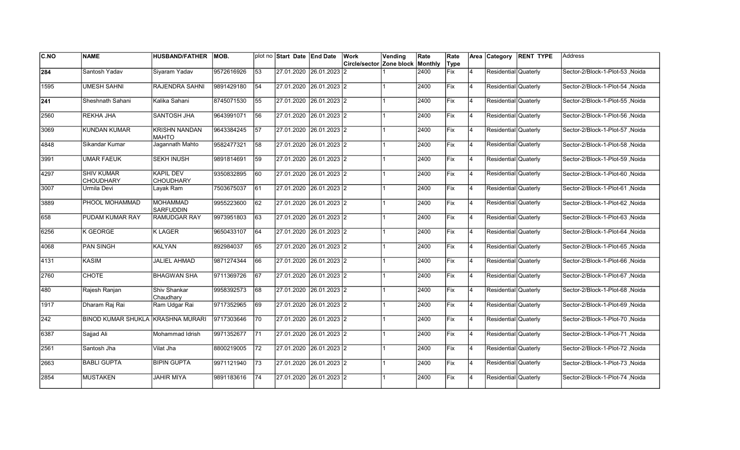| <b>C.NO</b>      | <b>NAME</b>                           | <b>HUSBAND/FATHER</b>                | <b>MOB.</b> |                 | plot no Start Date End Date | Work<br>Circle/sector Zone block | Vending | Rate<br>Monthly | Rate<br>Type |                | Area Category        | <b>RENT TYPE</b> | Address                          |
|------------------|---------------------------------------|--------------------------------------|-------------|-----------------|-----------------------------|----------------------------------|---------|-----------------|--------------|----------------|----------------------|------------------|----------------------------------|
| 284              | Santosh Yadav                         | Siyaram Yadav                        | 9572616926  | 53              | 27.01.2020 26.01.2023 2     |                                  |         | 2400            | <b>Fix</b>   | $\overline{4}$ | Residential Quaterly |                  | Sector-2/Block-1-Plot-53, Noida  |
| 1595             | <b>UMESH SAHNI</b>                    | <b>RAJENDRA SAHNI</b>                | 9891429180  | 54              | 27.01.2020 26.01.2023 2     |                                  |         | 2400            | Fix          | 4              | Residential Quaterly |                  | Sector-2/Block-1-Plot-54 .Noida  |
| $\sqrt{241}$     | Sheshnath Sahani                      | Kalika Sahani                        | 8745071530  | 55              | 27.01.2020 26.01.2023 2     |                                  |         | 2400            | Fix          | 4              | Residential Quaterly |                  | Sector-2/Block-1-Plot-55, Noida  |
| 2560             | <b>REKHA JHA</b>                      | SANTOSH JHA                          | 9643991071  | 56              | 27.01.2020 26.01.2023 2     |                                  |         | 2400            | Fix          | 4              | Residential Quaterly |                  | Sector-2/Block-1-Plot-56, Noida  |
| 3069             | <b>KUNDAN KUMAR</b>                   | <b>KRISHN NANDAN</b><br><b>MAHTO</b> | 9643384245  | 57              | 27.01.2020 26.01.2023 2     |                                  |         | 2400            | Fix          | $\overline{4}$ | Residential Quaterly |                  | Sector-2/Block-1-Plot-57, Noida  |
| 4848             | Sikandar Kumar                        | Jagannath Mahto                      | 9582477321  | 58              | 27.01.2020 26.01.2023 2     |                                  |         | 2400            | Fix          | $\overline{4}$ | Residential Quaterly |                  | Sector-2/Block-1-Plot-58, Noida  |
| 3991             | <b>UMAR FAEUK</b>                     | <b>SEKH INUSH</b>                    | 9891814691  | 59              | 27.01.2020 26.01.2023 2     |                                  |         | 2400            | Fix          | 4              | Residential Quaterly |                  | Sector-2/Block-1-Plot-59, Noida  |
| 4297             | <b>SHIV KUMAR</b><br><b>CHOUDHARY</b> | <b>KAPIL DEV</b><br><b>CHOUDHARY</b> | 9350832895  | 60              | 27.01.2020 26.01.2023 2     |                                  |         | 2400            | Fix          | 4              | Residential Quaterly |                  | Sector-2/Block-1-Plot-60, Noida  |
| 3007             | Urmila Devi                           | Layak Ram                            | 7503675037  | 61              | 27.01.2020 26.01.2023 2     |                                  |         | 2400            | Fix          | $\overline{4}$ | Residential Quaterly |                  | Sector-2/Block-1-Plot-61, Noida  |
| 3889             | PHOOL MOHAMMAD                        | <b>MOHAMMAD</b><br><b>SARFUDDIN</b>  | 9955223600  | $\overline{62}$ | 27.01.2020 26.01.2023 2     |                                  |         | 2400            | Fix          | $\overline{4}$ | Residential Quaterly |                  | Sector-2/Block-1-Plot-62, Noida  |
| 658              | PUDAM KUMAR RAY                       | <b>RAMUDGAR RAY</b>                  | 9973951803  | 63              | 27.01.2020 26.01.2023 2     |                                  |         | 2400            | Fix          | 4              | Residential Quaterly |                  | Sector-2/Block-1-Plot-63, Noida  |
| 6256             | K GEORGE                              | <b>KLAGER</b>                        | 9650433107  | 64              | 27.01.2020 26.01.2023 2     |                                  |         | 2400            | Fix          | 4              | Residential Quaterly |                  | Sector-2/Block-1-Plot-64, Noida  |
| 4068             | <b>PAN SINGH</b>                      | <b>KALYAN</b>                        | 892984037   | 65              | 27.01.2020 26.01.2023 2     |                                  |         | 2400            | Fix          | 4              | Residential Quaterly |                  | Sector-2/Block-1-Plot-65, Noida  |
| 4131             | <b>KASIM</b>                          | <b>JALIEL AHMAD</b>                  | 9871274344  | 66              | 27.01.2020 26.01.2023 2     |                                  |         | 2400            | Fix          | $\overline{4}$ | Residential Quaterly |                  | Sector-2/Block-1-Plot-66 .Noida  |
| 2760             | <b>CHOTE</b>                          | <b>BHAGWAN SHA</b>                   | 9711369726  | 67              | 27.01.2020 26.01.2023 2     |                                  |         | 2400            | Fix          | 4              | Residential Quaterly |                  | Sector-2/Block-1-Plot-67, Noida  |
| 480              | Rajesh Ranjan                         | Shiv Shankar<br>Chaudhary            | 9958392573  | 68              | 27.01.2020 26.01.2023 2     |                                  |         | 2400            | Fix          | 4              | Residential Quaterly |                  | Sector-2/Block-1-Plot-68, Noida  |
| $\frac{1}{1917}$ | Dharam Raj Rai                        | Ram Udgar Rai                        | 9717352965  | 69              | 27.01.2020 26.01.2023 2     |                                  |         | 2400            | Fix          | <b>4</b>       | Residential Quaterly |                  | Sector-2/Block-1-Plot-69, Noida  |
| 242              | BINOD KUMAR SHUKLA KRASHNA MURARI     |                                      | 9717303646  | 70              | 27.01.2020 26.01.2023 2     |                                  |         | 2400            | Fix          | 4              | Residential Quaterly |                  | Sector-2/Block-1-Plot-70, Noida  |
| 6387             | Sajjad Ali                            | Mohammad Idrish                      | 9971352677  | 171             | 27.01.2020 26.01.2023 2     |                                  |         | 2400            | Fix          | $\overline{4}$ | Residential Quaterly |                  | Sector-2/Block-1-Plot-71 ,Noida  |
| 2561             | Santosh Jha                           | Vilat Jha                            | 8800219005  | 72              | 27.01.2020 26.01.2023 2     |                                  |         | 2400            | Fix          | $\overline{4}$ | Residential Quaterly |                  | Sector-2/Block-1-Plot-72 , Noida |
| 2663             | <b>BABLI GUPTA</b>                    | <b>BIPIN GUPTA</b>                   | 9971121940  | $\overline{73}$ | 27.01.2020 26.01.2023 2     |                                  |         | 2400            | Fix          | 4              | Residential Quaterly |                  | Sector-2/Block-1-Plot-73, Noida  |
| 2854             | <b>MUSTAKEN</b>                       | <b>JAHIR MIYA</b>                    | 9891183616  | 74              | 27.01.2020 26.01.2023 2     |                                  |         | 2400            | Fix          | $\overline{4}$ | Residential Quaterly |                  | Sector-2/Block-1-Plot-74, Noida  |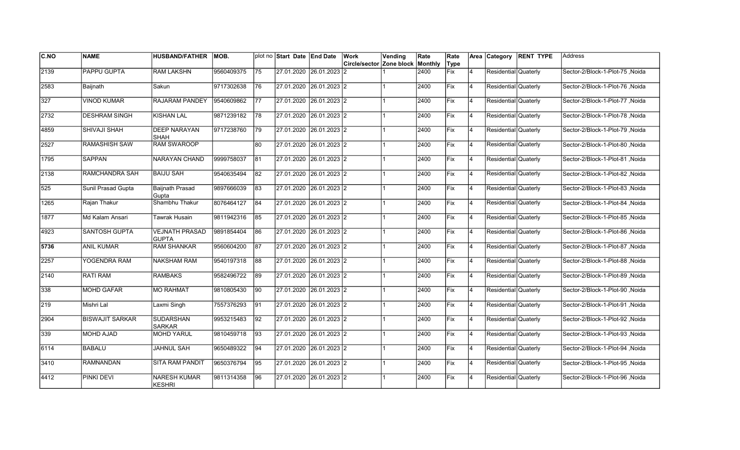| C.NO         | <b>NAME</b>            | <b>HUSBAND/FATHER</b>                 | IMOB.      |                 | plot no Start Date End Date | Work<br>Circle/sector Zone block | Vending | Rate<br>Monthly | Rate<br>Type |                | Area Category        | <b>RENT TYPE</b> | Address                         |
|--------------|------------------------|---------------------------------------|------------|-----------------|-----------------------------|----------------------------------|---------|-----------------|--------------|----------------|----------------------|------------------|---------------------------------|
| 2139         | <b>PAPPU GUPTA</b>     | <b>RAM LAKSHN</b>                     | 9560409375 | 75              | 27.01.2020 26.01.2023 2     |                                  |         | 2400            | <b>Fix</b>   | $\overline{4}$ | Residential Quaterly |                  | Sector-2/Block-1-Plot-75, Noida |
| 2583         | Baijnath               | Sakun                                 | 9717302638 | 76              | 27.01.2020 26.01.2023 2     |                                  |         | 2400            | Fix          | 4              | Residential Quaterly |                  | Sector-2/Block-1-Plot-76 .Noida |
| 327          | <b>VINOD KUMAR</b>     | RAJARAM PANDEY                        | 9540609862 | 77              | 27.01.2020 26.01.2023 2     |                                  |         | 2400            | Fix          | 4              | Residential Quaterly |                  | Sector-2/Block-1-Plot-77, Noida |
| 2732         | <b>DESHRAM SINGH</b>   | <b>KISHAN LAL</b>                     | 9871239182 | 78              | 27.01.2020 26.01.2023 2     |                                  |         | 2400            | Fix          | 4              | Residential Quaterly |                  | Sector-2/Block-1-Plot-78, Noida |
| 4859         | SHIVAJI SHAH           | <b>DEEP NARAYAN</b><br><b>SHAH</b>    | 9717238760 | 79              | 27.01.2020 26.01.2023 2     |                                  |         | 2400            | Fix          | $\overline{4}$ | Residential Quaterly |                  | Sector-2/Block-1-Plot-79, Noida |
| 2527         | <b>RAMASHISH SAW</b>   | <b>RAM SWAROOP</b>                    |            | 80              | 27.01.2020 26.01.2023 2     |                                  |         | 2400            | Fix          | $\overline{4}$ | Residential Quaterly |                  | Sector-2/Block-1-Plot-80, Noida |
| 1795         | <b>SAPPAN</b>          | NARAYAN CHAND                         | 9999758037 | 181             | 27.01.2020 26.01.2023 2     |                                  |         | 2400            | Fix          | 4              | Residential Quaterly |                  | Sector-2/Block-1-Plot-81, Noida |
| 2138         | RAMCHANDRA SAH         | IBAIJU SAH                            | 9540635494 | 82              | 27.01.2020 26.01.2023 2     |                                  |         | 2400            | Fix          | <b>4</b>       | Residential Quaterly |                  | Sector-2/Block-1-Plot-82, Noida |
| 525          | Sunil Prasad Gupta     | <b>Baijnath Prasad</b><br>Gupta       | 9897666039 | 83              | 27.01.2020 26.01.2023 2     |                                  |         | 2400            | Fix          | $\overline{4}$ | Residential Quaterly |                  | Sector-2/Block-1-Plot-83, Noida |
| 1265         | Rajan Thakur           | Shambhu Thakur                        | 8076464127 | 84              | 27.01.2020 26.01.2023 2     |                                  |         | 2400            | Fix          | $\overline{4}$ | Residential Quaterly |                  | Sector-2/Block-1-Plot-84, Noida |
| 1877         | Md Kalam Ansari        | Tawrak Husain                         | 9811942316 | 85              | 27.01.2020 26.01.2023 2     |                                  |         | 2400            | Fix          | 4              | Residential Quaterly |                  | Sector-2/Block-1-Plot-85, Noida |
| 4923         | <b>SANTOSH GUPTA</b>   | <b>VEJNATH PRASAD</b><br><b>GUPTA</b> | 9891854404 | 86              | 27.01.2020 26.01.2023 2     |                                  |         | 2400            | Fix          | 4              | Residential Quaterly |                  | Sector-2/Block-1-Plot-86, Noida |
| 5736         | <b>ANIL KUMAR</b>      | <b>RAM SHANKAR</b>                    | 9560604200 | 87              | 27.01.2020 26.01.2023 2     |                                  |         | 2400            | Fix          | 4              | Residential Quaterly |                  | Sector-2/Block-1-Plot-87, Noida |
| 2257         | YOGENDRA RAM           | <b>NAKSHAM RAM</b>                    | 9540197318 | 88              | 27.01.2020 26.01.2023 2     |                                  |         | 2400            | Fix          | $\overline{4}$ | Residential Quaterly |                  | Sector-2/Block-1-Plot-88 .Noida |
| 2140         | <b>RATI RAM</b>        | <b>RAMBAKS</b>                        | 9582496722 | 89              | 27.01.2020 26.01.2023 2     |                                  |         | 2400            | Fix          | 4              | Residential Quaterly |                  | Sector-2/Block-1-Plot-89, Noida |
| 338          | <b>MOHD GAFAR</b>      | <b>MO RAHMAT</b>                      | 9810805430 | 90              | 27.01.2020 26.01.2023 2     |                                  |         | 2400            | Fix          | 4              | Residential Quaterly |                  | Sector-2/Block-1-Plot-90, Noida |
| $\sqrt{219}$ | Mishri Lal             | Laxmi Singh                           | 7557376293 | $\overline{91}$ | 27.01.2020 26.01.2023 2     |                                  |         | 2400            | Fix          | <b>4</b>       | Residential Quaterly |                  | Sector-2/Block-1-Plot-91, Noida |
| 2904         | <b>BISWAJIT SARKAR</b> | <b>SUDARSHAN</b><br><b>SARKAR</b>     | 9953215483 | 92              | 27.01.2020 26.01.2023 2     |                                  |         | 2400            | Fix          | 4              | Residential Quaterly |                  | Sector-2/Block-1-Plot-92, Noida |
| 339          | <b>MOHD AJAD</b>       | <b>MOHD YARUL</b>                     | 9810459718 | 93              | 27.01.2020 26.01.2023 2     |                                  |         | 2400            | Fix          | $\overline{4}$ | Residential Quaterly |                  | Sector-2/Block-1-Plot-93, Noida |
| 6114         | <b>BABALU</b>          | <b>JAHNUL SAH</b>                     | 9650489322 | 94              | 27.01.2020 26.01.2023 2     |                                  |         | 2400            | Fix          | $\overline{4}$ | Residential Quaterly |                  | Sector-2/Block-1-Plot-94, Noida |
| 3410         | <b>RAMNANDAN</b>       | <b>SITA RAM PANDIT</b>                | 9650376794 | $\overline{95}$ | 27.01.2020 26.01.2023 2     |                                  |         | 2400            | Fix          | 4              | Residential Quaterly |                  | Sector-2/Block-1-Plot-95, Noida |
| 4412         | PINKI DEVI             | <b>NARESH KUMAR</b><br><b>KESHRI</b>  | 9811314358 | 96              | 27.01.2020 26.01.2023 2     |                                  |         | 2400            | Fix          | $\overline{4}$ | Residential Quaterly |                  | Sector-2/Block-1-Plot-96, Noida |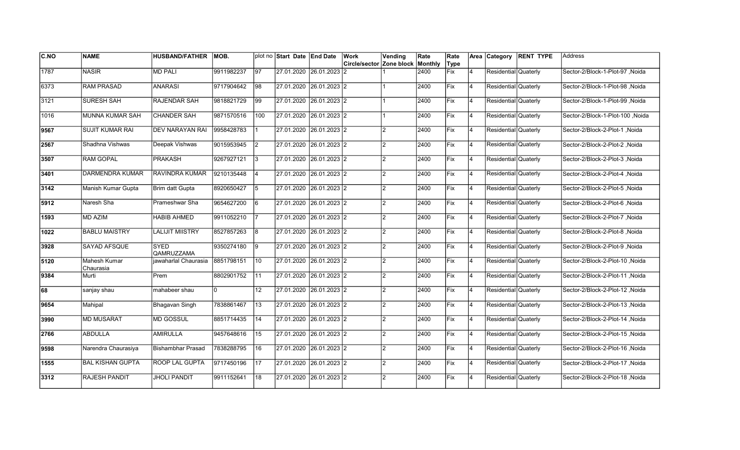| <b>C.NO</b> | <b>NAME</b>                      | <b>HUSBAND/FATHER</b>     | MOB.       |                 | plot no Start Date End Date | Work                                    | Vending        | Rate | Rate |                | Area Category        | <b>RENT TYPE</b> | lAddress                         |
|-------------|----------------------------------|---------------------------|------------|-----------------|-----------------------------|-----------------------------------------|----------------|------|------|----------------|----------------------|------------------|----------------------------------|
|             |                                  |                           |            |                 |                             | <b>Circle/sector Zone block Monthly</b> |                |      | Type |                |                      |                  |                                  |
| 1787        | <b>NASIR</b>                     | <b>MD PALI</b>            | 9911982237 | 97              | 27.01.2020 26.01.2023       | 12                                      |                | 2400 | Fix  | $\overline{4}$ | Residential Quaterly |                  | Sector-2/Block-1-Plot-97, Noida  |
| 6373        | <b>RAM PRASAD</b>                | <b>ANARASI</b>            | 9717904642 | 98              | 27.01.2020 26.01.2023 2     |                                         |                | 2400 | Fix  | 14             | Residential Quaterly |                  | Sector-2/Block-1-Plot-98, Noida  |
| 3121        | <b>SURESH SAH</b>                | <b>RAJENDAR SAH</b>       | 9818821729 | 99              | 27.01.2020 26.01.2023 2     |                                         |                | 2400 | Fix  | 14             | Residential Quaterly |                  | Sector-2/Block-1-Plot-99 .Noida  |
| 1016        | MUNNA KUMAR SAH                  | <b>CHANDER SAH</b>        | 9871570516 | 100             | 27.01.2020 26.01.2023 2     |                                         |                | 2400 | Fix  | 14             | Residential Quaterly |                  | Sector-2/Block-1-Plot-100, Noida |
| 9567        | <b>SUJIT KUMAR RAI</b>           | <b>DEV NARAYAN RAI</b>    | 9958428783 |                 | 27.01.2020 26.01.2023 2     |                                         | 2              | 2400 | Fix  | 4              | Residential Quaterly |                  | Sector-2/Block-2-Plot-1, Noida   |
| 2567        | Shadhna Vishwas                  | Deepak Vishwas            | 9015953945 | 2               | 27.01.2020 26.01.2023 2     |                                         | $\mathfrak{p}$ | 2400 | Fix  | $\overline{4}$ | Residential Quaterly |                  | Sector-2/Block-2-Plot-2, Noida   |
| 3507        | <b>RAM GOPAL</b>                 | <b>PRAKASH</b>            | 9267927121 | 13              | 27.01.2020 26.01.2023 2     |                                         | $\mathcal{P}$  | 2400 | Fix  | 14             | Residential Quaterly |                  | Sector-2/Block-2-Plot-3, Noida   |
| 3401        | DARMENDRA KUMAR                  | <b>RAVINDRA KUMAR</b>     | 9210135448 | 4               | 27.01.2020 26.01.2023 2     |                                         | $\mathfrak{p}$ | 2400 | Fix  | 14             | Residential Quaterly |                  | Sector-2/Block-2-Plot-4, Noida   |
| 3142        | Manish Kumar Gupta               | Brim datt Gupta           | 8920650427 | 5               | 27.01.2020 26.01.2023 2     |                                         | $\mathcal{P}$  | 2400 | Fix  | $\overline{4}$ | Residential Quaterly |                  | Sector-2/Block-2-Plot-5, Noida   |
| 5912        | Naresh Sha                       | Prameshwar Sha            | 9654627200 | 6               | 27.01.2020 26.01.2023 2     |                                         | $\mathfrak{p}$ | 2400 | Fix  | 14             | Residential Quaterly |                  | Sector-2/Block-2-Plot-6, Noida   |
| 1593        | <b>MD AZIM</b>                   | <b>HABIB AHMED</b>        | 9911052210 |                 | 27.01.2020 26.01.2023 2     |                                         | $\mathcal{P}$  | 2400 | Fix  | 14             | Residential Quaterly |                  | Sector-2/Block-2-Plot-7, Noida   |
| 1022        | <b>BABLU MAISTRY</b>             | <b>LALIJIT MIISTRY</b>    | 8527857263 | 8               | 27.01.2020 26.01.2023 2     |                                         | $\mathcal{P}$  | 2400 | Fix  | 14             | Residential Quaterly |                  | Sector-2/Block-2-Plot-8, Noida   |
| 3928        | SAYAD AFSQUE                     | <b>SYED</b><br>QAMRUZZAMA | 9350274180 | Ι9              | 27.01.2020 26.01.2023 2     |                                         | $\mathfrak{p}$ | 2400 | Fix  | 14             | Residential Quaterly |                  | Sector-2/Block-2-Plot-9, Noida   |
| 5120        | <b>Mahesh Kumar</b><br>Chaurasia | jawaharlal Chaurasia      | 8851798151 | 10              | 27.01.2020 26.01.2023 2     |                                         | $\mathfrak{p}$ | 2400 | Fix  | $\overline{4}$ | Residential Quaterly |                  | Sector-2/Block-2-Plot-10, Noida  |
| 9384        | Murti                            | Prem                      | 8802901752 | $\overline{11}$ | 27.01.2020 26.01.2023 2     |                                         | $\mathcal{P}$  | 2400 | Fix  | 4              | Residential Quaterly |                  | Sector-2/Block-2-Plot-11, Noida  |
| 68          | sanjay shau                      | mahabeer shau             | 0          | 12              | 27.01.2020 26.01.2023 2     |                                         | $\mathfrak{p}$ | 2400 | Fix  | 14             | Residential Quaterly |                  | Noida Sector-2/Block-2-Plot-12   |
| 9654        | Mahipal                          | Bhagavan Singh            | 7838861467 | 13              | 27.01.2020 26.01.2023 2     |                                         | $\mathfrak{p}$ | 2400 | Fix  | 14             | Residential Quaterly |                  | Noida Sector-2/Block-2-Plot-13   |
| 3990        | <b>MD MUSARAT</b>                | MD GOSSUL                 | 8851714435 | 14              | 27.01.2020 26.01.2023 2     |                                         | $\mathfrak{p}$ | 2400 | Fix  | $\overline{4}$ | Residential Quaterly |                  | Sector-2/Block-2-Plot-14, Noida  |
| 2766        | <b>ABDULLA</b>                   | <b>AMIRULLA</b>           | 9457648616 | 15              | 27.01.2020 26.01.2023 2     |                                         | $\mathfrak{p}$ | 2400 | Fix  | $\overline{4}$ | Residential Quaterly |                  | Sector-2/Block-2-Plot-15, Noida  |
| 9598        | Narendra Chaurasiya              | <b>Bishambhar Prasad</b>  | 7838288795 | 16              | 27.01.2020 26.01.2023 2     |                                         | $\mathcal{P}$  | 2400 | Fix  | 4              | Residential Quaterly |                  | Sector-2/Block-2-Plot-16, Noida  |
| 1555        | <b>BAL KISHAN GUPTA</b>          | <b>ROOP LAL GUPTA</b>     | 9717450196 | 17              | 27.01.2020 26.01.2023 2     |                                         | $\mathfrak{p}$ | 2400 | Fix  | 14             | Residential Quaterly |                  | Sector-2/Block-2-Plot-17, Noida  |
| 3312        | <b>RAJESH PANDIT</b>             | <b>JHOLI PANDIT</b>       | 9911152641 | 18              | 27.01.2020 26.01.2023 2     |                                         | $\mathfrak{p}$ | 2400 | Fix  | $\overline{4}$ | Residential Quaterly |                  | Sector-2/Block-2-Plot-18, Noida  |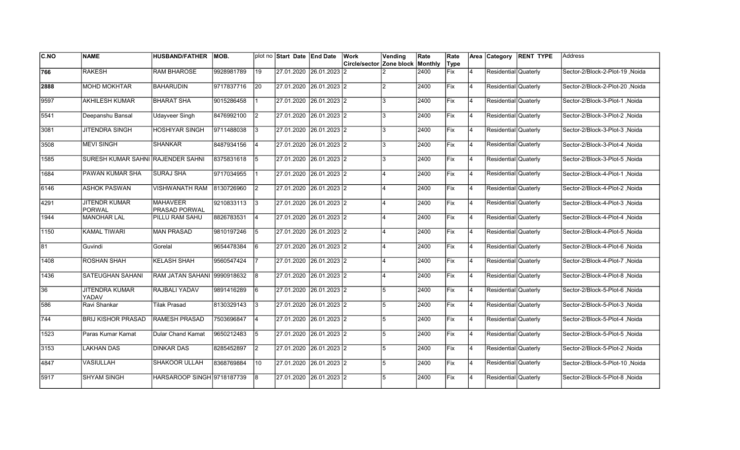| <b>C.NO</b> | <b>NAME</b>                           | <b>HUSBAND/FATHER</b>            | IMOB.      |                 | plot no Start Date End Date | Work <br>Circle/sector Zone block Monthly | Vending       | Rate | Rate<br>Type |                | Area Category        | <b>RENT TYPE</b> | <b>Address</b>                  |
|-------------|---------------------------------------|----------------------------------|------------|-----------------|-----------------------------|-------------------------------------------|---------------|------|--------------|----------------|----------------------|------------------|---------------------------------|
| 766         | <b>RAKESH</b>                         | <b>RAM BHAROSE</b>               | 9928981789 | 19              | 27.01.2020 26.01.2023       | 12                                        |               | 2400 | Fix          | 14             | Residential Quaterly |                  | Sector-2/Block-2-Plot-19, Noida |
|             |                                       |                                  |            |                 |                             |                                           |               |      |              |                |                      |                  |                                 |
| 2888        | <b>MOHD MOKHTAR</b>                   | <b>BAHARUDIN</b>                 | 9717837716 | <b>20</b>       | 27.01.2020 26.01.2023 2     |                                           | $\mathcal{P}$ | 2400 | Fix          | 14             | Residential Quaterly |                  | Noida Sector-2/Block-2-Plot-20  |
| 9597        | <b>AKHILESH KUMAR</b>                 | IBHARAT SHA                      | 9015286458 |                 | 27.01.2020 26.01.2023 2     |                                           | 3             | 2400 | Fix          | 14             | Residential Quaterly |                  | Sector-2/Block-3-Plot-1 .Noida  |
| 5541        | Deepanshu Bansal                      | <b>Udayveer Singh</b>            | 8476992100 | I2              | 27.01.2020 26.01.2023 2     |                                           | 3             | 2400 | Fix          | 4              | Residential Quaterly |                  | Sector-2/Block-3-Plot-2, Noida  |
| 3081        | <b>JITENDRA SINGH</b>                 | <b>HOSHIYAR SINGH</b>            | 9711488038 | l3              | 27.01.2020 26.01.2023 2     |                                           | 3             | 2400 | Fix          | 4              | Residential Quaterly |                  | Sector-2/Block-3-Plot-3, Noida  |
| 3508        | <b>MEVI SINGH</b>                     | <b>SHANKAR</b>                   | 8487934156 | 4               | 27.01.2020 26.01.2023 2     |                                           | 3             | 2400 | Fix          | $\overline{4}$ | Residential Quaterly |                  | Sector-2/Block-3-Plot-4, Noida  |
| 1585        | SURESH KUMAR SAHNI RAJENDER SAHNI     |                                  | 8375831618 | 5               | 27.01.2020 26.01.2023 2     |                                           | 3             | 2400 | <b>Fix</b>   | 14             | Residential Quaterly |                  | Sector-2/Block-3-Plot-5, Noida  |
| 1684        | PAWAN KUMAR SHA                       | <b>SURAJ SHA</b>                 | 9717034955 |                 | 27.01.2020 26.01.2023 2     |                                           |               | 2400 | lFix         | 14             | Residential Quaterly |                  | Sector-2/Block-4-Plot-1, Noida  |
| 6146        | <b>ASHOK PASWAN</b>                   | VISHWANATH RAM                   | 8130726960 | I2              | 27.01.2020 26.01.2023 2     |                                           |               | 2400 | lFix         | $\overline{4}$ | Residential Quaterly |                  | Sector-2/Block-4-Plot-2, Noida  |
| 4291        | <b>JITENDR KUMAR</b><br><b>PORWAL</b> | <b>MAHAVEER</b><br>PRASAD PORWAL | 9210833113 | 3               | 27.01.2020 26.01.2023 2     |                                           |               | 2400 | lFix         | $\overline{4}$ | Residential Quaterly |                  | Sector-2/Block-4-Plot-3, Noida  |
| 1944        | <b>MANOHAR LAL</b>                    | PILLU RAM SAHU                   | 8826783531 | $\vert 4 \vert$ | 27.01.2020 26.01.2023 2     |                                           |               | 2400 | Fix          | 14             | Residential Quaterly |                  | Sector-2/Block-4-Plot-4, Noida  |
| 1150        | <b>KAMAL TIWARI</b>                   | <b>MAN PRASAD</b>                | 9810197246 | 5               | 27.01.2020 26.01.2023 2     |                                           |               | 2400 | Fix          | 14             | Residential Quaterly |                  | Sector-2/Block-4-Plot-5, Noida  |
| 81          | Guvindi                               | Gorelal                          | 9654478384 | l6              | 27.01.2020 26.01.2023 2     |                                           |               | 2400 | Fix          | 14             | Residential Quaterly |                  | Sector-2/Block-4-Plot-6, Noida  |
| 1408        | ROSHAN SHAH                           | KELASH SHAH                      | 9560547424 |                 | 27.01.2020 26.01.2023 2     |                                           |               | 2400 | Fix          | 4              | Residential Quaterly |                  | Sector-2/Block-4-Plot-7, Noida  |
| 1436        | <b>SATEUGHAN SAHANI</b>               | RAM JATAN SAHANI 9990918632      |            | 8               | 27.01.2020 26.01.2023 2     |                                           |               | 2400 | Fix          | 14             | Residential Quaterly |                  | Sector-2/Block-4-Plot-8, Noida  |
| 36          | <b>JITENDRA KUMAR</b><br>YADAV        | RAJBALI YADAV                    | 9891416289 | l6              | 27.01.2020 26.01.2023 2     |                                           | 5             | 2400 | Fix          | 14             | Residential Quaterly |                  | Sector-2/Block-5-Plot-6, Noida  |
| 586         | Ravi Shankar                          | Tilak Prasad                     | 8130329143 | 3               | 27.01.2020 26.01.2023 2     |                                           | 5             | 2400 | Fix          | 4              | Residential Quaterly |                  | Sector-2/Block-5-Plot-3, Noida  |
| 1744        | <b>BRIJ KISHOR PRASAD</b>             | <b>RAMESH PRASAD</b>             | 7503696847 | 14              | 27.01.2020 26.01.2023 2     |                                           | 5             | 2400 | Fix          | 14             | Residential Quaterly |                  | Sector-2/Block-5-Plot-4, Noida  |
| 1523        | Paras Kumar Kamat                     | Dular Chand Kamat                | 9650212483 | 15              | 27.01.2020 26.01.2023 2     |                                           | 5             | 2400 | Fix          | 4              | Residential Quaterly |                  | Sector-2/Block-5-Plot-5, Noida  |
| 3153        | LAKHAN DAS                            | <b>DINKAR DAS</b>                | 8285452897 | $\sqrt{2}$      | 27.01.2020 26.01.2023 2     |                                           | 5             | 2400 | Fix          | 4              | Residential Quaterly |                  | Sector-2/Block-5-Plot-2, Noida  |
| 4847        | VASIULLAH                             | SHAKOOR ULLAH                    | 8368769884 | 10              | 27.01.2020 26.01.2023 2     |                                           | 5             | 2400 | Fix          | 14             | Residential Quaterly |                  | Sector-2/Block-5-Plot-10, Noida |
| 5917        | <b>SHYAM SINGH</b>                    | HARSAROOP SINGH 9718187739       |            | 8               | 27.01.2020 26.01.2023 2     |                                           | 5             | 2400 | Fix          | 4              | Residential Quaterly |                  | Sector-2/Block-5-Plot-8, Noida  |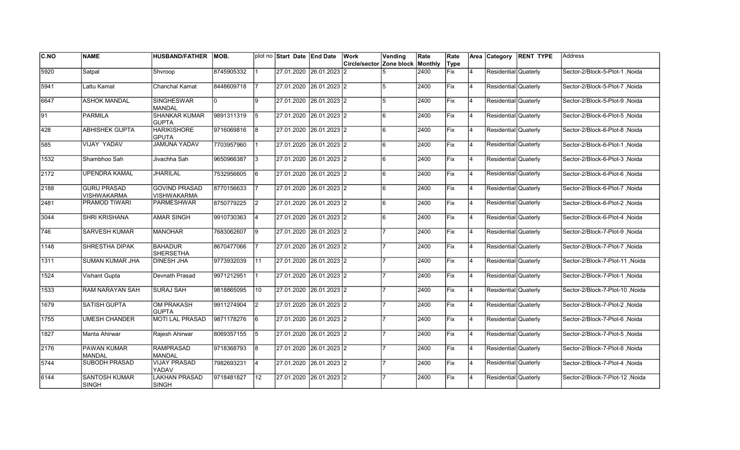| IC.NO | <b>NAME</b>                          | <b>HUSBAND/FATHER</b>                | <b>MOB.</b> |    | plot no Start Date End Date | Work                             | Vending      | Rate | Rate       |                | Area Category        | <b>RENT TYPE</b> | <b>Address</b>                  |
|-------|--------------------------------------|--------------------------------------|-------------|----|-----------------------------|----------------------------------|--------------|------|------------|----------------|----------------------|------------------|---------------------------------|
|       |                                      |                                      |             |    |                             | Circle/sector Zone block Monthly |              |      | Type       |                |                      |                  |                                 |
| 5920  | Satpal                               | Shvroop                              | 8745905332  |    | 27.01.2020 26.01.2023       | 12                               |              | 2400 | Fix        | $\overline{4}$ | Residential Quaterly |                  | Sector-2/Block-5-Plot-1, Noida  |
| 5941  | Lattu Kamat                          | Chanchal Kamat                       | 8448609718  |    | 27.01.2020 26.01.2023 2     |                                  | 5            | 2400 | <b>Fix</b> | 14             | Residential Quaterly |                  | Sector-2/Block-5-Plot-7 .Noida  |
| 6647  | <b>ASHOK MANDAL</b>                  | <b>SINGHESWAR</b><br><b>MANDAL</b>   | I٥          | 9  | 27.01.2020 26.01.2023 2     |                                  | 5            | 2400 | Fix        | 14             | Residential Quaterly |                  | Sector-2/Block-5-Plot-9, Noida  |
| 191   | <b>PARMILA</b>                       | <b>SHANKAR KUMAR</b><br><b>GUPTA</b> | 9891311319  | 15 | 27.01.2020 26.01.2023 2     |                                  | 6            | 2400 | Fix        | 4              | Residential Quaterly |                  | Sector-2/Block-6-Plot-5, Noida  |
| 428   | <b>ABHISHEK GUPTA</b>                | <b>HARIKISHORE</b><br><b>GPUTA</b>   | 9716069816  | 8  | 27.01.2020 26.01.2023 2     |                                  | 6            | 2400 | Fix        | $\overline{4}$ | Residential Quaterly |                  | Sector-2/Block-6-Plot-8, Noida  |
| 585   | <b>VIJAY YADAV</b>                   | <b>JAMUNA YADAV</b>                  | 7703957960  |    | 27.01.2020 26.01.2023 2     |                                  | 6            | 2400 | Fix        | 14             | Residential Quaterly |                  | Sector-2/Block-6-Plot-1, Noida  |
| 1532  | Shambhoo Sah                         | Jivachha Sah                         | 9650966387  | 13 | 27.01.2020 26.01.2023 2     |                                  | <sup>6</sup> | 2400 | <b>Fix</b> | 14             | Residential Quaterly |                  | Sector-2/Block-6-Plot-3, Noida  |
| 2172  | <b>UPENDRA KAMAL</b>                 | <b>JHARILAL</b>                      | 7532956605  | 16 | 27.01.2020 26.01.2023 2     |                                  | 6            | 2400 | lFix       | 14             | Residential Quaterly |                  | Sector-2/Block-6-Plot-6, Noida  |
| 2188  | <b>GURU PRASAD</b><br>VISHWAKARMA    | <b>GOVIND PRASAD</b><br>VISHWAKARMA  | 8770156633  |    | 27.01.2020 26.01.2023 2     |                                  | 6            | 2400 | Fix        | $\overline{4}$ | Residential Quaterly |                  | Sector-2/Block-6-Plot-7, Noida  |
| 2481  | <b>PRAMOD TIWARI</b>                 | <b>PARMESHWAR</b>                    | 8750779225  | 2  | 27.01.2020 26.01.2023 2     |                                  | 6            | 2400 | Fix        | $\overline{4}$ | Residential Quaterly |                  | Sector-2/Block-6-Plot-2, Noida  |
| 3044  | <b>SHRI KRISHANA</b>                 | <b>AMAR SINGH</b>                    | 9910730363  | 14 | 27.01.2020 26.01.2023 2     |                                  | 6            | 2400 | Fix        | 14             | Residential Quaterly |                  | Sector-2/Block-6-Plot-4, Noida  |
| 746   | <b>SARVESH KUMAR</b>                 | <b>MANOHAR</b>                       | 7683062607  | 19 | 27.01.2020 26.01.2023 2     |                                  |              | 2400 | Fix        | 14             | Residential Quaterly |                  | Sector-2/Block-7-Plot-9, Noida  |
| 1148  | SHRESTHA DIPAK                       | <b>BAHADUR</b><br><b>SHERSETHA</b>   | 8670477066  |    | 27.01.2020 26.01.2023 2     |                                  |              | 2400 | Fix        | 14             | Residential Quaterly |                  | Sector-2/Block-7-Plot-7, Noida  |
| 1311  | SUMAN KUMAR JHA                      | <b>DINESH JHA</b>                    | 9773932039  | 11 | 27.01.2020 26.01.2023 2     |                                  |              | 2400 | Fix        | $\overline{4}$ | Residential Quaterly |                  | Sector-2/Block-7-Plot-11 .Noida |
| 1524  | Vishant Gupta                        | Devnath Prasad                       | 9971212951  |    | 27.01.2020 26.01.2023 2     |                                  |              | 2400 | Fix        | 4              | Residential Quaterly |                  | Sector-2/Block-7-Plot-1, Noida  |
| 1533  | RAM NARAYAN SAH                      | <b>SURAJ SAH</b>                     | 9818865095  | 10 | 27.01.2020 26.01.2023 2     |                                  |              | 2400 | Fix        | 14             | Residential Quaterly |                  | Sector-2/Block-7-Plot-10, Noida |
| 1679  | <b>SATISH GUPTA</b>                  | <b>OM PRAKASH</b><br><b>GUPTA</b>    | 9911274904  | I2 | 27.01.2020 26.01.2023 2     |                                  |              | 2400 | Fix        | 14             | Residential Quaterly |                  | Sector-2/Block-7-Plot-2, Noida  |
| 1755  | <b>UMESH CHANDER</b>                 | <b>MOTI LAL PRASAD</b>               | 9871178276  | 16 | 27.01.2020 26.01.2023 2     |                                  |              | 2400 | lFix       | $\overline{4}$ | Residential Quaterly |                  | Sector-2/Block-7-Plot-6, Noida  |
| 1827  | Manta Ahirwar                        | Rajesh Ahirwar                       | 8069357155  | 5  | 27.01.2020 26.01.2023 2     |                                  |              | 2400 | Fix        | $\overline{4}$ | Residential Quaterly |                  | Sector-2/Block-7-Plot-5, Noida  |
| 2176  | <b>PAWAN KUMAR</b><br>MANDAL         | <b>RAMPRASAD</b><br><b>MANDAL</b>    | 9718368793  | l8 | 27.01.2020 26.01.2023 2     |                                  |              | 2400 | Fix        | $\overline{4}$ | Residential Quaterly |                  | Sector-2/Block-7-Plot-8, Noida  |
| 5744  | <b>SUBODH PRASAD</b>                 | <b>VIJAY PRASAD</b><br>YADAV         | 7982693231  | 14 | 27.01.2020 26.01.2023 2     |                                  |              | 2400 | Fix        | 14             | Residential Quaterly |                  | Sector-2/Block-7-Plot-4, Noida  |
| 6144  | <b>SANTOSH KUMAR</b><br><b>SINGH</b> | <b>LAKHAN PRASAD</b><br><b>SINGH</b> | 9718481827  | 12 | 27.01.2020 26.01.2023 2     |                                  |              | 2400 | Fix        | $\overline{4}$ | Residential Quaterly |                  | Sector-2/Block-7-Plot-12, Noida |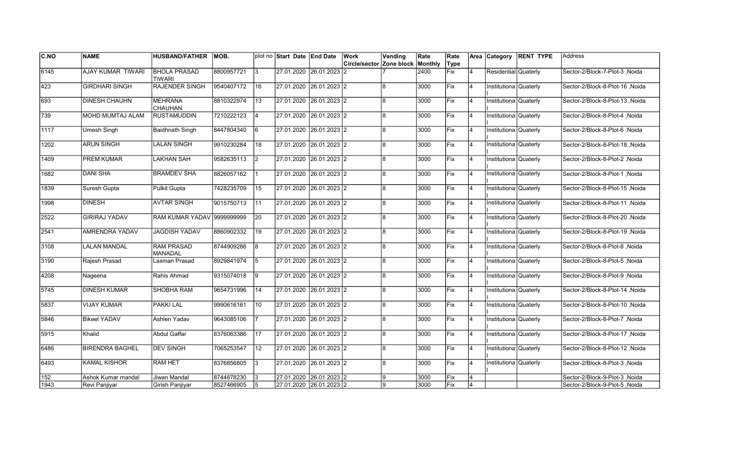| <b>C.NO</b> | <b>NAME</b>            | <b>HUSBAND/FATHER</b>                | <b>MOB.</b> |    | plot no Start Date End Date | Work                     | Vending | Rate    | Rate        |                | Area Category           | <b>RENT TYPE</b> | Address                         |
|-------------|------------------------|--------------------------------------|-------------|----|-----------------------------|--------------------------|---------|---------|-------------|----------------|-------------------------|------------------|---------------------------------|
|             |                        |                                      |             |    |                             | Circle/sector Zone block |         | Monthly | Type        |                |                         |                  |                                 |
| 6145        | AJAY KUMAR TIWARI      | <b>BHOLA PRASAD</b><br><b>TIWARI</b> | 8800957721  | IЗ | 27.01.2020 26.01.2023 2     |                          |         | 2400    | <b>Fix</b>  | $\overline{4}$ | Residential Quaterly    |                  | Sector-2/Block-7-Plot-3, Noida  |
| 423         | <b>GIRDHARI SINGH</b>  | <b>RAJENDER SINGH</b>                | 9540407172  | 16 | 27.01.2020 26.01.2023 2     |                          | l8      | 3000    | Fix         | 4              | Institutiona Quaterly   |                  | Sector-2/Block-8-Plot-16 .Noida |
| 693         | <b>DINESH CHAUHN</b>   | <b>MEHRANA</b><br><b>CHAUHAN</b>     | 8810322974  | 13 | 27.01.2020 26.01.2023 2     |                          | 8       | 3000    | Fix         | 4              | Institutiona Quaterly   |                  | Sector-2/Block-8-Plot-13, Noida |
| 739         | MOHD MUMTAJ ALAM       | <b>RUSTAMUDDIN</b>                   | 7210222123  | 4  | 27.01.2020 26.01.2023 2     |                          | l8      | 3000    | Fix         | $\overline{4}$ | Institutiona Quaterly   |                  | Sector-2/Block-8-Plot-4, Noida  |
| 1117        | <b>Umesh Singh</b>     | Baidhnath Singh                      | 8447804340  | 16 | 27.01.2020 26.01.2023 2     |                          | 8       | 3000    | <b>IFix</b> | $\overline{4}$ | Institutiona Quaterly   |                  | Sector-2/Block-8-Plot-6, Noida  |
| 1202        | <b>ARUN SINGH</b>      | <b>LALAN SINGH</b>                   | 9910230284  | 18 | 27.01.2020 26.01.2023 2     |                          | 8       | 3000    | Fix         | $\overline{4}$ | Institutiona Quaterly   |                  | Sector-2/Block-8-Plot-18, Noida |
| 1409        | <b>PREM KUMAR</b>      | <b>LAKHAN SAH</b>                    | 9582635113  | I2 | 27.01.2020 26.01.2023 2     |                          | 8       | 3000    | <b>Fix</b>  | 4              | Institutiona Quaterly   |                  | Sector-2/Block-8-Plot-2, Noida  |
| 1682        | <b>DANI SHA</b>        | <b>BRAMDEV SHA</b>                   | 8826057162  |    | 27.01.2020 26.01.2023 2     |                          | 8       | 3000    | Fix         | 4              | Institutiona Quaterly   |                  | Sector-2/Block-8-Plot-1, Noida  |
| 1839        | Suresh Gupta           | Pulkit Gupta                         | 7428235709  | 15 | 27.01.2020 26.01.2023 2     |                          | 8       | 3000    | Fix         | $\overline{4}$ | Institutiona Quaterly   |                  | Sector-2/Block-8-Plot-15, Noida |
| 1998        | <b>DINESH</b>          | <b>AVTAR SINGH</b>                   | 9015750713  | 11 | 27.01.2020 26.01.2023 2     |                          | 8       | 3000    | Fix         | $\overline{4}$ | Institutiona Quaterly   |                  | Sector-2/Block-8-Plot-11, Noida |
| 2522        | <b>GIRIRAJ YADAV</b>   | <b>RAM KUMAR YADAV 9999999999</b>    |             | 20 | 27.01.2020 26.01.2023 2     |                          | 8       | 3000    | Fix         | 4              | Institutiona Quaterly   |                  | Sector-2/Block-8-Plot-20, Noida |
| 2541        | AMRENDRA YADAV         | <b>JAGDISH YADAV</b>                 | 8860902332  | 19 | 27.01.2020 26.01.2023 2     |                          | l8      | 3000    | <b>Fix</b>  | 4              | Institutiona   Quaterly |                  | Sector-2/Block-8-Plot-19, Noida |
| 3108        | <b>LALAN MANDAL</b>    | <b>RAM PRASAD</b><br>MANADAL         | 8744909286  | 8  | 27.01.2020 26.01.2023 2     |                          | l8      | 3000    | Fix         | 4              | Institutiona Quaterly   |                  | Sector-2/Block-8-Plot-8, Noida  |
| 3190        | Rajesh Prasad          | Laxman Prasad                        | 8929841974  | 15 | 27.01.2020 26.01.2023 2     |                          | 8       | 3000    | <b>IFix</b> | $\overline{4}$ | Institutiona Quaterly   |                  | Sector-2/Block-8-Plot-5 .Noida  |
| 4208        | Nageena                | Rahis Ahmad                          | 9315074018  | Ι9 | 27.01.2020 26.01.2023 2     |                          | 8       | 3000    | Fix         | 4              | Institutiona Quaterly   |                  | Sector-2/Block-8-Plot-9, Noida  |
| 5745        | <b>DINESH KUMAR</b>    | <b>SHOBHA RAM</b>                    | 9654731996  | 14 | 27.01.2020 26.01.2023 2     |                          | 8       | 3000    | Fix         | $\overline{4}$ | Institutiona Quaterly   |                  | Sector-2/Block-8-Plot-14, Noida |
| 5837        | <b>VIJAY KUMAR</b>     | PAKKI LAL                            | 9990616161  | 10 | 27.01.2020 26.01.2023 2     |                          | 8       | 3000    | Fix         | 4              | Institutiona Quaterly   |                  | Sector-2/Block-8-Plot-10, Noida |
| 5846        | <b>Bikeel YADAV</b>    | Ashlen Yadav                         | 9643085106  |    | 27.01.2020 26.01.2023 2     |                          | 8       | 3000    | Fix         | 4              | Institutiona Quaterly   |                  | Sector-2/Block-8-Plot-7, Noida  |
| 5915        | Khalid                 | Abdul Gaffar                         | 8376063386  | 17 | 27.01.2020 26.01.2023 2     |                          | 8       | 3000    | Fix         | $\overline{4}$ | Institutiona Quaterly   |                  | Sector-2/Block-8-Plot-17, Noida |
| 6486        | <b>BIRENDRA BAGHEL</b> | <b>DEV SINGH</b>                     | 7065253547  | 12 | 27.01.2020 26.01.2023 2     |                          | 8       | 3000    | Fix         | $\overline{4}$ | Institutiona Quaterly   |                  | Sector-2/Block-8-Plot-12 .Noida |
| 6493        | <b>KAMAL KISHOR</b>    | <b>RAM HET</b>                       | 8376856805  | l3 | 27.01.2020 26.01.2023 2     |                          | l8      | 3000    | Fix         | 4              | Institutiona Quaterly   |                  | Sector-2/Block-8-Plot-3, Noida  |
| 152         | Ashok Kumar mandal     | Jiwan Mandal                         | 8744878230  |    | 27.01.2020 26.01.2023 2     |                          | 9       | 3000    | Fix         | 4              |                         |                  | Sector-2/Block-9-Plot-3, Noida  |
| 1943        | Revi Panjiyar          | Girish Panjiyar                      | 8527466905  | 15 | 27.01.2020 26.01.2023 2     |                          | 9       | 3000    | Fix         | 4              |                         |                  | Sector-2/Block-9-Plot-5, Noida  |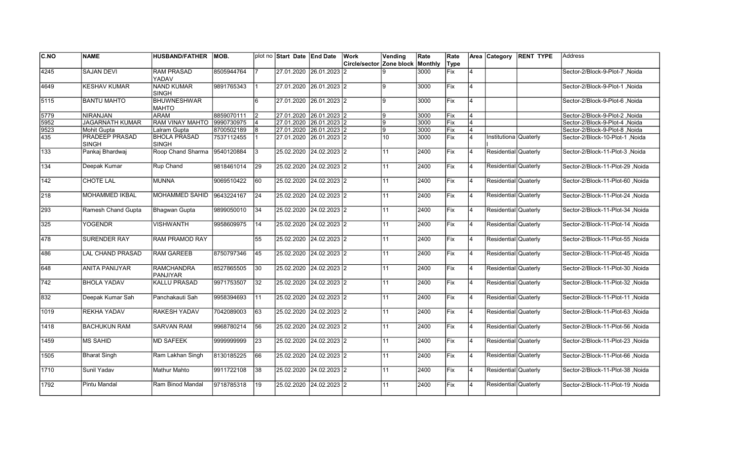| <b>C.NO</b> | <b>NAME</b>             | <b>HUSBAND/FATHER</b>                | IMOB.      |    | plot no Start Date End Date | Work                                    | Vending        | Rate | Rate       |                | Area Category         | <b>RENT TYPE</b> | lAddress                         |
|-------------|-------------------------|--------------------------------------|------------|----|-----------------------------|-----------------------------------------|----------------|------|------------|----------------|-----------------------|------------------|----------------------------------|
|             |                         |                                      |            |    |                             | <b>Circle/sector Zone block Monthly</b> |                |      | Type       |                |                       |                  |                                  |
| 4245        | <b>SAJAN DEVI</b>       | <b>RAM PRASAD</b><br>YADAV           | 8505944764 |    | 27.01.2020 26.01.2023       |                                         |                | 3000 | Fix        | 4              |                       |                  | Sector-2/Block-9-Plot-7, Noida   |
| 4649        | <b>KESHAV KUMAR</b>     | <b>NAND KUMAR</b><br><b>SINGH</b>    | 9891765343 |    | 27.01.2020 26.01.2023 2     |                                         | q              | 3000 | Fix        | 4              |                       |                  | Sector-2/Block-9-Plot-1, Noida   |
| 5115        | <b>BANTU MAHTO</b>      | <b>BHUWNESHWAR</b><br><b>MAHTO</b>   |            | 6  | 27.01.2020 26.01.2023 2     |                                         | $\mathbf{Q}$   | 3000 | Fix        | 4              |                       |                  | Sector-2/Block-9-Plot-6, Noida   |
| 5779        | <b>NIRANJAN</b>         | <b>ARAM</b>                          | 8859070111 | 12 | 27.01.2020 26.01.2023 2     |                                         | 9              | 3000 | Fix        | $\overline{4}$ |                       |                  | Sector-2/Block-9-Plot-2, Noida   |
| 5952        | <b>JAGARNATH KUMAR</b>  | <b>RAM VINAY MAHTO</b>               | 9990730975 |    | 27.01.2020 26.01.2023 2     |                                         | 9              | 3000 | Fix        | $\overline{4}$ |                       |                  | Sector-2/Block-9-Plot-4 .Noida   |
| 9523        | Mohit Gupta             | Lalram Gupta                         | 8700502189 |    | 27.01.2020 26.01.2023 2     |                                         | $\overline{9}$ | 3000 | Fix        | $\overline{4}$ |                       |                  | Sector-2/Block-9-Plot-8, Noida   |
| 435         | PRADEEP PRASAD<br>SINGH | <b>BHOLA PRASAD</b><br><b>SINGH</b>  | 7537112455 |    | 27.01.2020 26.01.2023 2     |                                         | 10             | 3000 | Fix        | $\overline{4}$ | Institutiona Quaterly |                  | Sector-2/Block-10-Plot-1, Noida  |
| 133         | Pankaj Bhardwaj         | Roop Chand Sharma                    | 9540120884 | 3  | 25.02.2020 24.02.2023 2     |                                         | 11             | 2400 | Fix        | 14             | Residential Quaterly  |                  | Sector-2/Block-11-Plot-3, Noida  |
| 134         | Deepak Kumar            | Rup Chand                            | 9818461014 | 29 | 25.02.2020 24.02.2023 2     |                                         | 11             | 2400 | <b>Fix</b> | 14             | Residential Quaterly  |                  | Sector-2/Block-11-Plot-29 .Noida |
| 142         | CHOTE LAL               | MUNNA                                | 9069510422 | 60 | 25.02.2020 24.02.2023 2     |                                         | 11             | 2400 | Fix        | 14             | Residential Quaterly  |                  | Sector-2/Block-11-Plot-60, Noida |
| 218         | <b>MOHAMMED IKBAL</b>   | MOHAMMED SAHID                       | 9643224167 | 24 | 25.02.2020 24.02.2023 2     |                                         | 11             | 2400 | Fix        | 14             | Residential Quaterly  |                  | Sector-2/Block-11-Plot-24, Noida |
| 293         | Ramesh Chand Gupta      | Bhagwan Gupta                        | 9899050010 | 34 | 25.02.2020 24.02.2023 2     |                                         | 11             | 2400 | Fix        | $\overline{4}$ | Residential Quaterly  |                  | Sector-2/Block-11-Plot-34, Noida |
| 325         | <b>YOGENDR</b>          | <b>VISHWANTH</b>                     | 9958609975 | 14 | 25.02.2020 24.02.2023 2     |                                         | 11             | 2400 | Fix        | $\overline{4}$ | Residential Quaterly  |                  | Sector-2/Block-11-Plot-14, Noida |
| 478         | <b>SURENDER RAY</b>     | RAM PRAMOD RAY                       |            | 55 | 25.02.2020 24.02.2023 2     |                                         | 11             | 2400 | Fix        | 4              | Residential Quaterly  |                  | Sector-2/Block-11-Plot-55, Noida |
| 486         | <b>LAL CHAND PRASAD</b> | <b>RAM GAREEB</b>                    | 8750797346 | 45 | 25.02.2020 24.02.2023 2     |                                         | 11             | 2400 | Fix        | 14             | Residential Quaterly  |                  | Sector-2/Block-11-Plot-45, Noida |
| 648         | <b>ANITA PANIJYAR</b>   | <b>RAMCHANDRA</b><br><b>PANJIYAR</b> | 8527865505 | 30 | 25.02.2020 24.02.2023 2     |                                         | 11             | 2400 | Fix        | 14             | Residential Quaterly  |                  | Noida Sector-2/Block-11-Plot-30  |
| 742         | <b>BHOLA YADAV</b>      | <b>KALLU PRASAD</b>                  | 9971753507 | 32 | 25.02.2020 24.02.2023 2     |                                         | 11             | 2400 | Fix        | 14             | Residential Quaterly  |                  | Sector-2/Block-11-Plot-32, Noida |
| 832         | Deepak Kumar Sah        | Panchakauti Sah                      | 9958394693 | 11 | 25.02.2020 24.02.2023 2     |                                         | 11             | 2400 | <b>Fix</b> | 4              | Residential Quaterly  |                  | Sector-2/Block-11-Plot-11 .Noida |
| 1019        | REKHA YADAV             | RAKESH YADAV                         | 7042089003 | 63 | 25.02.2020 24.02.2023 2     |                                         | 11             | 2400 | Fix        | $\overline{4}$ | Residential Quaterly  |                  | Sector-2/Block-11-Plot-63, Noida |
| 1418        | <b>BACHUKUN RAM</b>     | <b>SARVAN RAM</b>                    | 9968780214 | 56 | 25.02.2020 24.02.2023 2     |                                         | 11             | 2400 | Fix        | 4              | Residential Quaterly  |                  | Sector-2/Block-11-Plot-56, Noida |
| 1459        | <b>MS SAHID</b>         | <b>MD SAFEEK</b>                     | 9999999999 | 23 | 25.02.2020 24.02.2023 2     |                                         | 11             | 2400 | Fix        | 14             | Residential Quaterly  |                  | Sector-2/Block-11-Plot-23, Noida |
| 1505        | <b>Bharat Singh</b>     | Ram Lakhan Singh                     | 8130185225 | 66 | 25.02.2020 24.02.2023 2     |                                         | 11             | 2400 | Fix        | 14             | Residential Quaterly  |                  | Sector-2/Block-11-Plot-66, Noida |
| 1710        | Sunil Yadav             | <b>Mathur Mahto</b>                  | 9911722108 | 38 | 25.02.2020 24.02.2023 2     |                                         | 11             | 2400 | Fix        | 4              | Residential Quaterly  |                  | Sector-2/Block-11-Plot-38, Noida |
| 1792        | Pintu Mandal            | Ram Binod Mandal                     | 9718785318 | 19 | 25.02.2020 24.02.2023 2     |                                         | 11             | 2400 | Fix        | $\overline{4}$ | Residential Quaterly  |                  | Sector-2/Block-11-Plot-19, Noida |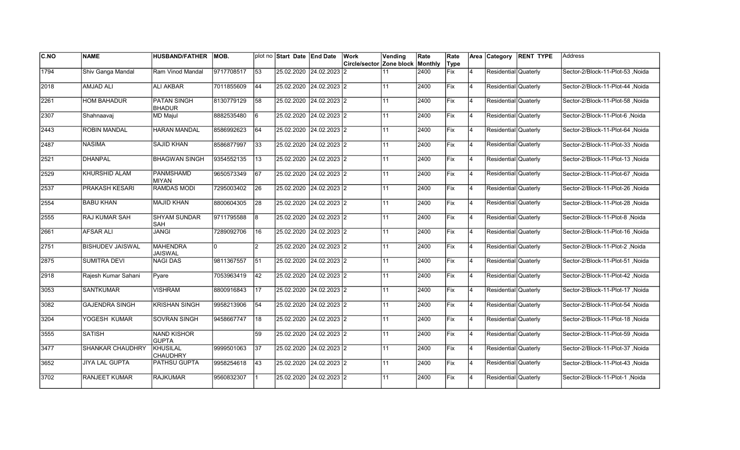| <b>C.NO</b> | <b>NAME</b>             | <b>HUSBAND/FATHER</b>               | IMOB.      |                 | plot no Start Date End Date | Work                                    | Vending | Rate | Rate |                | Area Category        | <b>RENT TYPE</b> | Address                          |
|-------------|-------------------------|-------------------------------------|------------|-----------------|-----------------------------|-----------------------------------------|---------|------|------|----------------|----------------------|------------------|----------------------------------|
|             |                         |                                     |            |                 |                             | <b>Circle/sector Zone block Monthly</b> |         |      | Type |                |                      |                  |                                  |
| 1794        | Shiv Ganga Mandal       | Ram Vinod Mandal                    | 9717708517 | 53              | 25.02.2020 24.02.2023       | 12                                      | 11      | 2400 | Fix  | 4              | Residential Quaterly |                  | Sector-2/Block-11-Plot-53 .Noida |
| 2018        | <b>AMJAD ALI</b>        | ALI AKBAR                           | 7011855609 | 44              | 25.02.2020 24.02.2023 2     |                                         | 11      | 2400 | Fix  | $\overline{4}$ | Residential Quaterly |                  | Sector-2/Block-11-Plot-44 .Noida |
| 2261        | <b>HOM BAHADUR</b>      | <b>PATAN SINGH</b><br><b>BHADUR</b> | 8130779129 | 58              | 25.02.2020 24.02.2023 2     |                                         | 11      | 2400 | Fix  | 4              | Residential Quaterly |                  | Sector-2/Block-11-Plot-58 .Noida |
| 2307        | Shahnaavaj              | MD Majul                            | 8882535480 | 6               | 25.02.2020 24.02.2023 2     |                                         | 11      | 2400 | Fix  | 4              | Residential Quaterly |                  | Sector-2/Block-11-Plot-6, Noida  |
| 2443        | <b>ROBIN MANDAL</b>     | <b>HARAN MANDAL</b>                 | 8586992623 | 64              | 25.02.2020 24.02.2023 2     |                                         | 11      | 2400 | Fix  | $\overline{4}$ | Residential Quaterly |                  | Sector-2/Block-11-Plot-64, Noida |
| 2487        | <b>NASIMA</b>           | <b>SAJID KHAN</b>                   | 8586877997 | 33              | 25.02.2020 24.02.2023 2     |                                         | 11      | 2400 | Fix  | $\overline{4}$ | Residential Quaterly |                  | Sector-2/Block-11-Plot-33, Noida |
| 2521        | <b>DHANPAL</b>          | <b>BHAGWAN SINGH</b>                | 9354552135 | 13              | 25.02.2020 24.02.2023 2     |                                         | 11      | 2400 | Fix  | $\overline{4}$ | Residential Quaterly |                  | Sector-2/Block-11-Plot-13, Noida |
| 2529        | <b>KHURSHID ALAM</b>    | IPANMSHAMD<br><b>MIYAN</b>          | 9650573349 | 67              | 25.02.2020 24.02.2023 2     |                                         | 11      | 2400 | Fix  | 4              | Residential Quaterly |                  | Sector-2/Block-11-Plot-67, Noida |
| 2537        | PRAKASH KESARI          | <b>RAMDAS MODI</b>                  | 7295003402 | 26              | 25.02.2020 24.02.2023 2     |                                         | 11      | 2400 | Fix  | $\overline{4}$ | Residential Quaterly |                  | Sector-2/Block-11-Plot-26, Noida |
| 2554        | <b>BABU KHAN</b>        | <b>MAJID KHAN</b>                   | 8800604305 | 28              | 25.02.2020 24.02.2023 2     |                                         | 11      | 2400 | Fix  | $\overline{4}$ | Residential Quaterly |                  | Sector-2/Block-11-Plot-28, Noida |
| 2555        | <b>RAJ KUMAR SAH</b>    | <b>SHYAM SUNDAR</b><br>SAH          | 9711795588 | 8               | 25.02.2020 24.02.2023 2     |                                         | 11      | 2400 | Fix  | 4              | Residential Quaterly |                  | Sector-2/Block-11-Plot-8, Noida  |
| 2661        | <b>AFSAR ALI</b>        | <b>JANGI</b>                        | 7289092706 | 16              | 25.02.2020 24.02.2023 2     |                                         | 11      | 2400 | Fix  | 4              | Residential Quaterly |                  | Noida Sector-2/Block-11-Plot-16  |
| 2751        | <b>BISHUDEV JAISWAL</b> | <b>MAHENDRA</b><br><b>JAISWAL</b>   | I٥         | $\overline{2}$  | 25.02.2020 24.02.2023 2     |                                         | 11      | 2400 | Fix  | 4              | Residential Quaterly |                  | Sector-2/Block-11-Plot-2, Noida  |
| 2875        | <b>SUMITRA DEVI</b>     | <b>NAGI DAS</b>                     | 9811367557 | 51              | 25.02.2020 24.02.2023 2     |                                         | 11      | 2400 | Fix  | $\overline{4}$ | Residential Quaterly |                  | Sector-2/Block-11-Plot-51, Noida |
| 2918        | Rajesh Kumar Sahani     | Pyare                               | 7053963419 | 42              | 25.02.2020 24.02.2023 2     |                                         | 11      | 2400 | Fix  | 4              | Residential Quaterly |                  | Sector-2/Block-11-Plot-42, Noida |
| 3053        | <b>SANTKUMAR</b>        | <b>VISHRAM</b>                      | 8800916843 | $\overline{17}$ | 25.02.2020 24.02.2023 2     |                                         | 11      | 2400 | Fix  | 4              | Residential Quaterly |                  | Sector-2/Block-11-Plot-17, Noida |
| 3082        | <b>GAJENDRA SINGH</b>   | <b>KRISHAN SINGH</b>                | 9958213906 | 54              | 25.02.2020 24.02.2023 2     |                                         | 11      | 2400 | Fix  | $\overline{4}$ | Residential Quaterly |                  | Sector-2/Block-11-Plot-54, Noida |
| 3204        | YOGESH KUMAR            | <b>SOVRAN SINGH</b>                 | 9458667747 | 18              | 25.02.2020 24.02.2023 2     |                                         | 11      | 2400 | Fix  | 4              | Residential Quaterly |                  | Sector-2/Block-11-Plot-18, Noida |
| 3555        | <b>SATISH</b>           | <b>NAND KISHOR</b><br><b>GUPTA</b>  |            | 59              | 25.02.2020 24.02.2023 2     |                                         | 11      | 2400 | Fix  | 4              | Residential Quaterly |                  | Sector-2/Block-11-Plot-59, Noida |
| 3477        | <b>SHANKAR CHAUDHRY</b> | <b>KHUSILAL</b><br><b>CHAUDHRY</b>  | 9999501063 | 37              | 25.02.2020 24.02.2023 2     |                                         | 11      | 2400 | Fix  | $\overline{4}$ | Residential Quaterly |                  | Sector-2/Block-11-Plot-37, Noida |
| 3652        | <b>JIYA LAL GUPTA</b>   | <b>PATHSU GUPTA</b>                 | 9958254618 | 43              | 25.02.2020 24.02.2023 2     |                                         | 11      | 2400 | Fix  | 4              | Residential Quaterly |                  | Sector-2/Block-11-Plot-43, Noida |
| 3702        | RANJEET KUMAR           | <b>RAJKUMAR</b>                     | 9560832307 |                 | 25.02.2020 24.02.2023 2     |                                         | 11      | 2400 | Fix  | $\overline{4}$ | Residential Quaterly |                  | Sector-2/Block-11-Plot-1, Noida  |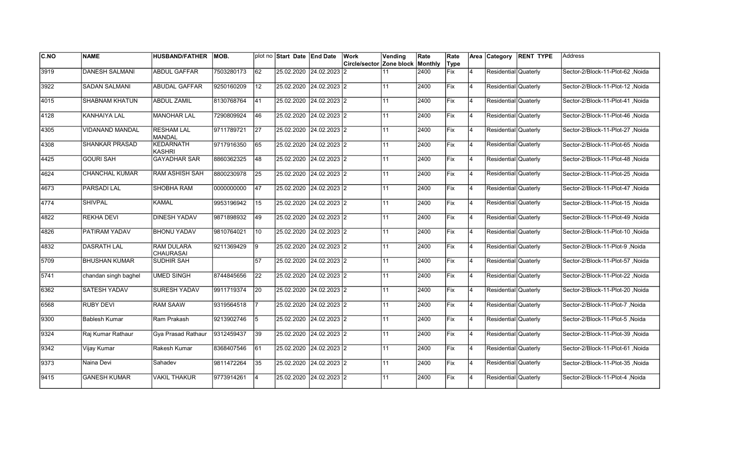| IC.NO | <b>NAME</b>           | <b>HUSBAND/FATHER</b>                  | MOB.       |                 | plot no Start Date End Date |                | Work<br>Circle/sector | Vending<br>Zone block | Rate<br>Monthly | Rate<br>Type |                |                      | Area Category RENT TYPE | lAddress                          |
|-------|-----------------------|----------------------------------------|------------|-----------------|-----------------------------|----------------|-----------------------|-----------------------|-----------------|--------------|----------------|----------------------|-------------------------|-----------------------------------|
| 3919  | <b>DANESH SALMANI</b> | <b>ABDUL GAFFAR</b>                    | 7503280173 | $\overline{62}$ | 25.02.2020 24.02.2023 2     |                |                       | 11                    | 2400            | Fix          | 4              | Residential Quaterly |                         | Sector-2/Block-11-Plot-62, Noida  |
| 3922  | <b>SADAN SALMANI</b>  | ABUDAL GAFFAR                          | 9250160209 | $ 12\rangle$    | 25.02.2020 24.02.2023 2     |                |                       | 11                    | 2400            | Fix          | 14             | Residential Quaterly |                         | Sector-2/Block-11-Plot-12 .Noida  |
| 4015  | <b>SHABNAM KHATUN</b> | <b>ABDUL ZAMIL</b>                     | 8130768764 | 41              | 25.02.2020 24.02.2023 2     |                |                       | 11                    | 2400            | <b>Fix</b>   | 14             | Residential Quaterly |                         | Sector-2/Block-11-Plot-41, Noida  |
| 4128  | KANHAIYA LAL          | <b>MANOHAR LAL</b>                     | 7290809924 | 46              | 25.02.2020 24.02.2023 2     |                |                       | 11                    | 2400            | Fix          | 4              | Residential Quaterly |                         | Sector-2/Block-11-Plot-46, Noida  |
| 4305  | VIDANAND MANDAL       | <b>RESHAM LAL</b><br><b>MANDAL</b>     | 9711789721 | 27              | 25.02.2020 24.02.2023 2     |                |                       | 11                    | 2400            | Fix          | $\overline{4}$ | Residential Quaterly |                         | Noida Sector-2/Block-11-Plot-27   |
| 4308  | <b>SHANKAR PRASAD</b> | KEDARNATH<br><b>KASHRI</b>             | 9717916350 | 65              | 25.02.2020 24.02.2023 2     |                |                       | 11                    | 2400            | Fix          | 4              | Residential Quaterly |                         | Sector-2/Block-11-Plot-65 .Noida  |
| 4425  | <b>GOURI SAH</b>      | <b>GAYADHAR SAR</b>                    | 8860362325 | 48              | 25.02.2020 24.02.2023 2     |                |                       | 11                    | 2400            | Fix          | 4              | Residential Quaterly |                         | Noida / Sector-2/Block-11-Plot-48 |
| 4624  | <b>CHANCHAL KUMAR</b> | <b>RAM ASHISH SAH</b>                  | 8800230978 | <b>25</b>       | 25.02.2020  24.02.2023  2   |                |                       | 11                    | 2400            | Fix          | $\overline{4}$ | Residential Quaterly |                         | Sector-2/Block-11-Plot-25 .Noida  |
| 4673  | PARSADI LAL           | SHOBHA RAM                             | 0000000000 | 47              | 25.02.2020 24.02.2023 2     |                |                       | 11                    | 2400            | Fix          | 4              | Residential Quaterly |                         | Noida  Sector-2/Block-11-Plot-47  |
| 4774  | <b>SHIVPAL</b>        | <b>KAMAL</b>                           | 9953196942 | 15              | 25.02.2020                  | $24.02.2023$ 2 |                       | 11                    | 2400            | Fix          | 4              | Residential Quaterly |                         | Sector-2/Block-11-Plot-15, Noida  |
| 4822  | <b>REKHA DEVI</b>     | <b>DINESH YADAV</b>                    | 9871898932 | 49              | 25.02.2020 24.02.2023 2     |                |                       | 11                    | 2400            | Fix          | 4              | Residential Quaterly |                         | Noida / Sector-2/Block-11-Plot-49 |
| 4826  | PATIRAM YADAV         | <b>BHONU YADAV</b>                     | 9810764021 | 10              | 25.02.2020 24.02.2023 2     |                |                       | 11                    | 2400            | Fix          | 14             | Residential Quaterly |                         | Noida Sector-2/Block-11-Plot-10   |
| 4832  | <b>DASRATH LAL</b>    | <b>IRAM DULARA</b><br><b>CHAURASAI</b> | 9211369429 | Ι9              | 25.02.2020 24.02.2023 2     |                |                       | 11                    | 2400            | Fix          | 4              | Residential Quaterly |                         | Sector-2/Block-11-Plot-9, Noida   |
| 5709  | <b>BHUSHAN KUMAR</b>  | <b>SUDHIR SAH</b>                      |            | 57              | 25.02.2020 24.02.2023 2     |                |                       | 11                    | 2400            | Fix          | 4              | Residential Quaterly |                         | Sector-2/Block-11-Plot-57 .Noida  |
| 5741  | chandan singh baghel  | <b>UMED SINGH</b>                      | 8744845656 | 22              | 25.02.2020 24.02.2023 2     |                |                       | 11                    | 2400            | Fix          | 4              | Residential Quaterly |                         | Sector-2/Block-11-Plot-22, Noida  |
| 6362  | <b>SATESH YADAV</b>   | <b>SURESH YADAV</b>                    | 9911719374 | $\overline{20}$ | 25.02.2020 24.02.2023 2     |                |                       | 11                    | 2400            | Fix          | 14             | Residential Quaterly |                         | Sector-2/Block-11-Plot-20, Noida  |
| 6568  | <b>RUBY DEVI</b>      | <b>RAM SAAW</b>                        | 9319564518 | 17              | 25.02.2020 24.02.2023 2     |                |                       | 11                    | 2400            | Fix          | 14             | Residential Quaterly |                         | Sector-2/Block-11-Plot-7, Noida   |
| 19300 | Bablesh Kumar         | Ram Prakash                            | 9213902746 | 15              | 25.02.2020 24.02.2023 2     |                |                       | 11                    | 2400            | lFix.        | $\overline{4}$ | Residential Quaterly |                         | Noida Sector-2/Block-11-Plot-5    |
| 9324  | Raj Kumar Rathaur     | Gya Prasad Rathaur                     | 9312459437 | 39              | 25.02.2020                  | $24.02.2023$ 2 |                       | 11                    | 2400            | Fix          | 4              | Residential Quaterly |                         | Sector-2/Block-11-Plot-39 .Noida  |
| 9342  | Vijay Kumar           | Rakesh Kumar                           | 8368407546 | 61              | 25.02.2020 24.02.2023 2     |                |                       | 11                    | 2400            | Fix          | $\overline{4}$ | Residential Quaterly |                         | Sector-2/Block-11-Plot-61 Noida   |
| 9373  | Naina Devi            | Sahadev                                | 9811472264 | 35              | 25.02.2020 24.02.2023 2     |                |                       | 11                    | 2400            | Fix          | 14             | Residential Quaterly |                         | Sector-2/Block-11-Plot-35, Noida  |
| 9415  | <b>GANESH KUMAR</b>   | <b>VAKIL THAKUR</b>                    | 9773914261 | 4               | 25.02.2020                  | 24.02.2023 2   |                       | 11                    | 2400            | Fix          | 4              | Residential Quaterly |                         | Sector-2/Block-11-Plot-4, Noida   |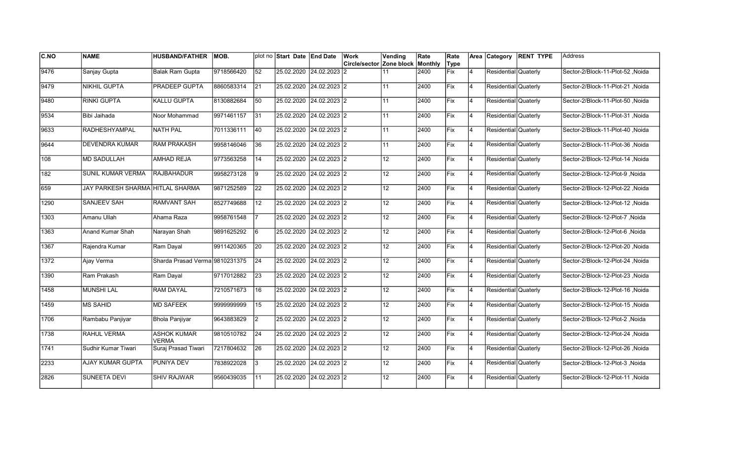| C.NO | <b>NAME</b>                      | <b>HUSBAND/FATHER</b>              | MOB.       |                 | plot no Start Date End Date | <b>Work</b>                             | Vending         | Rate | Rate       |                | Area Category        | <b>RENT TYPE</b> | Address                          |
|------|----------------------------------|------------------------------------|------------|-----------------|-----------------------------|-----------------------------------------|-----------------|------|------------|----------------|----------------------|------------------|----------------------------------|
|      |                                  |                                    |            |                 |                             | <b>Circle/sector Zone block Monthly</b> |                 |      | Type       |                |                      |                  |                                  |
| 9476 | Sanjay Gupta                     | <b>Balak Ram Gupta</b>             | 9718566420 | 52              | 25.02.2020 24.02.2023 2     |                                         | 11              | 2400 | <b>Fix</b> | $\overline{4}$ | Residential Quaterly |                  | Sector-2/Block-11-Plot-52, Noida |
| 9479 | <b>NIKHIL GUPTA</b>              | <b>PRADEEP GUPTA</b>               | 8860583314 | $\overline{21}$ | 25.02.2020 24.02.2023 2     |                                         | 11              | 2400 | Fix        | $\overline{4}$ | Residential Quaterly |                  | Sector-2/Block-11-Plot-21, Noida |
| 9480 | <b>RINKI GUPTA</b>               | <b>KALLU GUPTA</b>                 | 8130882684 | 50              | 25.02.2020 24.02.2023 2     |                                         | 11              | 2400 | Fix        | 4              | Residential Quaterly |                  | Sector-2/Block-11-Plot-50 .Noida |
| 9534 | Bibi Jaihada                     | Noor Mohammad                      | 9971461157 | $\overline{31}$ | 25.02.2020 24.02.2023 2     |                                         | 11              | 2400 | Fix        | 4              | Residential Quaterly |                  | Sector-2/Block-11-Plot-31, Noida |
| 9633 | <b>RADHESHYAMPAL</b>             | <b>NATH PAL</b>                    | 7011336111 | 40              | 25.02.2020 24.02.2023 2     |                                         | 11              | 2400 | Fix        | $\overline{4}$ | Residential Quaterly |                  | Sector-2/Block-11-Plot-40, Noida |
| 9644 | <b>DEVENDRA KUMAR</b>            | <b>RAM PRAKASH</b>                 | 9958146046 | 36              | 25.02.2020 24.02.2023 2     |                                         | 11              | 2400 | Fix        | $\overline{4}$ | Residential Quaterly |                  | Sector-2/Block-11-Plot-36, Noida |
| 108  | <b>MD SADULLAH</b>               | <b>AMHAD REJA</b>                  | 9773563258 | 14              | 25.02.2020 24.02.2023 2     |                                         | 12 <sup>°</sup> | 2400 | Fix        | $\overline{4}$ | Residential Quaterly |                  | Sector-2/Block-12-Plot-14, Noida |
| 182  | SUNIL KUMAR VERMA                | <b>RAJBAHADUR</b>                  | 9958273128 | Ι9              | 25.02.2020 24.02.2023 2     |                                         | 12              | 2400 | Fix        | 4              | Residential Quaterly |                  | Sector-2/Block-12-Plot-9, Noida  |
| 659  | JAY PARKESH SHARMA HITLAL SHARMA |                                    | 9871252589 | 22              | 25.02.2020 24.02.2023 2     |                                         | 12              | 2400 | Fix        | $\overline{4}$ | Residential Quaterly |                  | Sector-2/Block-12-Plot-22, Noida |
| 1290 | <b>SANJEEV SAH</b>               | <b>RAMVANT SAH</b>                 | 8527749688 | 12              | 25.02.2020 24.02.2023 2     |                                         | 12 <sup>°</sup> | 2400 | Fix        | $\overline{4}$ | Residential Quaterly |                  | Sector-2/Block-12-Plot-12, Noida |
| 1303 | Amanu Ullah                      | Ahama Raza                         | 9958761548 |                 | 25.02.2020 24.02.2023 2     |                                         | 12              | 2400 | Fix        | 4              | Residential Quaterly |                  | Sector-2/Block-12-Plot-7 ,Noida  |
| 1363 | Anand Kumar Shah                 | Narayan Shah                       | 9891625292 | 6               | 25.02.2020 24.02.2023 2     |                                         | 12              | 2400 | Fix        | 4              | Residential Quaterly |                  | Sector-2/Block-12-Plot-6, Noida  |
| 1367 | Rajendra Kumar                   | Ram Dayal                          | 9911420365 | 20              | 25.02.2020 24.02.2023 2     |                                         | 12              | 2400 | Fix        | 4              | Residential Quaterly |                  | Sector-2/Block-12-Plot-20, Noida |
| 1372 | Ajay Verma                       | Sharda Prasad Verma 9810231375     |            | 24              | 25.02.2020 24.02.2023 2     |                                         | 12 <sub>2</sub> | 2400 | Fix        | $\overline{4}$ | Residential Quaterly |                  | Sector-2/Block-12-Plot-24, Noida |
| 1390 | Ram Prakash                      | Ram Dayal                          | 9717012882 | $\overline{23}$ | 25.02.2020 24.02.2023 2     |                                         | $\overline{12}$ | 2400 | Fix        | 4              | Residential Quaterly |                  | Sector-2/Block-12-Plot-23, Noida |
| 1458 | <b>MUNSHI LAL</b>                | <b>RAM DAYAL</b>                   | 7210571673 | 16              | 25.02.2020 24.02.2023 2     |                                         | 12 <sup>°</sup> | 2400 | Fix        | 4              | Residential Quaterly |                  | Sector-2/Block-12-Plot-16, Noida |
| 1459 | <b>MS SAHID</b>                  | <b>MD SAFEEK</b>                   | 9999999999 | 15              | 25.02.2020 24.02.2023 2     |                                         | 12              | 2400 | Fix        | 4              | Residential Quaterly |                  | Sector-2/Block-12-Plot-15, Noida |
| 1706 | Rambabu Panjiyar                 | <b>Bhola Panjiyar</b>              | 9643883829 | 2               | 25.02.2020 24.02.2023 2     |                                         | 12 <sup>°</sup> | 2400 | Fix        | 4              | Residential Quaterly |                  | Sector-2/Block-12-Plot-2, Noida  |
| 1738 | RAHUL VERMA                      | <b>ASHOK KUMAR</b><br><b>VERMA</b> | 9810510782 | 24              | 25.02.2020 24.02.2023 2     |                                         | 12 <sub>2</sub> | 2400 | Fix        | $\overline{4}$ | Residential Quaterly |                  | Sector-2/Block-12-Plot-24, Noida |
| 1741 | Sudhir Kumar Tiwari              | Suraj Prasad Tiwari                | 7217804632 | $\overline{26}$ | 25.02.2020 24.02.2023 2     |                                         | $\overline{12}$ | 2400 | Fix        | 4              | Residential Quaterly |                  | Sector-2/Block-12-Plot-26, Noida |
| 2233 | <b>AJAY KUMAR GUPTA</b>          | <b>PUNIYA DEV</b>                  | 7838922028 | 3               | 25.02.2020 24.02.2023 2     |                                         | $\overline{12}$ | 2400 | Fix        | $\overline{4}$ | Residential Quaterly |                  | Sector-2/Block-12-Plot-3, Noida  |
| 2826 | <b>SUNEETA DEVI</b>              | <b>SHIV RAJWAR</b>                 | 9560439035 | 11              | 25.02.2020 24.02.2023 2     |                                         | $\overline{12}$ | 2400 | Fix        | $\overline{4}$ | Residential Quaterly |                  | Sector-2/Block-12-Plot-11, Noida |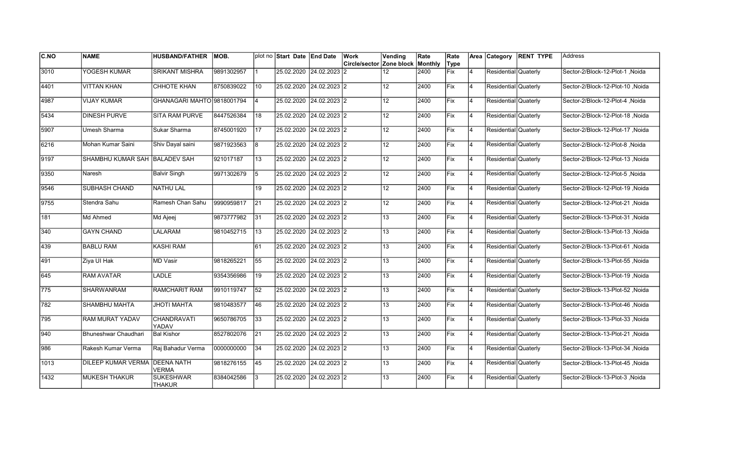| <b>C.NO</b> | <b>NAME</b>                          | <b>HUSBAND/FATHER</b>             | <b>IMOB.</b> |                 | plot no Start Date End Date | Work                                    | Vending         | Rate | Rate       |                | Area Category        | <b>RENT TYPE</b> | lAddress                          |
|-------------|--------------------------------------|-----------------------------------|--------------|-----------------|-----------------------------|-----------------------------------------|-----------------|------|------------|----------------|----------------------|------------------|-----------------------------------|
|             |                                      |                                   |              |                 |                             | <b>Circle/sector Zone block Monthly</b> |                 |      | Type       |                |                      |                  |                                   |
| 3010        | YOGESH KUMAR                         | <b>SRIKANT MISHRA</b>             | 9891302957   |                 | 25.02.2020 24.02.2023       | 12                                      | 12              | 2400 | Fix        | $\overline{4}$ | Residential Quaterly |                  | Sector-2/Block-12-Plot-1, Noida   |
| 4401        | <b>VITTAN KHAN</b>                   | <b>CHHOTE KHAN</b>                | 8750839022   | 10              | 25.02.2020 24.02.2023 2     |                                         | 12 <sup>°</sup> | 2400 | Fix        | 14             | Residential Quaterly |                  | Noida Sector-2/Block-12-Plot-10   |
| 4987        | <b>VIJAY KUMAR</b>                   | GHANAGARI MAHTO 9818001794        |              | l4              | 25.02.2020 24.02.2023 2     |                                         | 12 <sub>2</sub> | 2400 | Fix        | 14             | Residential Quaterly |                  | Sector-2/Block-12-Plot-4 .Noida   |
| 5434        | DINESH PURVE                         | SITA RAM PURVE                    | 8447526384   | 18              | 25.02.2020 24.02.2023 2     |                                         | 12 <sub>2</sub> | 2400 | Fix        | 14             | Residential Quaterly |                  | Sector-2/Block-12-Plot-18, Noida  |
| 5907        | Umesh Sharma                         | Sukar Sharma                      | 8745001920   | 17              | 25.02.2020 24.02.2023 2     |                                         | 12 <sup>°</sup> | 2400 | Fix        | $\overline{4}$ | Residential Quaterly |                  | Sector-2/Block-12-Plot-17, Noida  |
| 6216        | Mohan Kumar Saini                    | Shiv Dayal saini                  | 9871923563   | 8               | 25.02.2020 24.02.2023 2     |                                         | 12              | 2400 | Fix        | $\overline{4}$ | Residential Quaterly |                  | Sector-2/Block-12-Plot-8, Noida   |
| 9197        | SHAMBHU KUMAR SAH BALADEV SAH        |                                   | 921017187    | 13              | 25.02.2020 24.02.2023 2     |                                         | 12 <sup>°</sup> | 2400 | Fix        | 14             | Residential Quaterly |                  | Sector-2/Block-12-Plot-13, Noida  |
| 9350        | Naresh                               | <b>Balvir Singh</b>               | 9971302679   | 5               | 25.02.2020 24.02.2023 2     |                                         | 12 <sup>°</sup> | 2400 | Fix        | 14             | Residential Quaterly |                  | Sector-2/Block-12-Plot-5, Noida   |
| 9546        | SUBHASH CHAND                        | <b>NATHU LAL</b>                  |              | 19              | 25.02.2020 24.02.2023 2     |                                         | 12 <sup>°</sup> | 2400 | Fix        | $\overline{4}$ | Residential Quaterly |                  | Sector-2/Block-12-Plot-19, Noida  |
| 9755        | Stendra Sahu                         | Ramesh Chan Sahu                  | 9990959817   | 21              | 25.02.2020 24.02.2023 2     |                                         | 12 <sup>2</sup> | 2400 | Fix        | $\overline{4}$ | Residential Quaterly |                  | Sector-2/Block-12-Plot-21, Noida  |
| 181         | Md Ahmed                             | Md Ajeej                          | 9873777982   | 31              | 25.02.2020 24.02.2023 2     |                                         | 13              | 2400 | Fix        | 14             | Residential Quaterly |                  | Sector-2/Block-13-Plot-31 , Noida |
| 340         | <b>GAYN CHAND</b>                    | LALARAM                           | 9810452715   | 13              | 25.02.2020 24.02.2023 2     |                                         | 13              | 2400 | Fix        | 4              | Residential Quaterly |                  | Sector-2/Block-13-Plot-13, Noida  |
| 439         | <b>BABLU RAM</b>                     | KASHI RAM                         |              | 61              | 25.02.2020 24.02.2023 2     |                                         | 13              | 2400 | Fix        | 4              | Residential Quaterly |                  | Sector-2/Block-13-Plot-61, Noida  |
| 491         | Ziya UI Hak                          | MD Vasir                          | 9818265221   | 55              | 25.02.2020 24.02.2023 2     |                                         | 13              | 2400 | Fix        | $\overline{4}$ | Residential Quaterly |                  | Sector-2/Block-13-Plot-55, Noida  |
| 645         | <b>RAM AVATAR</b>                    | LADLE                             | 9354356986   | 19              | 25.02.2020 24.02.2023 2     |                                         | 13              | 2400 | Fix        | 4              | Residential Quaterly |                  | Sector-2/Block-13-Plot-19, Noida  |
| 775         | <b>SHARWANRAM</b>                    | <b>RAMCHARIT RAM</b>              | 9910119747   | $\overline{52}$ | 25.02.2020 24.02.2023 2     |                                         | 13              | 2400 | Fix        | 14             | Residential Quaterly |                  | Noida Sector-2/Block-13-Plot-52   |
| 782         | SHAMBHU MAHTA                        | <b>JHOTI MAHTA</b>                | 9810483577   | 46              | 25.02.2020 24.02.2023 2     |                                         | 13              | 2400 | <b>Fix</b> | 14             | Residential Quaterly |                  | Sector-2/Block-13-Plot-46, Noida  |
| 795         | RAM MURAT YADAV                      | CHANDRAVATI<br>YADAV              | 9650786705   | 33              | 25.02.2020 24.02.2023 2     |                                         | 13              | 2400 | Fix        | $\overline{4}$ | Residential Quaterly |                  | Sector-2/Block-13-Plot-33, Noida  |
| 940         | Bhuneshwar Chaudhari                 | <b>Bal Kishor</b>                 | 8527802076   | 21              | 25.02.2020 24.02.2023 2     |                                         | 13              | 2400 | Fix        | $\overline{4}$ | Residential Quaterly |                  | Sector-2/Block-13-Plot-21, Noida  |
| 986         | Rakesh Kumar Verma                   | Raj Bahadur Verma                 | 0000000000   | 34              | 25.02.2020 24.02.2023 2     |                                         | 13              | 2400 | Fix        | 4              | Residential Quaterly |                  | Sector-2/Block-13-Plot-34, Noida  |
| 1013        | <b>DILEEP KUMAR VERMA DEENA NATH</b> | <b>VERMA</b>                      | 9818276155   | 45              | 25.02.2020 24.02.2023 2     |                                         | 13              | 2400 | Fix        | 14             | Residential Quaterly |                  | Sector-2/Block-13-Plot-45, Noida  |
| 1432        | <b>MUKESH THAKUR</b>                 | <b>SUKESHWAR</b><br><b>THAKUR</b> | 8384042586   | 3               | 25.02.2020 24.02.2023 2     |                                         | 13              | 2400 | Fix        | $\overline{4}$ | Residential Quaterly |                  | Sector-2/Block-13-Plot-3, Noida   |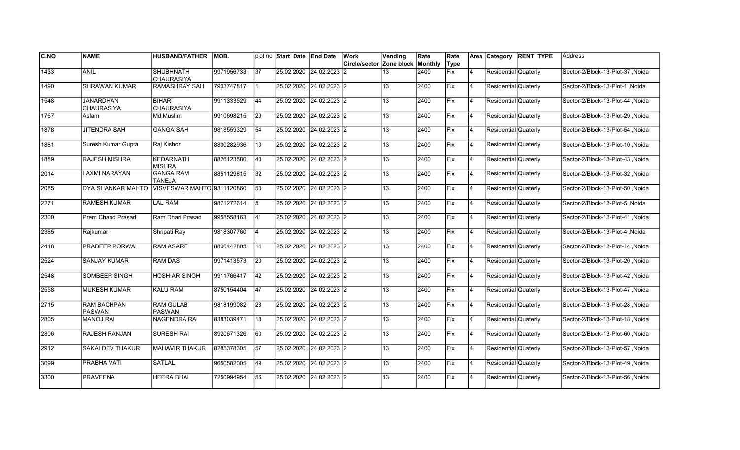| <b>C.NO</b> | <b>NAME</b>                           | <b>HUSBAND/FATHER</b>              | MOB.       |                | plot no Start Date End Date |                         | Work                     | Vending | Rate    | Rate       |                | Area Category        | <b>RENT TYPE</b> | Address                          |
|-------------|---------------------------------------|------------------------------------|------------|----------------|-----------------------------|-------------------------|--------------------------|---------|---------|------------|----------------|----------------------|------------------|----------------------------------|
|             |                                       |                                    |            |                |                             |                         | Circle/sector Zone block |         | Monthly | Type       |                |                      |                  |                                  |
| 1433        | <b>ANIL</b>                           | <b>SHUBHNATH</b><br>CHAURASIYA     | 9971956733 | 37             | 25.02.2020 24.02.2023       |                         | 12                       | 13      | 2400    | Fix        | 4              | Residential Quaterly |                  | Sector-2/Block-13-Plot-37 .Noida |
| 1490        | <b>SHRAWAN KUMAR</b>                  | <b>RAMASHRAY SAH</b>               | 7903747817 | $\mathbf{1}$   | 25.02.2020 24.02.2023 2     |                         |                          | 13      | 2400    | Fix        | 4              | Residential Quaterly |                  | Sector-2/Block-13-Plot-1 .Noida  |
| 1548        | <b>JANARDHAN</b><br><b>CHAURASIYA</b> | <b>BIHARI</b><br><b>CHAURASIYA</b> | 9911333529 | 44             | 25.02.2020 24.02.2023 2     |                         |                          | 13      | 2400    | Fix        | 4              | Residential Quaterly |                  | Sector-2/Block-13-Plot-44 .Noida |
| 1767        | Aslam                                 | Md Muslim                          | 9910698215 | 29             | 25.02.2020 24.02.2023 2     |                         |                          | 13      | 2400    | Fix        | 4              | Residential Quaterly |                  | Sector-2/Block-13-Plot-29, Noida |
| 1878        | <b>JITENDRA SAH</b>                   | <b>GANGA SAH</b>                   | 9818559329 | 54             | 25.02.2020 24.02.2023 2     |                         |                          | 13      | 2400    | Fix        | 4              | Residential Quaterly |                  | Sector-2/Block-13-Plot-54, Noida |
| 1881        | Suresh Kumar Gupta                    | Raj Kishor                         | 8800282936 | 10             |                             | 25.02.2020 24.02.2023 2 |                          | 13      | 2400    | Fix        | $\overline{4}$ | Residential Quaterly |                  | Sector-2/Block-13-Plot-10, Noida |
| 1889        | <b>RAJESH MISHRA</b>                  | <b>KEDARNATH</b><br><b>MISHRA</b>  | 8826123580 | 43             | 25.02.2020 24.02.2023 2     |                         |                          | 13      | 2400    | Fix        | 4              | Residential Quaterly |                  | Sector-2/Block-13-Plot-43, Noida |
| 2014        | <b>LAXMI NARAYAN</b>                  | <b>GANGA RAM</b><br><b>TANEJA</b>  | 8851129815 | 32             | 25.02.2020 24.02.2023 2     |                         |                          | 13      | 2400    | Fix        | Ι4             | Residential Quaterly |                  | Sector-2/Block-13-Plot-32, Noida |
| 2085        | DYA SHANKAR MAHTO                     | VISVESWAR MAHTO 9311120860         |            | 50             | 25.02.2020                  | $24.02.2023$ 2          |                          | 13      | 2400    | Fix        | $\overline{4}$ | Residential Quaterly |                  | Sector-2/Block-13-Plot-50, Noida |
| 2271        | <b>RAMESH KUMAR</b>                   | <b>LAL RAM</b>                     | 9871272614 | 5              | 25.02.2020 24.02.2023 2     |                         |                          | 13      | 2400    | Fix        | $\overline{4}$ | Residential Quaterly |                  | Sector-2/Block-13-Plot-5, Noida  |
| 2300        | Prem Chand Prasad                     | Ram Dhari Prasad                   | 9958558163 | $ 41\rangle$   | 25.02.2020 24.02.2023 2     |                         |                          | 13      | 2400    | Fix        | 4              | Residential Quaterly |                  | Sector-2/Block-13-Plot-41 .Noida |
| 2385        | Rajkumar                              | Shripati Ray                       | 9818307760 | $\overline{4}$ | 25.02.2020 24.02.2023 2     |                         |                          | 13      | 2400    | Fix        | 4              | Residential Quaterly |                  | Sector-2/Block-13-Plot-4, Noida  |
| 2418        | PRADEEP PORWAL                        | <b>RAM ASARE</b>                   | 8800442805 | 14             | 25.02.2020 24.02.2023 2     |                         |                          | 13      | 2400    | Fix        | 4              | Residential Quaterly |                  | Sector-2/Block-13-Plot-14, Noida |
| 2524        | <b>SANJAY KUMAR</b>                   | <b>RAM DAS</b>                     | 9971413573 | 20             | 25.02.2020                  | 24.02.2023 2            |                          | 13      | 2400    | Fix        | $\overline{4}$ | Residential Quaterly |                  | Sector-2/Block-13-Plot-20, Noida |
| 2548        | SOMBEER SINGH                         | <b>HOSHIAR SINGH</b>               | 9911766417 | 42             | 25.02.2020                  | $24.02.2023$ 2          |                          | 13      | 2400    | Fix        | 4              | Residential Quaterly |                  | Sector-2/Block-13-Plot-42, Noida |
| 2558        | <b>MUKESH KUMAR</b>                   | <b>KALU RAM</b>                    | 8750154404 | 47             | 25.02.2020 24.02.2023 2     |                         |                          | 13      | 2400    | Fix        | <b>4</b>       | Residential Quaterly |                  | Sector-2/Block-13-Plot-47, Noida |
| 2715        | <b>RAM BACHPAN</b><br><b>PASWAN</b>   | <b>RAM GULAB</b><br><b>PASWAN</b>  | 9818199082 | 28             | 25.02.2020 24.02.2023 2     |                         |                          | 13      | 2400    | <b>Fix</b> | 4              | Residential Quaterly |                  | Sector-2/Block-13-Plot-28, Noida |
| 2805        | <b>MANOJ RAI</b>                      | <b>NAGENDRA RAI</b>                | 8383039471 | 18             |                             | 25.02.2020 24.02.2023 2 |                          | 13      | 2400    | lFix       | Ι4             | Residential Quaterly |                  | Sector-2/Block-13-Plot-18, Noida |
| 2806        | RAJESH RANJAN                         | <b>SURESH RAI</b>                  | 8920671326 | 60             | 25.02.2020                  | 24.02.2023 2            |                          | 13      | 2400    | Fix        | $\overline{4}$ | Residential Quaterly |                  | Sector-2/Block-13-Plot-60, Noida |
| 2912        | <b>SAKALDEV THAKUR</b>                | <b>MAHAVIR THAKUR</b>              | 8285378305 | 57             | 25.02.2020 24.02.2023 2     |                         |                          | 13      | 2400    | Fix        | 4              | Residential Quaterly |                  | Sector-2/Block-13-Plot-57, Noida |
| 3099        | PRABHA VATI                           | <b>SATLAL</b>                      | 9650582005 | 49             | 25.02.2020 24.02.2023 2     |                         |                          | 13      | 2400    | Fix        | $\overline{4}$ | Residential Quaterly |                  | Sector-2/Block-13-Plot-49, Noida |
| 3300        | <b>PRAVEENA</b>                       | <b>HEERA BHAI</b>                  | 7250994954 | 56             | 25.02.2020                  | 24.02.2023 2            |                          | 13      | 2400    | Fix        | $\overline{4}$ | Residential Quaterly |                  | Sector-2/Block-13-Plot-56, Noida |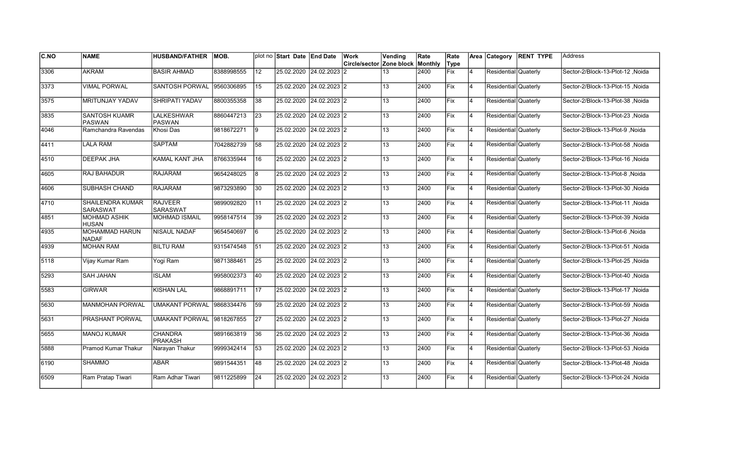| <b>C.NO</b> | <b>NAME</b>                                | <b>HUSBAND/FATHER</b>             | IMOB.      |                 | plot no Start Date End Date | Work                                    | Vending         | Rate | Rate       |                | Area Category        | <b>RENT TYPE</b> | lAddress                         |
|-------------|--------------------------------------------|-----------------------------------|------------|-----------------|-----------------------------|-----------------------------------------|-----------------|------|------------|----------------|----------------------|------------------|----------------------------------|
|             |                                            |                                   |            |                 |                             | <b>Circle/sector Zone block Monthly</b> |                 |      | Type       |                |                      |                  |                                  |
| 3306        | <b>AKRAM</b>                               | <b>BASIR AHMAD</b>                | 8388998555 | 12              | 25.02.2020 24.02.2023       | 12                                      | 13              | 2400 | Fix        | $\overline{4}$ | Residential Quaterly |                  | Sector-2/Block-13-Plot-12, Noida |
| 3373        | <b>VIMAL PORWAL</b>                        | <b>SANTOSH PORWAL</b>             | 9560306895 | 15              | 25.02.2020 24.02.2023 2     |                                         | 13              | 2400 | Fix        | 14             | Residential Quaterly |                  | Noida Sector-2/Block-13-Plot-15  |
| 3575        | <b>MRITUNJAY YADAV</b>                     | <b>SHRIPATI YADAV</b>             | 8800355358 | 38              | 25.02.2020 24.02.2023 2     |                                         | 13              | 2400 | Fix        | 14             | Residential Quaterly |                  | Sector-2/Block-13-Plot-38 .Noida |
| 3835        | <b>SANTOSH KUAMR</b><br><b>PASWAN</b>      | <b>LALKESHWAR</b><br>PASWAN       | 8860447213 | 23              | 25.02.2020 24.02.2023 2     |                                         | 13              | 2400 | Fix        | 14             | Residential Quaterly |                  | Sector-2/Block-13-Plot-23 .Noida |
| 4046        | Ramchandra Ravendas                        | Khosi Das                         | 9818672271 | l9              | 25.02.2020 24.02.2023 2     |                                         | 13              | 2400 | Fix        | $\overline{4}$ | Residential Quaterly |                  | Sector-2/Block-13-Plot-9 .Noida  |
| 4411        | <b>LALA RAM</b>                            | <b>SAPTAM</b>                     | 7042882739 | 58              | 25.02.2020 24.02.2023 2     |                                         | 13              | 2400 | Fix        | $\overline{4}$ | Residential Quaterly |                  | Sector-2/Block-13-Plot-58, Noida |
| 4510        | DEEPAK JHA                                 | KAMAL KANT JHA                    | 8766335944 | 16              | 25.02.2020 24.02.2023 2     |                                         | 13              | 2400 | Fix        | 4              | Residential Quaterly |                  | Sector-2/Block-13-Plot-16, Noida |
| 4605        | RAJ BAHADUR                                | <b>RAJARAM</b>                    | 9654248025 | 8               | 25.02.2020 24.02.2023 2     |                                         | 13              | 2400 | Fix        | 4              | Residential Quaterly |                  | Sector-2/Block-13-Plot-8, Noida  |
| 4606        | <b>SUBHASH CHAND</b>                       | <b>RAJARAM</b>                    | 9873293890 | 30              | 25.02.2020 24.02.2023 2     |                                         | 13              | 2400 | Fix        | $\overline{4}$ | Residential Quaterly |                  | Sector-2/Block-13-Plot-30, Noida |
| 4710        | <b>SHAILENDRA KUMAR</b><br><b>SARASWAT</b> | <b>RAJVEER</b><br><b>SARASWAT</b> | 9899092820 | 111             | 25.02.2020 24.02.2023 2     |                                         | 13              | 2400 | Fix        | $\overline{4}$ | Residential Quaterly |                  | Sector-2/Block-13-Plot-11, Noida |
| 4851        | <b>MOHMAD ASHIK</b><br>HUSAN               | <b>MOHMAD ISMAIL</b>              | 9958147514 | 39              | 25.02.2020 24.02.2023 2     |                                         | 13              | 2400 | Fix        | 4              | Residential Quaterly |                  | Sector-2/Block-13-Plot-39, Noida |
| 4935        | <b>MOHAMMAD HARUN</b><br><b>NADAF</b>      | <b>NISAUL NADAF</b>               | 9654540697 | l6              | 25.02.2020 24.02.2023 2     |                                         | 13              | 2400 | Fix        | 14             | Residential Quaterly |                  | Noida / Sector-2/Block-13-Plot-6 |
| 4939        | <b>MOHAN RAM</b>                           | <b>BILTU RAM</b>                  | 9315474548 | 51              | 25.02.2020 24.02.2023 2     |                                         | 13              | 2400 | Fix        | 14             | Residential Quaterly |                  | Sector-2/Block-13-Plot-51, Noida |
| 5118        | Vijay Kumar Ram                            | Yogi Ram                          | 9871388461 | 25              | 25.02.2020 24.02.2023 2     |                                         | 13              | 2400 | Fix        | $\overline{4}$ | Residential Quaterly |                  | Sector-2/Block-13-Plot-25 .Noida |
| 5293        | <b>SAH JAHAN</b>                           | <b>ISLAM</b>                      | 9958002373 | 40              | 25.02.2020 24.02.2023 2     |                                         | 13              | 2400 | Fix        | 4              | Residential Quaterly |                  | Sector-2/Block-13-Plot-40, Noida |
| 5583        | <b>GIRWAR</b>                              | KISHAN LAL                        | 9868891711 | $\overline{17}$ | 25.02.2020 24.02.2023 2     |                                         | 13              | 2400 | <b>Fix</b> | 14             | Residential Quaterly |                  | Sector-2/Block-13-Plot-17 .Noida |
| 5630        | <b>MANMOHAN PORWAL</b>                     | <b>UMAKANT PORWAL</b>             | 9868334476 | 59              | 25.02.2020 24.02.2023 2     |                                         | 13              | 2400 | Fix        | 14             | Residential Quaterly |                  | Sector-2/Block-13-Plot-59 .Noida |
| 5631        | PRASHANT PORWAL                            | <b>UMAKANT PORWAL</b>             | 9818267855 | 27              | 25.02.2020 24.02.2023 2     |                                         | 13              | 2400 | lFix       | 14             | Residential Quaterly |                  | Sector-2/Block-13-Plot-27 .Noida |
| 5655        | <b>MANOJ KUMAR</b>                         | <b>CHANDRA</b><br><b>PRAKASH</b>  | 9891663819 | 36              | 25.02.2020 24.02.2023 2     |                                         | 13              | 2400 | Fix        | 4              | Residential Quaterly |                  | Sector-2/Block-13-Plot-36, Noida |
| 5888        | Pramod Kumar Thakur                        | Narayan Thakur                    | 9999342414 | 53              | 25.02.2020 24.02.2023 2     |                                         | 13              | 2400 | Fix        | 4              | Residential Quaterly |                  | Sector-2/Block-13-Plot-53, Noida |
| 6190        | <b>SHAMMO</b>                              | ABAR                              | 9891544351 | 48              | 25.02.2020 24.02.2023 2     |                                         | $\overline{13}$ | 2400 | Fix        | 4              | Residential Quaterly |                  | Sector-2/Block-13-Plot-48, Noida |
| 6509        | Ram Pratap Tiwari                          | Ram Adhar Tiwari                  | 9811225899 | 24              | 25.02.2020 24.02.2023 2     |                                         | 13              | 2400 | Fix        | $\overline{4}$ | Residential Quaterly |                  | Sector-2/Block-13-Plot-24, Noida |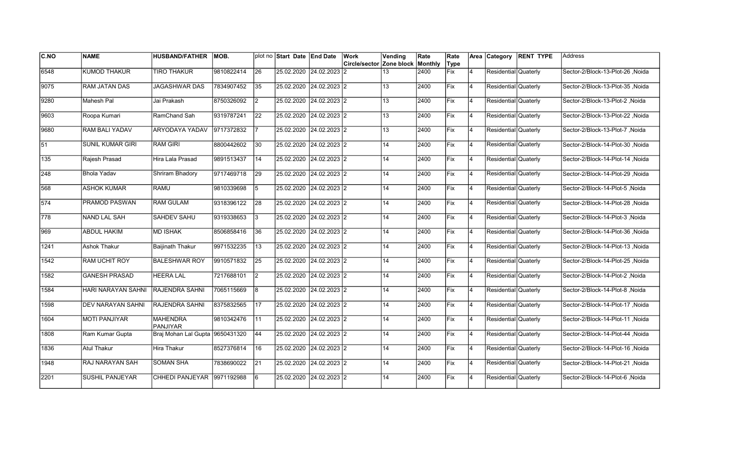| <b>C.NO</b>     | <b>NAME</b>               | <b>HUSBAND/FATHER</b>              | <b>MOB.</b> |      | plot no Start Date End Date | Work                                    | Vending | Rate | Rate       |                | Area Category        | <b>RENT TYPE</b> | lAddress                         |
|-----------------|---------------------------|------------------------------------|-------------|------|-----------------------------|-----------------------------------------|---------|------|------------|----------------|----------------------|------------------|----------------------------------|
|                 |                           |                                    |             |      |                             | <b>Circle/sector Zone block Monthly</b> |         |      | Type       |                |                      |                  |                                  |
| 6548            | <b>KUMOD THAKUR</b>       | <b>TIRO THAKUR</b>                 | 9810822414  | 26   | 25.02.2020 24.02.2023       | 12                                      | 13      | 2400 | Fix        | $\overline{4}$ | Residential Quaterly |                  | Sector-2/Block-13-Plot-26, Noida |
| 9075            | <b>RAM JATAN DAS</b>      | <b>JAGASHWAR DAS</b>               | 7834907452  | 35   | 25.02.2020 24.02.2023 2     |                                         | 13      | 2400 | Fix        | 14             | Residential Quaterly |                  | Noida Sector-2/Block-13-Plot-35  |
| 9280            | Mahesh Pal                | Jai Prakash                        | 8750326092  | I2   | 25.02.2020 24.02.2023 2     |                                         | 13      | 2400 | Fix        | 14             | Residential Quaterly |                  | Sector-2/Block-13-Plot-2 .Noida  |
| 9603            | Roopa Kumari              | RamChand Sah                       | 9319787241  | 22   | 25.02.2020 24.02.2023 2     |                                         | 13      | 2400 | Fix        | 14             | Residential Quaterly |                  | Sector-2/Block-13-Plot-22, Noida |
| 9680            | <b>RAM BALI YADAV</b>     | <b>ARYODAYA YADAV</b>              | 9717372832  |      | 25.02.2020 24.02.2023 2     |                                         | 13      | 2400 | Fix        | $\overline{4}$ | Residential Quaterly |                  | Sector-2/Block-13-Plot-7, Noida  |
| $\overline{51}$ | <b>SUNIL KUMAR GIRI</b>   | <b>RAM GIRI</b>                    | 8800442602  | 30   | 25.02.2020 24.02.2023 2     |                                         | 14      | 2400 | Fix        | $\overline{4}$ | Residential Quaterly |                  | Sector-2/Block-14-Plot-30, Noida |
| 135             | Rajesh Prasad             | Hira Lala Prasad                   | 9891513437  | 14   | 25.02.2020 24.02.2023 2     |                                         | 14      | 2400 | Fix        | 14             | Residential Quaterly |                  | Sector-2/Block-14-Plot-14, Noida |
| 248             | <b>Bhola Yadav</b>        | Shriram Bhadory                    | 9717469718  | 29   | 25.02.2020 24.02.2023 2     |                                         | 14      | 2400 | Fix        | 14             | Residential Quaterly |                  | Sector-2/Block-14-Plot-29, Noida |
| 568             | <b>ASHOK KUMAR</b>        | RAMU                               | 9810339698  | 5    | 25.02.2020 24.02.2023 2     |                                         | 14      | 2400 | Fix        | $\overline{4}$ | Residential Quaterly |                  | Sector-2/Block-14-Plot-5, Noida  |
| 574             | PRAMOD PASWAN             | <b>RAM GULAM</b>                   | 9318396122  | 28   | 25.02.2020 24.02.2023 2     |                                         | 14      | 2400 | Fix        | $\overline{4}$ | Residential Quaterly |                  | Sector-2/Block-14-Plot-28, Noida |
| 778             | <b>NAND LAL SAH</b>       | <b>SAHDEV SAHU</b>                 | 9319338653  | 3    | 25.02.2020 24.02.2023 2     |                                         | 14      | 2400 | Fix        | 14             | Residential Quaterly |                  | Sector-2/Block-14-Plot-3, Noida  |
| 969             | <b>ABDUL HAKIM</b>        | <b>MD ISHAK</b>                    | 8506858416  | 36   | 25.02.2020 24.02.2023 2     |                                         | 14      | 2400 | Fix        | 4              | Residential Quaterly |                  | Sector-2/Block-14-Plot-36, Noida |
| 1241            | Ashok Thakur              | <b>Baijinath Thakur</b>            | 9971532235  | 13   | 25.02.2020 24.02.2023 2     |                                         | 14      | 2400 | Fix        | 14             | Residential Quaterly |                  | Sector-2/Block-14-Plot-13, Noida |
| 1542            | RAM UCHIT ROY             | <b>BALESHWAR ROY</b>               | 9910571832  | 25   | 25.02.2020 24.02.2023 2     |                                         | 14      | 2400 | Fix        | $\overline{4}$ | Residential Quaterly |                  | Sector-2/Block-14-Plot-25, Noida |
| 1582            | <b>GANESH PRASAD</b>      | <b>HEERA LAL</b>                   | 7217688101  | I2   | 25.02.2020 24.02.2023 2     |                                         | 14      | 2400 | Fix        | 4              | Residential Quaterly |                  | Sector-2/Block-14-Plot-2, Noida  |
| 1584            | <b>HARI NARAYAN SAHNI</b> | <b>RAJENDRA SAHNI</b>              | 7065115669  | 8    | 25.02.2020 24.02.2023 2     |                                         | 14      | 2400 | Fix        | 14             | Residential Quaterly |                  | Noida / Sector-2/Block-14-Plot-8 |
| 1598            | DEV NARAYAN SAHNI         | <b>RAJENDRA SAHNI</b>              | 8375832565  | 17   | 25.02.2020 24.02.2023 2     |                                         | 14      | 2400 | <b>Fix</b> | 14             | Residential Quaterly |                  | Noida Sector-2/Block-14-Plot-17  |
| 1604            | <b>MOTI PANJIYAR</b>      | <b>MAHENDRA</b><br><b>PANJIYAR</b> | 9810342476  | l 11 | 25.02.2020 24.02.2023 2     |                                         | 14      | 2400 | Fix        | $\overline{4}$ | Residential Quaterly |                  | Sector-2/Block-14-Plot-11, Noida |
| 1808            | Ram Kumar Gupta           | Braj Mohan Lal Gupta 9650431320    |             | 44   | 25.02.2020 24.02.2023 2     |                                         | 14      | 2400 | Fix        | $\overline{4}$ | Residential Quaterly |                  | Sector-2/Block-14-Plot-44, Noida |
| 1836            | <b>Atul Thakur</b>        | <b>Hira Thakur</b>                 | 8527376814  | 16   | 25.02.2020 24.02.2023 2     |                                         | 14      | 2400 | Fix        | 14             | Residential Quaterly |                  | Sector-2/Block-14-Plot-16, Noida |
| 1948            | RAJ NARAYAN SAH           | <b>SOMAN SHA</b>                   | 7838690022  | 21   | 25.02.2020 24.02.2023 2     |                                         | 14      | 2400 | Fix        | 14             | Residential Quaterly |                  | Sector-2/Block-14-Plot-21, Noida |
| 2201            | <b>SUSHIL PANJEYAR</b>    | <b>CHHEDI PANJEYAR</b>             | 9971192988  | 6    | 25.02.2020 24.02.2023 2     |                                         | 14      | 2400 | Fix        | $\overline{4}$ | Residential Quaterly |                  | Sector-2/Block-14-Plot-6, Noida  |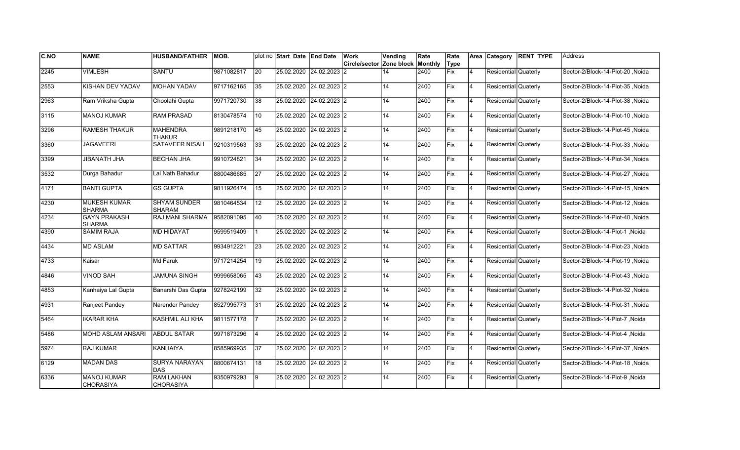| <b>C.NO</b> | <b>NAME</b>                            | <b>HUSBAND/FATHER</b>                 | <b>MOB.</b> |    | plot no Start Date End Date | Work                                    | Vending | Rate | Rate       |                | Area Category        | <b>RENT TYPE</b> | lAddress                         |
|-------------|----------------------------------------|---------------------------------------|-------------|----|-----------------------------|-----------------------------------------|---------|------|------------|----------------|----------------------|------------------|----------------------------------|
|             |                                        |                                       |             |    |                             | <b>Circle/sector Zone block Monthly</b> |         |      | Type       |                |                      |                  |                                  |
| 2245        | <b>VIMLESH</b>                         | <b>SANTU</b>                          | 9871082817  | 20 | 25.02.2020 24.02.2023       | 12                                      | 14      | 2400 | Fix        | $\overline{4}$ | Residential Quaterly |                  | Sector-2/Block-14-Plot-20, Noida |
| 2553        | KISHAN DEV YADAV                       | <b>MOHAN YADAV</b>                    | 9717162165  | 35 | 25.02.2020 24.02.2023 2     |                                         | 14      | 2400 | Fix        | 14             | Residential Quaterly |                  | Sector-2/Block-14-Plot-35 .Noida |
| 2963        | Ram Vriksha Gupta                      | Choolahi Gupta                        | 9971720730  | 38 | 25.02.2020 24.02.2023 2     |                                         | 14      | 2400 | Fix        | 14             | Residential Quaterly |                  | Sector-2/Block-14-Plot-38 .Noida |
| 3115        | <b>MANOJ KUMAR</b>                     | <b>RAM PRASAD</b>                     | 8130478574  | 10 | 25.02.2020 24.02.2023 2     |                                         | 14      | 2400 | Fix        | 14             | Residential Quaterly |                  | Sector-2/Block-14-Plot-10, Noida |
| 3296        | RAMESH THAKUR                          | <b>MAHENDRA</b><br><b>THAKUR</b>      | 9891218170  | 45 | 25.02.2020 24.02.2023 2     |                                         | 14      | 2400 | Fix        | $\overline{4}$ | Residential Quaterly |                  | Sector-2/Block-14-Plot-45, Noida |
| 3360        | <b>JAGAVEERI</b>                       | SATAVEER NISAH                        | 9210319563  | 33 | 25.02.2020 24.02.2023 2     |                                         | 14      | 2400 | Fix        | $\overline{4}$ | Residential Quaterly |                  | Sector-2/Block-14-Plot-33, Noida |
| 3399        | <b>JIBANATH JHA</b>                    | <b>BECHAN JHA</b>                     | 9910724821  | 34 | 25.02.2020 24.02.2023 2     |                                         | 14      | 2400 | Fix        | 14             | Residential Quaterly |                  | Sector-2/Block-14-Plot-34, Noida |
| 3532        | Durga Bahadur                          | Lal Nath Bahadur                      | 8800486685  | 27 | 25.02.2020 24.02.2023 2     |                                         | 14      | 2400 | Fix        | 14             | Residential Quaterly |                  | Sector-2/Block-14-Plot-27, Noida |
| 4171        | <b>BANTI GUPTA</b>                     | <b>GS GUPTA</b>                       | 9811926474  | 15 | 25.02.2020 24.02.2023 2     |                                         | 14      | 2400 | Fix        | $\overline{4}$ | Residential Quaterly |                  | Sector-2/Block-14-Plot-15, Noida |
| 4230        | <b>MUKESH KUMAR</b><br><b>SHARMA</b>   | <b>SHYAM SUNDER</b><br><b>SHARAM</b>  | 9810464534  | 12 | 25.02.2020 24.02.2023 2     |                                         | 14      | 2400 | Fix        | $\overline{4}$ | Residential Quaterly |                  | Sector-2/Block-14-Plot-12, Noida |
| 4234        | <b>GAYN PRAKASH</b><br><b>SHARMA</b>   | <b>RAJ MANI SHARMA</b>                | 9582091095  | 40 | 25.02.2020 24.02.2023 2     |                                         | 14      | 2400 | Fix        | 14             | Residential Quaterly |                  | Sector-2/Block-14-Plot-40, Noida |
| 4390        | <b>SAMIM RAJA</b>                      | <b>MD HIDAYAT</b>                     | 9599519409  |    | 25.02.2020 24.02.2023 2     |                                         | 14      | 2400 | Fix        | 4              | Residential Quaterly |                  | Sector-2/Block-14-Plot-1, Noida  |
| 4434        | <b>MD ASLAM</b>                        | <b>MD SATTAR</b>                      | 9934912221  | 23 | 25.02.2020 24.02.2023 2     |                                         | 14      | 2400 | Fix        | 14             | Residential Quaterly |                  | Sector-2/Block-14-Plot-23, Noida |
| 4733        | Kaisar                                 | Md Faruk                              | 9717214254  | 19 | 25.02.2020 24.02.2023 2     |                                         | 14      | 2400 | Fix        | $\overline{4}$ | Residential Quaterly |                  | Sector-2/Block-14-Plot-19, Noida |
| 4846        | <b>VINOD SAH</b>                       | <b>JAMUNA SINGH</b>                   | 9999658065  | 43 | 25.02.2020 24.02.2023 2     |                                         | 14      | 2400 | Fix        | 14             | Residential Quaterly |                  | Sector-2/Block-14-Plot-43, Noida |
| 4853        | Kanhaiya Lal Gupta                     | Banarshi Das Gupta                    | 9278242199  | 32 | 25.02.2020 24.02.2023 2     |                                         | 14      | 2400 | Fix        | 14             | Residential Quaterly |                  | Noida Sector-2/Block-14-Plot-32  |
| 4931        | Ranjeet Pandey                         | Narender Pandey                       | 8527995773  | 31 | 25.02.2020 24.02.2023 2     |                                         | 14      | 2400 | <b>Fix</b> | 14             | Residential Quaterly |                  | Noida Sector-2/Block-14-Plot-31  |
| 5464        | <b>IKARAR KHA</b>                      | KASHMIL ALI KHA                       | 9811577178  |    | 25.02.2020 24.02.2023 2     |                                         | 14      | 2400 | <b>Fix</b> | $\overline{4}$ | Residential Quaterly |                  | Sector-2/Block-14-Plot-7, Noida  |
| 5486        | MOHD ASLAM ANSARI                      | <b>ABDUL SATAR</b>                    | 9971873296  |    | 25.02.2020 24.02.2023 2     |                                         | 14      | 2400 | Fix        | $\overline{4}$ | Residential Quaterly |                  | Sector-2/Block-14-Plot-4, Noida  |
| 5974        | <b>RAJ KUMAR</b>                       | <b>KANHAIYA</b>                       | 8585969935  | 37 | 25.02.2020 24.02.2023 2     |                                         | 14      | 2400 | Fix        | 4              | Residential Quaterly |                  | Sector-2/Block-14-Plot-37, Noida |
| 6129        | <b>MADAN DAS</b>                       | <b>SURYA NARAYAN</b><br>DAS           | 8800674131  | 18 | 25.02.2020 24.02.2023 2     |                                         | 14      | 2400 | Fix        | 14             | Residential Quaterly |                  | Sector-2/Block-14-Plot-18, Noida |
| 6336        | <b>MANOJ KUMAR</b><br><b>CHORASIYA</b> | <b>RAM LAKHAN</b><br><b>CHORASIYA</b> | 9350979293  | 9  | 25.02.2020 24.02.2023 2     |                                         | 14      | 2400 | Fix        | $\overline{4}$ | Residential Quaterly |                  | Sector-2/Block-14-Plot-9, Noida  |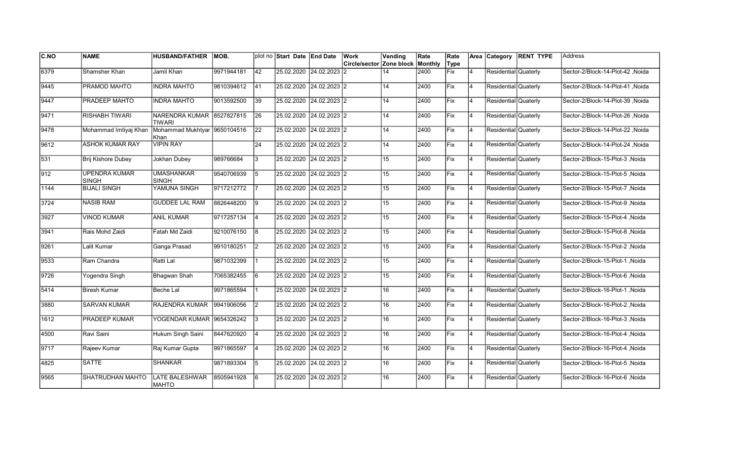| C.NO          | <b>NAME</b>                          | <b>HUSBAND/FATHER</b>                      | IMOB.      |                 | plot no Start Date End Date | Work<br>Circle/sector Zone block | Vending | Rate<br>Monthly | Rate<br>Type |                | Area Category        | <b>RENT TYPE</b> | Address                          |
|---------------|--------------------------------------|--------------------------------------------|------------|-----------------|-----------------------------|----------------------------------|---------|-----------------|--------------|----------------|----------------------|------------------|----------------------------------|
| 6379          | Shamsher Khan                        | Jamil Khan                                 | 9971944181 | $ 42\rangle$    | 25.02.2020 24.02.2023 2     |                                  | 14      | 2400            | <b>Fix</b>   | $\overline{4}$ | Residential Quaterly |                  | Sector-2/Block-14-Plot-42, Noida |
| 9445          | PRAMOD MAHTO                         | <b>INDRA MAHTO</b>                         | 9810394612 | 41              | 25.02.2020 24.02.2023 2     |                                  | 14      | 2400            | Fix          | 4              | Residential Quaterly |                  | Sector-2/Block-14-Plot-41 .Noida |
| 9447          | PRADEEP MAHTO                        | <b>INDRA MAHTO</b>                         | 9013592500 | 39              | 25.02.2020 24.02.2023 2     |                                  | 14      | 2400            | <b>IFix</b>  | 4              | Residential Quaterly |                  | Sector-2/Block-14-Plot-39 .Noida |
| 9471          | <b>RISHABH TIWARI</b>                | NARENDRA KUMAR 8527827815<br><b>TIWARI</b> |            | 26              | 25.02.2020 24.02.2023 2     |                                  | 14      | 2400            | Fix          | 4              | Residential Quaterly |                  | Sector-2/Block-14-Plot-26, Noida |
| 9478          | Mohammad Imtiyaj Khan                | Mohammad Mukhtyar 9650104516<br>Khan       |            | 22              | 25.02.2020 24.02.2023 2     |                                  | 14      | 2400            | Fix          | $\overline{4}$ | Residential Quaterly |                  | Sector-2/Block-14-Plot-22, Noida |
| 9612          | <b>ASHOK KUMAR RAY</b>               | <b>VIPIN RAY</b>                           |            | $\overline{24}$ | 25.02.2020 24.02.2023 2     |                                  | 14      | 2400            | Fix          | $\overline{4}$ | Residential Quaterly |                  | Sector-2/Block-14-Plot-24, Noida |
| 531           | Brij Kishore Dubey                   | Jokhan Dubey                               | 989766684  | Ι3              | 25.02.2020 24.02.2023 2     |                                  | 15      | 2400            | Fix          | 4              | Residential Quaterly |                  | Sector-2/Block-15-Plot-3, Noida  |
| $ 912\rangle$ | <b>UPENDRA KUMAR</b><br><b>SINGH</b> | <b>UMASHANKAR</b><br><b>SINGH</b>          | 9540706939 | 5               | 25.02.2020 24.02.2023 2     |                                  | 15      | 2400            | Fix          | <b>4</b>       | Residential Quaterly |                  | Sector-2/Block-15-Plot-5 .Noida  |
| 1144          | <b>BIJALI SINGH</b>                  | YAMUNA SINGH                               | 9717212772 |                 | 25.02.2020 24.02.2023 2     |                                  | 15      | 2400            | Fix          | 4              | Residential Quaterly |                  | Sector-2/Block-15-Plot-7, Noida  |
| 3724          | <b>NASIB RAM</b>                     | <b>GUDDEE LAL RAM</b>                      | 8826448200 | Ι9              | 25.02.2020 24.02.2023 2     |                                  | 15      | 2400            | Fix          | $\overline{4}$ | Residential Quaterly |                  | Sector-2/Block-15-Plot-9, Noida  |
| 3927          | <b>VINOD KUMAR</b>                   | <b>ANIL KUMAR</b>                          | 9717257134 | 14              | 25.02.2020 24.02.2023 2     |                                  | 15      | 2400            | Fix          | $\overline{4}$ | Residential Quaterly |                  | Sector-2/Block-15-Plot-4, Noida  |
| 3941          | Rais Mohd Zaidi                      | Fatah Md Zaidi                             | 9210076150 | 8               | 25.02.2020 24.02.2023 2     |                                  | 15      | 2400            | Fix          | 4              | Residential Quaterly |                  | Sector-2/Block-15-Plot-8, Noida  |
| 9261          | Lalit Kumar                          | Ganga Prasad                               | 9910180251 | $\vert$ 2       | 25.02.2020 24.02.2023 2     |                                  | 15      | 2400            | Fix          | 4              | Residential Quaterly |                  | Sector-2/Block-15-Plot-2, Noida  |
| 9533          | Ram Chandra                          | Ratti Lal                                  | 9871032399 |                 | 25.02.2020 24.02.2023 2     |                                  | 15      | 2400            | Fix          | $\overline{4}$ | Residential Quaterly |                  | Sector-2/Block-15-Plot-1, Noida  |
| 9726          | Yogendra Singh                       | Bhagwan Shah                               | 7065382455 | 16              | 25.02.2020 24.02.2023 2     |                                  | 15      | 2400            | Fix          | 4              | Residential Quaterly |                  | Sector-2/Block-15-Plot-6 .Noida  |
| 5414          | <b>Biresh Kumar</b>                  | Beche Lal                                  | 9971865594 |                 | 25.02.2020 24.02.2023 2     |                                  | 16      | 2400            | lFix.        | 4              | Residential Quaterly |                  | Sector-2/Block-16-Plot-1, Noida  |
| 3880          | <b>SARVAN KUMAR</b>                  | <b>RAJENDRA KUMAR</b>                      | 9941906056 | I2              | 25.02.2020 24.02.2023 2     |                                  | 16      | 2400            | <b>IFix</b>  | 4              | Residential Quaterly |                  | Sector-2/Block-16-Plot-2, Noida  |
| 1612          | PRADEEP KUMAR                        | YOGENDAR KUMAR 9654326242                  |            | 3               | 25.02.2020 24.02.2023 2     |                                  | 16      | 2400            | <b>IFix</b>  | $\overline{4}$ | Residential Quaterly |                  | Sector-2/Block-16-Plot-3, Noida  |
| 4500          | Ravi Saini                           | Hukum Singh Saini                          | 8447620920 | $\overline{4}$  | 25.02.2020 24.02.2023 2     |                                  | 16      | 2400            | Fix          | $\overline{4}$ | Residential Quaterly |                  | Sector-2/Block-16-Plot-4 .Noida  |
| 9717          | Rajeev Kumar                         | Raj Kumar Gupta                            | 9971865597 | 14              | 25.02.2020 24.02.2023 2     |                                  | 16      | 2400            | Fix          | $\overline{4}$ | Residential Quaterly |                  | Sector-2/Block-16-Plot-4, Noida  |
| 4825          | SATTE                                | <b>SHANKAR</b>                             | 9871893304 | 5               | 25.02.2020 24.02.2023 2     |                                  | 16      | 2400            | Fix          | $\overline{4}$ | Residential Quaterly |                  | Sector-2/Block-16-Plot-5, Noida  |
| 9565          | SHATRUDHAN MAHTO                     | LATE BALESHWAR<br><b>MAHTO</b>             | 8505941928 | 6               | 25.02.2020 24.02.2023 2     |                                  | 16      | 2400            | Fix          | 4              | Residential Quaterly |                  | Sector-2/Block-16-Plot-6, Noida  |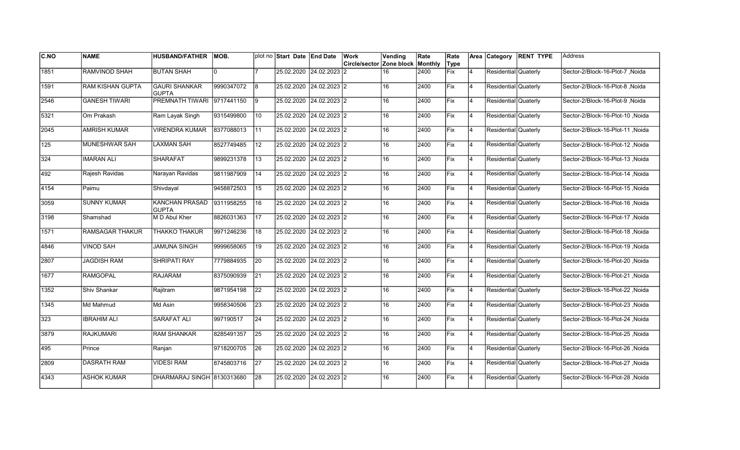| C.NO             | <b>NAME</b>             | <b>HUSBAND/FATHER</b>                 | MOB.       |                 | plot no Start Date End Date | Work                                    | Vending         | Rate | Rate       |                |                      | Area Category RENT TYPE | <b>Address</b>                   |
|------------------|-------------------------|---------------------------------------|------------|-----------------|-----------------------------|-----------------------------------------|-----------------|------|------------|----------------|----------------------|-------------------------|----------------------------------|
|                  |                         |                                       |            |                 |                             | <b>Circle/sector Zone block Monthly</b> |                 |      | Type       |                |                      |                         |                                  |
| 1851             | RAMVINOD SHAH           | <b>BUTAN SHAH</b>                     | $\Omega$   |                 | 25.02.2020 24.02.2023       | 12.                                     | 16              | 2400 | <b>Fix</b> | $\overline{4}$ | Residential Quaterly |                         | Sector-2/Block-16-Plot-7, Noida  |
| 1591             | <b>RAM KISHAN GUPTA</b> | <b>GAURI SHANKAR</b><br><b>GUPTA</b>  | 9990347072 | l8              | 25.02.2020 24.02.2023 2     |                                         | 16              | 2400 | Fix        | 14             | Residential Quaterly |                         | Sector-2/Block-16-Plot-8, Noida  |
| 2546             | <b>GANESH TIWARI</b>    | <b>PREMNATH TIWARI</b>                | 9717441150 | l9              | 25.02.2020 24.02.2023 2     |                                         | 16              | 2400 | Fix        | 14             | Residential Quaterly |                         | Sector-2/Block-16-Plot-9 .Noida  |
| 5321             | Om Prakash              | Ram Layak Singh                       | 9315499800 | 10              | 25.02.2020 24.02.2023 2     |                                         | 16              | 2400 | Fix        | 14             | Residential Quaterly |                         | Sector-2/Block-16-Plot-10, Noida |
| 2045             | <b>AMRISH KUMAR</b>     | <b>VIRENDRA KUMAR</b>                 | 8377088013 | l 11            | 25.02.2020 24.02.2023 2     |                                         | 16              | 2400 | Fix        | 4              | Residential Quaterly |                         | Sector-2/Block-16-Plot-11, Noida |
| $\overline{125}$ | MUNESHWAR SAH           | <b>LAXMAN SAH</b>                     | 8527749485 | 12              | 25.02.2020 24.02.2023 2     |                                         | $\overline{16}$ | 2400 | Fix        | $\overline{4}$ | Residential Quaterly |                         | Sector-2/Block-16-Plot-12, Noida |
| 324              | <b>IMARAN ALI</b>       | <b>SHARAFAT</b>                       | 9899231378 | 13              | 25.02.2020 24.02.2023 2     |                                         | 16              | 2400 | Fix        | 14             | Residential Quaterly |                         | Sector-2/Block-16-Plot-13, Noida |
| 492              | Rajesh Ravidas          | Narayan Ravidas                       | 9811987909 | 14              | 25.02.2020 24.02.2023 2     |                                         | 16              | 2400 | Fix        | 4              | Residential Quaterly |                         | Sector-2/Block-16-Plot-14, Noida |
| 4154             | Paimu                   | Shivdayal                             | 9458872503 | 15              | 25.02.2020 24.02.2023 2     |                                         | 16              | 2400 | Fix        | 14             | Residential Quaterly |                         | Sector-2/Block-16-Plot-15, Noida |
| 3059             | <b>SUNNY KUMAR</b>      | <b>KANCHAN PRASAD</b><br><b>GUPTA</b> | 9311958255 | 16              | 25.02.2020 24.02.2023 2     |                                         | 16              | 2400 | Fix        | 4              | Residential Quaterly |                         | Sector-2/Block-16-Plot-16, Noida |
| 3198             | Shamshad                | M D Abul Kher                         | 8826031363 | $\overline{17}$ | 25.02.2020 24.02.2023 2     |                                         | 16              | 2400 | Fix        | 4              | Residential Quaterly |                         | Sector-2/Block-16-Plot-17, Noida |
| 1571             | RAMSAGAR THAKUR         | <b>THAKKO THAKUR</b>                  | 9971246236 | 18              | 25.02.2020 24.02.2023 2     |                                         | 16              | 2400 | Fix        | 14             | Residential Quaterly |                         | Sector-2/Block-16-Plot-18, Noida |
| 4846             | <b>VINOD SAH</b>        | <b>JAMUNA SINGH</b>                   | 9999658065 | 19              | 25.02.2020 24.02.2023 2     |                                         | 16              | 2400 | Fix        | 14             | Residential Quaterly |                         | Sector-2/Block-16-Plot-19, Noida |
| 2807             | <b>JAGDISH RAM</b>      | <b>SHRIPATI RAY</b>                   | 7779884935 | 20              | 25.02.2020 24.02.2023 2     |                                         | 16              | 2400 | Fix        | $\overline{4}$ | Residential Quaterly |                         | Sector-2/Block-16-Plot-20, Noida |
| 1677             | <b>RAMGOPAL</b>         | <b>RAJARAM</b>                        | 8375090939 | $\overline{21}$ | 25.02.2020 24.02.2023 2     |                                         | 16              | 2400 | Fix        | 4              | Residential Quaterly |                         | Sector-2/Block-16-Plot-21, Noida |
| 1352             | Shiv Shankar            | Rajitram                              | 9871954198 | 22              | 25.02.2020 24.02.2023 2     |                                         | 16              | 2400 | Fix        | 14             | Residential Quaterly |                         | Noida Sector-2/Block-16-Plot-22  |
| 1345             | Md Mahmud               | Md Asin                               | 9958340506 | 23              | 25.02.2020 24.02.2023 2     |                                         | 16              | 2400 | Fix        | 14             | Residential Quaterly |                         | Sector-2/Block-16-Plot-23 ,Noida |
| 323              | <b>IBRAHIM ALI</b>      | SARAFAT ALI                           | 997190517  | 24              | 25.02.2020 24.02.2023 2     |                                         | 16              | 2400 | Fix        | $\overline{4}$ | Residential Quaterly |                         | Sector-2/Block-16-Plot-24, Noida |
| 3879             | <b>RAJKUMARI</b>        | <b>RAM SHANKAR</b>                    | 8285491357 | 25              | 25.02.2020 24.02.2023 2     |                                         | 16              | 2400 | Fix        | $\overline{4}$ | Residential Quaterly |                         | Sector-2/Block-16-Plot-25, Noida |
| 495              | Prince                  | Ranjan                                | 9718200705 | 26              | 25.02.2020 24.02.2023 2     |                                         | 16              | 2400 | Fix        | 4              | Residential Quaterly |                         | Sector-2/Block-16-Plot-26, Noida |
| 2809             | <b>DASRATH RAM</b>      | <b>VIDESI RAM</b>                     | 8745803716 | $\overline{27}$ | 25.02.2020 24.02.2023 2     |                                         | 16              | 2400 | Fix        | 14             | Residential Quaterly |                         | Sector-2/Block-16-Plot-27, Noida |
| 4343             | <b>ASHOK KUMAR</b>      | DHARMARAJ SINGH 8130313680            |            | 28              | 25.02.2020 24.02.2023 2     |                                         | 16              | 2400 | Fix        | 4              | Residential Quaterly |                         | Sector-2/Block-16-Plot-28, Noida |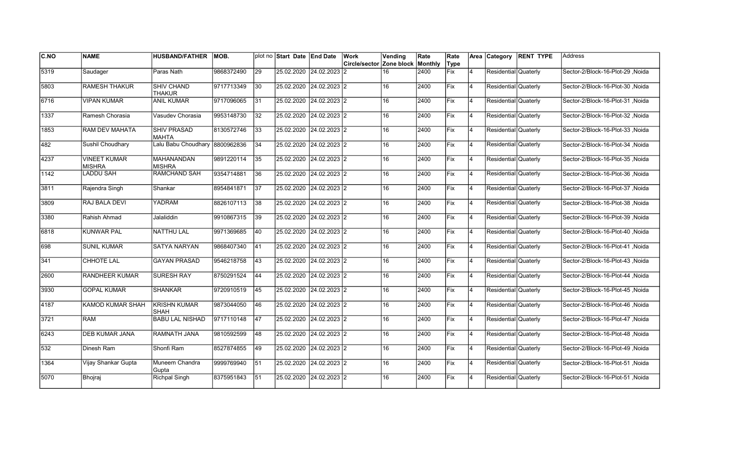| <b>C.NO</b> | <b>NAME</b>                          | <b>HUSBAND/FATHER</b>              | <b>MOB.</b> |    | plot no Start Date End Date |                           | Work<br>Circle/sector Zone block | Vending | Rate<br>Monthly | Rate<br>Type |                | Area Category        | <b>RENT TYPE</b> | Address                          |
|-------------|--------------------------------------|------------------------------------|-------------|----|-----------------------------|---------------------------|----------------------------------|---------|-----------------|--------------|----------------|----------------------|------------------|----------------------------------|
| 5319        | Saudager                             | Paras Nath                         | 9868372490  | 29 | 25.02.2020 24.02.2023       |                           | 12                               | 16      | 2400            | Fix          | 4              | Residential Quaterly |                  | Sector-2/Block-16-Plot-29, Noida |
| 5803        | <b>RAMESH THAKUR</b>                 | <b>SHIV CHAND</b><br><b>THAKUR</b> | 9717713349  | 30 | 25.02.2020 24.02.2023 2     |                           |                                  | 16      | 2400            | Fix          | 4              | Residential Quaterly |                  | Sector-2/Block-16-Plot-30 .Noida |
| 6716        | <b>VIPAN KUMAR</b>                   | <b>ANIL KUMAR</b>                  | 9717096065  | 31 | 25.02.2020 24.02.2023 2     |                           |                                  | 16      | 2400            | Fix          | 4              | Residential Quaterly |                  | Sector-2/Block-16-Plot-31, Noida |
| 1337        | Ramesh Chorasia                      | Vasudev Chorasia                   | 9953148730  | 32 | 25.02.2020 24.02.2023 2     |                           |                                  | 16      | 2400            | Fix          | 4              | Residential Quaterly |                  | Sector-2/Block-16-Plot-32, Noida |
| 1853        | <b>RAM DEV MAHATA</b>                | <b>SHIV PRASAD</b><br><b>MAHTA</b> | 8130572746  | 33 | 25.02.2020 24.02.2023 2     |                           |                                  | 16      | 2400            | lFix         | 4              | Residential Quaterly |                  | Sector-2/Block-16-Plot-33, Noida |
| 482         | Sushil Choudhary                     | Lalu Babu Choudhary 8800962836     |             | 34 |                             | 25.02.2020 24.02.2023 2   |                                  | 16      | 2400            | Fix          | 4              | Residential Quaterly |                  | Sector-2/Block-16-Plot-34, Noida |
| 4237        | <b>VINEET KUMAR</b><br><b>MISHRA</b> | <b>MAHANANDAN</b><br><b>MISHRA</b> | 9891220114  | 35 | 25.02.2020 24.02.2023 2     |                           |                                  | 16      | 2400            | Fix          | $\overline{4}$ | Residential Quaterly |                  | Sector-2/Block-16-Plot-35, Noida |
| 1142        | <b>LADDU SAH</b>                     | <b>RAMCHAND SAH</b>                | 9354714881  | 36 | 25.02.2020 24.02.2023 2     |                           |                                  | 16      | 2400            | Fix          | $\overline{4}$ | Residential Quaterly |                  | Sector-2/Block-16-Plot-36, Noida |
| 3811        | Rajendra Singh                       | Shankar                            | 8954841871  | 37 |                             | 25.02.2020 24.02.2023 2   |                                  | 16      | 2400            | Fix          | $\overline{4}$ | Residential Quaterly |                  | Sector-2/Block-16-Plot-37, Noida |
| 3809        | RAJ BALA DEVI                        | YADRAM                             | 8826107113  | 38 | 25.02.2020 24.02.2023 2     |                           |                                  | 16      | 2400            | Fix          | $\overline{4}$ | Residential Quaterly |                  | Sector-2/Block-16-Plot-38, Noida |
| 3380        | Rahish Ahmad                         | Jalaliddin                         | 9910867315  | 39 |                             | 25.02.2020 24.02.2023 2   |                                  | 16      | 2400            | Fix          | 4              | Residential Quaterly |                  | Sector-2/Block-16-Plot-39, Noida |
| 6818        | <b>KUNWAR PAL</b>                    | INATTHU LAL                        | 9971369685  | 40 | 25.02.2020 24.02.2023 2     |                           |                                  | 16      | 2400            | <b>Fix</b>   | 4              | Residential Quaterly |                  | Sector-2/Block-16-Plot-40, Noida |
| 1698        | <b>SUNIL KUMAR</b>                   | <b>SATYA NARYAN</b>                | 9868407340  | 41 | 25.02.2020 24.02.2023 2     |                           |                                  | 16      | 2400            | <b>IFix</b>  | 4              | Residential Quaterly |                  | Sector-2/Block-16-Plot-41, Noida |
| 341         | CHHOTE LAL                           | <b>GAYAN PRASAD</b>                | 9546218758  | 43 | 25.02.2020                  | 24.02.2023 2              |                                  | 16      | 2400            | lFix         | $\overline{4}$ | Residential Quaterly |                  | Sector-2/Block-16-Plot-43 .Noida |
| 2600        | <b>RANDHEER KUMAR</b>                | <b>SURESH RAY</b>                  | 8750291524  | 44 | 25.02.2020                  | $24.02.2023$ <sub>2</sub> |                                  | 16      | 2400            | Fix          | 4              | Residential Quaterly |                  | Noida, Sector-2/Block-16-Plot-44 |
| 3930        | <b>GOPAL KUMAR</b>                   | <b>SHANKAR</b>                     | 9720910519  | 45 | 25.02.2020 24.02.2023 2     |                           |                                  | 16      | 2400            | Fix          | 4              | Residential Quaterly |                  | Sector-2/Block-16-Plot-45, Noida |
| 4187        | <b>KAMOD KUMAR SHAH</b>              | <b>KRISHN KUMAR</b><br><b>SHAH</b> | 9873044050  | 46 | 25.02.2020                  | $24.02.2023$ 2            |                                  | 16      | 2400            | Fix          | <b>4</b>       | Residential Quaterly |                  | Sector-2/Block-16-Plot-46, Noida |
| 3721        | <b>RAM</b>                           | <b>BABU LAL NISHAD</b>             | 9717110148  | 47 | 25.02.2020 24.02.2023 2     |                           |                                  | 16      | 2400            | Fix          | Ι4             | Residential Quaterly |                  | Sector-2/Block-16-Plot-47, Noida |
| 6243        | <b>DEB KUMAR JANA</b>                | RAMNATH JANA                       | 9810592599  | 48 | 25.02.2020                  | $24.02.2023$ 2            |                                  | 16      | 2400            | Fix          | $\overline{4}$ | Residential Quaterly |                  | Sector-2/Block-16-Plot-48, Noida |
| 532         | Dinesh Ram                           | Shonfi Ram                         | 8527874855  | 49 |                             | 25.02.2020 24.02.2023 2   |                                  | 16      | 2400            | Fix          | 4              | Residential Quaterly |                  | Sector-2/Block-16-Plot-49, Noida |
| 1364        | Vijay Shankar Gupta                  | Muneem Chandra<br>Gupta            | 9999769940  | 51 | 25.02.2020 24.02.2023 2     |                           |                                  | 16      | 2400            | Fix          | 4              | Residential Quaterly |                  | Sector-2/Block-16-Plot-51, Noida |
| 5070        | Bhojraj                              | <b>Richpal Singh</b>               | 8375951843  | 51 | 25.02.2020                  | 24.02.2023 2              |                                  | 16      | 2400            | Fix          | $\overline{4}$ | Residential Quaterly |                  | Sector-2/Block-16-Plot-51, Noida |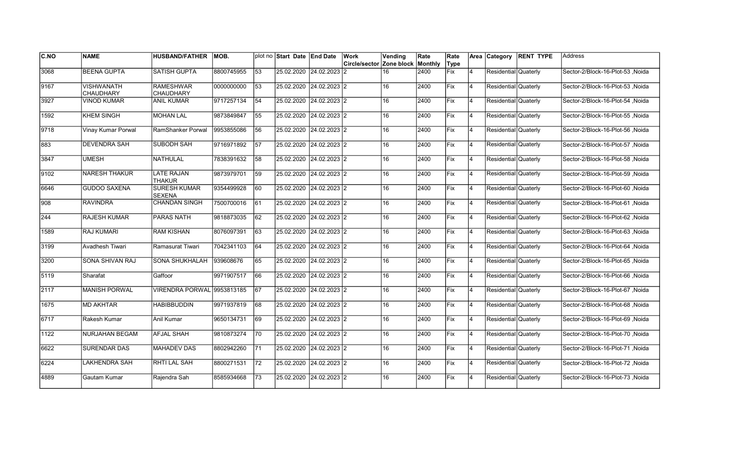| IC.NO        | <b>NAME</b>           | <b>HUSBAND/FATHER</b>                | MOB.       |                 | plot no Start Date End Date |                           | Work                     | Vending | Rate    | Rate |                | Area Category        | <b>RENT TYPE</b> | Address                          |
|--------------|-----------------------|--------------------------------------|------------|-----------------|-----------------------------|---------------------------|--------------------------|---------|---------|------|----------------|----------------------|------------------|----------------------------------|
|              |                       |                                      |            |                 |                             |                           | Circle/sector Zone block |         | Monthly | Type |                |                      |                  |                                  |
| 3068         | <b>BEENA GUPTA</b>    | <b>SATISH GUPTA</b>                  | 8800745955 | 53              |                             | 25.02.2020 24.02.2023     | 12                       | 16      | 2400    | Fix  | 4              | Residential Quaterly |                  | Sector-2/Block-16-Plot-53, Noida |
| 9167         | <b>VISHWANATH</b>     | <b>RAMESHWAR</b>                     | 0000000000 | 53              | 25.02.2020 24.02.2023 2     |                           |                          | 16      | 2400    | Fix  | 4              | Residential Quaterly |                  | Sector-2/Block-16-Plot-53 .Noida |
|              | <b>CHAUDHARY</b>      | <b>CHAUDHARY</b>                     |            |                 |                             |                           |                          |         |         |      |                |                      |                  |                                  |
| 3927         | VINOD KUMAR           | <b>ANIL KUMAR</b>                    | 9717257134 | 54              | 25.02.2020 24.02.2023 2     |                           |                          | 16      | 2400    | lFix | 4              | Residential Quaterly |                  | Sector-2/Block-16-Plot-54 .Noida |
| 1592         | <b>KHEM SINGH</b>     | <b>MOHAN LAL</b>                     | 9873849847 | 55              | 25.02.2020 24.02.2023 2     |                           |                          | 16      | 2400    | Fix  | 4              | Residential Quaterly |                  | Sector-2/Block-16-Plot-55, Noida |
| 9718         | Vinay Kumar Porwal    | RamShanker Porwal                    | 9953855086 | 56              | 25.02.2020 24.02.2023 2     |                           |                          | 16      | 2400    | Fix  | $\overline{4}$ | Residential Quaterly |                  | Sector-2/Block-16-Plot-56, Noida |
| 883          | <b>DEVENDRA SAH</b>   | SUBODH SAH                           | 9716971892 | $\overline{57}$ | 25.02.2020 24.02.2023 2     |                           |                          | 16      | 2400    | Fix  | $\overline{4}$ | Residential Quaterly |                  | Sector-2/Block-16-Plot-57, Noida |
| 3847         | <b>UMESH</b>          | <b>NATHULAL</b>                      | 7838391632 | 58              | 25.02.2020 24.02.2023 2     |                           |                          | 16      | 2400    | Fix  | 4              | Residential Quaterly |                  | Sector-2/Block-16-Plot-58 ,Noida |
| 9102         | NARESH THAKUR         | LATE RAJAN<br><b>THAKUR</b>          | 9873979701 | 59              |                             | 25.02.2020 24.02.2023 2   |                          | 16      | 2400    | lFix | 4              | Residential Quaterly |                  | Sector-2/Block-16-Plot-59 ,Noida |
| 6646         | <b>GUDOO SAXENA</b>   | <b>SURESH KUMAR</b><br><b>SEXENA</b> | 9354499928 | 60              |                             | 25.02.2020 24.02.2023 2   |                          | 16      | 2400    | lFix | Ι4             | Residential Quaterly |                  | Sector-2/Block-16-Plot-60, Noida |
| l908         | <b>RAVINDRA</b>       | <b>CHANDAN SINGH</b>                 | 7500700016 | 61              | 25.02.2020                  | 24.02.2023 2              |                          | 16      | 2400    | Fix  | $\overline{4}$ | Residential Quaterly |                  | Sector-2/Block-16-Plot-61, Noida |
| $\sqrt{244}$ | <b>RAJESH KUMAR</b>   | <b>PARAS NATH</b>                    | 9818873035 | 62              | 25.02.2020                  | 24.02.2023 2              |                          | 16      | 2400    | Fix  | 4              | Residential Quaterly |                  | Sector-2/Block-16-Plot-62, Noida |
| 1589         | <b>RAJ KUMARI</b>     | <b>RAM KISHAN</b>                    | 8076097391 | 63              | 25.02.2020 24.02.2023 2     |                           |                          | 16      | 2400    | Fix  | 4              | Residential Quaterly |                  | Sector-2/Block-16-Plot-63, Noida |
| 3199         | Avadhesh Tiwari       | Ramasurat Tiwari                     | 7042341103 | 64              | 25.02.2020 24.02.2023 2     |                           |                          | 16      | 2400    | Fix  | 4              | Residential Quaterly |                  | Sector-2/Block-16-Plot-64, Noida |
| 3200         | SONA SHIVAN RAJ       | <b>SONA SHUKHALAH</b>                | 939608676  | 65              | 25.02.2020 24.02.2023 2     |                           |                          | 16      | 2400    | Fix  | $\overline{4}$ | Residential Quaterly |                  | Sector-2/Block-16-Plot-65, Noida |
| 5119         | Sharafat              | Gaffoor                              | 9971907517 | 66              | 25.02.2020 24.02.2023 2     |                           |                          | 16      | 2400    | Fix  | 4              | Residential Quaterly |                  | Sector-2/Block-16-Plot-66 ,Noida |
| 2117         | <b>MANISH PORWAL</b>  | VIRENDRA PORWAL 19953813185          |            | 67              | 25.02.2020  24.02.2023  2   |                           |                          | 16      | 2400    | Fix  | 4              | Residential Quaterly |                  | Sector-2/Block-16-Plot-67, Noida |
| 1675         | <b>MD AKHTAR</b>      | <b>HABIBBUDDIN</b>                   | 9971937819 | 68              | 25.02.2020 24.02.2023 2     |                           |                          | 16      | 2400    | Fix  | 4              | Residential Quaterly |                  | Sector-2/Block-16-Plot-68, Noida |
| 6717         | Rakesh Kumar          | Anil Kumar                           | 9650134731 | 69              | 25.02.2020 24.02.2023 2     |                           |                          | 16      | 2400    | lFix | 4              | Residential Quaterly |                  | Sector-2/Block-16-Plot-69 .Noida |
| 1122         | <b>NURJAHAN BEGAM</b> | lafjal shah                          | 9810873274 | 70              | 25.02.2020 24.02.2023 2     |                           |                          | 16      | 2400    | Fix  | 4              | Residential Quaterly |                  | Sector-2/Block-16-Plot-70 .Noida |
| 6622         | <b>SURENDAR DAS</b>   | <b>MAHADEV DAS</b>                   | 8802942260 | 71              | 25.02.2020                  | $24.02.2023$ <sub>2</sub> |                          | 16      | 2400    | Fix  | 4              | Residential Quaterly |                  | Sector-2/Block-16-Plot-71, Noida |
| 6224         | LAKHENDRA SAH         | <b>RHTI LAL SAH</b>                  | 8800271531 | 72              | 25.02.2020 24.02.2023 2     |                           |                          | 16      | 2400    | Fix  | $\overline{4}$ | Residential Quaterly |                  | Sector-2/Block-16-Plot-72, Noida |
| 4889         | Gautam Kumar          | Rajendra Sah                         | 8585934668 | 73              | 25.02.2020                  | 24.02.2023 2              |                          | 16      | 2400    | Fix  | 4              | Residential Quaterly |                  | Sector-2/Block-16-Plot-73, Noida |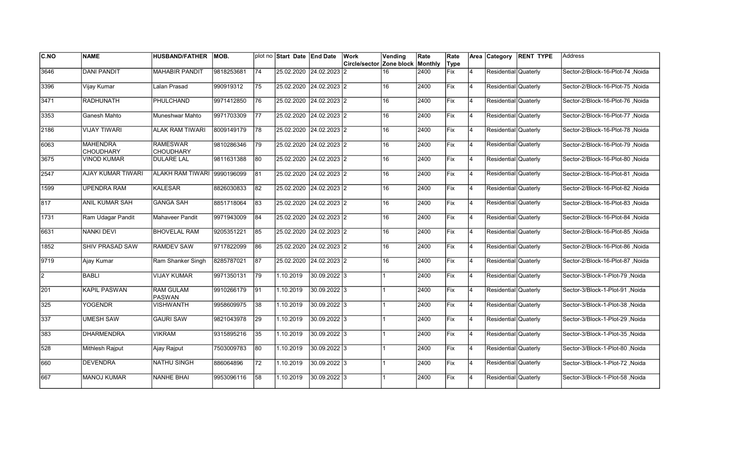| <b>C.NO</b> | <b>NAME</b>                         | <b>HUSBAND/FATHER</b>               | MOB.       |                 | plot no Start Date End Date |                           | Work                     | Vending | Rate    | Rate        |                | Area Category        | <b>RENT TYPE</b> | Address                          |
|-------------|-------------------------------------|-------------------------------------|------------|-----------------|-----------------------------|---------------------------|--------------------------|---------|---------|-------------|----------------|----------------------|------------------|----------------------------------|
|             |                                     |                                     |            |                 |                             |                           | Circle/sector Zone block |         | Monthly | Type        |                |                      |                  |                                  |
| 3646        | <b>DANI PANDIT</b>                  | <b>MAHABIR PANDIT</b>               | 9818253681 | 74              |                             | 25.02.2020 24.02.2023     | 12                       | 16      | 2400    | Fix         | 4              | Residential Quaterly |                  | Sector-2/Block-16-Plot-74, Noida |
| 3396        | Vijay Kumar                         | Lalan Prasad                        | 990919312  | 75              | 25.02.2020 24.02.2023 2     |                           |                          | 16      | 2400    | Fix         | $\overline{4}$ | Residential Quaterly |                  | Sector-2/Block-16-Plot-75, Noida |
| 3471        | <b>RADHUNATH</b>                    | PHULCHAND                           | 9971412850 | 76              | 25.02.2020                  | $24.02.2023$ 2            |                          | 16      | 2400    | Fix         | 4              | Residential Quaterly |                  | Sector-2/Block-16-Plot-76 .Noida |
| 3353        | Ganesh Mahto                        | Muneshwar Mahto                     | 9971703309 | 177             | 25.02.2020                  | $24.02.2023$ 2            |                          | 16      | 2400    | Fix         | 4              | Residential Quaterly |                  | Sector-2/Block-16-Plot-77, Noida |
| 2186        | <b>VIJAY TIWARI</b>                 | <b>ALAK RAM TIWARI</b>              | 8009149179 | 78              |                             | 25.02.2020 24.02.2023 2   |                          | 16      | 2400    | Fix         | $\overline{4}$ | Residential Quaterly |                  | Sector-2/Block-16-Plot-78 .Noida |
| 6063        | <b>MAHENDRA</b><br><b>CHOUDHARY</b> | <b>RAMESWAR</b><br><b>CHOUDHARY</b> | 9810286346 | 79              |                             | 25.02.2020 24.02.2023 2   |                          | 16      | 2400    | Fix         | $\overline{4}$ | Residential Quaterly |                  | Sector-2/Block-16-Plot-79, Noida |
| 3675        | VINOD KUMAR                         | <b>DULARE LAL</b>                   | 9811631388 | 80              | 25.02.2020 24.02.2023 2     |                           |                          | 16      | 2400    | Fix         | 4              | Residential Quaterly |                  | Sector-2/Block-16-Plot-80, Noida |
| 2547        | AJAY KUMAR TIWARI                   | ALAKH RAM TIWARI 9990196099         |            | 81              | 25.02.2020 24.02.2023 2     |                           |                          | 16      | 2400    | Fix         | 4              | Residential Quaterly |                  | Sector-2/Block-16-Plot-81, Noida |
| 1599        | <b>UPENDRA RAM</b>                  | <b>KALESAR</b>                      | 8826030833 | 82              |                             | 25.02.2020 24.02.2023 2   |                          | 16      | 2400    | Fix         | $\overline{4}$ | Residential Quaterly |                  | Sector-2/Block-16-Plot-82, Noida |
| 817         | <b>ANIL KUMAR SAH</b>               | <b>GANGA SAH</b>                    | 8851718064 | 83              | 25.02.2020                  | $24.02.2023$ <sub>2</sub> |                          | 16      | 2400    | Fix         | $\overline{4}$ | Residential Quaterly |                  | Sector-2/Block-16-Plot-83, Noida |
| 1731        | Ram Udagar Pandit                   | <b>Mahaveer Pandit</b>              | 9971943009 | 84              |                             | 25.02.2020 24.02.2023 2   |                          | 16      | 2400    | Fix         | 4              | Residential Quaterly |                  | Sector-2/Block-16-Plot-84, Noida |
| 6631        | <b>NANKI DEVI</b>                   | <b>BHOVELAL RAM</b>                 | 9205351221 | 85              | 25.02.2020 24.02.2023 2     |                           |                          | 16      | 2400    | <b>Fix</b>  | 4              | Residential Quaterly |                  | Sector-2/Block-16-Plot-85, Noida |
| 1852        | SHIV PRASAD SAW                     | <b>RAMDEV SAW</b>                   | 9717822099 | 86              | 25.02.2020 24.02.2023 2     |                           |                          | 16      | 2400    | Fix         | 4              | Residential Quaterly |                  | Sector-2/Block-16-Plot-86, Noida |
| 9719        | Ajay Kumar                          | Ram Shanker Singh                   | 8285787021 | 87              | 25.02.2020                  | $24.02.2023$ 2            |                          | 16      | 2400    | Fix         | $\overline{4}$ | Residential Quaterly |                  | Sector-2/Block-16-Plot-87, Noida |
| l2.         | <b>BABLI</b>                        | <b>VIJAY KUMAR</b>                  | 9971350131 | 179             | 1.10.2019                   | 30.09.2022 3              |                          |         | 2400    | Fix         | 4              | Residential Quaterly |                  | Sector-3/Block-1-Plot-79 , Noida |
| 201         | <b>KAPIL PASWAN</b>                 | <b>RAM GULAM</b><br><b>PASWAN</b>   | 9910266179 | $\overline{91}$ | 1.10.2019                   | 30.09.2022 3              |                          |         | 2400    | <b>Fix</b>  | <b>4</b>       | Residential Quaterly |                  | Sector-3/Block-1-Plot-91 .Noida  |
| 325         | YOGENDR                             | <b>VISHWANTH</b>                    | 9958609975 | 38              | 1.10.2019                   | 30.09.2022 3              |                          |         | 2400    | Fix         | 4              | Residential Quaterly |                  | Sector-3/Block-1-Plot-38 .Noida  |
| 337         | <b>UMESH SAW</b>                    | <b>GAURI SAW</b>                    | 9821043978 | <b>29</b>       | 1.10.2019                   | 30.09.2022 3              |                          |         | 2400    | <b>IFix</b> | $\overline{4}$ | Residential Quaterly |                  | Sector-3/Block-1-Plot-29 .Noida  |
| 383         | <b>DHARMENDRA</b>                   | <b>VIKRAM</b>                       | 9315895216 | 35              | 1.10.2019                   | 30.09.2022 3              |                          |         | 2400    | Fix         | 4              | Residential Quaterly |                  | Sector-3/Block-1-Plot-35, Noida  |
| 528         | Mithlesh Rajput                     | Ajay Rajput                         | 7503009783 | 80              | 1.10.2019                   | 30.09.2022 3              |                          |         | 2400    | Fix         | 4              | Residential Quaterly |                  | Sector-3/Block-1-Plot-80, Noida  |
| 660         | <b>DEVENDRA</b>                     | <b>NATHU SINGH</b>                  | 886064896  | 72              | 1.10.2019                   | 30.09.2022 3              |                          |         | 2400    | Fix         | $\overline{4}$ | Residential Quaterly |                  | Sector-3/Block-1-Plot-72, Noida  |
| 667         | <b>MANOJ KUMAR</b>                  | <b>NANHE BHAI</b>                   | 9953096116 | 58              | 1.10.2019                   | 30.09.2022 3              |                          |         | 2400    | Fix         | 4              | Residential Quaterly |                  | Sector-3/Block-1-Plot-58, Noida  |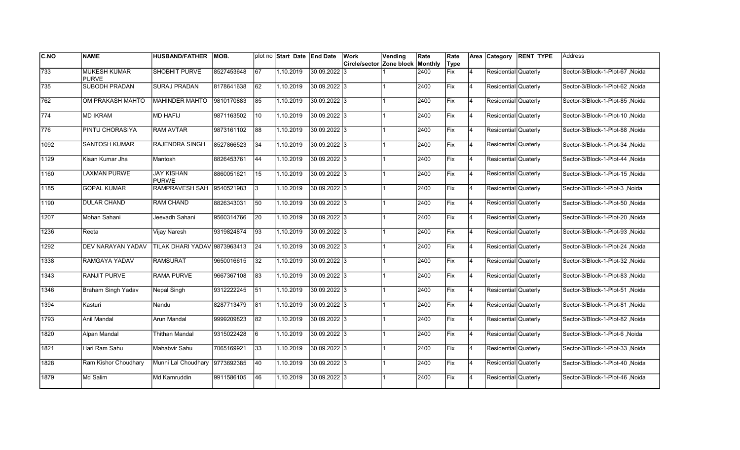| C.NO         | <b>NAME</b>                         | <b>HUSBAND/FATHER</b>             | <b>MOB.</b> |                 | plot no Start Date End Date |               | Work<br>Circle/sector Zone block | Vending | Rate<br>Monthly | Rate<br>Type |                | Area Category        | <b>RENT TYPE</b> | <b>Address</b>                   |
|--------------|-------------------------------------|-----------------------------------|-------------|-----------------|-----------------------------|---------------|----------------------------------|---------|-----------------|--------------|----------------|----------------------|------------------|----------------------------------|
| 733          | <b>MUKESH KUMAR</b><br><b>PURVE</b> | <b>SHOBHIT PURVE</b>              | 8527453648  | 67              | 1.10.2019                   | 30.09.2022 3  |                                  |         | 2400            | <b>Fix</b>   | $\overline{4}$ | Residential Quaterly |                  | Sector-3/Block-1-Plot-67, Noida  |
| 735          | <b>SUBODH PRADAN</b>                | <b>SURAJ PRADAN</b>               | 8178641638  | 62              | 1.10.2019                   | 30.09.2022 3  |                                  |         | 2400            | Fix          | 4              | Residential Quaterly |                  | Sector-3/Block-1-Plot-62 .Noida  |
| 762          | OM PRAKASH MAHTO                    | <b>MAHINDER MAHTO</b>             | 9810170883  | 85              | 1.10.2019                   | 30.09.2022 3  |                                  |         | 2400            | Fix          | 4              | Residential Quaterly |                  | Sector-3/Block-1-Plot-85, Noida  |
| $\sqrt{774}$ | <b>MD IKRAM</b>                     | <b>MD HAFIJ</b>                   | 9871163502  | 10              | 1.10.2019                   | 30.09.2022 3  |                                  |         | 2400            | Fix          | 4              | Residential Quaterly |                  | Sector-3/Block-1-Plot-10, Noida  |
| 776          | PINTU CHORASIYA                     | <b>RAM AVTAR</b>                  | 9873161102  | 88              | 1.10.2019                   | 30.09.2022 3  |                                  |         | 2400            | Fix          | $\overline{4}$ | Residential Quaterly |                  | Sector-3/Block-1-Plot-88, Noida  |
| 1092         | <b>SANTOSH KUMAR</b>                | <b>RAJENDRA SINGH</b>             | 8527866523  | 34              | 1.10.2019                   | 30.09.2022 3  |                                  |         | 2400            | Fix          | $\overline{4}$ | Residential Quaterly |                  | Sector-3/Block-1-Plot-34 , Noida |
| 1129         | Kisan Kumar Jha                     | <b>Mantosh</b>                    | 8826453761  | 44              | 1.10.2019                   | 30.09.2022 3  |                                  |         | 2400            | Fix          | 4              | Residential Quaterly |                  | Sector-3/Block-1-Plot-44, Noida  |
| 1160         | <b>LAXMAN PURWE</b>                 | <b>JAY KISHAN</b><br><b>PURWE</b> | 8860051621  | 15              | 1.10.2019                   | 30.09.2022 3  |                                  |         | 2400            | Fix          | <b>4</b>       | Residential Quaterly |                  | Sector-3/Block-1-Plot-15, Noida  |
| 1185         | <b>GOPAL KUMAR</b>                  | <b>RAMPRAVESH SAH</b>             | 9540521983  | 3               | 1.10.2019                   | 30.09.2022 3  |                                  |         | 2400            | Fix          | $\overline{4}$ | Residential Quaterly |                  | Sector-3/Block-1-Plot-3, Noida   |
| 1190         | <b>DULAR CHAND</b>                  | <b>RAM CHAND</b>                  | 8826343031  | 50              | 1.10.2019                   | 30.09.2022 3  |                                  |         | 2400            | Fix          | $\overline{4}$ | Residential Quaterly |                  | Sector-3/Block-1-Plot-50, Noida  |
| 1207         | Mohan Sahani                        | Jeevadh Sahani                    | 9560314766  | 20              | 1.10.2019                   | 30.09.2022 3  |                                  |         | 2400            | Fix          | 4              | Residential Quaterly |                  | Sector-3/Block-1-Plot-20, Noida  |
| 1236         | Reeta                               | Vijay Naresh                      | 9319824874  | 93              | 1.10.2019                   | 30.09.2022 3  |                                  |         | 2400            | Fix          | 4              | Residential Quaterly |                  | Sector-3/Block-1-Plot-93, Noida  |
| 1292         | DEV NARAYAN YADAV                   | TILAK DHARI YADAV 9873963413      |             | 24              | 1.10.2019                   | 30.09.2022 3  |                                  |         | 2400            | Fix          | $\overline{4}$ | Residential Quaterly |                  | Sector-3/Block-1-Plot-24 , Noida |
| 1338         | RAMGAYA YADAV                       | <b>RAMSURAT</b>                   | 9650016615  | 32              | 1.10.2019                   | 30.09.2022  3 |                                  |         | 2400            | Fix          | $\overline{4}$ | Residential Quaterly |                  | Sector-3/Block-1-Plot-32 .Noida  |
| 1343         | <b>RANJIT PURVE</b>                 | <b>RAMA PURVE</b>                 | 9667367108  | 83              | 1.10.2019                   | 30.09.2022 3  |                                  |         | 2400            | Fix          | 4              | Residential Quaterly |                  | Sector-3/Block-1-Plot-83, Noida  |
| 1346         | <b>Braham Singh Yadav</b>           | <b>Nepal Singh</b>                | 9312222245  | $\overline{51}$ | 1.10.2019                   | 30.09.2022 3  |                                  |         | 2400            | Fix          | 4              | Residential Quaterly |                  | Sector-3/Block-1-Plot-51, Noida  |
| 1394         | Kasturi                             | Nandu                             | 8287713479  | 81              | 1.10.2019                   | 30.09.2022 3  |                                  |         | 2400            | Fix          | 4              | Residential Quaterly |                  | Sector-3/Block-1-Plot-81, Noida  |
| 1793         | Anil Mandal                         | Arun Mandal                       | 9999209823  | 82              | 1.10.2019                   | 30.09.2022 3  |                                  |         | 2400            | Fix          | 4              | Residential Quaterly |                  | Sector-3/Block-1-Plot-82, Noida  |
| 1820         | Alpan Mandal                        | Thithan Mandal                    | 9315022428  | 6               | 1.10.2019                   | 30.09.2022 3  |                                  |         | 2400            | Fix          | $\overline{4}$ | Residential Quaterly |                  | Sector-3/Block-1-Plot-6, Noida   |
| 1821         | Hari Ram Sahu                       | Mahabvir Sahu                     | 7065169921  | $ 33\rangle$    | 1.10.2019                   | 30.09.2022 3  |                                  |         | 2400            | Fix          | $\overline{4}$ | Residential Quaterly |                  | Sector-3/Block-1-Plot-33, Noida  |
| 1828         | Ram Kishor Choudhary                | Munni Lal Choudhary 9773692385    |             | 40              | 1.10.2019                   | 30.09.2022 3  |                                  |         | 2400            | Fix          | 4              | Residential Quaterly |                  | Sector-3/Block-1-Plot-40, Noida  |
| 1879         | Md Salim                            | Md Kamruddin                      | 9911586105  | 46              | 1.10.2019                   | 30.09.2022 3  |                                  |         | 2400            | Fix          | $\overline{4}$ | Residential Quaterly |                  | Sector-3/Block-1-Plot-46, Noida  |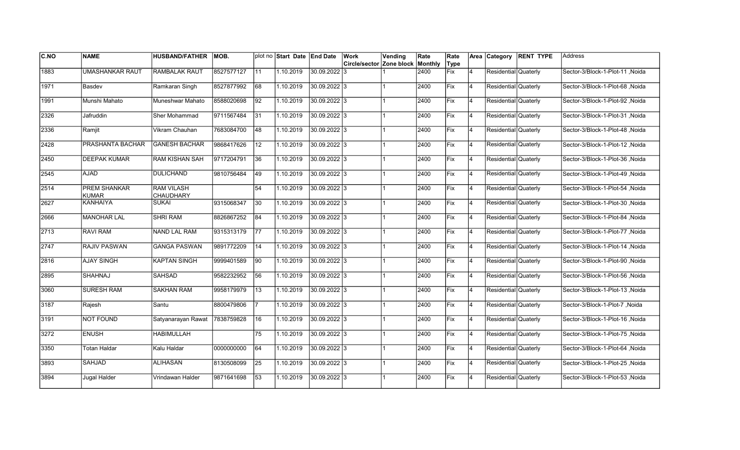| <b>C.NO</b>   | <b>NAME</b>            | <b>HUSBAND/FATHER</b>   | IMOB.      |                 | plot no Start Date End Date |                | Work                     | Vending | Rate    | Rate |                | Area Category        | <b>RENT TYPE</b> | Address                         |
|---------------|------------------------|-------------------------|------------|-----------------|-----------------------------|----------------|--------------------------|---------|---------|------|----------------|----------------------|------------------|---------------------------------|
|               |                        |                         |            |                 |                             |                | Circle/sector Zone block |         | Monthly | Type |                |                      |                  |                                 |
| 1883          | <b>UMASHANKAR RAUT</b> | <b>RAMBALAK RAUT</b>    | 8527577127 | 11              | 1.10.2019                   | 30.09.2022 3   |                          |         | 2400    | Fix  | 4              | Residential Quaterly |                  | Sector-3/Block-1-Plot-11, Noida |
| 1971          | Basdev                 | Ramkaran Singh          | 8527877992 | 68              | 1.10.2019                   | 30.09.2022 3   |                          |         | 2400    | Fix  | $\overline{4}$ | Residential Quaterly |                  | Sector-3/Block-1-Plot-68, Noida |
| 1991          | Munshi Mahato          | Muneshwar Mahato        | 8588020698 | 92              | 1.10.2019                   | 30.09.2022 3   |                          |         | 2400    | Fix  | 4              | Residential Quaterly |                  | Sector-3/Block-1-Plot-92 .Noida |
| 2326          | Jafruddin              | Sher Mohammad           | 9711567484 | 31              | 1.10.2019                   | 30.09.2022 3   |                          |         | 2400    | Fix  | 4              | Residential Quaterly |                  | Sector-3/Block-1-Plot-31, Noida |
| 2336          | Ramjit                 | Vikram Chauhan          | 7683084700 | 48              | 1.10.2019                   | 30.09.2022 3   |                          |         | 2400    | Fix  | $\overline{4}$ | Residential Quaterly |                  | Sector-3/Block-1-Plot-48, Noida |
| 2428          | PRASHANTA BACHAR       | <b>GANESH BACHAR</b>    | 9868417626 | 12              | 1.10.2019                   | 30.09.2022 3   |                          |         | 2400    | Fix  | $\overline{4}$ | Residential Quaterly |                  | Sector-3/Block-1-Plot-12, Noida |
| 2450          | <b>DEEPAK KUMAR</b>    | RAM KISHAN SAH          | 9717204791 | 36              | 1.10.2019                   | 30.09.2022 3   |                          |         | 2400    | Fix  | $\overline{4}$ | Residential Quaterly |                  | Sector-3/Block-1-Plot-36 ,Noida |
| 2545          | <b>AJAD</b>            | <b>DULICHAND</b>        | 9810756484 | 49              | 1.10.2019                   | $30.09.2022$ 3 |                          |         | 2400    | Fix  | 4              | Residential Quaterly |                  | Sector-3/Block-1-Plot-49, Noida |
| 2514          | PREM SHANKAR<br>KUMAR  | RAM VILASH<br>CHAUDHARY |            | 54              | 1.10.2019                   | 30.09.2022 3   |                          |         | 2400    | Fix  | $\overline{4}$ | Residential Quaterly |                  | Sector-3/Block-1-Plot-54, Noida |
| 2627          | <b>KANHAIYA</b>        | <b>SUKAI</b>            | 9315068347 | 30              | 1.10.2019                   | 30.09.2022 3   |                          |         | 2400    | Fix  | $\overline{4}$ | Residential Quaterly |                  | Sector-3/Block-1-Plot-30, Noida |
| 2666          | <b>MANOHAR LAL</b>     | <b>SHRI RAM</b>         | 8826867252 | 84              | 1.10.2019                   | 30.09.2022 3   |                          |         | 2400    | Fix  | 4              | Residential Quaterly |                  | Sector-3/Block-1-Plot-84, Noida |
| $\sqrt{2713}$ | <b>RAVI RAM</b>        | NAND LAL RAM            | 9315313179 | 77              | 1.10.2019                   | 30.09.2022 3   |                          |         | 2400    | Fix  | 4              | Residential Quaterly |                  | Sector-3/Block-1-Plot-77, Noida |
| 2747          | RAJIV PASWAN           | <b>GANGA PASWAN</b>     | 9891772209 | 14              | 1.10.2019                   | $30.09.2022$ 3 |                          |         | 2400    | Fix  | 4              | Residential Quaterly |                  | Sector-3/Block-1-Plot-14, Noida |
| 2816          | <b>AJAY SINGH</b>      | <b>KAPTAN SINGH</b>     | 9999401589 | 90              | 1.10.2019                   | 30.09.2022 3   |                          |         | 2400    | Fix  | $\overline{4}$ | Residential Quaterly |                  | Sector-3/Block-1-Plot-90, Noida |
| 2895          | <b>SHAHNAJ</b>         | <b>SAHSAD</b>           | 9582232952 | 56              | 1.10.2019                   | 30.09.2022 3   |                          |         | 2400    | Fix  | 4              | Residential Quaterly |                  | Sector-3/Block-1-Plot-56, Noida |
| 3060          | <b>SURESH RAM</b>      | <b>SAKHAN RAM</b>       | 9958179979 | 13              | 1.10.2019                   | 30.09.2022 3   |                          |         | 2400    | Fix  | 4              | Residential Quaterly |                  | Sector-3/Block-1-Plot-13, Noida |
| 3187          | Rajesh                 | Santu                   | 8800479806 |                 | 1.10.2019                   | 30.09.2022 3   |                          |         | 2400    | Fix  | <b>4</b>       | Residential Quaterly |                  | Sector-3/Block-1-Plot-7, Noida  |
| 3191          | <b>NOT FOUND</b>       | Satyanarayan Rawat      | 7838759828 | 16              | 1.10.2019                   | 30.09.2022 3   |                          |         | 2400    | Fix  | 4              | Residential Quaterly |                  | Sector-3/Block-1-Plot-16, Noida |
| 3272          | <b>ENUSH</b>           | <b>HABIMULLAH</b>       |            | 75              | 1.10.2019                   | 30.09.2022 3   |                          |         | 2400    | Fix  | $\overline{4}$ | Residential Quaterly |                  | Sector-3/Block-1-Plot-75, Noida |
| 3350          | Totan Haldar           | Kalu Haldar             | 0000000000 | 64              | 1.10.2019                   | 30.09.2022 3   |                          |         | 2400    | Fix  | $\overline{4}$ | Residential Quaterly |                  | Sector-3/Block-1-Plot-64, Noida |
| 3893          | <b>SAHJAD</b>          | <b>ALIHASAN</b>         | 8130508099 | $\overline{25}$ | 1.10.2019                   | 30.09.2022 3   |                          |         | 2400    | Fix  | 4              | Residential Quaterly |                  | Sector-3/Block-1-Plot-25, Noida |
| 3894          | Jugal Halder           | Vrindawan Halder        | 9871641698 | 53              | 1.10.2019                   | 30.09.2022 3   |                          |         | 2400    | Fix  | $\overline{4}$ | Residential Quaterly |                  | Sector-3/Block-1-Plot-53, Noida |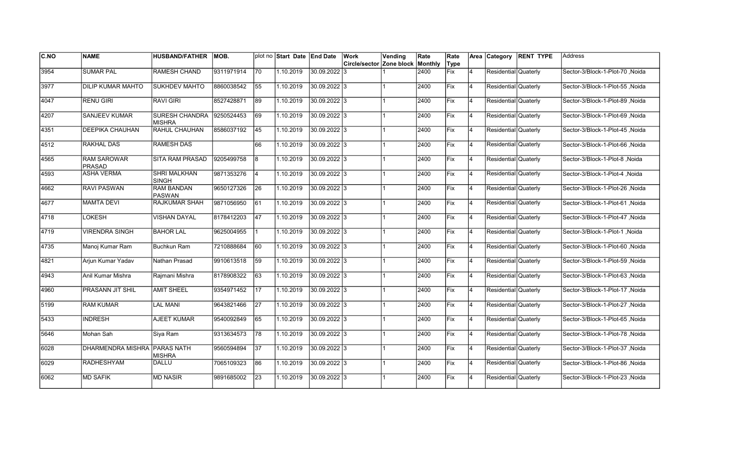| <b>C.NO</b> | <b>NAME</b>                  | <b>HUSBAND/FATHER</b>                  | IMOB.      |                 | plot no Start Date End Date |              | Work                     | Vending | Rate    | Rate |                | Area Category        | <b>RENT TYPE</b> | Address                          |
|-------------|------------------------------|----------------------------------------|------------|-----------------|-----------------------------|--------------|--------------------------|---------|---------|------|----------------|----------------------|------------------|----------------------------------|
|             |                              |                                        |            |                 |                             |              | Circle/sector Zone block |         | Monthly | Type |                |                      |                  |                                  |
| 3954        | <b>SUMAR PAL</b>             | <b>RAMESH CHAND</b>                    | 9311971914 | 70              | 1.10.2019                   | 30.09.2022 3 |                          |         | 2400    | Fix  | 4              | Residential Quaterly |                  | Sector-3/Block-1-Plot-70, Noida  |
| 3977        | <b>DILIP KUMAR MAHTO</b>     | <b>SUKHDEV MAHTO</b>                   | 8860038542 | 55              | 1.10.2019                   | 30.09.2022 3 |                          |         | 2400    | Fix  | $\overline{4}$ | Residential Quaterly |                  | Sector-3/Block-1-Plot-55, Noida  |
| 4047        | <b>RENU GIRI</b>             | <b>RAVI GIRI</b>                       | 8527428871 | 89              | 1.10.2019                   | 30.09.2022 3 |                          |         | 2400    | Fix  | 4              | Residential Quaterly |                  | Sector-3/Block-1-Plot-89 .Noida  |
| 4207        | SANJEEV KUMAR                | <b>SURESH CHANDRA</b><br><b>MISHRA</b> | 9250524453 | 69              | 1.10.2019                   | 30.09.2022 3 |                          |         | 2400    | Fix  | 4              | Residential Quaterly |                  | Sector-3/Block-1-Plot-69, Noida  |
| 4351        | <b>DEEPIKA CHAUHAN</b>       | <b>RAHUL CHAUHAN</b>                   | 8586037192 | 45              | 1.10.2019                   | 30.09.2022 3 |                          |         | 2400    | Fix  | $\overline{4}$ | Residential Quaterly |                  | Sector-3/Block-1-Plot-45, Noida  |
| 4512        | <b>RAKHAL DAS</b>            | <b>RAMESH DAS</b>                      |            | 66              | 1.10.2019                   | 30.09.2022 3 |                          |         | 2400    | Fix  | $\overline{4}$ | Residential Quaterly |                  | Sector-3/Block-1-Plot-66, Noida  |
| 4565        | <b>RAM SAROWAR</b><br>PRASAD | <b>SITA RAM PRASAD</b>                 | 9205499758 | 8               | 1.10.2019                   | 30.09.2022 3 |                          |         | 2400    | Fix  | $\overline{4}$ | Residential Quaterly |                  | Sector-3/Block-1-Plot-8, Noida   |
| 4593        | <b>ASHA VERMA</b>            | <b>SHRI MALKHAN</b><br><b>SINGH</b>    | 9871353276 | 4               | 1.10.2019                   | 30.09.2022 3 |                          |         | 2400    | Fix  | 4              | Residential Quaterly |                  | Sector-3/Block-1-Plot-4, Noida   |
| 4662        | <b>RAVI PASWAN</b>           | <b>RAM BANDAN</b><br><b>PASWAN</b>     | 9650127326 | 26              | 1.10.2019                   | 30.09.2022 3 |                          |         | 2400    | Fix  | $\overline{4}$ | Residential Quaterly |                  | Sector-3/Block-1-Plot-26, Noida  |
| 4677        | <b>MAMTA DEVI</b>            | <b>RAJKUMAR SHAH</b>                   | 9871056950 | 61              | 1.10.2019                   | 30.09.2022 3 |                          |         | 2400    | Fix  | $\overline{4}$ | Residential Quaterly |                  | Sector-3/Block-1-Plot-61, Noida  |
| 4718        | <b>LOKESH</b>                | <b>VISHAN DAYAL</b>                    | 8178412203 | 47              | 1.10.2019                   | 30.09.2022 3 |                          |         | 2400    | Fix  | 4              | Residential Quaterly |                  | Sector-3/Block-1-Plot-47 , Noida |
| 4719        | <b>VIRENDRA SINGH</b>        | <b>BAHOR LAL</b>                       | 9625004955 |                 | 1.10.2019                   | 30.09.2022 3 |                          |         | 2400    | Fix  | 4              | Residential Quaterly |                  | Sector-3/Block-1-Plot-1, Noida   |
| 4735        | Manoj Kumar Ram              | Buchkun Ram                            | 7210888684 | 60              | 1.10.2019                   | 30.09.2022 3 |                          |         | 2400    | Fix  | 4              | Residential Quaterly |                  | Sector-3/Block-1-Plot-60, Noida  |
| 4821        | Arjun Kumar Yadav            | Nathan Prasad                          | 9910613518 | 59              | 1.10.2019                   | 30.09.2022 3 |                          |         | 2400    | Fix  | $\overline{4}$ | Residential Quaterly |                  | Sector-3/Block-1-Plot-59, Noida  |
| 4943        | Anil Kumar Mishra            | Rajmani Mishra                         | 8178908322 | 63              | 1.10.2019                   | 30.09.2022 3 |                          |         | 2400    | Fix  | $\overline{4}$ | Residential Quaterly |                  | Sector-3/Block-1-Plot-63, Noida  |
| 4960        | PRASANN JIT SHIL             | <b>AMIT SHEEL</b>                      | 9354971452 | $\overline{17}$ | 1.10.2019                   | 30.09.2022 3 |                          |         | 2400    | Fix  | 4              | Residential Quaterly |                  | Sector-3/Block-1-Plot-17, Noida  |
| 5199        | <b>RAM KUMAR</b>             | <b>LAL MANI</b>                        | 9643821466 | 27              | 1.10.2019                   | 30.09.2022 3 |                          |         | 2400    | Fix  | 4              | Residential Quaterly |                  | Sector-3/Block-1-Plot-27 , Noida |
| 5433        | <b>INDRESH</b>               | AJEET KUMAR                            | 9540092849 | 65              | 1.10.2019                   | 30.09.2022 3 |                          |         | 2400    | Fix  | 4              | Residential Quaterly |                  | Sector-3/Block-1-Plot-65, Noida  |
| 5646        | Mohan Sah                    | Siya Ram                               | 9313634573 | 78              | 1.10.2019                   | 30.09.2022 3 |                          |         | 2400    | Fix  | $\overline{4}$ | Residential Quaterly |                  | Sector-3/Block-1-Plot-78, Noida  |
| 6028        | DHARMENDRA MISHRA PARAS NATH | <b>MISHRA</b>                          | 9560594894 | $\overline{37}$ | 1.10.2019                   | 30.09.2022 3 |                          |         | 2400    | Fix  | $\overline{4}$ | Residential Quaterly |                  | Sector-3/Block-1-Plot-37, Noida  |
| 6029        | <b>RADHESHYAM</b>            | <b>DALLU</b>                           | 7065109323 | 86              | 1.10.2019                   | 30.09.2022 3 |                          |         | 2400    | Fix  | 4              | Residential Quaterly |                  | Sector-3/Block-1-Plot-86, Noida  |
| 6062        | <b>MD SAFIK</b>              | <b>MD NASIR</b>                        | 9891685002 | 23              | 1.10.2019                   | 30.09.2022 3 |                          |         | 2400    | Fix  | $\overline{4}$ | Residential Quaterly |                  | Sector-3/Block-1-Plot-23, Noida  |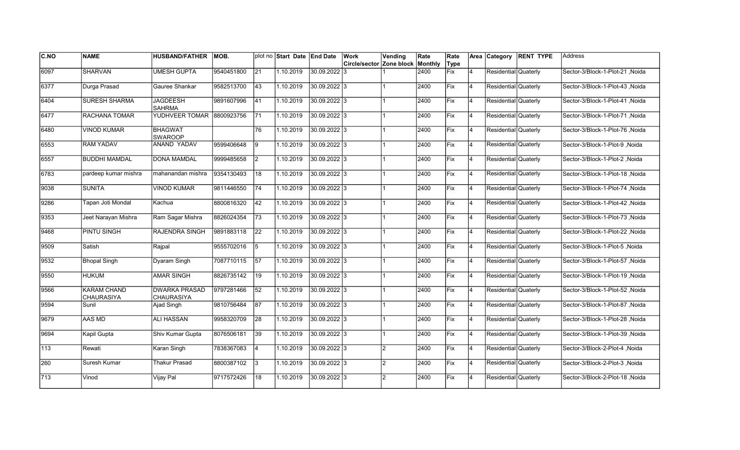| <b>C.NO</b> | <b>NAME</b>                      | <b>HUSBAND/FATHER</b>              | IMOB.      |                 | plot no Start Date End Date |                | Work                     | Vending        | Rate    | Rate |                | Area Category        | <b>RENT TYPE</b> | Address                          |
|-------------|----------------------------------|------------------------------------|------------|-----------------|-----------------------------|----------------|--------------------------|----------------|---------|------|----------------|----------------------|------------------|----------------------------------|
|             |                                  |                                    |            |                 |                             |                | Circle/sector Zone block |                | Monthly | Type |                |                      |                  |                                  |
| 6097        | <b>SHARVAN</b>                   | <b>UMESH GUPTA</b>                 | 9540451800 | 21              | 1.10.2019                   | 30.09.2022 3   |                          |                | 2400    | Fix  | 4              | Residential Quaterly |                  | Sector-3/Block-1-Plot-21, Noida  |
| 6377        | Durga Prasad                     | Gauree Shankar                     | 9582513700 | 43              | 1.10.2019                   | 30.09.2022 3   |                          |                | 2400    | Fix  | $\overline{4}$ | Residential Quaterly |                  | Sector-3/Block-1-Plot-43 .Noida  |
| 6404        | <b>SURESH SHARMA</b>             | <b>JAGDEESH</b><br><b>SAHRMA</b>   | 9891607996 | 41              | 1.10.2019                   | 30.09.2022 3   |                          |                | 2400    | Fix  | 4              | Residential Quaterly |                  | Sector-3/Block-1-Plot-41 .Noida  |
| 6477        | RACHANA TOMAR                    | YUDHVEER TOMAR                     | 8800923756 | 71              | 1.10.2019                   | 30.09.2022 3   |                          |                | 2400    | Fix  | 4              | Residential Quaterly |                  | Sector-3/Block-1-Plot-71, Noida  |
| 6480        | <b>VINOD KUMAR</b>               | <b>BHAGWAT</b><br><b>SWAROOP</b>   |            | 76              | 1.10.2019                   | 30.09.2022 3   |                          |                | 2400    | Fix  | $\overline{4}$ | Residential Quaterly |                  | Sector-3/Block-1-Plot-76, Noida  |
| 6553        | <b>RAM YADAV</b>                 | ANAND YADAV                        | 9599406648 | 9               | 1.10.2019                   | 30.09.2022 3   |                          |                | 2400    | Fix  | $\overline{4}$ | Residential Quaterly |                  | Sector-3/Block-1-Plot-9, Noida   |
| 6557        | <b>BUDDHI MAMDAL</b>             | <b>DONA MAMDAL</b>                 | 9999485658 | I2              | 1.10.2019                   | 30.09.2022 3   |                          |                | 2400    | Fix  | $\overline{4}$ | Residential Quaterly |                  | Sector-3/Block-1-Plot-2, Noida   |
| 6783        | pardeep kumar mishra             | mahanandan mishra                  | 9354130493 | 18              | 1.10.2019                   | 30.09.2022 3   |                          |                | 2400    | Fix  | 4              | Residential Quaterly |                  | Sector-3/Block-1-Plot-18, Noida  |
| 9038        | <b>SUNITA</b>                    | <b>VINOD KUMAR</b>                 | 9811446550 | 74              | 1.10.2019                   | 30.09.2022 3   |                          |                | 2400    | Fix  | $\overline{4}$ | Residential Quaterly |                  | Sector-3/Block-1-Plot-74, Noida  |
| 9286        | Tapan Joti Mondal                | Kachua                             | 8800816320 | 42              | 1.10.2019                   | 30.09.2022 3   |                          |                | 2400    | Fix  | $\overline{4}$ | Residential Quaterly |                  | Sector-3/Block-1-Plot-42, Noida  |
| 9353        | Jeet Narayan Mishra              | Ram Sagar Mishra                   | 8826024354 | 73              | 1.10.2019                   | 30.09.2022 3   |                          |                | 2400    | Fix  | 4              | Residential Quaterly |                  | Sector-3/Block-1-Plot-73, Noida  |
| 9468        | PINTU SINGH                      | RAJENDRA SINGH                     | 9891883118 | 22              | 1.10.2019                   | 30.09.2022 3   |                          |                | 2400    | Fix  | 4              | Residential Quaterly |                  | Sector-3/Block-1-Plot-22, Noida  |
| 9509        | Satish                           | Rajpal                             | 9555702016 | 5               | 1.10.2019                   | 30.09.2022 3   |                          |                | 2400    | Fix  | 4              | Residential Quaterly |                  | Sector-3/Block-1-Plot-5, Noida   |
| 9532        | <b>Bhopal Singh</b>              | Dyaram Singh                       | 7087710115 | 57              | 1.10.2019                   | 30.09.2022 3   |                          |                | 2400    | Fix  | $\overline{4}$ | Residential Quaterly |                  | Sector-3/Block-1-Plot-57, Noida  |
| 9550        | <b>HUKUM</b>                     | <b>AMAR SINGH</b>                  | 8826735142 | 19              | 1.10.2019                   | 30.09.2022 3   |                          |                | 2400    | Fix  | $\overline{4}$ | Residential Quaterly |                  | Sector-3/Block-1-Plot-19, Noida  |
| 9566        | <b>KARAM CHAND</b><br>CHAURASIYA | <b>DWARKA PRASAD</b><br>CHAURASIYA | 9797281466 | $\overline{52}$ | 1.10.2019                   | 30.09.2022 3   |                          |                | 2400    | Fix  | 4              | Residential Quaterly |                  | Sector-3/Block-1-Plot-52, Noida  |
| 9594        | Sunil                            | Ajad Singh                         | 9810756484 | 87              | 1.10.2019                   | 30.09.2022 3   |                          |                | 2400    | Fix  | $\overline{4}$ | Residential Quaterly |                  | Sector-3/Block-1-Plot-87, Noida  |
| 9679        | AAS MD                           | <b>ALI HASSAN</b>                  | 9958320709 | 28              | 1.10.2019                   | 30.09.2022 3   |                          |                | 2400    | Fix  | 4              | Residential Quaterly |                  | Sector-3/Block-1-Plot-28, Noida  |
| 9694        | Kapil Gupta                      | Shiv Kumar Gupta                   | 8076506181 | 39              | 1.10.2019                   | 30.09.2022  3  |                          |                | 2400    | Fix  | $\overline{4}$ | Residential Quaterly |                  | Sector-3/Block-1-Plot-39 , Noida |
| 113         | Rewati                           | Karan Singh                        | 7838367083 | 4               | 1.10.2019                   | $30.09.2022$ 3 |                          | $\overline{2}$ | 2400    | Fix  | $\overline{4}$ | Residential Quaterly |                  | Sector-3/Block-2-Plot-4, Noida   |
| 260         | Suresh Kumar                     | Thakur Prasad                      | 8800387102 | 3               | 1.10.2019                   | 30.09.2022 3   |                          | $\overline{2}$ | 2400    | Fix  | 4              | Residential Quaterly |                  | Sector-3/Block-2-Plot-3 , Noida  |
| 713         | Vinod                            | Vijay Pal                          | 9717572426 | 18              | 1.10.2019                   | 30.09.2022 3   |                          | $\overline{2}$ | 2400    | Fix  | $\overline{4}$ | Residential Quaterly |                  | Sector-3/Block-2-Plot-18, Noida  |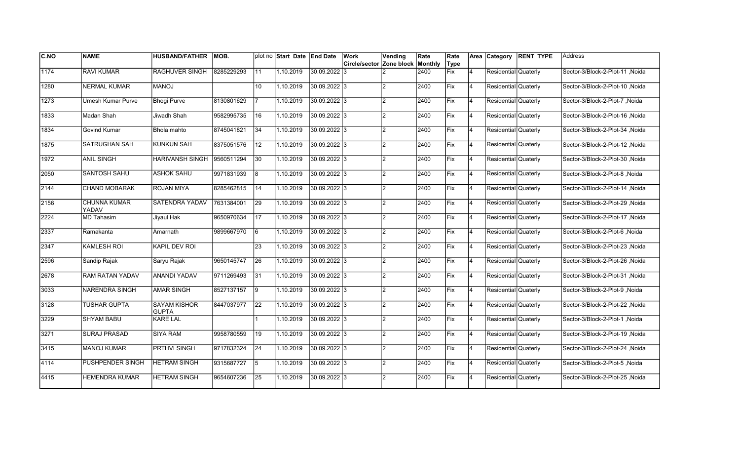| <b>C.NO</b> | <b>NAME</b>                  | <b>HUSBAND/FATHER</b>               | MOB.       |                 | plot no Start Date End Date |                | Work                             | Vending        | Rate | Rate |                |                      | Area Category RENT TYPE | lAddress                        |
|-------------|------------------------------|-------------------------------------|------------|-----------------|-----------------------------|----------------|----------------------------------|----------------|------|------|----------------|----------------------|-------------------------|---------------------------------|
|             |                              |                                     |            |                 |                             |                | Circle/sector Zone block Monthly |                |      | Type |                |                      |                         |                                 |
| 1174        | <b>RAVI KUMAR</b>            | <b>RAGHUVER SINGH</b>               | 8285229293 | 11              | 1.10.2019                   | 30.09.2022 3   |                                  |                | 2400 | Fix  | $\overline{4}$ | Residential Quaterly |                         | Sector-3/Block-2-Plot-11, Noida |
| 1280        | <b>NERMAL KUMAR</b>          | <b>MANOJ</b>                        |            | 10              | 1.10.2019                   | 30.09.2022 3   |                                  | $\mathcal{P}$  | 2400 | Fix  | 14             | Residential Quaterly |                         | Sector-3/Block-2-Plot-10, Noida |
| 1273        | <b>Umesh Kumar Purve</b>     | <b>Bhogi Purve</b>                  | 8130801629 |                 | 1.10.2019                   | 30.09.2022 3   |                                  | $\mathfrak{p}$ | 2400 | Fix  | 14             | Residential Quaterly |                         | Sector-3/Block-2-Plot-7, Noida  |
| 1833        | Madan Shah                   | Jiwadh Shah                         | 9582995735 | 16              | 1.10.2019                   | 30.09.2022 3   |                                  | $\overline{2}$ | 2400 | Fix  | 14             | Residential Quaterly |                         | Sector-3/Block-2-Plot-16, Noida |
| 1834        | Govind Kumar                 | Bhola mahto                         | 8745041821 | 34              | 1.10.2019                   | 30.09.2022 3   |                                  | $\overline{2}$ | 2400 | Fix  | 4              | Residential Quaterly |                         | Sector-3/Block-2-Plot-34, Noida |
| 1875        | <b>SATRUGHAN SAH</b>         | <b>KUNKUN SAH</b>                   | 8375051576 | 12              | 1.10.2019                   | 30.09.2022 3   |                                  | $\mathfrak{p}$ | 2400 | Fix  | $\overline{4}$ | Residential Quaterly |                         | Sector-3/Block-2-Plot-12, Noida |
| 1972        | <b>ANIL SINGH</b>            | <b>HARIVANSH SINGH</b>              | 9560511294 | 30              | 1.10.2019                   | 30.09.2022 3   |                                  | $\mathcal{P}$  | 2400 | Fix  | 14             | Residential Quaterly |                         | Sector-3/Block-2-Plot-30, Noida |
| 2050        | SANTOSH SAHU                 | <b>ASHOK SAHU</b>                   | 9971831939 | 8               | 1.10.2019                   | $30.09.2022$ 3 |                                  | $\mathfrak{p}$ | 2400 | Fix  | 14             | Residential Quaterly |                         | Sector-3/Block-2-Plot-8, Noida  |
| 2144        | CHAND MOBARAK                | <b>ROJAN MIYA</b>                   | 8285462815 | 14              | 1.10.2019                   | 30.09.2022 3   |                                  | $\mathcal{P}$  | 2400 | Fix  | 14             | Residential Quaterly |                         | Sector-3/Block-2-Plot-14, Noida |
| 2156        | <b>CHUNNA KUMAR</b><br>YADAV | SATENDRA YADAV                      | 7631384001 | 29              | 1.10.2019                   | 30.09.2022 3   |                                  | $\mathfrak{p}$ | 2400 | Fix  | 4              | Residential Quaterly |                         | Sector-3/Block-2-Plot-29, Noida |
| 2224        | <b>MD Tahasim</b>            | Jiyaul Hak                          | 9650970634 | $\overline{17}$ | 1.10.2019                   | 30.09.2022 3   |                                  | $\mathcal{P}$  | 2400 | Fix  | 14             | Residential Quaterly |                         | Sector-3/Block-2-Plot-17, Noida |
| 2337        | Ramakanta                    | Amarnath                            | 9899667970 | 6               | 1.10.2019                   | 30.09.2022 3   |                                  | $\mathcal{P}$  | 2400 | Fix  | 14             | Residential Quaterly |                         | Sector-3/Block-2-Plot-6, Noida  |
| 2347        | <b>KAMLESH ROI</b>           | <b>KAPIL DEV ROI</b>                |            | 23              | 1.10.2019                   | 30.09.2022 3   |                                  | $\mathfrak{p}$ | 2400 | Fix  | 14             | Residential Quaterly |                         | Sector-3/Block-2-Plot-23, Noida |
| 2596        | Sandip Rajak                 | Saryu Rajak                         | 9650145747 | 26              | 1.10.2019                   | 30.09.2022 3   |                                  | $\mathfrak{p}$ | 2400 | Fix  | $\overline{4}$ | Residential Quaterly |                         | Sector-3/Block-2-Plot-26, Noida |
| 2678        | <b>RAM RATAN YADAV</b>       | <b>ANANDI YADAV</b>                 | 9711269493 | $\overline{31}$ | 1.10.2019                   | 30.09.2022 3   |                                  | $\mathcal{P}$  | 2400 | Fix  | 4              | Residential Quaterly |                         | Sector-3/Block-2-Plot-31, Noida |
| 3033        | NARENDRA SINGH               | <b>AMAR SINGH</b>                   | 8527137157 | 9               | 1.10.2019                   | 30.09.2022 3   |                                  | 2              | 2400 | Fix  | 14             | Residential Quaterly |                         | Sector-3/Block-2-Plot-9, Noida  |
| 3128        | <b>TUSHAR GUPTA</b>          | <b>SAYAM KISHOR</b><br><b>GUPTA</b> | 8447037977 | 22              | 1.10.2019                   | 30.09.2022 3   |                                  | $\mathfrak{p}$ | 2400 | Fix  | 14             | Residential Quaterly |                         | Noida Sector-3/Block-2-Plot-22  |
| 3229        | <b>SHYAM BABU</b>            | <b>KARE LAL</b>                     |            |                 | 1.10.2019                   | $30.09.2022$ 3 |                                  | $\mathfrak{p}$ | 2400 | Fix  | $\overline{4}$ | Residential Quaterly |                         | Sector-3/Block-2-Plot-1, Noida  |
| 3271        | <b>SURAJ PRASAD</b>          | <b>SIYA RAM</b>                     | 9958780559 | 19              | 1.10.2019                   | 30.09.2022 3   |                                  | $\mathfrak{p}$ | 2400 | Fix  | $\overline{4}$ | Residential Quaterly |                         | Sector-3/Block-2-Plot-19, Noida |
| 3415        | <b>MANOJ KUMAR</b>           | <b>PRTHVI SINGH</b>                 | 9717832324 | 24              | 1.10.2019                   | 30.09.2022 3   |                                  | $\mathfrak{p}$ | 2400 | Fix  | 14             | Residential Quaterly |                         | Sector-3/Block-2-Plot-24, Noida |
| 4114        | <b>PUSHPENDER SINGH</b>      | <b>HETRAM SINGH</b>                 | 9315687727 | 5               | 1.10.2019                   | 30.09.2022 3   |                                  | $\mathfrak{p}$ | 2400 | Fix  | 14             | Residential Quaterly |                         | Sector-3/Block-2-Plot-5, Noida  |
| 4415        | <b>HEMENDRA KUMAR</b>        | <b>HETRAM SINGH</b>                 | 9654607236 | 25              | 1.10.2019                   | 30.09.2022 3   |                                  | $\mathfrak{p}$ | 2400 | Fix  | $\overline{4}$ | Residential Quaterly |                         | Sector-3/Block-2-Plot-25, Noida |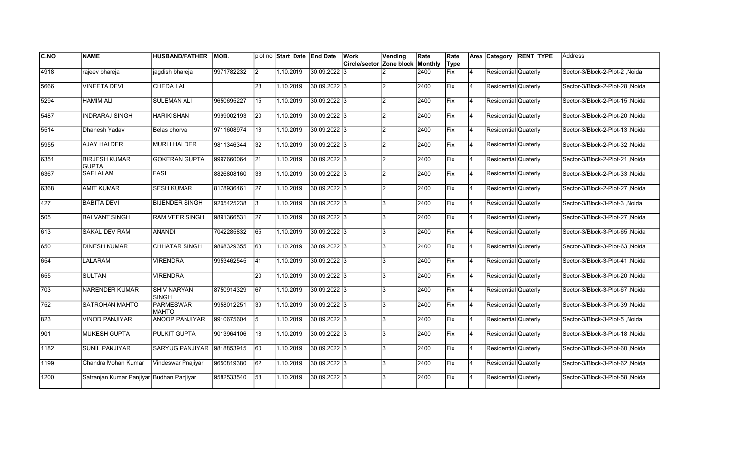| <b>C.NO</b>   | <b>NAME</b>                              | <b>HUSBAND/FATHER</b>            | MOB.       |                 | plot no Start Date End Date |                | Work                     | Vending        | Rate    | Rate |                | Area Category        | <b>RENT TYPE</b> | Address                          |
|---------------|------------------------------------------|----------------------------------|------------|-----------------|-----------------------------|----------------|--------------------------|----------------|---------|------|----------------|----------------------|------------------|----------------------------------|
|               |                                          |                                  |            |                 |                             |                | Circle/sector Zone block |                | Monthly | Type |                |                      |                  |                                  |
| 4918          | rajeev bhareja                           | jagdish bhareja                  | 9971782232 | $\overline{2}$  | 1.10.2019                   | 30.09.2022 3   |                          |                | 2400    | Fix  | $\overline{4}$ | Residential Quaterly |                  | Sector-3/Block-2-Plot-2, Noida   |
| 5666          | <b>VINEETA DEVI</b>                      | <b>CHEDA LAL</b>                 |            | 28              | 1.10.2019                   | 30.09.2022 3   |                          | $\overline{2}$ | 2400    | Fix  | 4              | Residential Quaterly |                  | Sector-3/Block-2-Plot-28, Noida  |
| 5294          | <b>HAMIM ALI</b>                         | <b>SULEMAN ALI</b>               | 9650695227 | 15              | 1.10.2019                   | 30.09.2022 3   |                          | $\overline{2}$ | 2400    | Fix  | <b>4</b>       | Residential Quaterly |                  | Sector-3/Block-2-Plot-15 .Noida  |
| 5487          | <b>INDRARAJ SINGH</b>                    | <b>HARIKISHAN</b>                | 9999002193 | 20              | 1.10.2019                   | 30.09.2022 3   |                          | 2              | 2400    | Fix  | $\overline{4}$ | Residential Quaterly |                  | Sector-3/Block-2-Plot-20, Noida  |
| 5514          | Dhanesh Yadav                            | Belas chorva                     | 9711608974 | 13              | 1.10.2019                   | 30.09.2022 3   |                          | $\overline{2}$ | 2400    | Fix  | 4              | Residential Quaterly |                  | Sector-3/Block-2-Plot-13, Noida  |
| 5955          | <b>AJAY HALDER</b>                       | <b>MURLI HALDER</b>              | 9811346344 | 32              | 1.10.2019                   | $30.09.2022$ 3 |                          | $\overline{2}$ | 2400    | Fix  | $\overline{4}$ | Residential Quaterly |                  | Sector-3/Block-2-Plot-32, Noida  |
| 6351          | <b>BIRJESH KUMAR</b><br><b>GUPTA</b>     | <b>GOKERAN GUPTA</b>             | 9997660064 | 21              | 1.10.2019                   | 30.09.2022 3   |                          | $\mathcal{P}$  | 2400    | Fix  | 4              | Residential Quaterly |                  | Sector-3/Block-2-Plot-21 , Noida |
| 6367          | <b>SAFI ALAM</b>                         | <b>FASI</b>                      | 8826808160 | 33              | 1.10.2019                   | $30.09.2022$ 3 |                          | $\overline{2}$ | 2400    | Fix  | 4              | Residential Quaterly |                  | Sector-3/Block-2-Plot-33, Noida  |
| 6368          | <b>AMIT KUMAR</b>                        | <b>SESH KUMAR</b>                | 8178936461 | <b>27</b>       | 1.10.2019                   | 30.09.2022 3   |                          | $\overline{2}$ | 2400    | Fix  | $\overline{4}$ | Residential Quaterly |                  | Sector-3/Block-2-Plot-27 , Noida |
| 427           | <b>BABITA DEVI</b>                       | <b>BIJENDER SINGH</b>            | 9205425238 | 3               | 1.10.2019                   | 30.09.2022 3   |                          | 3              | 2400    | Fix  | $\overline{4}$ | Residential Quaterly |                  | Sector-3/Block-3-Plot-3, Noida   |
| 505           | <b>BALVANT SINGH</b>                     | <b>RAM VEER SINGH</b>            | 9891366531 | $\overline{27}$ | 1.10.2019                   | 30.09.2022 3   |                          | 3              | 2400    | Fix  | 4              | Residential Quaterly |                  | Sector-3/Block-3-Plot-27 , Noida |
| 613           | <b>SAKAL DEV RAM</b>                     | ANANDI                           | 7042285832 | 65              | 1.10.2019                   | 30.09.2022 3   |                          | 3              | 2400    | Fix  | 4              | Residential Quaterly |                  | Sector-3/Block-3-Plot-65, Noida  |
| 650           | <b>DINESH KUMAR</b>                      | CHHATAR SINGH                    | 9868329355 | 63              | 1.10.2019                   | 30.09.2022 3   |                          | 3              | 2400    | Fix  | 4              | Residential Quaterly |                  | Sector-3/Block-3-Plot-63, Noida  |
| 654           | LALARAM                                  | <b>VIRENDRA</b>                  | 9953462545 | 41              | 1.10.2019                   | 30.09.2022 3   |                          | 3              | 2400    | Fix  | $\overline{4}$ | Residential Quaterly |                  | Sector-3/Block-3-Plot-41, Noida  |
| 655           | <b>SULTAN</b>                            | <b>VIRENDRA</b>                  |            | 20              | 1.10.2019                   | $30.09.2022$ 3 |                          | 3              | 2400    | Fix  | 4              | Residential Quaterly |                  | Sector-3/Block-3-Plot-20, Noida  |
| 703           | <b>NARENDER KUMAR</b>                    | <b>SHIV NARYAN</b><br>SINGH      | 8750914329 | 67              | 1.10.2019                   | 30.09.2022 3   |                          | 3              | 2400    | Fix  | <b>4</b>       | Residential Quaterly |                  | Sector-3/Block-3-Plot-67, Noida  |
| 752           | SATROHAN MAHTO                           | <b>PARMESWAR</b><br><b>MAHTO</b> | 9958012251 | 39              | 1.10.2019                   | 30.09.2022 3   |                          | 3              | 2400    | Fix  | 4              | Residential Quaterly |                  | Sector-3/Block-3-Plot-39 , Noida |
| 823           | <b>VINOD PANJIYAR</b>                    | <b>ANOOP PANJIYAR</b>            | 9910675604 | 5               | 1.10.2019                   | $30.09.2022$ 3 |                          | 3              | 2400    | Fix  | 4              | Residential Quaterly |                  | Sector-3/Block-3-Plot-5, Noida   |
| 901           | <b>MUKESH GUPTA</b>                      | <b>PULKIT GUPTA</b>              | 9013964106 | 18              | 1.10.2019                   | 30.09.2022 3   |                          | 3              | 2400    | Fix  | 4              | Residential Quaterly |                  | Sector-3/Block-3-Plot-18, Noida  |
| $\sqrt{1182}$ | <b>SUNIL PANJIYAR</b>                    | SARYUG PANJIYAR 9818853915       |            | 60              | 1.10.2019                   | 30.09.2022 3   |                          | 3              | 2400    | Fix  | $\overline{4}$ | Residential Quaterly |                  | Sector-3/Block-3-Plot-60, Noida  |
| 1199          | Chandra Mohan Kumar                      | Vindeswar Pnajiyar               | 9650819380 | $\overline{62}$ | 1.10.2019                   | 30.09.2022 3   |                          | 3              | 2400    | Fix  | $\overline{4}$ | Residential Quaterly |                  | Sector-3/Block-3-Plot-62, Noida  |
| 1200          | Satranjan Kumar Panjiyar Budhan Panjiyar |                                  | 9582533540 | 58              | 1.10.2019                   | 30.09.2022 3   |                          | 3              | 2400    | Fix  | 4              | Residential Quaterly |                  | Sector-3/Block-3-Plot-58, Noida  |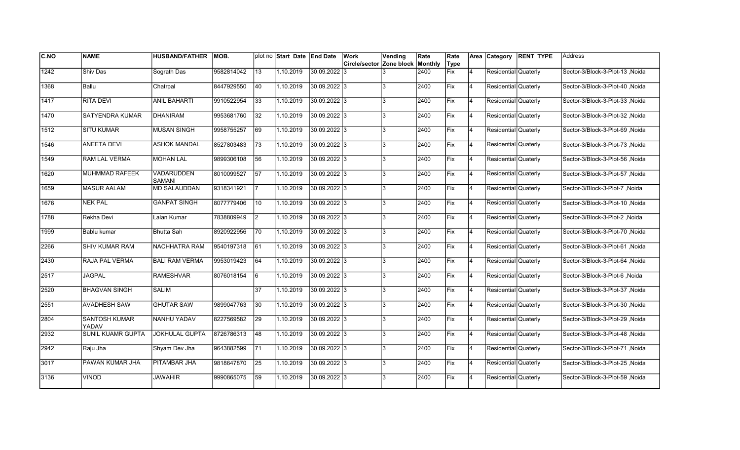| <b>C.NO</b> | <b>NAME</b>            | <b>HUSBAND/FATHER</b> | IMOB.      |                 | plot no Start Date End Date |                | Work                             | Vending | Rate | Rate |                | Area Category        | <b>RENT TYPE</b> | lAddress                        |
|-------------|------------------------|-----------------------|------------|-----------------|-----------------------------|----------------|----------------------------------|---------|------|------|----------------|----------------------|------------------|---------------------------------|
|             |                        |                       |            |                 |                             |                | Circle/sector Zone block Monthly |         |      | Type |                |                      |                  |                                 |
| 1242        | Shiv Das               | Sograth Das           | 9582814042 | 13              | 1.10.2019                   | 30.09.2022 3   |                                  |         | 2400 | Fix  | $\overline{4}$ | Residential Quaterly |                  | Sector-3/Block-3-Plot-13, Noida |
| 1368        | Ballu                  | Chatrpal              | 8447929550 | 40              | 1.10.2019                   | 30.09.2022 3   |                                  | 3       | 2400 | Fix  | 14             | Residential Quaterly |                  | Sector-3/Block-3-Plot-40, Noida |
| 1417        | <b>RITA DEVI</b>       | <b>ANIL BAHARTI</b>   | 9910522954 | 33              | 1.10.2019                   | 30.09.2022 3   |                                  | 3       | 2400 | Fix  | 14             | Residential Quaterly |                  | Sector-3/Block-3-Plot-33, Noida |
| 1470        | SATYENDRA KUMAR        | <b>DHANIRAM</b>       | 9953681760 | 32              | 1.10.2019                   | 30.09.2022 3   |                                  | 3       | 2400 | Fix  | 14             | Residential Quaterly |                  | Sector-3/Block-3-Plot-32, Noida |
| 1512        | <b>SITU KUMAR</b>      | <b>MUSAN SINGH</b>    | 9958755257 | 69              | 1.10.2019                   | 30.09.2022 3   |                                  | 3       | 2400 | Fix  | 4              | Residential Quaterly |                  | Sector-3/Block-3-Plot-69, Noida |
| 1546        | <b>ANEETA DEVI</b>     | <b>ASHOK MANDAL</b>   | 8527803483 | 73              | 1.10.2019                   | 30.09.2022 3   |                                  |         | 2400 | Fix  | $\overline{4}$ | Residential Quaterly |                  | Sector-3/Block-3-Plot-73, Noida |
| 1549        | RAM LAL VERMA          | <b>MOHAN LAL</b>      | 9899306108 | 56              | 1.10.2019                   | 30.09.2022 3   |                                  | 3       | 2400 | Fix  | 14             | Residential Quaterly |                  | Sector-3/Block-3-Plot-56, Noida |
| 1620        | MUHMMAD RAFEEK         | VADARUDDEN<br>SAMANI  | 8010099527 | 57              | 1.10.2019                   | $30.09.2022$ 3 |                                  | 3       | 2400 | Fix  | 14             | Residential Quaterly |                  | Sector-3/Block-3-Plot-57, Noida |
| 1659        | <b>MASUR AALAM</b>     | <b>MD SALAUDDAN</b>   | 9318341921 |                 | 1.10.2019                   | 30.09.2022 3   |                                  | 3       | 2400 | Fix  | 14             | Residential Quaterly |                  | Sector-3/Block-3-Plot-7, Noida  |
| 1676        | <b>NEK PAL</b>         | <b>GANPAT SINGH</b>   | 8077779406 | 10              | 1.10.2019                   | 30.09.2022 3   |                                  | 3       | 2400 | Fix  | 14             | Residential Quaterly |                  | Sector-3/Block-3-Plot-10, Noida |
| 1788        | Rekha Devi             | Lalan Kumar           | 7838809949 | <u>2</u>        | 1.10.2019                   | 30.09.2022 3   |                                  | 3       | 2400 | Fix  | 14             | Residential Quaterly |                  | Sector-3/Block-3-Plot-2, Noida  |
| 1999        | Bablu kumar            | <b>Bhutta Sah</b>     | 8920922956 | 70              | 1.10.2019                   | 30.09.2022 3   |                                  | 3       | 2400 | Fix  | 14             | Residential Quaterly |                  | Sector-3/Block-3-Plot-70, Noida |
| 2266        | <b>SHIV KUMAR RAM</b>  | NACHHATRA RAM         | 9540197318 | 61              | 1.10.2019                   | 30.09.2022 3   |                                  | 3       | 2400 | Fix  | 14             | Residential Quaterly |                  | Sector-3/Block-3-Plot-61, Noida |
| 2430        | RAJA PAL VERMA         | <b>BALI RAM VERMA</b> | 9953019423 | 64              | 1.10.2019                   | 30.09.2022 3   |                                  | 3       | 2400 | Fix  | $\overline{4}$ | Residential Quaterly |                  | Sector-3/Block-3-Plot-64, Noida |
| 2517        | <b>JAGPAL</b>          | <b>RAMESHVAR</b>      | 8076018154 | l6              | 1.10.2019                   | 30.09.2022 3   |                                  | 3       | 2400 | Fix  | 4              | Residential Quaterly |                  | Sector-3/Block-3-Plot-6, Noida  |
| 2520        | <b>BHAGVAN SINGH</b>   | <b>SALIM</b>          |            | 37              | 1.10.2019                   | 30.09.2022 3   |                                  | 3       | 2400 | Fix  | 14             | Residential Quaterly |                  | Noida Sector-3/Block-3-Plot-37  |
| 2551        | <b>AVADHESH SAW</b>    | <b>GHUTAR SAW</b>     | 9899047763 | 30              | 1.10.2019                   | 30.09.2022 3   |                                  | 3       | 2400 | Fix  | 14             | Residential Quaterly |                  | Noida Sector-3/Block-3-Plot-30  |
| 2804        | SANTOSH KUMAR<br>YADAV | NANHU YADAV           | 8227569582 | 29              | 1.10.2019                   | 30.09.2022 3   |                                  | 3       | 2400 | Fix  | $\overline{4}$ | Residential Quaterly |                  | Sector-3/Block-3-Plot-29, Noida |
| 2932        | SUNIL KUAMR GUPTA      | JOKHULAL GUPTA        | 8726786313 | 48              | 1.10.2019                   | 30.09.2022 3   |                                  | 3       | 2400 | Fix  | $\overline{4}$ | Residential Quaterly |                  | Sector-3/Block-3-Plot-48, Noida |
| 2942        | Raju Jha               | Shyam Dev Jha         | 9643882599 | 71              | 1.10.2019                   | 30.09.2022 3   |                                  | 3       | 2400 | Fix  | 4              | Residential Quaterly |                  | Sector-3/Block-3-Plot-71, Noida |
| 3017        | PAWAN KUMAR JHA        | PITAMBAR JHA          | 9818647870 | $\overline{25}$ | 1.10.2019                   | 30.09.2022 3   |                                  | 3       | 2400 | Fix  | 14             | Residential Quaterly |                  | Sector-3/Block-3-Plot-25, Noida |
| 3136        | <b>VINOD</b>           | <b>JAWAHIR</b>        | 9990865075 | 59              | 1.10.2019                   | 30.09.2022 3   |                                  | 3       | 2400 | Fix  | $\overline{4}$ | Residential Quaterly |                  | Sector-3/Block-3-Plot-59, Noida |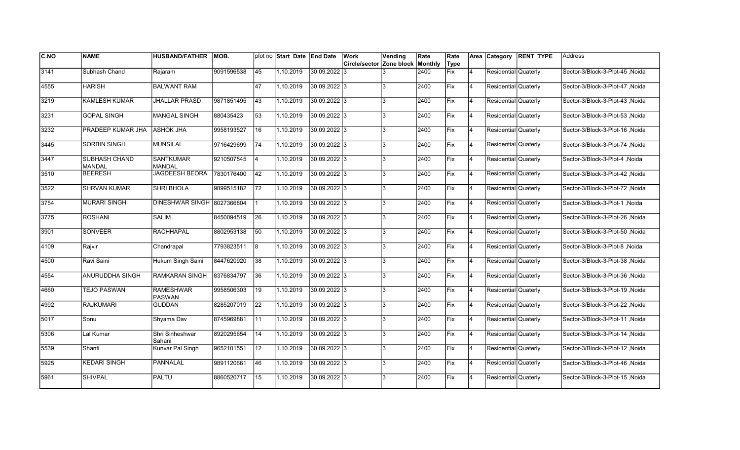| <b>C.NO</b> | <b>NAME</b>                    | <b>HUSBAND/FATHER</b>             | IMOB.      |                 | plot no Start Date End Date |                | Work                     | Vending        | Rate    | Rate |                | Area Category        | <b>RENT TYPE</b> | Address                          |
|-------------|--------------------------------|-----------------------------------|------------|-----------------|-----------------------------|----------------|--------------------------|----------------|---------|------|----------------|----------------------|------------------|----------------------------------|
|             |                                |                                   |            |                 |                             |                | Circle/sector Zone block |                | Monthly | Type |                |                      |                  |                                  |
| 3141        | Subhash Chand                  | Rajaram                           | 9091596538 | 45              | 1.10.2019                   | 30.09.2022 3   |                          |                | 2400    | Fix  | 4              | Residential Quaterly |                  | Sector-3/Block-3-Plot-45, Noida  |
| 4555        | <b>HARISH</b>                  | <b>BALWANT RAM</b>                |            | 47              | 1.10.2019                   | 30.09.2022 3   |                          | 3              | 2400    | Fix  | $\overline{4}$ | Residential Quaterly |                  | Sector-3/Block-3-Plot-47 .Noida  |
| 3219        | <b>KAMLESH KUMAR</b>           | <b>JHALLAR PRASD</b>              | 9871851495 | 43              | 1.10.2019                   | 30.09.2022 3   |                          | 3              | 2400    | Fix  | 4              | Residential Quaterly |                  | Sector-3/Block-3-Plot-43 .Noida  |
| 3231        | <b>GOPAL SINGH</b>             | <b>MANGAL SINGH</b>               | 880435423  | 53              | 1.10.2019                   | 30.09.2022 3   |                          | 3              | 2400    | Fix  | 4              | Residential Quaterly |                  | Sector-3/Block-3-Plot-53, Noida  |
| 3232        | PRADEEP KUMAR JHA              | <b>ASHOK JHA</b>                  | 9958193527 | 16              | 1.10.2019                   | 30.09.2022 3   |                          | 3              | 2400    | Fix  | $\overline{4}$ | Residential Quaterly |                  | Sector-3/Block-3-Plot-16, Noida  |
| 3445        | <b>SORBIN SINGH</b>            | <b>MUNSILAL</b>                   | 9716429699 | 74              | 1.10.2019                   | 30.09.2022 3   |                          | $\overline{3}$ | 2400    | Fix  | $\overline{4}$ | Residential Quaterly |                  | Sector-3/Block-3-Plot-74, Noida  |
| 3447        | SUBHASH CHAND<br><b>MANDAL</b> | <b>SANTKUMAR</b><br>MANDAL        | 9210507545 | 14              | 1.10.2019                   | 30.09.2022 3   |                          | 3              | 2400    | Fix  | $\overline{4}$ | Residential Quaterly |                  | Sector-3/Block-3-Plot-4, Noida   |
| 3510        | <b>BEERESH</b>                 | JAGDEESH BEORA                    | 7830176400 | 42              | 1.10.2019                   | 30.09.2022 3   |                          | 3              | 2400    | Fix  | 4              | Residential Quaterly |                  | Sector-3/Block-3-Plot-42, Noida  |
| 3522        | SHRVAN KUMAR                   | SHRI BHOLA                        | 9899515182 | 72              | 1.10.2019                   | 30.09.2022 3   |                          | 3              | 2400    | Fix  | $\overline{4}$ | Residential Quaterly |                  | Sector-3/Block-3-Plot-72, Noida  |
| 3754        | <b>MURARI SINGH</b>            | DINESHWAR SINGH 8027366804        |            |                 | 1.10.2019                   | 30.09.2022 3   |                          | 3              | 2400    | Fix  | $\overline{4}$ | Residential Quaterly |                  | Sector-3/Block-3-Plot-1, Noida   |
| 3775        | <b>ROSHANI</b>                 | <b>SALIM</b>                      | 8450094519 | 26              | 1.10.2019                   | 30.09.2022 3   |                          | 3              | 2400    | Fix  | 4              | Residential Quaterly |                  | Sector-3/Block-3-Plot-26, Noida  |
| 3901        | SONVEER                        | <b>RACHHAPAL</b>                  | 8802953138 | 50              | 1.10.2019                   | 30.09.2022 3   |                          | 3              | 2400    | Fix  | 4              | Residential Quaterly |                  | Sector-3/Block-3-Plot-50, Noida  |
| 4109        | Rajvir                         | Chandrapal                        | 7793823511 | 8               | 1.10.2019                   | 30.09.2022 3   |                          | 3              | 2400    | Fix  | 4              | Residential Quaterly |                  | Sector-3/Block-3-Plot-8, Noida   |
| 4500        | Ravi Saini                     | <b>Hukum Singh Saini</b>          | 8447620920 | 38              | 1.10.2019                   | 30.09.2022 3   |                          | 3              | 2400    | Fix  | $\overline{4}$ | Residential Quaterly |                  | Sector-3/Block-3-Plot-38, Noida  |
| 4554        | <b>ANURUDDHA SINGH</b>         | <b>RAMKARAN SINGH</b>             | 8376834797 | $\overline{36}$ | 1.10.2019                   | 30.09.2022 3   |                          | 3              | 2400    | Fix  | $\overline{4}$ | Residential Quaterly |                  | Sector-3/Block-3-Plot-36, Noida  |
| 4660        | <b>TEJO PASWAN</b>             | <b>RAMESHWAR</b><br><b>PASWAN</b> | 9958506303 | 19              | 1.10.2019                   | 30.09.2022 3   |                          | 3              | 2400    | Fix  | 4              | Residential Quaterly |                  | Sector-3/Block-3-Plot-19, Noida  |
| 4992        | <b>RAJKUMARI</b>               | GUDDAN                            | 8285207019 | 22              | 1.10.2019                   | 30.09.2022 3   |                          | 3              | 2400    | Fix  | $\overline{4}$ | Residential Quaterly |                  | Sector-3/Block-3-Plot-22 , Noida |
| 5017        | Sonu                           | Shyama Dav                        | 8745969881 | l 11            | 1.10.2019                   | 30.09.2022 3   |                          | 3              | 2400    | Fix  | 4              | Residential Quaterly |                  | Sector-3/Block-3-Plot-11, Noida  |
| 5306        | Lal Kumar                      | Shri Sinheshwar<br>Sahani         | 8920295654 | 14              | 1.10.2019                   | 30.09.2022  3  |                          | 3              | 2400    | Fix  | $\overline{4}$ | Residential Quaterly |                  | Sector-3/Block-3-Plot-14, Noida  |
| 5539        | Shanti                         | Kunvar Pal Singh                  | 9652101551 | 12              | 1.10.2019                   | $30.09.2022$ 3 |                          | 3              | 2400    | Fix  | $\overline{4}$ | Residential Quaterly |                  | Sector-3/Block-3-Plot-12, Noida  |
| 5925        | <b>KEDARI SINGH</b>            | PANNALAL                          | 9891120661 | 46              | 1.10.2019                   | 30.09.2022 3   |                          | 3              | 2400    | Fix  | 4              | Residential Quaterly |                  | Sector-3/Block-3-Plot-46, Noida  |
| 5961        | <b>SHIVPAL</b>                 | <b>PALTU</b>                      | 8860520717 | 15              | 1.10.2019                   | 30.09.2022 3   |                          | 3              | 2400    | Fix  | $\overline{4}$ | Residential Quaterly |                  | Sector-3/Block-3-Plot-15, Noida  |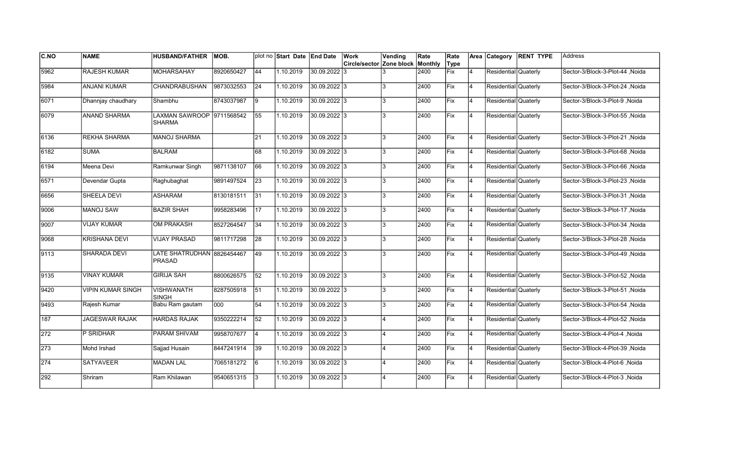| C.NO  | <b>NAME</b>              | <b>HUSBAND/FATHER</b>                | <b>MOB.</b> |                 | plot no Start Date End Date |              | Work <br>Circle/sector Zone block Monthly | Vending | Rate | Rate<br>Type |                | Area Category        | <b>RENT TYPE</b> | <b>Address</b>                  |
|-------|--------------------------|--------------------------------------|-------------|-----------------|-----------------------------|--------------|-------------------------------------------|---------|------|--------------|----------------|----------------------|------------------|---------------------------------|
| 5962  | <b>RAJESH KUMAR</b>      | <b>MOHARSAHAY</b>                    | 8920650427  | 44              | 1.10.2019                   | 30.09.2022 3 |                                           |         | 2400 | Fix          | 14             | Residential Quaterly |                  | Sector-3/Block-3-Plot-44, Noida |
| 5984  | <b>ANJANI KUMAR</b>      | <b>CHANDRABUSHAN</b>                 | 9873032553  | 24              | 1.10.2019                   | 30.09.2022 3 |                                           | 3       | 2400 | Fix          | 14             | Residential Quaterly |                  | Sector-3/Block-3-Plot-24, Noida |
| 6071  | Dhannjay chaudhary       | Shambhu                              | 8743037987  | 9               | 1.10.2019                   | 30.09.2022 3 |                                           | 3       | 2400 | Fix          | 4              | Residential Quaterly |                  | Sector-3/Block-3-Plot-9, Noida  |
| 6079  | <b>ANAND SHARMA</b>      | LAXMAN SAWROOP 9711568542<br>SHARMA  |             | 55              | 1.10.2019                   | 30.09.2022 3 |                                           | 3       | 2400 | Fix          | 4              | Residential Quaterly |                  | Sector-3/Block-3-Plot-55, Noida |
| 6136  | REKHA SHARMA             | <b>MANOJ SHARMA</b>                  |             | 21              | 1.10.2019                   | 30.09.2022 3 |                                           | 3       | 2400 | Fix          | 14             | Residential Quaterly |                  | Sector-3/Block-3-Plot-21, Noida |
| 6182  | SUMA                     | <b>BALRAM</b>                        |             | 68              | 1.10.2019                   | 30.09.2022 3 |                                           | 3       | 2400 | Fix          | 14             | Residential Quaterly |                  | Sector-3/Block-3-Plot-68, Noida |
| 6194  | Meena Devi               | Ramkunwar Singh                      | 9871138107  | 66              | 1.10.2019                   | 30.09.2022 3 |                                           | 3       | 2400 | Fix          | 4              | Residential Quaterly |                  | Sector-3/Block-3-Plot-66, Noida |
| 6571  | Devendar Gupta           | Raghubaghat                          | 9891497524  | 23              | 1.10.2019                   | 30.09.2022 3 |                                           | 3       | 2400 | Fix          | 14             | Residential Quaterly |                  | Sector-3/Block-3-Plot-23, Noida |
| 6656  | SHEELA DEVI              | <b>ASHARAM</b>                       | 8130181511  | 31              | 1.10.2019                   | 30.09.2022 3 |                                           | 3       | 2400 | Fix          | 14             | Residential Quaterly |                  | Sector-3/Block-3-Plot-31, Noida |
| 19006 | <b>MANOJ SAW</b>         | <b>BAZIR SHAH</b>                    | 9958283496  | $\overline{17}$ | 1.10.2019                   | 30.09.2022 3 |                                           | 3       | 2400 | Fix          | <b>4</b>       | Residential Quaterly |                  | Noida Sector-3/Block-3-Plot-17  |
| 9007  | <b>VIJAY KUMAR</b>       | <b>OM PRAKASH</b>                    | 8527264547  | 34              | 1.10.2019                   | 30.09.2022 3 |                                           | 3       | 2400 | Fix          | $\overline{4}$ | Residential Quaterly |                  | Sector-3/Block-3-Plot-34, Noida |
| 9068  | <b>KRISHANA DEVI</b>     | <b>VIJAY PRASAD</b>                  | 9811717298  | 28              | 1.10.2019                   | 30.09.2022 3 |                                           | 3       | 2400 | Fix          | $\overline{4}$ | Residential Quaterly |                  | Sector-3/Block-3-Plot-28, Noida |
| 9113  | SHARADA DEVI             | LATE SHATRUDHAN 8826454467<br>PRASAD |             | 49              | 1.10.2019                   | 30.09.2022 3 |                                           | 3       | 2400 | Fix          | 4              | Residential Quaterly |                  | Sector-3/Block-3-Plot-49, Noida |
| 9135  | <b>VINAY KUMAR</b>       | <b>GIRIJA SAH</b>                    | 8800626575  | $\overline{52}$ | 1.10.2019                   | 30.09.2022 3 |                                           | 3       | 2400 | Fix          | 14             | Residential Quaterly |                  | Sector-3/Block-3-Plot-52, Noida |
| 9420  | <b>VIPIN KUMAR SINGH</b> | <b>VISHWANATH</b><br><b>SINGH</b>    | 8287505918  | 51              | 1.10.2019                   | 30.09.2022 3 |                                           | 3       | 2400 | Fix          | 14             | Residential Quaterly |                  | Sector-3/Block-3-Plot-51, Noida |
| 9493  | Rajesh Kumar             | Babu Ram gautam                      | 000         | 54              | 1.10.2019                   | 30.09.2022 3 |                                           | 3       | 2400 | Fix          | 14             | Residential Quaterly |                  | Sector-3/Block-3-Plot-54, Noida |
| 187   | <b>JAGESWAR RAJAK</b>    | <b>HARDAS RAJAK</b>                  | 9350222214  | 52              | 1.10.2019                   | 30.09.2022 3 |                                           |         | 2400 | Fix          | $\overline{4}$ | Residential Quaterly |                  | Sector-3/Block-4-Plot-52, Noida |
| 272   | P SRIDHAR                | <b>PARAM SHIVAM</b>                  | 9958707677  | 4               | 1.10.2019                   | 30.09.2022 3 |                                           |         | 2400 | Fix          | $\overline{4}$ | Residential Quaterly |                  | Sector-3/Block-4-Plot-4, Noida  |
| 273   | Mohd Irshad              | Sajjad Husain                        | 8447241914  | 39              | 1.10.2019                   | 30.09.2022 3 |                                           |         | 2400 | Fix          | 4              | Residential Quaterly |                  | Sector-3/Block-4-Plot-39, Noida |
| 274   | <b>SATYAVEER</b>         | <b>MADAN LAL</b>                     | 7065181272  | 6               | 1.10.2019                   | 30.09.2022 3 |                                           |         | 2400 | Fix          | 14             | Residential Quaterly |                  | Sector-3/Block-4-Plot-6, Noida  |
| 292   | Shriram                  | Ram Khilawan                         | 9540651315  | l3              | 1.10.2019                   | 30.09.2022 3 |                                           |         | 2400 | Fix          | $\overline{4}$ | Residential Quaterly |                  | Sector-3/Block-4-Plot-3, Noida  |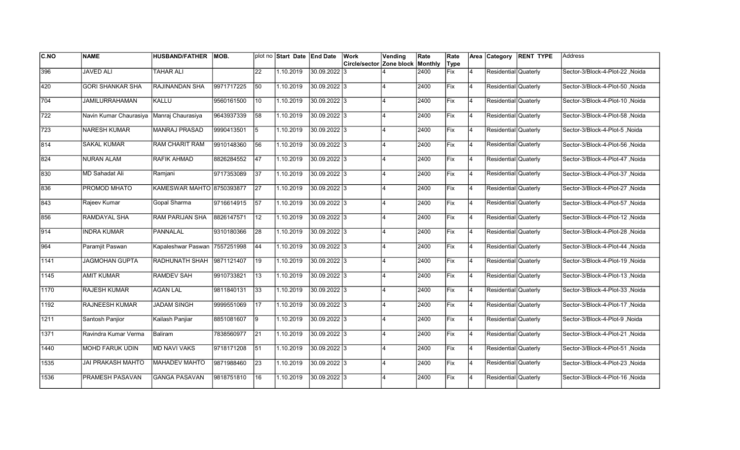| C.NO          | <b>NAME</b>              | <b>HUSBAND/FATHER</b>         | MOB.       |                 | plot no Start Date End Date |                | <b>Work</b>                      | Vending | Rate | Rate |                |                      | Area Category RENT TYPE | lAddress                        |
|---------------|--------------------------|-------------------------------|------------|-----------------|-----------------------------|----------------|----------------------------------|---------|------|------|----------------|----------------------|-------------------------|---------------------------------|
|               |                          |                               |            |                 |                             |                | Circle/sector Zone block Monthly |         |      | Type |                |                      |                         |                                 |
| 396           | <b>JAVED ALI</b>         | <b>TAHAR ALI</b>              |            | 22              | 1.10.2019                   | 30.09.2022 3   |                                  |         | 2400 | Fix  | $\overline{4}$ | Residential Quaterly |                         | Sector-3/Block-4-Plot-22, Noida |
| 420           | <b>GORI SHANKAR SHA</b>  | <b>RAJINANDAN SHA</b>         | 9971717225 | 50              | 1.10.2019                   | 30.09.2022 3   |                                  |         | 2400 | Fix  | 14             | Residential Quaterly |                         | Sector-3/Block-4-Plot-50, Noida |
| 704           | <b>JAMILURRAHAMAN</b>    | KALLU                         | 9560161500 | 10              | 1.10.2019                   | 30.09.2022 3   |                                  |         | 2400 | Fix  | 14             | Residential Quaterly |                         | Sector-3/Block-4-Plot-10, Noida |
| 722           | Navin Kumar Chaurasiya   | Manraj Chaurasiya             | 9643937339 | 58              | 1.10.2019                   | $30.09.2022$ 3 |                                  |         | 2400 | Fix  | 14             | Residential Quaterly |                         | Sector-3/Block-4-Plot-58, Noida |
| 723           | <b>NARESH KUMAR</b>      | <b>MANRAJ PRASAD</b>          | 9990413501 | 5               | 1.10.2019                   | 30.09.2022 3   |                                  |         | 2400 | Fix  | 4              | Residential Quaterly |                         | Sector-3/Block-4-Plot-5, Noida  |
| $\sqrt{814}$  | <b>SAKAL KUMAR</b>       | <b>RAM CHARIT RAM</b>         | 9910148360 | 56              | 1.10.2019                   | 30.09.2022 3   |                                  |         | 2400 | Fix  | $\overline{4}$ | Residential Quaterly |                         | Sector-3/Block-4-Plot-56, Noida |
| 824           | <b>NURAN ALAM</b>        | RAFIK AHMAD                   | 8826284552 | 47              | 1.10.2019                   | 30.09.2022 3   |                                  |         | 2400 | Fix  | 4              | Residential Quaterly |                         | Sector-3/Block-4-Plot-47, Noida |
| 830           | <b>MD Sahadat Ali</b>    | Ramjani                       | 9717353089 | 37              | 1.10.2019                   | 30.09.2022 3   |                                  |         | 2400 | Fix  | 14             | Residential Quaterly |                         | Sector-3/Block-4-Plot-37 ,Noida |
| 836           | PROMOD MHATO             | KAMESWAR MAHTO 8750393877     |            | 27              | 1.10.2019                   | 30.09.2022 3   |                                  |         | 2400 | Fix  | 14             | Residential Quaterly |                         | Sector-3/Block-4-Plot-27, Noida |
| 843           | Rajeev Kumar             | Gopal Sharma                  | 9716614915 | 57              | 1.10.2019                   | 30.09.2022 3   |                                  |         | 2400 | Fix  | 4              | Residential Quaterly |                         | Sector-3/Block-4-Plot-57, Noida |
| 856           | <b>RAMDAYAL SHA</b>      | <b>RAM PARIJAN SHA</b>        | 8826147571 | 12              | 1.10.2019                   | 30.09.2022 3   |                                  |         | 2400 | Fix  | 4              | Residential Quaterly |                         | Sector-3/Block-4-Plot-12, Noida |
| 914           | <b>INDRA KUMAR</b>       | PANNALAL                      | 9310180366 | 28              | 1.10.2019                   | 30.09.2022 3   |                                  |         | 2400 | Fix  | 14             | Residential Quaterly |                         | Sector-3/Block-4-Plot-28, Noida |
| 964           | Paramjit Paswan          | Kapaleshwar Paswan 7557251998 |            | 44              | 1.10.2019                   | 30.09.2022 3   |                                  |         | 2400 | Fix  | 14             | Residential Quaterly |                         | Sector-3/Block-4-Plot-44, Noida |
| 1141          | <b>JAGMOHAN GUPTA</b>    | RADHUNATH SHAH                | 9871121407 | 19              | 1.10.2019                   | 30.09.2022 3   |                                  |         | 2400 | Fix  | $\overline{4}$ | Residential Quaterly |                         | Sector-3/Block-4-Plot-19, Noida |
| 1145          | <b>AMIT KUMAR</b>        | <b>RAMDEV SAH</b>             | 9910733821 | $\overline{13}$ | 1.10.2019                   | 30.09.2022 3   |                                  |         | 2400 | Fix  | 4              | Residential Quaterly |                         | Sector-3/Block-4-Plot-13, Noida |
| $\sqrt{1170}$ | <b>RAJESH KUMAR</b>      | <b>AGAN LAL</b>               | 9811840131 | 33              | 1.10.2019                   | 30.09.2022 3   |                                  |         | 2400 | Fix  | 14             | Residential Quaterly |                         | Noida Sector-3/Block-4-Plot-33  |
| 1192          | <b>RAJNEESH KUMAR</b>    | <b>JADAM SINGH</b>            | 9999551069 | 17              | 1.10.2019                   | 30.09.2022 3   |                                  |         | 2400 | Fix  | 14             | Residential Quaterly |                         | Noida Sector-3/Block-4-Plot-17  |
| 1211          | Santosh Panjior          | Kailash Panjiar               | 8851081607 | 19              | 1.10.2019                   | 30.09.2022 3   |                                  |         | 2400 | Fix  | 4              | Residential Quaterly |                         | Sector-3/Block-4-Plot-9, Noida  |
| 1371          | Ravindra Kumar Verma     | Baliram                       | 7838560977 | 21              | 1.10.2019                   | 30.09.2022 3   |                                  |         | 2400 | Fix  | 14             | Residential Quaterly |                         | Sector-3/Block-4-Plot-21, Noida |
| 1440          | <b>MOHD FARUK UDIN</b>   | <b>MD NAVI VAKS</b>           | 9718171208 | 51              | 1.10.2019                   | 30.09.2022 3   |                                  |         | 2400 | Fix  | 4              | Residential Quaterly |                         | Sector-3/Block-4-Plot-51, Noida |
| 1535          | <b>JAI PRAKASH MAHTO</b> | <b>MAHADEV MAHTO</b>          | 9871988460 | $\overline{23}$ | 1.10.2019                   | 30.09.2022 3   |                                  |         | 2400 | Fix  | 14             | Residential Quaterly |                         | Sector-3/Block-4-Plot-23, Noida |
| 1536          | PRAMESH PASAVAN          | <b>GANGA PASAVAN</b>          | 9818751810 | 16              | 1.10.2019                   | 30.09.2022 3   |                                  |         | 2400 | Fix  | 4              | Residential Quaterly |                         | Sector-3/Block-4-Plot-16, Noida |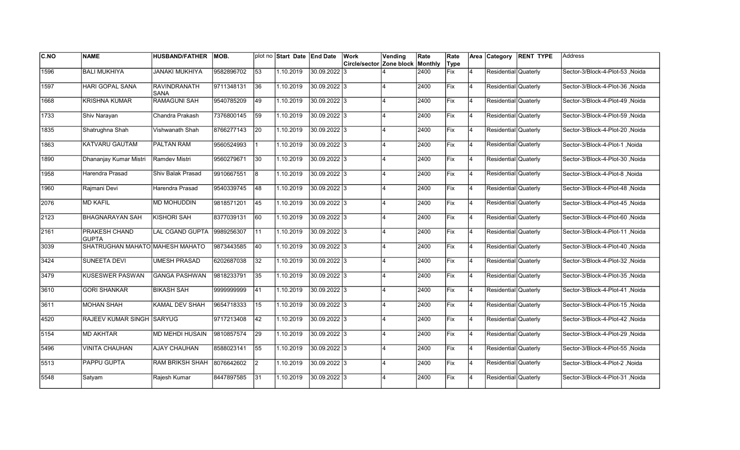| C.NO | <b>NAME</b>                          | <b>HUSBAND/FATHER</b>  | MOB.       |                 | plot no Start Date End Date |                | Work                     | Vending                 | Rate    | Rate |                | Area Category        | <b>RENT TYPE</b> | Address                         |
|------|--------------------------------------|------------------------|------------|-----------------|-----------------------------|----------------|--------------------------|-------------------------|---------|------|----------------|----------------------|------------------|---------------------------------|
|      |                                      |                        |            |                 |                             |                | Circle/sector Zone block |                         | Monthly | Type |                |                      |                  |                                 |
| 1596 | <b>BALI MUKHIYA</b>                  | <b>JANAKI MUKHIYA</b>  | 9582896702 | 53              | 1.10.2019                   | 30.09.2022 3   |                          |                         | 2400    | Fix  | $\overline{4}$ | Residential Quaterly |                  | Sector-3/Block-4-Plot-53, Noida |
| 1597 | <b>HARI GOPAL SANA</b>               | RAVINDRANATH<br>SANA   | 9711348131 | 36              | 1.10.2019                   | 30.09.2022 3   |                          |                         | 2400    | Fix  | 4              | Residential Quaterly |                  | Sector-3/Block-4-Plot-36, Noida |
| 1668 | <b>KRISHNA KUMAR</b>                 | <b>RAMAGUNI SAH</b>    | 9540785209 | 49              | 1.10.2019                   | 30.09.2022 3   |                          |                         | 2400    | Fix  | <b>4</b>       | Residential Quaterly |                  | Sector-3/Block-4-Plot-49, Noida |
| 1733 | Shiv Narayan                         | Chandra Prakash        | 7376800145 | 59              | 1.10.2019                   | $30.09.2022$ 3 |                          |                         | 2400    | Fix  | $\overline{4}$ | Residential Quaterly |                  | Sector-3/Block-4-Plot-59, Noida |
| 1835 | Shatrughna Shah                      | Vishwanath Shah        | 8766277143 | 20              | 1.10.2019                   | $30.09.2022$ 3 |                          | 4                       | 2400    | Fix  | 4              | Residential Quaterly |                  | Sector-3/Block-4-Plot-20, Noida |
| 1863 | KATVARU GAUTAM                       | <b>PALTAN RAM</b>      | 9560524993 |                 | 1.10.2019                   | $30.09.2022$ 3 |                          |                         | 2400    | Fix  | $\overline{4}$ | Residential Quaterly |                  | Sector-3/Block-4-Plot-1, Noida  |
| 1890 | Dhananjay Kumar Mistri               | Ramdev Mistri          | 9560279671 | 30              | 1.10.2019                   | $30.09.2022$ 3 |                          |                         | 2400    | Fix  | 4              | Residential Quaterly |                  | Sector-3/Block-4-Plot-30, Noida |
| 1958 | Harendra Prasad                      | Shiv Balak Prasad      | 9910667551 | 8               | 1.10.2019                   | 30.09.2022 3   |                          |                         | 2400    | Fix  | 4              | Residential Quaterly |                  | Sector-3/Block-4-Plot-8, Noida  |
| 1960 | Rajmani Devi                         | Harendra Prasad        | 9540339745 | 48              | 1.10.2019                   | 30.09.2022 3   |                          |                         | 2400    | Fix  | $\overline{4}$ | Residential Quaterly |                  | Sector-3/Block-4-Plot-48, Noida |
| 2076 | <b>MD KAFIL</b>                      | <b>MD MOHUDDIN</b>     | 9818571201 | 45              | 1.10.2019                   | 30.09.2022 3   |                          |                         | 2400    | Fix  | $\overline{4}$ | Residential Quaterly |                  | Sector-3/Block-4-Plot-45, Noida |
| 2123 | <b>BHAGNARAYAN SAH</b>               | <b>KISHORI SAH</b>     | 8377039131 | 60              | 1.10.2019                   | 30.09.2022 3   |                          |                         | 2400    | Fix  | $\overline{4}$ | Residential Quaterly |                  | Sector-3/Block-4-Plot-60, Noida |
| 2161 | <b>PRAKESH CHAND</b><br><b>GUPTA</b> | <b>LAL CGAND GUPTA</b> | 9989256307 | 11              | 1.10.2019                   | 30.09.2022 3   |                          | $\Delta$                | 2400    | Fix  | 4              | Residential Quaterly |                  | Sector-3/Block-4-Plot-11, Noida |
| 3039 | SHATRUGHAN MAHATO MAHESH MAHATO      |                        | 9873443585 | 40              | 1.10.2019                   | 30.09.2022 3   |                          | $\overline{4}$          | 2400    | Fix  | 4              | Residential Quaterly |                  | Sector-3/Block-4-Plot-40, Noida |
| 3424 | <b>SUNEETA DEVI</b>                  | <b>UMESH PRASAD</b>    | 6202687038 | 32              | 1.10.2019                   | $30.09.2022$ 3 |                          |                         | 2400    | Fix  | $\overline{4}$ | Residential Quaterly |                  | Sector-3/Block-4-Plot-32, Noida |
| 3479 | <b>KUSESWER PASWAN</b>               | <b>GANGA PASHWAN</b>   | 9818233791 | $\overline{35}$ | 1.10.2019                   | $30.09.2022$ 3 |                          |                         | 2400    | Fix  | 4              | Residential Quaterly |                  | Sector-3/Block-4-Plot-35, Noida |
| 3610 | <b>GORI SHANKAR</b>                  | <b>BIKASH SAH</b>      | 999999999  | 41              | 1.10.2019                   | 30.09.2022 3   |                          | $\overline{4}$          | 2400    | Fix  | <b>4</b>       | Residential Quaterly |                  | Sector-3/Block-4-Plot-41, Noida |
| 3611 | <b>MOHAN SHAH</b>                    | KAMAL DEV SHAH         | 9654718333 | 15              | 1.10.2019                   | 30.09.2022 3   |                          | 4                       | 2400    | Fix  | 4              | Residential Quaterly |                  | Sector-3/Block-4-Plot-15, Noida |
| 4520 | RAJEEV KUMAR SINGH SARYUG            |                        | 9717213408 | 42              | 1.10.2019                   | 30.09.2022 3   |                          |                         | 2400    | Fix  | 4              | Residential Quaterly |                  | Sector-3/Block-4-Plot-42 ,Noida |
| 5154 | <b>MD AKHTAR</b>                     | <b>MD MEHDI HUSAIN</b> | 9810857574 | $\overline{29}$ | 1.10.2019                   | 30.09.2022 3   |                          |                         | 2400    | Fix  | 4              | Residential Quaterly |                  | Sector-3/Block-4-Plot-29, Noida |
| 5496 | <b>VINITA CHAUHAN</b>                | <b>AJAY CHAUHAN</b>    | 8588023141 | 55              | 1.10.2019                   | 30.09.2022 3   |                          |                         | 2400    | Fix  | $\overline{4}$ | Residential Quaterly |                  | Sector-3/Block-4-Plot-55, Noida |
| 5513 | <b>PAPPU GUPTA</b>                   | <b>RAM BRIKSH SHAH</b> | 8076642602 | $\overline{2}$  | 1.10.2019                   | 30.09.2022 3   |                          | $\overline{\mathbf{A}}$ | 2400    | Fix  | 4              | Residential Quaterly |                  | Sector-3/Block-4-Plot-2, Noida  |
| 5548 | Satyam                               | Rajesh Kumar           | 8447897585 | 31              | 1.10.2019                   | 30.09.2022 3   |                          |                         | 2400    | Fix  | 4              | Residential Quaterly |                  | Sector-3/Block-4-Plot-31, Noida |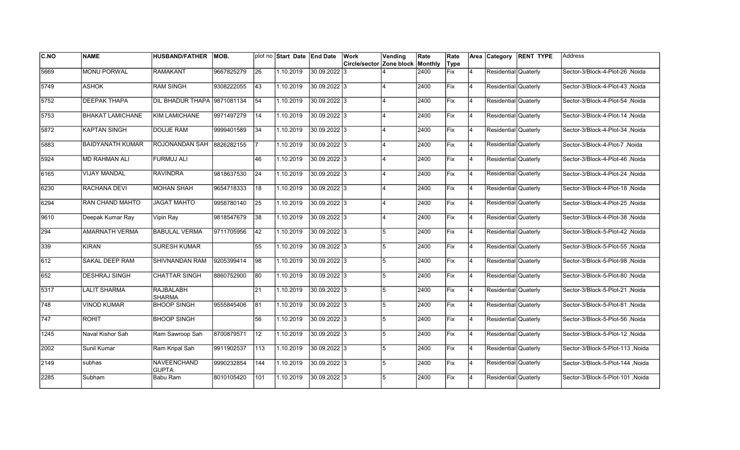| <b>C.NO</b> | <b>NAME</b>             | <b>HUSBAND/FATHER</b>              | IMOB.      |                 | plot no Start Date End Date |                | Work                                    | Vending | Rate | Rate |                | Area Category        | <b>RENT TYPE</b> | lAddress                         |
|-------------|-------------------------|------------------------------------|------------|-----------------|-----------------------------|----------------|-----------------------------------------|---------|------|------|----------------|----------------------|------------------|----------------------------------|
|             |                         |                                    |            |                 |                             |                | <b>Circle/sector Zone block Monthly</b> |         |      | Type |                |                      |                  |                                  |
| 5669        | <b>MONU PORWAL</b>      | <b>RAMAKANT</b>                    | 9667825279 | 26              | 1.10.2019                   | 30.09.2022 3   |                                         |         | 2400 | Fix  | $\overline{4}$ | Residential Quaterly |                  | Sector-3/Block-4-Plot-26, Noida  |
| 5749        | <b>ASHOK</b>            | <b>RAM SINGH</b>                   | 9308222055 | 43              | 1.10.2019                   | 30.09.2022 3   |                                         |         | 2400 | Fix  | 14             | Residential Quaterly |                  | Sector-3/Block-4-Plot-43, Noida  |
| 5752        | <b>DEEPAK THAPA</b>     | DIL BHADUR THAPA 9871081134        |            | $\overline{54}$ | 1.10.2019                   | 30.09.2022 3   |                                         |         | 2400 | Fix  | 14             | Residential Quaterly |                  | Sector-3/Block-4-Plot-54, Noida  |
| 5753        | <b>BHAKAT LAMICHANE</b> | KIM LAMICHANE                      | 9971497279 | 14              | 1.10.2019                   | 30.09.2022 3   |                                         |         | 2400 | Fix  | 14             | Residential Quaterly |                  | Sector-3/Block-4-Plot-14, Noida  |
| 5872        | <b>KAPTAN SINGH</b>     | <b>DOUJE RAM</b>                   | 9999401589 | 34              | 1.10.2019                   | 30.09.2022 3   |                                         |         | 2400 | Fix  | 4              | Residential Quaterly |                  | Sector-3/Block-4-Plot-34, Noida  |
| 5883        | <b>BAIDYANATH KUMAR</b> | ROJONANDAN SAH                     | 8826282155 |                 | 1.10.2019                   | 30.09.2022 3   |                                         |         | 2400 | Fix  | $\overline{4}$ | Residential Quaterly |                  | Sector-3/Block-4-Plot-7, Noida   |
| 5924        | <b>MD RAHMAN ALI</b>    | <b>FURMUJ ALI</b>                  |            | 46              | 1.10.2019                   | 30.09.2022 3   |                                         |         | 2400 | Fix  | 14             | Residential Quaterly |                  | Sector-3/Block-4-Plot-46, Noida  |
| 6165        | <b>VIJAY MANDAL</b>     | <b>RAVINDRA</b>                    | 9818637530 | 24              | 1.10.2019                   | 30.09.2022 3   |                                         |         | 2400 | Fix  | 14             | Residential Quaterly |                  | Sector-3/Block-4-Plot-24, Noida  |
| 6230        | RACHANA DEVI            | <b>MOHAN SHAH</b>                  | 9654718333 | 18              | 1.10.2019                   | 30.09.2022 3   |                                         |         | 2400 | Fix  | 14             | Residential Quaterly |                  | Sector-3/Block-4-Plot-18, Noida  |
| 6294        | <b>RAN CHAND MAHTO</b>  | <b>JAGAT MAHTO</b>                 | 9958780140 | 25              | 1.10.2019                   | 30.09.2022 3   |                                         |         | 2400 | Fix  | 14             | Residential Quaterly |                  | Sector-3/Block-4-Plot-25, Noida  |
| 9610        | Deepak Kumar Ray        | Vipin Ray                          | 9818547679 | 38              | 1.10.2019                   | 30.09.2022 3   |                                         |         | 2400 | Fix  | 4              | Residential Quaterly |                  | Sector-3/Block-4-Plot-38, Noida  |
| 294         | <b>AMARNATH VERMA</b>   | <b>BABULAL VERMA</b>               | 9711705956 | 42              | 1.10.2019                   | 30.09.2022 3   |                                         | 5       | 2400 | Fix  | 14             | Residential Quaterly |                  | Sector-3/Block-5-Plot-42, Noida  |
| 339         | <b>KIRAN</b>            | <b>SURESH KUMAR</b>                |            | 55              | 1.10.2019                   | 30.09.2022 3   |                                         | 5       | 2400 | Fix  | 14             | Residential Quaterly |                  | Sector-3/Block-5-Plot-55, Noida  |
| 612         | <b>SAKAL DEEP RAM</b>   | <b>SHIVNANDAN RAM</b>              | 9205399414 | 98              | 1.10.2019                   | 30.09.2022 3   |                                         | 5       | 2400 | Fix  | $\overline{4}$ | Residential Quaterly |                  | Sector-3/Block-5-Plot-98, Noida  |
| 652         | <b>DESHRAJ SINGH</b>    | <b>CHATTAR SINGH</b>               | 8860752900 | 80              | 1.10.2019                   | 30.09.2022 3   |                                         | 5       | 2400 | Fix  | 4              | Residential Quaterly |                  | Sector-3/Block-5-Plot-80, Noida  |
| 5317        | <b>LALIT SHARMA</b>     | <b>RAJBALABH</b><br><b>SHARMA</b>  |            | 21              | 1.10.2019                   | 30.09.2022 3   |                                         | 5       | 2400 | Fix  | 14             | Residential Quaterly |                  | Sector-3/Block-5-Plot-21, Noida  |
| 748         | <b>VINOD KUMAR</b>      | <b>BHOOP SINGH</b>                 | 9555845406 | 81              | 1.10.2019                   | 30.09.2022 3   |                                         | 5       | 2400 | Fix  | 14             | Residential Quaterly |                  | Noida Sector-3/Block-5-Plot-81   |
| 747         | ROHIT                   | <b>BHOOP SINGH</b>                 |            | 56              | 1.10.2019                   | 30.09.2022 3   |                                         | 5       | 2400 | Fix  | $\overline{4}$ | Residential Quaterly |                  | Sector-3/Block-5-Plot-56, Noida  |
| 1245        | Naval Kishor Sah        | Ram Sawroop Sah                    | 8700879571 | 12              | 1.10.2019                   | 30.09.2022 3   |                                         | 5       | 2400 | Fix  | $\overline{4}$ | Residential Quaterly |                  | Sector-3/Block-5-Plot-12, Noida  |
| 2002        | Sunil Kumar             | Ram Kripal Sah                     | 9911902537 | 113             | 1.10.2019                   | 30.09.2022 3   |                                         | 5       | 2400 | Fix  | 4              | Residential Quaterly |                  | Sector-3/Block-5-Plot-113, Noida |
| 2149        | subhas                  | <b>NAVEENCHAND</b><br><b>GUPTA</b> | 9990232854 | 144             | 1.10.2019                   | $30.09.2022$ 3 |                                         | 5       | 2400 | Fix  | 14             | Residential Quaterly |                  | Sector-3/Block-5-Plot-144, Noida |
| 2285        | Subham                  | Babu Ram                           | 8010105420 | 101             | 1.10.2019                   | 30.09.2022 3   |                                         | 5       | 2400 | Fix  | $\overline{4}$ | Residential Quaterly |                  | Sector-3/Block-5-Plot-101, Noida |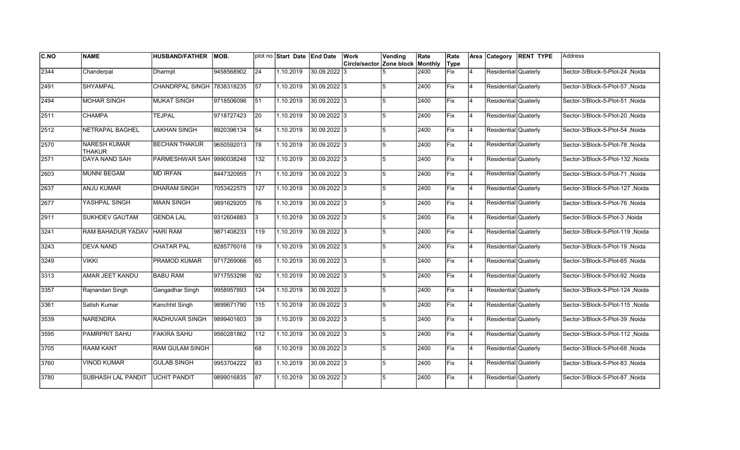| <b>C.NO</b>   | <b>NAME</b>                          | <b>HUSBAND/FATHER</b>      | MOB.       |                 | plot no Start Date End Date |                | Work                             | Vending | Rate | Rate |                |                      | Area Category RENT TYPE | lAddress                         |
|---------------|--------------------------------------|----------------------------|------------|-----------------|-----------------------------|----------------|----------------------------------|---------|------|------|----------------|----------------------|-------------------------|----------------------------------|
|               |                                      |                            |            |                 |                             |                | Circle/sector Zone block Monthly |         |      | Type |                |                      |                         |                                  |
| 2344          | Chanderpal                           | Dharmjit                   | 9458568902 | 24              | 1.10.2019                   | 30.09.2022 3   |                                  |         | 2400 | Fix  | $\overline{4}$ | Residential Quaterly |                         | Sector-3/Block-5-Plot-24, Noida  |
| 2491          | <b>SHYAMPAL</b>                      | CHANDRPAL SINGH 7838318235 |            | $\overline{57}$ | 1.10.2019                   | 30.09.2022 3   |                                  |         | 2400 | Fix  | 14             | Residential Quaterly |                         | Sector-3/Block-5-Plot-57, Noida  |
| 2494          | <b>MOHAR SINGH</b>                   | <b>MUKAT SINGH</b>         | 9718506096 | $\overline{51}$ | 1.10.2019                   | 30.09.2022 3   |                                  | 5       | 2400 | Fix  | 14             | Residential Quaterly |                         | Sector-3/Block-5-Plot-51, Noida  |
| $\sqrt{2511}$ | <b>CHAMPA</b>                        | <b>TEJPAL</b>              | 9718727423 | $\overline{20}$ | 1.10.2019                   | 30.09.2022 3   |                                  | 5       | 2400 | Fix  | 14             | Residential Quaterly |                         | Sector-3/Block-5-Plot-20, Noida  |
| $\sqrt{2512}$ | <b>NETRAPAL BAGHEL</b>               | <b>LAKHAN SINGH</b>        | 8920396134 | 54              | 1.10.2019                   | 30.09.2022 3   |                                  | 5       | 2400 | Fix  | 4              | Residential Quaterly |                         | Sector-3/Block-5-Plot-54, Noida  |
| 2570          | <b>NARESH KUMAR</b><br><b>THAKUR</b> | <b>BECHAN THAKUR</b>       | 9650592013 | 78              | 1.10.2019                   | 30.09.2022 3   |                                  | 5       | 2400 | Fix  | $\overline{4}$ | Residential Quaterly |                         | Sector-3/Block-5-Plot-78, Noida  |
| 2571          | DAYA NAND SAH                        | PARMESHWAR SAH 9990038248  |            | 132             | 1.10.2019                   | 30.09.2022 3   |                                  | 5       | 2400 | Fix  | 4              | Residential Quaterly |                         | Sector-3/Block-5-Plot-132 ,Noida |
| 2603          | <b>MUNNI BEGAM</b>                   | <b>MD IRFAN</b>            | 8447320955 | 71              | 1.10.2019                   | 30.09.2022 3   |                                  | 5       | 2400 | Fix  | 14             | Residential Quaterly |                         | Sector-3/Block-5-Plot-71 ,Noida  |
| 2637          | ANJU KUMAR                           | <b>DHARAM SINGH</b>        | 7053422575 | 127             | 1.10.2019                   | 30.09.2022 3   |                                  | 5       | 2400 | Fix  | 14             | Residential Quaterly |                         | Sector-3/Block-5-Plot-127, Noida |
| 2677          | YASHPAL SINGH                        | <b>MAAN SINGH</b>          | 9891629205 | 176             | 1.10.2019                   | 30.09.2022 3   |                                  | 5       | 2400 | Fix  | 14             | Residential Quaterly |                         | Sector-3/Block-5-Plot-76, Noida  |
| 2911          | <b>SUKHDEV GAUTAM</b>                | <b>GENDA LAL</b>           | 9312604883 | l3              | 1.10.2019                   | 30.09.2022 3   |                                  | 5       | 2400 | Fix  | 4              | Residential Quaterly |                         | Sector-3/Block-5-Plot-3, Noida   |
| 3241          | RAM BAHADUR YADAV   HARI RAM         |                            | 9871408233 | 119             | 1.10.2019                   | 30.09.2022 3   |                                  | 5       | 2400 | Fix  | 14             | Residential Quaterly |                         | Sector-3/Block-5-Plot-119, Noida |
| 3243          | <b>DEVA NAND</b>                     | <b>CHATAR PAL</b>          | 8285776016 | 19              | 1.10.2019                   | 30.09.2022 3   |                                  | 5       | 2400 | Fix  | 14             | Residential Quaterly |                         | Sector-3/Block-5-Plot-19, Noida  |
| 3249          | <b>VIKKI</b>                         | <b>PRAMOD KUMAR</b>        | 9717269066 | 65              | 1.10.2019                   | 30.09.2022 3   |                                  | 5       | 2400 | Fix  | $\overline{4}$ | Residential Quaterly |                         | Sector-3/Block-5-Plot-65, Noida  |
| 3313          | <b>AMAR JEET KANDU</b>               | <b>BABU RAM</b>            | 9717553296 | $\overline{92}$ | 1.10.2019                   | 30.09.2022 3   |                                  | 5       | 2400 | Fix  | 4              | Residential Quaterly |                         | Sector-3/Block-5-Plot-92, Noida  |
| 3357          | Rajnandan Singh                      | Gangadhar Singh            | 9958957893 | 124             | 1.10.2019                   | 30.09.2022 3   |                                  | 5       | 2400 | Fix  | 14             | Residential Quaterly |                         | Noida -S/Block-5-Plot-124 Noida  |
| 3361          | Satish Kumar                         | Kanchhit Singh             | 9899671790 | 115             | 1.10.2019                   | 30.09.2022 3   |                                  | 5       | 2400 | Fix  | 14             | Residential Quaterly |                         | Sector-3/Block-5-Plot-115 ,Noida |
| 3539          | <b>NARENDRA</b>                      | RADHUVAR SINGH             | 9899401603 | 39              | 1.10.2019                   | $30.09.2022$ 3 |                                  | 5       | 2400 | Fix  | $\overline{4}$ | Residential Quaterly |                         | Sector-3/Block-5-Plot-39, Noida  |
| 3595          | <b>PAMRPRIT SAHU</b>                 | <b>FAKIRA SAHU</b>         | 9560281862 | 112             | 1.10.2019                   | 30.09.2022 3   |                                  | 5       | 2400 | Fix  | $\overline{4}$ | Residential Quaterly |                         | Sector-3/Block-5-Plot-112, Noida |
| 3705          | <b>RAAM KANT</b>                     | <b>RAM GULAM SINGH</b>     |            | 68              | 1.10.2019                   | 30.09.2022 3   |                                  | 5       | 2400 | Fix  | 4              | Residential Quaterly |                         | Sector-3/Block-5-Plot-68, Noida  |
| 3760          | <b>VINOD KUMAR</b>                   | <b>GULAB SINGH</b>         | 9953704222 | $\overline{83}$ | 1.10.2019                   | 30.09.2022 3   |                                  | 5       | 2400 | Fix  | 14             | Residential Quaterly |                         | Sector-3/Block-5-Plot-83, Noida  |
| 3780          | <b>SUBHASH LAL PANDIT</b>            | <b>UCHIT PANDIT</b>        | 9899016835 | 87              | 1.10.2019                   | 30.09.2022 3   |                                  | 5       | 2400 | Fix  | $\overline{4}$ | Residential Quaterly |                         | Sector-3/Block-5-Plot-87, Noida  |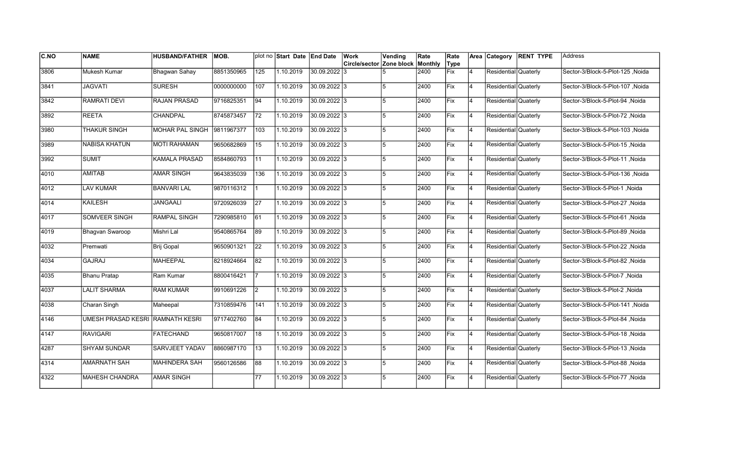| C.NO | <b>NAME</b>                      | <b>HUSBAND/FATHER</b>  | MOB.       |                 | plot no Start Date End Date |                | <b>Work</b>              | Vending | Rate    | Rate       |                |                      | Area Category RENT TYPE | Address                          |
|------|----------------------------------|------------------------|------------|-----------------|-----------------------------|----------------|--------------------------|---------|---------|------------|----------------|----------------------|-------------------------|----------------------------------|
|      |                                  |                        |            |                 |                             |                | Circle/sector Zone block |         | Monthly | Type       |                |                      |                         |                                  |
| 3806 | Mukesh Kumar                     | Bhagwan Sahay          | 8851350965 | 125             | 1.10.2019                   | 30.09.2022 3   |                          |         | 2400    | <b>Fix</b> | $\overline{4}$ | Residential Quaterly |                         | Sector-3/Block-5-Plot-125, Noida |
| 3841 | <b>JAGVATI</b>                   | <b>SURESH</b>          | 0000000000 | 107             | 1.10.2019                   | 30.09.2022 3   |                          | 5       | 2400    | Fix        | $\overline{4}$ | Residential Quaterly |                         | Sector-3/Block-5-Plot-107 ,Noida |
| 3842 | <b>RAMRATI DEVI</b>              | <b>RAJAN PRASAD</b>    | 9716825351 | 94              | 1.10.2019                   | 30.09.2022 3   |                          | 5       | 2400    | Fix        | 4              | Residential Quaterly |                         | Sector-3/Block-5-Plot-94, Noida  |
| 3892 | <b>REETA</b>                     | CHANDPAL               | 8745873457 | $\overline{72}$ | 1.10.2019                   | 30.09.2022 3   |                          | 5       | 2400    | Fix        | 4              | Residential Quaterly |                         | Sector-3/Block-5-Plot-72, Noida  |
| 3980 | <b>THAKUR SINGH</b>              | <b>MOHAR PAL SINGH</b> | 9811967377 | 103             | 1.10.2019                   | 30.09.2022 3   |                          | 5       | 2400    | Fix        | $\overline{4}$ | Residential Quaterly |                         | Sector-3/Block-5-Plot-103, Noida |
| 3989 | <b>NABISA KHATUN</b>             | <b>MOTI RAHAMAN</b>    | 9650682869 | 15              | 1.10.2019                   | 30.09.2022 3   |                          | 5       | 2400    | Fix        | $\overline{4}$ | Residential Quaterly |                         | Sector-3/Block-5-Plot-15, Noida  |
| 3992 | <b>SUMIT</b>                     | <b>KAMALA PRASAD</b>   | 8584860793 | 11              | 1.10.2019                   | 30.09.2022 3   |                          | 5       | 2400    | Fix        | 4              | Residential Quaterly |                         | Sector-3/Block-5-Plot-11 , Noida |
| 4010 | AMITAB                           | <b>AMAR SINGH</b>      | 9643835039 | 136             | 1.10.2019                   | 30.09.2022 3   |                          | 5       | 2400    | Fix        | 4              | Residential Quaterly |                         | Sector-3/Block-5-Plot-136 ,Noida |
| 4012 | <b>LAV KUMAR</b>                 | <b>BANVARI LAL</b>     | 9870116312 |                 | 1.10.2019                   | 30.09.2022 3   |                          | 5       | 2400    | Fix        | $\overline{4}$ | Residential Quaterly |                         | Sector-3/Block-5-Plot-1, Noida   |
| 4014 | <b>KAILESH</b>                   | <b>JANGAALI</b>        | 9720926039 | 27              | 1.10.2019                   | 30.09.2022 3   |                          | 5       | 2400    | Fix        | $\overline{4}$ | Residential Quaterly |                         | Sector-3/Block-5-Plot-27, Noida  |
| 4017 | <b>SOMVEER SINGH</b>             | <b>RAMPAL SINGH</b>    | 7290985810 | 61              | 1.10.2019                   | 30.09.2022 3   |                          | 5       | 2400    | Fix        | 4              | Residential Quaterly |                         | Sector-3/Block-5-Plot-61, Noida  |
| 4019 | Bhagvan Swaroop                  | Mishri Lal             | 9540865764 | 89              | 1.10.2019                   | 30.09.2022 3   |                          | 5       | 2400    | Fix        | 4              | Residential Quaterly |                         | Sector-3/Block-5-Plot-89, Noida  |
| 4032 | Premwati                         | Brij Gopal             | 9650901321 | 22              | 1.10.2019                   | 30.09.2022 3   |                          | 15      | 2400    | Fix        | 4              | Residential Quaterly |                         | Sector-3/Block-5-Plot-22, Noida  |
| 4034 | <b>GAJRAJ</b>                    | <b>MAHEEPAL</b>        | 8218924664 | 82              | 1.10.2019                   | 30.09.2022 3   |                          | 5       | 2400    | Fix        | $\overline{4}$ | Residential Quaterly |                         | Sector-3/Block-5-Plot-82, Noida  |
| 4035 | <b>Bhanu Pratap</b>              | Ram Kumar              | 8800416421 |                 | 1.10.2019                   | 30.09.2022 3   |                          | 5       | 2400    | Fix        | 4              | Residential Quaterly |                         | Sector-3/Block-5-Plot-7, Noida   |
| 4037 | <b>LALIT SHARMA</b>              | <b>RAM KUMAR</b>       | 9910691226 | $\vert$ 2       | 1.10.2019                   | 30.09.2022 3   |                          | 5       | 2400    | Fix        | 4              | Residential Quaterly |                         | Sector-3/Block-5-Plot-2, Noida   |
| 4038 | Charan Singh                     | Maheepal               | 7310859476 | 141             | 1.10.2019                   | 30.09.2022 3   |                          | 5       | 2400    | Fix        | 4              | Residential Quaterly |                         | Sector-3/Block-5-Plot-141 ,Noida |
| 4146 | UMESH PRASAD KESRI RAMNATH KESRI |                        | 9717402760 | 84              | 1.10.2019                   | 30.09.2022 3   |                          | 5       | 2400    | Fix        | 4              | Residential Quaterly |                         | Sector-3/Block-5-Plot-84, Noida  |
| 4147 | <b>RAVIGARI</b>                  | <b>FATECHAND</b>       | 9650817007 | 18              | 1.10.2019                   | 30.09.2022 3   |                          | 5       | 2400    | Fix        | $\overline{4}$ | Residential Quaterly |                         | Sector-3/Block-5-Plot-18, Noida  |
| 4287 | <b>SHYAM SUNDAR</b>              | SARVJEET YADAV         | 8860987170 | 13              | 1.10.2019                   | 30.09.2022 3   |                          | 5       | 2400    | Fix        | 4              | Residential Quaterly |                         | Sector-3/Block-5-Plot-13, Noida  |
| 4314 | <b>AMARNATH SAH</b>              | <b>MAHINDERA SAH</b>   | 9560126586 | 88              | 1.10.2019                   | $30.09.2022$ 3 |                          | 5       | 2400    | Fix        | 4              | Residential Quaterly |                         | Sector-3/Block-5-Plot-88, Noida  |
| 4322 | <b>MAHESH CHANDRA</b>            | <b>AMAR SINGH</b>      |            | 77              | 1.10.2019                   | 30.09.2022 3   |                          | 5       | 2400    | Fix        | $\overline{4}$ | Residential Quaterly |                         | Sector-3/Block-5-Plot-77, Noida  |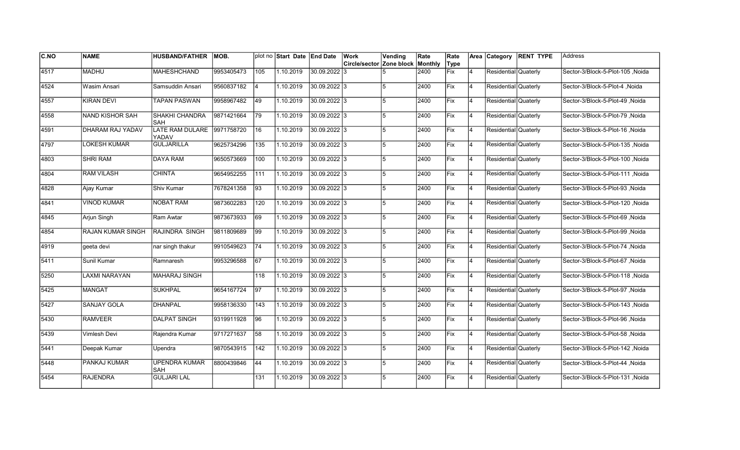| C.NO | <b>NAME</b>        | <b>HUSBAND/FATHER</b>              | MOB.       |                | plot no Start Date End Date |              | Work                     | Vending | Rate    | Rate        |                | Area Category        | <b>RENT TYPE</b> | Address                          |
|------|--------------------|------------------------------------|------------|----------------|-----------------------------|--------------|--------------------------|---------|---------|-------------|----------------|----------------------|------------------|----------------------------------|
|      |                    |                                    |            |                |                             |              | Circle/sector Zone block |         | Monthly | Type        |                |                      |                  |                                  |
| 4517 | <b>MADHU</b>       | <b>MAHESHCHAND</b>                 | 9953405473 | 105            | 1.10.2019                   | 30.09.2022 3 |                          |         | 2400    | <b>Fix</b>  | 4              | Residential Quaterly |                  | Sector-3/Block-5-Plot-105, Noida |
| 4524 | Wasim Ansari       | Samsuddin Ansari                   | 9560837182 | $\overline{4}$ | 1.10.2019                   | 30.09.2022 3 |                          | 5       | 2400    | Fix         | $\overline{4}$ | Residential Quaterly |                  | Sector-3/Block-5-Plot-4, Noida   |
| 4557 | <b>KIRAN DEVI</b>  | <b>TAPAN PASWAN</b>                | 9958967482 | 49             | 1.10.2019                   | 30.09.2022 3 |                          | 5       | 2400    | Fix         | 4              | Residential Quaterly |                  | Sector-3/Block-5-Plot-49, Noida  |
| 4558 | NAND KISHOR SAH    | SHAKHI CHANDRA<br>SAH              | 9871421664 | 79             | 1.10.2019                   | 30.09.2022 3 |                          | 5       | 2400    | Fix         | 4              | Residential Quaterly |                  | Sector-3/Block-5-Plot-79, Noida  |
| 4591 | DHARAM RAJ YADAV   | <b>LATE RAM DULARE</b><br>YADAV    | 9971758720 | 16             | 1.10.2019                   | 30.09.2022 3 |                          | 5       | 2400    | Fix         | $\overline{4}$ | Residential Quaterly |                  | Sector-3/Block-5-Plot-16, Noida  |
| 4797 | LOKESH KUMAR       | <b>GULJARILLA</b>                  | 9625734296 | $135$          | 1.10.2019                   | 30.09.2022 3 |                          | 5       | 2400    | Fix         | $\overline{4}$ | Residential Quaterly |                  | Sector-3/Block-5-Plot-135, Noida |
| 4803 | <b>SHRI RAM</b>    | <b>DAYA RAM</b>                    | 9650573669 | 100            | 1.10.2019                   | 30.09.2022 3 |                          | 5       | 2400    | Fix         | $\overline{4}$ | Residential Quaterly |                  | Sector-3/Block-5-Plot-100, Noida |
| 4804 | <b>RAM VILASH</b>  | <b>CHINTA</b>                      | 9654952255 | 111            | 1.10.2019                   | 30.09.2022 3 |                          | 5       | 2400    | Fix         | 4              | Residential Quaterly |                  | Sector-3/Block-5-Plot-111, Noida |
| 4828 | Ajay Kumar         | Shiv Kumar                         | 7678241358 | 93             | 1.10.2019                   | 30.09.2022 3 |                          | 5       | 2400    | Fix         | $\overline{4}$ | Residential Quaterly |                  | Sector-3/Block-5-Plot-93, Noida  |
| 4841 | <b>VINOD KUMAR</b> | <b>NOBAT RAM</b>                   | 9873602283 | 120            | 1.10.2019                   | 30.09.2022 3 |                          | 5       | 2400    | Fix         | $\overline{4}$ | Residential Quaterly |                  | Sector-3/Block-5-Plot-120, Noida |
| 4845 | Arjun Singh        | Ram Awtar                          | 9873673933 | 69             | 1.10.2019                   | 30.09.2022 3 |                          | 5       | 2400    | Fix         | $\overline{4}$ | Residential Quaterly |                  | Sector-3/Block-5-Plot-69, Noida  |
| 4854 | RAJAN KUMAR SINGH  | <b>RAJINDRA SINGH</b>              | 9811809689 | 99             | 1.10.2019                   | 30.09.2022 3 |                          | 5       | 2400    | Fix         | 4              | Residential Quaterly |                  | Sector-3/Block-5-Plot-99, Noida  |
| 4919 | geeta devi         | nar singh thakur                   | 9910549623 | 74             | 1.10.2019                   | 30.09.2022 3 |                          | 15      | 2400    | Fix         | $\overline{4}$ | Residential Quaterly |                  | Sector-3/Block-5-Plot-74, Noida  |
| 5411 | Sunil Kumar        | Ramnaresh                          | 9953296588 | 67             | 1.10.2019                   | 30.09.2022 3 |                          | 5       | 2400    | Fix         | $\overline{4}$ | Residential Quaterly |                  | Sector-3/Block-5-Plot-67, Noida  |
| 5250 | LAXMI NARAYAN      | MAHARAJ SINGH                      |            | 118            | 1.10.2019                   | 30.09.2022 3 |                          | 5       | 2400    | Fix         | 4              | Residential Quaterly |                  | Sector-3/Block-5-Plot-118, Noida |
| 5425 | <b>MANGAT</b>      | <b>SUKHPAL</b>                     | 9654167724 | 97             | 1.10.2019                   | 30.09.2022 3 |                          | 5       | 2400    | <b>Fix</b>  | 4              | Residential Quaterly |                  | Sector-3/Block-5-Plot-97 ,Noida  |
| 5427 | <b>SANJAY GOLA</b> | <b>DHANPAL</b>                     | 9958136330 | 143            | 1.10.2019                   | 30.09.2022 3 |                          | 5       | 2400    | Fix         | 4              | Residential Quaterly |                  | Sector-3/Block-5-Plot-143 ,Noida |
| 5430 | <b>RAMVEER</b>     | <b>DALPAT SINGH</b>                | 9319911928 | 96             | 1.10.2019                   | 30.09.2022 3 |                          | 5       | 2400    | <b>IFix</b> | $\overline{4}$ | Residential Quaterly |                  | Sector-3/Block-5-Plot-96, Noida  |
| 5439 | Vimlesh Devi       | Rajendra Kumar                     | 9717271637 | 58             | 1.10.2019                   | 30.09.2022 3 |                          | 5       | 2400    | Fix         | 4              | Residential Quaterly |                  | Sector-3/Block-5-Plot-58, Noida  |
| 5441 | Deepak Kumar       | Upendra                            | 9870543915 | $142$          | 1.10.2019                   | 30.09.2022 3 |                          | 5       | 2400    | Fix         | 4              | Residential Quaterly |                  | Sector-3/Block-5-Plot-142, Noida |
| 5448 | PANKAJ KUMAR       | <b>UPENDRA KUMAR</b><br><b>SAH</b> | 8800439846 | 44             | 1.10.2019                   | 30.09.2022 3 |                          | 5       | 2400    | Fix         | 4              | Residential Quaterly |                  | Sector-3/Block-5-Plot-44, Noida  |
| 5454 | <b>RAJENDRA</b>    | <b>GULJARI LAL</b>                 |            | 131            | 1.10.2019                   | 30.09.2022 3 |                          | 5       | 2400    | Fix         | $\overline{4}$ | Residential Quaterly |                  | Sector-3/Block-5-Plot-131, Noida |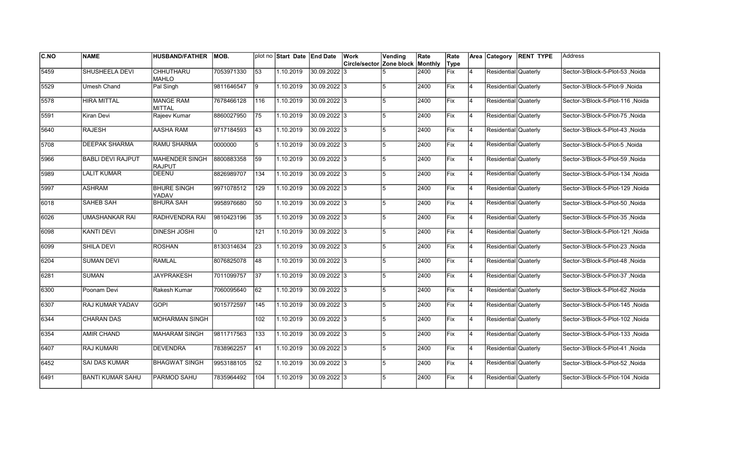| <b>C.NO</b> | <b>NAME</b>              | <b>HUSBAND/FATHER</b>             | IMOB.      |                 | plot no Start Date End Date |                | Work                     | Vending | Rate    | Rate       |                |                      | Area Category RENT TYPE | lAddress                         |
|-------------|--------------------------|-----------------------------------|------------|-----------------|-----------------------------|----------------|--------------------------|---------|---------|------------|----------------|----------------------|-------------------------|----------------------------------|
|             |                          |                                   |            |                 |                             |                | Circle/sector Zone block |         | Monthly | Type       |                |                      |                         |                                  |
| 5459        | <b>SHUSHEELA DEVI</b>    | <b>CHHUTHARU</b><br><b>MAHLO</b>  | 7053971330 | 53              | 1.10.2019                   | 30.09.2022 3   |                          |         | 2400    | Fix        | 4              | Residential Quaterly |                         | Sector-3/Block-5-Plot-53, Noida  |
| 5529        | Umesh Chand              | Pal Singh                         | 9811646547 | l9              | 1.10.2019                   | 30.09.2022 3   |                          | 5       | 2400    | Fix        | 14             | Residential Quaterly |                         | Noida Sector-3/Block-5-Plot-9    |
| 5578        | <b>HIRA MITTAL</b>       | <b>MANGE RAM</b><br><b>MITTAL</b> | 7678466128 | 116             | 1.10.2019                   | 30.09.2022 3   |                          | 5       | 2400    | Fix        | 14             | Residential Quaterly |                         | Sector-3/Block-5-Plot-116 Noida  |
| 5591        | Kiran Devi               | Rajeev Kumar                      | 8860027950 | 75              | 1.10.2019                   | 30.09.2022 3   |                          | 5       | 2400    | Fix        | 4              | Residential Quaterly |                         | Sector-3/Block-5-Plot-75, Noida  |
| 5640        | <b>RAJESH</b>            | <b>AASHA RAM</b>                  | 9717184593 | 43              | 1.10.2019                   | 30.09.2022 3   |                          | 5       | 2400    | Fix        | $\overline{4}$ | Residential Quaterly |                         | Sector-3/Block-5-Plot-43, Noida  |
| 5708        | <b>DEEPAK SHARMA</b>     | <b>RAMU SHARMA</b>                | 0000000    | 5               | 1.10.2019                   | 30.09.2022 3   |                          | 5       | 2400    | Fix        | $\overline{4}$ | Residential Quaterly |                         | Sector-3/Block-5-Plot-5, Noida   |
| 5966        | <b>BABLI DEVI RAJPUT</b> | MAHENDER SINGH<br>RAJPUT          | 8800883358 | 59              | 1.10.2019                   | 30.09.2022 3   |                          | 5       | 2400    | Fix        | 4              | Residential Quaterly |                         | Sector-3/Block-5-Plot-59 ,Noida  |
| 5989        | <b>LALIT KUMAR</b>       | DEENU                             | 8826989707 | 134             | 1.10.2019                   | 30.09.2022 3   |                          | 5       | 2400    | Fix        | 4              | Residential Quaterly |                         | Sector-3/Block-5-Plot-134 ,Noida |
| 5997        | <b>ASHRAM</b>            | <b>BHURE SINGH</b><br>YADAV       | 9971078512 | 129             | 1.10.2019                   | 30.09.2022 3   |                          | 5       | 2400    | Fix        | $\overline{4}$ | Residential Quaterly |                         | Sector-3/Block-5-Plot-129 ,Noida |
| 16018       | <b>SAHEB SAH</b>         | <b>BHURA SAH</b>                  | 9958976680 | 50              | 1.10.2019                   | 30.09.2022 3   |                          | 5       | 2400    | Fix        | 4              | Residential Quaterly |                         | Sector-3/Block-5-Plot-50, Noida  |
| 6026        | UMASHANKAR RAI           | RADHVENDRA RAI                    | 9810423196 | 35              | 1.10.2019                   | 30.09.2022 3   |                          | 5       | 2400    | Fix        | 4              | Residential Quaterly |                         | Sector-3/Block-5-Plot-35, Noida  |
| 6098        | <b>KANTI DEVI</b>        | <b>DINESH JOSHI</b>               | n.         | 121             | 1.10.2019                   | $30.09.2022$ 3 |                          | 5       | 2400    | Fix        | 4              | Residential Quaterly |                         | Sector-3/Block-5-Plot-121 Noida  |
| 6099        | SHILA DEVI               | <b>ROSHAN</b>                     | 8130314634 | 23              | 1.10.2019                   | $30.09.2022$ 3 |                          | 5       | 2400    | Fix        | <b>4</b>       | Residential Quaterly |                         | Sector-3/Block-5-Plot-23, Noida  |
| 6204        | <b>SUMAN DEVI</b>        | <b>RAMLAL</b>                     | 8076825078 | 48              | 1.10.2019                   | 30.09.2022 3   |                          | 5       | 2400    | <b>Fix</b> | 4              | Residential Quaterly |                         | Sector-3/Block-5-Plot-48, Noida  |
| 6281        | SUMAN                    | <b>JAYPRAKESH</b>                 | 7011099757 | $\overline{37}$ | 1.10.2019                   | 30.09.2022 3   |                          | 5       | 2400    | Fix        | 4              | Residential Quaterly |                         | Sector-3/Block-5-Plot-37, Noida  |
| 6300        | Poonam Devi              | Rakesh Kumar                      | 7060095640 | 62              | 1.10.2019                   | $30.09.2022$ 3 |                          | 5       | 2400    | Fix        | 14             | Residential Quaterly |                         | Sector-3/Block-5-Plot-62, Noida  |
| 6307        | RAJ KUMAR YADAV          | <b>GOPI</b>                       | 9015772597 | 145             | 1.10.2019                   | 30.09.2022 3   |                          | 5       | 2400    | Fix        | 14             | Residential Quaterly |                         | Sector-3/Block-5-Plot-145 ,Noida |
| 6344        | <b>CHARAN DAS</b>        | MOHARMAN SINGH                    |            | 102             | 1.10.2019                   | 30.09.2022 3   |                          | 5       | 2400    | lFix.      | $\overline{4}$ | Residential Quaterly |                         | Sector-3/Block-5-Plot-102 ,Noida |
| 6354        | AMIR CHAND               | <b>MAHARAM SINGH</b>              | 9811717563 | 133             | 1.10.2019                   | 30.09.2022 3   |                          | 5       | 2400    | Fix        | $\overline{4}$ | Residential Quaterly |                         | Noida Sector-3/Block-5-Plot-133  |
| 6407        | <b>RAJ KUMARI</b>        | <b>DEVENDRA</b>                   | 7838962257 | 41              | 1.10.2019                   | 30.09.2022 3   |                          | 5       | 2400    | Fix        | $\overline{4}$ | Residential Quaterly |                         | Sector-3/Block-5-Plot-41, Noida  |
| 6452        | <b>SAI DAS KUMAR</b>     | <b>BHAGWAT SINGH</b>              | 9953188105 | $\overline{52}$ | 1.10.2019                   | $30.09.2022$ 3 |                          | 5       | 2400    | Fix        | 4              | Residential Quaterly |                         | Sector-3/Block-5-Plot-52, Noida  |
| 6491        | <b>BANTI KUMAR SAHU</b>  | PARMOD SAHU                       | 7835964492 | 104             | 1.10.2019                   | 30.09.2022 3   |                          | 5       | 2400    | Fix        | 4              | Residential Quaterly |                         | Sector-3/Block-5-Plot-104, Noida |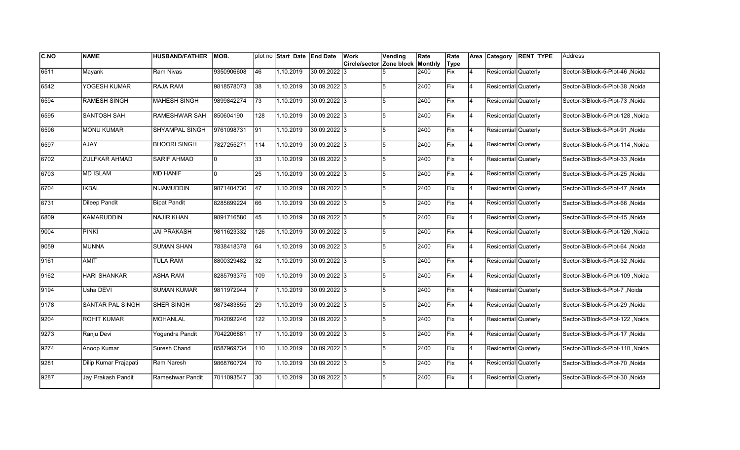| C.NO          | <b>NAME</b>           | <b>HUSBAND/FATHER</b> | MOB.       |                 | plot no Start Date End Date |                | <b>Work</b>                             | Vending        | Rate | Rate |    |                      | Area Category RENT TYPE | Address                          |
|---------------|-----------------------|-----------------------|------------|-----------------|-----------------------------|----------------|-----------------------------------------|----------------|------|------|----|----------------------|-------------------------|----------------------------------|
|               |                       |                       |            |                 |                             |                | <b>Circle/sector Zone block Monthly</b> |                |      | Type |    |                      |                         |                                  |
| 6511          | Mayank                | Ram Nivas             | 9350906608 | 46              | 1.10.2019                   | 30.09.2022 3   |                                         |                | 2400 | Fix  | 4  | Residential Quaterly |                         | Sector-3/Block-5-Plot-46, Noida  |
| 6542          | YOGESH KUMAR          | <b>RAJA RAM</b>       | 9818578073 | 38              | 1.10.2019                   | 30.09.2022 3   |                                         |                | 2400 | Fix  | 4  | Residential Quaterly |                         | Sector-3/Block-5-Plot-38, Noida  |
| 6594          | <b>RAMESH SINGH</b>   | <b>MAHESH SINGH</b>   | 9899842274 | $\overline{73}$ | 1.10.2019                   | 30.09.2022 3   |                                         | 5              | 2400 | Fix  | 14 | Residential Quaterly |                         | Sector-3/Block-5-Plot-73, Noida  |
| 6595          | SANTOSH SAH           | <b>RAMESHWAR SAH</b>  | 850604190  | 128             | 1.10.2019                   | 30.09.2022 3   |                                         | $\overline{5}$ | 2400 | Fix  | 14 | Residential Quaterly |                         | Sector-3/Block-5-Plot-128, Noida |
| 6596          | <b>MONU KUMAR</b>     | <b>SHYAMPAL SINGH</b> | 9761098731 | 91              | 1.10.2019                   | 30.09.2022 3   |                                         | 5              | 2400 | Fix  | 4  | Residential Quaterly |                         | Sector-3/Block-5-Plot-91, Noida  |
| 6597          | <b>AJAY</b>           | <b>BHOORI SINGH</b>   | 7827255271 | $114$           | 1.10.2019                   | 30.09.2022 3   |                                         |                | 2400 | Fix  | 4  | Residential Quaterly |                         | Sector-3/Block-5-Plot-114, Noida |
| 6702          | ZULFKAR AHMAD         | <b>SARIF AHMAD</b>    |            | 33              | 1.10.2019                   | 30.09.2022 3   |                                         |                | 2400 | Fix  | 4  | Residential Quaterly |                         | Sector-3/Block-5-Plot-33, Noida  |
| 6703          | <b>MD ISLAM</b>       | <b>MD HANIF</b>       |            | 25              | 1.10.2019                   | $30.09.2022$ 3 |                                         | 5              | 2400 | Fix  | 4  | Residential Quaterly |                         | Sector-3/Block-5-Plot-25, Noida  |
| 6704          | <b>IKBAL</b>          | NIJAMUDDIN            | 9871404730 | 47              | 1.10.2019                   | 30.09.2022 3   |                                         | 5              | 2400 | Fix  | 4  | Residential Quaterly |                         | Sector-3/Block-5-Plot-47, Noida  |
| 6731          | <b>Dileep Pandit</b>  | <b>Bipat Pandit</b>   | 8285699224 | 66              | 1.10.2019                   | 30.09.2022 3   |                                         | 5              | 2400 | Fix  | 4  | Residential Quaterly |                         | Sector-3/Block-5-Plot-66, Noida  |
| 6809          | <b>KAMARUDDIN</b>     | <b>NAJIR KHAN</b>     | 9891716580 | 45              | 1.10.2019                   | 30.09.2022 3   |                                         |                | 2400 | Fix  | 4  | Residential Quaterly |                         | Sector-3/Block-5-Plot-45, Noida  |
| 9004          | <b>PINKI</b>          | <b>JAI PRAKASH</b>    | 9811623332 | 126             | 1.10.2019                   | 30.09.2022 3   |                                         | 5              | 2400 | Fix  | 14 | Residential Quaterly |                         | Sector-3/Block-5-Plot-126, Noida |
| 9059          | MUNNA                 | <b>SUMAN SHAN</b>     | 7838418378 | 64              | 1.10.2019                   | 30.09.2022 3   |                                         | 5              | 2400 | Fix  | 14 | Residential Quaterly |                         | Sector-3/Block-5-Plot-64, Noida  |
| 9161          | <b>AMIT</b>           | <b>TULA RAM</b>       | 8800329482 | 32              | 1.10.2019                   | $30.09.2022$ 3 |                                         | 5              | 2400 | Fix  | 4  | Residential Quaterly |                         | Sector-3/Block-5-Plot-32, Noida  |
| 9162          | <b>HARI SHANKAR</b>   | <b>ASHA RAM</b>       | 8285793375 | 109             | 1.10.2019                   | 30.09.2022 3   |                                         |                | 2400 | Fix  | 4  | Residential Quaterly |                         | Sector-3/Block-5-Plot-109, Noida |
| 9194          | Usha DEVI             | <b>SUMAN KUMAR</b>    | 9811972944 |                 | 1.10.2019                   | $30.09.2022$ 3 |                                         | 5              | 2400 | Fix  | 4  | Residential Quaterly |                         | Sector-3/Block-5-Plot-7, Noida   |
| 9178          | SANTAR PAL SINGH      | <b>SHER SINGH</b>     | 9873483855 | 29              | 1.10.2019                   | $30.09.2022$ 3 |                                         | 5              | 2400 | Fix  | 4  | Residential Quaterly |                         | Noida Sector-3/Block-5-Plot-29   |
| 9204          | <b>ROHIT KUMAR</b>    | <b>MOHANLAL</b>       | 7042092246 | 122             | 1.10.2019                   | 30.09.2022 3   |                                         | 5              | 2400 | Fix  | 4  | Residential Quaterly |                         | Sector-3/Block-5-Plot-122 ,Noida |
| 9273          | Ranju Devi            | Yogendra Pandit       | 7042206881 | 17              | 1.10.2019                   | 30.09.2022 3   |                                         |                | 2400 | Fix  | 4  | Residential Quaterly |                         | Sector-3/Block-5-Plot-17, Noida  |
| $\sqrt{9274}$ | Anoop Kumar           | Suresh Chand          | 8587969734 | 110             | 1.10.2019                   | $30.09.2022$ 3 |                                         | 5              | 2400 | Fix  | 4  | Residential Quaterly |                         | Sector-3/Block-5-Plot-110, Noida |
| 9281          | Dilip Kumar Prajapati | Ram Naresh            | 9868760724 | 70              | 1.10.2019                   | $30.09.2022$ 3 |                                         | 5              | 2400 | Fix  | 14 | Residential Quaterly |                         | Sector-3/Block-5-Plot-70, Noida  |
| 9287          | Jay Prakash Pandit    | Rameshwar Pandit      | 7011093547 | 30              | 1.10.2019                   | $30.09.2022$ 3 |                                         | 5              | 2400 | Fix  | 4  | Residential Quaterly |                         | Sector-3/Block-5-Plot-30, Noida  |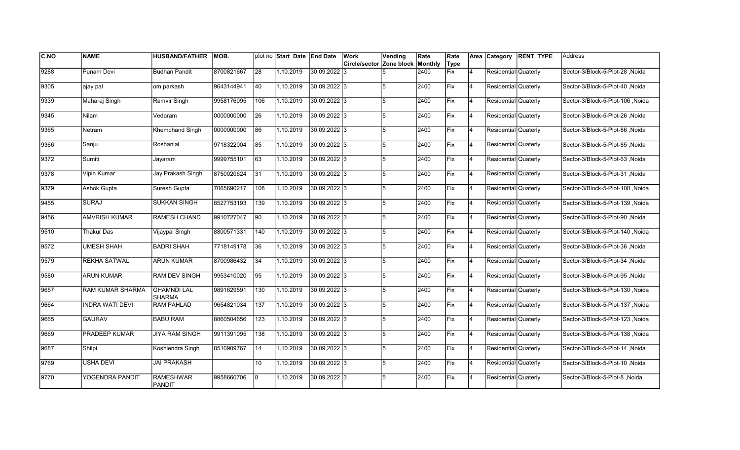| <b>C.NO</b> | <b>NAME</b>             | <b>HUSBAND/FATHER</b>               | IMOB.      |                 | plot no Start Date End Date |                | Work                     | Vending | Rate    | Rate       |                | Area Category        | <b>RENT TYPE</b> | Address                          |
|-------------|-------------------------|-------------------------------------|------------|-----------------|-----------------------------|----------------|--------------------------|---------|---------|------------|----------------|----------------------|------------------|----------------------------------|
|             |                         |                                     |            |                 |                             |                | Circle/sector Zone block |         | Monthly | Type       |                |                      |                  |                                  |
| 9288        | Punam Devi              | <b>Budhan Pandit</b>                | 8700821667 | 28              | 1.10.2019                   | 30.09.2022 3   |                          |         | 2400    | <b>Fix</b> | 4              | Residential Quaterly |                  | Sector-3/Block-5-Plot-28, Noida  |
| 9305        | ajay pal                | om parkash                          | 9643144941 | 40              | 1.10.2019                   | 30.09.2022 3   |                          | 5       | 2400    | Fix        | $\overline{4}$ | Residential Quaterly |                  | Sector-3/Block-5-Plot-40, Noida  |
| 9339        | Maharaj Singh           | Ramvir Singh                        | 9958176095 | 106             | 1.10.2019                   | 30.09.2022 3   |                          | 5       | 2400    | Fix        | 4              | Residential Quaterly |                  | Sector-3/Block-5-Plot-106 .Noida |
| 9345        | Nilam                   | Vedaram                             | 0000000000 | $\overline{26}$ | 1.10.2019                   | 30.09.2022 3   |                          | 5       | 2400    | Fix        | 4              | Residential Quaterly |                  | Sector-3/Block-5-Plot-26, Noida  |
| 9365        | Netram                  | Khemchand Singh                     | 0000000000 | 86              | 1.10.2019                   | 30.09.2022 3   |                          | 5       | 2400    | Fix        | $\overline{4}$ | Residential Quaterly |                  | Sector-3/Block-5-Plot-86, Noida  |
| 9366        | Sanju                   | Roshanlal                           | 9718322004 | 85              | 1.10.2019                   | 30.09.2022 3   |                          | 5       | 2400    | Fix        | $\overline{4}$ | Residential Quaterly |                  | Sector-3/Block-5-Plot-85, Noida  |
| 9372        | Sumiti                  | Jayaram                             | 9999755101 | 63              | 1.10.2019                   | 30.09.2022 3   |                          | 5       | 2400    | Fix        | $\overline{4}$ | Residential Quaterly |                  | Sector-3/Block-5-Plot-63 ,Noida  |
| 9378        | Vipin Kumar             | Jay Prakash Singh                   | 8750020624 | 31              | 1.10.2019                   | 30.09.2022 3   |                          | 5       | 2400    | Fix        | 4              | Residential Quaterly |                  | Sector-3/Block-5-Plot-31 , Noida |
| 9379        | Ashok Gupta             | Suresh Gupta                        | 7065690217 | 108             | 1.10.2019                   | 30.09.2022 3   |                          | 5       | 2400    | Fix        | $\overline{4}$ | Residential Quaterly |                  | Sector-3/Block-5-Plot-108, Noida |
| 9455        | <b>SURAJ</b>            | <b>SUKKAN SINGH</b>                 | 8527753193 | 139             | 1.10.2019                   | 30.09.2022 3   |                          | 5       | 2400    | Fix        | $\overline{4}$ | Residential Quaterly |                  | Sector-3/Block-5-Plot-139 ,Noida |
| 9456        | <b>AMVRISH KUMAR</b>    | <b>RAMESH CHAND</b>                 | 9910727047 | 90              | 1.10.2019                   | 30.09.2022 3   |                          | 5       | 2400    | Fix        | 4              | Residential Quaterly |                  | Sector-3/Block-5-Plot-90, Noida  |
| 9510        | Thakur Das              | Vijaypal Singh                      | 8800571331 | 140             | 1.10.2019                   | 30.09.2022 3   |                          | 15      | 2400    | Fix        | 4              | Residential Quaterly |                  | Sector-3/Block-5-Plot-140, Noida |
| 9572        | <b>UMESH SHAH</b>       | <b>BADRI SHAH</b>                   | 7718149178 | 36              | 1.10.2019                   | $30.09.2022$ 3 |                          | 5       | 2400    | Fix        | 4              | Residential Quaterly |                  | Sector-3/Block-5-Plot-36, Noida  |
| 9579        | <b>REKHA SATWAL</b>     | <b>ARUN KUMAR</b>                   | 8700986432 | 34              | 1.10.2019                   | 30.09.2022 3   |                          | 5       | 2400    | Fix        | $\overline{4}$ | Residential Quaterly |                  | Sector-3/Block-5-Plot-34, Noida  |
| 9580        | <b>ARUN KUMAR</b>       | <b>RAM DEV SINGH</b>                | 9953410020 | $\overline{95}$ | 1.10.2019                   | 30.09.2022 3   |                          | 5       | 2400    | Fix        | $\overline{4}$ | Residential Quaterly |                  | Sector-3/Block-5-Plot-95, Noida  |
| 9657        | <b>RAM KUMAR SHARMA</b> | <b>GHAMNDI LAL</b><br><b>SHARMA</b> | 9891629591 | 130             | 1.10.2019                   | 30.09.2022 3   |                          | 5       | 2400    | Fix        | 4              | Residential Quaterly |                  | Sector-3/Block-5-Plot-130 ,Noida |
| 9664        | <b>INDRA WATI DEVI</b>  | <b>RAM PAHLAD</b>                   | 9654821034 | 137             | 1.10.2019                   | 30.09.2022 3   |                          | 5       | 2400    | Fix        | <b>4</b>       | Residential Quaterly |                  | Sector-3/Block-5-Plot-137 ,Noida |
| 9665        | <b>GAURAV</b>           | <b>BABU RAM</b>                     | 8860504656 | 123             | 1.10.2019                   | 30.09.2022 3   |                          | 5       | 2400    | Fix        | 4              | Residential Quaterly |                  | Sector-3/Block-5-Plot-123 ,Noida |
| 9669        | PRADEEP KUMAR           | <b>JIYA RAM SINGH</b>               | 9911391095 | 138             | 1.10.2019                   | 30.09.2022 3   |                          | 5       | 2400    | Fix        | $\overline{4}$ | Residential Quaterly |                  | Sector-3/Block-5-Plot-138 ,Noida |
| 9687        | Shilpi                  | Koshlendra Singh                    | 8510909767 | 14              | 1.10.2019                   | 30.09.2022 3   |                          | 5       | 2400    | Fix        | $\overline{4}$ | Residential Quaterly |                  | Sector-3/Block-5-Plot-14, Noida  |
| 9769        | <b>USHA DEVI</b>        | <b>JAI PRAKASH</b>                  |            | 10              | 1.10.2019                   | 30.09.2022 3   |                          | 5       | 2400    | Fix        | 4              | Residential Quaterly |                  | Sector-3/Block-5-Plot-10, Noida  |
| 9770        | YOGENDRA PANDIT         | <b>RAMESHWAR</b><br><b>PANDIT</b>   | 9958660706 | 8               | 1.10.2019                   | 30.09.2022 3   |                          | 5       | 2400    | Fix        | $\overline{4}$ | Residential Quaterly |                  | Sector-3/Block-5-Plot-8, Noida   |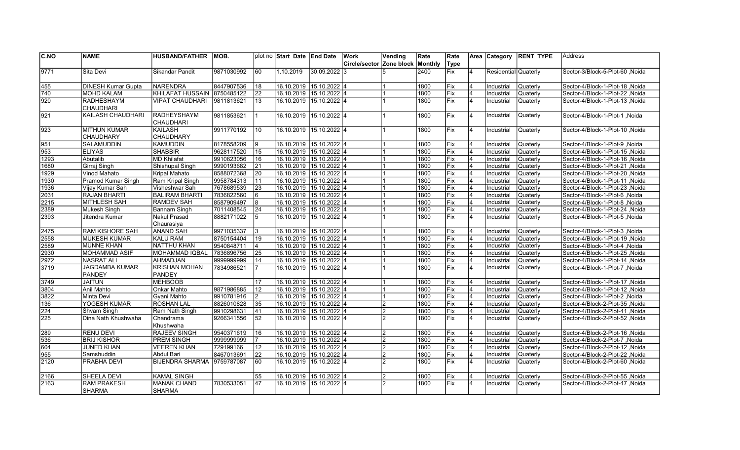| C.NO          | <b>NAME</b>                             | <b>HUSBAND/FATHER</b>               | IMOB.      |                 | plot no Start Date LEnd Date |                | Work          | Vending        | Rate    | Rate       |                         |                      | Area Category RENT TYPE | <b>Address</b>                   |
|---------------|-----------------------------------------|-------------------------------------|------------|-----------------|------------------------------|----------------|---------------|----------------|---------|------------|-------------------------|----------------------|-------------------------|----------------------------------|
|               |                                         |                                     |            |                 |                              |                | Circle/sector | Zone block     | Monthly | Type       |                         |                      |                         |                                  |
| 9771          | Sita Devi                               | Sikandar Pandit                     | 9871030992 | 60              | 1.10.2019                    | 30.09.2022 3   |               | 5              | 2400    | <b>Fix</b> | 4                       | Residential Quaterly |                         | Sector-3/Block-5-Plot-60, Noida  |
| 455           | <b>DINESH Kumar Gupta</b>               | NARENDRA                            | 8447907536 | 18              | 16.10.2019 15.10.2022 4      |                |               |                | 1800    | Fix        | 4                       | Industrial           | Quaterly                | Sector-4/Block-1-Plot-18, Noida  |
| 740           | <b>MOHD KALAM</b>                       | KHILAFAT HUSSAIN 8750485122         |            | $\overline{22}$ | 16.10.2019 15.10.2022 4      |                |               |                | 1800    | Fix        | 4                       | Industrial           | Quaterly                | Sector-4/Block-1-Plot-22, Noida  |
| 920           | RADHESHAYM<br><b>CHAUDHARI</b>          | <b>VIPAT CHAUDHARI</b>              | 9811813621 | 13              | 16.10.2019 15.10.2022 4      |                |               |                | 1800    | Fix        | 14                      | Industrial           | Quaterly                | Sector-4/Block-1-Plot-13, Noida  |
| $\sqrt{921}$  | <b>KAILASH CHAUDHARI</b>                | RADHEYSHAYM<br>CHAUDHARI            | 9811853621 | 11              | 16.10.2019                   | 15.10.2022 4   |               |                | 1800    | Fix        | 4                       | Industrial           | Quaterly                | Sector-4/Block-1-Plot-1, Noida   |
| $\sqrt{923}$  | <b>MITHUN KUMAR</b><br><b>CHAUDHARY</b> | KAILASH<br><b>CHAUDHARY</b>         | 9911770192 | 10              | 16.10.2019                   | 15.10.2022 4   |               |                | 1800    | Fix        | 14                      | Industrial           | Quaterly                | Sector-4/Block-1-Plot-10, Noida  |
| 951           | SALAMUDDIN                              | KAMUDDIN                            | 8178558209 | 19              | 16.10.2019 15.10.2022 4      |                |               |                | 1800    | Fix        | $\overline{4}$          | Industrial           | Quaterly                | Sector-4/Block-1-Plot-9, Noida   |
| 953           | <b>ELIYAS</b>                           | <b>SHABBIR</b>                      | 9628117520 | 15              | 16.10.2019 15.10.2022 4      |                |               |                | 1800    | Fix        | $\overline{4}$          | Industrial           | Quaterly                | Sector-4/Block-1-Plot-15, Noida  |
| 1293          | Abutalib                                | MD Khilafat                         | 9910623056 | 16              | 16.10.2019 15.10.2022 4      |                |               |                | 1800    | Fix        | 4                       | Industrial           | Quaterly                | Sector-4/Block-1-Plot-16, Noida  |
| 1680          | Girraj Singh                            | Shishupal Singh                     | 9990193682 | 21              | 16.10.2019 15.10.2022 4      |                |               |                | 1800    | Fix        |                         | Industrial           | Quaterly                | Sector-4/Block-1-Plot-21, Noida  |
| 1929          | Vinod Mahato                            | Kripal Mahato                       | 8588072368 | 20              | 16.10.2019 15.10.2022 4      |                |               |                | 1800    | Fix        | $\overline{4}$          | Industrial           | Quaterly                | Sector-4/Block-1-Plot-20, Noida  |
| 1930          | Pramod Kumar Singh                      | Ram Kripal Singh                    | 9958784313 | 11              | 16.10.2019 15.10.2022 4      |                |               |                | 1800    | <b>Fix</b> | 4                       | Industrial           | Quaterly                | Sector-4/Block-1-Plot-11, Noida  |
| 1936          | Vijay Kumar Sah                         | Visheshwar Sah                      | 7678689539 | 23              | 16.10.2019 15.10.2022 4      |                |               |                | 1800    | Fix        | $\overline{4}$          | Industrial           | <b>Quaterly</b>         | Sector-4/Block-1-Plot-23, Noida  |
| 2031          | <b>RAJAN BHARTI</b>                     | <b>BALIRAM BHARTI</b>               | 7836822560 | 16              | 16.10.2019 15.10.2022 4      |                |               |                | 1800    | lFix.      | $\overline{4}$          | Industrial           | Quaterly                | Sector-4/Block-1-Plot-6, Noida   |
| 2215          | <b>MITHLESH SAH</b>                     | <b>RAMDEV SAH</b>                   | 8587909497 | 8               | 16.10.2019 15.10.2022 4      |                |               |                | 1800    | lFix.      | $\overline{4}$          | Industrial           | Quaterly                | Sector-4/Block-1-Plot-8, Noida   |
| 2389          | <b>Mukesh Singh</b>                     | Bannam Singh                        | 7011408545 | 24              | 16.10.2019                   | $15.10.2022$ 4 |               |                | 1800    | Fix        | 4                       | Industrial           | Quaterly                | Sector-4/Block-1-Plot-24, Noida  |
| 2393          | Jitendra Kumar                          | <b>Nakul Prasad</b><br>Chaurasiya   | 8882171022 | 5               | 16.10.2019                   | 15.10.2022 4   |               |                | 1800    | Fix        | 4                       | Industrial           | Quaterly                | Sector-4/Block-1-Plot-5, Noida   |
| 2475          | <b>RAM KISHORE SAH</b>                  | <b>ANAND SAH</b>                    | 9971035337 | l3              | 16.10.2019 15.10.2022 4      |                |               |                | 1800    | <b>Fix</b> | 14                      | Industrial           | Quaterly                | Noida Sector-4/Block-1-Plot-3    |
| 2558          | <b>MUKESH KUMAR</b>                     | <b>KALU RAM</b>                     | 8750154404 | 19              | 16.10.2019 15.10.2022 4      |                |               |                | 1800    | lFix.      | 4                       | Industrial           | Quaterly                | Sector-4/Block-1-Plot-19, Noida  |
| 2589          | <b>MUNNE KHAN</b>                       | INATTHU KHAN                        | 9540848711 | 4               | 16.10.2019 15.10.2022 4      |                |               |                | 1800    | Fix        | 4                       | Industrial           | Quaterly                | Sector-4/Block-1-Plot-4, Noida   |
| 2930          | <b>MOHAMMAD ASIF</b>                    | IMOHAMMAD IQBAL                     | 7836896756 | 25              | 16.10.2019 15.10.2022 4      |                |               |                | 1800    | lFix.      | $\overline{4}$          | Industrial           | <b>Quaterly</b>         | Noida Sector-4/Block-1-Plot-25   |
| 2972          | <b>NASRAT ALI</b>                       | AHMADJAN                            | 9999999999 | 14              | 16.10.2019 15.10.2022 4      |                |               |                | 1800    | Fix        | $\overline{4}$          | Industrial           | Quaterly                | Sector-4/Block-1-Plot-14, Noida  |
| 3719          | <b>JAGDAMBA KUMAR</b><br><b>PANDEY</b>  | <b>KRISHAN MOHAN</b><br>PANDEY      | 7834986521 | 17              | 16.10.2019 15.10.2022 4      |                |               |                | 1800    | Fix        | $\overline{4}$          | Industrial           | Quaterly                | Sector-4/Block-1-Plot-7, Noida   |
| $\sqrt{3749}$ | <b>JAITUN</b>                           | MEHBOOB                             |            | 17              | 16.10.2019 15.10.2022 4      |                |               |                | 1800    | Fix        | 4                       | Industrial           | Quaterly                | Sector-4/Block-1-Plot-17, Noida  |
| 3804          | <b>Anil Mahto</b>                       | Onkar Mahto                         | 9871986885 | $\overline{12}$ | 16.10.2019 15.10.2022 4      |                |               |                | 1800    | Fix        | $\overline{4}$          | Industrial           | Quaterly                | Sector-4/Block-1-Plot-12, Noida  |
| 3822          | Minta Devi                              | Gyani Mahto                         | 9910781916 | 2               | 16.10.2019 15.10.2022 4      |                |               |                | 1800    | Fix        | $\overline{\mathbf{A}}$ | Industrial           | <b>Quaterly</b>         | Sector-4/Block-1-Plot-2, Noida   |
| 136           | YOGESH KUMAR                            | ROSHAN LAL                          | 8826010828 | 35              | 16.10.2019 15.10.2022 4      |                |               | $\overline{2}$ | 1800    | Fix        | $\overline{4}$          | Industrial           | Quaterly                | Sector-4/Block-2-Plot-35, Noida  |
| 224           | Shvam Singh                             | Ram Nath Singh                      | 9910298631 | 41              | 16.10.2019 15.10.2022 4      |                |               | $\overline{2}$ | 1800    | Fix        | 4                       | Industrial           | Quaterly                | Sector-4/Block-2-Plot-41 ,Noida  |
| 225           | Dina Nath Khushwaha                     | Chandrama<br>Khushwaha              | 9266341556 | 52              | 16.10.2019 15.10.2022 4      |                |               | $\mathcal{P}$  | 1800    | Fix        | 4                       | Industrial           | Quaterly                | Sector-4/Block-2-Plot-52, Noida  |
| 289           | <b>RENU DEVI</b>                        | <b>RAJEEV SINGH</b>                 | 9540371619 | 16              | 16.10.2019 15.10.2022 4      |                |               | $\mathcal{P}$  | 1800    | Fix        | 4                       | Industrial           | Quaterly                | Noida / Sector-4/Block-2-Plot-16 |
| 536           | <b>BRIJ KISHOR</b>                      | <b>PREM SINGH</b>                   | 9999999999 | 17              | 16.10.2019 15.10.2022 4      |                |               | $\mathfrak{p}$ | 1800    | lFix.      | $\overline{\mathbf{A}}$ | Industrial           | Quaterly                | Sector-4/Block-2-Plot-7, Noida   |
| 604           | <b>JUNED KHAN</b>                       | <b>VEEREN KHAN</b>                  | 729199166  | 12              | 16.10.2019 15.10.2022 4      |                |               | $\overline{c}$ | 1800    | Fix        | $\overline{4}$          | Industrial           | Quaterly                | Sector-4/Block-2-Plot-12, Noida  |
| 955           | Samshuddin                              | Abdul Bari                          | 8467013691 | 22              | 16.10.2019 15.10.2022 4      |                |               | $\overline{2}$ | 1800    | Fix        | 4                       | Industrial           | Quaterly                | Sector-4/Block-2-Plot-22 ,Noida  |
| 2120          | PRABHA DEVI                             | <b>BIJENDRA SHARMA</b>              | 9759787087 | $\overline{60}$ | 16.10.2019 15.10.2022 4      |                |               | 2              | 1800    | Fix        | 14                      | Industrial           | Quaterly                | Sector-4/Block-2-Plot-60, Noida  |
| 2166          | <b>SHEELA DEVI</b>                      | KAMAL SINGH                         |            | 55              | 16.10.2019 15.10.2022 4      |                |               | 2              | 1800    | Fix        | $\overline{4}$          | Industrial           | Quaterly                | Noida Sector-4/Block-2-Plot-55   |
| 2163          | <b>RAM PRAKESH</b><br><b>SHARMA</b>     | <b>MANAK CHAND</b><br><b>SHARMA</b> | 7830533051 | 47              | 16.10.2019                   | 15.10.2022 4   |               | $\mathfrak{p}$ | 1800    | <b>Fix</b> | $\overline{4}$          | Industrial           | Quaterly                | Sector-4/Block-2-Plot-47 ,Noida  |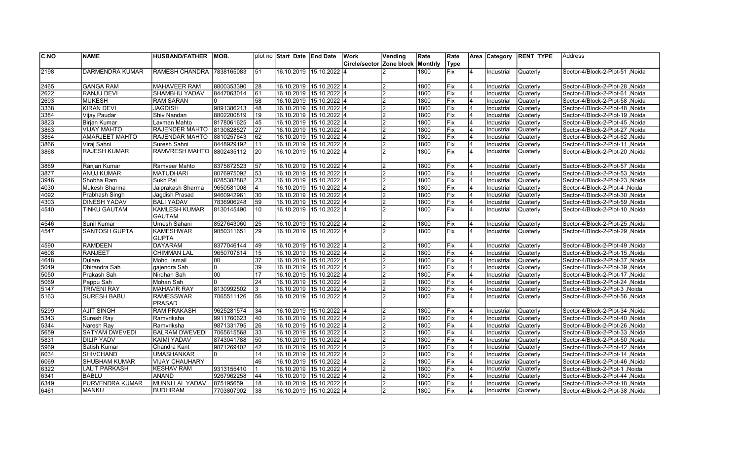| C.NO         | <b>NAME</b>                        | <b>HUSBAND/FATHER</b>                    | IMOB.      |    | plot no Start Date LEnd Date |                         | Work                     | Vending                          | Rate    | Rate  |                | Area Category            | <b>RENT TYPE</b>     | lAddress                                                          |
|--------------|------------------------------------|------------------------------------------|------------|----|------------------------------|-------------------------|--------------------------|----------------------------------|---------|-------|----------------|--------------------------|----------------------|-------------------------------------------------------------------|
|              |                                    |                                          |            |    |                              |                         | Circle/sector Zone block |                                  | Monthly | Type  |                |                          |                      |                                                                   |
| 2198         | IDARMENDRA KUMAR                   | RAMESH CHANDRA 7838165083                |            | 51 |                              | 16.10.2019 15.10.2022 4 |                          | $\mathcal{P}$                    | 1800    | Fix   | $\overline{4}$ | Industrial               | Quaterly             | Noida Sector-4/Block-2-Plot-51                                    |
|              |                                    |                                          |            |    | 16.10.2019 15.10.2022 4      |                         |                          | $\overline{2}$                   |         |       | $\overline{4}$ |                          |                      |                                                                   |
| 2465         | <b>GANGA RAM</b>                   | <b>MAHAVEER RAM</b>                      | 8800353390 | 28 |                              |                         |                          |                                  | 1800    | Fix   |                | Industrial               | Quaterly             | Noida /Sector-4/Block-2-Plot-28                                   |
| 2622         | <b>RANJU DEVI</b><br><b>MUKESH</b> | <b>SHAMBHU YADAV</b><br><b>RAM SARAN</b> | 8447063014 | 61 |                              | 16.10.2019 15.10.2022 4 |                          | $\overline{2}$                   | 1800    | lFix. | 4              | Industrial               | Quaterly             | Noida Sector-4/Block-2-Plot-61                                    |
| 2693         |                                    |                                          | I٥         | 58 |                              | 16.10.2019 15.10.2022 4 |                          | $\mathfrak{p}$                   | 1800    | Fix   | 4<br>4         | Industrial               | Quaterly             | Sector-4/Block-2-Plot-58, Noida                                   |
| 3338         | KIRAN DEVI                         | <b>JAGDISH</b>                           | 9891386213 | 48 |                              | 16.10.2019 15.10.2022 4 |                          | $\overline{2}$                   | 1800    | Fix   |                | Industrial               | Quaterly             | Noida / Sector-4/Block-2-Plot-48                                  |
| 3384         | Vijay Paudar                       | Shiv Nandan                              | 8802200819 | 19 |                              | 16.10.2019 15.10.2022 4 |                          | $\overline{2}$                   | 1800    | Fix   |                | Industrial               | Quaterly             | Sector-4/Block-2-Plot-19, Noida                                   |
| 3823         | <b>Birjan Kumar</b>                | Laxman Mahto                             | 8178061625 | 45 |                              | 16.10.2019 15.10.2022 4 |                          | $\overline{2}$                   | 1800    | Fix   |                | Industrial               | Quaterly             | Sector-4/Block-2-Plot-45, Noida                                   |
| 3863         | <b>VIJAY MAHTO</b>                 | RAJENDER MAHTO                           | 8130828527 | 27 |                              | 16.10.2019 15.10.2022 4 |                          | $\overline{2}$                   | 1800    | Fix   | 4              | Industrial               | Quaterly             | Sector-4/Block-2-Plot-27 , Noida                                  |
| 3864         | <b>AMARJEET MAHTO</b>              | <b>RAJENDAR MAHTO</b>                    | 8810257643 | 62 |                              | 16.10.2019 15.10.2022 4 |                          | $\overline{2}$                   | 1800    | Fix   | 4              | Industrial               | Quaterly             | Sector-4/Block-2-Plot-62, Noida                                   |
| 3866         | Viraj Sahni                        | Suresh Sahni                             | 8448929192 | 11 |                              | 16.10.2019 15.10.2022 4 |                          | $\overline{2}$                   | 1800    | Fix   | $\overline{4}$ | Industrial               | Quaterly             | Sector-4/Block-2-Plot-11, Noida                                   |
| 3868         | <b>RAJESH KUMAR</b>                | RAMVRESH MAHTO 8802435112                |            | 20 |                              | 16.10.2019 15.10.2022 4 |                          | $\mathfrak{p}$                   | 1800    | Fix   | $\overline{4}$ | Industrial               | Quaterly             | Sector-4/Block-2-Plot-20, Noida                                   |
| 3869         | Ranjan Kumar                       | Ramveer Mahto                            | 8375872523 | 57 |                              | 16.10.2019 15.10.2022 4 |                          | $\overline{2}$                   | 1800    | Fix   | 4              | Industrial               | Quaterly             | Sector-4/Block-2-Plot-57, Noida                                   |
| 3877         | <b>ANUJ KUMAR</b>                  | <b>MATUDHARI</b>                         | 8076975092 | 53 |                              | 16.10.2019 15.10.2022 4 |                          | $\overline{2}$                   | 1800    | Fix   | $\overline{4}$ | Industrial               | <b>Quaterly</b>      | Sector-4/Block-2-Plot-53, Noida                                   |
| 3946         | Shobha Ram                         | Sukh Pal                                 | 8285382882 | 23 |                              | 16.10.2019 15.10.2022 4 |                          | $\overline{2}$                   | 1800    | lFix. | 4              | Industrial               | Quaterly             | Noida Sector-4/Block-2-Plot-23                                    |
| 4030         | Mukesh Sharma                      | Jaiprakash Sharma                        | 9650581008 | 4  |                              | 16.10.2019 15.10.2022 4 |                          | $\overline{2}$                   | 1800    | Fix   | 4              | Industrial               | Quaterly             | Noida   Sector-4/Block-2-Plot-4                                   |
| 4092         | Prabhash Singh                     | Jaqdish Prasad                           | 9460942961 | 30 |                              | 16.10.2019 15.10.2022 4 |                          | $\overline{2}$                   | 1800    | Fix   | 4              | Industrial               | Quaterly             | Noida / Sector-4/Block-2-Plot-30                                  |
| 4303         | <b>DINESH YADAV</b>                | <b>BALI YADAV</b>                        | 7836906248 | 59 |                              | 16.10.2019 15.10.2022 4 |                          | $\overline{2}$                   | 1800    | Fix   | 4              | Industrial               | Quaterly             | Sector-4/Block-2-Plot-59, Noida                                   |
| 4540         | <b>TINKU GAUTAM</b>                | <b>KAMLESH KUMAR</b>                     | 8130145490 | 10 |                              | 16.10.2019 15.10.2022 4 |                          |                                  | 1800    | Fix   | 4              | Industrial               | Quaterly             | Sector-4/Block-2-Plot-10, Noida                                   |
|              |                                    | <b>GAUTAM</b>                            |            |    |                              |                         |                          |                                  |         |       |                |                          |                      |                                                                   |
| 4546         | Sunil Kumar                        | Umesh Sahani                             | 8527643060 | 25 |                              | 16.10.2019 15.10.2022 4 |                          | $\mathfrak{p}$                   | 1800    | Fix   | 4              | Industrial               | Quaterly             | Sector-4/Block-2-Plot-25, Noida                                   |
| 4547         | <b>SANTOSH GUPTA</b>               | <b>KAMESHWAR</b>                         | 9850311651 | 29 |                              | 16.10.2019 15.10.2022 4 |                          |                                  | 1800    | Fix   | $\overline{4}$ | Industrial               | Quaterly             | Sector-4/Block-2-Plot-29, Noida                                   |
|              |                                    | <b>GUPTA</b>                             |            |    |                              |                         |                          |                                  |         |       |                |                          |                      |                                                                   |
| 4590         | <b>RAMDEEN</b>                     | <b>DAYARAM</b>                           | 8377046144 | 49 |                              | 16.10.2019 15.10.2022 4 |                          | $\overline{2}$                   | 1800    | Fix   |                | Industrial               | Quaterly             | Noida Sector-4/Block-2-Plot-49                                    |
| 4608         | <b>RANJEET</b>                     | <b>CHIMMAN LAL</b>                       | 9650707814 | 15 |                              | 16.10.2019 15.10.2022 4 |                          | $\overline{c}$                   | 1800    | Fix   | 4              | Industrial               | Quaterly             | Sector-4/Block-2-Plot-15, Noida                                   |
| 4648         | Dulare                             | Mohd Ismail                              | 100        | 37 |                              | 16.10.2019 15.10.2022 4 |                          | $\overline{2}$                   | 1800    | Fix   | $\overline{4}$ | Industrial               | Quaterly             | Sector-4/Block-2-Plot-37, Noida                                   |
| 5049         | Dhirandra Sah                      | gajendra Sah                             | lo.        | 39 |                              | 16.10.2019 15.10.2022 4 |                          | $\overline{2}$                   | 1800    | Fix   | 4              | Industrial               | Quaterly             | Noida   Sector-4/Block-2-Plot-39                                  |
| 5050         | Prakash Sah                        | Nirdhan Sah                              | loo        | 17 |                              | 16.10.2019 15.10.2022 4 |                          | $\overline{2}$                   | 1800    | Fix   | 4              | Industrial               | Quaterly             | Noida Sector-4/Block-2-Plot-17, Noida                             |
| 5069         | Pappu Sah                          | Mohan Sah                                | lo.        | 24 |                              | 16.10.2019 15.10.2022 4 |                          | $\overline{2}$                   | 1800    | Fix   | 4              | Industrial               | Quaterly             | Noida / Sector-4/Block-2-Plot-24                                  |
| 5147         | <b>TRIVENI RAY</b>                 | <b>MAHAVIR RAY</b>                       | 8130992502 | 3  |                              | 16.10.2019 15.10.2022 4 |                          | $\overline{2}$                   | 1800    | Fix   | 4              | Industrial               | Quaterly             | Sector-4/Block-2-Plot-3, Noida                                    |
| 5163         | <b>SURESH BABU</b>                 | <b>RAMESSWAR</b>                         | 7065511126 | 56 |                              | 16.10.2019 15.10.2022 4 |                          |                                  | 1800    | Fix   |                | Industrial               | Quaterly             | Noida Sector-4/Block-2-Plot-56                                    |
|              |                                    | <b>PRASAD</b>                            |            |    |                              |                         |                          |                                  |         |       |                |                          |                      |                                                                   |
| 5299         | <b>AJIT SINGH</b>                  | <b>RAM PRAKASH</b>                       | 9625281574 | 34 |                              | 16.10.2019 15.10.2022 4 |                          | $\mathfrak{p}$                   | 1800    | Fix   | 14             | Industrial               | Quaterly             | Sector-4/Block-2-Plot-34, Noida                                   |
| 5343         | Suresh Ray                         | Ramvriksha                               | 9911760623 | 40 |                              | 16.10.2019 15.10.2022 4 |                          | $\overline{2}$                   | 1800    | Fix   | $\overline{4}$ | Industrial               | Quaterly             | Sector-4/Block-2-Plot-40, Noida                                   |
| 5344         | Naresh Ray                         | Ramvriksha                               | 9871331795 | 26 |                              | 16.10.2019 15.10.2022 4 |                          | $\overline{2}$                   | 1800    | Fix   | 4              | Industrial               | Quaterly             | Sector-4/Block-2-Plot-26, Noida                                   |
| 5659         | <b>SATYAM DWEVEDI</b>              | <b>BALRAM DWEVEDI</b>                    | 7065615568 | 33 |                              | 16.10.2019 15.10.2022 4 |                          | $\overline{2}$                   | 1800    | Fix   |                | Industrial               | Quaterly             | Sector-4/Block-2-Plot-33, Noida                                   |
| 5831         | <b>DILIP YADV</b>                  | <b>KAIMI YADAV</b>                       | 8743041788 | 50 |                              | 16.10.2019 15.10.2022 4 |                          | $\overline{c}$                   | 1800    | Fix   | 4              | Industrial               | Quaterly             | Sector-4/Block-2-Plot-50, Noida                                   |
| 5969         | Satish Kumar                       | Chandra Kant                             | 9871269402 | 42 |                              | 16.10.2019 15.10.2022 4 |                          | $\overline{2}$                   | 1800    | Fix   | $\overline{4}$ | Industrial               | Quaterly             | Sector-4/Block-2-Plot-42, Noida                                   |
| 6034         | <b>SHIVCHAND</b>                   | <b>UMASHANKAR</b>                        | lo.        | 14 |                              | 16.10.2019 15.10.2022 4 |                          | $\overline{2}$                   | 1800    | Fix   | $\overline{4}$ | Industrial               | Quaterly             | Noida   Sector-4/Block-2-Plot-14                                  |
| 6069         | <b>SHUBHAM KUMAR</b>               | <b>VIJAY CHAUHARY</b>                    |            | 46 |                              | 16.10.2019 15.10.2022 4 |                          | $\overline{2}$                   | 1800    | Fix   |                | Industrial               | Quaterly             |                                                                   |
|              | <b>LALIT PARKASH</b>               | <b>KESHAV RAM</b>                        | 9313155410 |    |                              | 16.10.2019 15.10.2022 4 |                          |                                  | 1800    | Fix   | 4              |                          |                      | Sector-4/Block-2-Plot-46, Noida                                   |
| 6322<br>6341 | <b>BABLU</b>                       | <b>ANAND</b>                             | 9267962258 | 44 |                              | 16.10.2019 15.10.2022 4 |                          | $\overline{c}$<br>$\overline{2}$ | 1800    | Fix   |                | Industrial<br>Industrial | Quaterly<br>Quaterly | Sector-4/Block-2-Plot-1, Noida<br>Sector-4/Block-2-Plot-44 .Noida |
|              | <b>PURVENDRA KUMAR</b>             | MUNNI LAL YADAV                          | 875195659  | 18 |                              | 16.10.2019 15.10.2022 4 |                          | $\overline{2}$                   | 1800    | Fix   |                |                          | Quaterly             | Sector-4/Block-2-Plot-18, Noida                                   |
| 6349         |                                    |                                          |            |    |                              |                         |                          |                                  |         |       |                | Industrial               |                      |                                                                   |
| 6461         | <b>MANKU</b>                       | BUDHIRAM                                 | 7703807902 | 38 |                              | 16.10.2019 15.10.2022 4 |                          | $\overline{2}$                   | 1800    | lFix  | 4              | Industrial               | <b>Quaterly</b>      | Sector-4/Block-2-Plot-38, Noida                                   |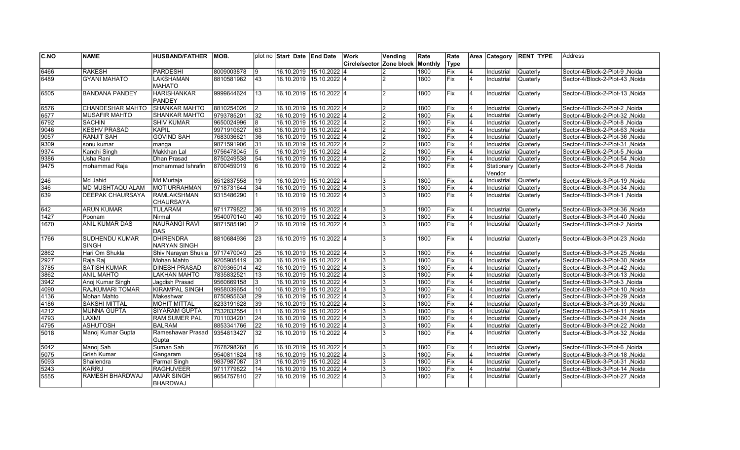| Circle/sector<br>Monthly<br>Type<br>Zone block<br>6466<br><b>RAKESH</b><br><b>PARDESHI</b><br>8009003878<br>16.10.2019 15.10.2022 4<br>19<br>1800<br>Fix<br>Industrial<br>Quaterly<br>Sector-4/Block-2-Plot-9, Noida<br>4<br><b>GYANI MAHATO</b><br><b>LAKSHAMAN</b><br>43<br>16.10.2019 15.10.2022 4<br>Fix<br>14<br>6489<br>8810581962<br>1800<br>Industrial<br>Quaterly<br>$\overline{2}$<br>Sector-4/Block-2-Plot-43, Noida<br><b>MAHATO</b><br><b>BANDANA PANDEY</b><br><b>HARISHANKAR</b><br>9999644624<br>13<br>16.10.2019<br>15.10.2022 4<br>1800<br><b>Fix</b><br>Industrial<br>Quaterly<br>6505<br>$\overline{2}$<br>$\overline{4}$<br>Sector-4/Block-2-Plot-13, Noida<br><b>PANDEY</b><br>16.10.2019 15.10.2022 4<br>6576<br><b>CHANDESHAR MAHTO</b><br><b>SHANKAR MAHTO</b><br>8810254026<br>2<br>1800<br>Fix<br>Quaterly<br>2<br>$\overline{4}$<br>Industrial<br>Sector-4/Block-2-Plot-2, Noida<br><b>SHANKAR MAHTO</b><br>9793785201<br>6577<br><b>MUSAFIR MAHTO</b><br>32<br>16.10.2019 15.10.2022 4<br>1800<br>lFix.<br>4<br>Industrial<br>Quaterly<br>$\mathcal{P}$<br>Noida Sector-4/Block-2-Plot-32<br><b>SACHIN</b><br><b>SHIV KUMAR</b><br>6792<br>9650024996<br>8<br>16.10.2019 15.10.2022 4<br>1800<br>Fix<br>$\overline{4}$<br>Industrial<br>Quaterly<br>Sector-4/Block-2-Plot-8, Noida<br>っ<br><b>KESHV PRASAD</b><br>63<br>Fix<br>9046<br>9971910627<br>16.10.2019 15.10.2022 4<br>1800<br><b>KAPIL</b><br>$\overline{2}$<br>Industrial<br>Quaterly<br>Sector-4/Block-2-Plot-63, Noida<br>4<br><b>RANJIT SAH</b><br><b>GOVIND SAH</b><br>7683036621<br>16.10.2019 15.10.2022 4<br>Fix<br>9057<br>36<br>$\overline{2}$<br>1800<br>Quaterly<br>Sector-4/Block-2-Plot-36, Noida<br>$\overline{4}$<br>Industrial<br>16.10.2019 15.10.2022 4<br>Fix<br>9309<br>sonu kumar<br>9871591906<br>31<br>$\mathfrak{p}$<br>1800<br>4<br>Industrial<br>Quaterly<br>Sector-4/Block-2-Plot-31, Noida<br>manga<br>Makkhan Lal<br>$\overline{5}$<br>16.10.2019 15.10.2022 4<br>Fix<br>9374<br>Kanchi Singh<br>9756478045<br>$\overline{c}$<br>1800<br>4<br>Industrial<br>Quaterly<br>Sector-4/Block-2-Plot-5, Noida<br>Fix<br>9386<br>8750249538<br>54<br>16.10.2019 15.10.2022 4<br>Usha Rani<br>Dhan Prasad<br>$\overline{2}$<br>1800<br>$\overline{4}$<br>Industrial<br>Quaterly<br>Noida Noida -4/Block-2-Plot-54<br>9475<br>mohammad Raja<br>8700459019<br>l6<br>$\mathfrak{p}$<br>1800<br>Fix<br>mohammad Ishrafin<br>16.10.2019<br>15.10.2022 4<br>4<br>Stationary<br>Quaterly<br>Sector-4/Block-2-Plot-6, Noida<br>Vendor<br>8512837558<br>16.10.2019 15.10.2022 4<br>Fix<br>246<br>Md Jahid<br>Md Murtaja<br>19<br>1800<br>Industrial<br>Quaterly<br>Sector-4/Block-3-Plot-19, Noida<br>4<br>346<br><b>MD MUSHTAQU ALAM</b><br>MOTIURRAHMAN<br>34<br>16.10.2019 15.10.2022 4<br>1800<br>Fix<br>4<br>9718731644<br>Industrial<br>Quaterly<br>Sector-4/Block-3-Plot-34, Noida<br>3<br>639<br><b>DEEPAK CHAURSAYA</b><br><b>RAMLAKSHMAN</b><br>Fix<br>9315486290<br>16.10.2019<br>15.10.2022 4<br>3<br>1800<br>Industrial<br>Quaterly<br>Sector-4/Block-3-Plot-1, Noida<br>14<br>CHAURSAYA<br>9711779822<br>16.10.2019 15.10.2022 4<br><b>ARUN KUMAR</b><br><b>TULARAM</b><br>36<br>1800<br><b>Fix</b><br>Quaterly<br>Sector-4/Block-3-Plot-36, Noida<br>4<br>Industrial<br>3<br>$\sqrt{1427}$<br>Fix<br>Poonam<br>9540070140<br>40<br>16.10.2019 15.10.2022 4<br>1800<br>4<br>Industrial<br>Quaterly<br>Nirmal<br>Noida / Sector-4/Block-3-Plot-40<br>3<br><b>ANIL KUMAR DAS</b><br><b>NAURANGI RAVI</b><br>Fix<br>1670<br>9871585190<br>2<br>1800<br>$\overline{4}$<br>16.10.2019<br>15.10.2022 4<br>3<br>Industrial<br>Quaterly<br>Sector-4/Block-3-Plot-2, Noida<br>DAS<br>DHIRENDRA<br><b>SUDHENDU KUMAR</b><br>$15.10.2022$ 4<br>Fix<br>1766<br>8810684936<br>23<br>16.10.2019<br>1800<br>4<br>Industrial<br>Quaterly<br>Sector-4/Block-3-Plot-23, Noida<br>3<br><b>SINGH</b><br><b>NARYAN SINGH</b><br>Hari Om Shukla<br>9717470049<br>16.10.2019 15.10.2022 4<br>2862<br>25<br>1800<br><b>Fix</b><br>Industrial<br>Quaterly<br>Sector-4/Block-3-Plot-25, Noida<br>Shiv Narayan Shukla<br>4<br>3<br>2927<br>Raja Raj<br><b>Mohan Mahto</b><br>9205905419<br>30<br>16.10.2019 15.10.2022 4<br>1800<br>Fix<br>Quaterly<br>3<br>4<br>Industrial<br>Sector-4/Block-3-Plot-30, Noida<br><b>SATISH KUMAR</b><br>16.10.2019 15.10.2022 4<br><b>DINESH PRASAD</b><br>8709365014<br>42<br>1800<br>Fix<br>3785<br>$\overline{4}$<br>Industrial<br>Quaterly<br>Sector-4/Block-3-Plot-42, Noida<br>3862<br><b>ANIL MAHTO</b><br><b>LAKHAN MAHTO</b><br>7835832521<br>13<br>16.10.2019 15.10.2022 4<br>Fix<br>4<br>1800<br>Industrial<br>Quaterly<br>Noida Sector-4/Block-3-Plot-13<br>9560669158<br>3942<br>Anoj Kumar Singh<br>l3<br>16.10.2019 15.10.2022 4<br>1800<br><b>Fix</b><br>$\overline{4}$<br>Jagdish Prasad<br>3<br>Industrial<br>Quaterly<br>Sector-4/Block-3-Plot-3, Noida<br><b>RAJKUMARI TOMAR</b><br>KIRAMPAL SINGH<br>9958039654<br>16.10.2019 15.10.2022 4<br>Fix<br>4090<br>10<br>1800<br>Industrial<br><b>Quaterly</b><br>Sector-4/Block-3-Plot-10, Noida<br>3<br>$\overline{\mathbf{A}}$<br>16.10.2019 15.10.2022 4<br>1800<br>Fix<br>4136<br>Mohan Mahto<br>8750955638<br>29<br>3<br>Quaterly<br>Sector-4/Block-3-Plot-29, Noida<br>Makeshwar<br>4<br>Industrial<br>MOHIT MITTAL<br>8233191628<br>16.10.2019 15.10.2022 4<br>Fix<br>4186<br><b>SAKSHI MITTAL</b><br>39<br>1800<br>Industrial<br>Sector-4/Block-3-Plot-39, Noida<br>4<br>Quaterly<br><b>MUNNA GUPTA</b><br>7532832554<br>4212<br><b>SIYARAM GUPTA</b><br>11<br>16.10.2019 15.10.2022 4<br>1800<br>Fix<br>4<br>Sector-4/Block-3-Plot-11, Noida<br>Industrial<br>Quaterly<br>16.10.2019 15.10.2022 4<br>$\overline{4}$<br>3 | C.NO | <b>NAME</b>  | <b>HUSBAND/FATHER</b> | IMOB.      |    | plot no Start Date LEnd Date | Work | Vending | Rate | Rate | Area Category | <b>RENT TYPE</b> | lAddress                        |
|--------------------------------------------------------------------------------------------------------------------------------------------------------------------------------------------------------------------------------------------------------------------------------------------------------------------------------------------------------------------------------------------------------------------------------------------------------------------------------------------------------------------------------------------------------------------------------------------------------------------------------------------------------------------------------------------------------------------------------------------------------------------------------------------------------------------------------------------------------------------------------------------------------------------------------------------------------------------------------------------------------------------------------------------------------------------------------------------------------------------------------------------------------------------------------------------------------------------------------------------------------------------------------------------------------------------------------------------------------------------------------------------------------------------------------------------------------------------------------------------------------------------------------------------------------------------------------------------------------------------------------------------------------------------------------------------------------------------------------------------------------------------------------------------------------------------------------------------------------------------------------------------------------------------------------------------------------------------------------------------------------------------------------------------------------------------------------------------------------------------------------------------------------------------------------------------------------------------------------------------------------------------------------------------------------------------------------------------------------------------------------------------------------------------------------------------------------------------------------------------------------------------------------------------------------------------------------------------------------------------------------------------------------------------------------------------------------------------------------------------------------------------------------------------------------------------------------------------------------------------------------------------------------------------------------------------------------------------------------------------------------------------------------------------------------------------------------------------------------------------------------------------------------------------------------------------------------------------------------------------------------------------------------------------------------------------------------------------------------------------------------------------------------------------------------------------------------------------------------------------------------------------------------------------------------------------------------------------------------------------------------------------------------------------------------------------------------------------------------------------------------------------------------------------------------------------------------------------------------------------------------------------------------------------------------------------------------------------------------------------------------------------------------------------------------------------------------------------------------------------------------------------------------------------------------------------------------------------------------------------------------------------------------------------------------------------------------------------------------------------------------------------------------------------------------------------------------------------------------------------------------------------------------------------------------------------------------------------------------------------------------------------------------------------------------------------------------------------------------------------------------------------------------------------------------------------------------------------------------------------------------------------------------------------------------------------------------------------------------------------------------------------------------------------------------------------------------------------------------------------------------------------------------------------------------------------------------------------------------------------------------------------------------------------------------------------------------------------------------------------------------------------------------------------------------------------------------------------------------------------------------------------------------------------------------------------------------------------------------------------------------------------------------------------------------------------------------------------------|------|--------------|-----------------------|------------|----|------------------------------|------|---------|------|------|---------------|------------------|---------------------------------|
|                                                                                                                                                                                                                                                                                                                                                                                                                                                                                                                                                                                                                                                                                                                                                                                                                                                                                                                                                                                                                                                                                                                                                                                                                                                                                                                                                                                                                                                                                                                                                                                                                                                                                                                                                                                                                                                                                                                                                                                                                                                                                                                                                                                                                                                                                                                                                                                                                                                                                                                                                                                                                                                                                                                                                                                                                                                                                                                                                                                                                                                                                                                                                                                                                                                                                                                                                                                                                                                                                                                                                                                                                                                                                                                                                                                                                                                                                                                                                                                                                                                                                                                                                                                                                                                                                                                                                                                                                                                                                                                                                                                                                                                                                                                                                                                                                                                                                                                                                                                                                                                                                                                                                                                                                                                                                                                                                                                                                                                                                                                                                                                                                                                                                                                          |      |              |                       |            |    |                              |      |         |      |      |               |                  |                                 |
|                                                                                                                                                                                                                                                                                                                                                                                                                                                                                                                                                                                                                                                                                                                                                                                                                                                                                                                                                                                                                                                                                                                                                                                                                                                                                                                                                                                                                                                                                                                                                                                                                                                                                                                                                                                                                                                                                                                                                                                                                                                                                                                                                                                                                                                                                                                                                                                                                                                                                                                                                                                                                                                                                                                                                                                                                                                                                                                                                                                                                                                                                                                                                                                                                                                                                                                                                                                                                                                                                                                                                                                                                                                                                                                                                                                                                                                                                                                                                                                                                                                                                                                                                                                                                                                                                                                                                                                                                                                                                                                                                                                                                                                                                                                                                                                                                                                                                                                                                                                                                                                                                                                                                                                                                                                                                                                                                                                                                                                                                                                                                                                                                                                                                                                          |      |              |                       |            |    |                              |      |         |      |      |               |                  |                                 |
|                                                                                                                                                                                                                                                                                                                                                                                                                                                                                                                                                                                                                                                                                                                                                                                                                                                                                                                                                                                                                                                                                                                                                                                                                                                                                                                                                                                                                                                                                                                                                                                                                                                                                                                                                                                                                                                                                                                                                                                                                                                                                                                                                                                                                                                                                                                                                                                                                                                                                                                                                                                                                                                                                                                                                                                                                                                                                                                                                                                                                                                                                                                                                                                                                                                                                                                                                                                                                                                                                                                                                                                                                                                                                                                                                                                                                                                                                                                                                                                                                                                                                                                                                                                                                                                                                                                                                                                                                                                                                                                                                                                                                                                                                                                                                                                                                                                                                                                                                                                                                                                                                                                                                                                                                                                                                                                                                                                                                                                                                                                                                                                                                                                                                                                          |      |              |                       |            |    |                              |      |         |      |      |               |                  |                                 |
|                                                                                                                                                                                                                                                                                                                                                                                                                                                                                                                                                                                                                                                                                                                                                                                                                                                                                                                                                                                                                                                                                                                                                                                                                                                                                                                                                                                                                                                                                                                                                                                                                                                                                                                                                                                                                                                                                                                                                                                                                                                                                                                                                                                                                                                                                                                                                                                                                                                                                                                                                                                                                                                                                                                                                                                                                                                                                                                                                                                                                                                                                                                                                                                                                                                                                                                                                                                                                                                                                                                                                                                                                                                                                                                                                                                                                                                                                                                                                                                                                                                                                                                                                                                                                                                                                                                                                                                                                                                                                                                                                                                                                                                                                                                                                                                                                                                                                                                                                                                                                                                                                                                                                                                                                                                                                                                                                                                                                                                                                                                                                                                                                                                                                                                          |      |              |                       |            |    |                              |      |         |      |      |               |                  |                                 |
|                                                                                                                                                                                                                                                                                                                                                                                                                                                                                                                                                                                                                                                                                                                                                                                                                                                                                                                                                                                                                                                                                                                                                                                                                                                                                                                                                                                                                                                                                                                                                                                                                                                                                                                                                                                                                                                                                                                                                                                                                                                                                                                                                                                                                                                                                                                                                                                                                                                                                                                                                                                                                                                                                                                                                                                                                                                                                                                                                                                                                                                                                                                                                                                                                                                                                                                                                                                                                                                                                                                                                                                                                                                                                                                                                                                                                                                                                                                                                                                                                                                                                                                                                                                                                                                                                                                                                                                                                                                                                                                                                                                                                                                                                                                                                                                                                                                                                                                                                                                                                                                                                                                                                                                                                                                                                                                                                                                                                                                                                                                                                                                                                                                                                                                          |      |              |                       |            |    |                              |      |         |      |      |               |                  |                                 |
|                                                                                                                                                                                                                                                                                                                                                                                                                                                                                                                                                                                                                                                                                                                                                                                                                                                                                                                                                                                                                                                                                                                                                                                                                                                                                                                                                                                                                                                                                                                                                                                                                                                                                                                                                                                                                                                                                                                                                                                                                                                                                                                                                                                                                                                                                                                                                                                                                                                                                                                                                                                                                                                                                                                                                                                                                                                                                                                                                                                                                                                                                                                                                                                                                                                                                                                                                                                                                                                                                                                                                                                                                                                                                                                                                                                                                                                                                                                                                                                                                                                                                                                                                                                                                                                                                                                                                                                                                                                                                                                                                                                                                                                                                                                                                                                                                                                                                                                                                                                                                                                                                                                                                                                                                                                                                                                                                                                                                                                                                                                                                                                                                                                                                                                          |      |              |                       |            |    |                              |      |         |      |      |               |                  |                                 |
|                                                                                                                                                                                                                                                                                                                                                                                                                                                                                                                                                                                                                                                                                                                                                                                                                                                                                                                                                                                                                                                                                                                                                                                                                                                                                                                                                                                                                                                                                                                                                                                                                                                                                                                                                                                                                                                                                                                                                                                                                                                                                                                                                                                                                                                                                                                                                                                                                                                                                                                                                                                                                                                                                                                                                                                                                                                                                                                                                                                                                                                                                                                                                                                                                                                                                                                                                                                                                                                                                                                                                                                                                                                                                                                                                                                                                                                                                                                                                                                                                                                                                                                                                                                                                                                                                                                                                                                                                                                                                                                                                                                                                                                                                                                                                                                                                                                                                                                                                                                                                                                                                                                                                                                                                                                                                                                                                                                                                                                                                                                                                                                                                                                                                                                          |      |              |                       |            |    |                              |      |         |      |      |               |                  |                                 |
|                                                                                                                                                                                                                                                                                                                                                                                                                                                                                                                                                                                                                                                                                                                                                                                                                                                                                                                                                                                                                                                                                                                                                                                                                                                                                                                                                                                                                                                                                                                                                                                                                                                                                                                                                                                                                                                                                                                                                                                                                                                                                                                                                                                                                                                                                                                                                                                                                                                                                                                                                                                                                                                                                                                                                                                                                                                                                                                                                                                                                                                                                                                                                                                                                                                                                                                                                                                                                                                                                                                                                                                                                                                                                                                                                                                                                                                                                                                                                                                                                                                                                                                                                                                                                                                                                                                                                                                                                                                                                                                                                                                                                                                                                                                                                                                                                                                                                                                                                                                                                                                                                                                                                                                                                                                                                                                                                                                                                                                                                                                                                                                                                                                                                                                          |      |              |                       |            |    |                              |      |         |      |      |               |                  |                                 |
|                                                                                                                                                                                                                                                                                                                                                                                                                                                                                                                                                                                                                                                                                                                                                                                                                                                                                                                                                                                                                                                                                                                                                                                                                                                                                                                                                                                                                                                                                                                                                                                                                                                                                                                                                                                                                                                                                                                                                                                                                                                                                                                                                                                                                                                                                                                                                                                                                                                                                                                                                                                                                                                                                                                                                                                                                                                                                                                                                                                                                                                                                                                                                                                                                                                                                                                                                                                                                                                                                                                                                                                                                                                                                                                                                                                                                                                                                                                                                                                                                                                                                                                                                                                                                                                                                                                                                                                                                                                                                                                                                                                                                                                                                                                                                                                                                                                                                                                                                                                                                                                                                                                                                                                                                                                                                                                                                                                                                                                                                                                                                                                                                                                                                                                          |      |              |                       |            |    |                              |      |         |      |      |               |                  |                                 |
|                                                                                                                                                                                                                                                                                                                                                                                                                                                                                                                                                                                                                                                                                                                                                                                                                                                                                                                                                                                                                                                                                                                                                                                                                                                                                                                                                                                                                                                                                                                                                                                                                                                                                                                                                                                                                                                                                                                                                                                                                                                                                                                                                                                                                                                                                                                                                                                                                                                                                                                                                                                                                                                                                                                                                                                                                                                                                                                                                                                                                                                                                                                                                                                                                                                                                                                                                                                                                                                                                                                                                                                                                                                                                                                                                                                                                                                                                                                                                                                                                                                                                                                                                                                                                                                                                                                                                                                                                                                                                                                                                                                                                                                                                                                                                                                                                                                                                                                                                                                                                                                                                                                                                                                                                                                                                                                                                                                                                                                                                                                                                                                                                                                                                                                          |      |              |                       |            |    |                              |      |         |      |      |               |                  |                                 |
|                                                                                                                                                                                                                                                                                                                                                                                                                                                                                                                                                                                                                                                                                                                                                                                                                                                                                                                                                                                                                                                                                                                                                                                                                                                                                                                                                                                                                                                                                                                                                                                                                                                                                                                                                                                                                                                                                                                                                                                                                                                                                                                                                                                                                                                                                                                                                                                                                                                                                                                                                                                                                                                                                                                                                                                                                                                                                                                                                                                                                                                                                                                                                                                                                                                                                                                                                                                                                                                                                                                                                                                                                                                                                                                                                                                                                                                                                                                                                                                                                                                                                                                                                                                                                                                                                                                                                                                                                                                                                                                                                                                                                                                                                                                                                                                                                                                                                                                                                                                                                                                                                                                                                                                                                                                                                                                                                                                                                                                                                                                                                                                                                                                                                                                          |      |              |                       |            |    |                              |      |         |      |      |               |                  |                                 |
|                                                                                                                                                                                                                                                                                                                                                                                                                                                                                                                                                                                                                                                                                                                                                                                                                                                                                                                                                                                                                                                                                                                                                                                                                                                                                                                                                                                                                                                                                                                                                                                                                                                                                                                                                                                                                                                                                                                                                                                                                                                                                                                                                                                                                                                                                                                                                                                                                                                                                                                                                                                                                                                                                                                                                                                                                                                                                                                                                                                                                                                                                                                                                                                                                                                                                                                                                                                                                                                                                                                                                                                                                                                                                                                                                                                                                                                                                                                                                                                                                                                                                                                                                                                                                                                                                                                                                                                                                                                                                                                                                                                                                                                                                                                                                                                                                                                                                                                                                                                                                                                                                                                                                                                                                                                                                                                                                                                                                                                                                                                                                                                                                                                                                                                          |      |              |                       |            |    |                              |      |         |      |      |               |                  |                                 |
|                                                                                                                                                                                                                                                                                                                                                                                                                                                                                                                                                                                                                                                                                                                                                                                                                                                                                                                                                                                                                                                                                                                                                                                                                                                                                                                                                                                                                                                                                                                                                                                                                                                                                                                                                                                                                                                                                                                                                                                                                                                                                                                                                                                                                                                                                                                                                                                                                                                                                                                                                                                                                                                                                                                                                                                                                                                                                                                                                                                                                                                                                                                                                                                                                                                                                                                                                                                                                                                                                                                                                                                                                                                                                                                                                                                                                                                                                                                                                                                                                                                                                                                                                                                                                                                                                                                                                                                                                                                                                                                                                                                                                                                                                                                                                                                                                                                                                                                                                                                                                                                                                                                                                                                                                                                                                                                                                                                                                                                                                                                                                                                                                                                                                                                          |      |              |                       |            |    |                              |      |         |      |      |               |                  |                                 |
|                                                                                                                                                                                                                                                                                                                                                                                                                                                                                                                                                                                                                                                                                                                                                                                                                                                                                                                                                                                                                                                                                                                                                                                                                                                                                                                                                                                                                                                                                                                                                                                                                                                                                                                                                                                                                                                                                                                                                                                                                                                                                                                                                                                                                                                                                                                                                                                                                                                                                                                                                                                                                                                                                                                                                                                                                                                                                                                                                                                                                                                                                                                                                                                                                                                                                                                                                                                                                                                                                                                                                                                                                                                                                                                                                                                                                                                                                                                                                                                                                                                                                                                                                                                                                                                                                                                                                                                                                                                                                                                                                                                                                                                                                                                                                                                                                                                                                                                                                                                                                                                                                                                                                                                                                                                                                                                                                                                                                                                                                                                                                                                                                                                                                                                          |      |              |                       |            |    |                              |      |         |      |      |               |                  |                                 |
|                                                                                                                                                                                                                                                                                                                                                                                                                                                                                                                                                                                                                                                                                                                                                                                                                                                                                                                                                                                                                                                                                                                                                                                                                                                                                                                                                                                                                                                                                                                                                                                                                                                                                                                                                                                                                                                                                                                                                                                                                                                                                                                                                                                                                                                                                                                                                                                                                                                                                                                                                                                                                                                                                                                                                                                                                                                                                                                                                                                                                                                                                                                                                                                                                                                                                                                                                                                                                                                                                                                                                                                                                                                                                                                                                                                                                                                                                                                                                                                                                                                                                                                                                                                                                                                                                                                                                                                                                                                                                                                                                                                                                                                                                                                                                                                                                                                                                                                                                                                                                                                                                                                                                                                                                                                                                                                                                                                                                                                                                                                                                                                                                                                                                                                          |      |              |                       |            |    |                              |      |         |      |      |               |                  |                                 |
|                                                                                                                                                                                                                                                                                                                                                                                                                                                                                                                                                                                                                                                                                                                                                                                                                                                                                                                                                                                                                                                                                                                                                                                                                                                                                                                                                                                                                                                                                                                                                                                                                                                                                                                                                                                                                                                                                                                                                                                                                                                                                                                                                                                                                                                                                                                                                                                                                                                                                                                                                                                                                                                                                                                                                                                                                                                                                                                                                                                                                                                                                                                                                                                                                                                                                                                                                                                                                                                                                                                                                                                                                                                                                                                                                                                                                                                                                                                                                                                                                                                                                                                                                                                                                                                                                                                                                                                                                                                                                                                                                                                                                                                                                                                                                                                                                                                                                                                                                                                                                                                                                                                                                                                                                                                                                                                                                                                                                                                                                                                                                                                                                                                                                                                          |      |              |                       |            |    |                              |      |         |      |      |               |                  |                                 |
|                                                                                                                                                                                                                                                                                                                                                                                                                                                                                                                                                                                                                                                                                                                                                                                                                                                                                                                                                                                                                                                                                                                                                                                                                                                                                                                                                                                                                                                                                                                                                                                                                                                                                                                                                                                                                                                                                                                                                                                                                                                                                                                                                                                                                                                                                                                                                                                                                                                                                                                                                                                                                                                                                                                                                                                                                                                                                                                                                                                                                                                                                                                                                                                                                                                                                                                                                                                                                                                                                                                                                                                                                                                                                                                                                                                                                                                                                                                                                                                                                                                                                                                                                                                                                                                                                                                                                                                                                                                                                                                                                                                                                                                                                                                                                                                                                                                                                                                                                                                                                                                                                                                                                                                                                                                                                                                                                                                                                                                                                                                                                                                                                                                                                                                          |      |              |                       |            |    |                              |      |         |      |      |               |                  |                                 |
| 642                                                                                                                                                                                                                                                                                                                                                                                                                                                                                                                                                                                                                                                                                                                                                                                                                                                                                                                                                                                                                                                                                                                                                                                                                                                                                                                                                                                                                                                                                                                                                                                                                                                                                                                                                                                                                                                                                                                                                                                                                                                                                                                                                                                                                                                                                                                                                                                                                                                                                                                                                                                                                                                                                                                                                                                                                                                                                                                                                                                                                                                                                                                                                                                                                                                                                                                                                                                                                                                                                                                                                                                                                                                                                                                                                                                                                                                                                                                                                                                                                                                                                                                                                                                                                                                                                                                                                                                                                                                                                                                                                                                                                                                                                                                                                                                                                                                                                                                                                                                                                                                                                                                                                                                                                                                                                                                                                                                                                                                                                                                                                                                                                                                                                                                      |      |              |                       |            |    |                              |      |         |      |      |               |                  |                                 |
|                                                                                                                                                                                                                                                                                                                                                                                                                                                                                                                                                                                                                                                                                                                                                                                                                                                                                                                                                                                                                                                                                                                                                                                                                                                                                                                                                                                                                                                                                                                                                                                                                                                                                                                                                                                                                                                                                                                                                                                                                                                                                                                                                                                                                                                                                                                                                                                                                                                                                                                                                                                                                                                                                                                                                                                                                                                                                                                                                                                                                                                                                                                                                                                                                                                                                                                                                                                                                                                                                                                                                                                                                                                                                                                                                                                                                                                                                                                                                                                                                                                                                                                                                                                                                                                                                                                                                                                                                                                                                                                                                                                                                                                                                                                                                                                                                                                                                                                                                                                                                                                                                                                                                                                                                                                                                                                                                                                                                                                                                                                                                                                                                                                                                                                          |      |              |                       |            |    |                              |      |         |      |      |               |                  |                                 |
|                                                                                                                                                                                                                                                                                                                                                                                                                                                                                                                                                                                                                                                                                                                                                                                                                                                                                                                                                                                                                                                                                                                                                                                                                                                                                                                                                                                                                                                                                                                                                                                                                                                                                                                                                                                                                                                                                                                                                                                                                                                                                                                                                                                                                                                                                                                                                                                                                                                                                                                                                                                                                                                                                                                                                                                                                                                                                                                                                                                                                                                                                                                                                                                                                                                                                                                                                                                                                                                                                                                                                                                                                                                                                                                                                                                                                                                                                                                                                                                                                                                                                                                                                                                                                                                                                                                                                                                                                                                                                                                                                                                                                                                                                                                                                                                                                                                                                                                                                                                                                                                                                                                                                                                                                                                                                                                                                                                                                                                                                                                                                                                                                                                                                                                          |      |              |                       |            |    |                              |      |         |      |      |               |                  |                                 |
|                                                                                                                                                                                                                                                                                                                                                                                                                                                                                                                                                                                                                                                                                                                                                                                                                                                                                                                                                                                                                                                                                                                                                                                                                                                                                                                                                                                                                                                                                                                                                                                                                                                                                                                                                                                                                                                                                                                                                                                                                                                                                                                                                                                                                                                                                                                                                                                                                                                                                                                                                                                                                                                                                                                                                                                                                                                                                                                                                                                                                                                                                                                                                                                                                                                                                                                                                                                                                                                                                                                                                                                                                                                                                                                                                                                                                                                                                                                                                                                                                                                                                                                                                                                                                                                                                                                                                                                                                                                                                                                                                                                                                                                                                                                                                                                                                                                                                                                                                                                                                                                                                                                                                                                                                                                                                                                                                                                                                                                                                                                                                                                                                                                                                                                          |      |              |                       |            |    |                              |      |         |      |      |               |                  |                                 |
|                                                                                                                                                                                                                                                                                                                                                                                                                                                                                                                                                                                                                                                                                                                                                                                                                                                                                                                                                                                                                                                                                                                                                                                                                                                                                                                                                                                                                                                                                                                                                                                                                                                                                                                                                                                                                                                                                                                                                                                                                                                                                                                                                                                                                                                                                                                                                                                                                                                                                                                                                                                                                                                                                                                                                                                                                                                                                                                                                                                                                                                                                                                                                                                                                                                                                                                                                                                                                                                                                                                                                                                                                                                                                                                                                                                                                                                                                                                                                                                                                                                                                                                                                                                                                                                                                                                                                                                                                                                                                                                                                                                                                                                                                                                                                                                                                                                                                                                                                                                                                                                                                                                                                                                                                                                                                                                                                                                                                                                                                                                                                                                                                                                                                                                          |      |              |                       |            |    |                              |      |         |      |      |               |                  |                                 |
|                                                                                                                                                                                                                                                                                                                                                                                                                                                                                                                                                                                                                                                                                                                                                                                                                                                                                                                                                                                                                                                                                                                                                                                                                                                                                                                                                                                                                                                                                                                                                                                                                                                                                                                                                                                                                                                                                                                                                                                                                                                                                                                                                                                                                                                                                                                                                                                                                                                                                                                                                                                                                                                                                                                                                                                                                                                                                                                                                                                                                                                                                                                                                                                                                                                                                                                                                                                                                                                                                                                                                                                                                                                                                                                                                                                                                                                                                                                                                                                                                                                                                                                                                                                                                                                                                                                                                                                                                                                                                                                                                                                                                                                                                                                                                                                                                                                                                                                                                                                                                                                                                                                                                                                                                                                                                                                                                                                                                                                                                                                                                                                                                                                                                                                          |      |              |                       |            |    |                              |      |         |      |      |               |                  |                                 |
|                                                                                                                                                                                                                                                                                                                                                                                                                                                                                                                                                                                                                                                                                                                                                                                                                                                                                                                                                                                                                                                                                                                                                                                                                                                                                                                                                                                                                                                                                                                                                                                                                                                                                                                                                                                                                                                                                                                                                                                                                                                                                                                                                                                                                                                                                                                                                                                                                                                                                                                                                                                                                                                                                                                                                                                                                                                                                                                                                                                                                                                                                                                                                                                                                                                                                                                                                                                                                                                                                                                                                                                                                                                                                                                                                                                                                                                                                                                                                                                                                                                                                                                                                                                                                                                                                                                                                                                                                                                                                                                                                                                                                                                                                                                                                                                                                                                                                                                                                                                                                                                                                                                                                                                                                                                                                                                                                                                                                                                                                                                                                                                                                                                                                                                          |      |              |                       |            |    |                              |      |         |      |      |               |                  |                                 |
|                                                                                                                                                                                                                                                                                                                                                                                                                                                                                                                                                                                                                                                                                                                                                                                                                                                                                                                                                                                                                                                                                                                                                                                                                                                                                                                                                                                                                                                                                                                                                                                                                                                                                                                                                                                                                                                                                                                                                                                                                                                                                                                                                                                                                                                                                                                                                                                                                                                                                                                                                                                                                                                                                                                                                                                                                                                                                                                                                                                                                                                                                                                                                                                                                                                                                                                                                                                                                                                                                                                                                                                                                                                                                                                                                                                                                                                                                                                                                                                                                                                                                                                                                                                                                                                                                                                                                                                                                                                                                                                                                                                                                                                                                                                                                                                                                                                                                                                                                                                                                                                                                                                                                                                                                                                                                                                                                                                                                                                                                                                                                                                                                                                                                                                          |      |              |                       |            |    |                              |      |         |      |      |               |                  |                                 |
|                                                                                                                                                                                                                                                                                                                                                                                                                                                                                                                                                                                                                                                                                                                                                                                                                                                                                                                                                                                                                                                                                                                                                                                                                                                                                                                                                                                                                                                                                                                                                                                                                                                                                                                                                                                                                                                                                                                                                                                                                                                                                                                                                                                                                                                                                                                                                                                                                                                                                                                                                                                                                                                                                                                                                                                                                                                                                                                                                                                                                                                                                                                                                                                                                                                                                                                                                                                                                                                                                                                                                                                                                                                                                                                                                                                                                                                                                                                                                                                                                                                                                                                                                                                                                                                                                                                                                                                                                                                                                                                                                                                                                                                                                                                                                                                                                                                                                                                                                                                                                                                                                                                                                                                                                                                                                                                                                                                                                                                                                                                                                                                                                                                                                                                          |      |              |                       |            |    |                              |      |         |      |      |               |                  |                                 |
|                                                                                                                                                                                                                                                                                                                                                                                                                                                                                                                                                                                                                                                                                                                                                                                                                                                                                                                                                                                                                                                                                                                                                                                                                                                                                                                                                                                                                                                                                                                                                                                                                                                                                                                                                                                                                                                                                                                                                                                                                                                                                                                                                                                                                                                                                                                                                                                                                                                                                                                                                                                                                                                                                                                                                                                                                                                                                                                                                                                                                                                                                                                                                                                                                                                                                                                                                                                                                                                                                                                                                                                                                                                                                                                                                                                                                                                                                                                                                                                                                                                                                                                                                                                                                                                                                                                                                                                                                                                                                                                                                                                                                                                                                                                                                                                                                                                                                                                                                                                                                                                                                                                                                                                                                                                                                                                                                                                                                                                                                                                                                                                                                                                                                                                          |      |              |                       |            |    |                              |      |         |      |      |               |                  |                                 |
|                                                                                                                                                                                                                                                                                                                                                                                                                                                                                                                                                                                                                                                                                                                                                                                                                                                                                                                                                                                                                                                                                                                                                                                                                                                                                                                                                                                                                                                                                                                                                                                                                                                                                                                                                                                                                                                                                                                                                                                                                                                                                                                                                                                                                                                                                                                                                                                                                                                                                                                                                                                                                                                                                                                                                                                                                                                                                                                                                                                                                                                                                                                                                                                                                                                                                                                                                                                                                                                                                                                                                                                                                                                                                                                                                                                                                                                                                                                                                                                                                                                                                                                                                                                                                                                                                                                                                                                                                                                                                                                                                                                                                                                                                                                                                                                                                                                                                                                                                                                                                                                                                                                                                                                                                                                                                                                                                                                                                                                                                                                                                                                                                                                                                                                          |      |              |                       |            |    |                              |      |         |      |      |               |                  |                                 |
|                                                                                                                                                                                                                                                                                                                                                                                                                                                                                                                                                                                                                                                                                                                                                                                                                                                                                                                                                                                                                                                                                                                                                                                                                                                                                                                                                                                                                                                                                                                                                                                                                                                                                                                                                                                                                                                                                                                                                                                                                                                                                                                                                                                                                                                                                                                                                                                                                                                                                                                                                                                                                                                                                                                                                                                                                                                                                                                                                                                                                                                                                                                                                                                                                                                                                                                                                                                                                                                                                                                                                                                                                                                                                                                                                                                                                                                                                                                                                                                                                                                                                                                                                                                                                                                                                                                                                                                                                                                                                                                                                                                                                                                                                                                                                                                                                                                                                                                                                                                                                                                                                                                                                                                                                                                                                                                                                                                                                                                                                                                                                                                                                                                                                                                          |      |              |                       |            |    |                              |      |         |      |      |               |                  |                                 |
|                                                                                                                                                                                                                                                                                                                                                                                                                                                                                                                                                                                                                                                                                                                                                                                                                                                                                                                                                                                                                                                                                                                                                                                                                                                                                                                                                                                                                                                                                                                                                                                                                                                                                                                                                                                                                                                                                                                                                                                                                                                                                                                                                                                                                                                                                                                                                                                                                                                                                                                                                                                                                                                                                                                                                                                                                                                                                                                                                                                                                                                                                                                                                                                                                                                                                                                                                                                                                                                                                                                                                                                                                                                                                                                                                                                                                                                                                                                                                                                                                                                                                                                                                                                                                                                                                                                                                                                                                                                                                                                                                                                                                                                                                                                                                                                                                                                                                                                                                                                                                                                                                                                                                                                                                                                                                                                                                                                                                                                                                                                                                                                                                                                                                                                          |      |              |                       |            |    |                              |      |         |      |      |               |                  |                                 |
|                                                                                                                                                                                                                                                                                                                                                                                                                                                                                                                                                                                                                                                                                                                                                                                                                                                                                                                                                                                                                                                                                                                                                                                                                                                                                                                                                                                                                                                                                                                                                                                                                                                                                                                                                                                                                                                                                                                                                                                                                                                                                                                                                                                                                                                                                                                                                                                                                                                                                                                                                                                                                                                                                                                                                                                                                                                                                                                                                                                                                                                                                                                                                                                                                                                                                                                                                                                                                                                                                                                                                                                                                                                                                                                                                                                                                                                                                                                                                                                                                                                                                                                                                                                                                                                                                                                                                                                                                                                                                                                                                                                                                                                                                                                                                                                                                                                                                                                                                                                                                                                                                                                                                                                                                                                                                                                                                                                                                                                                                                                                                                                                                                                                                                                          |      |              |                       |            |    |                              |      |         |      |      |               |                  |                                 |
|                                                                                                                                                                                                                                                                                                                                                                                                                                                                                                                                                                                                                                                                                                                                                                                                                                                                                                                                                                                                                                                                                                                                                                                                                                                                                                                                                                                                                                                                                                                                                                                                                                                                                                                                                                                                                                                                                                                                                                                                                                                                                                                                                                                                                                                                                                                                                                                                                                                                                                                                                                                                                                                                                                                                                                                                                                                                                                                                                                                                                                                                                                                                                                                                                                                                                                                                                                                                                                                                                                                                                                                                                                                                                                                                                                                                                                                                                                                                                                                                                                                                                                                                                                                                                                                                                                                                                                                                                                                                                                                                                                                                                                                                                                                                                                                                                                                                                                                                                                                                                                                                                                                                                                                                                                                                                                                                                                                                                                                                                                                                                                                                                                                                                                                          |      |              |                       |            |    |                              |      |         |      |      |               |                  |                                 |
|                                                                                                                                                                                                                                                                                                                                                                                                                                                                                                                                                                                                                                                                                                                                                                                                                                                                                                                                                                                                                                                                                                                                                                                                                                                                                                                                                                                                                                                                                                                                                                                                                                                                                                                                                                                                                                                                                                                                                                                                                                                                                                                                                                                                                                                                                                                                                                                                                                                                                                                                                                                                                                                                                                                                                                                                                                                                                                                                                                                                                                                                                                                                                                                                                                                                                                                                                                                                                                                                                                                                                                                                                                                                                                                                                                                                                                                                                                                                                                                                                                                                                                                                                                                                                                                                                                                                                                                                                                                                                                                                                                                                                                                                                                                                                                                                                                                                                                                                                                                                                                                                                                                                                                                                                                                                                                                                                                                                                                                                                                                                                                                                                                                                                                                          |      |              |                       |            |    |                              |      |         |      |      |               |                  |                                 |
|                                                                                                                                                                                                                                                                                                                                                                                                                                                                                                                                                                                                                                                                                                                                                                                                                                                                                                                                                                                                                                                                                                                                                                                                                                                                                                                                                                                                                                                                                                                                                                                                                                                                                                                                                                                                                                                                                                                                                                                                                                                                                                                                                                                                                                                                                                                                                                                                                                                                                                                                                                                                                                                                                                                                                                                                                                                                                                                                                                                                                                                                                                                                                                                                                                                                                                                                                                                                                                                                                                                                                                                                                                                                                                                                                                                                                                                                                                                                                                                                                                                                                                                                                                                                                                                                                                                                                                                                                                                                                                                                                                                                                                                                                                                                                                                                                                                                                                                                                                                                                                                                                                                                                                                                                                                                                                                                                                                                                                                                                                                                                                                                                                                                                                                          |      |              |                       |            |    |                              |      |         |      |      |               |                  |                                 |
|                                                                                                                                                                                                                                                                                                                                                                                                                                                                                                                                                                                                                                                                                                                                                                                                                                                                                                                                                                                                                                                                                                                                                                                                                                                                                                                                                                                                                                                                                                                                                                                                                                                                                                                                                                                                                                                                                                                                                                                                                                                                                                                                                                                                                                                                                                                                                                                                                                                                                                                                                                                                                                                                                                                                                                                                                                                                                                                                                                                                                                                                                                                                                                                                                                                                                                                                                                                                                                                                                                                                                                                                                                                                                                                                                                                                                                                                                                                                                                                                                                                                                                                                                                                                                                                                                                                                                                                                                                                                                                                                                                                                                                                                                                                                                                                                                                                                                                                                                                                                                                                                                                                                                                                                                                                                                                                                                                                                                                                                                                                                                                                                                                                                                                                          |      |              |                       |            |    |                              |      |         |      |      |               |                  |                                 |
|                                                                                                                                                                                                                                                                                                                                                                                                                                                                                                                                                                                                                                                                                                                                                                                                                                                                                                                                                                                                                                                                                                                                                                                                                                                                                                                                                                                                                                                                                                                                                                                                                                                                                                                                                                                                                                                                                                                                                                                                                                                                                                                                                                                                                                                                                                                                                                                                                                                                                                                                                                                                                                                                                                                                                                                                                                                                                                                                                                                                                                                                                                                                                                                                                                                                                                                                                                                                                                                                                                                                                                                                                                                                                                                                                                                                                                                                                                                                                                                                                                                                                                                                                                                                                                                                                                                                                                                                                                                                                                                                                                                                                                                                                                                                                                                                                                                                                                                                                                                                                                                                                                                                                                                                                                                                                                                                                                                                                                                                                                                                                                                                                                                                                                                          | 4793 | <b>LAXMI</b> | <b>RAM SUMER PAL</b>  | 7011034201 | 24 |                              |      |         | 1800 | Fix  | Industrial    | Quaterly         | Sector-4/Block-3-Plot-24, Noida |
| <b>ASHUTOSH</b><br>4795<br><b>BALRAM</b><br>22<br>Fix<br>8853341766<br>16.10.2019<br>$15.10.2022$ 4<br>1800<br>Industrial<br>Quaterly<br>Sector-4/Block-3-Plot-22 .Noida<br>3<br>$\overline{\mathbf{A}}$                                                                                                                                                                                                                                                                                                                                                                                                                                                                                                                                                                                                                                                                                                                                                                                                                                                                                                                                                                                                                                                                                                                                                                                                                                                                                                                                                                                                                                                                                                                                                                                                                                                                                                                                                                                                                                                                                                                                                                                                                                                                                                                                                                                                                                                                                                                                                                                                                                                                                                                                                                                                                                                                                                                                                                                                                                                                                                                                                                                                                                                                                                                                                                                                                                                                                                                                                                                                                                                                                                                                                                                                                                                                                                                                                                                                                                                                                                                                                                                                                                                                                                                                                                                                                                                                                                                                                                                                                                                                                                                                                                                                                                                                                                                                                                                                                                                                                                                                                                                                                                                                                                                                                                                                                                                                                                                                                                                                                                                                                                                 |      |              |                       |            |    |                              |      |         |      |      |               |                  |                                 |
| 5018<br>32<br>Fix<br>Manoj Kumar Gupta<br>Rameshawar Prasad<br>9354813427<br>16.10.2019<br>$15.10.2022$ 4<br>1800<br>$\overline{4}$<br>Industrial<br>Quaterly<br>Sector-4/Block-3-Plot-32, Noida                                                                                                                                                                                                                                                                                                                                                                                                                                                                                                                                                                                                                                                                                                                                                                                                                                                                                                                                                                                                                                                                                                                                                                                                                                                                                                                                                                                                                                                                                                                                                                                                                                                                                                                                                                                                                                                                                                                                                                                                                                                                                                                                                                                                                                                                                                                                                                                                                                                                                                                                                                                                                                                                                                                                                                                                                                                                                                                                                                                                                                                                                                                                                                                                                                                                                                                                                                                                                                                                                                                                                                                                                                                                                                                                                                                                                                                                                                                                                                                                                                                                                                                                                                                                                                                                                                                                                                                                                                                                                                                                                                                                                                                                                                                                                                                                                                                                                                                                                                                                                                                                                                                                                                                                                                                                                                                                                                                                                                                                                                                         |      |              |                       |            |    |                              |      |         |      |      |               |                  |                                 |
| Gupta                                                                                                                                                                                                                                                                                                                                                                                                                                                                                                                                                                                                                                                                                                                                                                                                                                                                                                                                                                                                                                                                                                                                                                                                                                                                                                                                                                                                                                                                                                                                                                                                                                                                                                                                                                                                                                                                                                                                                                                                                                                                                                                                                                                                                                                                                                                                                                                                                                                                                                                                                                                                                                                                                                                                                                                                                                                                                                                                                                                                                                                                                                                                                                                                                                                                                                                                                                                                                                                                                                                                                                                                                                                                                                                                                                                                                                                                                                                                                                                                                                                                                                                                                                                                                                                                                                                                                                                                                                                                                                                                                                                                                                                                                                                                                                                                                                                                                                                                                                                                                                                                                                                                                                                                                                                                                                                                                                                                                                                                                                                                                                                                                                                                                                                    |      |              |                       |            |    |                              |      |         |      |      |               |                  |                                 |
| 5042<br>Manoj Sah<br>Suman Sah<br>7678298268<br>16.10.2019 15.10.2022 4<br>Fix<br>16<br>1800<br>$\overline{4}$<br>Industrial<br>Quaterly<br>Sector-4/Block-3-Plot-6, Noida                                                                                                                                                                                                                                                                                                                                                                                                                                                                                                                                                                                                                                                                                                                                                                                                                                                                                                                                                                                                                                                                                                                                                                                                                                                                                                                                                                                                                                                                                                                                                                                                                                                                                                                                                                                                                                                                                                                                                                                                                                                                                                                                                                                                                                                                                                                                                                                                                                                                                                                                                                                                                                                                                                                                                                                                                                                                                                                                                                                                                                                                                                                                                                                                                                                                                                                                                                                                                                                                                                                                                                                                                                                                                                                                                                                                                                                                                                                                                                                                                                                                                                                                                                                                                                                                                                                                                                                                                                                                                                                                                                                                                                                                                                                                                                                                                                                                                                                                                                                                                                                                                                                                                                                                                                                                                                                                                                                                                                                                                                                                               |      |              |                       |            |    |                              |      |         |      |      |               |                  |                                 |
| 5075<br>$\overline{18}$<br>9540811824<br>16.10.2019 15.10.2022 4<br>1800<br>Fix<br>lGrish Kumar<br>Gangaram<br>4<br>Industrial<br>Quaterly<br>Sector-4/Block-3-Plot-18, Noida<br>3                                                                                                                                                                                                                                                                                                                                                                                                                                                                                                                                                                                                                                                                                                                                                                                                                                                                                                                                                                                                                                                                                                                                                                                                                                                                                                                                                                                                                                                                                                                                                                                                                                                                                                                                                                                                                                                                                                                                                                                                                                                                                                                                                                                                                                                                                                                                                                                                                                                                                                                                                                                                                                                                                                                                                                                                                                                                                                                                                                                                                                                                                                                                                                                                                                                                                                                                                                                                                                                                                                                                                                                                                                                                                                                                                                                                                                                                                                                                                                                                                                                                                                                                                                                                                                                                                                                                                                                                                                                                                                                                                                                                                                                                                                                                                                                                                                                                                                                                                                                                                                                                                                                                                                                                                                                                                                                                                                                                                                                                                                                                       |      |              |                       |            |    |                              |      |         |      |      |               |                  |                                 |
| 5093<br>Parmal Singh<br>9837987087<br>16.10.2019 15.10.2022 4<br>Fix<br>Shailendra<br>31<br>3<br>1800<br>Industrial<br>Quaterly<br>Sector-4/Block-3-Plot-31, Noida<br>4                                                                                                                                                                                                                                                                                                                                                                                                                                                                                                                                                                                                                                                                                                                                                                                                                                                                                                                                                                                                                                                                                                                                                                                                                                                                                                                                                                                                                                                                                                                                                                                                                                                                                                                                                                                                                                                                                                                                                                                                                                                                                                                                                                                                                                                                                                                                                                                                                                                                                                                                                                                                                                                                                                                                                                                                                                                                                                                                                                                                                                                                                                                                                                                                                                                                                                                                                                                                                                                                                                                                                                                                                                                                                                                                                                                                                                                                                                                                                                                                                                                                                                                                                                                                                                                                                                                                                                                                                                                                                                                                                                                                                                                                                                                                                                                                                                                                                                                                                                                                                                                                                                                                                                                                                                                                                                                                                                                                                                                                                                                                                  |      |              |                       |            |    |                              |      |         |      |      |               |                  |                                 |
| Fix<br>5243<br><b>KARRU</b><br><b>RAGHUVEER</b><br>9711779822<br>$\overline{14}$<br>16.10.2019<br>$15.10.2022$ 4<br>1800<br>$\overline{4}$<br>Industrial<br>Quaterly<br>Sector-4/Block-3-Plot-14, Noida<br>3                                                                                                                                                                                                                                                                                                                                                                                                                                                                                                                                                                                                                                                                                                                                                                                                                                                                                                                                                                                                                                                                                                                                                                                                                                                                                                                                                                                                                                                                                                                                                                                                                                                                                                                                                                                                                                                                                                                                                                                                                                                                                                                                                                                                                                                                                                                                                                                                                                                                                                                                                                                                                                                                                                                                                                                                                                                                                                                                                                                                                                                                                                                                                                                                                                                                                                                                                                                                                                                                                                                                                                                                                                                                                                                                                                                                                                                                                                                                                                                                                                                                                                                                                                                                                                                                                                                                                                                                                                                                                                                                                                                                                                                                                                                                                                                                                                                                                                                                                                                                                                                                                                                                                                                                                                                                                                                                                                                                                                                                                                             |      |              |                       |            |    |                              |      |         |      |      |               |                  |                                 |
| 5555<br><b>RAMESH BHARDWAJ</b><br><b>AMAR SINGH</b><br>Fix<br>9654757810<br>27<br>16.10.2019 15.10.2022 4<br>3<br>1800<br>$\overline{4}$<br>Industrial<br>Quaterly<br>Noida /Sector-4/Block-3-Plot-27                                                                                                                                                                                                                                                                                                                                                                                                                                                                                                                                                                                                                                                                                                                                                                                                                                                                                                                                                                                                                                                                                                                                                                                                                                                                                                                                                                                                                                                                                                                                                                                                                                                                                                                                                                                                                                                                                                                                                                                                                                                                                                                                                                                                                                                                                                                                                                                                                                                                                                                                                                                                                                                                                                                                                                                                                                                                                                                                                                                                                                                                                                                                                                                                                                                                                                                                                                                                                                                                                                                                                                                                                                                                                                                                                                                                                                                                                                                                                                                                                                                                                                                                                                                                                                                                                                                                                                                                                                                                                                                                                                                                                                                                                                                                                                                                                                                                                                                                                                                                                                                                                                                                                                                                                                                                                                                                                                                                                                                                                                                    |      |              |                       |            |    |                              |      |         |      |      |               |                  |                                 |
| <b>BHARDWAJ</b>                                                                                                                                                                                                                                                                                                                                                                                                                                                                                                                                                                                                                                                                                                                                                                                                                                                                                                                                                                                                                                                                                                                                                                                                                                                                                                                                                                                                                                                                                                                                                                                                                                                                                                                                                                                                                                                                                                                                                                                                                                                                                                                                                                                                                                                                                                                                                                                                                                                                                                                                                                                                                                                                                                                                                                                                                                                                                                                                                                                                                                                                                                                                                                                                                                                                                                                                                                                                                                                                                                                                                                                                                                                                                                                                                                                                                                                                                                                                                                                                                                                                                                                                                                                                                                                                                                                                                                                                                                                                                                                                                                                                                                                                                                                                                                                                                                                                                                                                                                                                                                                                                                                                                                                                                                                                                                                                                                                                                                                                                                                                                                                                                                                                                                          |      |              |                       |            |    |                              |      |         |      |      |               |                  |                                 |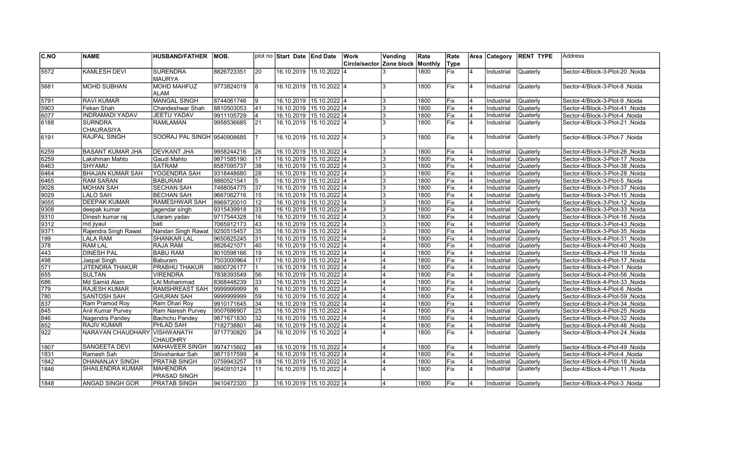| C.NO         | <b>NAME</b>             | <b>HUSBAND/FATHER</b>       | IMOB.      |                | plot no Start Date End Date |                         | Work                     | Vending                 | Rate    | Rate  |                | Area Category | <b>RENT TYPE</b> | Address                                |
|--------------|-------------------------|-----------------------------|------------|----------------|-----------------------------|-------------------------|--------------------------|-------------------------|---------|-------|----------------|---------------|------------------|----------------------------------------|
|              |                         |                             |            |                |                             |                         | Circle/sector Zone block |                         | Monthly | Type  |                |               |                  |                                        |
| 5572         | <b>KAMLESH DEVI</b>     | <b>SURENDRA</b>             | 8826723351 | 20             |                             | 16.10.2019 15.10.2022 4 |                          |                         | 1800    | Fix   | 4              | Industrial    | Quaterly         | Sector-4/Block-3-Plot-20, Noida        |
|              |                         | <b>MAURYA</b>               |            |                |                             |                         |                          |                         |         |       |                |               |                  |                                        |
| 5681         | <b>MOHD SUBHAN</b>      | <b>MOHD MAHFUZ</b>          | 9773824019 | 8              | 16.10.2019 15.10.2022 4     |                         |                          | 3                       | 1800    | Fix   | 4              | Industrial    | Quaterly         | Sector-4/Block-3-Plot-8, Noida         |
|              |                         | ALAM                        |            |                |                             |                         |                          |                         |         |       |                |               |                  |                                        |
| 5791         | <b>RAVI KUMAR</b>       | <b>MANGAL SINGH</b>         | 8744061746 | Ι9             | 16.10.2019 15.10.2022 4     |                         |                          | 3                       | 1800    | Fix   |                | Industrial    | Quaterly         | Sector-4/Block-3-Plot-9, Noida         |
| 5903         | Fekan Shah              | Chandeshwar Shah            | 8810503053 | 41             | 16.10.2019 15.10.2022 4     |                         |                          | 3                       | 1800    | Fix   | 4              | Industrial    | Quaterly         | Noida   Sector-4/Block-3-Plot-41       |
| 6077         | <b>INDRAMADI YADAV</b>  | <b>JEETU YADAV</b>          | 9911105729 | 4              | 16.10.2019 15.10.2022 4     |                         |                          | 3                       | 1800    | Fix   | $\overline{4}$ | Industrial    | Quaterly         | Noida   Sector-4/Block-3-Plot-4, Noida |
| 6188         | <b>SURNDRA</b>          | <b>RAMLAMAN</b>             | 9958536685 | 21             | 16.10.2019 15.10.2022 4     |                         |                          | 3                       | 1800    | Fix   | 4              | Industrial    | Quaterly         | Sector-4/Block-3-Plot-21, Noida        |
|              | <b>CHAURASIYA</b>       |                             |            |                |                             |                         |                          |                         |         |       |                |               |                  |                                        |
| 6191         | <b>RAJPAL SINGH</b>     | SOORAJ PAL SINGH 9540908685 |            | 17             |                             | 16.10.2019 15.10.2022 4 |                          | 3                       | 1800    | Fix   | 4              | Industrial    | Quaterly         | Sector-4/Block-3-Plot-7 .Noida         |
|              |                         |                             |            |                |                             |                         |                          |                         |         |       |                |               |                  |                                        |
| 6259         | <b>BASANT KUMAR JHA</b> | <b>DEVKANT JHA</b>          | 9958244216 | l 26           | 16.10.2019 15.10.2022 4     |                         |                          | 3                       | 1800    | Fix   | 4              | Industrial    | Quaterly         | Noida Sector-4/Block-3-Plot-26         |
| 6259         | Lakshman Mahto          | Gaudi Mahto                 | 9871585190 | 17             | 16.10.2019 15.10.2022 4     |                         |                          | 3                       | 1800    | Fix   | 4              | Industrial    | Quaterly         | Sector-4/Block-3-Plot-17, Noida        |
| 6463         | <b>SHYAMU</b>           | <b>SATRAM</b>               | 8587095737 | 38             | 16.10.2019 15.10.2022 4     |                         |                          | 3                       | 1800    | Fix   | 4              | Industrial    | Quaterly         | Sector-4/Block-3-Plot-38, Noida        |
| 6464         | <b>BHAJAN KUMAR SAH</b> | <b>YOGENDRA SAH</b>         | 9318448680 | 28             | 16.10.2019 15.10.2022 4     |                         |                          | 3                       | 1800    | Fix   | $\overline{4}$ | Industrial    | Quaterly         | Sector-4/Block-3-Plot-28, Noida        |
|              |                         |                             |            |                |                             |                         |                          | 3                       |         |       | 4              |               |                  |                                        |
| 6465         | <b>RAM SARAN</b>        | BABURAM                     | 8860521541 | 5              | 16.10.2019 15.10.2022 4     |                         |                          |                         | 1800    | Fix   |                | Industrial    | Quaterly         | Sector-4/Block-3-Plot-5, Noida         |
| 9028         | <b>MOHAN SAH</b>        | <b>SECHAN SAH</b>           | 7488054775 | 37             | 16.10.2019 15.10.2022 4     |                         |                          | 3                       | 1800    | Fix   | 4              | Industrial    | Quaterly         | Sector-4/Block-3-Plot-37, Noida        |
| 9029         | <b>LALO SAH</b>         | <b>BECHAN SAH</b>           | 9667062716 | 15             | 16.10.2019 15.10.2022 4     |                         |                          | 3                       | 1800    | Fix   | 4              | Industrial    | Quaterly         | Sector-4/Block-3-Plot-15, Noida        |
| 9055         | <b>DEEPAK KUMAR</b>     | <b>RAMESHWAR SAH</b>        | 8969720010 | 12             | 16.10.2019 15.10.2022 4     |                         |                          | 3                       | 1800    | Fix   | 4              | Industrial    | Quaterly         | Noida Sector-4/Block-3-Plot-12, Noida  |
| 9308         | deepak kumar            | jagendar singh              | 9315439918 | 33             | 16.10.2019 15.10.2022 4     |                         |                          | 3                       | 1800    | Fix   | $\overline{4}$ | Industrial    | Quaterly         | Sector-4/Block-3-Plot-33, Noida        |
| 9310         | Dinesh kumar raj        | Lilaram yadav               | 9717544328 | 16             | 16.10.2019 15.10.2022 4     |                         |                          | 3                       | 1800    | Fix   | 4              | Industrial    | <b>Quaterly</b>  | Sector-4/Block-3-Plot-16, Noida        |
| 9312         | md jivaul               | bati                        | 7065912173 | 43             |                             | 16.10.2019 15.10.2022 4 |                          | 3                       | 1800    | Fix   | 4              | Industrial    | Quaterly         | Sector-4/Block-3-Plot-43, Noida        |
| 9371         | Rajendra Singh Rawat    | Nandan Singh Rawat          | 9250515457 | 35             |                             | 16.10.2019 15.10.2022 4 |                          | 3                       | 1800    | Fix   | 4              | Industrial    | <b>Quaterly</b>  | Noida Sector-4/Block-3-Plot-35         |
| $\sqrt{199}$ | <b>LALA RAM</b>         | <b>SHANKAR LAL</b>          | 9650825245 | 31             | 16.10.2019 15.10.2022 4     |                         |                          | $\boldsymbol{\Lambda}$  | 1800    | Fix   | $\overline{4}$ | Industrial    | Quaterly         | Sector-4/Block-4-Plot-31, Noida        |
| 378          | <b>RAM LAL</b>          | RAJA RAM                    | 8826421071 | 40             | 16.10.2019 15.10.2022 4     |                         |                          | $\overline{4}$          | 1800    | Fix   | 4              | Industrial    | Quaterly         | Sector-4/Block-4-Plot-40, Noida        |
| 443          | <b>DINESH PAL</b>       | <b>BABU RAM</b>             | 8010598166 | 19             | 16.10.2019 15.10.2022 4     |                         |                          |                         | 1800    | Fix   | 4              | Industrial    | Quaterly         | Noida Sector-4/Block-4-Plot-19, Noida  |
| 498          | Jaspal Singh            | Baburam                     | 7503000964 | 17             | 16.10.2019 15.10.2022 4     |                         |                          | $\overline{4}$          | 1800    | Fix   | 4              | Industrial    | Quaterly         | Sector-4/Block-4-Plot-17, Noida        |
| 571          | <b>JITENDRA THAKUR</b>  | <b>PRABHU THAKUR</b>        | 8800726177 | l 1            | 16.10.2019 15.10.2022 4     |                         |                          | 4                       | 1800    | Fix   | 4              | Industrial    | Quaterly         | Noida   Sector-4/Block-4-Plot-1        |
| 655          | <b>SULTAN</b>           | <b>VIRENDRA</b>             | 7838393549 | 56             | 16.10.2019 15.10.2022 4     |                         |                          | $\overline{\mathbf{A}}$ | 1800    | Fix   | $\overline{4}$ | Industrial    | <b>Quaterly</b>  | Sector-4/Block-4-Plot-56, Noida        |
| 686          | Md Samid Alam           | LAI Mohammad                | 8368448239 | 33             | 16.10.2019 15.10.2022 4     |                         |                          | $\overline{4}$          | 1800    | Fix   | 4              | Industrial    | Quaterly         | Sector-4/Block-4-Plot-33, Noida        |
| 779          | <b>RAJESH KUMAR</b>     | <b>RAMSHREAST SAH</b>       | 9999999999 | 6              |                             | 16.10.2019 15.10.2022 4 |                          | $\overline{4}$          | 1800    | Fix   | 4              | Industrial    | Quaterly         | Noida Sector-4/Block-4-Plot-6          |
| 780          | <b>SANTOSH SAH</b>      | <b>GHURAN SAH</b>           | 9999999999 | 59             | 16.10.2019 15.10.2022 4     |                         |                          | $\overline{A}$          | 1800    | Fix   | $\overline{4}$ | Industrial    | Quaterly         | Noida Sector-4/Block-4-Plot-59         |
| 837          |                         |                             |            | 34             |                             |                         |                          | $\overline{4}$          | 1800    | Fix   | $\overline{4}$ |               |                  |                                        |
|              | Ram Pramod Roy          | Ram Dhari Roy               | 9910171645 |                | 16.10.2019 15.10.2022 4     |                         |                          |                         |         |       | 4              | Industrial    | <b>Quaterly</b>  | Noida /Sector-4/Block-4-Plot-34        |
| 845          | Anil Kumar Purvey       | Ram Naresh Purvey           | 9507686907 | 25             | 16.10.2019 15.10.2022 4     |                         |                          |                         | 1800    | Fix   |                | Industrial    | Quaterly         | Sector-4/Block-4-Plot-25, Noida        |
| 846          | Nagendra Pandey         | Bachchu Pandey              | 9871671830 | 32             |                             | 16.10.2019 15.10.2022 4 |                          | $\overline{4}$          | 1800    | Fix   | 4              | Industrial    | Quaterly         | Sector-4/Block-4-Plot-32, Noida        |
| 852          | <b>RAJIV KUMAR</b>      | <b>PHLAD SAH</b>            | 7182738801 | 46             |                             | 16.10.2019 15.10.2022 4 |                          | $\overline{4}$          | 1800    | Fix   | 4              | Industrial    | Quaterly         | Noida /Sector-4/Block-4-Plot-46        |
| $\sqrt{922}$ | NARAYAN CHAUDHARY       | <b>VISHWANATH</b>           | 9717730820 | 24             |                             | 16.10.2019 15.10.2022 4 |                          |                         | 1800    | Fix   | 4              | Industrial    | Quaterly         | Sector-4/Block-4-Plot-24, Noida        |
|              |                         | <b>CHAUDHRY</b>             |            |                |                             |                         |                          |                         |         |       |                |               |                  |                                        |
| 1807         | <b>SANGEETA DEVI</b>    | <b>MAHAVEER SINGH</b>       | 9974715602 | 49             | 16.10.2019 15.10.2022 4     |                         |                          | $\overline{4}$          | 1800    | Fix   | 4              | Industrial    | Quaterly         | Noida /Sector-4/Block-4-Plot-49        |
| 1831         | Ramesh Sah              | Shivshankar Sah             | 9871517599 | $\overline{4}$ | 16.10.2019 15.10.2022 4     |                         |                          | $\overline{4}$          | 1800    | Fix   | $\overline{4}$ | Industrial    | Quaterly         | Sector-4/Block-4-Plot-4, Noida         |
| 1842         | <b>DHANANJAY SINGH</b>  | <b>PRATAB SINGH</b>         | 0759943257 | 18             | 16.10.2019 15.10.2022 4     |                         |                          | $\overline{4}$          | 1800    | Fix   | 4              | Industrial    | <b>Quaterly</b>  | Noida Sector-4/Block-4-Plot-18         |
| 1846         | <b>SHAILENDRA KUMAR</b> | <b>MAHENDRA</b>             | 9540910124 | 11             |                             | 16.10.2019 15.10.2022 4 |                          |                         | 1800    | Fix   | $\overline{4}$ | Industrial    | Quaterly         | Sector-4/Block-4-Plot-11, Noida        |
|              |                         | <b>PRASAD SINGH</b>         |            |                |                             |                         |                          |                         |         |       |                |               |                  |                                        |
| 1848         | <b>ANGAD SINGH GOR</b>  | <b>PRATAB SINGH</b>         | 9410472320 | l3             | 16.10.2019 15.10.2022 4     |                         |                          | 4                       | 1800    | lFix. |                | Industrial    | <b>Quaterly</b>  | Sector-4/Block-4-Plot-3 .Noida         |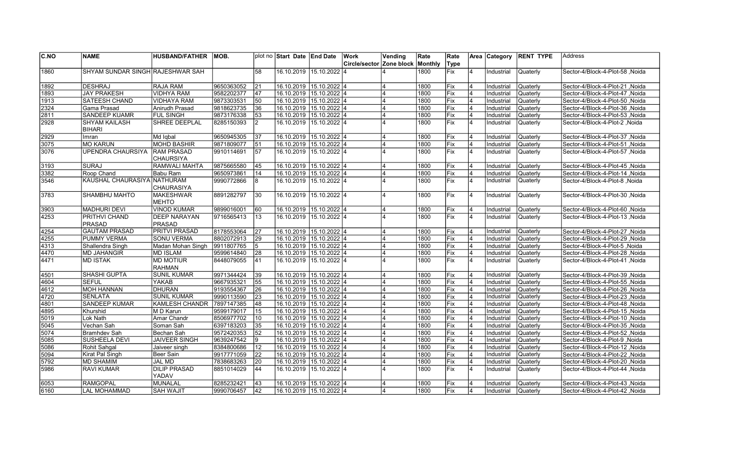| C.NO         | <b>NAME</b>                      | <b>HUSBAND/FATHER</b>                    | MOB.       |              | plot no Start Date End Date |                         | <b>Work</b>              | Vending        | Rate         | Rate       |                         | Area   Category | <b>RENT TYPE</b> | Address                         |
|--------------|----------------------------------|------------------------------------------|------------|--------------|-----------------------------|-------------------------|--------------------------|----------------|--------------|------------|-------------------------|-----------------|------------------|---------------------------------|
|              |                                  |                                          |            |              |                             |                         | Circle/sector Zone block |                | Monthly      | Type       |                         |                 |                  |                                 |
| 1860         | SHYAM SUNDAR SINGH RAJESHWAR SAH |                                          |            | 58           | 16.10.2019 15.10.2022 4     |                         |                          |                | 1800         | <b>Fix</b> | 4                       | Industrial      | Quaterly         | Sector-4/Block-4-Plot-58, Noida |
|              |                                  |                                          |            |              |                             |                         |                          |                |              |            |                         |                 |                  |                                 |
| 1892         | <b>DESHRAJ</b>                   | <b>RAJA RAM</b>                          | 9650363052 | 21           | 16.10.2019 15.10.2022 4     |                         |                          |                | 1800         | Fix        | $\overline{4}$          | Industrial      | Quaterly         | Sector-4/Block-4-Plot-21, Noida |
| 1893         | <b>JAY PRAKESH</b>               | <b>VIDHYA RAM</b>                        | 9582202377 | 47           | 16.10.2019 15.10.2022 4     |                         |                          | 4              | 1800         | Fix        | $\overline{4}$          | Industrial      | Quaterly         | Sector-4/Block-4-Plot-47, Noida |
| 1913         | <b>SATEESH CHAND</b>             | <b>VIDHAYA RAM</b>                       | 9873303531 | 50           | 16.10.2019 15.10.2022 4     |                         |                          |                | 1800         | Fix        | $\overline{\mathbf{A}}$ | Industrial      | Quaterly         | Sector-4/Block-4-Plot-50, Noida |
| 2324         | Gama Prasad                      | Anirudh Prasad                           | 9818623735 | 36           | 16.10.2019 15.10.2022 4     |                         |                          | $\overline{4}$ | 1800         | Fix        | $\overline{\mathbf{A}}$ | Industrial      | Quaterly         | Sector-4/Block-4-Plot-36, Noida |
| 2811         | SANDEEP KUAMR                    | <b>FUL SINGH</b>                         | 9873176338 | 53           | 16.10.2019 15.10.2022 4     |                         |                          |                | 1800         | Fix        | $\overline{\mathbf{A}}$ | Industrial      | Quaterly         | Sector-4/Block-4-Plot-53, Noida |
| 2928         | <b>SHYAM KAILASH</b>             | SHREE DEEPLAL                            | 8285150393 | <sup>2</sup> |                             | 16.10.2019 15.10.2022 4 |                          |                | 1800         | Fix        | $\overline{\mathbf{4}}$ | Industrial      | Quaterly         | Sector-4/Block-4-Plot-2, Noida  |
|              | <b>BIHARI</b>                    |                                          |            |              | 16.10.2019 15.10.2022 4     |                         |                          | 4              |              |            |                         |                 |                  |                                 |
| 2929         | Imran                            | Md Iqbal                                 | 9650945305 | 37           |                             |                         |                          |                | 1800         | Fix        | $\overline{4}$          | Industrial      | Quaterly         | Sector-4/Block-4-Plot-37, Noida |
| 3075<br>3076 | <b>MO KARUN</b>                  | <b>MOHD BASHIR</b>                       | 9871809077 | 51           | 16.10.2019 15.10.2022 4     |                         |                          | 4              | 1800         | Fix        | $\overline{4}$          | Industrial      | Quaterly         | Sector-4/Block-4-Plot-51, Noida |
|              | <b>UPENDRA CHAURSIYA</b>         | <b>RAM PRASAD</b>                        | 9910114691 | 57           | 16.10.2019 15.10.2022 4     |                         |                          |                | 1800         | Fix        | 4                       | Industrial      | Quaterly         | Sector-4/Block-4-Plot-57, Noida |
| 3193         | <b>SURAJ</b>                     | <b>CHAURSIYA</b><br><b>RAMWALI MAHTA</b> | 9875665580 |              | 16.10.2019 15.10.2022 4     |                         |                          |                |              |            | 4                       | Industrial      | Quaterly         |                                 |
| 3382         | Roop Chand                       | Babu Ram                                 | 9650973861 | 45<br>14     | 16.10.2019 15.10.2022 4     |                         |                          | $\overline{4}$ | 1800         | Fix<br>Fix | 4                       | Industrial      | Quaterly         | Sector-4/Block-4-Plot-45, Noida |
| 3546         |                                  |                                          |            |              |                             |                         |                          | 4              | 1800<br>1800 | Fix        | 4                       |                 |                  | Sector-4/Block-4-Plot-14, Noida |
|              | KAUSHAL CHAURASIYA NATHURAM      | <b>CHAURASIYA</b>                        | 9990772866 | 8            | 16.10.2019 15.10.2022 4     |                         |                          |                |              |            |                         | Industrial      | Quaterly         | Sector-4/Block-4-Plot-8, Noida  |
| 3783         | SHAMBHU MAHTO                    | <b>MAKESHWAR</b>                         | 8891282797 | 30           | 16.10.2019 15.10.2022 4     |                         |                          |                | 1800         | <b>Fix</b> | $\overline{4}$          | Industrial      | Quaterly         | Sector-4/Block-4-Plot-30, Noida |
|              |                                  | <b>MEHTO</b>                             |            |              |                             |                         |                          |                |              |            |                         |                 |                  |                                 |
| 3903         | <b>MADHURI DEVI</b>              | <b>VINOD KUMAR</b>                       | 9899016001 | 60           |                             | 16.10.2019 15.10.2022 4 |                          | $\overline{4}$ | 1800         | Fix        | 4                       | Industrial      | Quaterly         | Sector-4/Block-4-Plot-60, Noida |
| 4253         | PRITHVI CHAND                    | <b>DEEP NARAYAN</b>                      | 9716565413 | 13           |                             | 16.10.2019 15.10.2022 4 |                          |                | 1800         | Fix        | l4                      | Industrial      | Quaterly         | Sector-4/Block-4-Plot-13, Noida |
|              | <b>PRASAD</b>                    | PRASAD                                   |            |              |                             |                         |                          |                |              |            |                         |                 |                  |                                 |
| 4254         | <b>GAUTAM PRASAD</b>             | <b>PRITVI PRASAD</b>                     | 8178553064 | 27           | 16.10.2019 15.10.2022 4     |                         |                          |                | 1800         | Fix        |                         | Industrial      | Quaterly         | Sector-4/Block-4-Plot-27, Noida |
| 4255         | <b>PUMMY VERMA</b>               | <b>SONU VERMA</b>                        | 8802072913 | 29           | 16.10.2019 15.10.2022 4     |                         |                          |                | 1800         | Fix        | $\overline{\mathbf{A}}$ | Industrial      | Quaterly         | Sector-4/Block-4-Plot-29, Noida |
| 4313         | Shallendra Singh                 | Madan Mohan Singh                        | 9911807765 | 5            | 16.10.2019 15.10.2022 4     |                         |                          | $\overline{4}$ | 1800         | Fix        | 4                       | Industrial      | Quaterly         | Sector-4/Block-4-Plot-5, Noida  |
| 4470         | <b>MD JAHANGIR</b>               | <b>MD ISLAM</b>                          | 9599614840 | 28           | 16.10.2019 15.10.2022 4     |                         |                          |                | 1800         | Fix        |                         | Industrial      | Quaterly         | Sector-4/Block-4-Plot-28, Noida |
| 4471         | <b>MD ISTAK</b>                  | <b>MD MOTIUR</b>                         | 8448079055 | 41           |                             | 16.10.2019 15.10.2022 4 |                          |                | 1800         | Fix        | $\overline{4}$          | Industrial      | Quaterly         | Sector-4/Block-4-Plot-41, Noida |
|              |                                  | RAHMAN                                   |            |              |                             |                         |                          |                |              |            |                         |                 |                  |                                 |
| 4501         | <b>SHASHI GUPTA</b>              | <b>SUNIL KUMAR</b>                       | 9971344424 | 39           | 16.10.2019 15.10.2022 4     |                         |                          |                | 1800         | Fix        | $\overline{4}$          | Industrial      | Quaterly         | Sector-4/Block-4-Plot-39, Noida |
| 4604         | <b>SEFUL</b>                     | YAKAB                                    | 9667935321 | 55           | 16.10.2019 15.10.2022 4     |                         |                          | 4              | 1800         | Fix        | 4                       | Industrial      | Quaterly         | Sector-4/Block-4-Plot-55, Noida |
| 4612         | <b>MOH HANNAN</b>                | <b>DHURAN</b>                            | 9193554367 | 26           | 16.10.2019 15.10.2022 4     |                         |                          | $\Delta$       | 1800         | Fix        | 4                       | Industrial      | Quaterly         | Sector-4/Block-4-Plot-26, Noida |
| 4720         | <b>SENLATA</b>                   | <b>SUNIL KUMAR</b>                       | 9990113590 | 23           | 16.10.2019 15.10.2022 4     |                         |                          |                | 1800         | Fix        |                         | Industrial      | Quaterly         | Sector-4/Block-4-Plot-23, Noida |
| 4801         | <b>SANDEEP KUMAR</b>             | <b>KAMLESH CHANDR</b>                    | 7897147385 | 48           | 16.10.2019 15.10.2022 4     |                         |                          | $\overline{4}$ | 1800         | Fix        | 4                       | Industrial      | Quaterly         | Sector-4/Block-4-Plot-48, Noida |
| 4895         | Khurshid                         | M D Karun                                | 9599179017 | 15           | 16.10.2019 15.10.2022 4     |                         |                          | <b>4</b>       | 1800         | Fix        | $\overline{4}$          | Industrial      | Quaterly         | Sector-4/Block-4-Plot-15, Noida |
| 5019         | Lok Nath                         | Amar Chandr                              | 8506977702 | 10           | 16.10.2019 15.10.2022 4     |                         |                          | $\overline{4}$ | 1800         | Fix        | $\overline{4}$          | Industrial      | Quaterly         | Sector-4/Block-4-Plot-10, Noida |
| 5045         | Vechan Sah                       | Soman Sah                                | 6397183203 | 35           | 16.10.2019 15.10.2022 4     |                         |                          | $\overline{4}$ | 1800         | Fix        | $\overline{\mathbf{A}}$ | Industrial      | Quaterly         | Sector-4/Block-4-Plot-35, Noida |
| 5074         | <b>Bramhdev Sah</b>              | Bechan Sah                               | 9572420353 | 52           | 16.10.2019 15.10.2022 4     |                         |                          | $\overline{4}$ | 1800         | Fix        | $\overline{\mathbf{A}}$ | Industrial      | Quaterly         | Sector-4/Block-4-Plot-52, Noida |
| 5085         | <b>SUSHEELA DEVI</b>             | <b>JAIVEER SINGH</b>                     | 9639247542 | 9            | 16.10.2019 15.10.2022 4     |                         |                          |                | 1800         | Fix        | 4                       | Industrial      | Quaterly         | Sector-4/Block-4-Plot-9, Noida  |
| 5086         | Rohit Sahgal                     | Jaiveer singh                            | 8384800686 | 12           | 16.10.2019 15.10.2022 4     |                         |                          |                | 1800         | Fix        | $\overline{4}$          | Industrial      | Quaterly         | Sector-4/Block-4-Plot-12, Noida |
| 5094         | Kirat Pal Singh                  | Beer Sain                                | 9917771059 | 22           | 16.10.2019 15.10.2022 4     |                         |                          | 4              | 1800         | Fix        | $\overline{4}$          | Industrial      | Quaterly         | Sector-4/Block-4-Plot-22, Noida |
| 5792         | <b>MD SHAMIM</b>                 | <b>JAL MD</b>                            | 7838683263 | 20           | 16.10.2019 15.10.2022 4     |                         |                          | $\overline{4}$ | 1800         | Fix        | $\overline{4}$          | Industrial      | Quaterly         | Sector-4/Block-4-Plot-20, Noida |
| 5986         | <b>RAVI KUMAR</b>                | <b>DILIP PRASAD</b>                      | 8851014029 | 44           | 16.10.2019 15.10.2022 4     |                         |                          |                | 1800         | Fix        | $\overline{4}$          | Industrial      | Quaterly         | Sector-4/Block-4-Plot-44, Noida |
|              |                                  | YADAV                                    |            |              |                             |                         |                          |                |              |            |                         |                 |                  |                                 |
| 6053         | <b>RAMGOPAL</b>                  | <b>MUNALAL</b>                           | 8285232421 | 43           | 16.10.2019 15.10.2022 4     |                         |                          |                | 1800         | Fix        |                         | Industrial      | Quaterly         | Sector-4/Block-4-Plot-43, Noida |
| 6160         | <b>LAL MOHAMMAD</b>              | <b>SAH WAJIT</b>                         | 9990706457 | 42           |                             | 16.10.2019 15.10.2022 4 |                          |                | 1800         | Fix        |                         | Industrial      | Quaterly         | Sector-4/Block-4-Plot-42, Noida |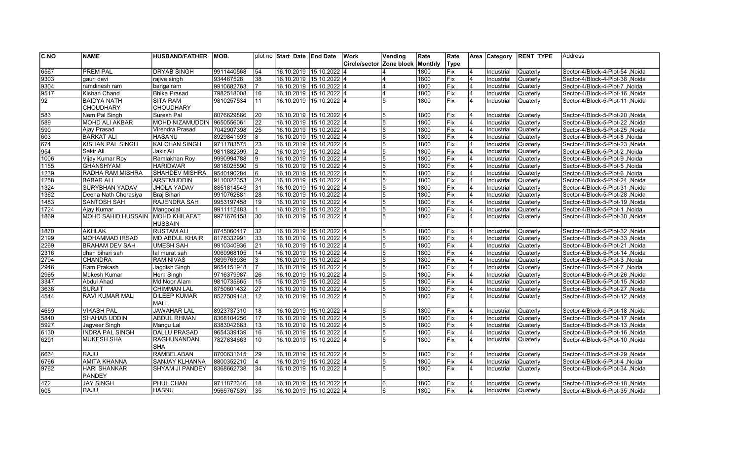| Circle/sector Zone block<br><b>Monthiv</b><br>Type<br>6567<br><b>PREM PAL</b><br><b>DRYAB SINGH</b><br>9911440568<br>16.10.2019 15.10.2022 4<br>54<br>1800<br>Fix<br>Quaterly<br>Sector-4/Block-4-Plot-54, Noida<br>Industrial<br>9303<br>16.10.2019 15.10.2022 4<br>gauri devi<br>934467528<br>38<br>1800<br>Fix<br>Industrial<br>Quaterly<br>Sector-4/Block-4-Plot-38, Noida<br>rajive singh<br>9304<br>16.10.2019 15.10.2022 4<br>1800<br>lFix<br>9910682763<br>$\overline{4}$<br>Industrial<br>Quaterly<br>Sector-4/Block-4-Plot-7, Noida<br>ramdinesh ram<br>banga ram<br>9517<br>7982518008<br>16<br>16.10.2019 15.10.2022 4<br>$\overline{4}$<br>Kishan Chand<br>Bhika Prasad<br>1800<br>Fix<br>Industrial<br>Quaterly<br>Sector-4/Block-4-Plot-16, Noida<br>4<br>$\overline{92}$<br><b>BAIDYA NATH</b><br><b>SITA RAM</b><br>Fix<br>4<br>9810257534<br>11<br>16.10.2019  15.10.2022  4<br>5<br>1800<br>Industrial<br>Sector-4/Block-5-Plot-11 , Noida<br>Quaterly<br><b>CHOUDHARY</b><br><b>CHOUDHARY</b><br>583<br>16.10.2019 15.10.2022 4<br>8076629866<br>20<br>Nem Pal Singh<br>Suresh Pal<br>1800<br>Fix<br>Industrial<br>Quaterly<br>Sector-4/Block-5-Plot-20, Noida<br>589<br>MOHD NIZAMUDDIN<br>22<br>16.10.2019 15.10.2022 4<br>1800<br><b>MOHD ALI AKBAR</b><br>9650556061<br>Fix<br>4<br>Industrial<br>Quaterly<br>Sector-4/Block-5-Plot-22 , Noida<br>5<br>590<br>Virendra Prasad<br>7042907398<br>16.10.2019 15.10.2022 4<br>Fix<br>Industrial<br>Quaterly<br>Ajay Prasad<br>25<br>1800<br>$\overline{4}$<br>Sector-4/Block-5-Plot-25, Noida<br>5<br>603<br><b>BARKAT ALI</b><br>IHASANU<br>8929841693<br>16.10.2019 15.10.2022 4<br>8<br>1800<br>Fix<br>$\overline{4}$<br>Industrial<br>Quaterly<br>Sector-4/Block-5-Plot-8, Noida<br>5<br>674<br>9711783575<br>Fix<br>KISHAN PAL SINGH<br> KALCHAN SINGH<br>23<br>16.10.2019 15.10.2022 4<br>1800<br>$\overline{\mathbf{A}}$<br>Industrial<br>Quaterly<br>Sector-4/Block-5-Plot-23, Noida<br>5<br>954<br>9811882399<br>Jakir Ali<br>16.10.2019 15.10.2022 4<br>1800<br>Fix<br>Sector-4/Block-5-Plot-2, Noida<br>Sakir Ali<br>Industrial<br>Quaterly<br>1006<br>Vijay Kumar Roy<br>Ramlakhan Roy<br>9990994788<br>16.10.2019 15.10.2022 4<br>Fix<br>9<br>1800<br>Industrial<br>Quaterly<br>Sector-4/Block-5-Plot-9, Noida<br>5<br>$\sqrt{1155}$<br><b>GHANSHYAM</b><br><b>HARIDWAR</b><br>9818025590<br>16.10.2019 15.10.2022 4<br>1800<br>Fix<br>5<br>Industrial<br>Quaterly<br>Sector-4/Block-5-Plot-5, Noida<br>1239<br>1800<br>Fix<br>RADHA RAM MISHRA<br>SHAHDEV MISHRA<br>9540190284<br>6<br>16.10.2019 15.10.2022 4<br>Sector-4/Block-5-Plot-6, Noida<br>Industrial<br>Quaterly<br>1258<br>Fix<br><b>BABAR ALI</b><br>ARSTMUDDIN<br>9110022353<br>24<br>16.10.2019 15.10.2022 4<br>1800<br>Industrial<br>4<br>Quaterly<br>Sector-4/Block-5-Plot-24, Noida<br>5<br>1324<br><b>SURYBHAN YADAV</b><br><b>JHOLA YADAV</b><br>16.10.2019 15.10.2022 4<br>Fix<br>8851814543<br>31<br>1800<br>4<br>Industrial<br>Quaterly<br>Sector-4/Block-5-Plot-31, Noida<br>Fix<br>1362<br>Braj Bihari<br>9910762881<br>28<br>16.10.2019 15.10.2022 4<br>1800<br>Industrial<br>Quaterly<br>Sector-4/Block-5-Plot-28, Noida<br>Deena Nath Chorasiya<br>5<br><b>RAJENDRA SAH</b><br>9953197458<br>Fix<br>1483<br><b>SANTOSH SAH</b><br>19<br>16.10.2019 15.10.2022 4<br>1800<br>Industrial<br>Quaterly<br>Sector-4/Block-5-Plot-19, Noida<br>1724<br>9911112483<br>16.10.2019 15.10.2022 4<br>1800<br>Fix<br>Ajay Kumar<br>Mangoolal<br>5<br>4<br>Industrial<br>Quaterly<br>Sector-4/Block-5-Plot-1, Noida<br><b>MOHD KHILAFAT</b><br><b>MOHD SAHID HUSSAIN</b><br>$15.10.2022$ 4<br>Fix<br>1869<br>9971676158<br>30<br>16.10.2019<br>5<br>1800<br>$\overline{4}$<br>Industrial<br>Quaterly<br>Sector-4/Block-5-Plot-30, Noida<br><b>HUSSAIN</b><br><b>AKHLAK</b><br><b>RUSTAM ALI</b><br>8745060417<br>16.10.2019 15.10.2022 4<br>Sector-4/Block-5-Plot-32, Noida<br>1870<br>32<br>5<br>1800<br> Fix<br>$\overline{4}$<br>Industrial<br>Quaterly<br>2199<br><b>MOHAMMAD IRSAD</b><br>MD ABDUL KHAIR<br>8178332991<br>33<br>16.10.2019 15.10.2022 4<br>Fix<br>Industrial<br>Quaterly<br>Sector-4/Block-5-Plot-33, Noida<br>1800<br>2269<br><b>BRAHAM DEV SAH</b><br>UMESH SAH<br>9910340936<br>21<br>16.10.2019 15.10.2022 4<br>1800<br>Fix<br>5<br>4<br>Industrial<br>Quaterly<br>Sector-4/Block-5-Plot-21, Noida<br>2316<br>9069968105<br>16.10.2019 15.10.2022 4<br>1800<br>Fix<br>Sector-4/Block-5-Plot-14, Noida<br>dhan bihari sah<br>lal murat sah<br>14<br>Industrial<br>Quaterly<br>5<br>2794<br><b>CHANDRA</b><br><b>RAM NIVAS</b><br>9899763936<br>16.10.2019 15.10.2022 4<br>1800<br>Fix<br>Sector-4/Block-5-Plot-3, Noida<br>5<br>Industrial<br>Quaterly<br>2946<br>Jagdish Singh<br>9654151948<br>16.10.2019 15.10.2022 4<br>Fix<br>Ram Prakash<br>$\overline{7}$<br>1800<br>$\overline{4}$<br>Industrial<br>Quaterly<br>Sector-4/Block-5-Plot-7, Noida<br>5<br>2965<br>16.10.2019 15.10.2022 4<br>9716379987<br>1800<br>Fix<br>Industrial<br>Sector-4/Block-5-Plot-26, Noida<br>Mukesh Kumar<br>Hem Singh<br>26<br>5<br>$\overline{4}$<br>Quaterly<br>3347<br>9810735665<br>15<br>16.10.2019 15.10.2022 4<br>1800<br>Fix<br>4<br><b>Abdul Ahad</b><br>5<br>Industrial<br>Quaterly<br>Sector-4/Block-5-Plot-15, Noida<br>Md Noor Alam<br>3636<br>16.10.2019 15.10.2022 4<br>Fix<br><b>SURJIT</b><br><b>CHIMMAN LAL</b><br>8750601432<br>27<br>5<br>1800<br>Industrial<br>Quaterly<br>Sector-4/Block-5-Plot-27, Noida<br>4544<br><b>RAVI KUMAR MALI</b><br><b>DILEEP KUMAR</b><br>8527509148<br>12<br>$15.10.2022$ 4<br>1800<br>Fix<br>$\overline{4}$<br>Industrial<br>16.10.2019<br>5<br>Quaterly<br>Sector-4/Block-5-Plot-12, Noida<br><b>MALI</b><br>4659<br><b>VIKASH PAL</b><br><b>JAWAHAR LAL</b><br>8923737310<br>18<br>16.10.2019 15.10.2022 4<br>Fix<br>Quaterly<br>1800<br>Industrial<br>Sector-4/Block-5-Plot-18, Noida<br>4<br>5<br>5840<br><b>SHAHAB UDDIN</b><br><b>ABDUL RHMAN</b><br>8368104256<br>17<br>16.10.2019 15.10.2022 4<br>1800<br>Fix<br>$\overline{4}$<br>Industrial<br>Quaterly<br>Sector-4/Block-5-Plot-17, Noida<br>5<br>5927<br>8383042663<br>16.10.2019 15.10.2022 4<br>Fix<br>Jagveer Singh<br>Mangu Lal<br>13<br>1800<br>4<br>Industrial<br>Quaterly<br>Sector-4/Block-5-Plot-13, Noida<br>6130<br>16<br>Fix<br><b>INDRA PAL SINGH</b><br><b>DALLU PRASAD</b><br>9654339139<br>16.10.2019 15.10.2022 4<br>1800<br>Sector-4/Block-5-Plot-16, Noida<br>5<br>4<br>Industrial<br>Quaterly<br>6291<br><b>RAGHUNANDAN</b><br>Fix<br><b>MUKESH SHA</b><br>7827834663<br>10<br>16.10.2019 15.10.2022 4<br>1800<br>$\overline{4}$<br>Sector-4/Block-5-Plot-10, Noida<br>Industrial<br>Quaterly<br><b>SHA</b><br>6634<br><b>RAMBELABAN</b><br>16.10.2019 15.10.2022 4<br><b>RAJU</b><br>8700631615<br>29<br>1800<br>Fix<br>Quaterly<br>Sector-4/Block-5-Plot-29, Noida<br>4<br>Industrial<br>5<br>6766<br><b>AMITA KHANNA</b><br>8800352210<br><b>SANJAY KLHANNA</b><br>$\overline{4}$<br>16.10.2019 15.10.2022 4<br>1800<br>Fix<br>$\overline{4}$<br>Sector-4/Block-5-Plot-4, Noida<br>5<br>Industrial<br>Quaterly<br>9762<br><b>HARI SHANKAR</b><br> SHYAM JI PANDEY<br>8368662738<br>lFix<br>$\overline{4}$<br>34<br>16.10.2019 15.10.2022 4<br>1800<br>Industrial<br>Quaterly<br>Sector-4/Block-5-Plot-34, Noida<br><b>PANDEY</b><br>472<br>PHUL CHAN<br><b>JAY SINGH</b><br>9711872346<br>18<br>16.10.2019 15.10.2022 4<br>1800<br>Sector-4/Block-6-Plot-18 .Noida<br>Fix<br>Industrial<br>Quaterly<br>6<br>RAJU<br><b>HASNU</b><br>35<br>16.10.2019 15.10.2022 4<br>1800<br><b>IFix</b><br>Industrial<br><b>Quaterly</b><br>Sector-4/Block-6-Plot-35, Noida | CNO | <b>NAME</b> | <b>HUSBAND/FATHER</b> | IMOB.      | plot no Start Date End Date | Work | Vending | Rate | Rate | Area Category | <b>RENT TYPE</b> | Address |
|----------------------------------------------------------------------------------------------------------------------------------------------------------------------------------------------------------------------------------------------------------------------------------------------------------------------------------------------------------------------------------------------------------------------------------------------------------------------------------------------------------------------------------------------------------------------------------------------------------------------------------------------------------------------------------------------------------------------------------------------------------------------------------------------------------------------------------------------------------------------------------------------------------------------------------------------------------------------------------------------------------------------------------------------------------------------------------------------------------------------------------------------------------------------------------------------------------------------------------------------------------------------------------------------------------------------------------------------------------------------------------------------------------------------------------------------------------------------------------------------------------------------------------------------------------------------------------------------------------------------------------------------------------------------------------------------------------------------------------------------------------------------------------------------------------------------------------------------------------------------------------------------------------------------------------------------------------------------------------------------------------------------------------------------------------------------------------------------------------------------------------------------------------------------------------------------------------------------------------------------------------------------------------------------------------------------------------------------------------------------------------------------------------------------------------------------------------------------------------------------------------------------------------------------------------------------------------------------------------------------------------------------------------------------------------------------------------------------------------------------------------------------------------------------------------------------------------------------------------------------------------------------------------------------------------------------------------------------------------------------------------------------------------------------------------------------------------------------------------------------------------------------------------------------------------------------------------------------------------------------------------------------------------------------------------------------------------------------------------------------------------------------------------------------------------------------------------------------------------------------------------------------------------------------------------------------------------------------------------------------------------------------------------------------------------------------------------------------------------------------------------------------------------------------------------------------------------------------------------------------------------------------------------------------------------------------------------------------------------------------------------------------------------------------------------------------------------------------------------------------------------------------------------------------------------------------------------------------------------------------------------------------------------------------------------------------------------------------------------------------------------------------------------------------------------------------------------------------------------------------------------------------------------------------------------------------------------------------------------------------------------------------------------------------------------------------------------------------------------------------------------------------------------------------------------------------------------------------------------------------------------------------------------------------------------------------------------------------------------------------------------------------------------------------------------------------------------------------------------------------------------------------------------------------------------------------------------------------------------------------------------------------------------------------------------------------------------------------------------------------------------------------------------------------------------------------------------------------------------------------------------------------------------------------------------------------------------------------------------------------------------------------------------------------------------------------------------------------------------------------------------------------------------------------------------------------------------------------------------------------------------------------------------------------------------------------------------------------------------------------------------------------------------------------------------------------------------------------------------------------------------------------------------------------------------------------------------------------------------------------------------------------------------------------------------------------------------------------------------------------------------------------------------------------------------------------------------------------------------------------------------------------------------------------------------------------------------------------------------------------------------------------------------------------------------------------------------------------------------------------------------------------------------------------------------------------------------------------------------------------------------------------------------------------------------------------------------------------------------------------------------------------------------------------------------------------------------------------------------------------------------------------------------------------------------------------------------------------------------------------------------------------------------------------------------------------------------------------------------------------------------------------------------------------------------------------------------------------------------------------------------------------------------------------------------------------------------------------------------------------------------------------------------------|-----|-------------|-----------------------|------------|-----------------------------|------|---------|------|------|---------------|------------------|---------|
|                                                                                                                                                                                                                                                                                                                                                                                                                                                                                                                                                                                                                                                                                                                                                                                                                                                                                                                                                                                                                                                                                                                                                                                                                                                                                                                                                                                                                                                                                                                                                                                                                                                                                                                                                                                                                                                                                                                                                                                                                                                                                                                                                                                                                                                                                                                                                                                                                                                                                                                                                                                                                                                                                                                                                                                                                                                                                                                                                                                                                                                                                                                                                                                                                                                                                                                                                                                                                                                                                                                                                                                                                                                                                                                                                                                                                                                                                                                                                                                                                                                                                                                                                                                                                                                                                                                                                                                                                                                                                                                                                                                                                                                                                                                                                                                                                                                                                                                                                                                                                                                                                                                                                                                                                                                                                                                                                                                                                                                                                                                                                                                                                                                                                                                                                                                                                                                                                                                                                                                                                                                                                                                                                                                                                                                                                                                                                                                                                                                                                                                                                                                                                                                                                                                                                                                                                                                                                                                                                                                                                                                                                                                                                                                                                                                                                                                                                                                                                                                                                                                                                                                                                                                                |     |             |                       |            |                             |      |         |      |      |               |                  |         |
|                                                                                                                                                                                                                                                                                                                                                                                                                                                                                                                                                                                                                                                                                                                                                                                                                                                                                                                                                                                                                                                                                                                                                                                                                                                                                                                                                                                                                                                                                                                                                                                                                                                                                                                                                                                                                                                                                                                                                                                                                                                                                                                                                                                                                                                                                                                                                                                                                                                                                                                                                                                                                                                                                                                                                                                                                                                                                                                                                                                                                                                                                                                                                                                                                                                                                                                                                                                                                                                                                                                                                                                                                                                                                                                                                                                                                                                                                                                                                                                                                                                                                                                                                                                                                                                                                                                                                                                                                                                                                                                                                                                                                                                                                                                                                                                                                                                                                                                                                                                                                                                                                                                                                                                                                                                                                                                                                                                                                                                                                                                                                                                                                                                                                                                                                                                                                                                                                                                                                                                                                                                                                                                                                                                                                                                                                                                                                                                                                                                                                                                                                                                                                                                                                                                                                                                                                                                                                                                                                                                                                                                                                                                                                                                                                                                                                                                                                                                                                                                                                                                                                                                                                                                                |     |             |                       |            |                             |      |         |      |      |               |                  |         |
|                                                                                                                                                                                                                                                                                                                                                                                                                                                                                                                                                                                                                                                                                                                                                                                                                                                                                                                                                                                                                                                                                                                                                                                                                                                                                                                                                                                                                                                                                                                                                                                                                                                                                                                                                                                                                                                                                                                                                                                                                                                                                                                                                                                                                                                                                                                                                                                                                                                                                                                                                                                                                                                                                                                                                                                                                                                                                                                                                                                                                                                                                                                                                                                                                                                                                                                                                                                                                                                                                                                                                                                                                                                                                                                                                                                                                                                                                                                                                                                                                                                                                                                                                                                                                                                                                                                                                                                                                                                                                                                                                                                                                                                                                                                                                                                                                                                                                                                                                                                                                                                                                                                                                                                                                                                                                                                                                                                                                                                                                                                                                                                                                                                                                                                                                                                                                                                                                                                                                                                                                                                                                                                                                                                                                                                                                                                                                                                                                                                                                                                                                                                                                                                                                                                                                                                                                                                                                                                                                                                                                                                                                                                                                                                                                                                                                                                                                                                                                                                                                                                                                                                                                                                                |     |             |                       |            |                             |      |         |      |      |               |                  |         |
|                                                                                                                                                                                                                                                                                                                                                                                                                                                                                                                                                                                                                                                                                                                                                                                                                                                                                                                                                                                                                                                                                                                                                                                                                                                                                                                                                                                                                                                                                                                                                                                                                                                                                                                                                                                                                                                                                                                                                                                                                                                                                                                                                                                                                                                                                                                                                                                                                                                                                                                                                                                                                                                                                                                                                                                                                                                                                                                                                                                                                                                                                                                                                                                                                                                                                                                                                                                                                                                                                                                                                                                                                                                                                                                                                                                                                                                                                                                                                                                                                                                                                                                                                                                                                                                                                                                                                                                                                                                                                                                                                                                                                                                                                                                                                                                                                                                                                                                                                                                                                                                                                                                                                                                                                                                                                                                                                                                                                                                                                                                                                                                                                                                                                                                                                                                                                                                                                                                                                                                                                                                                                                                                                                                                                                                                                                                                                                                                                                                                                                                                                                                                                                                                                                                                                                                                                                                                                                                                                                                                                                                                                                                                                                                                                                                                                                                                                                                                                                                                                                                                                                                                                                                                |     |             |                       |            |                             |      |         |      |      |               |                  |         |
|                                                                                                                                                                                                                                                                                                                                                                                                                                                                                                                                                                                                                                                                                                                                                                                                                                                                                                                                                                                                                                                                                                                                                                                                                                                                                                                                                                                                                                                                                                                                                                                                                                                                                                                                                                                                                                                                                                                                                                                                                                                                                                                                                                                                                                                                                                                                                                                                                                                                                                                                                                                                                                                                                                                                                                                                                                                                                                                                                                                                                                                                                                                                                                                                                                                                                                                                                                                                                                                                                                                                                                                                                                                                                                                                                                                                                                                                                                                                                                                                                                                                                                                                                                                                                                                                                                                                                                                                                                                                                                                                                                                                                                                                                                                                                                                                                                                                                                                                                                                                                                                                                                                                                                                                                                                                                                                                                                                                                                                                                                                                                                                                                                                                                                                                                                                                                                                                                                                                                                                                                                                                                                                                                                                                                                                                                                                                                                                                                                                                                                                                                                                                                                                                                                                                                                                                                                                                                                                                                                                                                                                                                                                                                                                                                                                                                                                                                                                                                                                                                                                                                                                                                                                                |     |             |                       |            |                             |      |         |      |      |               |                  |         |
|                                                                                                                                                                                                                                                                                                                                                                                                                                                                                                                                                                                                                                                                                                                                                                                                                                                                                                                                                                                                                                                                                                                                                                                                                                                                                                                                                                                                                                                                                                                                                                                                                                                                                                                                                                                                                                                                                                                                                                                                                                                                                                                                                                                                                                                                                                                                                                                                                                                                                                                                                                                                                                                                                                                                                                                                                                                                                                                                                                                                                                                                                                                                                                                                                                                                                                                                                                                                                                                                                                                                                                                                                                                                                                                                                                                                                                                                                                                                                                                                                                                                                                                                                                                                                                                                                                                                                                                                                                                                                                                                                                                                                                                                                                                                                                                                                                                                                                                                                                                                                                                                                                                                                                                                                                                                                                                                                                                                                                                                                                                                                                                                                                                                                                                                                                                                                                                                                                                                                                                                                                                                                                                                                                                                                                                                                                                                                                                                                                                                                                                                                                                                                                                                                                                                                                                                                                                                                                                                                                                                                                                                                                                                                                                                                                                                                                                                                                                                                                                                                                                                                                                                                                                                |     |             |                       |            |                             |      |         |      |      |               |                  |         |
|                                                                                                                                                                                                                                                                                                                                                                                                                                                                                                                                                                                                                                                                                                                                                                                                                                                                                                                                                                                                                                                                                                                                                                                                                                                                                                                                                                                                                                                                                                                                                                                                                                                                                                                                                                                                                                                                                                                                                                                                                                                                                                                                                                                                                                                                                                                                                                                                                                                                                                                                                                                                                                                                                                                                                                                                                                                                                                                                                                                                                                                                                                                                                                                                                                                                                                                                                                                                                                                                                                                                                                                                                                                                                                                                                                                                                                                                                                                                                                                                                                                                                                                                                                                                                                                                                                                                                                                                                                                                                                                                                                                                                                                                                                                                                                                                                                                                                                                                                                                                                                                                                                                                                                                                                                                                                                                                                                                                                                                                                                                                                                                                                                                                                                                                                                                                                                                                                                                                                                                                                                                                                                                                                                                                                                                                                                                                                                                                                                                                                                                                                                                                                                                                                                                                                                                                                                                                                                                                                                                                                                                                                                                                                                                                                                                                                                                                                                                                                                                                                                                                                                                                                                                                |     |             |                       |            |                             |      |         |      |      |               |                  |         |
|                                                                                                                                                                                                                                                                                                                                                                                                                                                                                                                                                                                                                                                                                                                                                                                                                                                                                                                                                                                                                                                                                                                                                                                                                                                                                                                                                                                                                                                                                                                                                                                                                                                                                                                                                                                                                                                                                                                                                                                                                                                                                                                                                                                                                                                                                                                                                                                                                                                                                                                                                                                                                                                                                                                                                                                                                                                                                                                                                                                                                                                                                                                                                                                                                                                                                                                                                                                                                                                                                                                                                                                                                                                                                                                                                                                                                                                                                                                                                                                                                                                                                                                                                                                                                                                                                                                                                                                                                                                                                                                                                                                                                                                                                                                                                                                                                                                                                                                                                                                                                                                                                                                                                                                                                                                                                                                                                                                                                                                                                                                                                                                                                                                                                                                                                                                                                                                                                                                                                                                                                                                                                                                                                                                                                                                                                                                                                                                                                                                                                                                                                                                                                                                                                                                                                                                                                                                                                                                                                                                                                                                                                                                                                                                                                                                                                                                                                                                                                                                                                                                                                                                                                                                                |     |             |                       |            |                             |      |         |      |      |               |                  |         |
|                                                                                                                                                                                                                                                                                                                                                                                                                                                                                                                                                                                                                                                                                                                                                                                                                                                                                                                                                                                                                                                                                                                                                                                                                                                                                                                                                                                                                                                                                                                                                                                                                                                                                                                                                                                                                                                                                                                                                                                                                                                                                                                                                                                                                                                                                                                                                                                                                                                                                                                                                                                                                                                                                                                                                                                                                                                                                                                                                                                                                                                                                                                                                                                                                                                                                                                                                                                                                                                                                                                                                                                                                                                                                                                                                                                                                                                                                                                                                                                                                                                                                                                                                                                                                                                                                                                                                                                                                                                                                                                                                                                                                                                                                                                                                                                                                                                                                                                                                                                                                                                                                                                                                                                                                                                                                                                                                                                                                                                                                                                                                                                                                                                                                                                                                                                                                                                                                                                                                                                                                                                                                                                                                                                                                                                                                                                                                                                                                                                                                                                                                                                                                                                                                                                                                                                                                                                                                                                                                                                                                                                                                                                                                                                                                                                                                                                                                                                                                                                                                                                                                                                                                                                                |     |             |                       |            |                             |      |         |      |      |               |                  |         |
|                                                                                                                                                                                                                                                                                                                                                                                                                                                                                                                                                                                                                                                                                                                                                                                                                                                                                                                                                                                                                                                                                                                                                                                                                                                                                                                                                                                                                                                                                                                                                                                                                                                                                                                                                                                                                                                                                                                                                                                                                                                                                                                                                                                                                                                                                                                                                                                                                                                                                                                                                                                                                                                                                                                                                                                                                                                                                                                                                                                                                                                                                                                                                                                                                                                                                                                                                                                                                                                                                                                                                                                                                                                                                                                                                                                                                                                                                                                                                                                                                                                                                                                                                                                                                                                                                                                                                                                                                                                                                                                                                                                                                                                                                                                                                                                                                                                                                                                                                                                                                                                                                                                                                                                                                                                                                                                                                                                                                                                                                                                                                                                                                                                                                                                                                                                                                                                                                                                                                                                                                                                                                                                                                                                                                                                                                                                                                                                                                                                                                                                                                                                                                                                                                                                                                                                                                                                                                                                                                                                                                                                                                                                                                                                                                                                                                                                                                                                                                                                                                                                                                                                                                                                                |     |             |                       |            |                             |      |         |      |      |               |                  |         |
|                                                                                                                                                                                                                                                                                                                                                                                                                                                                                                                                                                                                                                                                                                                                                                                                                                                                                                                                                                                                                                                                                                                                                                                                                                                                                                                                                                                                                                                                                                                                                                                                                                                                                                                                                                                                                                                                                                                                                                                                                                                                                                                                                                                                                                                                                                                                                                                                                                                                                                                                                                                                                                                                                                                                                                                                                                                                                                                                                                                                                                                                                                                                                                                                                                                                                                                                                                                                                                                                                                                                                                                                                                                                                                                                                                                                                                                                                                                                                                                                                                                                                                                                                                                                                                                                                                                                                                                                                                                                                                                                                                                                                                                                                                                                                                                                                                                                                                                                                                                                                                                                                                                                                                                                                                                                                                                                                                                                                                                                                                                                                                                                                                                                                                                                                                                                                                                                                                                                                                                                                                                                                                                                                                                                                                                                                                                                                                                                                                                                                                                                                                                                                                                                                                                                                                                                                                                                                                                                                                                                                                                                                                                                                                                                                                                                                                                                                                                                                                                                                                                                                                                                                                                                |     |             |                       |            |                             |      |         |      |      |               |                  |         |
|                                                                                                                                                                                                                                                                                                                                                                                                                                                                                                                                                                                                                                                                                                                                                                                                                                                                                                                                                                                                                                                                                                                                                                                                                                                                                                                                                                                                                                                                                                                                                                                                                                                                                                                                                                                                                                                                                                                                                                                                                                                                                                                                                                                                                                                                                                                                                                                                                                                                                                                                                                                                                                                                                                                                                                                                                                                                                                                                                                                                                                                                                                                                                                                                                                                                                                                                                                                                                                                                                                                                                                                                                                                                                                                                                                                                                                                                                                                                                                                                                                                                                                                                                                                                                                                                                                                                                                                                                                                                                                                                                                                                                                                                                                                                                                                                                                                                                                                                                                                                                                                                                                                                                                                                                                                                                                                                                                                                                                                                                                                                                                                                                                                                                                                                                                                                                                                                                                                                                                                                                                                                                                                                                                                                                                                                                                                                                                                                                                                                                                                                                                                                                                                                                                                                                                                                                                                                                                                                                                                                                                                                                                                                                                                                                                                                                                                                                                                                                                                                                                                                                                                                                                                                |     |             |                       |            |                             |      |         |      |      |               |                  |         |
|                                                                                                                                                                                                                                                                                                                                                                                                                                                                                                                                                                                                                                                                                                                                                                                                                                                                                                                                                                                                                                                                                                                                                                                                                                                                                                                                                                                                                                                                                                                                                                                                                                                                                                                                                                                                                                                                                                                                                                                                                                                                                                                                                                                                                                                                                                                                                                                                                                                                                                                                                                                                                                                                                                                                                                                                                                                                                                                                                                                                                                                                                                                                                                                                                                                                                                                                                                                                                                                                                                                                                                                                                                                                                                                                                                                                                                                                                                                                                                                                                                                                                                                                                                                                                                                                                                                                                                                                                                                                                                                                                                                                                                                                                                                                                                                                                                                                                                                                                                                                                                                                                                                                                                                                                                                                                                                                                                                                                                                                                                                                                                                                                                                                                                                                                                                                                                                                                                                                                                                                                                                                                                                                                                                                                                                                                                                                                                                                                                                                                                                                                                                                                                                                                                                                                                                                                                                                                                                                                                                                                                                                                                                                                                                                                                                                                                                                                                                                                                                                                                                                                                                                                                                                |     |             |                       |            |                             |      |         |      |      |               |                  |         |
|                                                                                                                                                                                                                                                                                                                                                                                                                                                                                                                                                                                                                                                                                                                                                                                                                                                                                                                                                                                                                                                                                                                                                                                                                                                                                                                                                                                                                                                                                                                                                                                                                                                                                                                                                                                                                                                                                                                                                                                                                                                                                                                                                                                                                                                                                                                                                                                                                                                                                                                                                                                                                                                                                                                                                                                                                                                                                                                                                                                                                                                                                                                                                                                                                                                                                                                                                                                                                                                                                                                                                                                                                                                                                                                                                                                                                                                                                                                                                                                                                                                                                                                                                                                                                                                                                                                                                                                                                                                                                                                                                                                                                                                                                                                                                                                                                                                                                                                                                                                                                                                                                                                                                                                                                                                                                                                                                                                                                                                                                                                                                                                                                                                                                                                                                                                                                                                                                                                                                                                                                                                                                                                                                                                                                                                                                                                                                                                                                                                                                                                                                                                                                                                                                                                                                                                                                                                                                                                                                                                                                                                                                                                                                                                                                                                                                                                                                                                                                                                                                                                                                                                                                                                                |     |             |                       |            |                             |      |         |      |      |               |                  |         |
|                                                                                                                                                                                                                                                                                                                                                                                                                                                                                                                                                                                                                                                                                                                                                                                                                                                                                                                                                                                                                                                                                                                                                                                                                                                                                                                                                                                                                                                                                                                                                                                                                                                                                                                                                                                                                                                                                                                                                                                                                                                                                                                                                                                                                                                                                                                                                                                                                                                                                                                                                                                                                                                                                                                                                                                                                                                                                                                                                                                                                                                                                                                                                                                                                                                                                                                                                                                                                                                                                                                                                                                                                                                                                                                                                                                                                                                                                                                                                                                                                                                                                                                                                                                                                                                                                                                                                                                                                                                                                                                                                                                                                                                                                                                                                                                                                                                                                                                                                                                                                                                                                                                                                                                                                                                                                                                                                                                                                                                                                                                                                                                                                                                                                                                                                                                                                                                                                                                                                                                                                                                                                                                                                                                                                                                                                                                                                                                                                                                                                                                                                                                                                                                                                                                                                                                                                                                                                                                                                                                                                                                                                                                                                                                                                                                                                                                                                                                                                                                                                                                                                                                                                                                                |     |             |                       |            |                             |      |         |      |      |               |                  |         |
|                                                                                                                                                                                                                                                                                                                                                                                                                                                                                                                                                                                                                                                                                                                                                                                                                                                                                                                                                                                                                                                                                                                                                                                                                                                                                                                                                                                                                                                                                                                                                                                                                                                                                                                                                                                                                                                                                                                                                                                                                                                                                                                                                                                                                                                                                                                                                                                                                                                                                                                                                                                                                                                                                                                                                                                                                                                                                                                                                                                                                                                                                                                                                                                                                                                                                                                                                                                                                                                                                                                                                                                                                                                                                                                                                                                                                                                                                                                                                                                                                                                                                                                                                                                                                                                                                                                                                                                                                                                                                                                                                                                                                                                                                                                                                                                                                                                                                                                                                                                                                                                                                                                                                                                                                                                                                                                                                                                                                                                                                                                                                                                                                                                                                                                                                                                                                                                                                                                                                                                                                                                                                                                                                                                                                                                                                                                                                                                                                                                                                                                                                                                                                                                                                                                                                                                                                                                                                                                                                                                                                                                                                                                                                                                                                                                                                                                                                                                                                                                                                                                                                                                                                                                                |     |             |                       |            |                             |      |         |      |      |               |                  |         |
|                                                                                                                                                                                                                                                                                                                                                                                                                                                                                                                                                                                                                                                                                                                                                                                                                                                                                                                                                                                                                                                                                                                                                                                                                                                                                                                                                                                                                                                                                                                                                                                                                                                                                                                                                                                                                                                                                                                                                                                                                                                                                                                                                                                                                                                                                                                                                                                                                                                                                                                                                                                                                                                                                                                                                                                                                                                                                                                                                                                                                                                                                                                                                                                                                                                                                                                                                                                                                                                                                                                                                                                                                                                                                                                                                                                                                                                                                                                                                                                                                                                                                                                                                                                                                                                                                                                                                                                                                                                                                                                                                                                                                                                                                                                                                                                                                                                                                                                                                                                                                                                                                                                                                                                                                                                                                                                                                                                                                                                                                                                                                                                                                                                                                                                                                                                                                                                                                                                                                                                                                                                                                                                                                                                                                                                                                                                                                                                                                                                                                                                                                                                                                                                                                                                                                                                                                                                                                                                                                                                                                                                                                                                                                                                                                                                                                                                                                                                                                                                                                                                                                                                                                                                                |     |             |                       |            |                             |      |         |      |      |               |                  |         |
|                                                                                                                                                                                                                                                                                                                                                                                                                                                                                                                                                                                                                                                                                                                                                                                                                                                                                                                                                                                                                                                                                                                                                                                                                                                                                                                                                                                                                                                                                                                                                                                                                                                                                                                                                                                                                                                                                                                                                                                                                                                                                                                                                                                                                                                                                                                                                                                                                                                                                                                                                                                                                                                                                                                                                                                                                                                                                                                                                                                                                                                                                                                                                                                                                                                                                                                                                                                                                                                                                                                                                                                                                                                                                                                                                                                                                                                                                                                                                                                                                                                                                                                                                                                                                                                                                                                                                                                                                                                                                                                                                                                                                                                                                                                                                                                                                                                                                                                                                                                                                                                                                                                                                                                                                                                                                                                                                                                                                                                                                                                                                                                                                                                                                                                                                                                                                                                                                                                                                                                                                                                                                                                                                                                                                                                                                                                                                                                                                                                                                                                                                                                                                                                                                                                                                                                                                                                                                                                                                                                                                                                                                                                                                                                                                                                                                                                                                                                                                                                                                                                                                                                                                                                                |     |             |                       |            |                             |      |         |      |      |               |                  |         |
|                                                                                                                                                                                                                                                                                                                                                                                                                                                                                                                                                                                                                                                                                                                                                                                                                                                                                                                                                                                                                                                                                                                                                                                                                                                                                                                                                                                                                                                                                                                                                                                                                                                                                                                                                                                                                                                                                                                                                                                                                                                                                                                                                                                                                                                                                                                                                                                                                                                                                                                                                                                                                                                                                                                                                                                                                                                                                                                                                                                                                                                                                                                                                                                                                                                                                                                                                                                                                                                                                                                                                                                                                                                                                                                                                                                                                                                                                                                                                                                                                                                                                                                                                                                                                                                                                                                                                                                                                                                                                                                                                                                                                                                                                                                                                                                                                                                                                                                                                                                                                                                                                                                                                                                                                                                                                                                                                                                                                                                                                                                                                                                                                                                                                                                                                                                                                                                                                                                                                                                                                                                                                                                                                                                                                                                                                                                                                                                                                                                                                                                                                                                                                                                                                                                                                                                                                                                                                                                                                                                                                                                                                                                                                                                                                                                                                                                                                                                                                                                                                                                                                                                                                                                                |     |             |                       |            |                             |      |         |      |      |               |                  |         |
|                                                                                                                                                                                                                                                                                                                                                                                                                                                                                                                                                                                                                                                                                                                                                                                                                                                                                                                                                                                                                                                                                                                                                                                                                                                                                                                                                                                                                                                                                                                                                                                                                                                                                                                                                                                                                                                                                                                                                                                                                                                                                                                                                                                                                                                                                                                                                                                                                                                                                                                                                                                                                                                                                                                                                                                                                                                                                                                                                                                                                                                                                                                                                                                                                                                                                                                                                                                                                                                                                                                                                                                                                                                                                                                                                                                                                                                                                                                                                                                                                                                                                                                                                                                                                                                                                                                                                                                                                                                                                                                                                                                                                                                                                                                                                                                                                                                                                                                                                                                                                                                                                                                                                                                                                                                                                                                                                                                                                                                                                                                                                                                                                                                                                                                                                                                                                                                                                                                                                                                                                                                                                                                                                                                                                                                                                                                                                                                                                                                                                                                                                                                                                                                                                                                                                                                                                                                                                                                                                                                                                                                                                                                                                                                                                                                                                                                                                                                                                                                                                                                                                                                                                                                                |     |             |                       |            |                             |      |         |      |      |               |                  |         |
|                                                                                                                                                                                                                                                                                                                                                                                                                                                                                                                                                                                                                                                                                                                                                                                                                                                                                                                                                                                                                                                                                                                                                                                                                                                                                                                                                                                                                                                                                                                                                                                                                                                                                                                                                                                                                                                                                                                                                                                                                                                                                                                                                                                                                                                                                                                                                                                                                                                                                                                                                                                                                                                                                                                                                                                                                                                                                                                                                                                                                                                                                                                                                                                                                                                                                                                                                                                                                                                                                                                                                                                                                                                                                                                                                                                                                                                                                                                                                                                                                                                                                                                                                                                                                                                                                                                                                                                                                                                                                                                                                                                                                                                                                                                                                                                                                                                                                                                                                                                                                                                                                                                                                                                                                                                                                                                                                                                                                                                                                                                                                                                                                                                                                                                                                                                                                                                                                                                                                                                                                                                                                                                                                                                                                                                                                                                                                                                                                                                                                                                                                                                                                                                                                                                                                                                                                                                                                                                                                                                                                                                                                                                                                                                                                                                                                                                                                                                                                                                                                                                                                                                                                                                                |     |             |                       |            |                             |      |         |      |      |               |                  |         |
|                                                                                                                                                                                                                                                                                                                                                                                                                                                                                                                                                                                                                                                                                                                                                                                                                                                                                                                                                                                                                                                                                                                                                                                                                                                                                                                                                                                                                                                                                                                                                                                                                                                                                                                                                                                                                                                                                                                                                                                                                                                                                                                                                                                                                                                                                                                                                                                                                                                                                                                                                                                                                                                                                                                                                                                                                                                                                                                                                                                                                                                                                                                                                                                                                                                                                                                                                                                                                                                                                                                                                                                                                                                                                                                                                                                                                                                                                                                                                                                                                                                                                                                                                                                                                                                                                                                                                                                                                                                                                                                                                                                                                                                                                                                                                                                                                                                                                                                                                                                                                                                                                                                                                                                                                                                                                                                                                                                                                                                                                                                                                                                                                                                                                                                                                                                                                                                                                                                                                                                                                                                                                                                                                                                                                                                                                                                                                                                                                                                                                                                                                                                                                                                                                                                                                                                                                                                                                                                                                                                                                                                                                                                                                                                                                                                                                                                                                                                                                                                                                                                                                                                                                                                                |     |             |                       |            |                             |      |         |      |      |               |                  |         |
|                                                                                                                                                                                                                                                                                                                                                                                                                                                                                                                                                                                                                                                                                                                                                                                                                                                                                                                                                                                                                                                                                                                                                                                                                                                                                                                                                                                                                                                                                                                                                                                                                                                                                                                                                                                                                                                                                                                                                                                                                                                                                                                                                                                                                                                                                                                                                                                                                                                                                                                                                                                                                                                                                                                                                                                                                                                                                                                                                                                                                                                                                                                                                                                                                                                                                                                                                                                                                                                                                                                                                                                                                                                                                                                                                                                                                                                                                                                                                                                                                                                                                                                                                                                                                                                                                                                                                                                                                                                                                                                                                                                                                                                                                                                                                                                                                                                                                                                                                                                                                                                                                                                                                                                                                                                                                                                                                                                                                                                                                                                                                                                                                                                                                                                                                                                                                                                                                                                                                                                                                                                                                                                                                                                                                                                                                                                                                                                                                                                                                                                                                                                                                                                                                                                                                                                                                                                                                                                                                                                                                                                                                                                                                                                                                                                                                                                                                                                                                                                                                                                                                                                                                                                                |     |             |                       |            |                             |      |         |      |      |               |                  |         |
|                                                                                                                                                                                                                                                                                                                                                                                                                                                                                                                                                                                                                                                                                                                                                                                                                                                                                                                                                                                                                                                                                                                                                                                                                                                                                                                                                                                                                                                                                                                                                                                                                                                                                                                                                                                                                                                                                                                                                                                                                                                                                                                                                                                                                                                                                                                                                                                                                                                                                                                                                                                                                                                                                                                                                                                                                                                                                                                                                                                                                                                                                                                                                                                                                                                                                                                                                                                                                                                                                                                                                                                                                                                                                                                                                                                                                                                                                                                                                                                                                                                                                                                                                                                                                                                                                                                                                                                                                                                                                                                                                                                                                                                                                                                                                                                                                                                                                                                                                                                                                                                                                                                                                                                                                                                                                                                                                                                                                                                                                                                                                                                                                                                                                                                                                                                                                                                                                                                                                                                                                                                                                                                                                                                                                                                                                                                                                                                                                                                                                                                                                                                                                                                                                                                                                                                                                                                                                                                                                                                                                                                                                                                                                                                                                                                                                                                                                                                                                                                                                                                                                                                                                                                                |     |             |                       |            |                             |      |         |      |      |               |                  |         |
|                                                                                                                                                                                                                                                                                                                                                                                                                                                                                                                                                                                                                                                                                                                                                                                                                                                                                                                                                                                                                                                                                                                                                                                                                                                                                                                                                                                                                                                                                                                                                                                                                                                                                                                                                                                                                                                                                                                                                                                                                                                                                                                                                                                                                                                                                                                                                                                                                                                                                                                                                                                                                                                                                                                                                                                                                                                                                                                                                                                                                                                                                                                                                                                                                                                                                                                                                                                                                                                                                                                                                                                                                                                                                                                                                                                                                                                                                                                                                                                                                                                                                                                                                                                                                                                                                                                                                                                                                                                                                                                                                                                                                                                                                                                                                                                                                                                                                                                                                                                                                                                                                                                                                                                                                                                                                                                                                                                                                                                                                                                                                                                                                                                                                                                                                                                                                                                                                                                                                                                                                                                                                                                                                                                                                                                                                                                                                                                                                                                                                                                                                                                                                                                                                                                                                                                                                                                                                                                                                                                                                                                                                                                                                                                                                                                                                                                                                                                                                                                                                                                                                                                                                                                                |     |             |                       |            |                             |      |         |      |      |               |                  |         |
|                                                                                                                                                                                                                                                                                                                                                                                                                                                                                                                                                                                                                                                                                                                                                                                                                                                                                                                                                                                                                                                                                                                                                                                                                                                                                                                                                                                                                                                                                                                                                                                                                                                                                                                                                                                                                                                                                                                                                                                                                                                                                                                                                                                                                                                                                                                                                                                                                                                                                                                                                                                                                                                                                                                                                                                                                                                                                                                                                                                                                                                                                                                                                                                                                                                                                                                                                                                                                                                                                                                                                                                                                                                                                                                                                                                                                                                                                                                                                                                                                                                                                                                                                                                                                                                                                                                                                                                                                                                                                                                                                                                                                                                                                                                                                                                                                                                                                                                                                                                                                                                                                                                                                                                                                                                                                                                                                                                                                                                                                                                                                                                                                                                                                                                                                                                                                                                                                                                                                                                                                                                                                                                                                                                                                                                                                                                                                                                                                                                                                                                                                                                                                                                                                                                                                                                                                                                                                                                                                                                                                                                                                                                                                                                                                                                                                                                                                                                                                                                                                                                                                                                                                                                                |     |             |                       |            |                             |      |         |      |      |               |                  |         |
|                                                                                                                                                                                                                                                                                                                                                                                                                                                                                                                                                                                                                                                                                                                                                                                                                                                                                                                                                                                                                                                                                                                                                                                                                                                                                                                                                                                                                                                                                                                                                                                                                                                                                                                                                                                                                                                                                                                                                                                                                                                                                                                                                                                                                                                                                                                                                                                                                                                                                                                                                                                                                                                                                                                                                                                                                                                                                                                                                                                                                                                                                                                                                                                                                                                                                                                                                                                                                                                                                                                                                                                                                                                                                                                                                                                                                                                                                                                                                                                                                                                                                                                                                                                                                                                                                                                                                                                                                                                                                                                                                                                                                                                                                                                                                                                                                                                                                                                                                                                                                                                                                                                                                                                                                                                                                                                                                                                                                                                                                                                                                                                                                                                                                                                                                                                                                                                                                                                                                                                                                                                                                                                                                                                                                                                                                                                                                                                                                                                                                                                                                                                                                                                                                                                                                                                                                                                                                                                                                                                                                                                                                                                                                                                                                                                                                                                                                                                                                                                                                                                                                                                                                                                                |     |             |                       |            |                             |      |         |      |      |               |                  |         |
|                                                                                                                                                                                                                                                                                                                                                                                                                                                                                                                                                                                                                                                                                                                                                                                                                                                                                                                                                                                                                                                                                                                                                                                                                                                                                                                                                                                                                                                                                                                                                                                                                                                                                                                                                                                                                                                                                                                                                                                                                                                                                                                                                                                                                                                                                                                                                                                                                                                                                                                                                                                                                                                                                                                                                                                                                                                                                                                                                                                                                                                                                                                                                                                                                                                                                                                                                                                                                                                                                                                                                                                                                                                                                                                                                                                                                                                                                                                                                                                                                                                                                                                                                                                                                                                                                                                                                                                                                                                                                                                                                                                                                                                                                                                                                                                                                                                                                                                                                                                                                                                                                                                                                                                                                                                                                                                                                                                                                                                                                                                                                                                                                                                                                                                                                                                                                                                                                                                                                                                                                                                                                                                                                                                                                                                                                                                                                                                                                                                                                                                                                                                                                                                                                                                                                                                                                                                                                                                                                                                                                                                                                                                                                                                                                                                                                                                                                                                                                                                                                                                                                                                                                                                                |     |             |                       |            |                             |      |         |      |      |               |                  |         |
|                                                                                                                                                                                                                                                                                                                                                                                                                                                                                                                                                                                                                                                                                                                                                                                                                                                                                                                                                                                                                                                                                                                                                                                                                                                                                                                                                                                                                                                                                                                                                                                                                                                                                                                                                                                                                                                                                                                                                                                                                                                                                                                                                                                                                                                                                                                                                                                                                                                                                                                                                                                                                                                                                                                                                                                                                                                                                                                                                                                                                                                                                                                                                                                                                                                                                                                                                                                                                                                                                                                                                                                                                                                                                                                                                                                                                                                                                                                                                                                                                                                                                                                                                                                                                                                                                                                                                                                                                                                                                                                                                                                                                                                                                                                                                                                                                                                                                                                                                                                                                                                                                                                                                                                                                                                                                                                                                                                                                                                                                                                                                                                                                                                                                                                                                                                                                                                                                                                                                                                                                                                                                                                                                                                                                                                                                                                                                                                                                                                                                                                                                                                                                                                                                                                                                                                                                                                                                                                                                                                                                                                                                                                                                                                                                                                                                                                                                                                                                                                                                                                                                                                                                                                                |     |             |                       |            |                             |      |         |      |      |               |                  |         |
|                                                                                                                                                                                                                                                                                                                                                                                                                                                                                                                                                                                                                                                                                                                                                                                                                                                                                                                                                                                                                                                                                                                                                                                                                                                                                                                                                                                                                                                                                                                                                                                                                                                                                                                                                                                                                                                                                                                                                                                                                                                                                                                                                                                                                                                                                                                                                                                                                                                                                                                                                                                                                                                                                                                                                                                                                                                                                                                                                                                                                                                                                                                                                                                                                                                                                                                                                                                                                                                                                                                                                                                                                                                                                                                                                                                                                                                                                                                                                                                                                                                                                                                                                                                                                                                                                                                                                                                                                                                                                                                                                                                                                                                                                                                                                                                                                                                                                                                                                                                                                                                                                                                                                                                                                                                                                                                                                                                                                                                                                                                                                                                                                                                                                                                                                                                                                                                                                                                                                                                                                                                                                                                                                                                                                                                                                                                                                                                                                                                                                                                                                                                                                                                                                                                                                                                                                                                                                                                                                                                                                                                                                                                                                                                                                                                                                                                                                                                                                                                                                                                                                                                                                                                                |     |             |                       |            |                             |      |         |      |      |               |                  |         |
|                                                                                                                                                                                                                                                                                                                                                                                                                                                                                                                                                                                                                                                                                                                                                                                                                                                                                                                                                                                                                                                                                                                                                                                                                                                                                                                                                                                                                                                                                                                                                                                                                                                                                                                                                                                                                                                                                                                                                                                                                                                                                                                                                                                                                                                                                                                                                                                                                                                                                                                                                                                                                                                                                                                                                                                                                                                                                                                                                                                                                                                                                                                                                                                                                                                                                                                                                                                                                                                                                                                                                                                                                                                                                                                                                                                                                                                                                                                                                                                                                                                                                                                                                                                                                                                                                                                                                                                                                                                                                                                                                                                                                                                                                                                                                                                                                                                                                                                                                                                                                                                                                                                                                                                                                                                                                                                                                                                                                                                                                                                                                                                                                                                                                                                                                                                                                                                                                                                                                                                                                                                                                                                                                                                                                                                                                                                                                                                                                                                                                                                                                                                                                                                                                                                                                                                                                                                                                                                                                                                                                                                                                                                                                                                                                                                                                                                                                                                                                                                                                                                                                                                                                                                                |     |             |                       |            |                             |      |         |      |      |               |                  |         |
|                                                                                                                                                                                                                                                                                                                                                                                                                                                                                                                                                                                                                                                                                                                                                                                                                                                                                                                                                                                                                                                                                                                                                                                                                                                                                                                                                                                                                                                                                                                                                                                                                                                                                                                                                                                                                                                                                                                                                                                                                                                                                                                                                                                                                                                                                                                                                                                                                                                                                                                                                                                                                                                                                                                                                                                                                                                                                                                                                                                                                                                                                                                                                                                                                                                                                                                                                                                                                                                                                                                                                                                                                                                                                                                                                                                                                                                                                                                                                                                                                                                                                                                                                                                                                                                                                                                                                                                                                                                                                                                                                                                                                                                                                                                                                                                                                                                                                                                                                                                                                                                                                                                                                                                                                                                                                                                                                                                                                                                                                                                                                                                                                                                                                                                                                                                                                                                                                                                                                                                                                                                                                                                                                                                                                                                                                                                                                                                                                                                                                                                                                                                                                                                                                                                                                                                                                                                                                                                                                                                                                                                                                                                                                                                                                                                                                                                                                                                                                                                                                                                                                                                                                                                                |     |             |                       |            |                             |      |         |      |      |               |                  |         |
|                                                                                                                                                                                                                                                                                                                                                                                                                                                                                                                                                                                                                                                                                                                                                                                                                                                                                                                                                                                                                                                                                                                                                                                                                                                                                                                                                                                                                                                                                                                                                                                                                                                                                                                                                                                                                                                                                                                                                                                                                                                                                                                                                                                                                                                                                                                                                                                                                                                                                                                                                                                                                                                                                                                                                                                                                                                                                                                                                                                                                                                                                                                                                                                                                                                                                                                                                                                                                                                                                                                                                                                                                                                                                                                                                                                                                                                                                                                                                                                                                                                                                                                                                                                                                                                                                                                                                                                                                                                                                                                                                                                                                                                                                                                                                                                                                                                                                                                                                                                                                                                                                                                                                                                                                                                                                                                                                                                                                                                                                                                                                                                                                                                                                                                                                                                                                                                                                                                                                                                                                                                                                                                                                                                                                                                                                                                                                                                                                                                                                                                                                                                                                                                                                                                                                                                                                                                                                                                                                                                                                                                                                                                                                                                                                                                                                                                                                                                                                                                                                                                                                                                                                                                                |     |             |                       |            |                             |      |         |      |      |               |                  |         |
|                                                                                                                                                                                                                                                                                                                                                                                                                                                                                                                                                                                                                                                                                                                                                                                                                                                                                                                                                                                                                                                                                                                                                                                                                                                                                                                                                                                                                                                                                                                                                                                                                                                                                                                                                                                                                                                                                                                                                                                                                                                                                                                                                                                                                                                                                                                                                                                                                                                                                                                                                                                                                                                                                                                                                                                                                                                                                                                                                                                                                                                                                                                                                                                                                                                                                                                                                                                                                                                                                                                                                                                                                                                                                                                                                                                                                                                                                                                                                                                                                                                                                                                                                                                                                                                                                                                                                                                                                                                                                                                                                                                                                                                                                                                                                                                                                                                                                                                                                                                                                                                                                                                                                                                                                                                                                                                                                                                                                                                                                                                                                                                                                                                                                                                                                                                                                                                                                                                                                                                                                                                                                                                                                                                                                                                                                                                                                                                                                                                                                                                                                                                                                                                                                                                                                                                                                                                                                                                                                                                                                                                                                                                                                                                                                                                                                                                                                                                                                                                                                                                                                                                                                                                                |     |             |                       |            |                             |      |         |      |      |               |                  |         |
|                                                                                                                                                                                                                                                                                                                                                                                                                                                                                                                                                                                                                                                                                                                                                                                                                                                                                                                                                                                                                                                                                                                                                                                                                                                                                                                                                                                                                                                                                                                                                                                                                                                                                                                                                                                                                                                                                                                                                                                                                                                                                                                                                                                                                                                                                                                                                                                                                                                                                                                                                                                                                                                                                                                                                                                                                                                                                                                                                                                                                                                                                                                                                                                                                                                                                                                                                                                                                                                                                                                                                                                                                                                                                                                                                                                                                                                                                                                                                                                                                                                                                                                                                                                                                                                                                                                                                                                                                                                                                                                                                                                                                                                                                                                                                                                                                                                                                                                                                                                                                                                                                                                                                                                                                                                                                                                                                                                                                                                                                                                                                                                                                                                                                                                                                                                                                                                                                                                                                                                                                                                                                                                                                                                                                                                                                                                                                                                                                                                                                                                                                                                                                                                                                                                                                                                                                                                                                                                                                                                                                                                                                                                                                                                                                                                                                                                                                                                                                                                                                                                                                                                                                                                                |     |             |                       |            |                             |      |         |      |      |               |                  |         |
|                                                                                                                                                                                                                                                                                                                                                                                                                                                                                                                                                                                                                                                                                                                                                                                                                                                                                                                                                                                                                                                                                                                                                                                                                                                                                                                                                                                                                                                                                                                                                                                                                                                                                                                                                                                                                                                                                                                                                                                                                                                                                                                                                                                                                                                                                                                                                                                                                                                                                                                                                                                                                                                                                                                                                                                                                                                                                                                                                                                                                                                                                                                                                                                                                                                                                                                                                                                                                                                                                                                                                                                                                                                                                                                                                                                                                                                                                                                                                                                                                                                                                                                                                                                                                                                                                                                                                                                                                                                                                                                                                                                                                                                                                                                                                                                                                                                                                                                                                                                                                                                                                                                                                                                                                                                                                                                                                                                                                                                                                                                                                                                                                                                                                                                                                                                                                                                                                                                                                                                                                                                                                                                                                                                                                                                                                                                                                                                                                                                                                                                                                                                                                                                                                                                                                                                                                                                                                                                                                                                                                                                                                                                                                                                                                                                                                                                                                                                                                                                                                                                                                                                                                                                                |     |             |                       |            |                             |      |         |      |      |               |                  |         |
|                                                                                                                                                                                                                                                                                                                                                                                                                                                                                                                                                                                                                                                                                                                                                                                                                                                                                                                                                                                                                                                                                                                                                                                                                                                                                                                                                                                                                                                                                                                                                                                                                                                                                                                                                                                                                                                                                                                                                                                                                                                                                                                                                                                                                                                                                                                                                                                                                                                                                                                                                                                                                                                                                                                                                                                                                                                                                                                                                                                                                                                                                                                                                                                                                                                                                                                                                                                                                                                                                                                                                                                                                                                                                                                                                                                                                                                                                                                                                                                                                                                                                                                                                                                                                                                                                                                                                                                                                                                                                                                                                                                                                                                                                                                                                                                                                                                                                                                                                                                                                                                                                                                                                                                                                                                                                                                                                                                                                                                                                                                                                                                                                                                                                                                                                                                                                                                                                                                                                                                                                                                                                                                                                                                                                                                                                                                                                                                                                                                                                                                                                                                                                                                                                                                                                                                                                                                                                                                                                                                                                                                                                                                                                                                                                                                                                                                                                                                                                                                                                                                                                                                                                                                                |     |             |                       |            |                             |      |         |      |      |               |                  |         |
|                                                                                                                                                                                                                                                                                                                                                                                                                                                                                                                                                                                                                                                                                                                                                                                                                                                                                                                                                                                                                                                                                                                                                                                                                                                                                                                                                                                                                                                                                                                                                                                                                                                                                                                                                                                                                                                                                                                                                                                                                                                                                                                                                                                                                                                                                                                                                                                                                                                                                                                                                                                                                                                                                                                                                                                                                                                                                                                                                                                                                                                                                                                                                                                                                                                                                                                                                                                                                                                                                                                                                                                                                                                                                                                                                                                                                                                                                                                                                                                                                                                                                                                                                                                                                                                                                                                                                                                                                                                                                                                                                                                                                                                                                                                                                                                                                                                                                                                                                                                                                                                                                                                                                                                                                                                                                                                                                                                                                                                                                                                                                                                                                                                                                                                                                                                                                                                                                                                                                                                                                                                                                                                                                                                                                                                                                                                                                                                                                                                                                                                                                                                                                                                                                                                                                                                                                                                                                                                                                                                                                                                                                                                                                                                                                                                                                                                                                                                                                                                                                                                                                                                                                                                                |     |             |                       |            |                             |      |         |      |      |               |                  |         |
|                                                                                                                                                                                                                                                                                                                                                                                                                                                                                                                                                                                                                                                                                                                                                                                                                                                                                                                                                                                                                                                                                                                                                                                                                                                                                                                                                                                                                                                                                                                                                                                                                                                                                                                                                                                                                                                                                                                                                                                                                                                                                                                                                                                                                                                                                                                                                                                                                                                                                                                                                                                                                                                                                                                                                                                                                                                                                                                                                                                                                                                                                                                                                                                                                                                                                                                                                                                                                                                                                                                                                                                                                                                                                                                                                                                                                                                                                                                                                                                                                                                                                                                                                                                                                                                                                                                                                                                                                                                                                                                                                                                                                                                                                                                                                                                                                                                                                                                                                                                                                                                                                                                                                                                                                                                                                                                                                                                                                                                                                                                                                                                                                                                                                                                                                                                                                                                                                                                                                                                                                                                                                                                                                                                                                                                                                                                                                                                                                                                                                                                                                                                                                                                                                                                                                                                                                                                                                                                                                                                                                                                                                                                                                                                                                                                                                                                                                                                                                                                                                                                                                                                                                                                                |     |             |                       |            |                             |      |         |      |      |               |                  |         |
|                                                                                                                                                                                                                                                                                                                                                                                                                                                                                                                                                                                                                                                                                                                                                                                                                                                                                                                                                                                                                                                                                                                                                                                                                                                                                                                                                                                                                                                                                                                                                                                                                                                                                                                                                                                                                                                                                                                                                                                                                                                                                                                                                                                                                                                                                                                                                                                                                                                                                                                                                                                                                                                                                                                                                                                                                                                                                                                                                                                                                                                                                                                                                                                                                                                                                                                                                                                                                                                                                                                                                                                                                                                                                                                                                                                                                                                                                                                                                                                                                                                                                                                                                                                                                                                                                                                                                                                                                                                                                                                                                                                                                                                                                                                                                                                                                                                                                                                                                                                                                                                                                                                                                                                                                                                                                                                                                                                                                                                                                                                                                                                                                                                                                                                                                                                                                                                                                                                                                                                                                                                                                                                                                                                                                                                                                                                                                                                                                                                                                                                                                                                                                                                                                                                                                                                                                                                                                                                                                                                                                                                                                                                                                                                                                                                                                                                                                                                                                                                                                                                                                                                                                                                                |     |             |                       |            |                             |      |         |      |      |               |                  |         |
|                                                                                                                                                                                                                                                                                                                                                                                                                                                                                                                                                                                                                                                                                                                                                                                                                                                                                                                                                                                                                                                                                                                                                                                                                                                                                                                                                                                                                                                                                                                                                                                                                                                                                                                                                                                                                                                                                                                                                                                                                                                                                                                                                                                                                                                                                                                                                                                                                                                                                                                                                                                                                                                                                                                                                                                                                                                                                                                                                                                                                                                                                                                                                                                                                                                                                                                                                                                                                                                                                                                                                                                                                                                                                                                                                                                                                                                                                                                                                                                                                                                                                                                                                                                                                                                                                                                                                                                                                                                                                                                                                                                                                                                                                                                                                                                                                                                                                                                                                                                                                                                                                                                                                                                                                                                                                                                                                                                                                                                                                                                                                                                                                                                                                                                                                                                                                                                                                                                                                                                                                                                                                                                                                                                                                                                                                                                                                                                                                                                                                                                                                                                                                                                                                                                                                                                                                                                                                                                                                                                                                                                                                                                                                                                                                                                                                                                                                                                                                                                                                                                                                                                                                                                                |     |             |                       |            |                             |      |         |      |      |               |                  |         |
|                                                                                                                                                                                                                                                                                                                                                                                                                                                                                                                                                                                                                                                                                                                                                                                                                                                                                                                                                                                                                                                                                                                                                                                                                                                                                                                                                                                                                                                                                                                                                                                                                                                                                                                                                                                                                                                                                                                                                                                                                                                                                                                                                                                                                                                                                                                                                                                                                                                                                                                                                                                                                                                                                                                                                                                                                                                                                                                                                                                                                                                                                                                                                                                                                                                                                                                                                                                                                                                                                                                                                                                                                                                                                                                                                                                                                                                                                                                                                                                                                                                                                                                                                                                                                                                                                                                                                                                                                                                                                                                                                                                                                                                                                                                                                                                                                                                                                                                                                                                                                                                                                                                                                                                                                                                                                                                                                                                                                                                                                                                                                                                                                                                                                                                                                                                                                                                                                                                                                                                                                                                                                                                                                                                                                                                                                                                                                                                                                                                                                                                                                                                                                                                                                                                                                                                                                                                                                                                                                                                                                                                                                                                                                                                                                                                                                                                                                                                                                                                                                                                                                                                                                                                                |     |             |                       |            |                             |      |         |      |      |               |                  |         |
|                                                                                                                                                                                                                                                                                                                                                                                                                                                                                                                                                                                                                                                                                                                                                                                                                                                                                                                                                                                                                                                                                                                                                                                                                                                                                                                                                                                                                                                                                                                                                                                                                                                                                                                                                                                                                                                                                                                                                                                                                                                                                                                                                                                                                                                                                                                                                                                                                                                                                                                                                                                                                                                                                                                                                                                                                                                                                                                                                                                                                                                                                                                                                                                                                                                                                                                                                                                                                                                                                                                                                                                                                                                                                                                                                                                                                                                                                                                                                                                                                                                                                                                                                                                                                                                                                                                                                                                                                                                                                                                                                                                                                                                                                                                                                                                                                                                                                                                                                                                                                                                                                                                                                                                                                                                                                                                                                                                                                                                                                                                                                                                                                                                                                                                                                                                                                                                                                                                                                                                                                                                                                                                                                                                                                                                                                                                                                                                                                                                                                                                                                                                                                                                                                                                                                                                                                                                                                                                                                                                                                                                                                                                                                                                                                                                                                                                                                                                                                                                                                                                                                                                                                                                                |     |             |                       |            |                             |      |         |      |      |               |                  |         |
|                                                                                                                                                                                                                                                                                                                                                                                                                                                                                                                                                                                                                                                                                                                                                                                                                                                                                                                                                                                                                                                                                                                                                                                                                                                                                                                                                                                                                                                                                                                                                                                                                                                                                                                                                                                                                                                                                                                                                                                                                                                                                                                                                                                                                                                                                                                                                                                                                                                                                                                                                                                                                                                                                                                                                                                                                                                                                                                                                                                                                                                                                                                                                                                                                                                                                                                                                                                                                                                                                                                                                                                                                                                                                                                                                                                                                                                                                                                                                                                                                                                                                                                                                                                                                                                                                                                                                                                                                                                                                                                                                                                                                                                                                                                                                                                                                                                                                                                                                                                                                                                                                                                                                                                                                                                                                                                                                                                                                                                                                                                                                                                                                                                                                                                                                                                                                                                                                                                                                                                                                                                                                                                                                                                                                                                                                                                                                                                                                                                                                                                                                                                                                                                                                                                                                                                                                                                                                                                                                                                                                                                                                                                                                                                                                                                                                                                                                                                                                                                                                                                                                                                                                                                                |     |             |                       |            |                             |      |         |      |      |               |                  |         |
|                                                                                                                                                                                                                                                                                                                                                                                                                                                                                                                                                                                                                                                                                                                                                                                                                                                                                                                                                                                                                                                                                                                                                                                                                                                                                                                                                                                                                                                                                                                                                                                                                                                                                                                                                                                                                                                                                                                                                                                                                                                                                                                                                                                                                                                                                                                                                                                                                                                                                                                                                                                                                                                                                                                                                                                                                                                                                                                                                                                                                                                                                                                                                                                                                                                                                                                                                                                                                                                                                                                                                                                                                                                                                                                                                                                                                                                                                                                                                                                                                                                                                                                                                                                                                                                                                                                                                                                                                                                                                                                                                                                                                                                                                                                                                                                                                                                                                                                                                                                                                                                                                                                                                                                                                                                                                                                                                                                                                                                                                                                                                                                                                                                                                                                                                                                                                                                                                                                                                                                                                                                                                                                                                                                                                                                                                                                                                                                                                                                                                                                                                                                                                                                                                                                                                                                                                                                                                                                                                                                                                                                                                                                                                                                                                                                                                                                                                                                                                                                                                                                                                                                                                                                                |     |             |                       |            |                             |      |         |      |      |               |                  |         |
|                                                                                                                                                                                                                                                                                                                                                                                                                                                                                                                                                                                                                                                                                                                                                                                                                                                                                                                                                                                                                                                                                                                                                                                                                                                                                                                                                                                                                                                                                                                                                                                                                                                                                                                                                                                                                                                                                                                                                                                                                                                                                                                                                                                                                                                                                                                                                                                                                                                                                                                                                                                                                                                                                                                                                                                                                                                                                                                                                                                                                                                                                                                                                                                                                                                                                                                                                                                                                                                                                                                                                                                                                                                                                                                                                                                                                                                                                                                                                                                                                                                                                                                                                                                                                                                                                                                                                                                                                                                                                                                                                                                                                                                                                                                                                                                                                                                                                                                                                                                                                                                                                                                                                                                                                                                                                                                                                                                                                                                                                                                                                                                                                                                                                                                                                                                                                                                                                                                                                                                                                                                                                                                                                                                                                                                                                                                                                                                                                                                                                                                                                                                                                                                                                                                                                                                                                                                                                                                                                                                                                                                                                                                                                                                                                                                                                                                                                                                                                                                                                                                                                                                                                                                                | 605 |             |                       | 9565767539 |                             |      |         |      |      |               |                  |         |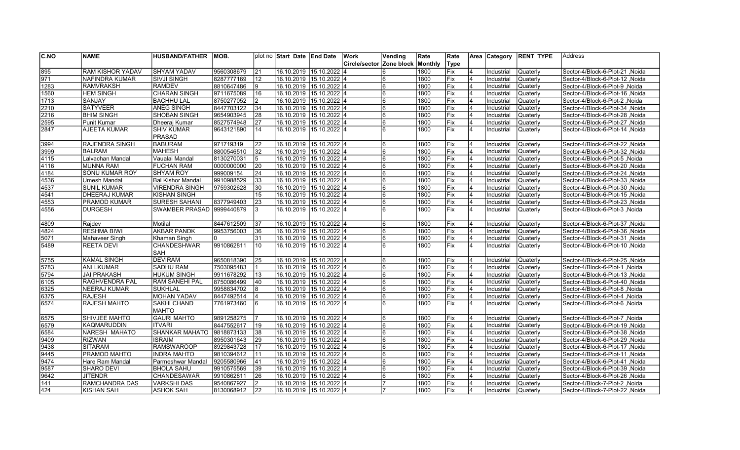| $\overline{C}$ .NO | <b>NAME</b>             | <b>HUSBAND/FATHER</b>     | IMOB.      |                | plot no Start Date End Date |                           | Work          | Vending    | Rate    | Rate        |                | Area Category | <b>RENT TYPE</b> | Address                          |
|--------------------|-------------------------|---------------------------|------------|----------------|-----------------------------|---------------------------|---------------|------------|---------|-------------|----------------|---------------|------------------|----------------------------------|
|                    |                         |                           |            |                |                             |                           | Circle/sector | Zone block | Monthly | <b>Type</b> |                |               |                  |                                  |
| 895                | <b>RAM KISHOR YADAV</b> | <b>SHYAM YADAV</b>        | 9560308679 | 21             | 16.10.2019 15.10.2022 4     |                           |               |            | 1800    | Fix         |                | Industrial    | Quaterly         | Sector-4/Block-6-Plot-21, Noida  |
| $\sqrt{971}$       | <b>NAFINDRA KUMAR</b>   | İSIVJI SINGH              | 8287777169 | 12             | 16.10.2019 15.10.2022 4     |                           |               |            | 1800    | Fix         |                | Industrial    | Quaterly         | Sector-4/Block-6-Plot-12, Noida  |
| 1283               | <b>RAMVRAKSH</b>        | <b>RAMDEV</b>             | 8810647486 | Ι9             | 16.10.2019 15.10.2022 4     |                           |               | 6          | 1800    | Fix         | $\overline{4}$ | Industrial    | Quaterly         | Sector-4/Block-6-Plot-9, Noida   |
| 1560               | <b>HEM SINGH</b>        | <b>CHARAN SINGH</b>       | 9711675089 | 16             | 16.10.2019 15.10.2022 4     |                           |               | 6          | 1800    | Fix         | $\overline{4}$ | Industrial    | Quaterly         | Sector-4/Block-6-Plot-16, Noida  |
| $\sqrt{1713}$      | SANJAY                  | <b>BACHHU LAL</b>         | 8750277052 | 2              | 16.10.2019 15.10.2022 4     |                           |               |            | 1800    | Fix         | 4              | Industrial    | Quaterly         | Sector-4/Block-6-Plot-2, Noida   |
| 2210               | <b>SATYVEER</b>         | <b>ANEG SINGH</b>         | 8447703122 | 34             | 16.10.2019 15.10.2022 4     |                           |               | 6          | 1800    | lFix        | 4              | Industrial    | Quaterly         | Sector-4/Block-6-Plot-34, Noida  |
| 2216               | <b>BHIM SINGH</b>       | SHOBAN SINGH              | 9654903945 | 28             | 16.10.2019 15.10.2022 4     |                           |               | 6          | 1800    | Fix         |                | Industrial    | Quaterly         | Sector-4/Block-6-Plot-28, Noida  |
| 2595               | Punit Kumar             | Dheeraj Kumar             | 8527574948 | 27             |                             | 16.10.2019 15.10.2022 4   |               |            | 1800    | Fix         | 4              | Industrial    | Quaterly         | Sector-4/Block-6-Plot-27, Noida  |
| 2847               | AJEETA KUMAR            | <b>SHIV KUMAR</b>         | 9643121890 | 14             |                             | 16.10.2019  15.10.2022  4 |               |            | 1800    | Fix         | 4              | Industrial    | Quaterly         | Sector-4/Block-6-Plot-14, Noida  |
|                    |                         | <b>PRASAD</b>             |            |                |                             |                           |               |            |         |             |                |               |                  |                                  |
| 3994               | RAJENDRA SINGH          | <b>BABURAM</b>            | 971719319  | 22             | 16.10.2019 15.10.2022 4     |                           |               |            | 1800    | Fix         |                | Industrial    | Quaterly         | Sector-4/Block-6-Plot-22, Noida  |
| 3999               | <b>BALRAM</b>           | MAHESH                    | 8800546510 | 32             | 16.10.2019 15.10.2022 4     |                           |               |            | 1800    | Fix         |                | Industrial    | Quaterly         | Sector-4/Block-6-Plot-32, Noida  |
| 4115               | Lalvachan Mandal        | Vaualai Mandal            | 8130270031 | $\overline{5}$ | 16.10.2019 15.10.2022 4     |                           |               | 6          | 1800    | Fix         |                | Industrial    | Quaterly         | Sector-4/Block-6-Plot-5, Noida   |
| 4116               | <b>MUNNA RAM</b>        | <b>FUCHAN RAM</b>         | 0000000000 | 20             |                             | 16.10.2019 15.10.2022 4   |               |            | 1800    | Fix         |                | Industrial    | Quaterly         | Sector-4/Block-6-Plot-20, Noida  |
| 4184               | <b>SONU KUMAR ROY</b>   | SHYAM ROY                 | 999009154  | 24             | 16.10.2019 15.10.2022 4     |                           |               |            | 1800    | Fix         | 4              | Industrial    | Quaterly         | Sector-4/Block-6-Plot-24 , Noida |
| 4536               | Umesh Mandal            | <b>Bal Kishor Mandal</b>  | 9910988529 | 33             | 16.10.2019 15.10.2022 4     |                           |               | 6          | 1800    | lFix        | 4              | Industrial    | Quaterly         | Sector-4/Block-6-Plot-33, Noida  |
| 4537               | <b>SUNIL KUMAR</b>      | <b>VIRENDRA SINGH</b>     | 9759302628 | 30             | 16.10.2019 15.10.2022 4     |                           |               |            | 1800    | Fix         |                | Industrial    | Quaterly         | Sector-4/Block-6-Plot-30, Noida  |
| 4541               | <b>DHEERAJ KUMAR</b>    | <b>KISHAN SINGH</b>       |            | 15             | 16.10.2019 15.10.2022 4     |                           |               | 6          | 1800    | <b>IFix</b> |                | Industrial    | Quaterly         | Sector-4/Block-6-Plot-15, Noida  |
| 4553               | <b>PRAMOD KUMAR</b>     | <b>SURESH SAHANI</b>      | 8377949403 | 23             | 16.10.2019 15.10.2022 4     |                           |               | 6          | 1800    | Fix         |                | Industrial    | Quaterly         | Sector-4/Block-6-Plot-23, Noida  |
| 4556               | <b>DURGESH</b>          | SWAMBER PRASAD 9999440879 |            | l3             |                             | 16.10.2019 15.10.2022 4   |               |            | 1800    | Fix         | $\overline{4}$ | Industrial    | Quaterly         | Sector-4/Block-6-Plot-3, Noida   |
|                    |                         |                           |            |                |                             |                           |               |            |         |             |                |               |                  |                                  |
| 4809               | Raidev                  | Motilal                   | 8447612509 | 37             | 16.10.2019 15.10.2022 4     |                           |               | 6          | 1800    | Fix         | $\overline{4}$ | Industrial    | Quaterly         | Sector-4/Block-6-Plot-37, Noida  |
| 4824               | <b>RESHMA BIWI</b>      | <b>AKBAR PANDK</b>        | 9953756003 | 36             | 16.10.2019 15.10.2022 4     |                           |               | 6          | 1800    | Fix         | $\overline{4}$ | Industrial    | Quaterly         | Sector-4/Block-6-Plot-36, Noida  |
| 5071               | Mahaveer Singh          | Khaman Singh              | l0         | 31             | 16.10.2019 15.10.2022 4     |                           |               | 6          | 1800    | Fix         | 4              | Industrial    | Quaterly         | Sector-4/Block-6-Plot-31 , Noida |
| 5489               | <b>REETA DEVI</b>       | <b>CHANDESHWAR</b>        | 9910862811 | 10             |                             | 16.10.2019  15.10.2022  4 |               | 6          | 1800    | Fix         | $\overline{4}$ | Industrial    | Quaterly         | Sector-4/Block-6-Plot-10, Noida  |
|                    |                         | SAH                       |            |                |                             |                           |               |            |         |             |                |               |                  |                                  |
| 5755               | <b>KAMAL SINGH</b>      | <b>DEVIRAM</b>            | 9650818390 | 25             | 16.10.2019 15.10.2022 4     |                           |               | 6          | 1800    | Fix         | $\overline{4}$ | Industrial    | Quaterly         | Sector-4/Block-6-Plot-25, Noida  |
| 5783               | <b>ANI LKUMAR</b>       | SADHU RAM                 | 7503095483 |                | 16.10.2019 15.10.2022 4     |                           |               | 6          | 1800    | Fix         | $\overline{4}$ | Industrial    | Quaterly         | Sector-4/Block-6-Plot-1, Noida   |
| 5794               | <b>JAI PRAKASH</b>      | HUKUM SINGH               | 9911678292 | 13             | 16.10.2019 15.10.2022 4     |                           |               |            | 1800    | Fix         | 4              | Industrial    | lQuaterlv        | Sector-4/Block-6-Plot-13, Noida  |
| 6105               | <b>RAGHVENDRA PAL</b>   | <b>RAM SANEHI PAL</b>     | 8750086499 | 40             | 16.10.2019 15.10.2022 4     |                           |               | 6          | 1800    | Fix         | 4              | Industrial    | Quaterly         | Sector-4/Block-6-Plot-40, Noida  |
| 6325               | <b>NEERAJ KUMAR</b>     | <b>SUKHLAL</b>            | 9958834702 | 8              | 16.10.2019 15.10.2022 4     |                           |               |            | 1800    | Fix         |                | Industrial    | Quaterly         | Sector-4/Block-6-Plot-8, Noida   |
| 6375               | <b>RAJESH</b>           | MOHAN YADAV               | 8447492514 |                |                             | 16.10.2019 15.10.2022 4   |               | 6          | 1800    | Fix         |                | Industrial    | Quaterly         | Sector-4/Block-6-Plot-4, Noida   |
| 6574               | <b>RAJESH MAHTO</b>     | <b>SAKHI CHAND</b>        | 7761973460 | 6              |                             | 16.10.2019 15.10.2022 4   |               | 6          | 1800    | Fix         | 4              | Industrial    | Quaterly         | Sector-4/Block-6-Plot-6, Noida   |
|                    |                         | <b>MAHTO</b>              |            |                |                             |                           |               |            |         |             |                |               |                  |                                  |
| 6575               | SHIVJEE MAHTO           | <b>GAURI MAHTO</b>        | 9891258275 |                | 16.10.2019 15.10.2022 4     |                           |               | 6          | 1800    | Fix         |                | Industrial    | Quaterly         | Sector-4/Block-6-Plot-7, Noida   |
| 6579               | KAQMARUDDIN             | <b>ITVARI</b>             | 8447552617 | 19             | 16.10.2019 15.10.2022 4     |                           |               |            | 1800    | Fix         |                | Industrial    | Quaterly         | Sector-4/Block-6-Plot-19, Noida  |
| 6584               | NARESH MAHATO           | <b>SHANKAR MAHATO</b>     | 9818873133 | 38             | 16.10.2019 15.10.2022 4     |                           |               | 6          | 1800    | Fix         |                | Industrial    | Quaterly         | Sector-4/Block-6-Plot-38, Noida  |
| 9409               | <b>RIZWAN</b>           | <b>ISRAIM</b>             | 8950301643 | 29             |                             | 16.10.2019 15.10.2022 4   |               | 6          | 1800    | Fix         |                | Industrial    | Quaterly         | Sector-4/Block-6-Plot-29, Noida  |
| 9438               | <b>SITARAM</b>          | RAMSWAROOP                | 8929843728 | 17             | 16.10.2019 15.10.2022 4     |                           |               |            | 1800    | Fix         | 4              | Industrial    | Quaterly         | Sector-4/Block-6-Plot-17, Noida  |
| 9445               | <b>PRAMOD MAHTO</b>     | <b>INDRA MAHTO</b>        | 9810394612 | 11             | 16.10.2019 15.10.2022 4     |                           |               | 6          | 1800    | Fix         | 4              | Industrial    | Quaterly         | Sector-4/Block-6-Plot-11, Noida  |
| 9474               | Hare Ram Mandal         | Parmeshwar Mandal         | 9205580966 | 41             | 16.10.2019 15.10.2022 4     |                           |               |            | 1800    | Fix         |                | Industrial    | Quaterly         | Sector-4/Block-6-Plot-41, Noida  |
| 9587               | SHARO DEVI              | <b>BHOLA SAHU</b>         | 9910575569 | 39             | 16.10.2019 15.10.2022 4     |                           |               | 6          | 1800    | Fix         |                | Industrial    | Quaterly         | Sector-4/Block-6-Plot-39, Noida  |
| 9642               | <b>JITENDR</b>          | <b>CHANDESAWAR</b>        | 9910862811 | 26             | 16.10.2019 15.10.2022 4     |                           |               |            | 1800    | Fix         |                | Industrial    | Quaterly         | Sector-4/Block-6-Plot-26, Noida  |
| 141                | <b>RAMCHANDRA DAS</b>   | <b>VARKSHI DAS</b>        | 9540867927 |                | 16.10.2019 15.10.2022 4     |                           |               |            | 1800    | Fix         |                | Industrial    | Quaterly         | Sector-4/Block-7-Plot-2, Noida   |
| 424                | KISHAN SAH              | <b>ASHOK SAH</b>          | 8130068912 | 22             | 16.10.2019 15.10.2022 4     |                           |               |            | 1800    | <b>Fix</b>  | 4              | Industrial    | <b>Quaterly</b>  | Sector-4/Block-7-Plot-22, Noida  |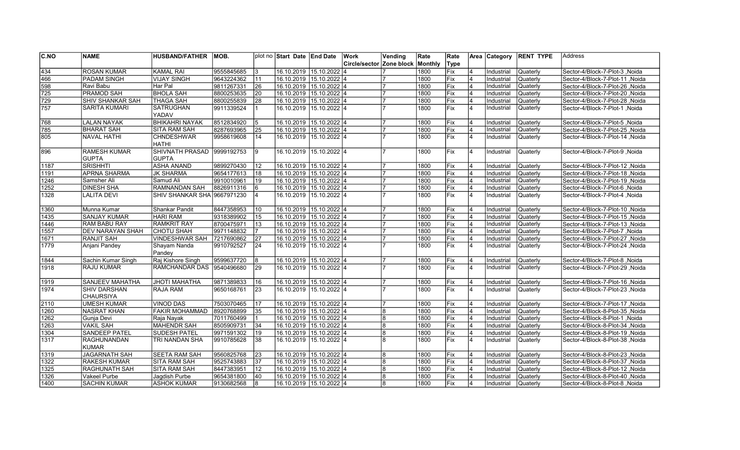| C.NO          | <b>NAME</b>             | <b>HUSBAND/FATHER</b>       | MOB.       |                 | plot no Start Date End Date |                         | Work                            | Vending        | Rate           | Rate        |                | Area Category | <b>RENT TYPE</b> | Address                          |
|---------------|-------------------------|-----------------------------|------------|-----------------|-----------------------------|-------------------------|---------------------------------|----------------|----------------|-------------|----------------|---------------|------------------|----------------------------------|
|               |                         |                             |            |                 |                             |                         | <b>Circle/sector Zone block</b> |                | <b>Monthly</b> | Type        |                |               |                  |                                  |
| $\sqrt{434}$  | <b>ROSAN KUMAR</b>      | <b>KAMAL RAI</b>            | 9555845685 | 3               |                             | 16.10.2019 15.10.2022 4 |                                 |                | 1800           | Fix         |                | Industrial    | Quaterly         | Sector-4/Block-7-Plot-3, Noida   |
| 466           | <b>PADAM SINGH</b>      | VIJAY SINGH                 | 9643224362 | 11              |                             | 16.10.2019 15.10.2022 4 |                                 |                | 1800           | Fix         | 4              | Industrial    | Quaterly         | Sector-4/Block-7-Plot-11 , Noida |
| 598           | Ravi Babu               | Har Pal                     | 9811267331 | 26              |                             | 16.10.2019 15.10.2022 4 |                                 |                | 1800           | Fix         |                | Industrial    | Quaterly         | Sector-4/Block-7-Plot-26, Noida  |
| 725           | <b>PRAMOD SAH</b>       | <b>BHOLA SAH</b>            | 8800253635 | 20              |                             | 16.10.2019 15.10.2022 4 |                                 |                | 1800           | Fix         |                | Industrial    | Quaterly         | Sector-4/Block-7-Plot-20, Noida  |
| 729           | <b>SHIV SHANKAR SAH</b> | <b>THAGA SAH</b>            | 8800255839 | 28              |                             | 16.10.2019 15.10.2022 4 |                                 |                | 1800           | Fix         |                | Industrial    | Quaterly         | Sector-4/Block-7-Plot-28, Noida  |
| 757           | <b>SARITA KUMARI</b>    | <b>SATRUGHAN</b>            | 9911339524 | l 1             |                             | 16.10.2019 15.10.2022 4 |                                 |                | 1800           | Fix         | $\overline{4}$ | Industrial    | Quaterly         | Sector-4/Block-7-Plot-1, Noida   |
|               |                         | YADAV                       |            |                 |                             |                         |                                 |                |                |             |                |               |                  |                                  |
| 768           | <b>LALAN NAYAK</b>      | <b>BHIKAHRI NAYAK</b>       | 8512834920 | 5               |                             | 16.10.2019 15.10.2022 4 |                                 |                | 1800           | Fix         | $\overline{4}$ | Industrial    | Quaterly         | Sector-4/Block-7-Plot-5, Noida   |
| 785           | <b>BHARAT SAH</b>       | SITA RAM SAH                | 8287693965 | 25              |                             | 16.10.2019 15.10.2022 4 |                                 |                | 1800           | Fix         |                | Industrial    | Quaterly         | Sector-4/Block-7-Plot-25, Noida  |
| 805           | <b>NAVAL HATHI</b>      | <b>CHNDESHWAR</b>           | 9958619608 | 14              |                             | 16.10.2019 15.10.2022 4 |                                 |                | 1800           | Fix         | $\overline{4}$ | Industrial    | Quaterly         | Sector-4/Block-7-Plot-14 , Noida |
|               |                         | <b>HATHI</b>                |            |                 |                             |                         |                                 |                |                |             |                |               |                  |                                  |
| 896           | <b>RAMESH KUMAR</b>     | <b>SHIVNATH PRASAD</b>      | 9999192753 | l9              | 16.10.2019                  | 15.10.2022 4            |                                 |                | 1800           | <b>Fix</b>  | $\overline{4}$ | Industrial    | Quaterly         | Sector-4/Block-7-Plot-9, Noida   |
|               | <b>GUPTA</b>            | <b>GUPTA</b>                |            |                 |                             |                         |                                 |                |                |             |                |               |                  |                                  |
| 1187          | <b>SRISHHTI</b>         | <b>ASHA ANAND</b>           | 9899270430 | 12              |                             | 16.10.2019 15.10.2022 4 |                                 |                | 1800           | Fix         | 4              | Industrial    | Quaterly         | Sector-4/Block-7-Plot-12, Noida  |
| 1191          | <b>APRNA SHARMA</b>     | <b>JK SHARMA</b>            | 9654177613 | 18              |                             | 16.10.2019 15.10.2022 4 |                                 |                | 1800           | Fix         | $\overline{4}$ | Industrial    | Quaterly         | Sector-4/Block-7-Plot-18, Noida  |
| 1246          | Samsher Ali             | Samud Ali                   | 9910010961 | 19              |                             | 16.10.2019 15.10.2022 4 |                                 |                | 1800           | Fix         |                | Industrial    | Quaterly         | Sector-4/Block-7-Plot-19, Noida  |
| 1252          | <b>DINESH SHA</b>       | RAMNANDAN SAH               | 8826911316 | 6               |                             | 16.10.2019 15.10.2022 4 |                                 | $\overline{7}$ | 1800           | Fix         | 4              | Industrial    | Quaterly         | Sector-4/Block-7-Plot-6, Noida   |
| 1328          | <b>LALITA DEVI</b>      | SHIV SHANKAR SHA 9667971230 |            | l4              |                             | 16.10.2019 15.10.2022 4 |                                 |                | 1800           | Fix         | $\overline{4}$ | Industrial    | Quaterly         | Sector-4/Block-7-Plot-4, Noida   |
|               |                         |                             |            |                 |                             |                         |                                 |                |                |             |                |               |                  |                                  |
| 1360          | Munna Kumar             | Shankar Pandit              | 8447358953 | 10              |                             | 16.10.2019 15.10.2022 4 |                                 |                | 1800           | Fix         |                | Industrial    | Quaterly         | Sector-4/Block-7-Plot-10, Noida  |
| 1435          | <b>SANJAY KUMAR</b>     | <b>HARI RAM</b>             | 9318389902 | 15              |                             | 16.10.2019 15.10.2022 4 |                                 |                | 1800           | Fix         | 4              | Industrial    | <b>Quaterly</b>  | Sector-4/Block-7-Plot-15, Noida  |
| 1446          | <b>RAM BABU RAY</b>     | <b>RAMKRIT RAY</b>          | 8700475971 | 13              |                             | 16.10.2019 15.10.2022 4 |                                 |                | 1800           | Fix         |                | Industrial    | Quaterly         | Sector-4/Block-7-Plot-13, Noida  |
| 1557          | <b>DEV NARAYAN SHAH</b> | CHOTU SHAH                  | 9971148832 | 17              |                             | 16.10.2019 15.10.2022 4 |                                 |                | 1800           | Fix         |                | Industrial    | Quaterly         | Sector-4/Block-7-Plot-7, Noida   |
| 1671          | <b>RANJIT SAH</b>       | VINDESHWAR SAH              | 7217690862 | $\overline{27}$ | 16.10.2019                  | $15.10.2022$ 4          |                                 |                | 1800           | Fix         | $\overline{4}$ | Industrial    | Quaterly         | Sector-4/Block-7-Plot-27, Noida  |
| 1779          | Anjani Pandey           | Shayam Nanda                | 9910792527 | 24              | 16.10.2019                  | $15.10.2022$ 4          |                                 |                | 1800           | Fix         | $\overline{4}$ | Industrial    | Quaterly         | Sector-4/Block-7-Plot-24, Noida  |
|               |                         | Pandev                      |            |                 |                             |                         |                                 |                |                |             |                |               |                  |                                  |
| 1844          | Sachin Kumar Singh      | Raj Kishore Singh           | 9599637720 | 8               | 16.10.2019                  | $15.10.2022$ 4          |                                 |                | 1800           | Fix         | 4              | Industrial    | Quaterly         | Sector-4/Block-7-Plot-8, Noida   |
| 1918          | <b>RAJU KUMAR</b>       | <b>RAMCHANDAR DAS</b>       | 9540496680 | 29              |                             | 16.10.2019 15.10.2022 4 |                                 |                | 1800           | <b>IFix</b> | 4              | Industrial    | Quaterly         | Sector-4/Block-7-Plot-29 , Noida |
|               |                         |                             |            |                 |                             |                         |                                 |                |                |             |                |               |                  |                                  |
| $\sqrt{1919}$ | <b>SANJEEV MAHATHA</b>  | <b>JHOTI MAHATHA</b>        | 9871389833 | 16              | 16.10.2019                  | $15.10.2022$ 4          |                                 |                | 1800           | Fix         | 4              | Industrial    | Quaterly         | Sector-4/Block-7-Plot-16 .Noida  |
| 1974          | <b>SHIV DARSHAN</b>     | <b>RAJA RAM</b>             | 9650168761 | $\overline{23}$ |                             | 16.10.2019 15.10.2022 4 |                                 |                | 1800           | Fix         | $\overline{4}$ | Industrial    | Quaterly         | Sector-4/Block-7-Plot-23, Noida  |
|               | <b>CHAURSIYA</b>        |                             |            |                 |                             |                         |                                 |                |                |             |                |               |                  |                                  |
| $\sqrt{2110}$ | <b>UMESH KUMAR</b>      | VINOD DAS                   | 7503070465 | <b>17</b>       |                             | 16.10.2019 15.10.2022 4 |                                 |                | 1800           | Fix         |                | Industrial    | Quaterly         | Sector-4/Block-7-Plot-17, Noida  |
| 1260          | <b>NASRAT KHAN</b>      | <b>FAKIR MOHAMMAD</b>       | 8920768899 | 35              |                             | 16.10.2019 15.10.2022 4 |                                 | 8              | 1800           | Fix         |                | Industrial    | Quaterly         | Sector-4/Block-8-Plot-35, Noida  |
| 1262          | Gunja Devi              | Raja Nayak                  | 7011760499 |                 |                             | 16.10.2019 15.10.2022 4 |                                 | 8              | 1800           | Fix         |                | Industrial    | Quaterly         | Sector-4/Block-8-Plot-1, Noida   |
| 1263          | <b>VAKIL SAH</b>        | MAHENDR SAH                 | 8505909731 | 34              |                             | 16.10.2019 15.10.2022 4 |                                 | 8              | 1800           | Fix         | 4              | Industrial    | Quaterly         | Sector-4/Block-8-Plot-34, Noida  |
| 1304          | <b>SANDEEP PATEL</b>    | SUDESH PATEL                | 9971591302 | 19              |                             | 16.10.2019 15.10.2022 4 |                                 | 8              | 1800           | Fix         | $\overline{4}$ | Industrial    | Quaterly         | Sector-4/Block-8-Plot-19, Noida  |
| 1317          | <b>RAGHUNANDAN</b>      | TRI NANDAN SHA              | 9910785628 | 38              | 16.10.2019                  | 15.10.2022 4            |                                 | 8              | 1800           | Fix         | $\overline{4}$ | Industrial    | Quaterly         | Sector-4/Block-8-Plot-38, Noida  |
|               | <b>KUMAR</b>            |                             |            |                 |                             |                         |                                 |                |                |             |                |               |                  |                                  |
| 1319          | <b>JAGARNATH SAH</b>    | <b>SEETA RAM SAH</b>        | 9560825768 | $\overline{23}$ |                             | 16.10.2019 15.10.2022 4 |                                 | 8              | 1800           | Fix         | $\overline{4}$ | Industrial    | Quaterly         | Sector-4/Block-8-Plot-23, Noida  |
| 1322          | <b>RAKESH KUMAR</b>     | <b>SITA RAM SAH</b>         | 9525743883 | 37              |                             | 16.10.2019 15.10.2022 4 |                                 | 8              | 1800           | Fix         | $\overline{4}$ | Industrial    | Quaterly         | Sector-4/Block-8-Plot-37, Noida  |
| 1325          | <b>RAGHUNATH SAH</b>    | <b>SITA RAM SAH</b>         | 8447383951 | 12              |                             | 16.10.2019 15.10.2022 4 |                                 | 8              | 1800           | Fix         |                | Industrial    | Quaterly         | Sector-4/Block-8-Plot-12 .Noida  |
| 1326          | Vakeel Purbe            | Jaqdish Purbe               | 9654381800 | 40              |                             | 16.10.2019 15.10.2022 4 |                                 | 8              | 1800           | Fix         |                | Industrial    | Quaterly         | Sector-4/Block-8-Plot-40, Noida  |
| 1400          | <b>SACHIN KUMAR</b>     | <b>ASHOK KUMAR</b>          | 9130682568 | l8              |                             | 16.10.2019 15.10.2022 4 |                                 | 8              | 1800           | Fix         |                | Industrial    | <b>Quaterly</b>  | Sector-4/Block-8-Plot-8, Noida   |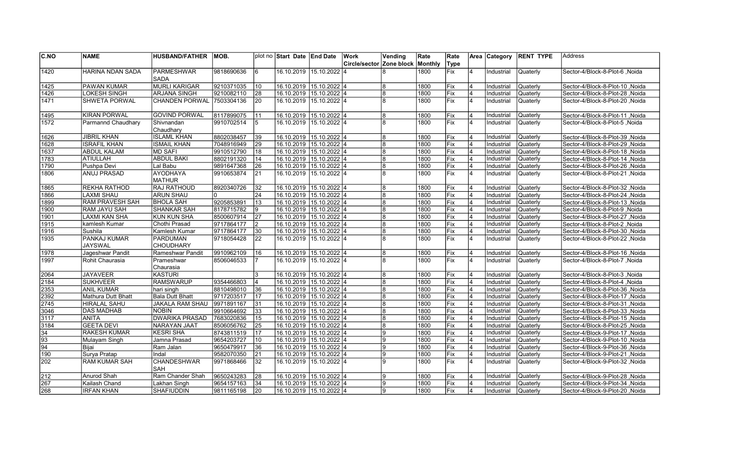| <b>C.NO</b>     | <b>NAME</b>             | <b>HUSBAND/FATHER</b>               | IMOB.      |                 | plot no Start Date End Date |                         | Work                     | Vending | Rate         | Rate       |                         | Area Category | <b>RENT TYPE</b> | lAddress                        |
|-----------------|-------------------------|-------------------------------------|------------|-----------------|-----------------------------|-------------------------|--------------------------|---------|--------------|------------|-------------------------|---------------|------------------|---------------------------------|
|                 |                         |                                     |            |                 |                             |                         | Circle/sector Zone block |         | Monthly      | Type       |                         |               |                  |                                 |
| $\sqrt{1420}$   | <b>HARINA NDAN SADA</b> | <b>PARMESHWAR</b>                   | 9818690636 | l6              | 16.10.2019                  | $15.10.2022$ 4          |                          |         | 1800         | Fix        | 4                       | Industrial    | Quaterly         | Sector-4/Block-8-Plot-6, Noida  |
|                 |                         | <b>SADA</b>                         |            |                 |                             |                         |                          |         |              |            |                         |               |                  |                                 |
| 1425            | <b>PAWAN KUMAR</b>      | <b>MURLI KARIGAR</b>                | 9210371035 | 10              | 16.10.2019 15.10.2022 4     |                         |                          | 8       | 1800         | Fix        | 4                       | Industrial    | Quaterly         | Noida Sector-4/Block-8-Plot-10  |
| 1426            | <b>LOKESH SINGH</b>     | <b>ARJANA SINGH</b>                 | 9210082110 | 28              | 16.10.2019 15.10.2022 4     |                         |                          | 8       | 1800         | Fix        | 4                       | Industrial    | Quaterly         | Sector-4/Block-8-Plot-28, Noida |
| 1471            | <b>SHWETA PORWAL</b>    | CHANDEN PORWAL 7503304136           |            | 20              | 16.10.2019 15.10.2022 4     |                         |                          |         | 1800         | Fix        | 4                       | Industrial    | Quaterly         | Sector-4/Block-8-Plot-20 ,Noida |
|                 |                         |                                     |            |                 |                             |                         |                          |         |              |            |                         |               |                  |                                 |
| $\sqrt{1495}$   | <b>KIRAN PORWAL</b>     | <b>GOVIND PORWAL</b>                | 8117899075 | 11              | 16.10.2019 15.10.2022 4     |                         |                          | 8       | 1800         | Fix        | $\overline{4}$          | Industrial    | Quaterly         | Sector-4/Block-8-Plot-11, Noida |
| $\sqrt{1572}$   | Parmannd Chaudhary      | Shivnandan                          | 9910702514 | 5               | 16.10.2019                  | 15.10.2022 4            |                          |         | 1800         | Fix        | $\overline{4}$          | Industrial    | Quaterly         | Sector-4/Block-8-Plot-5, Noida  |
|                 |                         | Chaudhary                           |            |                 |                             |                         |                          |         |              |            |                         |               |                  |                                 |
| 1626            | <b>JIBRIL KHAN</b>      | <b>ISLAML KHAN</b>                  | 8802038457 | $\overline{39}$ | 16.10.2019 15.10.2022 4     |                         |                          | 8       | 1800         | Fix        | 4                       | Industrial    | Quaterly         | Sector-4/Block-8-Plot-39, Noida |
| 1628            | <b>ISRAFIL KHAN</b>     | <b>ISMAIL KHAN</b>                  | 7048916949 | 29              | 16.10.2019 15.10.2022 4     |                         |                          | 8       | 1800         | Fix        | 4                       | Industrial    | Quaterly         | Sector-4/Block-8-Plot-29, Noida |
| 1637            | <b>ABDUL KALAM</b>      | MD SAFI                             | 9910512790 | 18              | 16.10.2019  15.10.2022  4   |                         |                          | 8       | 1800         | Fix        | $\overline{4}$          | Industrial    | Quaterly         | Sector-4/Block-8-Plot-18, Noida |
| 1783            | <b>ATIULLAH</b>         | <b>ABDUL BAKI</b>                   | 8802191320 | 14              | 16.10.2019 15.10.2022 4     |                         |                          | 8       | 1800         | Fix        | $\overline{4}$          | Industrial    | Quaterly         | Sector-4/Block-8-Plot-14, Noida |
| 1790            | Pushpa Devi             | Lal Babu                            | 9891647368 | 26              | 16.10.2019 15.10.2022 4     |                         |                          | 8       | 1800         | Fix        | $\overline{\mathbf{4}}$ | Industrial    | Quaterly         | Sector-4/Block-8-Plot-26, Noida |
| 1806            | <b>ANUJ PRASAD</b>      | <b>AYODHAYA</b>                     | 9910653874 | 21              | 16.10.2019                  | 15.10.2022 4            |                          |         | 1800         | Fix        | $\overline{4}$          | Industrial    | Quaterly         | Sector-4/Block-8-Plot-21, Noida |
|                 |                         | <b>MATHUR</b>                       |            |                 |                             |                         |                          |         |              |            |                         |               |                  |                                 |
| 1865            | <b>REKHA RATHOD</b>     | <b>RAJ RATHOUD</b>                  | 8920340726 | $\overline{32}$ | 16.10.2019 15.10.2022 4     |                         |                          |         | 1800         | Fix        | 4                       | Industrial    | Quaterly         | Sector-4/Block-8-Plot-32, Noida |
| 1866            | <b>LAXMI SHAU</b>       | <b>ARUN SHAU</b>                    | I٥         | 24              | 16.10.2019 15.10.2022 4     |                         |                          | 8       | 1800         | Fix        | $\overline{4}$          | Industrial    | Quaterly         | Sector-4/Block-8-Plot-24, Noida |
| 1899            | <b>RAM PRAVESH SAH</b>  | <b>BHOLA SAH</b>                    | 9205853891 | 13              | 16.10.2019 15.10.2022 4     |                         |                          | 8       | 1800         | Fix        | 4                       | Industrial    | Quaterly         | Sector-4/Block-8-Plot-13, Noida |
| 1900            | RAM JAYU SAH            | <b>SHANKAR SAH</b>                  | 8178715782 | 9               | 16.10.2019 15.10.2022 4     |                         |                          | 8       | 1800         | Fix        | 4                       | Industrial    | Quaterly         | Sector-4/Block-8-Plot-9, Noida  |
| 1901            | <b>LAXMI KAN SHA</b>    | KUN KUN SHA                         | 8500607914 | 27              | 16.10.2019 15.10.2022 4     |                         |                          | 8       | 1800         | Fix        | $\overline{4}$          | Industrial    | Quaterly         | Sector-4/Block-8-Plot-27, Noida |
| 1915            | kamlesh Kumar           | Chothi Prasad                       | 9717864177 | 2               | 16.10.2019 15.10.2022 4     |                         |                          | 8       | 1800         | Fix        | 4                       | Industrial    | Quaterly         | Sector-4/Block-8-Plot-2, Noida  |
| 1916            | Sushila                 | Kamlesh Kumar                       | 9717864177 | 30              | 16.10.2019 15.10.2022 4     |                         |                          | 8<br>8  | 1800         | lFix.      | 4                       | Industrial    | Quaterly         | Sector-4/Block-8-Plot-30, Noida |
| 1935            | PANKAJ KUMAR<br>JAYSWAL | <b>PARDUMAN</b><br><b>CHOUDHARY</b> | 9718054428 | 22              | 16.10.2019 15.10.2022 4     |                         |                          |         | 1800         | <b>Fix</b> | 4                       | Industrial    | Quaterly         | Sector-4/Block-8-Plot-22, Noida |
| 1978            |                         |                                     | 9910962109 | 16              | 16.10.2019                  | $15.10.2022$ 4          |                          | 8       |              | Fix        | $\overline{4}$          |               |                  |                                 |
| 1997            | Jageshwar Pandit        | Rameshwar Pandit                    | 8506046533 | 17              | 16.10.2019                  | 15.10.2022 4            |                          |         | 1800<br>1800 | Fix        | $\overline{4}$          | Industrial    | <b>Quaterly</b>  | Sector-4/Block-8-Plot-16, Noida |
|                 | Rohit Chaurasia         | Prameshwar<br>Chaurasia             |            |                 |                             |                         |                          |         |              |            |                         | Industrial    | Quaterly         | Sector-4/Block-8-Plot-7, Noida  |
| 2064            | <b>JAYAVEER</b>         | KASTURI                             |            | 3               | 16.10.2019 15.10.2022 4     |                         |                          |         | 1800         | Fix        | 4                       | Industrial    | Quaterly         | Sector-4/Block-8-Plot-3, Noida  |
| 2184            | <b>SUKHVEER</b>         | <b>RAMSWARUP</b>                    | 9354466803 | $\overline{4}$  | 16.10.2019 15.10.2022 4     |                         |                          | 8       | 1800         | Fix        | $\overline{4}$          | Industrial    | Quaterly         | Sector-4/Block-8-Plot-4, Noida  |
| 2353            | <b>ANIL KUMAR</b>       | hari singh                          | 8810498010 | $\overline{36}$ | 16.10.2019 15.10.2022 4     |                         |                          |         | 1800         | Fix        | $\overline{\mathbf{A}}$ | Industrial    | Quaterly         | Sector-4/Block-8-Plot-36, Noida |
| 2392            | Mathura Dutt Bhatt      | Bala Dutt Bhatt                     | 9717203517 | 17              | 16.10.2019 15.10.2022 4     |                         |                          | 8       | 1800         | Fix        | 4                       | Industrial    | Quaterly         | Sector-4/Block-8-Plot-17, Noida |
| 2745            | <b>HIRALAL SAHU</b>     | <b>JAKALA RAM SHAU</b>              | 9971891167 | 31              | 16.10.2019 15.10.2022 4     |                         |                          | 8       | 1800         | Fix        | $\overline{4}$          | Industrial    | Quaterly         | Sector-4/Block-8-Plot-31, Noida |
| 3046            | <b>DAS MADHAB</b>       | <b>NOBIN</b>                        | 9910664692 | 33              | 16.10.2019 15.10.2022 4     |                         |                          | 8       | 1800         | Fix        | 4                       | Industrial    | Quaterly         | Sector-4/Block-8-Plot-33, Noida |
| 3117            | <b>ANITA</b>            | <b>DWARIKA PRASAD</b>               | 7683020836 | 15              | 16.10.2019 15.10.2022 4     |                         |                          | 8       | 1800         | Fix        | $\overline{4}$          | Industrial    | Quaterly         | Sector-4/Block-8-Plot-15, Noida |
| 3184            | <b>GEETA DEVI</b>       | NARAYAN JAAT                        | 8506056762 | 25              | 16.10.2019 15.10.2022 4     |                         |                          | 8       | 1800         | Fix        | $\overline{4}$          | Industrial    | Quaterly         | Sector-4/Block-8-Plot-25, Noida |
| 34              | <b>RAKESH KUMAR</b>     | <b>KESRI SHA</b>                    | 8743811519 | 17              | 16.10.2019 15.10.2022 4     |                         |                          | 9       | 1800         | Fix        | 4                       | Industrial    | Quaterly         | Sector-4/Block-9-Plot-17, Noida |
| $\overline{93}$ | Mulayam Singh           | Jamna Prasad                        | 9654203727 | 10              | 16.10.2019 15.10.2022 4     |                         |                          | g       | 1800         | Fix        | $\overline{\mathbf{A}}$ | Industrial    | Quaterly         | Sector-4/Block-9-Plot-10, Noida |
| 94              | Bijai                   | Ram Jalan                           | 9650479917 | 36              | 16.10.2019 15.10.2022 4     |                         |                          | 9       | 1800         | Fix        | 4                       | Industrial    | Quaterly         | Sector-4/Block-9-Plot-36, Noida |
| $\sqrt{190}$    | Surya Pratap            | Indal                               | 9582070350 | 21              | 16.10.2019 15.10.2022 4     |                         |                          | 9       | 1800         | Fix        | 4                       | Industrial    | Quaterly         | Sector-4/Block-9-Plot-21, Noida |
| 202             | <b>RAM KUMAR SAH</b>    | <b>CHANDESHWAR</b>                  | 9971868466 | 32              | 16.10.2019 15.10.2022 4     |                         |                          | q       | 1800         | Fix        | 14                      | Industrial    | Quaterly         | Sector-4/Block-9-Plot-32, Noida |
|                 |                         | <b>SAH</b>                          |            |                 |                             |                         |                          |         |              |            |                         |               |                  |                                 |
| 212             | Anurod Shah             | Ram Chander Shah                    | 9650243283 | 28              | 16.10.2019 15.10.2022 4     |                         |                          | 9       | 1800         | Fix        | $\overline{4}$          | Industrial    | Quaterly         | Sector-4/Block-9-Plot-28 .Noida |
| 267             | Kailash Chand           | Lakhan Singh                        | 9654157163 | 34              |                             | 16.10.2019 15.10.2022 4 |                          | 9       | 1800         | Fix        | $\overline{\mathbf{A}}$ | Industrial    | Quaterly         | Sector-4/Block-9-Plot-34 .Noida |
| 268             | <b>IRFAN KHAN</b>       | <b>SHAFIUDDIN</b>                   | 9811165198 | 20              | 16.10.2019 15.10.2022 4     |                         |                          | 9       | 1800         | Fix        | 4                       | Industrial    | Quaterly         | Sector-4/Block-9-Plot-20, Noida |
|                 |                         |                                     |            |                 |                             |                         |                          |         |              |            |                         |               |                  |                                 |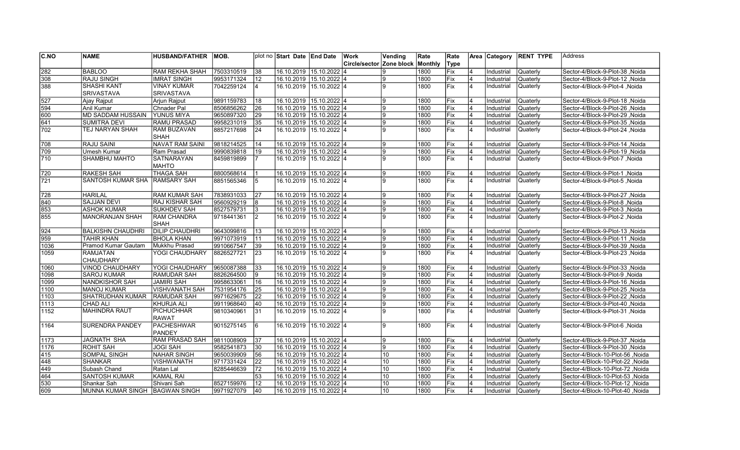| CNO              | <b>NAME</b>                      | <b>HUSBAND/FATHER</b> | IMOB.      |                | plot no Start Date End Date |                           | Work          | Vending         | Rate    | Rate        |                | Area Category | <b>RENT TYPE</b> | Address                           |
|------------------|----------------------------------|-----------------------|------------|----------------|-----------------------------|---------------------------|---------------|-----------------|---------|-------------|----------------|---------------|------------------|-----------------------------------|
|                  |                                  |                       |            |                |                             |                           | Circle/sector | Zone block      | Monthly | Type        |                |               |                  |                                   |
| 282              | <b>BABLOO</b>                    | <b>RAM REKHA SHAH</b> | 7503310519 | 38             |                             | 16.10.2019 15.10.2022 4   |               |                 | 1800    | Fix         |                | Industrial    | Quaterly         | Sector-4/Block-9-Plot-38, Noida   |
| 308              | <b>RAJU SINGH</b>                | <b>IMRAT SINGH</b>    | 9953171324 | 12             |                             | 16.10.2019 15.10.2022 4   |               |                 | 1800    | Fix         |                | Industrial    | Quaterly         | Sector-4/Block-9-Plot-12, Noida   |
| 388              | <b>SHASHI KANT</b>               | <b>VINAY KUMAR</b>    | 7042259124 | $\overline{4}$ |                             | 16.10.2019 15.10.2022 4   |               |                 | 1800    | lFix        | 4              | Industrial    | Quaterly         | Sector-4/Block-9-Plot-4, Noida    |
|                  | <b>SRIVASTAVA</b>                | <b>SRIVASTAVA</b>     |            |                |                             |                           |               |                 |         |             |                |               |                  |                                   |
| 527              | Ajay Rajput                      | Arjun Rajput          | 9891159783 | 18             | 16.10.2019 15.10.2022 4     |                           |               |                 | 1800    | lFix        |                | Industrial    | Quaterly         | Sector-4/Block-9-Plot-18, Noida   |
| 594              | Anil Kumar                       | Chnader Pal           | 8506856262 | 26             |                             | 16.10.2019 15.10.2022 4   |               | 9               | 1800    | <b>IFix</b> | 4              | Industrial    | Quaterly         | Sector-4/Block-9-Plot-26, Noida   |
| 600              | <b>MD SADDAM HUSSAIN</b>         | <b>YUNUS MIYA</b>     | 9650897320 | 29             |                             | 16.10.2019 15.10.2022 4   |               | 9               | 1800    | Fix         |                | Industrial    | Quaterly         | Sector-4/Block-9-Plot-29, Noida   |
| 641              | <b>SUMITRA DEVI</b>              | <b>RAMU PRASAD</b>    | 9958231019 | 35             |                             | 16.10.2019 15.10.2022 4   |               | 9               | 1800    | Fix         | 4              | Industrial    | Quaterly         | Sector-4/Block-9-Plot-35, Noida   |
| 702              | TEJ NARYAN SHAH                  | <b>RAM BUZAVAN</b>    | 8857217698 | 24             |                             | 16.10.2019 15.10.2022 4   |               | g               | 1800    | lFix        | 4              | Industrial    | Quaterly         | Sector-4/Block-9-Plot-24, Noida   |
|                  |                                  | <b>SHAH</b>           |            |                |                             |                           |               |                 |         |             |                |               |                  |                                   |
| 708              | <b>RAJU SAINI</b>                | NAVAT RAM SAINI       | 9818214525 | 14             |                             | 16.10.2019 15.10.2022 4   |               | q               | 1800    | Fix         |                | Industrial    | Quaterly         | Sector-4/Block-9-Plot-14, Noida   |
| 709              | Umesh Kumar                      | Ram Prasad            | 9990839818 | 19             |                             | 16.10.2019 15.10.2022 4   |               | q               | 1800    | Fix         | $\overline{4}$ | Industrial    | Quaterly         | Sector-4/Block-9-Plot-19, Noida   |
| $\overline{710}$ | SHAMBHU MAHTO                    | <b>SATNARAYAN</b>     | 8459819899 |                |                             | 16.10.2019 15.10.2022 4   |               | g               | 1800    | Fix         | $\overline{4}$ | Industrial    | Quaterly         | Sector-4/Block-9-Plot-7, Noida    |
|                  |                                  | <b>MAHTO</b>          |            |                |                             |                           |               |                 |         |             |                |               |                  |                                   |
| 720              | <b>RAKESH SAH</b>                | <b>THAGA SAH</b>      | 8800568614 |                |                             | 16.10.2019 15.10.2022 4   |               | 9               | 1800    | Fix         | $\overline{4}$ | Industrial    | Quaterly         | Sector-4/Block-9-Plot-1, Noida    |
| 721              | <b>SANTOSH KUMAR SHA</b>         | <b>RAMSARY SAH</b>    | 8851565346 | 5              |                             | 16.10.2019 15.10.2022 l4  |               | $\mathbf{Q}$    | 1800    | Fix         | $\overline{4}$ | Industrial    | Quaterly         | Sector-4/Block-9-Plot-5, Noida    |
|                  |                                  |                       |            |                |                             |                           |               |                 |         |             |                |               |                  |                                   |
| 728              | <b>HARILAL</b>                   | RAM KUMAR SAH         | 7838931033 | 27             |                             | 16.10.2019 15.10.2022 4   |               | g               | 1800    | Fix         | 4              | Industrial    | Quaterly         | Sector-4/Block-9-Plot-27, Noida   |
| 840              | <b>SAJJAN DEVI</b>               | <b>RAJ KISHAR SAH</b> | 9560929219 | 8              |                             | 16.10.2019 15.10.2022 4   |               | 9               | 1800    | Fix         | 4              | Industrial    | Quaterly         | Sector-4/Block-9-Plot-8, Noida    |
| 853              | <b>ASHOK KUMAR</b>               | <b>SUKHDEV SAH</b>    | 8527579731 | 3              |                             | 16.10.2019 15.10.2022 4   |               | 9               | 1800    | Fix         | 4              | Industrial    | Quaterly         | Sector-4/Block-9-Plot-3, Noida    |
| 855              | <b>MANORANJAN SHAH</b>           | <b>RAM CHANDRA</b>    | 9718441361 | <sup>2</sup>   |                             | 16.10.2019 15.10.2022 4   |               | g               | 1800    | Fix         | 4              | Industrial    | Quaterly         | Sector-4/Block-9-Plot-2, Noida    |
|                  |                                  | <b>SHAH</b>           |            |                |                             |                           |               |                 |         |             |                |               |                  |                                   |
| 924              | <b>BALKISHN CHAUDHRI</b>         | <b>DILIP CHAUDHRI</b> | 9643099816 | 13             |                             | 16.10.2019 15.10.2022 4   |               | $\mathbf{Q}$    | 1800    | Fix         |                | Industrial    | Quaterly         | Sector-4/Block-9-Plot-13, Noida   |
| $\sqrt{959}$     | <b>TAHIR KHAN</b>                | <b>BHOLA KHAN</b>     | 9971073919 | 11             |                             | 16.10.2019 15.10.2022 4   |               |                 | 1800    | Fix         | 4              | Industrial    | Quaterly         | Sector-4/Block-9-Plot-11, Noida   |
| 1036             | Pramod Kumar Gautam              | Mukkhu Prasad         | 9910667547 | 39             |                             | 16.10.2019 15.10.2022 4   |               | 9               | 1800    | Fix         | 4              | Industrial    | Quaterly         | Sector-4/Block-9-Plot-39, Noida   |
| 1059             | <b>RAMJATAN</b>                  | YOGI CHAUDHARY        | 8826527721 | 23             |                             | 16.10.2019 15.10.2022 4   |               | g               | 1800    | Fix         | 4              | Industrial    | Quaterly         | Sector-4/Block-9-Plot-23, Noida   |
|                  | <b>CHAUDHARY</b>                 |                       |            |                |                             |                           |               |                 |         |             |                |               |                  |                                   |
| $\sqrt{1060}$    | <b>VINOD CHAUDHARY</b>           | YOGI CHAUDHARY        | 9650087388 | 33             |                             | 16.10.2019 15.10.2022 4   |               | 9               | 1800    | Fix         | $\overline{4}$ | Industrial    | Quaterly         | Sector-4/Block-9-Plot-33, Noida   |
| 1098             | <b>SAROJ KUMAR</b>               | RAMUDAR SAH           | 8826264500 | 9              |                             | 16.10.2019 15.10.2022 4   |               | q               | 1800    | Fix         | 4              | Industrial    | Quaterly         | Sector-4/Block-9-Plot-9, Noida    |
| 1099             | <b>NANDKISHOR SAH</b>            | <b>JAMIRI SAH</b>     | 9958633061 | 16             |                             | 16.10.2019 15.10.2022 4   |               | 9               | 1800    | Fix         |                | Industrial    | Quaterly         | Sector-4/Block-9-Plot-16, Noida   |
| 1100             | <b>MANOJ KUMAR</b>               | <b>VISHVANATH SAH</b> | 7531954176 | 25             |                             | 16.10.2019 15.10.2022 4   |               | g               | 1800    | Fix         |                | Industrial    | Quaterly         | Sector-4/Block-9-Plot-25, Noida   |
| 1103             | SHATRUDHAN KUMAR                 | <b>RAMUDAR SAH</b>    | 9971629675 |                |                             | 16.10.2019 15.10.2022 4   |               | 9               | 1800    | Fix         |                | Industrial    | Quaterly         | Sector-4/Block-9-Plot-22, Noida   |
| 1113             | <b>CHAD ALI</b>                  | KHURJA ALI            | 9911968640 | 40             |                             | 16.10.2019 15.10.2022 4   |               | 9               | 1800    | Fix         | $\overline{4}$ | Industrial    | Quaterly         | Sector-4/Block-9-Plot-40, Noida   |
| 1152             | <b>MAHINDRA RAUT</b>             | <b>PICHUCHHAR</b>     | 9810340961 | 31             |                             | 16.10.2019  15.10.2022  4 |               | g               | 1800    | Fix         | $\overline{4}$ | Industrial    | Quaterly         | Sector-4/Block-9-Plot-31, Noida   |
|                  |                                  | RAWAT                 |            |                |                             |                           |               |                 |         |             |                |               |                  |                                   |
| 1164             | <b>SURENDRA PANDEY</b>           | PACHESHWAR            | 9015275145 | 6              |                             | 16.10.2019 15.10.2022 4   |               | q               | 1800    | Fix         | 4              | Industrial    | Quaterly         | Sector-4/Block-9-Plot-6, Noida    |
|                  |                                  | <b>PANDEY</b>         |            |                |                             |                           |               |                 |         |             |                |               |                  |                                   |
| 1173             | <b>JAGNATH SHA</b>               | <b>RAM PRASAD SAH</b> | 9811008909 | 37             |                             | 16.10.2019 15.10.2022 4   |               |                 | 1800    | Fix         |                | Industrial    | Quaterly         | Sector-4/Block-9-Plot-37, Noida   |
| 1176             | <b>ROHIT SAH</b>                 | <b>JOGI SAH</b>       | 9582541873 | 30             |                             | 16.10.2019 15.10.2022 4   |               |                 | 1800    | Fix         | $\overline{4}$ | Industrial    | Quaterly         | Sector-4/Block-9-Plot-30, Noida   |
| 415              | SOMPAL SINGH                     | NAHAR SINGH           | 9650039909 | 56             |                             | 16.10.2019 15.10.2022 4   |               | 10              | 1800    | lFix        | $\overline{4}$ | Industrial    | Quaterly         | Sector-4/Block-10-Plot-56, Noida  |
| 448              | <b>SHANKAR</b>                   | <b>VISHWANATH</b>     | 9717331424 | 22             |                             | 16.10.2019 15.10.2022 4   |               | 10              | 1800    | Fix         |                | Industrial    | Quaterly         | Sector-4/Block-10-Plot-22 ,Noida  |
| 449              | Subash Chand                     | Ratan Lal             | 8285446639 | 72             |                             | 16.10.2019 15.10.2022 4   |               | 10              | 1800    | <b>IFix</b> | 4              | Industrial    | Quaterly         | Sector-4/Block-10-Plot-72, Noida  |
| 464              | <b>SANTOSH KUMAR</b>             | KAMAL RAI             |            | 53             |                             | 16.10.2019 15.10.2022 4   |               | 10              | 1800    | Fix         |                | Industrial    | Quaterly         | Sector-4/Block-10-Plot-53 , Noida |
| 530              | Shankar Sah                      | Shivani Sah           | 8527159976 | 12             |                             | 16.10.2019 15.10.2022 4   |               | 10              | 1800    | Fix         |                | Industrial    | Quaterly         | Sector-4/Block-10-Plot-12, Noida  |
| 609              | MUNNA KUMAR SINGH   BAGWAN SINGH |                       | 9971927079 | 40             |                             | 16.10.2019 15.10.2022 4   |               | 10 <sup>°</sup> | 1800    | <b>IFix</b> |                | Industrial    | <b>Quaterly</b>  | Sector-4/Block-10-Plot-40, Noida  |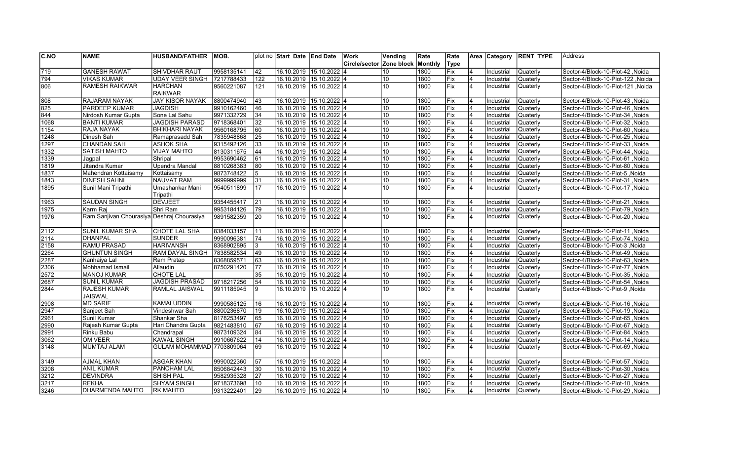| C.NO             | <b>NAME</b>                                | <b>HUSBAND/FATHER</b>     | IMOB.      |     | plot no Start Date LEnd Date | Work                     | Vending          | Rate    | Rate       |                         | Area Category | <b>RENT TYPE</b> | <b>Address</b>                          |
|------------------|--------------------------------------------|---------------------------|------------|-----|------------------------------|--------------------------|------------------|---------|------------|-------------------------|---------------|------------------|-----------------------------------------|
|                  |                                            |                           |            |     |                              | Circle/sector Zone block |                  | Monthly | Type       |                         |               |                  |                                         |
| $\overline{719}$ | <b>GANESH RAWAT</b>                        | <b>SHIVDHAR RAUT</b>      | 9958135141 | 42  | 16.10.2019 15.10.2022 4      |                          | 10               | 1800    | Fix        |                         | Industrial    | Quaterly         | Sector-4/Block-10-Plot-42, Noida        |
| 794              | <b>VIKAS KUMAR</b>                         | <b>UDAY VEER SINGH</b>    | 7217788433 | 122 | 16.10.2019 15.10.2022 4      |                          | 10               | 1800    | Fix        | 4                       | Industrial    | Quaterly         | Sector-4/Block-10-Plot-122, Noida       |
| 806              | <b>RAMESH RAIKWAR</b>                      | <b>HARCHAN</b>            | 9560221087 | 121 | 16.10.2019 15.10.2022 4      |                          | 10 <sup>10</sup> | 1800    | Fix        | 4                       | Industrial    | Quaterly         | Sector-4/Block-10-Plot-121, Noida       |
|                  |                                            | <b>RAIKWAR</b>            |            |     |                              |                          |                  |         |            |                         |               |                  |                                         |
| 808              | <b>RAJARAM NAYAK</b>                       | <b>JAY KISOR NAYAK</b>    | 8800474940 | 43  | 16.10.2019 15.10.2022 4      |                          | 10               | 1800    | lFix.      | $\overline{\mathbf{A}}$ | Industrial    | Quaterly         | Sector-4/Block-10-Plot-43, Noida        |
| 825              | <b>PARDEEP KUMAR</b>                       | JAGDISH                   | 9910162460 | 46  | 16.10.2019 15.10.2022 4      |                          | 10               | 1800    | lFix       | 4                       | Industrial    | Quaterly         | Noida / Sector-4/Block-10-Plot-46       |
| 844              | Nirdosh Kumar Gupta                        | Sone Lal Sahu             | 9971332729 | 34  | 16.10.2019 15.10.2022 4      |                          | 10               | 1800    | <b>Fix</b> | 4                       | Industrial    | Quaterly         | Sector-4/Block-10-Plot-34 .Noida        |
| 1068             | <b>BANTI KUMAR</b>                         | <b>JAGDISH PARASD</b>     | 9718368401 | 32  | 16.10.2019 15.10.2022 4      |                          | 10               | 1800    | Fix        |                         | Industrial    | Quaterly         | Noida Sector-4/Block-10-Plot-32         |
| 1154             | RAJA NAYAK                                 | <b>BHIKHARI NAYAK</b>     | 9560168795 | 60  | 16.10.2019 15.10.2022 4      |                          | 10               | 1800    | Fix        | 4                       | Industrial    | Quaterly         | Noida Sector-4/Block-10-Plot-60         |
| 1248             | Dinesh Sah                                 | Ramaprasadd Sah           | 7835948868 | 25  | 16.10.2019 15.10.2022 4      |                          | 10               | 1800    | Fix        | 4                       | Industrial    | Quaterly         | Noida Sector-4/Block-10-Plot-25         |
| 1297             | <b>CHANDAN SAH</b>                         | <b>ASHOK SHA</b>          | 9315492126 | 33  | 16.10.2019 15.10.2022 4      |                          | 10               | 1800    | Fix        | $\overline{4}$          | Industrial    | Quaterly         | Noida Sector-4/Block-10-Plot-33         |
| 1332             | <b>SATISH MAHTO</b>                        | <b>VIJAY MAHTO</b>        | 8130311675 | 44  | 16.10.2019 15.10.2022 4      |                          | 10               | 1800    | Fix        | 4                       | Industrial    | Quaterly         | Noida / Sector-4/Block-10-Plot-44       |
| 1339             | Jagpal                                     | Shripal                   | 9953690462 | 61  | 16.10.2019 15.10.2022 4      |                          | 10               | 1800    | Fix        | 4                       | Industrial    | Quaterly         | Sector-4/Block-10-Plot-61 .Noida        |
| 1819             | Jitendra Kumar                             | <b>Upendra Mandal</b>     | 8810268383 | 80  | 16.10.2019 15.10.2022 4      |                          | 10               | 1800    | Fix        | 4                       | Industrial    | Quaterly         | Noida Sector-4/Block-10-Plot-80         |
| 1837             | Mahendran Kottaisamy                       | Kottaisamy                | 9873748422 | 5   | 16.10.2019 15.10.2022 4      |                          | 10               | 1800    | Fix        | 4                       | Industrial    | Quaterly         | Noida Sector-4/Block-10-Plot-5          |
| 1843             | <b>DINESH SAHNI</b>                        | <b>NAUVAT RAM</b>         | 9999999999 | 31  | 16.10.2019 15.10.2022 4      |                          | 10               | 1800    | Fix        | 4                       | Industrial    | Quaterly         | Sector-4/Block-10-Plot-31, Noida        |
| 1895             | Sunil Mani Tripathi                        | Umashankar Mani           | 9540511899 | 17  | 16.10.2019 15.10.2022 4      |                          | 10               | 1800    | Fix        | 4                       | Industrial    | Quaterly         | Sector-4/Block-10-Plot-17, Noida        |
|                  |                                            | Tripathi                  |            |     |                              |                          |                  |         |            |                         |               |                  |                                         |
| 1963             | <b>SAUDAN SINGH</b>                        | <b>DEVJEET</b>            | 9354455417 | 21  | 16.10.2019 15.10.2022 4      |                          | 10               | 1800    | Fix        | 4                       | Industrial    | Quaterly         | Sector-4/Block-10-Plot-21, Noida        |
| 1975             | Karm Raj                                   | Shri Ram                  | 9953184126 | 79  | 16.10.2019 15.10.2022 4      |                          | 10               | 1800    | Fix        | 4                       | Industrial    | Quaterly         | Noida Sector-4/Block-10-Plot-79, Noida  |
| 1976             | Ram Sanjivan Chourasiya Deshraj Chourasiya |                           | 9891582359 | 20  | 16.10.2019 15.10.2022 4      |                          | 10               | 1800    | Fix        | 4                       | Industrial    | Quaterly         | Sector-4/Block-10-Plot-20, Noida        |
|                  |                                            |                           |            |     |                              |                          |                  |         |            |                         |               |                  |                                         |
| $\sqrt{2112}$    | <b>SUNIL KUMAR SHA</b>                     | CHOTE LAL SHA             | 8384033157 | 11  | 16.10.2019 15.10.2022 4      |                          | 10               | 1800    | Fix        | $\overline{4}$          | Industrial    | Quaterly         | Noida Sector-4/Block-10-Plot-11         |
| $\sqrt{2114}$    | <b>DHANPAL</b>                             | <b>SUNDER</b>             | 9990096381 | 74  | 16.10.2019 15.10.2022 4      |                          | 10               | 1800    | Fix        | $\overline{4}$          | Industrial    | Quaterly         | Sector-4/Block-10-Plot-74, Noida        |
| 2158             | <b>RAMU PRASAD</b>                         | <b>HARIVANSH</b>          | 8368902895 | 3   | 16.10.2019 15.10.2022 4      |                          | 10               | 1800    | Fix        | 4                       | Industrial    | Quaterly         | Sector-4/Block-10-Plot-3, Noida         |
| 2264             | <b>GHUNTUN SINGH</b>                       | RAM DAYAL SINGH           | 7838582534 | 49  | 16.10.2019 15.10.2022 4      |                          | 10               | 1800    | Fix        | 4                       | Industrial    | Quaterly         | Sector-4/Block-10-Plot-49, Noida        |
| 2287             | Kanhaiya Lal                               | Ram Pratap                | 8368859571 | 63  | 16.10.2019 15.10.2022 4      |                          | 10               | 1800    | Fix        | 4                       | Industrial    | Quaterly         | Sector-4/Block-10-Plot-63, Noida        |
| 2306             | Mohhamad Ismail                            | Allaudin                  | 8750291420 | 77  | 16.10.2019 15.10.2022 4      |                          | 10               | 1800    | Fix        | $\overline{4}$          | Industrial    | Quaterly         | Sector-4/Block-10-Plot-77, Noida        |
| 2572             | <b>MANOJ KUMAR</b>                         | <b>CHOTE LAL</b>          |            | 35  | 16.10.2019 15.10.2022 4      |                          | 10               | 1800    | Fix        | 4                       | Industrial    | Quaterly         | Sector-4/Block-10-Plot-35, Noida        |
| 2687             | <b>SUNIL KUMAR</b>                         | <b>JAGDISH PRASAD</b>     | 9718217256 | 54  | 16.10.2019 15.10.2022 4      |                          | 10               | 1800    | Fix        | 4                       | Industrial    | Quaterly         | Noida /Sector-4/Block-10-Plot-54        |
| 2844             | <b>RAJESH KUMAR</b>                        | RAMLAL JAISWAL            | 9911185945 | 9   | 16.10.2019 15.10.2022 4      |                          | 10               | 1800    | Fix        | $\overline{4}$          | Industrial    | <b>Quaterly</b>  | Noida Sector-4/Block-10-Plot-9, Noida   |
|                  | JAISWAL                                    |                           |            |     |                              |                          |                  |         |            |                         |               |                  |                                         |
| 2908             | <b>MD SARIF</b>                            | <b>KAMALUDDIN</b>         | 9990585125 | 16  | 16.10.2019 15.10.2022 4      |                          | 10               | 1800    | Fix        | 4                       | Industrial    | <b>Quaterly</b>  | Sector-4/Block-10-Plot-16, Noida        |
| 2947             | Sanjeet Sah                                | Vindeshwar Sah            | 8800236870 | 19  | 16.10.2019 15.10.2022 4      |                          | 10               | 1800    | Fix        | $\overline{4}$          | Industrial    | <b>Quaterly</b>  | Sector-4/Block-10-Plot-19, Noida        |
| 2961             | Sunil Kumar                                | Shankar Sha               | 8178253497 | 65  | 16.10.2019 15.10.2022 4      |                          | 10               | 1800    | Fix        | 4                       | Industrial    | Quaterly         | Noida Sector-4/Block-10-Plot-65, Noida  |
| 2990             | Rajesh Kumar Gupta                         | Hari Chandra Gupta        | 9821483810 | 67  | 16.10.2019 15.10.2022 4      |                          | 10               | 1800    | Fix        | $\overline{4}$          | Industrial    | Quaterly         | Sector-4/Block-10-Plot-67, Noida        |
| 2991             | Rinku Babu                                 | Chandrapal                | 9873109324 | 84  | 16.10.2019 15.10.2022 4      |                          | 10               | 1800    | Fix        | 4                       | Industrial    | Quaterly         | Noida Noida - Sector-4/Block-10-Plot-84 |
| 3062             | <b>OM VEER</b>                             | <b>KAWAL SINGH</b>        | 9910667622 | 14  | 16.10.2019 15.10.2022 4      |                          | 10               | 1800    | Fix        | 4                       | Industrial    | Quaterly         | Sector-4/Block-10-Plot-14 .Noida        |
| 3148             | MUMTAJ ALAM                                | GULAM MOHAMMAD 7703809064 |            | 69  | 16.10.2019 15.10.2022 4      |                          | 10 <sup>10</sup> | 1800    | Fix        | 4                       | Industrial    | Quaterly         | Noida Sector-4/Block-10-Plot-69         |
|                  |                                            |                           |            |     |                              |                          |                  |         |            |                         |               |                  |                                         |
| 3149             | <b>AJMAL KHAN</b>                          | <b>ASGAR KHAN</b>         | 9990022360 | 57  | 16.10.2019 15.10.2022 4      |                          | 10               | 1800    | Fix        | 4                       | Industrial    | <b>Quaterly</b>  | Noida Sector-4/Block-10-Plot-57         |
| 3208             | <b>ANIL KUMAR</b>                          | <b>PANCHAM LAL</b>        | 8506842443 | 30  | 16.10.2019 15.10.2022 4      |                          | 10               | 1800    | Fix        | $\overline{\mathbf{4}}$ | Industrial    | Quaterly         | Sector-4/Block-10-Plot-30, Noida        |
| 3212             | <b>DEVINDRA</b>                            | SHISH PAL                 | 9582935328 | 27  | 16.10.2019 15.10.2022 4      |                          | 10               | 1800    | Fix        | 4                       | Industrial    | Quaterly         | Sector-4/Block-10-Plot-27, Noida        |
| 3217             | <b>REKHA</b>                               | <b>SHYAM SINGH</b>        | 9718373698 | 10  | 16.10.2019 15.10.2022 4      |                          | 10               | 1800    | Fix        |                         | Industrial    | Quaterly         | Noida / Sector-4/Block-10-Plot-10       |
| 3246             | DHARMENDA MAHTO                            | <b>RK MAHTO</b>           | 9313222401 | 29  | 16.10.2019 15.10.2022 4      |                          | 10               | 1800    | Fix        |                         | Industrial    | <b>Quaterly</b>  | Sector-4/Block-10-Plot-29, Noida        |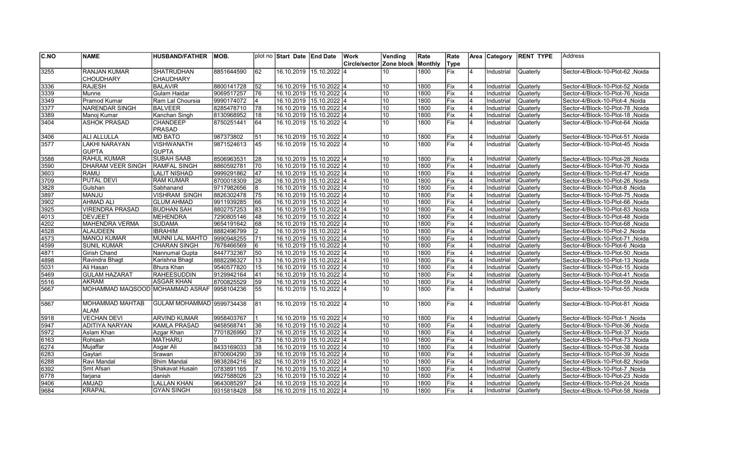| C.NO | <b>NAME</b>                      | <b>HUSBAND/FATHER</b>     | IMOB.      |    | plot no Start Date LEnd Date |                           | Work                     | Vending | Rate    | Rate             |                         | Area Category | <b>RENT TYPE</b> | lAddress                                 |
|------|----------------------------------|---------------------------|------------|----|------------------------------|---------------------------|--------------------------|---------|---------|------------------|-------------------------|---------------|------------------|------------------------------------------|
|      |                                  |                           |            |    |                              |                           | Circle/sector Zone block |         | Monthly | Type             |                         |               |                  |                                          |
| 3255 | <b>RANJAN KUMAR</b>              | <b>SHATRUDHAN</b>         | 8851644590 | 62 |                              | 16.10.2019  15.10.2022  4 |                          | 10      | 1800    | Fix              | $\overline{4}$          | Industrial    | Quaterly         | Noida Sector-4/Block-10-Plot-62          |
|      | <b>CHOUDHARY</b>                 | <b>CHAUDHARY</b>          |            |    |                              |                           |                          |         |         |                  |                         |               |                  |                                          |
| 3336 | <b>RAJESH</b>                    | <b>BALAVIR</b>            | 8800141728 | 52 | 16.10.2019 15.10.2022 4      |                           |                          | 10      | 1800    | Fix              | $\overline{4}$          | Industrial    | Quaterly         | Noida / Sector-4/Block-10-Plot-52        |
| 3339 | Munne                            | Gulam Haidar              | 9069517257 | 76 | 16.10.2019 15.10.2022 4      |                           |                          | 10      | 1800    | lFix.            | $\overline{4}$          | Industrial    | Quaterly         | Noida Sector-4/Block-10-Plot-76          |
| 3349 | <b>Pramod Kumar</b>              | Ram Lal Choursia          | 9990174072 | 4  | 16.10.2019 15.10.2022 4      |                           |                          | 10      | 1800    | Fix              | 4                       | Industrial    | Quaterly         | Sector-4/Block-10-Plot-4, Noida          |
| 3377 | NARENDAR SINGH                   | <b>BALVEER</b>            | 8285478710 | 78 | 16.10.2019 15.10.2022 4      |                           |                          | 10      | 1800    | Fix              | 4                       | Industrial    | Quaterly         | Noida / Sector-4/Block-10-Plot-78        |
| 3389 | Manoj Kumar                      | Kanchan Singh             | 8130968952 | 18 | 16.10.2019 15.10.2022 4      |                           |                          | 10      | 1800    | Fix              | 4                       | Industrial    | Quaterly         | Sector-4/Block-10-Plot-18, Noida         |
| 3404 | <b>ASHOK PRASAD</b>              | <b>CHANDEEP</b>           | 8750251441 | 64 | 16.10.2019 15.10.2022 4      |                           |                          | 10      | 1800    | $\overline{Fix}$ | $\overline{\mathbf{A}}$ | Industrial    | <b>Quaterly</b>  | Noida, Sector-4/Block-10-Plot-64         |
|      |                                  | <b>PRASAD</b>             |            |    |                              |                           |                          |         |         |                  |                         |               |                  |                                          |
| 3406 | <b>ALI ALLULLA</b>               | <b>MD BATO</b>            | 987373802  | 51 | 16.10.2019 15.10.2022 4      |                           |                          | 10      | 1800    | Fix              | 4                       | Industrial    | Quaterly         | Sector-4/Block-10-Plot-51, Noida         |
| 3577 | <b>LAKHI NARAYAN</b>             | <b>VISHWANATH</b>         | 9871524613 | 45 | 16.10.2019 15.10.2022 4      |                           |                          | 10      | 1800    | <b>Fix</b>       | $\overline{4}$          | Industrial    | Quaterly         | Noida   Sector-4/Block-10-Plot-45        |
|      | <b>GUPTA</b>                     | <b>GUPTA</b>              |            |    |                              |                           |                          |         |         |                  |                         |               |                  |                                          |
| 3588 | <b>RAHUL KUMAR</b>               | <b>SUBAH SAAB</b>         | 8506963531 | 28 | 16.10.2019 15.10.2022 4      |                           |                          | 10      | 1800    | Fix              |                         | Industrial    | Quaterly         | Noida   Sector-4/Block-10-Plot-28        |
| 3590 | <b>DHARAM VEER SINGH</b>         | <b>RAMFAL SINGH</b>       | 8860592781 | 70 | 16.10.2019 15.10.2022 4      |                           |                          | 10      | 1800    | Fix              | 4                       | Industrial    | Quaterly         | Sector-4/Block-10-Plot-70, Noida         |
| 3603 | <b>RAMU</b>                      | <b>LALIT NISHAD</b>       | 9999291862 | 47 | 16.10.2019 15.10.2022 4      |                           |                          | 10      | 1800    | Fix              | 4                       | Industrial    | Quaterly         | Sector-4/Block-10-Plot-47 .Noida         |
| 3709 | <b>PUTAL DEVI</b>                | <b>RAM KUMAR</b>          | 8700018309 | 26 | 16.10.2019 15.10.2022 4      |                           |                          | 10      | 1800    | lFix             | $\overline{4}$          | Industrial    | Quaterly         | Noida Sector-4/Block-10-Plot-26          |
| 3828 | Gulshan                          | Sabhanand                 | 9717982656 | 8  | 16.10.2019 15.10.2022 4      |                           |                          | 10      | 1800    | Fix              | 4                       | Industrial    | Quaterly         | Noida / Sector-4/Block-10-Plot-8         |
| 3897 | <b>MANJU</b>                     | <b>VISHRAM SINGH</b>      | 8826302478 | 75 | 16.10.2019 15.10.2022 4      |                           |                          | 10      | 1800    | lFix.            | 4                       | Industrial    | Quaterly         | Sector-4/Block-10-Plot-75 .Noida         |
| 3902 | <b>AHMAD ALI</b>                 | <b>GLUM AHMAD</b>         | 9911939285 | 66 | 16.10.2019 15.10.2022 4      |                           |                          | 10      | 1800    | Fix              | 4                       | Industrial    | Quaterly         | Noida Sector-4/Block-10-Plot-66, Noida   |
| 3925 | <b>VIRENDRA PRASAD</b>           | <b>BUDHAN SAH</b>         | 8802757253 | 83 | 16.10.2019 15.10.2022 4      |                           |                          | 10      | 1800    | Fix              | 4                       | Industrial    | Quaterly         | Noida Sector-4/Block-10-Plot-83          |
| 4013 | <b>DEVJEET</b>                   | <b>MEHENDRA</b>           | 7290805146 | 48 | 16.10.2019 15.10.2022 4      |                           |                          | 10      | 1800    | Fix              | 4                       | Industrial    | Quaterly         | Sector-4/Block-10-Plot-48, Noida         |
| 4202 | <b>MAHENDRA VERMA</b>            | <b>SUDAMA</b>             | 9654191642 | 68 | 16.10.2019 15.10.2022 4      |                           |                          | 10      | 1800    | Fix              | $\overline{4}$          | Industrial    | Quaterly         | Noida   Sector-4/Block-10-Plot-68        |
| 4528 | <b>ALAUDEEN</b>                  | <b>IBRAHIM</b>            | 8882496799 | 12 | 16.10.2019 15.10.2022 4      |                           |                          | 10      | 1800    | Fix              | 4                       | Industrial    | Quaterly         | Sector-4/Block-10-Plot-2, Noida          |
| 4573 | <b>MANOJ KUMAR</b>               | <b>MUNNI LAL MAHTO</b>    | 9990948255 | 71 | 16.10.2019 15.10.2022 4      |                           |                          | 10      | 1800    | Fix              | 4                       | Industrial    | Quaterly         | Sector-4/Block-10-Plot-71, Noida         |
| 4599 | <b>SUNIL KUMAR</b>               | <b>CHARAN SINGH</b>       | 7678466569 | 6  | 16.10.2019 15.10.2022 4      |                           |                          | 10      | 1800    | Fix              | 4                       | Industrial    | Quaterly         | Sector-4/Block-10-Plot-6, Noida          |
| 4871 | Girish Chand                     | Nannumal Gupta            | 8447732367 | 50 | 16.10.2019 15.10.2022 4      |                           |                          | 10      | 1800    | Fix              |                         | Industrial    | Quaterly         | Sector-4/Block-10-Plot-50, Noida         |
| 4898 | Ravindra Bhagt                   | Karishna Bhagt            | 8882286327 | 13 | 16.10.2019 15.10.2022 4      |                           |                          | 10      | 1800    | Fix              | $\overline{4}$          | Industrial    | Quaterly         | Noida Sector-4/Block-10-Plot-13          |
| 5031 | Ali Hasan                        | Bhura Khan                | 9540577820 | 15 | 16.10.2019 15.10.2022 4      |                           |                          | 10      | 1800    | Fix              | $\overline{4}$          | Industrial    | Quaterly         | Noida Sector-4/Block-10-Plot-15, Noida   |
| 5469 | <b>GULAM HAZARAT</b>             | <b>RAHEESUDDIN</b>        | 9129942164 | 41 | 16.10.2019 15.10.2022 4      |                           |                          | 10      | 1800    | Fix              | $\overline{\mathbf{4}}$ | Industrial    | Quaterly         | Sector-4/Block-10-Plot-41, Noida         |
| 5516 | <b>AKRAM</b>                     | <b>ASGAR KHAN</b>         | 8700825529 | 59 | 16.10.2019 15.10.2022 4      |                           |                          | 10      | 1800    | Fix              | 4                       | Industrial    | Quaterly         | Sector-4/Block-10-Plot-59, Noida         |
| 5667 | IMOHAMMAD MAQSOODIMOHAMMAD ASRAF |                           | 9958104236 | 55 | 16.10.2019 15.10.2022 4      |                           |                          | 10      | 1800    | Fix              | 4                       | Industrial    | Quaterly         | Noida Sector-4/Block-10-Plot-55          |
|      |                                  |                           |            |    |                              |                           |                          |         |         |                  |                         |               |                  |                                          |
| 5867 | IMOHAMMAD MAHTAB                 | GULAM MOHAMMAD 9599734438 |            | 81 | 16.10.2019 15.10.2022 4      |                           |                          | 10      | 1800    | Fix              | 4                       | Industrial    | Quaterly         | Sector-4/Block-10-Plot-81 .Noida         |
|      | <b>ALAM</b>                      |                           |            |    |                              |                           |                          |         |         |                  |                         |               |                  |                                          |
| 5918 | <b>VECHAN DEVI</b>               | <b>ARVIND KUMAR</b>       | 9958403767 |    | 16.10.2019 15.10.2022 4      |                           |                          | 10      | 1800    | Fix              | 4                       | Industrial    | Quaterly         | Sector-4/Block-10-Plot-1, Noida          |
| 5947 | <b>ADITIYA NARYAN</b>            | <b>KAMLA PRASAD</b>       | 9458568741 | 36 | 16.10.2019 15.10.2022 4      |                           |                          | 10      | 1800    | Fix              | 4                       | Industrial    | Quaterly         | Sector-4/Block-10-Plot-36, Noida         |
| 5972 | Aslam Khan                       | Azgar Khan                | 7701826990 | 37 | 16.10.2019 15.10.2022 4      |                           |                          | 10      | 1800    | Fix              |                         | Industrial    | Quaterly         | Noida Sector-4/Block-10-Plot-37          |
| 6163 | Rohtash                          | <b>MATHARU</b>            | I٥         | 73 | 16.10.2019 15.10.2022 4      |                           |                          | 10      | 1800    | Fix              | 4                       | Industrial    | Quaterly         | Sector-4/Block-10-Plot-73, Noida         |
| 6274 | Mujaffar                         | Asgar Ali                 | 8433169033 | 38 | 16.10.2019 15.10.2022 4      |                           |                          | 10      | 1800    | Fix              | $\overline{4}$          | Industrial    | Quaterly         | Noida /Sector-4/Block-10-Plot-38         |
| 6283 | Gaytari                          | Srawan                    | 8700604290 | 39 | 16.10.2019 15.10.2022 4      |                           |                          | 10      | 1800    | Fix              | $\overline{4}$          | Industrial    | Quaterly         | Noida   Sector-4/Block-10-Plot-39, Noida |
| 6288 | Ravi Mandal                      | <b>Bhim Mandal</b>        | 9838284216 | 82 | 16.10.2019 15.10.2022 4      |                           |                          | 10      | 1800    | Fix              |                         | Industrial    | Quaterly         | Sector-4/Block-10-Plot-82, Noida         |
| 6392 | Smt Afsari                       | Shakavat Husain           | 0783891165 | 17 | 16.10.2019 15.10.2022 4      |                           |                          | 10      | 1800    | Fix              | 4                       | Industrial    | Quaterly         | Noida Sector-4/Block-10-Plot-7           |
| 6778 | farjana                          | danish                    | 9927588026 | 23 | 16.10.2019 15.10.2022 4      |                           |                          | 10      | 1800    | Fix              |                         | Industrial    | Quaterly         | Sector-4/Block-10-Plot-23 .Noida         |
| 9406 | <b>AMJAD</b>                     | <b>LALLAN KHAN</b>        | 9643085297 | 24 | 16.10.2019 15.10.2022 4      |                           |                          | 10      | 1800    | Fix              |                         | Industrial    | Quaterly         | Noida   Sector-4/Block-10-Plot-24        |
| 9684 | <b>KRAPAL</b>                    | <b>GYAN SINGH</b>         | 9315818428 | 58 | 16.10.2019 15.10.2022 4      |                           |                          | 10      | 1800    | lFix             | 4                       | Industrial    | <b>Quaterly</b>  | Sector-4/Block-10-Plot-58, Noida         |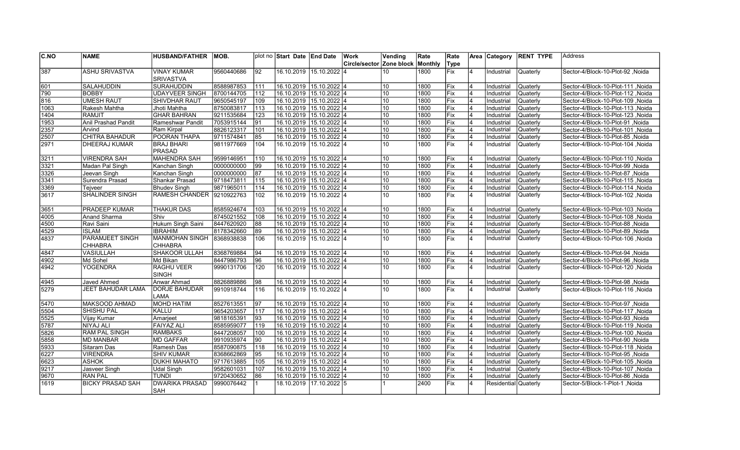| C.NO          | <b>NAME</b>                              | <b>HUSBAND/FATHER</b>                   | MOB.       |     | plot no Start Date End Date |                         | <b>Work</b>              | Vending         | Rate    | Rate             |                | Area Category        | <b>RENT TYPE</b> | <b>Address</b>                            |
|---------------|------------------------------------------|-----------------------------------------|------------|-----|-----------------------------|-------------------------|--------------------------|-----------------|---------|------------------|----------------|----------------------|------------------|-------------------------------------------|
|               |                                          |                                         |            |     |                             |                         | Circle/sector Zone block |                 | Monthly | Type             |                |                      |                  |                                           |
| 387           | <b>ASHU SRIVASTVA</b>                    | <b>VINAY KUMAR</b>                      | 9560440686 | 92  |                             | 16.10.2019 15.10.2022 4 |                          | 10              | 1800    | Fix              | 4              | Industrial           | <b>Quaterly</b>  | Sector-4/Block-10-Plot-92, Noida          |
|               |                                          | <b>SRIVASTVA</b>                        |            |     |                             |                         |                          |                 |         |                  |                |                      |                  |                                           |
| 601           | <b>SALAHUDDIN</b>                        | <b>SURAHUDDIN</b>                       | 8588987853 | 111 | 16.10.2019 15.10.2022 4     |                         |                          | 10              | 1800    | Fix              | $\overline{4}$ | Industrial           | Quaterly         | Noida   Sector-4/Block-10-Plot-111, Noida |
| 790           | <b>BOBBY</b>                             | <b>UDAYVEER SINGH</b>                   | 8700144705 | 112 | 16.10.2019 15.10.2022 4     |                         |                          | 10              | 1800    | Fix              | $\overline{4}$ | Industrial           | Quaterly         | Noida  Sector-4/Block-10-Plot-112         |
| 816           | <b>UMESH RAUT</b>                        | <b>SHIVDHAR RAUT</b>                    | 9650545197 | 109 | 16.10.2019 15.10.2022 4     |                         |                          | 10              | 1800    | Fix              | 4              | Industrial           | Quaterly         | Sector-4/Block-10-Plot-109, Noida         |
| 1063          | Rakesh Mahtha                            | Jhoti Mahtha                            | 8750083817 | 113 | 16.10.2019 15.10.2022 4     |                         |                          | 10              | 1800    | Fix              | 4              | Industrial           | Quaterly         | Sector-4/Block-10-Plot-113, Noida         |
| $\sqrt{1404}$ | <b>RAMJIT</b>                            | <b>GHAR BAHRAN</b>                      | 9211535684 | 123 | 16.10.2019 15.10.2022 4     |                         |                          | 10              | 1800    | Fix              | 4              | Industrial           | Quaterly         | Noida  Sector-4/Block-10-Plot-123         |
| 1953          | Anil Prashad Pandit                      | Rameshwar Pandit                        | 7053915144 | 91  | 16.10.2019 15.10.2022 4     |                         |                          | 10              | 1800    | Fix              | 4              | Industrial           | <b>Quaterly</b>  | Noida Sector-4/Block-10-Plot-91, Noida    |
| 2357          | Arvind                                   | Ram Kirpal                              | 8826123317 | 101 | 16.10.2019 15.10.2022 4     |                         |                          | 10              | 1800    | Fix              | $\overline{4}$ | Industrial           | Quaterly         | Sector-4/Block-10-Plot-101, Noida         |
| 2507          | CHITRA BAHADUR                           | POORAN THAPA                            | 9711574841 | 85  | 16.10.2019 15.10.2022 4     |                         |                          | 10              | 1800    | Fix              | 4              | Industrial           | Quaterly         | Sector-4/Block-10-Plot-85, Noida          |
| 2971          | <b>DHEERAJ KUMAR</b>                     | <b>BRAJ BHARI</b><br><b>PRASAD</b>      | 9811977669 | 104 |                             | 16.10.2019 15.10.2022 4 |                          | 10              | 1800    | Fix              | $\overline{4}$ | Industrial           | <b>Quaterly</b>  | Noida  Sector-4/Block-10-Plot-104         |
| 3211          | <b>VIRENDRA SAH</b>                      | <b>MAHENDRA SAH</b>                     | 9599146951 | 110 | 16.10.2019 15.10.2022 4     |                         |                          | 10              | 1800    | Fix              |                | Industrial           | Quaterly         | Noida Sector-4/Block-10-Plot-110          |
| 3321          | Madan Pal Singh                          | Kanchan Singh                           | 0000000000 | 99  |                             | 16.10.2019 15.10.2022 4 |                          | 10              | 1800    | Fix              | 4              | Industrial           | Quaterly         | Sector-4/Block-10-Plot-99, Noida          |
| 3326          | Jeevan Singh                             | Kanchan Singh                           | 0000000000 | 87  | 16.10.2019 15.10.2022 4     |                         |                          | 10              | 1800    | Fix              | $\overline{4}$ | Industrial           | Quaterly         | Sector-4/Block-10-Plot-87, Noida          |
| 3341          | Surendra Prasad                          | Shankar Prasad                          | 9718473811 | 115 | 16.10.2019 15.10.2022 4     |                         |                          | 10              | 1800    | Fix              | 4              | Industrial           | Quaterly         | Sector-4/Block-10-Plot-115, Noida         |
| 3369          | <b>Teiveer</b>                           | <b>Bhudev Singh</b>                     | 9871965011 | 114 | 16.10.2019 15.10.2022 4     |                         |                          | 10              | 1800    | Fix              | $\overline{4}$ | Industrial           | Quaterly         | Noida   Sector-4/Block-10-Plot-114, Noida |
| 3617          | <b>SHALINDER SINGH</b>                   | RAMESH CHANDER                          | 9210922763 | 102 |                             | 16.10.2019 15.10.2022 4 |                          | 10              | 1800    | Fix              | 4              | Industrial           | <b>Quaterly</b>  | Noida Sector-4/Block-10-Plot-102          |
| 3651          | <b>PRADEEP KUMAR</b>                     | <b>THAKUR DAS</b>                       | 8585924674 | 103 |                             | 16.10.2019 15.10.2022 4 |                          | 10              | 1800    | Fix              |                | Industrial           | Quaterly         | Sector-4/Block-10-Plot-103, Noida         |
| 4005          | Anand Sharma                             | Shiv                                    | 8745021552 | 108 | 16.10.2019 15.10.2022 4     |                         |                          | 10              | 1800    | Fix              | $\overline{4}$ | Industrial           | Quaterly         | Sector-4/Block-10-Plot-108 Noida          |
| 4500          | Ravi Saini                               | Hukum Singh Saini                       | 8447620920 | 88  | 16.10.2019 15.10.2022 4     |                         |                          | 10              | 1800    | Fix              | 4              | Industrial           | Quaterly         | Noida Sector-4/Block-10-Plot-88           |
| 4529          | <b>ISLAM</b>                             | <b>IBRAHIM</b>                          | 8178342660 | 89  |                             | 16.10.2019 15.10.2022 4 |                          | 10              | 1800    | Fix              | $\overline{4}$ | Industrial           | Quaterly         | Noida Sector-4/Block-10-Plot-89           |
| 14837         | <b>PARAMJEET SINGH</b><br><b>CHHABRA</b> | <b>MANMOHAN SINGH</b><br><b>CHHABRA</b> | 8368938838 | 106 | 16.10.2019 15.10.2022 4     |                         |                          | 10              | 1800    | lFix.            | 4              | Industrial           | Quaterly         | Noida Sector-4/Block-10-Plot-106          |
| 4847          | <b>VASIULLAH</b>                         | SHAKOOR ULLAH                           | 8368769884 | 94  | 16.10.2019 15.10.2022 4     |                         |                          | 10              | 1800    | Fix              | 4              | Industrial           | Quaterly         | Sector-4/Block-10-Plot-94 .Noida          |
| 4902          | Md Sohel                                 | Md Bikan                                | 8447986793 | 96  | 16.10.2019 15.10.2022 4     |                         |                          | 10              | 1800    | Fix              | $\overline{4}$ | Industrial           | Quaterly         | Sector-4/Block-10-Plot-96, Noida          |
| 4942          | <b>YOGENDRA</b>                          | <b>RAGHU VEER</b><br><b>SINGH</b>       | 9990131706 | 120 |                             | 16.10.2019 15.10.2022 4 |                          | 10              | 1800    | Fix              | $\overline{4}$ | Industrial           | Quaterly         | Sector-4/Block-10-Plot-120, Noida         |
| 4945          | Javed Ahmed                              | Anwar Ahmad                             | 8826889886 | 98  | 16.10.2019 15.10.2022 4     |                         |                          | 10              | 1800    | Fix              | 4              | Industrial           | Quaterly         | Noida Sector-4/Block-10-Plot-98           |
| 5279          | <b>JEET BAHUDAR LAMA</b>                 | <b>DORJE BAHUDAR</b><br>LAMA            | 9910918744 | 116 | 16.10.2019 15.10.2022 4     |                         |                          | 10              | 1800    | Fix              | $\overline{4}$ | Industrial           | Quaterly         | Noida Sector-4/Block-10-Plot-116          |
| 5470          | MAKSOOD AHMAD                            | <b>MOHD HATIM</b>                       | 8527613551 | 97  | 16.10.2019 15.10.2022 4     |                         |                          | 10              | 1800    | Fix              | $\overline{4}$ | Industrial           | Quaterly         | Sector-4/Block-10-Plot-97, Noida          |
| 5504          | <b>SHISHU PAL</b>                        | KALLU                                   | 9654203657 | 117 | 16.10.2019 15.10.2022 4     |                         |                          | 10              | 1800    | Fix              | 4              | Industrial           | <b>Quaterly</b>  | Sector-4/Block-10-Plot-117, Noida         |
| 5525          | Vijay Kumar                              | Amarjeet                                | 9818165391 | 93  | 16.10.2019 15.10.2022 4     |                         |                          | 10              | 1800    | Fix              | 4              | Industrial           | Quaterly         | Sector-4/Block-10-Plot-93, Noida          |
| 5787          | <b>NIYAJ ALI</b>                         | <b>FAIYAZ ALI</b>                       | 8585959077 | 119 | 16.10.2019 15.10.2022 4     |                         |                          | 10              | 1800    | <b>IFix</b>      | 4              | Industrial           | Quaterly         | Sector-4/Block-10-Plot-119, Noida         |
| 5826          | <b>RAM PAL SINGH</b>                     | <b>RAMBAKS</b>                          | 8447208057 | 100 | 16.10.2019 15.10.2022 4     |                         |                          | 10              | 1800    | Fix              | 4              | Industrial           | Quaterly         | Sector-4/Block-10-Plot-100, Noida         |
| 5858          | <b>MD MANBAR</b>                         | <b>MD GAFFAR</b>                        | 9910935974 | 90  | 16.10.2019 15.10.2022 4     |                         |                          | 10              | 1800    | Fix              | 4              | Industrial           | Quaterly         | Noida Sector-4/Block-10-Plot-90           |
| 5933          | Sitaram Das                              | Ramesh Das                              | 8587090875 | 118 | 16.10.2019 15.10.2022 4     |                         |                          | 10              | 1800    | Fix              | 4              | Industrial           | Quaterly         | Sector-4/Block-10-Plot-118, Noida         |
| 6227          | <b>VIRENDRA</b>                          | <b>SHIV KUMAR</b>                       | 8368662869 | 95  | 16.10.2019 15.10.2022 4     |                         |                          | 10              | 1800    | Fix              | $\overline{4}$ | Industrial           | Quaterly         | Sector-4/Block-10-Plot-95, Noida          |
| 6623          | <b>ASHOK</b>                             | <b>DUKHI MAHATO</b>                     | 9717613885 | 105 | 16.10.2019 15.10.2022 4     |                         |                          | 10              | 1800    | Fix              | 4              | Industrial           | Quaterly         | Sector-4/Block-10-Plot-105, Noida         |
| $\sqrt{9217}$ | Jasveer Singh                            | <b>Udal Singh</b>                       | 9582601031 | 107 | 16.10.2019 15.10.2022 4     |                         |                          | 10              | 1800    | Fix              | $\overline{4}$ | Industrial           | <b>Quaterly</b>  | Sector-4/Block-10-Plot-107, Noida         |
| 9670          | <b>RAN PAL</b>                           | <b>TUNDI</b>                            | 9720430652 | 86  | 16.10.2019 15.10.2022 4     |                         |                          | $\overline{10}$ | 1800    | Fix              | 4              | Industrial           | <b>Quaterly</b>  | Sector-4/Block-10-Plot-86, Noida          |
| 1619          | <b>BICKY PRASAD SAH</b>                  | <b>DWARIKA PRASAD</b><br><b>SAH</b>     | 9990076442 |     |                             | 18.10.2019 17.10.2022 5 |                          |                 | 2400    | $\overline{Fix}$ | 4              | Residential Quaterly |                  | Noida   Sector-5/Block-1-Plot-1           |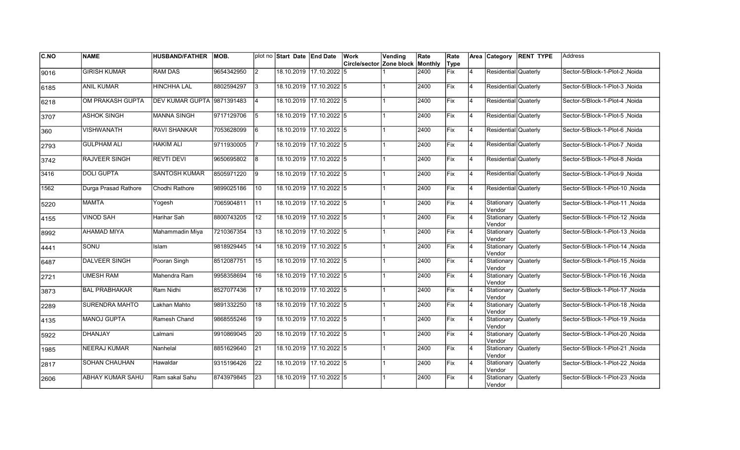| <b>C.NO</b> | <b>NAME</b>             | HUSBAND/FATHER   MOB.      |            |                 | plot no Start Date End Date |                         | <b>Work</b>                             | Vending | Rate | Rate |                |                                | Area Category RENT TYPE | <b>Address</b>                  |
|-------------|-------------------------|----------------------------|------------|-----------------|-----------------------------|-------------------------|-----------------------------------------|---------|------|------|----------------|--------------------------------|-------------------------|---------------------------------|
|             |                         |                            |            |                 |                             |                         | <b>Circle/sector Zone block Monthly</b> |         |      | Type |                |                                |                         |                                 |
| 9016        | <b>GIRISH KUMAR</b>     | <b>RAM DAS</b>             | 9654342950 | $\overline{2}$  |                             | 18.10.2019 17.10.2022 5 |                                         |         | 2400 | Fix  | 4              | Residential Quaterly           |                         | Sector-5/Block-1-Plot-2, Noida  |
| 6185        | <b>ANIL KUMAR</b>       | <b>HINCHHA LAL</b>         | 8802594297 | 13              |                             | 18.10.2019 17.10.2022 5 |                                         |         | 2400 | Fix  | 4              | Residential Quaterly           |                         | Sector-5/Block-1-Plot-3, Noida  |
| 6218        | OM PRAKASH GUPTA        | DEV KUMAR GUPTA 9871391483 |            | $\overline{4}$  |                             | 18.10.2019 17.10.2022 5 |                                         |         | 2400 | Fix  | 14             | Residential Quaterly           |                         | Sector-5/Block-1-Plot-4, Noida  |
| 3707        | <b>ASHOK SINGH</b>      | <b>MANNA SINGH</b>         | 9717129706 | l5              |                             | 18.10.2019 17.10.2022 5 |                                         |         | 2400 | Fix  | 14             | Residential Quaterly           |                         | Sector-5/Block-1-Plot-5, Noida  |
| 360         | <b>VISHWANATH</b>       | <b>RAVI SHANKAR</b>        | 7053628099 | 16              |                             | 18.10.2019 17.10.2022 5 |                                         |         | 2400 | Fix  | 4              | Residential Quaterly           |                         | Sector-5/Block-1-Plot-6, Noida  |
| 2793        | <b>GULPHAM ALI</b>      | <b>HAKIM ALI</b>           | 9711930005 |                 |                             | 18.10.2019 17.10.2022 5 |                                         |         | 2400 | Fix  | 4              | Residential Quaterly           |                         | Sector-5/Block-1-Plot-7, Noida  |
| 3742        | RAJVEER SINGH           | <b>REVTI DEVI</b>          | 9650695802 | 18              |                             | 18.10.2019 17.10.2022 5 |                                         |         | 2400 | Fix  | 4              | Residential Quaterly           |                         | Sector-5/Block-1-Plot-8, Noida  |
| 3416        | <b>DOLI GUPTA</b>       | SANTOSH KUMAR              | 8505971220 | 19              |                             | 18.10.2019 17.10.2022 5 |                                         |         | 2400 | Fix  | 4              | Residential Quaterly           |                         | Sector-5/Block-1-Plot-9, Noida  |
| 1562        | Durga Prasad Rathore    | Chodhi Rathore             | 9899025186 | 10              |                             | 18.10.2019 17.10.2022 5 |                                         |         | 2400 | Fix  | 4              | Residential Quaterly           |                         | Sector-5/Block-1-Plot-10, Noida |
| 5220        | <b>MAMTA</b>            | Yogesh                     | 7065904811 | $\vert$ 11      |                             | 18.10.2019 17.10.2022 5 |                                         |         | 2400 | Fix  | 4              | Stationary Quaterly<br>Vendor  |                         | Sector-5/Block-1-Plot-11, Noida |
| 4155        | <b>VINOD SAH</b>        | Harihar Sah                | 8800743205 | $\overline{12}$ |                             | 18.10.2019 17.10.2022 5 |                                         |         | 2400 | Fix  | $\overline{4}$ | Stationary Quaterly<br>Vendor  |                         | Sector-5/Block-1-Plot-12, Noida |
| 8992        | AHAMAD MIYA             | Mahammadin Miya            | 7210367354 | 13              |                             | 18.10.2019 17.10.2022 5 |                                         |         | 2400 | Fix  | 14             | Stationary Quaterly<br>Vendor  |                         | Sector-5/Block-1-Plot-13, Noida |
| 4441        | SONU                    | <b>Islam</b>               | 9818929445 | 14              |                             | 18.10.2019 17.10.2022 5 |                                         |         | 2400 | Fix  | 4              | Stationary Quaterly<br>Vendor  |                         | Sector-5/Block-1-Plot-14, Noida |
| 6487        | <b>DALVEER SINGH</b>    | Pooran Singh               | 8512087751 | 15              |                             | 18.10.2019 17.10.2022 5 |                                         |         | 2400 | Fix  | 4              | Stationary Quaterly<br>Vendor  |                         | Sector-5/Block-1-Plot-15, Noida |
| 2721        | <b>UMESH RAM</b>        | Mahendra Ram               | 9958358694 | 16              |                             | 18.10.2019 17.10.2022 5 |                                         |         | 2400 | Fix  | 4              | Stationary Quaterly<br>lVendor |                         | Sector-5/Block-1-Plot-16, Noida |
| 3873        | <b>BAL PRABHAKAR</b>    | Ram Nidhi                  | 8527077436 | 17              |                             | 18.10.2019 17.10.2022 5 |                                         |         | 2400 | Fix  | 4              | Stationary Quaterly<br>Vendor  |                         | Sector-5/Block-1-Plot-17, Noida |
| 2289        | SURENDRA MAHTO          | Lakhan Mahto               | 9891332250 | 18              |                             | 18.10.2019 17.10.2022 5 |                                         |         | 2400 | Fix  | 14             | Stationary Quaterly<br>Vendor  |                         | Sector-5/Block-1-Plot-18, Noida |
| 4135        | <b>MANOJ GUPTA</b>      | Ramesh Chand               | 9868555246 | 19              |                             | 18.10.2019 17.10.2022 5 |                                         |         | 2400 | lFix | 4              | Stationary Quaterly<br>Vendor  |                         | Sector-5/Block-1-Plot-19, Noida |
| 5922        | <b>DHANJAY</b>          | Lalmani                    | 9910869045 | 20              |                             | 18.10.2019 17.10.2022 5 |                                         |         | 2400 | Fix  | 4              | Stationary Quaterly<br>lVendor |                         | Sector-5/Block-1-Plot-20, Noida |
| 1985        | <b>NEERAJ KUMAR</b>     | Nanhelal                   | 8851629640 | 21              |                             | 18.10.2019 17.10.2022 5 |                                         |         | 2400 | Fix  | 4              | Stationary Quaterly<br>Vendor  |                         | Sector-5/Block-1-Plot-21, Noida |
| 2817        | SOHAN CHAUHAN           | Hawaldar                   | 9315196426 | $\overline{22}$ |                             | 18.10.2019 17.10.2022 5 |                                         |         | 2400 | Fix  | 4              | Stationary Quaterly<br>Vendor  |                         | Sector-5/Block-1-Plot-22, Noida |
| 2606        | <b>ABHAY KUMAR SAHU</b> | Ram sakal Sahu             | 8743979845 | 23              |                             | 18.10.2019 17.10.2022 5 |                                         |         | 2400 | Fix  | l4             | Stationary Quaterly<br>Vendor  |                         | Sector-5/Block-1-Plot-23, Noida |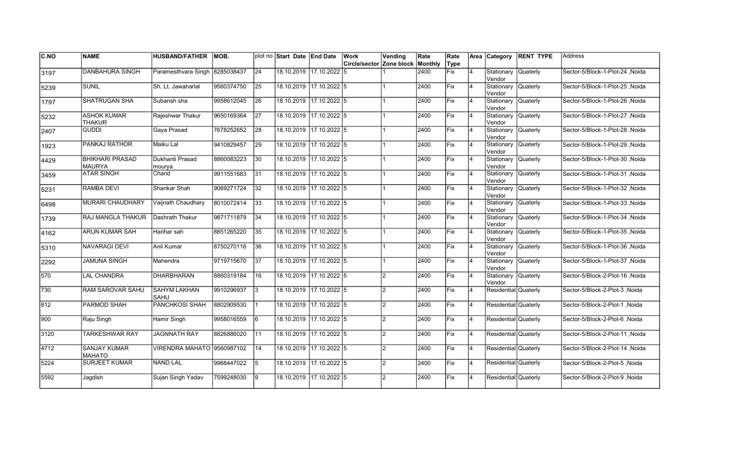| <b>C.NO</b> | <b>NAME</b>                             | <b>HUSBAND/FATHER</b>        | MOB.       |                 | plot no Start Date End Date |                         | Work                     | Vending        | Rate    | Rate |                |                               | Area Category RENT TYPE | Address                         |
|-------------|-----------------------------------------|------------------------------|------------|-----------------|-----------------------------|-------------------------|--------------------------|----------------|---------|------|----------------|-------------------------------|-------------------------|---------------------------------|
|             |                                         |                              |            |                 |                             |                         | Circle/sector Zone block |                | Monthly | Type |                |                               |                         |                                 |
| 3197        | <b>DANBAHURA SINGH</b>                  | Paramesthvara Singh          | 8285038437 | $\overline{24}$ |                             | 18.10.2019 17.10.2022 5 |                          |                | 2400    | Fix  | 4              | Stationary<br>Vendor          | <b>Quaterly</b>         | Sector-5/Block-1-Plot-24, Noida |
| 5239        | <b>SUNIL</b>                            | Sh. Lt. Jawaharlal           | 9560374750 | 25              |                             | 18.10.2019 17.10.2022 5 |                          |                | 2400    | Fix  | $\overline{4}$ | Stationary Quaterly<br>Vendor |                         | Sector-5/Block-1-Plot-25, Noida |
| 1797        | <b>SHATRUGAN SHA</b>                    | Subansh sha                  | 9958612045 | 26              | 18.10.2019 17.10.2022 5     |                         |                          |                | 2400    | Fix  | $\overline{4}$ | Stationary Quaterly<br>Vendor |                         | Sector-5/Block-1-Plot-26, Noida |
| 5232        | <b>ASHOK KUMAR</b><br><b>THAKUR</b>     | Rajeshwar Thakur             | 9650169364 | 27              | 18.10.2019 17.10.2022 5     |                         |                          |                | 2400    | Fix  | $\overline{4}$ | Stationary Quaterly<br>Vendor |                         | Sector-5/Block-1-Plot-27, Noida |
| 2407        | GUDDI                                   | Gaya Prasad                  | 7678252652 | 28              |                             | 18.10.2019 17.10.2022 5 |                          |                | 2400    | Fix  | 4              | Stationary Quaterly<br>Vendor |                         | Sector-5/Block-1-Plot-28, Noida |
| 1923        | PANKAJ RATHOR                           | Maiku Lal                    | 9410829457 | 29              |                             | 18.10.2019 17.10.2022 5 |                          |                | 2400    | Fix  | 4              | Stationary Quaterly<br>Vendor |                         | Sector-5/Block-1-Plot-29, Noida |
| 4429        | <b>BHIKHARI PRASAD</b><br><b>MAURYA</b> | Dukhanti Prasad<br>mourya    | 8860083223 | 30              | 18.10.2019 17.10.2022 5     |                         |                          |                | 2400    | Fix  | $\overline{4}$ | Stationary Quaterly<br>Vendor |                         | Sector-5/Block-1-Plot-30, Noida |
| 3459        | <b>ATAR SINGH</b>                       | Chand                        | 9911551683 | 31              | 18.10.2019 17.10.2022 5     |                         |                          |                | 2400    | Fix  | $\overline{4}$ | Stationary Quaterly<br>Vendor |                         | Sector-5/Block-1-Plot-31 Noida  |
| 5231        | RAMBA DEVI                              | Shankar Shah                 | 9069271724 | 32              |                             | 18.10.2019 17.10.2022 5 |                          |                | 2400    | Fix  | $\overline{4}$ | Stationary Quaterly<br>Vendor |                         | Sector-5/Block-1-Plot-32 ,Noida |
| 6498        | MURARI CHAUDHARY                        | Vaijnath Chaudhary           | 8010072414 | 33              |                             | 18.10.2019 17.10.2022 5 |                          |                | 2400    | Fix  | 4              | Stationary Quaterly<br>Vendor |                         | Sector-5/Block-1-Plot-33 .Noida |
| 1739        | RAJ MANGLA THAKUR                       | Dashrath Thakur              | 9871711879 | 34              |                             | 18.10.2019 17.10.2022 5 |                          |                | 2400    | Fix  | $\overline{4}$ | Stationary Quaterly<br>Vendor |                         | Sector-5/Block-1-Plot-34, Noida |
| 4162        | <b>ARUN KUMAR SAH</b>                   | Harihar sah                  | 8851265220 | 35              | 18.10.2019 17.10.2022 5     |                         |                          |                | 2400    | Fix  | 14             | Stationary Quaterly<br>Vendor |                         | Sector-5/Block-1-Plot-35 Noida  |
| 5310        | <b>NAVARAGI DEVI</b>                    | Anil Kumar                   | 8750270116 | 36              |                             | 18.10.2019 17.10.2022 5 |                          |                | 2400    | Fix  | $\overline{4}$ | Stationary Quaterly<br>Vendor |                         | Sector-5/Block-1-Plot-36, Noida |
| 2292        | <b>JAMUNA SINGH</b>                     | Mahendra                     | 9719715670 | 37              |                             | 18.10.2019 17.10.2022 5 |                          |                | 2400    | Fix  | $\overline{4}$ | Stationary Quaterly<br>Vendor |                         | Sector-5/Block-1-Plot-37, Noida |
| 570         | <b>LAL CHANDRA</b>                      | <b>DHARBHARAN</b>            | 8860319184 | 16              |                             | 18.10.2019 17.10.2022 5 |                          | $\overline{2}$ | 2400    | Fix  | 4              | Stationary Quaterly<br>Vendor |                         | Sector-5/Block-2-Plot-16, Noida |
| 730         | RAM SAROVAR SAHU                        | <b>SAHYM LAKHAN</b><br>ISAHU | 9910296937 | $\sqrt{3}$      | 18.10.2019 17.10.2022 5     |                         |                          | $\overline{2}$ | 2400    | Fix  | 4              | Residential Quaterly          |                         | Sector-5/Block-2-Plot-3, Noida  |
| 812         | PARMOD SHAH                             | <b>PANCHKOSI SHAH</b>        | 8802909530 | 11              |                             | 18.10.2019 17.10.2022 5 |                          | $\mathcal{P}$  | 2400    | Fix  | 4              | Residential Quaterly          |                         | Sector-5/Block-2-Plot-1, Noida  |
| 900         | Raju Singh                              | Hamir Singh                  | 9958016559 | 6               |                             | 18.10.2019 17.10.2022 5 |                          | $\overline{2}$ | 2400    | Fix  | $\overline{4}$ | Residential Quaterly          |                         | Sector-5/Block-2-Plot-6, Noida  |
| 3120        | <b>TARKESHWAR RAY</b>                   | <b>JAGNNATH RAY</b>          | 8826886020 | $\overline{11}$ |                             | 18.10.2019 17.10.2022 5 |                          | $\mathcal{P}$  | 2400    | Fix  | 4              | Residential Quaterly          |                         | Sector-5/Block-2-Plot-11, Noida |
| 4712        | <b>SANJAY KUMAR</b><br><b>MAHATO</b>    | VIRENDRA MAHATO 9560987102   |            | 14              | 18.10.2019 17.10.2022 5     |                         |                          | $\overline{2}$ | 2400    | Fix  | 4              | Residential Quaterly          |                         | Sector-5/Block-2-Plot-14, Noida |
| 5224        | <b>SURJEET KUMAR</b>                    | NAND LAL                     | 9968447022 | $\overline{5}$  | 18.10.2019 17.10.2022 5     |                         |                          | $\overline{2}$ | 2400    | Fix  | <b>4</b>       | Residential Quaterly          |                         | Sector-5/Block-2-Plot-5, Noida  |
| 5592        | Jagdish                                 | Sujan Singh Yadav            | 7599248030 | l9              |                             | 18.10.2019 17.10.2022 5 |                          | 2              | 2400    | Fix  | $\overline{4}$ | Residential Quaterly          |                         | Sector-5/Block-2-Plot-9, Noida  |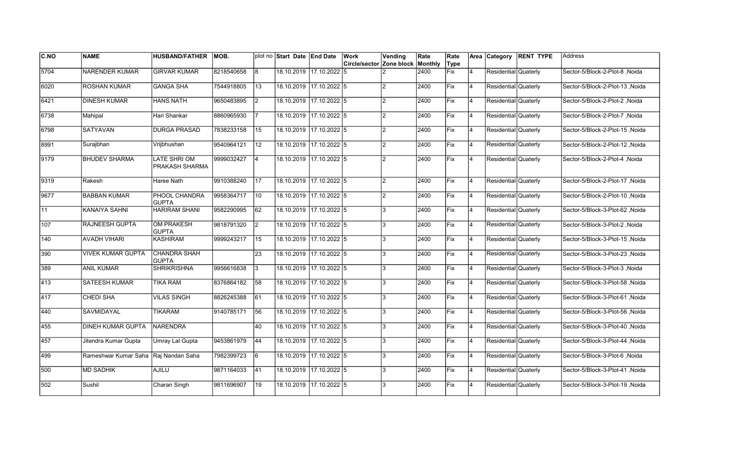| C.NO | <b>NAME</b>                          | <b>HUSBAND/FATHER</b>                 | MOB.       |                 | plot no Start Date End Date |                         | Work                             | Vending        | Rate | Rate       |    |                      | Area Category RENT TYPE | <b>IAddress</b>                 |
|------|--------------------------------------|---------------------------------------|------------|-----------------|-----------------------------|-------------------------|----------------------------------|----------------|------|------------|----|----------------------|-------------------------|---------------------------------|
|      |                                      |                                       |            |                 |                             |                         | Circle/sector Zone block Monthly |                |      | Type       |    |                      |                         |                                 |
| 5704 | <b>NARENDER KUMAR</b>                | <b>GIRVAR KUMAR</b>                   | 8218540658 | 18              |                             | 18.10.2019 17.10.2022 5 |                                  |                | 2400 | Fix        | 4  | Residential Quaterly |                         | Sector-5/Block-2-Plot-8, Noida  |
| 6020 | <b>ROSHAN KUMAR</b>                  | <b>GANGA SHA</b>                      | 7544918805 | 13              |                             | 18.10.2019 17.10.2022 5 |                                  |                | 2400 | Fix        | 4  | Residential Quaterly |                         | Sector-5/Block-2-Plot-13, Noida |
| 6421 | <b>DINESH KUMAR</b>                  | <b>HANS NATH</b>                      | 9650483895 | $\overline{2}$  | 18.10.2019 17.10.2022 5     |                         |                                  |                | 2400 | Fix        | 4  | Residential Quaterly |                         | Sector-5/Block-2-Plot-2, Noida  |
| 6738 | Mahipal                              | Hari Shankar                          | 8860965930 |                 | 18.10.2019 17.10.2022 5     |                         |                                  | 2              | 2400 | Fix        | 4  | Residential Quaterly |                         | Sector-5/Block-2-Plot-7, Noida  |
| 6798 | <b>SATYAVAN</b>                      | <b>DURGA PRASAD</b>                   | 7838233158 | 15              |                             | 18.10.2019 17.10.2022 5 |                                  | 2              | 2400 | Fix        | 4  | Residential Quaterly |                         | Sector-5/Block-2-Plot-15, Noida |
| 8991 | Surajbhan                            | Vrijbhushan                           | 9540964121 | <b>12</b>       | 18.10.2019 17.10.2022 5     |                         |                                  | 2              | 2400 | <b>Fix</b> | 4  | Residential Quaterly |                         | Noida Sector-5/Block-2-Plot-12  |
| 9179 | <b>BHUDEV SHARMA</b>                 | <b>LATE SHRI OM</b><br>PRAKASH SHARMA | 9999032427 | $\overline{4}$  | 18.10.2019 17.10.2022 5     |                         |                                  | 2              | 2400 | <b>Fix</b> | 4  | Residential Quaterly |                         | Sector-5/Block-2-Plot-4, Noida  |
| 9319 | Rakesh                               | Haree Nath                            | 9910388240 | 17              | 18.10.2019 17.10.2022 5     |                         |                                  | $\overline{2}$ | 2400 | Fix        | 14 | Residential Quaterly |                         | Sector-5/Block-2-Plot-17, Noida |
| 9677 | <b>BABBAN KUMAR</b>                  | PHOOL CHANDRA<br><b>GUPTA</b>         | 9958364717 | 10              |                             | 18.10.2019 17.10.2022 5 |                                  | $\overline{2}$ | 2400 | Fix        | 14 | Residential Quaterly |                         | Sector-5/Block-2-Plot-10, Noida |
| 11   | KANAIYA SAHNI                        | <b>HARIRAM SHANI</b>                  | 9582290995 | 62              | 18.10.2019 17.10.2022 5     |                         |                                  | l3             | 2400 | Fix        | 4  | Residential Quaterly |                         | Sector-5/Block-3-Plot-62, Noida |
| 107  | <b>RAJNEESH GUPTA</b>                | <b>OM PRAKESH</b><br><b>GUPTA</b>     | 9818791320 | <u> 2</u>       | 18.10.2019 17.10.2022 5     |                         |                                  | l3             | 2400 | Fix        | 4  | Residential Quaterly |                         | Sector-5/Block-3-Plot-2, Noida  |
| 140  | <b>AVADH VIHARI</b>                  | <b>KASHIRAM</b>                       | 9999243217 | 15              |                             | 18.10.2019 17.10.2022 5 |                                  | l3             | 2400 | Fix        | 4  | Residential Quaterly |                         | Sector-5/Block-3-Plot-15, Noida |
| 390  | <b>VIVEK KUMAR GUPTA</b>             | <b>CHANDRA SHAH</b><br><b>GUPTA</b>   |            | $\overline{23}$ | 18.10.2019 17.10.2022 5     |                         |                                  | l3             | 2400 | Fix        | 4  | Residential Quaterly |                         | Sector-5/Block-3-Plot-23, Noida |
| 389  | <b>ANIL KUMAR</b>                    | <b>SHRIKRISHNA</b>                    | 9956616838 | 13              | 18.10.2019 17.10.2022 5     |                         |                                  | l3             | 2400 | Fix        | 14 | Residential Quaterly |                         | Sector-5/Block-3-Plot-3, Noida  |
| 1413 | <b>SATEESH KUMAR</b>                 | <b>TIKA RAM</b>                       | 8376864182 | 58              | 18.10.2019 17.10.2022 5     |                         |                                  | R              | 2400 | Fix        | 4  | Residential Quaterly |                         | Sector-5/Block-3-Plot-58, Noida |
| 417  | CHEDI SHA                            | <b>VILAS SINGH</b>                    | 8826245388 | 61              | 18.10.2019 17.10.2022 5     |                         |                                  | l3             | 2400 | Fix        | 4  | Residential Quaterly |                         | Sector-5/Block-3-Plot-61, Noida |
| 440  | SAVMIDAYAL                           | <b>TIKARAM</b>                        | 9140785171 | 56              |                             | 18.10.2019 17.10.2022 5 |                                  | l3             | 2400 | Fix        | 4  | Residential Quaterly |                         | Sector-5/Block-3-Plot-56, Noida |
| 455  | <b>DINEH KUMAR GUPTA</b>             | <b>NARENDRA</b>                       |            | 40              | 18.10.2019 17.10.2022 5     |                         |                                  | R              | 2400 | Fix        | 4  | Residential Quaterly |                         | Sector-5/Block-3-Plot-40, Noida |
| 457  | Jitendra Kumar Gupta                 | Umray Lal Gupta                       | 9453861979 | 44              | 18.10.2019 17.10.2022 5     |                         |                                  | l3             | 2400 | Fix        | 14 | Residential Quaterly |                         | Sector-5/Block-3-Plot-44, Noida |
| 499  | Rameshwar Kumar Saha Raj Nandan Saha |                                       | 7982399723 | 16              | 18.10.2019 17.10.2022 5     |                         |                                  | l3             | 2400 | Fix        | 14 | Residential Quaterly |                         | Sector-5/Block-3-Plot-6, Noida  |
| 1500 | <b>MD SADHIK</b>                     | AJILU                                 | 9871164033 | 41              | 18.10.2019 17.10.2022 5     |                         |                                  | l3             | 2400 | Fix        | 4  | Residential Quaterly |                         | Sector-5/Block-3-Plot-41, Noida |
| 502  | Sushil                               | Charan Singh                          | 9811696907 | 19              |                             | 18.10.2019 17.10.2022 5 |                                  | $\mathbf{R}$   | 2400 | Fix        | 4  | Residential Quaterly |                         | Sector-5/Block-3-Plot-19, Noida |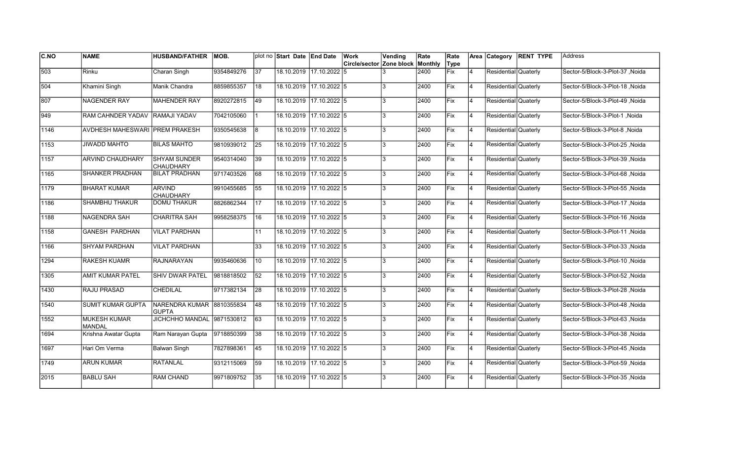| <b>C.NO</b> | <b>NAME</b>                          | <b>HUSBAND/FATHER</b>                     | <b>MOB.</b> |                 | plot no Start Date End Date |                         | Work                                    | Vending | Rate | Rate        |                | Area Category        | <b>RENT TYPE</b> | lAddress                        |
|-------------|--------------------------------------|-------------------------------------------|-------------|-----------------|-----------------------------|-------------------------|-----------------------------------------|---------|------|-------------|----------------|----------------------|------------------|---------------------------------|
|             |                                      |                                           |             |                 |                             |                         | <b>Circle/sector Zone block Monthly</b> |         |      | Type        |                |                      |                  |                                 |
| 503         | Rinku                                | Charan Singh                              | 9354849276  | 37              |                             | 18.10.2019 17.10.2022 5 |                                         |         | 2400 | Fix         | $\overline{4}$ | Residential Quaterly |                  | Sector-5/Block-3-Plot-37, Noida |
| 504         | Khamini Singh                        | Manik Chandra                             | 8859855357  | 18              |                             | 18.10.2019 17.10.2022 5 |                                         | 3       | 2400 | Fix         | 14             | Residential Quaterly |                  | Sector-5/Block-3-Plot-18, Noida |
| 807         | <b>NAGENDER RAY</b>                  | <b>MAHENDER RAY</b>                       | 8920272815  | 49              |                             | 18.10.2019 17.10.2022 5 |                                         | 3       | 2400 | Fix         | 14             | Residential Quaterly |                  | Sector-5/Block-3-Plot-49 .Noida |
| 1949        | RAM CAHNDER YADAV RAMAJI YADAV       |                                           | 7042105060  |                 |                             | 18.10.2019 17.10.2022 5 |                                         | 3       | 2400 | Fix         | 14             | Residential Quaterly |                  | Sector-5/Block-3-Plot-1, Noida  |
| 1146        | AVDHESH MAHESWARI PREM PRAKESH       |                                           | 9350545638  | l8              |                             | 18.10.2019 17.10.2022 5 |                                         | 3       | 2400 | lFix        | $\overline{4}$ | Residential Quaterly |                  | Sector-5/Block-3-Plot-8, Noida  |
| 1153        | <b>JIWADD MAHTO</b>                  | <b>BILAS MAHTO</b>                        | 9810939012  | $\overline{25}$ |                             | 18.10.2019 17.10.2022 5 |                                         | 3       | 2400 | Fix         | $\overline{4}$ | Residential Quaterly |                  | Sector-5/Block-3-Plot-25, Noida |
| 1157        | ARVIND CHAUDHARY                     | <b>SHYAM SUNDER</b><br><b>CHAUDHARY</b>   | 9540314040  | 39              |                             | 18.10.2019 17.10.2022 5 |                                         | 3       | 2400 | Fix         | 4              | Residential Quaterly |                  | Sector-5/Block-3-Plot-39, Noida |
| 1165        | <b>SHANKER PRADHAN</b>               | <b>BILAT PRADHAN</b>                      | 9717403526  | 68              |                             | 18.10.2019 17.10.2022 5 |                                         | 3       | 2400 | Fix         | 4              | Residential Quaterly |                  | Sector-5/Block-3-Plot-68, Noida |
| 1179        | <b>BHARAT KUMAR</b>                  | <b>ARVIND</b><br><b>CHAUDHARY</b>         | 9910455685  | 55              |                             | 18.10.2019 17.10.2022 5 |                                         | 3       | 2400 | Fix         | $\overline{4}$ | Residential Quaterly |                  | Sector-5/Block-3-Plot-55, Noida |
| 1186        | <b>SHAMBHU THAKUR</b>                | <b>DOMU THAKUR</b>                        | 8826862344  | 17              |                             | 18.10.2019 17.10.2022 5 |                                         | 3       | 2400 | Fix         | $\overline{4}$ | Residential Quaterly |                  | Sector-5/Block-3-Plot-17, Noida |
| 1188        | <b>NAGENDRA SAH</b>                  | <b>CHARITRA SAH</b>                       | 9958258375  | 16              |                             | 18.10.2019 17.10.2022 5 |                                         | 3       | 2400 | Fix         | 4              | Residential Quaterly |                  | Sector-5/Block-3-Plot-16, Noida |
| 1158        | <b>GANESH PARDHAN</b>                | <b>VILAT PARDHAN</b>                      |             | 11              |                             | 18.10.2019 17.10.2022 5 |                                         | 3       | 2400 | Fix         | 14             | Residential Quaterly |                  | Noida Sector-5/Block-3-Plot-11  |
| 1166        | <b>SHYAM PARDHAN</b>                 | <b>VILAT PARDHAN</b>                      |             | 33              |                             | 18.10.2019 17.10.2022 5 |                                         | 3       | 2400 | Fix         | 14             | Residential Quaterly |                  | Sector-5/Block-3-Plot-33, Noida |
| 1294        | <b>RAKESH KUAMR</b>                  | <b>RAJNARAYAN</b>                         | 9935460636  | 10              |                             | 18.10.2019 17.10.2022 5 |                                         | 3       | 2400 | Fix         | $\overline{4}$ | Residential Quaterly |                  | Sector-5/Block-3-Plot-10, Noida |
| 1305        | <b>AMIT KUMAR PATEL</b>              | <b>SHIV DWAR PATEL</b>                    | 9818818502  | 52              |                             | 18.10.2019 17.10.2022 5 |                                         | 3       | 2400 | Fix         | <b>4</b>       | Residential Quaterly |                  | Sector-5/Block-3-Plot-52, Noida |
| 1430        | RAJU PRASAD                          | <b>CHEDILAL</b>                           | 9717382134  | 28              |                             | 18.10.2019 17.10.2022 5 |                                         | 3       | 2400 | Fix         | 14             | Residential Quaterly |                  | Sector-5/Block-3-Plot-28, Noida |
| 1540        | <b>SUMIT KUMAR GUPTA</b>             | NARENDRA KUMAR 8810355834<br><b>GUPTA</b> |             | 48              |                             | 18.10.2019 17.10.2022 5 |                                         | 3       | 2400 | Fix         | 14             | Residential Quaterly |                  | Sector-5/Block-3-Plot-48, Noida |
| 1552        | <b>MUKESH KUMAR</b><br><b>MANDAL</b> | <b>JICHCHHO MANDAL</b>                    | 9871530812  | 63              |                             | 18.10.2019 17.10.2022 5 |                                         | 3       | 2400 | <b>IFix</b> | 14             | Residential Quaterly |                  | Sector-5/Block-3-Plot-63 .Noida |
| 1694        | Krishna Awatar Gupta                 | Ram Narayan Gupta                         | 9718850399  | 38              |                             | 18.10.2019 17.10.2022 5 |                                         | 3       | 2400 | Fix         | 4              | Residential Quaterly |                  | Sector-5/Block-3-Plot-38, Noida |
| 1697        | Hari Om Verma                        | Balwan Singh                              | 7827898361  | 45              |                             | 18.10.2019 17.10.2022 5 |                                         | 3       | 2400 | Fix         | 14             | Residential Quaterly |                  | Sector-5/Block-3-Plot-45, Noida |
| 1749        | <b>ARUN KUMAR</b>                    | RATANLAL                                  | 9312115069  | 59              |                             | 18.10.2019 17.10.2022 5 |                                         | 3       | 2400 | Fix         | 14             | Residential Quaterly |                  | Sector-5/Block-3-Plot-59, Noida |
| 2015        | <b>BABLU SAH</b>                     | <b>RAM CHAND</b>                          | 9971809752  | 35              |                             | 18.10.2019 17.10.2022 5 |                                         | 3       | 2400 | Fix         | $\overline{4}$ | Residential Quaterly |                  | Sector-5/Block-3-Plot-35, Noida |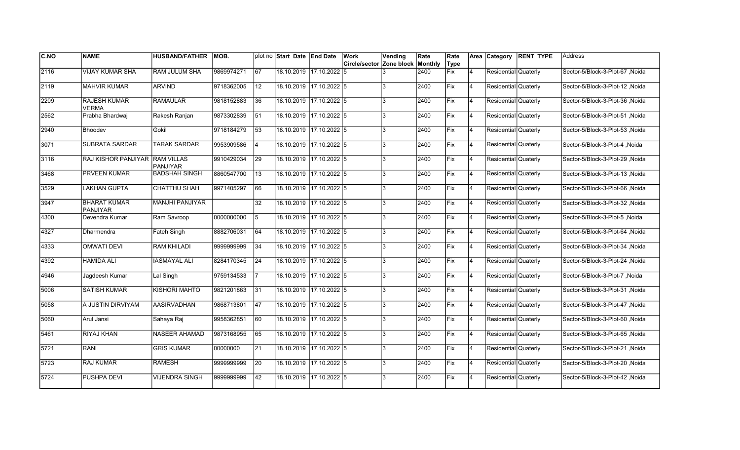| IC.NO | <b>NAME</b>                            | <b>HUSBAND/FATHER</b>         | MOB.       |                 | plot no Start Date End Date |                         | Work<br>Circle/sector Zone block | Vending | Rate<br>Monthly | Rate<br>Type |                | Area Category        | <b>RENT TYPE</b> | Address                          |
|-------|----------------------------------------|-------------------------------|------------|-----------------|-----------------------------|-------------------------|----------------------------------|---------|-----------------|--------------|----------------|----------------------|------------------|----------------------------------|
| 2116  | VIJAY KUMAR SHA                        | <b>RAM JULUM SHA</b>          | 9869974271 | $\overline{67}$ |                             | 18.10.2019 17.10.2022 5 |                                  |         | 2400            | Fix          | 4              | Residential Quaterly |                  | Sector-5/Block-3-Plot-67, Noida  |
| 2119  | <b>MAHVIR KUMAR</b>                    | <b>ARVIND</b>                 | 9718362005 | 12              |                             | 18.10.2019 17.10.2022 5 |                                  | 3       | 2400            | Fix          | 4              | Residential Quaterly |                  | Sector-5/Block-3-Plot-12 .Noida  |
| 2209  | <b>RAJESH KUMAR</b><br><b>VERMA</b>    | RAMAULAR                      | 9818152883 | 36              |                             | 18.10.2019 17.10.2022 5 |                                  | 3       | 2400            | Fix          | $\overline{4}$ | Residential Quaterly |                  | Sector-5/Block-3-Plot-36, Noida  |
| 2562  | Prabha Bhardwaj                        | Rakesh Ranjan                 | 9873302839 | 51              |                             | 18.10.2019 17.10.2022 5 |                                  | 3       | 2400            | Fix          | 4              | Residential Quaterly |                  | Sector-5/Block-3-Plot-51, Noida  |
| 2940  | <b>Bhoodev</b>                         | Gokil                         | 9718184279 | 53              | 18.10.2019                  | $717.10.2022$ 5         |                                  | 3       | 2400            | lFix         | 4              | Residential Quaterly |                  | Sector-5/Block-3-Plot-53, Noida  |
| 3071  | <b>SUBRATA SARDAR</b>                  | <b>TARAK SARDAR</b>           | 9953909586 | $\overline{4}$  | 18.10.2019                  | 17.10.2022 5            |                                  | 3       | 2400            | Fix          | 4              | Residential Quaterly |                  | Sector-5/Block-3-Plot-4, Noida   |
| 3116  | <b>RAJ KISHOR PANJIYAR</b>             | <b>RAM VILLAS</b><br>PANJIYAR | 9910429034 | 29              | 18.10.2019                  | 17.10.2022 5            |                                  | 3       | 2400            | Fix          | $\overline{4}$ | Residential Quaterly |                  | Sector-5/Block-3-Plot-29, Noida  |
| 3468  | <b>PRVEEN KUMAR</b>                    | <b>BADSHAH SINGH</b>          | 8860547700 | 13              | 18.10.2019                  | 17.10.2022 5            |                                  | 3       | 2400            | Fix          | $\overline{4}$ | Residential Quaterly |                  | Sector-5/Block-3-Plot-13, Noida  |
| 3529  | LAKHAN GUPTA                           | <b>CHATTHU SHAH</b>           | 9971405297 | 66              | 18.10.2019                  | $17.10.2022$ 5          |                                  | 3       | 2400            | Fix          | $\overline{4}$ | Residential Quaterly |                  | Sector-5/Block-3-Plot-66, Noida  |
| 3947  | <b>BHARAT KUMAR</b><br><b>PANJIYAR</b> | <b>MANJHI PANJIYAR</b>        |            | 32              | 18.10.2019                  | $17.10.2022$ 5          |                                  | 3       | 2400            | Fix          | $\overline{4}$ | Residential Quaterly |                  | Sector-5/Block-3-Plot-32, Noida  |
| 4300  | Devendra Kumar                         | Ram Savroop                   | 0000000000 | 5               |                             | 18.10.2019 17.10.2022 5 |                                  | 3       | 2400            | Fix          | 4              | Residential Quaterly |                  | Sector-5/Block-3-Plot-5, Noida   |
| 4327  | Dharmendra                             | Fateh Singh                   | 8882706031 | 64              |                             | 18.10.2019 17.10.2022 5 |                                  | 3       | 2400            | <b>Fix</b>   | 4              | Residential Quaterly |                  | Sector-5/Block-3-Plot-64, Noida  |
| 14333 | <b>OMWATI DEVI</b>                     | <b>RAM KHILADI</b>            | 9999999999 | 34              |                             | 18.10.2019 17.10.2022 5 |                                  | 3       | 2400            | Fix          | 4              | Residential Quaterly |                  | Sector-5/Block-3-Plot-34, Noida  |
| 4392  | <b>HAMIDA ALI</b>                      | <b>IASMAYAL ALI</b>           | 8284170345 | 24              | 18.10.2019                  | 17.10.2022 5            |                                  | 3       | 2400            | lFix         | $\overline{4}$ | Residential Quaterly |                  | Sector-5/Block-3-Plot-24 .Noida  |
| 4946  | Jagdeesh Kumar                         | Lal Singh                     | 9759134533 | $\overline{7}$  | 18.10.2019                  | $17.10.2022$ 5          |                                  | 3       | 2400            | Fix          | 4              | Residential Quaterly |                  | Sector-5/Block-3-Plot-7, Noida   |
| 5006  | <b>SATISH KUMAR</b>                    | <b>KISHORI MAHTO</b>          | 9821201863 | $\overline{31}$ |                             | 18.10.2019 17.10.2022 5 |                                  | 3       | 2400            | Fix          | 4              | Residential Quaterly |                  | Sector-5/Block-3-Plot-31, Noida  |
| 5058  | A JUSTIN DIRVIYAM                      | AASIRVADHAN                   | 9868713801 | 47              |                             | 18.10.2019 17.10.2022 5 |                                  | 3       | 2400            | Fix          | <b>4</b>       | Residential Quaterly |                  | Sector-5/Block-3-Plot-47, Noida  |
| 5060  | Arul Jansi                             | Sahaya Raj                    | 9958362851 | 60              | 18.10.2019                  | $17.10.2022$ 5          |                                  | 3       | 2400            | Fix          | Ι4             | Residential Quaterly |                  | Sector-5/Block-3-Plot-60, Noida  |
| 5461  | RIYAJ KHAN                             | NASEER AHAMAD                 | 9873168955 | 65              | 18.10.2019                  | 17.10.2022 5            |                                  | 3       | 2400            | Fix          | $\overline{4}$ | Residential Quaterly |                  | Sector-5/Block-3-Plot-65, Noida  |
| 5721  | <b>RANI</b>                            | <b>GRIS KUMAR</b>             | 00000000   | 21              | 18.10.2019                  | $17.10.2022$ 5          |                                  | 3       | 2400            | Fix          | 4              | Residential Quaterly |                  | Sector-5/Block-3-Plot-21 , Noida |
| 5723  | <b>RAJ KUMAR</b>                       | <b>RAMESH</b>                 | 999999999  | 20              |                             | 18.10.2019 17.10.2022 5 |                                  | 3       | 2400            | Fix          | 4              | Residential Quaterly |                  | Sector-5/Block-3-Plot-20, Noida  |
| 5724  | PUSHPA DEVI                            | <b>VIJENDRA SINGH</b>         | 9999999999 | 42              | 18.10.2019                  | 17.10.2022 5            |                                  | 3       | 2400            | Fix          | $\overline{4}$ | Residential Quaterly |                  | Sector-5/Block-3-Plot-42, Noida  |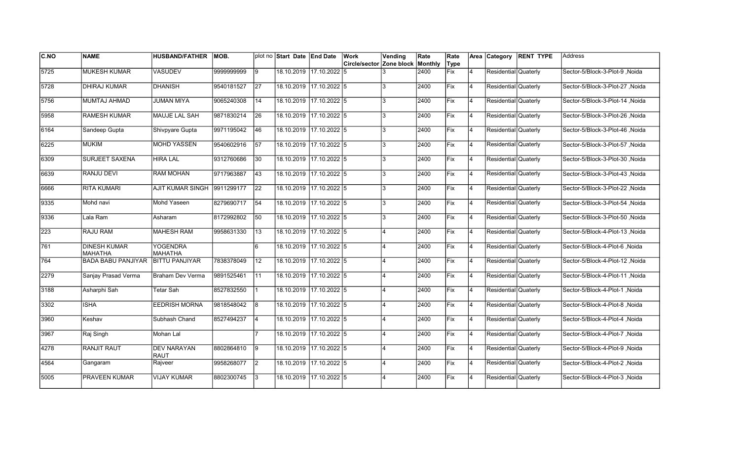| <b>C.NO</b> | <b>NAME</b>                           | <b>HUSBAND/FATHER</b>             | <b>MOB.</b> |                 | plot no Start Date End Date |              | Work                     | Vending                 | Rate    | Rate |                | Area Category        | <b>RENT TYPE</b> | Address                         |
|-------------|---------------------------------------|-----------------------------------|-------------|-----------------|-----------------------------|--------------|--------------------------|-------------------------|---------|------|----------------|----------------------|------------------|---------------------------------|
|             |                                       |                                   |             |                 |                             |              | Circle/sector Zone block |                         | Monthly | Type |                |                      |                  |                                 |
| 5725        | <b>MUKESH KUMAR</b>                   | <b>VASUDEV</b>                    | 9999999999  | Ι9              | 18.10.2019 17.10.2022 5     |              |                          |                         | 2400    | Fix  | 4              | Residential Quaterly |                  | Sector-5/Block-3-Plot-9, Noida  |
| 5728        | <b>DHIRAJ KUMAR</b>                   | <b>DHANISH</b>                    | 9540181527  | 27              | 18.10.2019 17.10.2022 5     |              |                          | 3                       | 2400    | Fix  | $\overline{4}$ | Residential Quaterly |                  | Sector-5/Block-3-Plot-27 .Noida |
| 5756        | MUMTAJ AHMAD                          | <b>JUMAN MIYA</b>                 | 9065240308  | 14              | 18.10.2019 17.10.2022 5     |              |                          | 3                       | 2400    | Fix  | 4              | Residential Quaterly |                  | Sector-5/Block-3-Plot-14 Noida  |
| 5958        | <b>RAMESH KUMAR</b>                   | MAUJE LAL SAH                     | 9871830214  | 26              | 18.10.2019 17.10.2022 5     |              |                          | 3                       | 2400    | Fix  | 4              | Residential Quaterly |                  | Sector-5/Block-3-Plot-26, Noida |
| 6164        | Sandeep Gupta                         | Shivpyare Gupta                   | 9971195042  | 46              | 18.10.2019 17.10.2022 5     |              |                          | 3                       | 2400    | Fix  | $\overline{4}$ | Residential Quaterly |                  | Sector-5/Block-3-Plot-46, Noida |
| 6225        | MUKIM                                 | <b>MOHD YASSEN</b>                | 9540602916  | 57              | 18.10.2019 17.10.2022 5     |              |                          | $\overline{3}$          | 2400    | Fix  | $\overline{4}$ | Residential Quaterly |                  | Sector-5/Block-3-Plot-57, Noida |
| 6309        | SURJEET SAXENA                        | <b>HIRA LAL</b>                   | 9312760686  | 30              | 18.10.2019 17.10.2022 5     |              |                          | 3                       | 2400    | Fix  | $\overline{4}$ | Residential Quaterly |                  | Sector-5/Block-3-Plot-30, Noida |
| 6639        | RANJU DEVI                            | <b>RAM MOHAN</b>                  | 9717963887  | 43              | 18.10.2019 17.10.2022 5     |              |                          | 3                       | 2400    | Fix  | 4              | Residential Quaterly |                  | Sector-5/Block-3-Plot-43, Noida |
| 6666        | <b>RITA KUMARI</b>                    | <b>AJIT KUMAR SINGH</b>           | 9911299177  | 22              | 18.10.2019 17.10.2022 5     |              |                          | 3                       | 2400    | Fix  | $\overline{4}$ | Residential Quaterly |                  | Sector-5/Block-3-Plot-22, Noida |
| 9335        | Mohd navi                             | Mohd Yaseen                       | 8279690717  | 54              | 18.10.2019 17.10.2022 5     |              |                          | 3                       | 2400    | Fix  | $\overline{4}$ | Residential Quaterly |                  | Sector-5/Block-3-Plot-54, Noida |
| 9336        | Lala Ram                              | Asharam                           | 8172992802  | 50              | 18.10.2019 17.10.2022 5     |              |                          | 3                       | 2400    | Fix  | 4              | Residential Quaterly |                  | Sector-5/Block-3-Plot-50, Noida |
| 223         | RAJU RAM                              | <b>MAHESH RAM</b>                 | 9958631330  | 13              | 18.10.2019 17.10.2022 5     |              |                          | $\overline{A}$          | 2400    | Fix  | 4              | Residential Quaterly |                  | Sector-5/Block-4-Plot-13, Noida |
| 761         | <b>DINESH KUMAR</b><br><b>MAHATHA</b> | <b>YOGENDRA</b><br><b>MAHATHA</b> |             | 6               | 18.10.2019 17.10.2022 5     |              |                          | $\overline{4}$          | 2400    | Fix  | 4              | Residential Quaterly |                  | Sector-5/Block-4-Plot-6, Noida  |
| 764         | <b>BADA BABU PANJIYAR</b>             | IBITTU PANJIYAR                   | 7838378049  | 12              | 18.10.2019 17.10.2022 5     |              |                          |                         | 2400    | Fix  | $\overline{4}$ | Residential Quaterly |                  | Sector-5/Block-4-Plot-12, Noida |
| 2279        | Sanjay Prasad Verma                   | Braham Dev Verma                  | 9891525461  | $\overline{11}$ | 18.10.2019 17.10.2022 5     |              |                          |                         | 2400    | Fix  | $\overline{4}$ | Residential Quaterly |                  | Sector-5/Block-4-Plot-11, Noida |
| 3188        | Asharphi Sah                          | Tetar Sah                         | 8527832550  |                 | 18.10.2019 17.10.2022 5     |              |                          | $\overline{\mathbf{A}}$ | 2400    | Fix  | 4              | Residential Quaterly |                  | Sector-5/Block-4-Plot-1, Noida  |
| 3302        | <b>ISHA</b>                           | <b>EEDRISH MORNA</b>              | 9818548042  | 8               | 18.10.2019 17.10.2022 5     |              |                          | $\overline{\mathbf{A}}$ | 2400    | Fix  | 4              | Residential Quaterly |                  | Sector-5/Block-4-Plot-8, Noida  |
| 3960        | Keshav                                | Subhash Chand                     | 8527494237  | 14              | 18.10.2019 17.10.2022 5     |              |                          | $\overline{\mathbf{A}}$ | 2400    | Fix  | 4              | Residential Quaterly |                  | Sector-5/Block-4-Plot-4, Noida  |
| 3967        | Raj Singh                             | Mohan Lal                         |             |                 | 18.10.2019                  | 17.10.2022 5 |                          |                         | 2400    | Fix  | $\overline{4}$ | Residential Quaterly |                  | Sector-5/Block-4-Plot-7, Noida  |
| 4278        | <b>RANJIT RAUT</b>                    | <b>DEV NARAYAN</b><br>RAUT        | 8802864810  | 19              | 18.10.2019 17.10.2022 5     |              |                          |                         | 2400    | Fix  | $\overline{4}$ | Residential Quaterly |                  | Sector-5/Block-4-Plot-9, Noida  |
| 4564        | Gangaram                              | Rajveer                           | 9958268077  | $ 2\rangle$     | 18.10.2019 17.10.2022 5     |              |                          | $\overline{\mathbf{A}}$ | 2400    | Fix  | 4              | Residential Quaterly |                  | Sector-5/Block-4-Plot-2, Noida  |
| 5005        | PRAVEEN KUMAR                         | <b>VIJAY KUMAR</b>                | 8802300745  | 3               | 18.10.2019 17.10.2022 5     |              |                          | $\overline{\mathbf{A}}$ | 2400    | Fix  | $\overline{4}$ | Residential Quaterly |                  | Sector-5/Block-4-Plot-3, Noida  |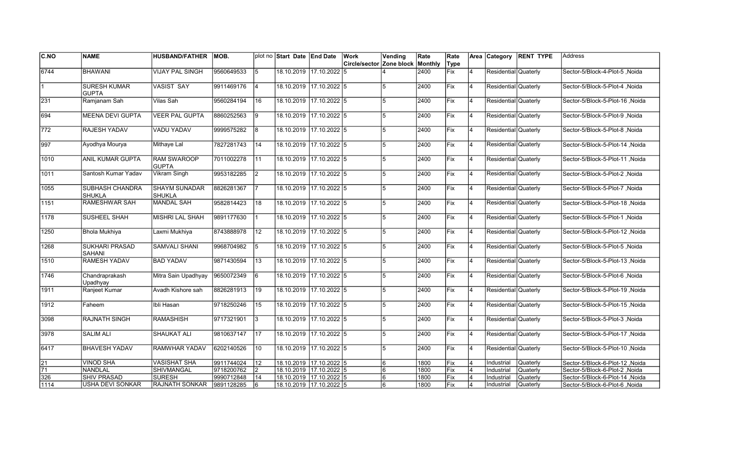| C.NO            | <b>NAME</b>                            | <b>HUSBAND/FATHER</b>               | IMOB.      |                | plot no Start Date End Date |                         | Work                             | Vending | Rate | Rate       |                | Area Category        | <b>RENT TYPE</b> | lAddress                        |
|-----------------|----------------------------------------|-------------------------------------|------------|----------------|-----------------------------|-------------------------|----------------------------------|---------|------|------------|----------------|----------------------|------------------|---------------------------------|
|                 |                                        |                                     |            |                |                             |                         | Circle/sector Zone block Monthly |         |      | Type       |                |                      |                  |                                 |
| 6744            | <b>BHAWANI</b>                         | VIJAY PAL SINGH                     | 9560649533 | 5              |                             | 18.10.2019 17.10.2022 5 |                                  |         | 2400 | <b>Fix</b> | $\overline{4}$ | Residential Quaterly |                  | Sector-5/Block-4-Plot-5, Noida  |
| 11              | <b>SURESH KUMAR</b><br><b>GUPTA</b>    | VASIST SAY                          | 9911469176 | $\overline{4}$ |                             | 18.10.2019 17.10.2022 5 |                                  | 5       | 2400 | Fix        | 4              | Residential Quaterly |                  | Sector-5/Block-5-Plot-4, Noida  |
| 231             | Ramjanam Sah                           | Vilas Sah                           | 9560284194 | 16             |                             | 18.10.2019 17.10.2022 5 |                                  | 5       | 2400 | Fix        | 4              | Residential Quaterly |                  | Sector-5/Block-5-Plot-16 .Noida |
| 694             | <b>MEENA DEVI GUPTA</b>                | VEER PAL GUPTA                      | 8860252563 | 9              |                             | 18.10.2019 17.10.2022 5 |                                  | 5       | 2400 | Fix        | 4              | Residential Quaterly |                  | Sector-5/Block-5-Plot-9, Noida  |
| $\sqrt{772}$    | RAJESH YADAV                           | <b>VADU YADAV</b>                   | 9999575282 | 8              |                             | 18.10.2019 17.10.2022 5 |                                  | 5       | 2400 | Fix        | $\overline{4}$ | Residential Quaterly |                  | Sector-5/Block-5-Plot-8, Noida  |
| $\sqrt{997}$    | Ayodhya Mourya                         | Mithaye Lal                         | 7827281743 | 14             |                             | 18.10.2019 17.10.2022 5 |                                  | 5       | 2400 | Fix        | $\overline{4}$ | Residential Quaterly |                  | Sector-5/Block-5-Plot-14, Noida |
| 1010            | ANIL KUMAR GUPTA                       | <b>RAM SWAROOP</b><br><b>IGUPTA</b> | 7011002278 | 11             |                             | 18.10.2019 17.10.2022 5 |                                  | 5       | 2400 | Fix        | $\overline{4}$ | Residential Quaterly |                  | Noida Sector-5/Block-5-Plot-11  |
| 1011            | Santosh Kumar Yadav                    | Vikram Singh                        | 9953182285 | <u>2</u>       |                             | 18.10.2019 17.10.2022 5 |                                  | 5       | 2400 | Fix        | 4              | Residential Quaterly |                  | Sector-5/Block-5-Plot-2, Noida  |
| 1055            | SUBHASH CHANDRA<br><b>SHUKLA</b>       | SHAYM SUNADAR<br><b>SHUKLA</b>      | 8826281367 | <b>7</b>       |                             | 18.10.2019 17.10.2022 5 |                                  | 5       | 2400 | Fix        | $\overline{4}$ | Residential Quaterly |                  | Sector-5/Block-5-Plot-7, Noida  |
| 1151            | <b>RAMESHWAR SAH</b>                   | <b>MANDAL SAH</b>                   | 9582814423 | 18             |                             | 18.10.2019 17.10.2022 5 |                                  | 5       | 2400 | Fix        | $\overline{4}$ | Residential Quaterly |                  | Sector-5/Block-5-Plot-18, Noida |
| 1178            | <b>SUSHEEL SHAH</b>                    | İMISHRI LAL SHAH                    | 9891177630 | 1              |                             | 18.10.2019 17.10.2022 5 |                                  | 5       | 2400 | Fix        | 4              | Residential Quaterly |                  | Sector-5/Block-5-Plot-1, Noida  |
| $\sqrt{1250}$   | <b>Bhola Mukhiya</b>                   | Laxmi Mukhiya                       | 8743888978 | 12             | 18.10.2019 17.10.2022 5     |                         |                                  | 5       | 2400 | Fix        | 4              | Residential Quaterly |                  | Sector-5/Block-5-Plot-12, Noida |
| 1268            | <b>SUKHARI PRASAD</b><br><b>SAHANI</b> | SAMVALI SHANI                       | 9968704982 | 5              |                             | 18.10.2019 17.10.2022 5 |                                  | 5       | 2400 | Fix        | 14             | Residential Quaterly |                  | Sector-5/Block-5-Plot-5, Noida  |
| 1510            | <b>RAMESH YADAV</b>                    | <b>BAD YADAV</b>                    | 9871430594 | 13             |                             | 18.10.2019 17.10.2022 5 |                                  | 5       | 2400 | Fix        | $\overline{4}$ | Residential Quaterly |                  | Sector-5/Block-5-Plot-13, Noida |
| $\sqrt{1746}$   | Chandraprakash<br>Upadhyay             | Mitra Sain Upadhyay                 | 9650072349 | $\overline{6}$ |                             | 18.10.2019 17.10.2022 5 |                                  | 5       | 2400 | Fix        | 4              | Residential Quaterly |                  | Sector-5/Block-5-Plot-6, Noida  |
| 1911            | Ranjeet Kumar                          | Avadh Kishore sah                   | 8826281913 | 19             |                             | 18.10.2019 17.10.2022 5 |                                  | 5       | 2400 | Fix        | 4              | Residential Quaterly |                  | Noida Sector-5/Block-5-Plot-19  |
| 1912            | Faheem                                 | Ibli Hasan                          | 9718250246 | 15             |                             | 18.10.2019 17.10.2022 5 |                                  | 5       | 2400 | Fix        | 4              | Residential Quaterly |                  | Noida S/Block-5-Plot-15         |
| 3098            | RAJNATH SINGH                          | RAMASHISH                           | 9717321901 | 13             |                             | 18.10.2019 17.10.2022 5 |                                  | 5       | 2400 | Fix        | $\overline{4}$ | Residential Quaterly |                  | Sector-5/Block-5-Plot-3, Noida  |
| 3978            | <b>SALIM ALI</b>                       | <b>SHAUKAT ALI</b>                  | 9810637147 | 17             | 18.10.2019                  | $17.10.2022$ 5          |                                  | 5       | 2400 | Fix        | $\overline{4}$ | Residential Quaterly |                  | Sector-5/Block-5-Plot-17, Noida |
| 6417            | <b>BHAVESH YADAV</b>                   | <b>RAMWHAR YADAV</b>                | 6202140526 | 10             |                             | 18.10.2019 17.10.2022 5 |                                  | 5       | 2400 | Fix        | $\overline{4}$ | Residential Quaterly |                  | Sector-5/Block-5-Plot-10, Noida |
| $\overline{21}$ | <b>VINOD SHA</b>                       | <b>VASISHAT SHA</b>                 | 9911744024 | 12             | 18.10.2019 17.10.2022 5     |                         |                                  | 6       | 1800 | Fix        | $\overline{4}$ | Industrial           | <b>Quaterly</b>  | Sector-5/Block-6-Plot-12, Noida |
| $\overline{71}$ | <b>NANDLAL</b>                         | SHIVMANGAL                          | 9718200762 | $\overline{2}$ |                             | 18.10.2019 17.10.2022 5 |                                  | 6       | 1800 | Fix        | $\overline{4}$ | Industrial           | <b>Quaterly</b>  | Sector-5/Block-6-Plot-2 .Noida  |
| 326             | <b>SHIV PRASAD</b>                     | <b>SURESH</b>                       | 9990712848 | 14             |                             | 18.10.2019 17.10.2022 5 |                                  | 6       | 1800 | Fix        | $\overline{4}$ | Industrial           | Quaterly         | Sector-5/Block-6-Plot-14, Noida |
| 1114            | <b>USHA DEVI SONKAR</b>                | <b>RAJNATH SONKAR</b>               | 9891128285 | 6              | 18.10.2019 17.10.2022 5     |                         |                                  | 6       | 1800 | Fix        | $\overline{4}$ | Industrial           | <b>Quaterly</b>  | Sector-5/Block-6-Plot-6, Noida  |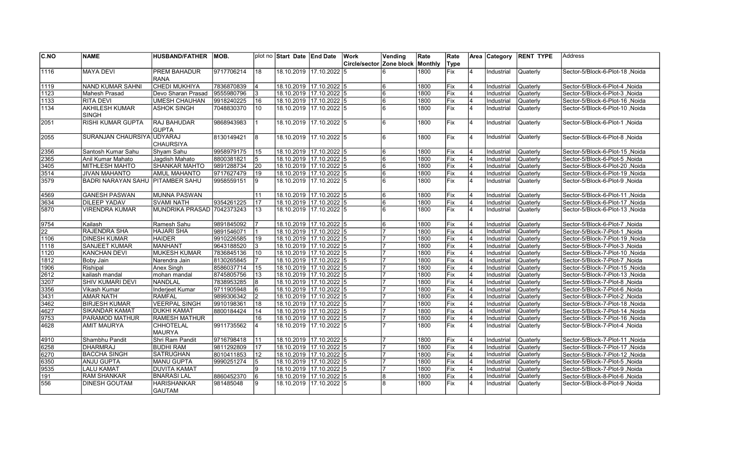| C.NO          | <b>NAME</b>                      | <b>HUSBAND/FATHER</b>      | IMOB.      |                | plot no Start Date End Date |                         | Work                     | Vending | Rate    | Rate       |                         | Area Category | <b>RENT TYPE</b> | lAddress                         |
|---------------|----------------------------------|----------------------------|------------|----------------|-----------------------------|-------------------------|--------------------------|---------|---------|------------|-------------------------|---------------|------------------|----------------------------------|
|               |                                  |                            |            |                |                             |                         | Circle/sector Zone block |         | Monthly | Type       |                         |               |                  |                                  |
| 1116          | <b>MAYA DEVI</b>                 | <b>PREM BAHADUR</b>        | 9717706214 | 18             | 18.10.2019 17.10.2022 5     |                         |                          | 6       | 1800    | <b>Fix</b> | 4                       | Industrial    | Quaterly         | Sector-5/Block-6-Plot-18, Noida  |
|               |                                  | <b>RANA</b>                |            |                |                             |                         |                          |         |         |            |                         |               |                  |                                  |
| $\sqrt{1119}$ | NAND KUMAR SAHNI                 | <b>CHEDI MUKHIYA</b>       | 7836870839 | 4              | 18.10.2019 17.10.2022 5     |                         |                          | 6       | 1800    | Fix        | 4                       | Industrial    | Quaterly         | Noida   Sector-5/Block-6-Plot-4  |
| 1123          | Mahesh Prasad                    | Devo Sharan Prasad         | 9555980796 | 3              | 18.10.2019 17.10.2022 5     |                         |                          | 6       | 1800    | Fix        | 4                       | Industrial    | Quaterly         | Sector-5/Block-6-Plot-3, Noida   |
| 1133          | <b>RITA DEVI</b>                 | UMESH CHAUHAN              | 9918240225 | 16             | 18.10.2019 17.10.2022 5     |                         |                          | 6       | 1800    | Fix        | 4                       | Industrial    | Quaterly         | Sector-5/Block-6-Plot-16, Noida  |
| 1134          | <b>AKHILESH KUMAR</b>            | <b>ASHOK SINGH</b>         | 7048830370 | 10             | 18.10.2019 17.10.2022 5     |                         |                          | 6       | 1800    | Fix        | 4                       | Industrial    | Quaterly         | Sector-5/Block-6-Plot-10, Noida  |
|               | <b>SINGH</b>                     |                            |            |                |                             |                         |                          |         |         |            |                         |               |                  |                                  |
| 2051          | <b>RISHI KUMAR GUPTA</b>         | <b>RAJ BAHUDAR</b>         | 9868943983 |                | 18.10.2019                  | $17.10.2022$ 5          |                          | 6       | 1800    | Fix        | 4                       | Industrial    | Quaterly         | Sector-5/Block-6-Plot-1, Noida   |
|               |                                  | <b>GUPTA</b>               |            |                |                             |                         |                          |         |         |            |                         |               |                  |                                  |
| 2055          | <b>SURANJAN CHAURSIYA</b>        | UDYARAJ                    | 8130149421 | 8              | 18.10.2019                  | $17.10.2022$ 5          |                          | 6       | 1800    | Fix        | 4                       | Industrial    | Quaterly         | Sector-5/Block-6-Plot-8, Noida   |
|               |                                  | <b>CHAURSIYA</b>           |            |                |                             |                         |                          |         |         |            |                         |               |                  |                                  |
| 2356          | Santosh Kumar Sahu               | Shvam Sahu                 | 9958979175 | 15             | 18.10.2019 17.10.2022 5     |                         |                          | 6       | 1800    | Fix        | $\overline{4}$          | Industrial    | Quaterly         | Sector-5/Block-6-Plot-15, Noida  |
| 2365          | Anil Kumar Mahato                | Jagdish Mahato             | 8800381821 | $\overline{5}$ | 18.10.2019 17.10.2022 5     |                         |                          | 6       | 1800    | Fix        | $\overline{\mathbf{A}}$ | Industrial    | Quaterly         | Sector-5/Block-6-Plot-5, Noida   |
| 3405          | MITHLESH MAHTO                   | <b>SHANKAR MAHTO</b>       | 9891288734 | 20             | 18.10.2019 17.10.2022 5     |                         |                          | 6       | 1800    | Fix        |                         | Industrial    | Quaterly         | Sector-5/Block-6-Plot-20, Noida  |
| 3514          | JIVAN MAHANTO                    | <b>AMUL MAHANTO</b>        | 9717627479 | 19             | 18.10.2019 17.10.2022 5     |                         |                          | 6       | 1800    | Fix        | $\overline{4}$          | Industrial    | Quaterly         | Sector-5/Block-6-Plot-19, Noida  |
| 3579          | BADRI NARAYAN SAHU PITAMBER SAHU |                            | 9958559151 | 9              | 18.10.2019 17.10.2022 5     |                         |                          | 6       | 1800    | Fix        | <b>4</b>                | Industrial    | Quaterly         | Sector-5/Block-6-Plot-9, Noida   |
|               |                                  |                            |            |                |                             |                         |                          |         |         |            |                         |               |                  |                                  |
| 4569          | <b>GANESH PASWAN</b>             | MUNNA PASWAN               |            | 11             | 18.10.2019 17.10.2022 5     |                         |                          | 6       | 1800    | Fix        | $\overline{4}$          | Industrial    | Quaterly         | Sector-5/Block-6-Plot-11, Noida  |
| 3634          | <b>DILEEP YADAV</b>              | <b>SVAMI NATH</b>          | 9354261225 | 17             | 18.10.2019 17.10.2022 5     |                         |                          | 6       | 1800    | Fix        | $\overline{4}$          | Industrial    | Quaterly         | Sector-5/Block-6-Plot-17 Noida   |
| 5870          | <b>VIRENDRA KUMAR</b>            | MUNDRIKA PRASAD 7042373243 |            | 13             | 18.10.2019 17.10.2022 5     |                         |                          | 6       | 1800    | Fix        | $\overline{4}$          | Industrial    | Quaterly         | Sector-5/Block-6-Plot-13, Noida  |
|               |                                  |                            |            |                |                             |                         |                          |         |         |            |                         |               |                  |                                  |
| 9754          | Kailash                          | Ramesh Sahu                | 9891845092 | 17             | 18.10.2019 17.10.2022 5     |                         |                          | 6       | 1800    | Fix        | 4                       | Industrial    | Quaterly         | Sector-5/Block-6-Plot-7, Noida   |
| 22            | <b>RAJENDRA SHA</b>              | <b>HAJARI SHA</b>          | 9891546071 | $\overline{1}$ | 18.10.2019 17.10.2022 5     |                         |                          |         | 1800    | lFix.      | $\overline{4}$          | Industrial    | Quaterly         | Sector-5/Block-7-Plot-1, Noida   |
| 1106          | <b>DINESH KUMAR</b>              | <b>HAIDER</b>              | 9910226585 | 19             | 18.10.2019 17.10.2022 5     |                         |                          |         | 1800    | lFix.      | $\overline{4}$          | Industrial    | Quaterly         | Noida Sector-5/Block-7-Plot-19   |
| 1118          | <b>SANJEET KUMAR</b>             | IMANHANT                   | 9643188520 | l3             | 18.10.2019 17.10.2022 5     |                         |                          |         | 1800    | Fix        | $\overline{\mathbf{A}}$ | Industrial    | Quaterly         | Sector-5/Block-7-Plot-3, Noida   |
| 1120          | <b>KANCHAN DEVI</b>              | MUKESH KUMAR               | 7836845136 | 10             | 18.10.2019 17.10.2022 5     |                         |                          |         | 1800    | <b>Fix</b> | 4                       | Industrial    | <b>Quaterly</b>  | Noida Sector-5/Block-7-Plot-10   |
| 1812          | <b>Boby Jain</b>                 | Narendra Jain              | 8130265845 | 17             | 18.10.2019 17.10.2022 5     |                         |                          |         | 1800    | Fix        | $\overline{4}$          | Industrial    | Quaterly         | Sector-5/Block-7-Plot-7, Noida   |
| 1906          | Rishipal                         | Anex Singh                 | 8586037714 | 15             | 18.10.2019 17.10.2022 5     |                         |                          |         | 1800    | Fix        | 4                       | Industrial    | Quaterly         | Noida S/Block-7-Plot-15          |
| 2612          | kailash mandal                   | mohan mandal               | 8745805756 | 13             | 18.10.2019 17.10.2022 5     |                         |                          |         | 1800    | Fix        | 4                       | Industrial    | Quaterly         | Noida Sector-5/Block-7-Plot-13   |
| 3207          | <b>SHIV KUMARI DEVI</b>          | NANDLAL                    | 7838953285 | 8              | 18.10.2019 17.10.2022 5     |                         |                          |         | 1800    | Fix        | $\overline{4}$          | Industrial    | Quaterly         | Sector-5/Block-7-Plot-8, Noida   |
| 3356          | Vikash Kumar                     | Inderjeet Kumar            | 9711905948 | 6              | 18.10.2019 17.10.2022 5     |                         |                          |         | 1800    | Fix        | 4                       | Industrial    | <b>Quaterly</b>  | Sector-5/Block-7-Plot-6, Noida   |
| 3431          | <b>AMAR NATH</b>                 | <b>RAMFAL</b>              | 9899306342 | 12             | 18.10.2019 17.10.2022 5     |                         |                          |         | 1800    | Fix        | $\overline{\mathbf{A}}$ | Industrial    | <b>Quaterly</b>  | Sector-5/Block-7-Plot-2, Noida   |
| 3462          | <b>BIRJESH KUMAR</b>             | <b>VEERPAL SINGH</b>       | 9910198361 | 18             | 18.10.2019 17.10.2022 5     |                         |                          |         | 1800    | Fix        | 4                       | Industrial    | Quaterly         | Sector-5/Block-7-Plot-18, Noida  |
| 4627          | <b>SIKANDAR KAMAT</b>            | <b>DUKHI KAMAT</b>         | 8800184424 | 14             | 18.10.2019 17.10.2022 5     |                         |                          |         | 1800    | Fix        | 4                       | Industrial    | Quaterly         | Noida Noida S/Block-7-Plot-14    |
| 9753          | <b>PARAMOD MATHUR</b>            | <b>RAMESH MATHUR</b>       |            | 16             | 18.10.2019 17.10.2022 5     |                         |                          |         | 1800    | lFix.      | 4                       | Industrial    | Quaterly         | Noida / Sector-5/Block-7-Plot-16 |
| 4628          | <b>AMIT MAURYA</b>               | <b>CHHOTELAL</b>           | 9911735562 | 4              | 18.10.2019 17.10.2022 5     |                         |                          |         | 1800    | Fix        | 4                       | Industrial    | Quaterly         | Sector-5/Block-7-Plot-4, Noida   |
|               |                                  | <b>MAURYA</b>              |            |                |                             |                         |                          |         |         |            |                         |               |                  |                                  |
| 4910          | Shambhu Pandit                   | Shri Ram Pandit            | 9716798418 | 11             | 18.10.2019 17.10.2022 5     |                         |                          |         | 1800    | Fix        | 4                       | Industrial    | <b>Quaterly</b>  | Noida Sector-5/Block-7-Plot-11   |
| 6258          | DHARMRAJ                         | <b>BUDHI RAM</b>           | 9811292809 | 17             | 18.10.2019 17.10.2022 5     |                         |                          |         | 1800    | Fix        | $\overline{4}$          | Industrial    | Quaterly         | Noida Sector-5/Block-7-Plot-17   |
| 6270          | <b>BACCHA SINGH</b>              | <b>SATRUGHAN</b>           | 8010411853 | 12             | 18.10.2019 17.10.2022 5     |                         |                          |         | 1800    | Fix        | 4                       | Industrial    | Quaterly         | Noida Sector-5/Block-7-Plot-12   |
| 6350          | <b>ANJU GUPTA</b>                | <b>MANU GUPTA</b>          | 9990251274 | 5              | 18.10.2019 17.10.2022 5     |                         |                          |         | 1800    | Fix        | 4                       | Industrial    | Quaterly         | Sector-5/Block-7-Plot-5, Noida   |
| 9535          | <b>LALU KAMAT</b>                | <b>DUVITA KAMAT</b>        |            | 9              | 18.10.2019 17.10.2022 5     |                         |                          |         | 1800    | Fix        | $\overline{4}$          | Industrial    | Quaterly         | Sector-5/Block-7-Plot-9, Noida   |
| 191           | <b>RAM SHANKAR</b>               | <b>BNARASI LAL</b>         | 8860452370 | $\overline{6}$ | 18.10.2019 17.10.2022 5     |                         |                          | 8       | 1800    | Fix        | $\overline{4}$          | Industrial    | Quaterly         | Noida Sector-5/Block-8-Plot-6    |
| 556           | <b>DINESH GOUTAM</b>             | <b>HARISHANKAR</b>         | 981485048  | $\overline{9}$ |                             | 18.10.2019 17.10.2022 5 |                          | 8       | 1800    | Fix        | 4                       | Industrial    | Quaterly         | Sector-5/Block-8-Plot-9 ,Noida   |
|               |                                  | <b>GAUTAM</b>              |            |                |                             |                         |                          |         |         |            |                         |               |                  |                                  |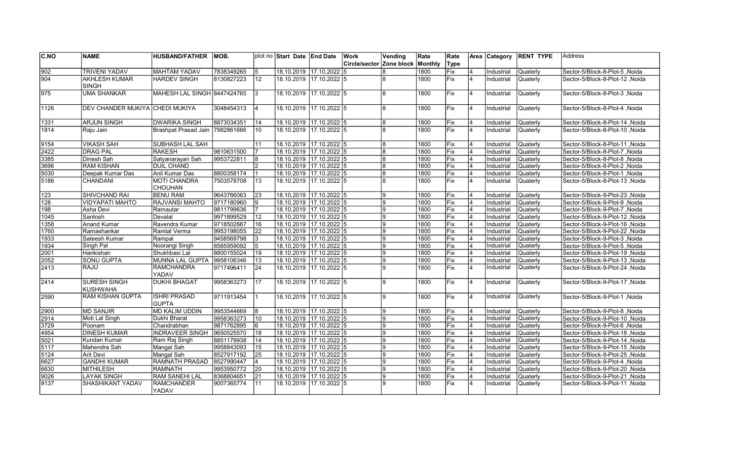| <b>C.NO</b>      | <b>NAME</b>                     | <b>HUSBAND/FATHER</b>           | IMOB.      |                | plot no Start Date End Date |                         | Work                                | Vending        | Rate | Rate       |                | Area Category            | <b>RENT TYPE</b> | <b>Address</b>                  |
|------------------|---------------------------------|---------------------------------|------------|----------------|-----------------------------|-------------------------|-------------------------------------|----------------|------|------------|----------------|--------------------------|------------------|---------------------------------|
|                  |                                 |                                 |            |                |                             |                         | │Circle/sector │Zone block │Monthlv |                |      | Type       |                |                          |                  |                                 |
| 902              | <b>TRIVENI YADAV</b>            | <b>MAHTAM YADAV</b>             | 7838349265 | 5              |                             | 18.10.2019 17.10.2022 5 |                                     | 8              | 1800 | Fix        | 4              | Industrial               | Quaterly         | Sector-5/Block-8-Plot-5, Noida  |
| 904              | <b>AKHLESH KUMAR</b>            | <b>HARDEV SINGH</b>             | 8130827223 | 12             |                             | 18.10.2019 17.10.2022 5 |                                     | R              | 1800 | Fix        | 4              | Industrial               | Quaterly         | Sector-5/Block-8-Plot-12, Noida |
|                  | <b>SINGH</b>                    |                                 |            |                |                             |                         |                                     |                |      |            |                |                          |                  |                                 |
| 975              | <b>UMA SHANKAR</b>              | MAHESH LAL SINGH 8447424765     |            | 3              |                             | 18.10.2019 17.10.2022 5 |                                     | 8              | 1800 | Fix        | <b>4</b>       | Industrial               | Quaterly         | Sector-5/Block-8-Plot-3, Noida  |
|                  |                                 |                                 |            |                |                             |                         |                                     |                |      |            |                |                          |                  |                                 |
| 1126             | DEV CHANDER MUKIYA CHEDI MUKIYA |                                 | 3048454313 | 14             |                             | 18.10.2019 17.10.2022 5 |                                     | 8              | 1800 | <b>Fix</b> | $\overline{4}$ | Industrial               | Quaterly         | Sector-5/Block-8-Plot-4, Noida  |
|                  |                                 |                                 |            |                |                             |                         |                                     |                |      |            |                |                          |                  |                                 |
| 1331             | <b>ARJUN SINGH</b>              | <b>DWARIKA SINGH</b>            | 8873034351 | 14             |                             | 18.10.2019 17.10.2022 5 |                                     | 8              | 1800 | Fix        | $\overline{4}$ | Industrial               | <b>Quaterly</b>  | Sector-5/Block-8-Plot-14, Noida |
| 1814             | Raju Jain                       | Brashpat Prasad Jain 7982861666 |            | 10             |                             | 18.10.2019 17.10.2022 5 |                                     | 8              | 1800 | <b>Fix</b> | $\overline{4}$ | Industrial               | <b>Quaterly</b>  | Sector-5/Block-8-Plot-10, Noida |
| 9154             | <b>VIKASH SAH</b>               | SUBHASH LAL SAH                 |            | 11             |                             | 18.10.2019 17.10.2022 5 |                                     | 8              | 1800 | Fix        | $\overline{4}$ | Industrial               | Quaterly         | Sector-5/Block-8-Plot-11, Noida |
| 2422             | <b>DRAG PAL</b>                 | <b>RAKESH</b>                   | 9810631500 |                |                             | 18.10.2019 17.10.2022 5 |                                     | 8              | 1800 | Fix        | 4              | Industrial               | <b>Quaterly</b>  | Sector-5/Block-8-Plot-7, Noida  |
| 3385             | Dinesh Sah                      | Satyanarayan Sah                | 9953722811 | 8              |                             | 18.10.2019 17.10.2022 5 |                                     | 8              | 1800 | Fix        | $\overline{4}$ | Industrial               | Quaterly         | Sector-5/Block-8-Plot-8, Noida  |
| 3696             | <b>RAM KISHAN</b>               | <b>DUIL CHAND</b>               |            | $\overline{2}$ |                             | 18.10.2019 17.10.2022 5 |                                     | 8              | 1800 | Fix        | $\overline{4}$ | Industrial               | Quaterly         | Sector-5/Block-8-Plot-2, Noida  |
| 5030             | Deepak Kumar Das                | Anil Kumar Das                  | 8800358174 |                |                             | 18.10.2019 17.10.2022 5 |                                     | 8              | 1800 | Fix        | 4              | Industrial               | Quaterly         | Sector-5/Block-8-Plot-1, Noida  |
| 5186             | CHANDANI                        | <b>MOTI CHANDRA</b>             | 7503578708 | 13             |                             | 18.10.2019 17.10.2022 5 |                                     | 8              | 1800 | Fix        | 4              | Industrial               | Quaterly         | Sector-5/Block-8-Plot-13, Noida |
|                  |                                 | <b>CHOUHAN</b>                  |            |                |                             |                         |                                     |                |      |            |                |                          |                  |                                 |
| 123              | SHIVCHAND RAI                   | <b>BENU RAM</b>                 | 9643766063 | 23             |                             | 18.10.2019 17.10.2022 5 |                                     | 9              | 1800 | Fix        | $\overline{4}$ |                          | Quaterly         | Sector-5/Block-9-Plot-23, Noida |
| $\overline{128}$ | <b>VIDYAPATI MAHTO</b>          | <b>RAJVANSI MAHTO</b>           | 9717180960 | 9              |                             | 18.10.2019 17.10.2022 5 |                                     | 9              | 1800 | Fix        | 4              | Industrial<br>Industrial | Quaterly         | Sector-5/Block-9-Plot-9, Noida  |
| 198              | <b>Asha Devi</b>                |                                 | 9811799636 |                |                             | 18.10.2019 17.10.2022 5 |                                     | 9              | 1800 | Fix        |                |                          | Quaterly         |                                 |
|                  |                                 | Ramautar                        | 9971899529 |                |                             | 18.10.2019 17.10.2022 5 |                                     | 9              | 1800 | Fix        | $\overline{4}$ | Industrial               |                  | Sector-5/Block-9-Plot-7, Noida  |
| 1045             | Santosh                         | Devalal                         |            | 12             |                             |                         |                                     | 9              |      |            | $\overline{4}$ | Industrial               | Quaterly         | Sector-5/Block-9-Plot-12, Noida |
| 1358             | Anand Kumar                     | Ravendra Kumar                  | 9718502887 | 16             |                             | 18.10.2019 17.10.2022 5 |                                     |                | 1800 | Fix        | 4              | Industrial               | Quaterly         | Sector-5/Block-9-Plot-16, Noida |
| 1760             | Ramashankar                     | Ramlal Verma                    | 9953198055 | 22             |                             | 18.10.2019 17.10.2022 5 |                                     | 9<br>9         | 1800 | Fix        | 4              | Industrial               | Quaterly         | Sector-5/Block-9-Plot-22, Noida |
| 1933             | Sateesh Kumar                   | Rampal                          | 9458569798 | 3              | 18.10.2019 17.10.2022 5     |                         |                                     |                | 1800 | Fix        | 4              | Industrial               | <b>Quaterly</b>  | Sector-5/Block-9-Plot-3, Noida  |
| 1934             | Singh Pal                       | Noorangi Singh                  | 8585959092 | 5              |                             | 18.10.2019 17.10.2022 5 |                                     | 9<br>9         | 1800 | Fix        | $\overline{4}$ | Industrial               | Quaterly         | Sector-5/Block-9-Plot-5, Noida  |
| 2001             | Harikishan                      | Shukhbasi Lal                   | 8800155024 | 19             |                             | 18.10.2019 17.10.2022 5 |                                     |                | 1800 | Fix        | 4              | Industrial               | Quaterly         | Sector-5/Block-9-Plot-19, Noida |
| 2052             | SONU GUPTA                      | MUNNA LAL GUPTA                 | 9958106346 | 13             |                             | 18.10.2019 17.10.2022 5 |                                     | 9              | 1800 | Fix        | $\overline{4}$ | Industrial               | Quaterly         | Sector-5/Block-9-Plot-13, Noida |
| 2413             | RAJU                            | <b>RAMCHANDRA</b>               | 9717496411 | 24             |                             | 18.10.2019 17.10.2022 5 |                                     | $\mathbf{Q}$   | 1800 | Fix        | 4              | Industrial               | <b>Quaterly</b>  | Sector-5/Block-9-Plot-24, Noida |
|                  |                                 | YADAV                           |            |                |                             |                         |                                     | $\mathbf{Q}$   |      |            |                |                          |                  |                                 |
| 2414             | SURESH SINGH                    | <b>DUKHI BHAGAT</b>             | 9958363273 | 17             |                             | 18.10.2019 17.10.2022 5 |                                     |                | 1800 | Fix        | $\overline{4}$ | Industrial               | Quaterly         | Sector-5/Block-9-Plot-17, Noida |
|                  | KUSHWAHA                        |                                 |            |                |                             |                         |                                     |                |      |            |                |                          |                  |                                 |
| 2590             | <b>RAM KISHAN GUPTA</b>         | <b>ISHRI PRASAD</b>             | 9711913454 |                |                             | 18.10.2019 17.10.2022 5 |                                     | a              | 1800 | Fix        | 4              | Industrial               | <b>Quaterly</b>  | Sector-5/Block-9-Plot-1, Noida  |
|                  |                                 | <b>GUPTA</b>                    |            |                |                             |                         |                                     |                |      |            |                |                          |                  |                                 |
| 2900             | <b>MD SANJIR</b>                | <b>MD KALIM UDDIN</b>           | 9953544669 | 8              |                             | 18.10.2019 17.10.2022 5 |                                     | $\mathbf{Q}$   | 1800 | Fix        | 4              | Industrial               | Quaterly         | Sector-5/Block-9-Plot-8, Noida  |
| 2914             | Moti Lal Singh                  | Dukhi Bharat                    | 9958363273 | 10             |                             | 18.10.2019 17.10.2022 5 |                                     | 9              | 1800 | Fix        | 4              | Industrial               | <b>Quaterly</b>  | Sector-5/Block-9-Plot-10, Noida |
| 3729             | Poonam                          | Chandrabhan                     | 9871762895 | 16             |                             | 18.10.2019 17.10.2022 5 |                                     | $\overline{9}$ | 1800 | Fix        | $\overline{4}$ | Industrial               | <b>Quaterly</b>  | Sector-5/Block-9-Plot-6, Noida  |
| 4954             | <b>DINESH KUMAR</b>             | <b>INDRAVEER SINGH</b>          | 9650525570 | 18             |                             | 18.10.2019 17.10.2022 5 |                                     | 9              | 1800 | Fix        | $\overline{4}$ | Industrial               | Quaterly         | Sector-5/Block-9-Plot-18, Noida |
| 5021             | Kundan Kumar                    | Ram Raj Singh                   | 8851179938 | 14             |                             | 18.10.2019 17.10.2022 5 |                                     | 9              | 1800 | Fix        | $\overline{4}$ | Industrial               | Quaterly         | Sector-5/Block-9-Plot-14, Noida |
| 5117             | Mahendra Sah                    | Mangal Sah                      | 9958843093 | 15             |                             | 18.10.2019 17.10.2022 5 |                                     | 9              | 1800 | Fix        | $\overline{4}$ | Industrial               | Quaterly         | Sector-5/Block-9-Plot-15, Noida |
| 5124             | Arit Devi                       | Mangal Sah                      | 8527917192 | 25             |                             | 18.10.2019 17.10.2022 5 |                                     | 9              | 1800 | Fix        | 4              | Industrial               | <b>Quaterly</b>  | Sector-5/Block-9-Plot-25, Noida |
| 6627             | <b>GANDHI KUMAR</b>             | <b>RAMNATH PRASAD</b>           | 8527990447 | 4              |                             | 18.10.2019 17.10.2022 5 |                                     | $\mathbf{Q}$   | 1800 | Fix        | 4              | Industrial               | <b>Quaterly</b>  | Sector-5/Block-9-Plot-4, Noida  |
| 6630             | <b>MITHILESH</b>                | <b>RAMNATH</b>                  | 9953950772 | 20             |                             | 18.10.2019 17.10.2022 5 |                                     | 9              | 1800 | Fix        | 4              | Industrial               | <b>Quaterly</b>  | Sector-5/Block-9-Plot-20, Noida |
| 9026             | <b>LAYAK SINGH</b>              | <b>RAM SANEHI LAL</b>           | 8368804651 | 21             |                             | 18.10.2019 17.10.2022 5 |                                     | 9              | 1800 | Fix        | 4              | Industrial               | <b>Quaterly</b>  | Noida Sector-5/Block-9-Plot-21  |
| 9137             | SHASHIKANT YADAV                | <b>RAMCHANDER</b>               | 9007365774 | 11             |                             | 18.10.2019 17.10.2022 5 |                                     | $\mathbf{Q}$   | 1800 | Fix        | 4              | Industrial               | Quaterly         | Sector-5/Block-9-Plot-11, Noida |
|                  |                                 | <b>YADAV</b>                    |            |                |                             |                         |                                     |                |      |            |                |                          |                  |                                 |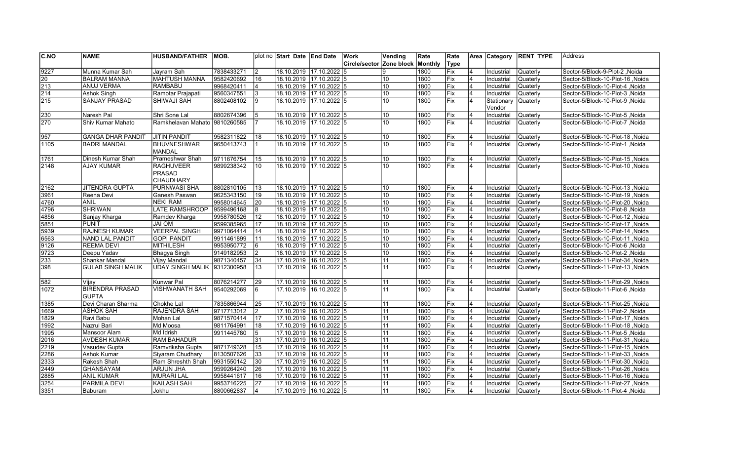| <b>C.NO</b>           | <b>NAME</b>                            | HUSBAND/FATHER  MOB.                  |                          |                       | plot no Start Date LEnd Date                       |                         | Work                             | Vending  | Rate         | Rate               |                     | Area Category            | <b>RENT TYPE</b>     | lAddress                                                                   |
|-----------------------|----------------------------------------|---------------------------------------|--------------------------|-----------------------|----------------------------------------------------|-------------------------|----------------------------------|----------|--------------|--------------------|---------------------|--------------------------|----------------------|----------------------------------------------------------------------------|
|                       |                                        |                                       |                          |                       |                                                    |                         | Circle/sector Zone block Monthly |          |              | Type               |                     |                          |                      |                                                                            |
| $\sqrt{9227}$         | Munna Kumar Sah                        | Jayram Sah                            | 7838433271               | <u> 2</u>             | 18.10.2019 17.10.2022 5                            |                         |                                  | 9        | 1800         | Fix                |                     | Industrial               | Quaterly             | Noida Sector-5/Block-9-Plot-2                                              |
| 20                    | IBALRAM MANNA                          | <b>MAHTUSH MANNA</b>                  | 9582420692               | 16                    | 18.10.2019 17.10.2022 5                            |                         |                                  | 10       | 1800         | Fix                |                     | Industrial               | Quaterly             | Noida Sector-5/Block-10-Plot-16                                            |
| $\sqrt{213}$          | <b>ANUJ VERMA</b>                      | <b>RAMBABU</b>                        | 9968420411               | 4                     | 18.10.2019 17.10.2022 5                            |                         |                                  | 10       | 1800         | Fix                | 4                   | Industrial               | Quaterly             | Sector-5/Block-10-Plot-4, Noida                                            |
| $\sqrt{214}$          | Ashok Singh                            | Ramotar Prajapati                     | 9560347551               | Iз                    | 18.10.2019 17.10.2022 5                            |                         |                                  | 10       | 1800         | Fix                | $\overline{4}$      | Industrial               | Quaterly             | Sector-5/Block-10-Plot-3, Noida                                            |
| 215                   | <b>SANJAY PRASAD</b>                   | SHIWAJI SAH                           | 8802408102               | Ι9                    |                                                    | 18.10.2019 17.10.2022 5 |                                  | 10       | 1800         | <b>Fix</b>         | $\overline{4}$      | Stationary               | <b>Quaterly</b>      | Sector-5/Block-10-Plot-9, Noida                                            |
|                       |                                        |                                       |                          |                       |                                                    |                         |                                  |          |              |                    |                     | Vendor                   |                      |                                                                            |
| 230                   | Naresh Pal                             | Shri Sone Lal                         | 8802674396               | 5                     | 18.10.2019 17.10.2022 5                            |                         |                                  | 10       | 1800         | Fix                | $\overline{4}$      | Industrial               | <b>Quaterly</b>      | Sector-5/Block-10-Plot-5, Noida                                            |
| 270                   | Shiv Kumar Mahato                      | Ramkhelavan Mahato 9810260585         |                          | 17                    |                                                    | 18.10.2019 17.10.2022 5 |                                  | 10       | 1800         | <b>Fix</b>         | $\overline{4}$      | Industrial               | <b>Quaterly</b>      | Sector-5/Block-10-Plot-7, Noida                                            |
|                       |                                        |                                       |                          |                       |                                                    |                         |                                  |          |              |                    |                     |                          |                      |                                                                            |
| $\sqrt{957}$          | <b>GANGA DHAR PANDIT</b>               | <b>JITIN PANDIT</b>                   | 9582311822               | 18                    | 18.10.2019 17.10.2022 5                            |                         |                                  | 10       | 1800         | Fix                | 4                   | Industrial               | Quaterly             | Sector-5/Block-10-Plot-18, Noida                                           |
| 1105                  | <b>BADRI MANDAL</b>                    | <b>BHUVNESHWAR</b>                    | 9650413743               |                       | 18.10.2019 17.10.2022 5                            |                         |                                  | 10       | 1800         | Fix                | 4                   | Industrial               | Quaterly             | Noida   Sector-5/Block-10-Plot-1                                           |
|                       |                                        | <b>MANDAL</b>                         |                          |                       |                                                    |                         |                                  |          |              |                    |                     |                          |                      |                                                                            |
| 1761                  | Dinesh Kumar Shah                      | Prameshwar Shah                       | 9711676754               | 15                    | 18.10.2019 17.10.2022 5                            |                         |                                  | 10       | 1800         | Fix                | 4                   | Industrial               | Quaterly             | Sector-5/Block-10-Plot-15 .Noida                                           |
| 2148                  | <b>AJAY KUMAR</b>                      | <b>RAGHUVEER</b>                      | 9899238342               | 10                    |                                                    | 18.10.2019 17.10.2022 5 |                                  | 10       | 1800         | Fix                | $\overline{4}$      | Industrial               | <b>Quaterly</b>      | Noida Sector-5/Block-10-Plot-10                                            |
|                       |                                        | <b>PRASAD</b>                         |                          |                       |                                                    |                         |                                  |          |              |                    |                     |                          |                      |                                                                            |
|                       |                                        | CHAUDHARY                             |                          |                       |                                                    |                         |                                  |          |              |                    |                     |                          |                      |                                                                            |
| 2162                  | <b>JITENDRA GUPTA</b>                  | <b>PURNWASI SHA</b>                   | 8802810105               | 13                    | 18.10.2019 17.10.2022 5                            |                         |                                  | 10       | 1800         | Fix                | $\overline{4}$      | Industrial               | <b>Quaterly</b>      | Sector-5/Block-10-Plot-13, Noida                                           |
| 3961                  | Reena Devi                             | Ganesh Paswan                         | 9625343150               | 19                    | 18.10.2019 17.10.2022 5                            |                         |                                  | 10       | 1800         | Fix                | 4                   | Industrial               | Quaterly             | Sector-5/Block-10-Plot-19, Noida                                           |
| 4760                  | <b>ANIL</b>                            | <b>NEKI RAM</b>                       | 9958014645               | 20                    | 18.10.2019 17.10.2022 5                            |                         |                                  | 10       | 1800         | Fix                |                     | Industrial               | <b>Quaterly</b>      | Noida Sector-5/Block-10-Plot-20                                            |
| 4796                  | <b>SHRIWAN</b>                         | <b>LATE RAMSHROOP</b>                 | 9599496168               | 8                     | 18.10.2019 17.10.2022 5                            |                         |                                  | 10       | 1800         | Fix                |                     | Industrial               | Quaterly             | Sector-5/Block-10-Plot-8, Noida                                            |
| 4856                  | Sanjay Kharga                          | Ramdev Kharga                         | 9958780526               | 12                    |                                                    | 18.10.2019 17.10.2022 5 |                                  | 10       | 1800         | Fix                | 4                   | Industrial               | Quaterly             | Sector-5/Block-10-Plot-12, Noida                                           |
| 5851                  | <b>PUNIT</b>                           | JAI OM                                | 9599385965               | 17                    | 18.10.2019 17.10.2022 5                            |                         |                                  | 10       | 1800         | Fix                | $\overline{4}$      | Industrial               | Quaterly             | Noida Sector-5/Block-10-Plot-17                                            |
| 5939                  | <b>RAJNESH KUMAR</b>                   | <b>VEERPAL SINGH</b>                  | 9971064414               | 14                    | 18.10.2019 17.10.2022 5                            |                         |                                  | 10       | 1800         | Fix                | 4                   | Industrial               | Quaterly             | Noida Noida -5/Block-10-Plot-14                                            |
| 6563                  | NAND LAL PANDIT                        | <b>GOPI PANDIT</b>                    | 9911461899               | 11                    | 18.10.2019 17.10.2022 5                            |                         |                                  | 10       | 1800         | Fix                | $\overline{4}$      | Industrial               | <b>Quaterly</b>      | Sector-5/Block-10-Plot-11, Noida                                           |
| 9126                  | <b>REEMA DEVI</b>                      | <b>MITHILESH</b>                      | 9953950772               |                       | 18.10.2019 17.10.2022 5                            |                         |                                  | 10       | 1800         | Fix                | 4                   | Industrial               | Quaterly             | Noida / Sector-5/Block-10-Plot-6                                           |
| $\sqrt{9723}$         | Deepu Yadav                            | <b>Bhagya Singh</b>                   | 9149182953               | $\overline{2}$        | 18.10.2019 17.10.2022 5                            |                         |                                  | 10       | 1800         | Fix                |                     | Industrial               | Quaterly             | Sector-5/Block-10-Plot-2, Noida                                            |
| 233                   | Shankar Mandal                         | Vijay Mandal                          | 9871340457               | 34                    | 17.10.2019 16.10.2022 5                            |                         |                                  | 11       | 1800         | Fix                | $\overline{4}$      | Industrial               | Quaterly             | Noida Noida -5/Block-11-Plot-34                                            |
| 398                   | <b>GULAB SINGH MALIK</b>               | UDAY SINGH MALIK 9312300958           |                          | 13                    | 17.10.2019 16.10.2022 5                            |                         |                                  | 11       | 1800         | Fix                | 4                   | Industrial               | Quaterly             | Noida Sector-5/Block-11-Plot-13, Noida                                     |
|                       |                                        |                                       |                          |                       |                                                    |                         |                                  |          |              |                    |                     |                          |                      |                                                                            |
| 582                   | Vijay                                  | Kunwar Pal                            | 8076214277               | 29                    | 17.10.2019 16.10.2022 5                            |                         |                                  | 11       | 1800         | Fix                | 4                   | Industrial               | Quaterly             | Sector-5/Block-11-Plot-29, Noida                                           |
| 1072                  | <b>BIRENDRA PRASAD</b>                 | <b>VISHWANATH SAH</b>                 | 9540292069               | 6                     | 17.10.2019 16.10.2022 5                            |                         |                                  | 11       | 1800         | Fix                | $\overline{4}$      | Industrial               | <b>Quaterly</b>      | Sector-5/Block-11-Plot-6, Noida                                            |
|                       | <b>GUPTA</b>                           |                                       |                          |                       |                                                    |                         |                                  |          |              |                    |                     |                          |                      |                                                                            |
| 1385                  | Devi Charan Sharma<br><b>ASHOK SAH</b> | Chokhe Lal                            | 7835866944               | 25                    | 17.10.2019 16.10.2022 5                            |                         |                                  | 11<br>11 | 1800<br>1800 | Fix                | 4<br>4              | Industrial               | <b>Quaterly</b>      | Sector-5/Block-11-Plot-25, Noida                                           |
| 1669                  |                                        | RAJENDRA SAH                          | 9717713012               | 12                    | 17.10.2019 16.10.2022 5                            |                         |                                  |          |              | Fix                | 4                   | Industrial               | Quaterly             | Noida Sector-5/Block-11-Plot-2                                             |
| 1829                  | Ravi Babu<br>Nazrul Bari               | Mohan Lal<br>Md Moosa                 | 9871570414<br>9811764991 | 17<br>$\overline{18}$ | 17.10.2019 16.10.2022 5<br>17.10.2019 16.10.2022 5 |                         |                                  | 11       | 1800<br>1800 | <b>IFix</b><br>Fix | 4                   | Industrial<br>Industrial | Quaterly<br>Quaterly | Noida Sector-5/Block-11-Plot-17, Noida                                     |
| 1992<br>1995          |                                        |                                       | 9911445780               |                       | 17.10.2019 16.10.2022 5                            |                         |                                  | 11<br>11 | 1800         | Fix                |                     |                          |                      | Sector-5/Block-11-Plot-18, Noida                                           |
|                       | Mansoor Alam                           | Md Idrish<br><b>RAM BAHADUR</b>       |                          | 5                     |                                                    |                         |                                  |          |              |                    | 4                   | Industrial               | Quaterly             | Sector-5/Block-11-Plot-5, Noida                                            |
| 2016                  | <b>AVDESH KUMAR</b>                    | Ramvriksha Gupta                      | 9871749328               | 31<br>15              | 17.10.2019 16.10.2022 5<br>17.10.2019 16.10.2022 5 |                         |                                  | 11<br>11 | 1800<br>1800 | Fix<br>Fix         | $\overline{4}$      | Industrial<br>Industrial | Quaterly             | Noida Sector-5/Block-11-Plot-31, Noida                                     |
| 2219                  | Vasudev Gupta                          |                                       |                          |                       |                                                    |                         |                                  |          |              |                    |                     |                          | Quaterly             | Sector-5/Block-11-Plot-15, Noida                                           |
| 2286                  | Ashok Kumar                            | Siyaram Chudhary                      | 8130507626               | 33                    | 17.10.2019 16.10.2022 5                            |                         |                                  | 11<br>11 | 1800         | Fix                | $\overline{4}$<br>4 | Industrial               | Quaterly             | Noida   Sector-5/Block-11-Plot-33, Noida                                   |
| 2333                  | Rakesh Shah                            | Ram Shreshth Shah                     | 9931550142               | 30                    | 17.10.2019 16.10.2022 5                            |                         |                                  |          | 1800         | Fix <br>Fix        | 4                   | Industrial               | Quaterly             | Sector-5/Block-11-Plot-30, Noida                                           |
| $\sqrt{2449}$<br>2885 | GHANSAYAM<br><b>ANIL KUMAR</b>         | <b>ARJUN JHA</b><br><b>MURARI LAL</b> | 9599264240<br>9958441617 | 26<br>16              | 17.10.2019 16.10.2022 5<br>17.10.2019 16.10.2022 5 |                         |                                  | 11<br>11 | 1800<br>1800 | Fix                |                     | Industrial<br>Industrial | Quaterly<br>Quaterly | Sector-5/Block-11-Plot-26, Noida<br>Noida Sector-5/Block-11-Plot-16, Noida |
| 3254                  | <b>PARMILA DEVI</b>                    | <b>KAILASH SAH</b>                    | 9953716225               | 27                    | 17.10.2019 16.10.2022 5                            |                         |                                  | 11       | 1800         | Fix                | 4                   | Industrial               | <b>Quaterly</b>      | Sector-5/Block-11-Plot-27, Noida                                           |
|                       |                                        | Jokhu                                 | 8800662837               | $\overline{4}$        | 17.10.2019 16.10.2022 5                            |                         |                                  | 11       | 1800         | lFix.              | $\overline{4}$      | Industrial               |                      | Noida   Sector-5/Block-11-Plot-4                                           |
| 3351                  | Baburam                                |                                       |                          |                       |                                                    |                         |                                  |          |              |                    |                     |                          | <b>Quaterly</b>      |                                                                            |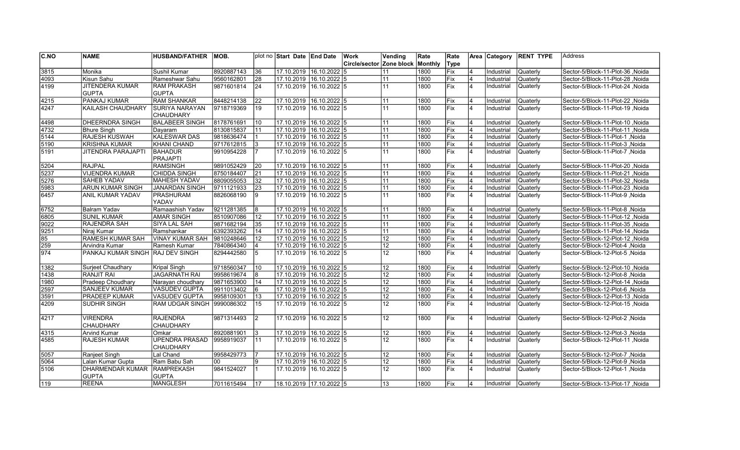| C.NO          | <b>NAME</b>                      | <b>HUSBAND/FATHER</b>  | IMOB.      |                 | plot no Start Date End Date |                         | Work                            | Vending         | Rate    | Rate        |                | Area Category | <b>RENT TYPE</b> | Address                          |
|---------------|----------------------------------|------------------------|------------|-----------------|-----------------------------|-------------------------|---------------------------------|-----------------|---------|-------------|----------------|---------------|------------------|----------------------------------|
|               |                                  |                        |            |                 |                             |                         | <b>Circle/sector Zone block</b> |                 | Monthly | Type        |                |               |                  |                                  |
| 3815          | Monika                           | Sushil Kumar           | 8920887143 | 36              |                             | 17.10.2019 16.10.2022 5 |                                 | 11              | 1800    | Fix         |                | Industrial    | Quaterly         | Sector-5/Block-11-Plot-36, Noida |
| 4093          | Kisun Sahu                       | Rameshwar Sahu         | 9560162801 | 28              |                             | 17.10.2019 16.10.2022 5 |                                 | 11              | 1800    | Fix         | 4              | Industrial    | Quaterly         | Sector-5/Block-11-Plot-28, Noida |
| 4199          | <b>JITENDERA KUMAR</b>           | <b>RAM PRAKASH</b>     | 9871601814 | 24              |                             | 17.10.2019 16.10.2022 5 |                                 | 11              | 1800    | Fix         | 4              | Industrial    | Quaterly         | Sector-5/Block-11-Plot-24, Noida |
|               | <b>GUPTA</b>                     | <b>GUPTA</b>           |            |                 |                             |                         |                                 |                 |         |             |                |               |                  |                                  |
| 4215          | <b>PANKAJ KUMAR</b>              | <b>RAM SHANKAR</b>     | 8448214138 | $\overline{22}$ | 17.10.2019                  | $16.10.2022$ 5          |                                 | 11              | 1800    | Fix         | $\overline{4}$ | Industrial    | Quaterly         | Sector-5/Block-11-Plot-22, Noida |
| 4247          | <b>KAILASH CHAUDHARY</b>         | <b>SURIYA NARAYAN</b>  | 9718719369 | 19              |                             | 17.10.2019 16.10.2022 5 |                                 | 11              | 1800    | <b>IFix</b> | $\overline{4}$ | Industrial    | Quaterly         | Sector-5/Block-11-Plot-19, Noida |
|               |                                  | <b>CHAUDHARY</b>       |            |                 |                             |                         |                                 |                 |         |             |                |               |                  |                                  |
| 4498          | <b>DHEERNDRA SINGH</b>           | <b>BALABEER SINGH</b>  | 8178761691 | 10              | 17.10.2019  16.10.2022  5   |                         |                                 | 11              | 1800    | Fix         | $\overline{4}$ | Industrial    | <b>Quaterly</b>  | Noida Sector-5/Block-11-Plot-10  |
| 4732          | <b>Bhure Singh</b>               | Davaram                | 8130815837 | 11              |                             | 17.10.2019 16.10.2022 5 |                                 | 11              | 1800    | Fix         | 4              | Industrial    | Quaterly         | Sector-5/Block-11-Plot-11 .Noida |
| $\sqrt{5144}$ | <b>RAJESH KUSWAH</b>             | <b>KALESWAR DAS</b>    | 9818636474 | 11              |                             | 17.10.2019 16.10.2022 5 |                                 | 11              | 1800    | Fix         | 4              | Industrial    | Quaterly         | Sector-5/Block-11-Plot-1, Noida  |
| 5190          | <b>KRISHNA KUMAR</b>             | <b>KHANI CHAND</b>     | 9717612815 | l3              | 17.10.2019                  | 16.10.2022 5            |                                 | 11              | 1800    | Fix         | $\overline{4}$ | Industrial    | Quaterly         | Sector-5/Block-11-Plot-3, Noida  |
| 5191          | <b>JITENDRA PARAJAPTI</b>        | <b>BAHADUR</b>         | 9910954228 | 17              | 17.10.2019                  | $16.10.2022$ 5          |                                 | 11              | 1800    | Fix         | $\overline{4}$ | Industrial    | Quaterly         | Sector-5/Block-11-Plot-7, Noida  |
|               |                                  | <b>PRAJAPTI</b>        |            |                 |                             |                         |                                 |                 |         |             |                |               |                  |                                  |
| 5204          | <b>RAJPAL</b>                    | <b>RAMSINGH</b>        | 9891052429 | 20              | 17.10.2019                  | 16.10.2022 5            |                                 | 11              | 1800    | Fix         | 4              | Industrial    | Quaterly         | Sector-5/Block-11-Plot-20, Noida |
| 5237          | <b>VIJENDRA KUMAR</b>            | CHIDDA SINGH           | 8750184407 | 21              |                             | 17.10.2019 16.10.2022 5 |                                 | 11              | 1800    | Fix         | $\overline{4}$ | Industrial    | Quaterly         | Sector-5/Block-11-Plot-21, Noida |
| 5276          | <b>SAHEB YADAV</b>               | MAHESH YADAV           | 8809055053 | 32              |                             | 17.10.2019 16.10.2022 5 |                                 | 11              | 1800    | Fix         | $\overline{4}$ | Industrial    | Quaterly         | Sector-5/Block-11-Plot-32, Noida |
| 5983          | <b>ARUN KUMAR SINGH</b>          | JANARDAN SINGH         | 9711121933 | $\overline{23}$ | 17.10.2019                  | $16.10.2022$ 5          |                                 | 11              | 1800    | Fix         | 4              | Industrial    | Quaterly         | Sector-5/Block-11-Plot-23, Noida |
| 6457          | <b>ANIL KUMAR YADAV</b>          | PRASHURAM              | 8826068190 | l9              | 17.10.2019                  | $16.10.2022$ 5          |                                 | 11              | 1800    | Fix         | $\overline{4}$ | Industrial    | Quaterly         | Sector-5/Block-11-Plot-9, Noida  |
|               |                                  | YADAV                  |            |                 |                             |                         |                                 |                 |         |             |                |               |                  |                                  |
| 6752          | <b>Balram Yadav</b>              | Ramaashish Yadav       | 9211281385 | 8               | 17.10.2019                  | 16.10.2022 5            |                                 | 11              | 1800    | Fix         | $\overline{4}$ | Industrial    | Quaterly         | Sector-5/Block-11-Plot-8, Noida  |
| 6805          | <b>SUNIL KUMAR</b>               | <b>AMAR SINGH</b>      | 8510907086 | $\overline{12}$ | 17.10.2019 16.10.2022 5     |                         |                                 | 11              | 1800    | Fix         | 4              | Industrial    | Quaterly         | Sector-5/Block-11-Plot-12 .Noida |
| 9022          | <b>RAJENDRA SAH</b>              | <b>SIYA LAL SAH</b>    | 9871682194 | 35              | 17.10.2019                  | $16.10.2022$ 5          |                                 | 11              | 1800    | Fix         |                | Industrial    | Quaterly         | Sector-5/Block-11-Plot-35, Noida |
| 9251          | Niraj Kumar                      | Ramshankar             | 6392393262 | 14              |                             | 17.10.2019 16.10.2022 5 |                                 | 11              | 1800    | Fix         |                | Industrial    | Quaterly         | Sector-5/Block-11-Plot-14, Noida |
| 85            | <b>RAMESH KUMAR SAH</b>          | <b>VINAY KUMAR SAH</b> | 9810248646 | 12              | 17.10.2019 16.10.2022 5     |                         |                                 | 12              | 1800    | Fix         | 4              | Industrial    | Quaterly         | Sector-5/Block-12-Plot-12, Noida |
| 259           | Arvindra Kumar                   | Ramesh Kumar           | 7840864340 | 4               | 17.10.2019                  | $16.10.2022$ 5          |                                 | 12              | 1800    | Fix         | 4              | Industrial    | Quaterly         | Sector-5/Block-12-Plot-4, Noida  |
| $\sqrt{974}$  | PANKAJ KUMAR SINGH RAJ DEV SINGH |                        | 8294442580 | 5               |                             | 17.10.2019 16.10.2022 5 |                                 | $\overline{12}$ | 1800    | Fix         | $\overline{4}$ | Industrial    | Quaterly         | Sector-5/Block-12-Plot-5, Noida  |
|               |                                  |                        |            |                 |                             |                         |                                 |                 |         |             |                |               |                  |                                  |
| 1382          | Surjeet Chaudhary                | Kripal Singh           | 9718560347 | 10              |                             | 17.10.2019 16.10.2022 5 |                                 | 12              | 1800    | Fix         | $\overline{4}$ | Industrial    | Quaterly         | Sector-5/Block-12-Plot-10, Noida |
| 1438          | <b>RANJIT RAI</b>                | <b>JAGARNATH RAI</b>   | 9958619674 | 8               |                             | 17.10.2019 16.10.2022 5 |                                 | 12 <sup>2</sup> | 1800    | Fix         |                | Industrial    | Quaterly         | Sector-5/Block-12-Plot-8, Noida  |
| 1980          | Pradeep Choudhary                | Narayan choudhary      | 9871653900 | 14              | 17.10.2019 16.10.2022 5     |                         |                                 | 12              | 1800    | Fix         | 4              | Industrial    | Quaterly         | Sector-5/Block-12-Plot-14 .Noida |
| 2597          | <b>SANJEEV KUMAR</b>             | VASUDEV GUPTA          | 9911013402 | 6               |                             | 17.10.2019 16.10.2022 5 |                                 | $\overline{12}$ | 1800    | Fix         |                | Industrial    | Quaterly         | Sector-5/Block-12-Plot-6, Noida  |
| 3591          | <b>PRADEEP KUMAR</b>             | <b>VASUDEV GUPTA</b>   | 9958109301 | $\overline{13}$ | 17.10.2019                  | $16.10.2022$ 5          |                                 | 12 <sup>°</sup> | 1800    | Fix         | 4              | Industrial    | Quaterly         | Sector-5/Block-12-Plot-13, Noida |
| 4209          | <b>SUDHIR SINGH</b>              | RAM UDGAR SINGH        | 9990086302 | 15              |                             | 17.10.2019 16.10.2022 5 |                                 | 12              | 1800    | Fix         | $\overline{4}$ | Industrial    | Quaterly         | Sector-5/Block-12-Plot-15, Noida |
|               |                                  |                        |            |                 |                             |                         |                                 |                 |         |             |                |               |                  |                                  |
| 4217          | <b>VIRENDRA</b>                  | RAJENDRA               | 9871314493 | $ 2\rangle$     | 17.10.2019                  | $16.10.2022$ 5          |                                 | 12              | 1800    | Fix         | $\overline{4}$ | Industrial    | Quaterly         | Sector-5/Block-12-Plot-2, Noida  |
|               | <b>CHAUDHARY</b>                 | <b>CHAUDHARY</b>       |            |                 |                             |                         |                                 |                 |         |             |                |               |                  |                                  |
| 4315          | Arvind Kumar                     | Omkar                  | 8920881901 | l3              | 17.10.2019                  | 16.10.2022 5            |                                 | 12 <sup>°</sup> | 1800    | Fix         | $\overline{4}$ | Industrial    | Quaterly         | Sector-5/Block-12-Plot-3, Noida  |
| 4585          | <b>RAJESH KUMAR</b>              | <b>UPENDRA PRASAD</b>  | 9958919037 | l 11            | 17.10.2019                  | 16.10.2022  5           |                                 | 12 <sup>2</sup> | 1800    | lFix.       | $\overline{4}$ | Industrial    | Quaterly         | Sector-5/Block-12-Plot-11, Noida |
|               |                                  | <b>CHAUDHARY</b>       |            |                 |                             |                         |                                 |                 |         |             |                |               |                  |                                  |
| 5057          | Ranjeet Singh                    | Lal Chand              | 9958429773 | 17              |                             | 17.10.2019 16.10.2022 5 |                                 | $\overline{12}$ | 1800    | Fix         | $\overline{4}$ | Industrial    | Quaterly         | Sector-5/Block-12-Plot-7, Noida  |
| 5064          | Lalan Kumar Gupta                | Ram Babu Sah           | 00         | Ι9              | 17.10.2019                  | $16.10.2022$ 5          |                                 | 12 <sup>°</sup> | 1800    | Fix         | $\overline{4}$ | Industrial    | Quaterly         | Sector-5/Block-12-Plot-9, Noida  |
| 5106          | <b>DHARMENDAR KUMAR</b>          | RAMPREKASH             | 9841524027 | $\vert$ 1       |                             | 17.10.2019 16.10.2022 5 |                                 | 12 <sup>°</sup> | 1800    | Fix         | $\overline{4}$ | Industrial    | Quaterly         | Sector-5/Block-12-Plot-1, Noida  |
|               | <b>GUPTA</b>                     | <b>GUPTA</b>           |            |                 |                             |                         |                                 |                 |         |             |                |               |                  |                                  |
| 119           | <b>REENA</b>                     | MANGLESH               | 7011615494 | 117             |                             | 18.10.2019 17.10.2022 5 |                                 | 13              | 1800    | lFix.       |                | Industrial    | <b>Quaterly</b>  | Sector-5/Block-13-Plot-17, Noida |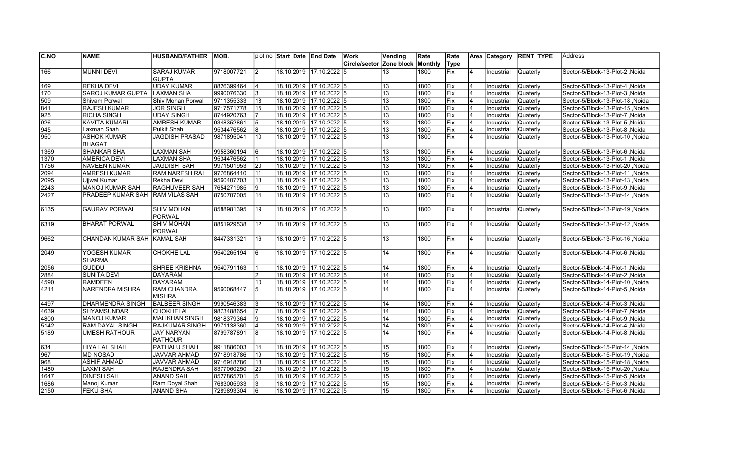| C.NO | <b>NAME</b>                   | <b>HUSBAND/FATHER</b>        | MOB.       |                 | plot no Start Date End Date |                         | <b>Work</b>              | Vending         | Rate    | Rate |                | Area Category | <b>RENT TYPE</b> | Address                                  |
|------|-------------------------------|------------------------------|------------|-----------------|-----------------------------|-------------------------|--------------------------|-----------------|---------|------|----------------|---------------|------------------|------------------------------------------|
|      |                               |                              |            |                 |                             |                         | Circle/sector Zone block |                 | Monthly | Type |                |               |                  |                                          |
| 166  | <b>MUNNI DEVI</b>             | <b>SARAJ KUMAR</b>           | 9718007721 | 2               |                             | 18.10.2019 17.10.2022 5 |                          | 13              | 1800    | Fix  | 4              | Industrial    | Quaterly         | Sector-5/Block-13-Plot-2, Noida          |
|      |                               | GUPTA                        |            |                 |                             |                         |                          |                 |         |      |                |               |                  |                                          |
| 169  | <b>REKHA DEVI</b>             | <b>UDAY KUMAR</b>            | 8826399464 | 4               | 18.10.2019 17.10.2022 5     |                         |                          | 13              | 1800    | Fix  | $\overline{4}$ | Industrial    | Quaterly         | Noida / Sector-5/Block-13-Plot-4         |
| 170  | SAROJ KUMAR GUPTA             | <b>LAXMAN SHA</b>            | 9990076330 | 3               | 18.10.2019 17.10.2022 5     |                         |                          | 13              | 1800    | Fix  | 4              | Industrial    | Quaterly         | Sector-5/Block-13-Plot-3, Noida          |
| 509  | Shivam Porwal                 | Shiv Mohan Porwal            | 9711355333 | 18              | 18.10.2019  17.10.2022  5   |                         |                          | 13              | 1800    | Fix  | 4              | Industrial    | Quaterly         | Sector-5/Block-13-Plot-18, Noida         |
| 841  | <b>RAJESH KUMAR</b>           | <b>JOR SINGH</b>             | 9717571778 | 15              | 18.10.2019 17.10.2022 5     |                         |                          | 13              | 1800    | Fix  | 4              | Industrial    | Quaterly         | Noida Sector-5/Block-13-Plot-15          |
| 925  | <b>RICHA SINGH</b>            | UDAY SINGH                   | 8744920763 | 17              | 18.10.2019 17.10.2022 5     |                         |                          | 13              | 1800    | Fix  | $\overline{4}$ | Industrial    | Quaterly         | Sector-5/Block-13-Plot-7, Noida          |
| 926  | <b>KAVITA KUMARI</b>          | <b>AMRESH KUMAR</b>          | 9348352861 | 5               | 18.10.2019 17.10.2022 5     |                         |                          | 13              | 1800    | Fix  | 4              | Industrial    | Quaterly         | Sector-5/Block-13-Plot-5, Noida          |
| 945  | Laxman Shah                   | Pulkit Shah                  | 9534476562 | 8               | 18.10.2019 17.10.2022 5     |                         |                          | $\overline{13}$ | 1800    | Fix  | $\overline{4}$ | Industrial    | Quaterly         | Sector-5/Block-13-Plot-8, Noida          |
| 950  | <b>ASHOK KUMAR</b>            | <b>JAGDISH PRASAD</b>        | 9871895041 | 10              |                             | 18.10.2019 17.10.2022 5 |                          | 13              | 1800    | Fix  | 14             | Industrial    | Quaterly         | Sector-5/Block-13-Plot-10, Noida         |
|      | <b>BHAGAT</b>                 |                              |            |                 |                             |                         |                          |                 |         |      |                |               |                  |                                          |
| 1369 | <b>SHANKAR SHA</b>            | <b>LAXMAN SAH</b>            | 9958360194 | 16              | 18.10.2019 17.10.2022 5     |                         |                          | 13              | 1800    | Fix  | $\overline{4}$ | Industrial    | Quaterly         | Sector-5/Block-13-Plot-6, Noida          |
| 1370 | <b>AMERICA DEVI</b>           | LAXMAN SHA                   | 9534476562 |                 | 18.10.2019  17.10.2022  5   |                         |                          | 13              | 1800    | Fix  | $\overline{4}$ | Industrial    | <b>Quaterly</b>  | Sector-5/Block-13-Plot-1 .Noida          |
| 1756 | <b>NAVEEN KUMAR</b>           | JAGDISH SAH                  | 9971501953 | 20              | 18.10.2019 17.10.2022 5     |                         |                          | 13              | 1800    | Fix  | $\overline{4}$ | Industrial    | <b>Quaterly</b>  | Sector-5/Block-13-Plot-20, Noida         |
| 2094 | <b>AMRESH KUMAR</b>           | <b>RAM NARESH RAI</b>        | 9776864410 | 11              | 18.10.2019 17.10.2022 5     |                         |                          | 13              | 1800    | Fix  | $\overline{4}$ | Industrial    | Quaterly         | Sector-5/Block-13-Plot-11, Noida         |
| 2095 | <b>Ujiwal Kumar</b>           | Rekha Devi                   | 9560407703 | 13              | 18.10.2019  17.10.2022  5   |                         |                          | $\overline{13}$ | 1800    | Fix  | 4              | Industrial    | <b>Quaterly</b>  | Sector-5/Block-13-Plot-13, Noida         |
| 2243 | MANOJ KUMAR SAH               | RAGHUVEER SAH                | 7654271985 | 9               | 18.10.2019 17.10.2022 5     |                         |                          | 13              | 1800    | Fix  | 4              | Industrial    | Quaterly         | Sector-5/Block-13-Plot-9, Noida          |
| 2427 | PRADEEP KUMAR SAH             | <b>RAM VILAS SAH</b>         | 8750707005 | 14              | 18.10.2019  17.10.2022  5   |                         |                          | 13              | 1800    | Fix  | 4              | Industrial    | Quaterly         | Noida   Sector-5/Block-13-Plot-14, Noida |
| 6135 | <b>GAURAV PORWAL</b>          | <b>SHIV MOHAN</b><br>PORWAL  | 8588981395 | 19              | 18.10.2019                  | $17.10.2022$ 5          |                          | 13              | 1800    | Fix  | 4              | Industrial    | Quaterly         | Sector-5/Block-13-Plot-19, Noida         |
| 6319 | <b>BHARAT PORWAL</b>          | <b>SHIV MOHAN</b><br>PORWAL  | 8851929538 | 12 <sup>2</sup> | 18.10.2019 17.10.2022 5     |                         |                          | 13              | 1800    | Fix  | 4              | Industrial    | Quaterly         | Sector-5/Block-13-Plot-12, Noida         |
| 9662 | CHANDAN KUMAR SAH KAMAL SAH   |                              | 8447331321 | 16              | 18.10.2019  17.10.2022  5   |                         |                          | 13              | 1800    | Fix  | $\overline{4}$ | Industrial    | Quaterly         | Noida Sector-5/Block-13-Plot-16          |
| 2049 | YOGESH KUMAR<br><b>SHARMA</b> | <b>CHOKHE LAL</b>            | 9540265194 | 16              | 18.10.2019 17.10.2022 5     |                         |                          | 14              | 1800    | Fix  | 4              | Industrial    | <b>Quaterly</b>  | Sector-5/Block-14-Plot-6, Noida          |
| 2056 | <b>GUDDU</b>                  | <b>SHREE KRISHNA</b>         | 9540791163 |                 | 18.10.2019 17.10.2022 5     |                         |                          | 14              | 1800    | Fix  | 14             | Industrial    | Quaterly         | Sector-5/Block-14-Plot-1, Noida          |
| 2884 | <b>SUNITA DEVI</b>            | <b>DAYARAM</b>               |            | 2               | 18.10.2019 17.10.2022 5     |                         |                          | 14              | 1800    | Fix  | 4              | Industrial    | <b>Quaterly</b>  | Sector-5/Block-14-Plot-2, Noida          |
| 4590 | <b>RAMDEEN</b>                | DAYARAM                      |            | 10              | 18.10.2019 17.10.2022 5     |                         |                          | 14              | 1800    | Fix  | 4              | Industrial    | Quaterly         | Sector-5/Block-14-Plot-10, Noida         |
| 4211 | NARENDRA MISHRA               | <b>RAM CHANDRA</b><br>MISHRA | 9560068447 | 5               | 18.10.2019 17.10.2022 5     |                         |                          | 14              | 1800    | Fix  | 4              | Industrial    | Quaterly         | Sector-5/Block-14-Plot-5, Noida          |
| 4497 | <b>DHARMENDRA SINGH</b>       | <b>BALBEER SINGH</b>         | 9990546383 | 3               | 18.10.2019 17.10.2022 5     |                         |                          | 14              | 1800    | Fix  | 4              | Industrial    | Quaterly         | Sector-5/Block-14-Plot-3, Noida          |
| 4639 | <b>SHYAMSUNDAR</b>            | <b>CHOKHELAL</b>             | 9873488654 | 17              | 18.10.2019 17.10.2022 5     |                         |                          | 14              | 1800    | Fix  | $\overline{4}$ | Industrial    | Quaterly         | Sector-5/Block-14-Plot-7, Noida          |
| 4800 | <b>MANOJ KUMAR</b>            | MALIKHAN SINGH               | 9818379364 | 9               | 18.10.2019 17.10.2022 5     |                         |                          | 14              | 1800    | Fix  | $\overline{4}$ | Industrial    | Quaterly         | Sector-5/Block-14-Plot-9 Noida           |
| 5142 | RAM DAYAL SINGH               | <b>RAJKUMAR SINGH</b>        | 9971138360 | $\overline{4}$  | 18.10.2019 17.10.2022 5     |                         |                          | 14              | 1800    | Fix  | $\overline{4}$ | Industrial    | <b>Quaterly</b>  | Noida / Sector-5/Block-14-Plot-4         |
| 5189 | <b>UMESH RATHOUR</b>          | <b>JAY NARYAN</b><br>RATHOUR | 8799787891 | 8               | 18.10.2019  17.10.2022  5   |                         |                          | $\overline{14}$ | 1800    | Fix  | $\overline{4}$ | Industrial    | Quaterly         | Sector-5/Block-14-Plot-8, Noida          |
| 634  | <b>HIYA LAL SHAH</b>          | <b>PATHALU SHAH</b>          | 9911886003 | 14              | 18.10.2019 17.10.2022 5     |                         |                          | 15              | 1800    | Fix  | 4              | Industrial    | Quaterly         | Noida   Sector-5/Block-15-Plot-14        |
| 967  | <b>MD NOSAD</b>               | <b>JAVVAR AHMAD</b>          | 9718918786 | 19              | 18.10.2019 17.10.2022 5     |                         |                          | 15              | 1800    | Fix  | $\overline{4}$ | Industrial    | Quaterly         | Sector-5/Block-15-Plot-19, Noida         |
| 968  | <b>ASHIF AHMAD</b>            | <b>JAVVAR AHMAD</b>          | 9716918786 | 18              | 18.10.2019  17.10.2022  5   |                         |                          | $\overline{15}$ | 1800    | Fix  | 14             | Industrial    | Quaterly         | Noida / Sector-5/Block-15-Plot-18        |
| 1480 | <b>LAXMI SAH</b>              | <b>RAJENDRA SAH</b>          | 8377060250 | 20              | 18.10.2019  17.10.2022  5   |                         |                          | 15              | 1800    | Fix  | 4              | Industrial    | Quaterly         | Noida / Sector-5/Block-15-Plot-20        |
| 1647 | <b>DINESH SAH</b>             | <b>ANAND SAH</b>             | 8527865701 | 5               | 18.10.2019 17.10.2022 5     |                         |                          | $\overline{15}$ | 1800    | Fix  | $\overline{4}$ | Industrial    | Quaterly         | Sector-5/Block-15-Plot-5, Noida          |
| 1686 | Manoj Kumar                   | Ram Doyal Shah               | 7683005933 | l3              | 18.10.2019 17.10.2022 5     |                         |                          | 15              | 1800    | Fix  | 4              | Industrial    | Quaterly         | Sector-5/Block-15-Plot-3, Noida          |
| 2150 | <b>FEKU SHA</b>               | ANAND SHA                    | 7289893304 | 6               | 18.10.2019  17.10.2022  5   |                         |                          | 15              | 1800    | Fix  | 4              | Industrial    | <b>Quaterly</b>  | Noida / Sector-5/Block-15-Plot-6         |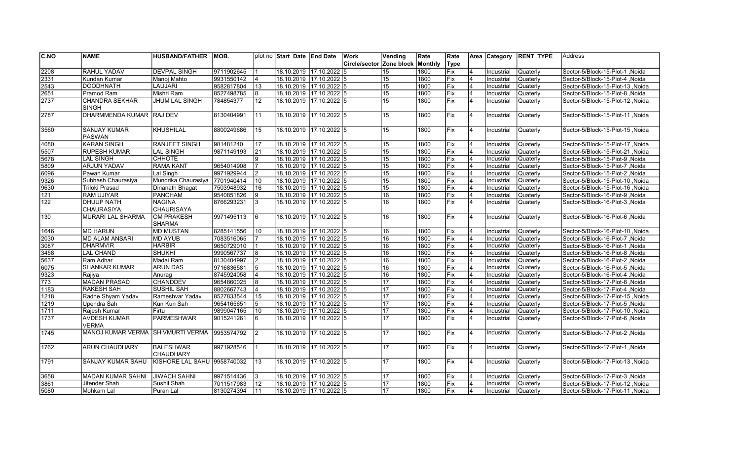| C.NO          | <b>NAME</b>                          | <b>HUSBAND/FATHER</b>          | IMOB.      |                | plot no Start Date End Date |                          | Work                     | Vending          | Rate    | Rate        |                | Area Category | <b>RENT TYPE</b> | lAddress                         |
|---------------|--------------------------------------|--------------------------------|------------|----------------|-----------------------------|--------------------------|--------------------------|------------------|---------|-------------|----------------|---------------|------------------|----------------------------------|
|               |                                      |                                |            |                |                             |                          | Circle/sector Zone block |                  | Monthly | <b>Type</b> |                |               |                  |                                  |
| 2208          | <b>RAHUL YADAV</b>                   | <b>DEVPAL SINGH</b>            | 9711902645 |                |                             | 18.10.2019 17.10.2022 5  |                          | 15               | 1800    | Fix         |                | Industrial    | Quaterly         | Sector-5/Block-15-Plot-1, Noida  |
| 2331          | Kundan Kumar                         | Manoj Mahto                    | 9931550142 | $\overline{4}$ |                             | 18.10.2019 17.10.2022 5  |                          | 15               | 1800    | Fix         |                | Industrial    | Quaterly         | Sector-5/Block-15-Plot-4 .Noida  |
| 2543          | <b>DOODHNATH</b>                     | <b>LAUJARI</b>                 | 9582817804 | 13             |                             | 18.10.2019 17.10.2022 5  |                          | 15               | 1800    | Fix         |                | Industrial    | Quaterly         | Sector-5/Block-15-Plot-13, Noida |
| 2651          | Pramod Ram                           | Mishri Ram                     | 8527498785 | 8              |                             | 18.10.2019 17.10.2022 5  |                          | 15               | 1800    | Fix         | 4              | Industrial    | Quaterly         | Sector-5/Block-15-Plot-8, Noida  |
| 2737          | <b>CHANDRA SEKHAR</b>                | <b>JHUM LAL SINGH</b>          | 784854377  | 12             |                             | 18.10.2019 17.10.2022 l5 |                          | 15               | 1800    | Fix         | $\overline{4}$ | Industrial    | Quaterly         | Sector-5/Block-15-Plot-12, Noida |
|               | <b>SINGH</b>                         |                                |            |                |                             |                          |                          |                  |         |             |                |               |                  |                                  |
| 2787          | DHARMMENDA KUMAR RAJ DEV             |                                | 8130404991 | 111            |                             | 18.10.2019 17.10.2022 5  |                          | 15 <sup>15</sup> | 1800    | Fix         | 4              | Industrial    | Quaterly         | Sector-5/Block-15-Plot-11, Noida |
| 3560          | <b>SANJAY KUMAR</b><br><b>PASWAN</b> | KHUSHILAL                      | 8800249686 | 15             |                             | 18.10.2019 17.10.2022 5  |                          | 15               | 1800    | lFix        | $\overline{4}$ | Industrial    | Quaterly         | Sector-5/Block-15-Plot-15, Noida |
| 4080          | <b>KARAN SINGH</b>                   | <b>RANJEET SINGH</b>           | 981481240  | 17             |                             | 18.10.2019 17.10.2022 5  |                          | 15               | 1800    | Fix         | 4              | Industrial    | Quaterly         | Sector-5/Block-15-Plot-17, Noida |
| 5507          | <b>RUPESH KUMAR</b>                  | <b>LAL SINGH</b>               | 9871149193 | 21             |                             | 18.10.2019 17.10.2022 5  |                          | 15               | 1800    | Fix         |                | Industrial    | Quaterly         | Sector-5/Block-15-Plot-21, Noida |
| 5678          | <b>LAL SINGH</b>                     | <b>CHHOTE</b>                  |            |                | 18.10.2019 17.10.2022 5     |                          |                          | 15               | 1800    | Fix         |                | Industrial    | Quaterly         | Sector-5/Block-15-Plot-9, Noida  |
| 5809          | <b>ARJUN YADAV</b>                   | <b>RAMA KANT</b>               | 9654014908 | $\overline{7}$ |                             | 18.10.2019 17.10.2022 5  |                          | 15               | 1800    | Fix         |                | Industrial    | Quaterly         | Sector-5/Block-15-Plot-7, Noida  |
| 6096          | Pawan Kumar                          | Lal Singh                      | 9971929944 |                |                             | 18.10.2019 17.10.2022 5  |                          | 15               | 1800    | Fix         |                | Industrial    | Quaterly         | Sector-5/Block-15-Plot-2, Noida  |
| 9326          | Subhash Chaurasiya                   | Mundrika Chaurasiya 7701940414 |            | 10             |                             | 18.10.2019 17.10.2022 5  |                          | 15               | 1800    | Fix         | $\overline{4}$ | Industrial    | Quaterly         | Sector-5/Block-15-Plot-10, Noida |
| 9630          | Triloki Prasad                       | Dinanath Bhagat                | 7503948932 | 16             |                             | 18.10.2019 17.10.2022 5  |                          | 15               | 1800    | Fix         | $\overline{4}$ | Industrial    | Quaterly         | Sector-5/Block-15-Plot-16, Noida |
| 121           | <b>RAM UJIYAR</b>                    | <b>PANCHAM</b>                 | 9540851826 | 9              |                             | 18.10.2019 17.10.2022 5  |                          | 16               | 1800    | Fix         |                | Industrial    | Quaterly         | Sector-5/Block-16-Plot-9, Noida  |
| $\sqrt{122}$  | <b>DHUUP NATH</b>                    | NAGINA                         | 8766293231 | 3              |                             | 18.10.2019 17.10.2022 5  |                          | 16               | 1800    | Fix         | $\overline{4}$ | Industrial    | Quaterly         | Sector-5/Block-16-Plot-3, Noida  |
|               | <b>CHAURASIYA</b>                    | <b>CHAURISAYA</b>              |            |                |                             |                          |                          |                  |         |             |                |               |                  |                                  |
| $\sqrt{130}$  | MURARI LAL SHARMA                    | OM PRAKESH                     | 9971495113 | 6              |                             | 18.10.2019 17.10.2022 5  |                          | 16               | 1800    | Fix         | 4              | Industrial    | Quaterly         | Sector-5/Block-16-Plot-6, Noida  |
|               |                                      | <b>SHARMA</b>                  |            |                |                             |                          |                          |                  |         |             |                |               |                  |                                  |
| 1646          | <b>MD HARUN</b>                      | <b>MD MUSTAN</b>               | 8285141556 | 10             |                             | 18.10.2019 17.10.2022 5  |                          | 16               | 1800    | Fix         | $\overline{4}$ | Industrial    | <b>Quaterly</b>  | Sector-5/Block-16-Plot-10, Noida |
| 2030          | <b>MD ALAM ANSARI</b>                | <b>MD AYUB</b>                 | 7083516065 |                |                             | 18.10.2019 17.10.2022 5  |                          | 16               | 1800    | Fix         |                | Industrial    | Quaterly         | Sector-5/Block-16-Plot-7, Noida  |
| 3087          | <b>DHARMVIR</b>                      | <b>HARBIR</b>                  | 9650729010 |                |                             | 18.10.2019 17.10.2022 5  |                          | 16               | 1800    | Fix         | 4              | Industrial    | Quaterly         | Sector-5/Block-16-Plot-1, Noida  |
| 3458          | <b>LAL CHAND</b>                     | <b>SHUKHI</b>                  | 9990567737 | 8              |                             | 18.10.2019 17.10.2022 5  |                          | 16               | 1800    | Fix         |                | Industrial    | Quaterly         | Sector-5/Block-16-Plot-8, Noida  |
| 5637          | Ram Adhar                            | Madai Ram                      | 8130404997 |                | 18.10.2019 17.10.2022 5     |                          |                          | 16               | 1800    | Fix         |                | Industrial    | Quaterly         | Sector-5/Block-16-Plot-2, Noida  |
| 6075          | <b>SHANKAR KUMAR</b>                 | <b>ARUN DAS</b>                | 9716836581 | 5              | 18.10.2019 17.10.2022 5     |                          |                          | 16               | 1800    | Fix         | $\overline{4}$ | Industrial    | <b>Quaterly</b>  | Sector-5/Block-16-Plot-5, Noida  |
| 9323          | Rajiya                               | Anurag                         | 8745924058 | $\overline{4}$ |                             | 18.10.2019 17.10.2022 5  |                          | 16               | 1800    | Fix         | $\overline{4}$ | Industrial    | Quaterly         | Sector-5/Block-16-Plot-4, Noida  |
| 773           | <b>MADAN PRASAD</b>                  | <b>CHANDDEV</b>                | 9654860025 | 8              |                             | 18.10.2019 17.10.2022 5  |                          | 17               | 1800    | Fix         | 4              | Industrial    | Quaterly         | Sector-5/Block-17-Plot-8, Noida  |
| $\sqrt{1183}$ | <b>RAKESH SAH</b>                    | <b>SUSHIL SAH</b>              | 8802667743 | $\overline{4}$ |                             | 18.10.2019 17.10.2022 5  |                          | 17               | 1800    | Fix         |                | Industrial    | Quaterly         | Sector-5/Block-17-Plot-4, Noida  |
| 1218          | Radhe Shyam Yadav                    | Rameshvar Yadav                | 8527833544 | 15             |                             | 18.10.2019 17.10.2022 5  |                          | 17               | 1800    | Fix         | 4              | Industrial    | Quaterly         | Sector-5/Block-17-Plot-15, Noida |
| 1219          | Upendra Sah                          | Kun Kun Sah                    | 9654165651 | $\overline{5}$ |                             | 18.10.2019 17.10.2022 5  |                          | 17               | 1800    | Fix         |                | Industrial    | Quaterly         | Sector-5/Block-17-Plot-5, Noida  |
| $\sqrt{1711}$ | Rajesh Kumar                         | Firtu                          | 9899047165 | 10             |                             | 18.10.2019 17.10.2022 5  |                          | 17               | 1800    | Fix         | $\overline{4}$ | Industrial    | Quaterly         | Sector-5/Block-17-Plot-10, Noida |
| 1737          | <b>AVDESH KUMAR</b><br><b>VERMA</b>  | <b>PARMESHWAR</b>              | 9015241261 | 6              |                             | 18.10.2019 17.10.2022 5  |                          | 17               | 1800    | Fix         | $\overline{4}$ | Industrial    | Quaterly         | Sector-5/Block-17-Plot-6, Noida  |
| 1745          | MANOJ KUMAR VERMA SHIVMURTI VERMA    |                                | 9953574792 | <b>2</b>       |                             | 18.10.2019 17.10.2022 5  |                          | 17               | 1800    | <b>IFix</b> | $\overline{4}$ | Industrial    | Quaterly         | Sector-5/Block-17-Plot-2, Noida  |
| 1762          | <b>ARUN CHAUDHARY</b>                | BALESHWAR<br><b>CHAUDHARY</b>  | 9971928546 |                |                             | 18.10.2019 17.10.2022 5  |                          | 17               | 1800    | Fix         | $\overline{4}$ | Industrial    | Quaterly         | Sector-5/Block-17-Plot-1 .Noida  |
| 1791          | <b>SANJAY KUMAR SAHU</b>             | KISHORE LAL SAHU 9958740032    |            | 13             |                             | 18.10.2019 17.10.2022 5  |                          | 17               | 1800    | lFix        | $\overline{4}$ | Industrial    | Quaterly         | Sector-5/Block-17-Plot-13, Noida |
| 3658          | <b>MADAN KUMAR SAHNI</b>             | <b>JIWACH SAHNI</b>            | 9971514436 | 3              | 18.10.2019 17.10.2022 5     |                          |                          | 17               | 1800    | Fix         |                | Industrial    | Quaterly         | Sector-5/Block-17-Plot-3, Noida  |
| 3861          | Jitender Shah                        | Sushil Shah                    | 7011517983 | 12             | 18.10.2019 17.10.2022 5     |                          |                          | 17               | 1800    | Fix         | 4              | Industrial    | Quaterly         | Sector-5/Block-17-Plot-12 .Noida |
| 5080          | Mohkam Lal                           | Puran Lal                      | 8130274394 | 11             |                             | 18.10.2019 17.10.2022 5  |                          | 17               | 1800    | Fix         |                | Industrial    | <b>Quaterly</b>  | Sector-5/Block-17-Plot-11, Noida |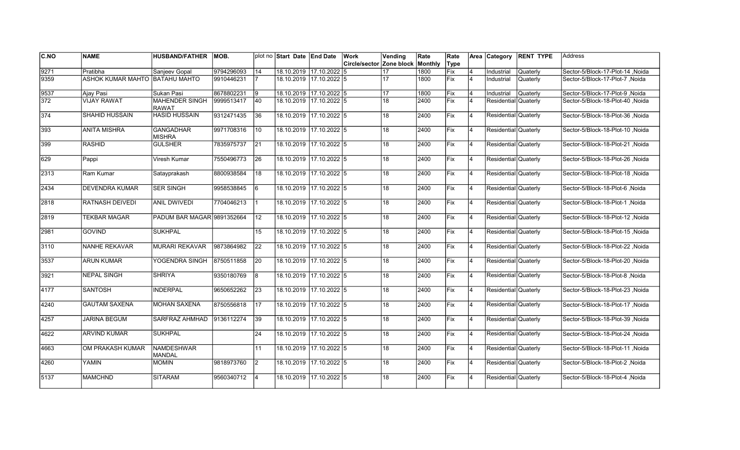| C.NO | <b>NAME</b>                    | <b>HUSBAND/FATHER</b>                 | <b>MOB.</b> |           | plot no Start Date End Date |                         | Work                     | Vending | Rate    | Rate        |                | Area Category        | <b>RENT TYPE</b> | <b>Address</b>                   |
|------|--------------------------------|---------------------------------------|-------------|-----------|-----------------------------|-------------------------|--------------------------|---------|---------|-------------|----------------|----------------------|------------------|----------------------------------|
|      |                                |                                       |             |           |                             |                         | Circle/sector Zone block |         | Monthly | Type        |                |                      |                  |                                  |
| 9271 | Pratibha                       | Sanjeev Gopal                         | 9794296093  | 14        | 18.10.2019 17.10.2022 5     |                         |                          |         | 1800    | Fix         |                | Industrial           | Quaterly         | Sector-5/Block-17-Plot-14, Noida |
| 9359 | ASHOK KUMAR MAHTO BATAHU MAHTO |                                       | 9910446231  |           | 18.10.2019 17.10.2022 5     |                         |                          | 17      | 1800    | Fix         | $\overline{4}$ | Industrial           | Quaterly         | Sector-5/Block-17-Plot-7, Noida  |
| 9537 | Ajay Pasi                      | Sukan Pasi                            | 8678802231  | Ι9        | 18.10.2019 17.10.2022 5     |                         |                          | 17      | 1800    | Fix         | 4              | Industrial           | Quaterly         | Sector-5/Block-17-Plot-9 .Noida  |
| 372  | <b>VIJAY RAWAT</b>             | <b>MAHENDER SINGH</b><br><b>RAWAT</b> | 9999513417  | 40        | 18.10.2019 17.10.2022 5     |                         |                          | 18      | 2400    | Fix         | $\overline{4}$ | Residential Quaterly |                  | Sector-5/Block-18-Plot-40, Noida |
| 374  | SHAHID HUSSAIN                 | <b>HASID HUSSAIN</b>                  | 9312471435  | 36        | 18.10.2019 17.10.2022 5     |                         |                          | 18      | 2400    | Fix         | $\overline{4}$ | Residential Quaterly |                  | Sector-5/Block-18-Plot-36, Noida |
| 393  | <b>ANITA MISHRA</b>            | <b>GANGADHAR</b><br><b>MISHRA</b>     | 9971708316  | 10        | 18.10.2019 17.10.2022 5     |                         |                          | 18      | 2400    | Fix         | $\overline{4}$ | Residential Quaterly |                  | Sector-5/Block-18-Plot-10, Noida |
| 399  | <b>RASHID</b>                  | <b>GULSHER</b>                        | 7835975737  | 21        | 18.10.2019 17.10.2022 5     |                         |                          | 18      | 2400    | Fix         | 4              | Residential Quaterly |                  | Sector-5/Block-18-Plot-21, Noida |
| 629  | Pappi                          | Viresh Kumar                          | 7550496773  | 26        | 18.10.2019 17.10.2022 5     |                         |                          | 18      | 2400    | <b>IFix</b> | 4              | Residential Quaterly |                  | Sector-5/Block-18-Plot-26, Noida |
| 2313 | Ram Kumar                      | Satayprakash                          | 8800938584  | 18        | 18.10.2019 17.10.2022 5     |                         |                          | 18      | 2400    | Fix         | 4              | Residential Quaterly |                  | Sector-5/Block-18-Plot-18, Noida |
| 2434 | <b>DEVENDRA KUMAR</b>          | <b>SER SINGH</b>                      | 9958538845  | 16        | 18.10.2019 17.10.2022 5     |                         |                          | 18      | 2400    | Fix         | $\overline{4}$ | Residential Quaterly |                  | Sector-5/Block-18-Plot-6, Noida  |
| 2818 | <b>RATNASH DEIVEDI</b>         | <b>ANIL DWIVEDI</b>                   | 7704046213  |           | 18.10.2019                  | 17.10.2022 5            |                          | 18      | 2400    | Fix         | $\overline{4}$ | Residential Quaterly |                  | Sector-5/Block-18-Plot-1, Noida  |
| 2819 | TEKBAR MAGAR                   | PADUM BAR MAGAR 9891352664            |             | 12        | 18.10.2019 17.10.2022 5     |                         |                          | 18      | 2400    | <b>IFix</b> | <b>4</b>       | Residential Quaterly |                  | Sector-5/Block-18-Plot-12, Noida |
| 2981 | <b>GOVIND</b>                  | <b>SUKHPAL</b>                        |             | 15        | 18.10.2019                  | $17.10.2022$ 5          |                          | 18      | 2400    | Fix         | $\overline{4}$ | Residential Quaterly |                  | Sector-5/Block-18-Plot-15, Noida |
| 3110 | <b>NANHE REKAVAR</b>           | <b>MURARI REKAVAR</b>                 | 9873864982  | 22        |                             | 18.10.2019 17.10.2022 5 |                          | 18      | 2400    | Fix         | $\overline{4}$ | Residential Quaterly |                  | Sector-5/Block-18-Plot-22, Noida |
| 3537 | <b>ARUN KUMAR</b>              | YOGENDRA SINGH                        | 8750511858  | 20        | 18.10.2019                  | $17.10.2022$ 5          |                          | 18      | 2400    | Fix         | $\overline{4}$ | Residential Quaterly |                  | Sector-5/Block-18-Plot-20, Noida |
| 3921 | <b>NEPAL SINGH</b>             | <b>SHRIYA</b>                         | 9350180769  | 8         | 18.10.2019 17.10.2022 5     |                         |                          | 18      | 2400    | Fix         | 4              | Residential Quaterly |                  | Sector-5/Block-18-Plot-8, Noida  |
| 4177 | <b>SANTOSH</b>                 | <b>INDERPAL</b>                       | 9650652262  | 23        | 18.10.2019 17.10.2022 5     |                         |                          | 18      | 2400    | Fix         | 4              | Residential Quaterly |                  | Sector-5/Block-18-Plot-23, Noida |
| 4240 | <b>GAUTAM SAXENA</b>           | <b>MOHAN SAXENA</b>                   | 8750556818  | 17        | 18.10.2019 17.10.2022 5     |                         |                          | 18      | 2400    | Fix         | 4              | Residential Quaterly |                  | Sector-5/Block-18-Plot-17, Noida |
| 4257 | <b>JARINA BEGUM</b>            | <b>SARFRAZ AHMHAD</b>                 | 9136112274  | 39        | 18.10.2019                  | 17.10.2022 5            |                          | 18      | 2400    | <b>IFix</b> | $\overline{4}$ | Residential Quaterly |                  | Sector-5/Block-18-Plot-39, Noida |
| 4622 | <b>ARVIND KUMAR</b>            | <b>SUKHPAL</b>                        |             | 24        | 18.10.2019 17.10.2022 5     |                         |                          | 18      | 2400    | Fix         | $\overline{4}$ | Residential Quaterly |                  | Sector-5/Block-18-Plot-24 .Noida |
| 4663 | OM PRAKASH KUMAR               | <b>NAMDESHWAR</b><br><b>MANDAL</b>    |             | 11        | 18.10.2019 17.10.2022 5     |                         |                          | 18      | 2400    | Fix         | $\overline{4}$ | Residential Quaterly |                  | Sector-5/Block-18-Plot-11, Noida |
| 4260 | YAMIN                          | <b>MOMIN</b>                          | 9818973760  | $\vert$ 2 | 18.10.2019 17.10.2022 5     |                         |                          | 18      | 2400    | Fix         | $\overline{4}$ | Residential Quaterly |                  | Sector-5/Block-18-Plot-2, Noida  |
| 5137 | <b>MAMCHND</b>                 | <b>SITARAM</b>                        | 9560340712  | l4        | 18.10.2019 17.10.2022 5     |                         |                          | 18      | 2400    | Fix         | $\overline{4}$ | Residential Quaterly |                  | Sector-5/Block-18-Plot-4, Noida  |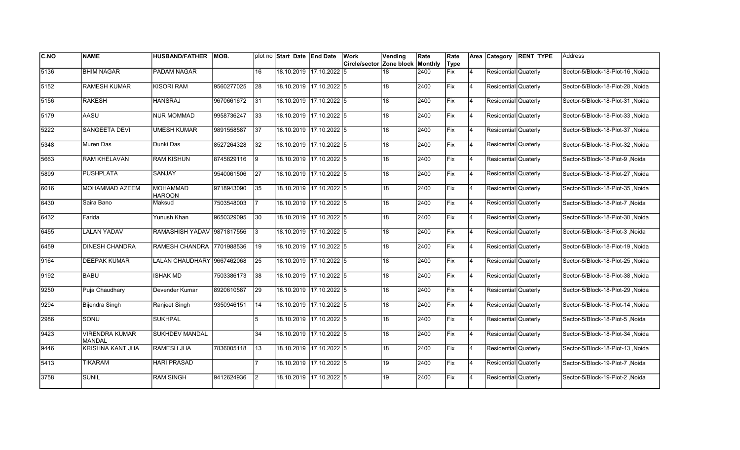| <b>C.NO</b>   | <b>NAME</b>                            | <b>HUSBAND/FATHER</b>            | <b>MOB.</b> |                 | plot no Start Date End Date |                         | Work                     | Vending | Rate    | Rate        |                | Area Category        | <b>RENT TYPE</b> | Address                          |
|---------------|----------------------------------------|----------------------------------|-------------|-----------------|-----------------------------|-------------------------|--------------------------|---------|---------|-------------|----------------|----------------------|------------------|----------------------------------|
|               |                                        |                                  |             |                 |                             |                         | Circle/sector Zone block |         | Monthly | Type        |                |                      |                  |                                  |
| 5136          | <b>BHIM NAGAR</b>                      | <b>PADAM NAGAR</b>               |             | 16              | 18.10.2019 17.10.2022 5     |                         |                          | 18      | 2400    | <b>Fix</b>  | 4              | Residential Quaterly |                  | Sector-5/Block-18-Plot-16, Noida |
| 5152          | <b>RAMESH KUMAR</b>                    | <b>KISORI RAM</b>                | 9560277025  | 28              | 18.10.2019 17.10.2022 5     |                         |                          | 18      | 2400    | Fix         | $\overline{4}$ | Residential Quaterly |                  | Sector-5/Block-18-Plot-28, Noida |
| 5156          | <b>RAKESH</b>                          | <b>HANSRAJ</b>                   | 9670661672  | 31              | 18.10.2019 17.10.2022 5     |                         |                          | 18      | 2400    | <b>IFix</b> | 4              | Residential Quaterly |                  | Sector-5/Block-18-Plot-31, Noida |
| 5179          | AASU                                   | <b>NUR MOMMAD</b>                | 9958736247  | 33              | 18.10.2019 17.10.2022 5     |                         |                          | 18      | 2400    | Fix         | 4              | Residential Quaterly |                  | Sector-5/Block-18-Plot-33, Noida |
| 5222          | <b>SANGEETA DEVI</b>                   | <b>UMESH KUMAR</b>               | 9891558587  | 37              | 18.10.2019 17.10.2022 5     |                         |                          | 18      | 2400    | Fix         | $\overline{4}$ | Residential Quaterly |                  | Sector-5/Block-18-Plot-37, Noida |
| 5348          | Muren Das                              | Dunki Das                        | 8527264328  | 32              |                             | 18.10.2019 17.10.2022 5 |                          | 18      | 2400    | Fix         | $\overline{4}$ | Residential Quaterly |                  | Sector-5/Block-18-Plot-32, Noida |
| 5663          | <b>RAM KHELAVAN</b>                    | <b>RAM KISHUN</b>                | 8745829116  | 19              | 18.10.2019 17.10.2022 5     |                         |                          | 18      | 2400    | Fix         | 4              | Residential Quaterly |                  | Sector-5/Block-18-Plot-9, Noida  |
| 5899          | <b>PUSHPLATA</b>                       | SANJAY                           | 9540061506  | 27              | 18.10.2019 17.10.2022 5     |                         |                          | 18      | 2400    | Fix         | 4              | Residential Quaterly |                  | Sector-5/Block-18-Plot-27, Noida |
| 6016          | MOHAMMAD AZEEM                         | <b>MOHAMMAD</b><br><b>HAROON</b> | 9718943090  | 35              | 18.10.2019 17.10.2022 5     |                         |                          | 18      | 2400    | <b>IFix</b> | $\overline{4}$ | Residential Quaterly |                  | Sector-5/Block-18-Plot-35, Noida |
| 6430          | Saira Bano                             | Maksud                           | 7503548003  |                 | 18.10.2019 17.10.2022 5     |                         |                          | 18      | 2400    | Fix         | $\overline{4}$ | Residential Quaterly |                  | Sector-5/Block-18-Plot-7 .Noida  |
| 6432          | Farida                                 | Yunush Khan                      | 9650329095  | 30              | 18.10.2019 17.10.2022 5     |                         |                          | 18      | 2400    | Fix         | 4              | Residential Quaterly |                  | Sector-5/Block-18-Plot-30, Noida |
| 6455          | <b>LALAN YADAV</b>                     | RAMASHISH YADAV 9871817556       |             | l 3             | 18.10.2019 17.10.2022 5     |                         |                          | 18      | 2400    | <b>IFix</b> | 4              | Residential Quaterly |                  | Sector-5/Block-18-Plot-3 Noida   |
| 6459          | <b>DINESH CHANDRA</b>                  | RAMESH CHANDRA 7701988536        |             | 19              | 18.10.2019 17.10.2022 5     |                         |                          | 18      | 2400    | Fix         | 4              | Residential Quaterly |                  | Sector-5/Block-18-Plot-19, Noida |
| 9164          | <b>DEEPAK KUMAR</b>                    | LALAN CHAUDHARY 9667462068       |             | 25              | 18.10.2019 17.10.2022 5     |                         |                          | 18      | 2400    | Fix         | $\overline{4}$ | Residential Quaterly |                  | Sector-5/Block-18-Plot-25, Noida |
| 9192          | <b>BABU</b>                            | ISHAK MD                         | 7503386173  | $\overline{38}$ | 18.10.2019 17.10.2022 5     |                         |                          | 18      | 2400    | Fix         | 4              | Residential Quaterly |                  | Sector-5/Block-18-Plot-38, Noida |
| 9250          | Puja Chaudhary                         | Devender Kumar                   | 8920610587  | $\overline{29}$ | 18.10.2019 17.10.2022 5     |                         |                          | 18      | 2400    | Fix         | 4              | Residential Quaterly |                  | Sector-5/Block-18-Plot-29, Noida |
| 9294          | Bijendra Singh                         | Ranjeet Singh                    | 9350946151  | 14              | 18.10.2019 17.10.2022 5     |                         |                          | 18      | 2400    | Fix         | 4              | Residential Quaterly |                  | Sector-5/Block-18-Plot-14, Noida |
| 2986          | SONU                                   | <b>SUKHPAL</b>                   |             | 5               | 18.10.2019 17.10.2022 5     |                         |                          | 18      | 2400    | Fix         | $\overline{4}$ | Residential Quaterly |                  | Sector-5/Block-18-Plot-5, Noida  |
| 9423          | <b>VIRENDRA KUMAR</b><br><b>MANDAL</b> | <b>SUKHDEV MANDAL</b>            |             | 34              | 18.10.2019 17.10.2022 5     |                         |                          | 18      | 2400    | Fix         | $\overline{4}$ | Residential Quaterly |                  | Sector-5/Block-18-Plot-34, Noida |
| 9446          | <b>KRISHNA KANT JHA</b>                | <b>RAMESH JHA</b>                | 7836005118  | $\overline{13}$ | 18.10.2019 17.10.2022 5     |                         |                          | 18      | 2400    | Fix         | $\overline{4}$ | Residential Quaterly |                  | Sector-5/Block-18-Plot-13, Noida |
| $\sqrt{5413}$ | <b>TIKARAM</b>                         | <b>HARI PRASAD</b>               |             |                 | 18.10.2019 17.10.2022 5     |                         |                          | 19      | 2400    | Fix         | 4              | Residential Quaterly |                  | Sector-5/Block-19-Plot-7, Noida  |
| 3758          | <b>SUNIL</b>                           | <b>RAM SINGH</b>                 | 9412624936  | $\overline{2}$  |                             | 18.10.2019 17.10.2022 5 |                          | 19      | 2400    | Fix         | 4              | Residential Quaterly |                  | Sector-5/Block-19-Plot-2, Noida  |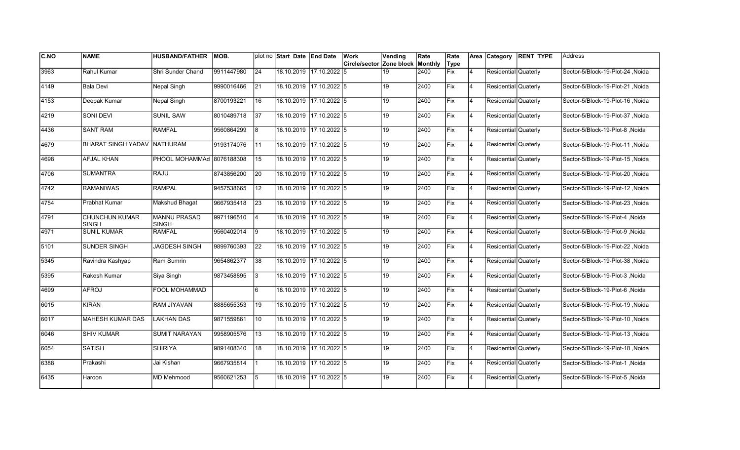| <b>C.NO</b>   | <b>NAME</b>                           | <b>HUSBAND/FATHER</b>               | MOB.       |                 | plot no Start Date End Date |                         | <b>Work</b>                      | Vending | Rate | Rate       |          |                      | Area Category RENT TYPE | lAddress                         |
|---------------|---------------------------------------|-------------------------------------|------------|-----------------|-----------------------------|-------------------------|----------------------------------|---------|------|------------|----------|----------------------|-------------------------|----------------------------------|
|               |                                       |                                     |            |                 |                             |                         | Circle/sector Zone block Monthly |         |      | Type       |          |                      |                         |                                  |
| 3963          | <b>Rahul Kumar</b>                    | Shri Sunder Chand                   | 9911447980 | $\overline{24}$ |                             | 18.10.2019 17.10.2022 5 |                                  | 19      | 2400 | <b>Fix</b> | 4        | Residential Quaterly |                         | Sector-5/Block-19-Plot-24, Noida |
| 4149          | <b>Bala Devi</b>                      | Nepal Singh                         | 9990016466 | 21              |                             | 18.10.2019 17.10.2022 5 |                                  | 19      | 2400 | Fix        | 4        | Residential Quaterly |                         | Noida S/Block-19-Plot-21         |
| 4153          | Deepak Kumar                          | Nepal Singh                         | 8700193221 | 16              | 18.10.2019 17.10.2022 5     |                         |                                  | 19      | 2400 | Fix        | 14       | Residential Quaterly |                         | Sector-5/Block-19-Plot-16, Noida |
| 4219          | SONI DEVI                             | <b>SUNIL SAW</b>                    | 8010489718 | 37              | 18.10.2019 17.10.2022 5     |                         |                                  | 19      | 2400 | Fix        | 14       | Residential Quaterly |                         | Sector-5/Block-19-Plot-37, Noida |
| 4436          | <b>SANT RAM</b>                       | <b>RAMFAL</b>                       | 9560864299 | 8               |                             | 18.10.2019 17.10.2022 5 |                                  | 19      | 2400 | Fix        | 4        | Residential Quaterly |                         | Sector-5/Block-19-Plot-8, Noida  |
| 4679          | <b>BHARAT SINGH YADAV</b>             | NATHURAM                            | 9193174076 | 11              |                             | 18.10.2019 17.10.2022 5 |                                  | 19      | 2400 | Fix        | 4        | Residential Quaterly |                         | Sector-5/Block-19-Plot-11, Noida |
| 4698          | AFJAL KHAN                            | PHOOL MOHAMMAd 8076188308           |            | 15              |                             | 18.10.2019 17.10.2022 5 |                                  | 19      | 2400 | Fix        | 4        | Residential Quaterly |                         | Sector-5/Block-19-Plot-15, Noida |
| 4706          | <b>SUMANTRA</b>                       | RAJU                                | 8743856200 | 20              | 18.10.2019 17.10.2022 5     |                         |                                  | 19      | 2400 | Fix        | 4        | Residential Quaterly |                         | Sector-5/Block-19-Plot-20, Noida |
| $\sqrt{4742}$ | <b>RAMANIWAS</b>                      | <b>RAMPAL</b>                       | 9457538665 | 12              |                             | 18.10.2019 17.10.2022 5 |                                  | 19      | 2400 | Fix        | 4        | Residential Quaterly |                         | Sector-5/Block-19-Plot-12, Noida |
| $\sqrt{4754}$ | <b>Prabhat Kumar</b>                  | <b>Makshud Bhagat</b>               | 9667935418 | $\overline{23}$ |                             | 18.10.2019 17.10.2022 5 |                                  | 19      | 2400 | Fix        | 4        | Residential Quaterly |                         | Sector-5/Block-19-Plot-23, Noida |
| 4791          | <b>CHUNCHUN KUMAR</b><br><b>SINGH</b> | <b>MANNU PRASAD</b><br><b>SINGH</b> | 9971196510 | <b>4</b>        | 18.10.2019 17.10.2022 5     |                         |                                  | 19      | 2400 | Fix        | 14       | Residential Quaterly |                         | Sector-5/Block-19-Plot-4, Noida  |
| 4971          | <b>SUNIL KUMAR</b>                    | <b>RAMFAL</b>                       | 9560402014 | 19              | 18.10.2019 17.10.2022 5     |                         |                                  | 19      | 2400 | Fix        | 14       | Residential Quaterly |                         | Sector-5/Block-19-Plot-9, Noida  |
| 5101          | SUNDER SINGH                          | <b>JAGDESH SINGH</b>                | 9899760393 | 22              |                             | 18.10.2019 17.10.2022 5 |                                  | 19      | 2400 | Fix        | 14       | Residential Quaterly |                         | Sector-5/Block-19-Plot-22, Noida |
| 5345          | Ravindra Kashyap                      | Ram Sumrin                          | 9654862377 | 38              | 18.10.2019 17.10.2022 5     |                         |                                  | 19      | 2400 | Fix        | 14       | Residential Quaterly |                         | Sector-5/Block-19-Plot-38, Noida |
| 5395          | Rakesh Kumar                          | Siya Singh                          | 9873458895 | 13              | 18.10.2019 17.10.2022 5     |                         |                                  | 19      | 2400 | Fix        | <b>4</b> | Residential Quaterly |                         | Sector-5/Block-19-Plot-3, Noida  |
| 4699          | <b>AFROJ</b>                          | <b>FOOL MOHAMMAD</b>                |            | 6               | 18.10.2019 17.10.2022 5     |                         |                                  | 19      | 2400 | Fix        | 4        | Residential Quaterly |                         | Sector-5/Block-19-Plot-6, Noida  |
| 6015          | <b>KIRAN</b>                          | <b>RAM JIYAVAN</b>                  | 8885655353 | 19              | 18.10.2019 17.10.2022 5     |                         |                                  | 19      | 2400 | Fix        | <b>4</b> | Residential Quaterly |                         | Sector-5/Block-19-Plot-19, Noida |
| 6017          | <b>MAHESH KUMAR DAS</b>               | <b>LAKHAN DAS</b>                   | 9871559861 | 110             | 18.10.2019 17.10.2022 5     |                         |                                  | 19      | 2400 | lFix       | 4        | Residential Quaterly |                         | Sector-5/Block-19-Plot-10, Noida |
| 6046          | <b>SHIV KUMAR</b>                     | <b>SUMIT NARAYAN</b>                | 9958905576 | 13              |                             | 18.10.2019 17.10.2022 5 |                                  | 19      | 2400 | Fix        | 4        | Residential Quaterly |                         | Sector-5/Block-19-Plot-13, Noida |
| 6054          | <b>SATISH</b>                         | <b>SHIRIYA</b>                      | 9891408340 | 18              | 18.10.2019 17.10.2022 5     |                         |                                  | 19      | 2400 | Fix        | 4        | Residential Quaterly |                         | Sector-5/Block-19-Plot-18, Noida |
| 6388          | Prakashi                              | Jai Kishan                          | 9667935814 |                 | 18.10.2019 17.10.2022 5     |                         |                                  | 19      | 2400 | Fix        | 4        | Residential Quaterly |                         | Sector-5/Block-19-Plot-1, Noida  |
| 6435          | Haroon                                | MD Mehmood                          | 9560621253 | 5               |                             | 18.10.2019 17.10.2022 5 |                                  | 19      | 2400 | Fix        | 4        | Residential Quaterly |                         | Sector-5/Block-19-Plot-5, Noida  |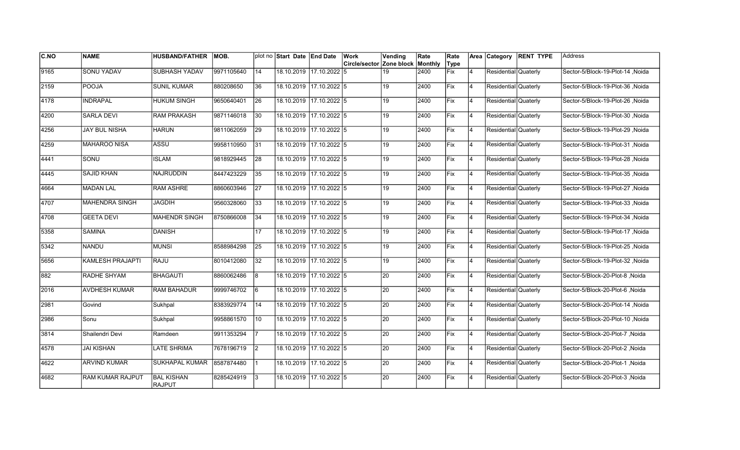| C.NO | <b>NAME</b>             | <b>HUSBAND/FATHER</b>       | <b>MOB.</b> |                 | plot no Start Date End Date |                         | Work                                    | Vending         | Rate | Rate        |                | Area Category        | <b>RENT TYPE</b> | Address                          |
|------|-------------------------|-----------------------------|-------------|-----------------|-----------------------------|-------------------------|-----------------------------------------|-----------------|------|-------------|----------------|----------------------|------------------|----------------------------------|
|      |                         |                             |             |                 |                             |                         | <b>Circle/sector Zone block Monthly</b> |                 |      | Type        |                |                      |                  |                                  |
| 9165 | <b>SONU YADAV</b>       | <b>SUBHASH YADAV</b>        | 9971105640  | 14              |                             | 18.10.2019 17.10.2022 5 |                                         | 19              | 2400 | <b>Fix</b>  | 4              | Residential Quaterly |                  | Sector-5/Block-19-Plot-14, Noida |
| 2159 | <b>POOJA</b>            | <b>SUNIL KUMAR</b>          | 880208650   | 36              |                             | 18.10.2019 17.10.2022 5 |                                         | 19              | 2400 | Fix         | $\overline{4}$ | Residential Quaterly |                  | Sector-5/Block-19-Plot-36 .Noida |
| 4178 | INDRAPAL                | <b>HUKUM SINGH</b>          | 9650640401  | 26              | 18.10.2019 17.10.2022 5     |                         |                                         | 19              | 2400 | Fix         | <b>4</b>       | Residential Quaterly |                  | Sector-5/Block-19-Plot-26 .Noida |
| 4200 | <b>SARLA DEVI</b>       | <b>RAM PRAKASH</b>          | 9871146018  | 30 <sub>o</sub> |                             | 18.10.2019 17.10.2022 5 |                                         | 19              | 2400 | Fix         | 4              | Residential Quaterly |                  | Sector-5/Block-19-Plot-30, Noida |
| 4256 | <b>JAY BUL NISHA</b>    | <b>HARUN</b>                | 9811062059  | 29              |                             | 18.10.2019 17.10.2022 5 |                                         | 19              | 2400 | <b>IFix</b> | $\overline{4}$ | Residential Quaterly |                  | Sector-5/Block-19-Plot-29, Noida |
| 4259 | <b>MAHAROO NISA</b>     | ASSU                        | 9958110950  | 31              |                             | 18.10.2019 17.10.2022 5 |                                         | 19              | 2400 | Fix         | $\overline{4}$ | Residential Quaterly |                  | Sector-5/Block-19-Plot-31, Noida |
| 4441 | SONU                    | <b>ISLAM</b>                | 9818929445  | 28              |                             | 18.10.2019 17.10.2022 5 |                                         | 19              | 2400 | Fix         | 4              | Residential Quaterly |                  | Sector-5/Block-19-Plot-28, Noida |
| 4445 | <b>SAJID KHAN</b>       | <b>NAJRUDDIN</b>            | 8447423229  | 35              |                             | 18.10.2019 17.10.2022 5 |                                         | 19              | 2400 | Fix         | 4              | Residential Quaterly |                  | Sector-5/Block-19-Plot-35, Noida |
| 4664 | <b>MADAN LAL</b>        | <b>RAM ASHRE</b>            | 8860603946  | 27              |                             | 18.10.2019 17.10.2022 5 |                                         | 19              | 2400 | Fix         | $\overline{4}$ | Residential Quaterly |                  | Sector-5/Block-19-Plot-27, Noida |
| 4707 | <b>MAHENDRA SINGH</b>   | <b>JAGDIH</b>               | 9560328060  | $\overline{33}$ |                             | 18.10.2019 17.10.2022 5 |                                         | 19              | 2400 | Fix         | $\overline{4}$ | Residential Quaterly |                  | Sector-5/Block-19-Plot-33, Noida |
| 4708 | <b>GEETA DEVI</b>       | <b>MAHENDR SINGH</b>        | 8750866008  | 34              |                             | 18.10.2019 17.10.2022 5 |                                         | 19              | 2400 | Fix         | 4              | Residential Quaterly |                  | Sector-5/Block-19-Plot-34, Noida |
| 5358 | <b>SAMINA</b>           | <b>DANISH</b>               |             | 17              |                             | 18.10.2019 17.10.2022 5 |                                         | 19              | 2400 | Fix         | 4              | Residential Quaterly |                  | Sector-5/Block-19-Plot-17, Noida |
| 5342 | <b>NANDU</b>            | <b>MUNSI</b>                | 8588984298  | 25              |                             | 18.10.2019 17.10.2022 5 |                                         | 19              | 2400 | Fix         | 4              | Residential Quaterly |                  | Sector-5/Block-19-Plot-25, Noida |
| 5656 | KAMLESH PRAJAPTI        | <b>RAJU</b>                 | 8010412080  | 32              |                             | 18.10.2019 17.10.2022 5 |                                         | 19              | 2400 | Fix         | $\overline{4}$ | Residential Quaterly |                  | Sector-5/Block-19-Plot-32, Noida |
| 882  | <b>RADHE SHYAM</b>      | <b>BHAGAUTI</b>             | 8860062486  | l8              |                             | 18.10.2019 17.10.2022 5 |                                         | 20              | 2400 | Fix         | 4              | Residential Quaterly |                  | Sector-5/Block-20-Plot-8 ,Noida  |
| 2016 | <b>AVDHESH KUMAR</b>    | <b>RAM BAHADUR</b>          | 9999746702  | l6              |                             | 18.10.2019 17.10.2022 5 |                                         | 20              | 2400 | <b>Fix</b>  | <b>4</b>       | Residential Quaterly |                  | Sector-5/Block-20-Plot-6, Noida  |
| 2981 | Govind                  | Sukhpal                     | 8383929774  | 14              |                             | 18.10.2019 17.10.2022 5 |                                         | $\overline{20}$ | 2400 | <b>Fix</b>  | 4              | Residential Quaterly |                  | Sector-5/Block-20-Plot-14, Noida |
| 2986 | Sonu                    | Sukhpal                     | 9958861570  | 10              |                             | 18.10.2019 17.10.2022 5 |                                         | 20              | 2400 | <b>IFix</b> | $\overline{4}$ | Residential Quaterly |                  | Sector-5/Block-20-Plot-10, Noida |
| 3814 | Shailendri Devi         | Ramdeen                     | 9911353294  |                 |                             | 18.10.2019 17.10.2022 5 |                                         | 20              | 2400 | Fix         | $\overline{4}$ | Residential Quaterly |                  | Sector-5/Block-20-Plot-7, Noida  |
| 4578 | <b>JAI KISHAN</b>       | <b>LATE SHRIMA</b>          | 7678196719  | $ 2\rangle$     |                             | 18.10.2019 17.10.2022 5 |                                         | 20              | 2400 | Fix         | $\overline{4}$ | Residential Quaterly |                  | Sector-5/Block-20-Plot-2, Noida  |
| 4622 | <b>ARVIND KUMAR</b>     | <b>SUKHAPAL KUMAR</b>       | 8587874480  |                 | 18.10.2019 17.10.2022 5     |                         |                                         | 20              | 2400 | Fix         | 4              | Residential Quaterly |                  | Sector-5/Block-20-Plot-1, Noida  |
| 4682 | <b>RAM KUMAR RAJPUT</b> | <b>BAL KISHAN</b><br>RAJPUT | 8285424919  | l3              |                             | 18.10.2019 17.10.2022 5 |                                         | 20              | 2400 | Fix         | 4              | Residential Quaterly |                  | Sector-5/Block-20-Plot-3, Noida  |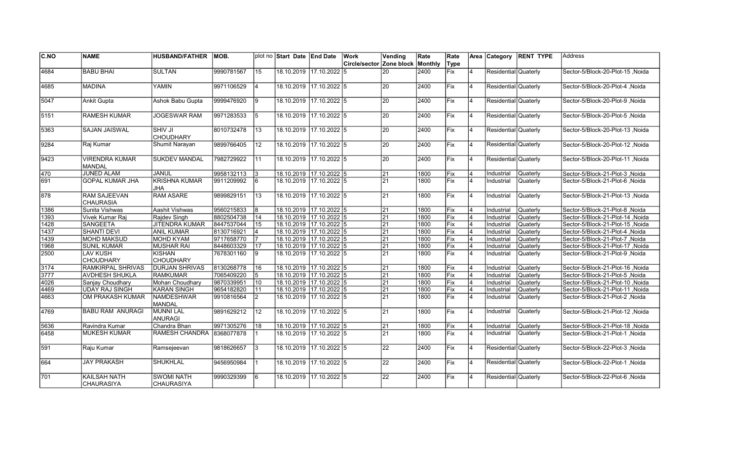| C.NO             | <b>NAME</b>                              | <b>HUSBAND/FATHER</b>                  | IMOB.      |                 | plot no Start Date End Date |                         | Work                            | Vending         | Rate    | Rate       |                         |                      | Area Category RENT TYPE | Address                                  |
|------------------|------------------------------------------|----------------------------------------|------------|-----------------|-----------------------------|-------------------------|---------------------------------|-----------------|---------|------------|-------------------------|----------------------|-------------------------|------------------------------------------|
|                  |                                          |                                        |            |                 |                             |                         | <b>Circle/sector Zone block</b> |                 | Monthly | Type       |                         |                      |                         |                                          |
| 4684             | <b>BABU BHAI</b>                         | <b>SULTAN</b>                          | 9990781567 | 15              |                             | 18.10.2019 17.10.2022 5 |                                 | 20              | 2400    | <b>Fix</b> | 4                       | Residential Quaterly |                         | Noida Sector-5/Block-20-Plot-15          |
| 4685             | <b>MADINA</b>                            | <b>YAMIN</b>                           | 9971106529 | 14              |                             | 18.10.2019 17.10.2022 5 |                                 | 20              | 2400    | Fix        | 4                       | Residential Quaterly |                         | Noida Noida -5/Block-20-Plot-4           |
| 5047             | <b>Ankit Gupta</b>                       | Ashok Babu Gupta                       | 9999476920 | 9               |                             | 18.10.2019 17.10.2022 5 |                                 | 20              | 2400    | Fix        | <b>4</b>                | Residential Quaterly |                         | Noida / Sector-5/Block-20-Plot-9         |
| 5151             | <b>RAMESH KUMAR</b>                      | <b>JOGESWAR RAM</b>                    | 9971283533 | 5               |                             | 18.10.2019 17.10.2022 5 |                                 | 20              | 2400    | Fix        | 4                       | Residential Quaterly |                         | Sector-5/Block-20-Plot-5, Noida          |
| 5363             | SAJAN JAISWAL                            | ISHIV JI<br>CHOUDHARY                  | 8010732478 | 13              |                             | 18.10.2019 17.10.2022 5 |                                 | 20              | 2400    | lFix.      | $\overline{4}$          | Residential Quaterly |                         | Noida Sector-5/Block-20-Plot-13          |
| 9284             | Raj Kumar                                | Shumit Narayan                         | 9899766405 | 12              | 18.10.2019                  | 17.10.2022 5            |                                 | 20              | 2400    | Fix        | 4                       | Residential Quaterly |                         | Noida Sector-5/Block-20-Plot-12          |
| 9423             | <b>VIRENDRA KUMAR</b><br><b>MANDAL</b>   | <b>SUKDEV MANDAL</b>                   | 7982729922 | 11              |                             | 18.10.2019 17.10.2022 5 |                                 | 20              | 2400    | Fix        | $\overline{4}$          | Residential Quaterly |                         | Noida   Sector-5/Block-20-Plot-11        |
| 470              | <b>JUNED ALAM</b>                        | JANUL                                  | 9958132113 | 3               |                             | 18.10.2019 17.10.2022 5 |                                 | 21              | 1800    | Fix        | 4                       | Industrial           | <b>Quaterly</b>         | Sector-5/Block-21-Plot-3, Noida          |
| 691              | <b>GOPAL KUMAR JHA</b>                   | <b>KRISHNA KUMAR</b><br><b>JHA</b>     | 9911209992 | l6              |                             | 18.10.2019 17.10.2022 5 |                                 | 21              | 1800    | Fix        | $\overline{4}$          | Industrial           | Quaterly                | Sector-5/Block-21-Plot-6, Noida          |
| 878              | <b>RAM SAJEEVAN</b><br><b>CHAURASIA</b>  | <b>RAM ASARE</b>                       | 9899829151 | $\overline{13}$ |                             | 18.10.2019 17.10.2022 5 |                                 | 21              | 1800    | Fix        | 14                      | Industrial           | Quaterly                | Sector-5/Block-21-Plot-13, Noida         |
| 1386             | Sunita Vishwas                           | Aashit Vishwas                         | 9560215833 | 8               |                             | 18.10.2019 17.10.2022 5 |                                 | 21              | 1800    | Fix        | 4                       | Industrial           | Quaterly                | Sector-5/Block-21-Plot-8, Noida          |
| 1393             | Vivek Kumar Raj                          | Rajdev Singh                           | 8802504738 | 14              | 18.10.2019 17.10.2022 5     |                         |                                 | 21              | 1800    | Fix        | $\overline{4}$          | Industrial           | Quaterly                | Noida   Sector-5/Block-21-Plot-14, Noida |
| 1428             | <b>SANGEETA</b>                          | <b>JITENDRA KUMAR</b>                  | 8447537044 | 15              |                             | 18.10.2019 17.10.2022 5 |                                 | 21              | 1800    | Fix        | $\overline{\mathbf{A}}$ | Industrial           | Quaterly                | Noida Sector-5/Block-21-Plot-15          |
| 1437             | <b>SHANTI DEVI</b>                       | <b>ANIL KUMAR</b>                      | 8130716921 | 4               |                             | 18.10.2019 17.10.2022 5 |                                 | 21              | 1800    | Fix        | 4                       | Industrial           | Quaterly                | Noida Noida -5/Block-21-Plot-4           |
| 1439             | <b>MOHD MAKSUD</b>                       | <b>MOHD KYAM</b>                       | 9717658770 | 17              |                             | 18.10.2019 17.10.2022 5 |                                 | 21              | 1800    | Fix        | $\overline{4}$          | Industrial           | Quaterly                | Sector-5/Block-21-Plot-7, Noida          |
| 1968             | <b>SUNIL KUMAR</b>                       | MUSHAR RAI                             | 8448603329 | 17              |                             | 18.10.2019 17.10.2022 5 |                                 | 21              | 1800    | Fix        | $\overline{4}$          | Industrial           | Quaterly                | Noida Sector-5/Block-21-Plot-17          |
| 2500             | <b>LAV KUSH</b><br><b>CHOUDHARY</b>      | KISHAN<br>ICHOUDHARY                   | 7678301160 | l9              |                             | 18.10.2019 17.10.2022 5 |                                 | 21              | 1800    | <b>Fix</b> | 4                       | Industrial           | Quaterly                | Sector-5/Block-21-Plot-9, Noida          |
| 3174             | RAMKIRPAL SHRIVAS                        | <b>DURJAN SHRIVAS</b>                  | 8130268778 | 16              |                             | 18.10.2019 17.10.2022 5 |                                 | 21              | 1800    | Fix        | 4                       | Industrial           | Quaterly                | Noida Sector-5/Block-21-Plot-16          |
| $\frac{1}{3777}$ | <b>AVDHESH SHUKLA</b>                    | <b>RAMKUMAR</b>                        | 7065409220 | 5               |                             | 18.10.2019 17.10.2022 5 |                                 | 21              | 1800    | Fix        | $\overline{4}$          | Industrial           | Quaterly                | Noida Sector-5/Block-21-Plot-5,          |
| 4026             | Sanjay Choudhary                         | Mohan Choudhary                        | 9870339951 | 10              |                             | 18.10.2019 17.10.2022 5 |                                 | 21              | 1800    | Fix        | $\overline{4}$          | Industrial           | Quaterly                | Noida Sector-5/Block-21-Plot-10          |
| 4469             | <b>UDAY RAJ SINGH</b>                    | KARAN SINGH                            | 9654182820 | $\vert$ 11      | 18.10.2019 17.10.2022 5     |                         |                                 | $\overline{21}$ | 1800    | Fix        | $\overline{\mathbf{A}}$ | Industrial           | Quaterly                | Noida Sector-5/Block-21-Plot-11, Noida   |
| 4663             | OM PRAKASH KUMAR                         | NAMDESHWAR<br>MANDAL                   | 9910816564 | 2               |                             | 18.10.2019 17.10.2022 5 |                                 | 21              | 1800    | Fix        | $\overline{\mathbf{A}}$ | Industrial           | Quaterly                | Sector-5/Block-21-Plot-2, Noida          |
| 4769             | <b>BABU RAM ANURAGI</b>                  | MUNNI LAL<br>ANURAGI                   | 9891629212 | 12              |                             | 18.10.2019 17.10.2022 5 |                                 | 21              | 1800    | Fix        | 4                       | Industrial           | Quaterly                | Noida Sector-5/Block-21-Plot-12          |
| 5636             | Ravindra Kumar                           | Chandra Bhan                           | 9971305276 | 18              |                             | 18.10.2019 17.10.2022 5 |                                 | 21              | 1800    | Fix        | $\overline{\mathbf{A}}$ | Industrial           | Quaterly                | Sector-5/Block-21-Plot-18, Noida         |
| 6458             | <b>MUKESH KUMAR</b>                      | <b>RAMESH CHANDRA</b>                  | 8368077878 |                 |                             | 18.10.2019 17.10.2022 5 |                                 | 21              | 1800    | Fix        | 4                       | Industrial           | Quaterly                | Sector-5/Block-21-Plot-1, Noida          |
| 591              | Raju Kumar                               | Ramsejeevan                            | 9818626657 | $\overline{3}$  |                             | 18.10.2019 17.10.2022 5 |                                 | 22              | 2400    | Fix        | 4                       | Residential Quaterly |                         | Sector-5/Block-22-Plot-3, Noida          |
| 664              | <b>JAY PRAKASH</b>                       | SHUKHLAL                               | 9456950984 | 11              | 18.10.2019 17.10.2022 5     |                         |                                 | 22              | 2400    | Fix        | 4                       | Residential Quaterly |                         | Sector-5/Block-22-Plot-1, Noida          |
| 701              | <b>KAILSAH NATH</b><br><b>CHAURASIYA</b> | <b>SWOMI NATH</b><br><b>CHAURASIYA</b> | 9990329399 | l6              |                             | 18.10.2019 17.10.2022 5 |                                 | 22              | 2400    | Fix        | $\overline{4}$          | Residential Quaterly |                         | Sector-5/Block-22-Plot-6, Noida          |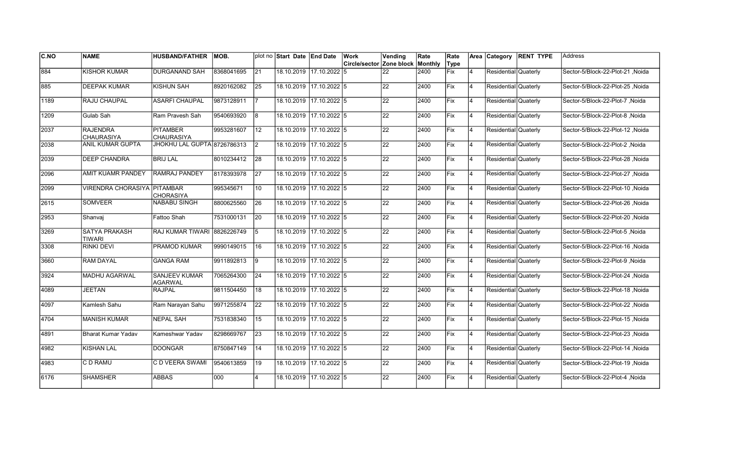| <b>C.NO</b> | <b>NAME</b>                          | <b>HUSBAND/FATHER</b>                  | MOB.       |                | plot no Start Date End Date |                         | Work                     | Vending         | Rate    | Rate       |                | Area Category        | <b>RENT TYPE</b> | Address                          |
|-------------|--------------------------------------|----------------------------------------|------------|----------------|-----------------------------|-------------------------|--------------------------|-----------------|---------|------------|----------------|----------------------|------------------|----------------------------------|
|             |                                      |                                        |            |                |                             |                         | Circle/sector Zone block |                 | Monthly | Type       |                |                      |                  |                                  |
| 884         | <b>KISHOR KUMAR</b>                  | <b>DURGANAND SAH</b>                   | 8368041695 | 21             |                             | 18.10.2019 17.10.2022 5 |                          | 22              | 2400    | Fix        | 4              | Residential Quaterly |                  | Sector-5/Block-22-Plot-21, Noida |
| 885         | <b>DEEPAK KUMAR</b>                  | <b>KISHUN SAH</b>                      | 8920162082 | 25             |                             | 18.10.2019 17.10.2022 5 |                          | 22              | 2400    | Fix        | 4              | Residential Quaterly |                  | Sector-5/Block-22-Plot-25, Noida |
| 1189        | RAJU CHAUPAL                         | <b>ASARFI CHAUPAL</b>                  | 9873128911 | 7              | 18.10.2019                  | 17.10.2022 5            |                          | 22              | 2400    | Fix        | Ι4             | Residential Quaterly |                  | Sector-5/Block-22-Plot-7 .Noida  |
| 1209        | Gulab Sah                            | Ram Pravesh Sah                        | 9540693920 | 8              | 18.10.2019                  | $17.10.2022$ 5          |                          | 22              | 2400    | Fix        | 4              | Residential Quaterly |                  | Sector-5/Block-22-Plot-8, Noida  |
| 2037        | <b>RAJENDRA</b><br><b>CHAURASIYA</b> | <b>PITAMBER</b><br><b>CHAURASIYA</b>   | 9953281607 | 12             | 18.10.2019                  | 17.10.2022 5            |                          | 22              | 2400    | Fix        | $\overline{4}$ | Residential Quaterly |                  | Sector-5/Block-22-Plot-12, Noida |
| 2038        | ANIL KUMAR GUPTA                     | JHOKHU LAL GUPTA 8726786313            |            | $\overline{2}$ | 18.10.2019                  | $17.10.2022$ 5          |                          | 22              | 2400    | Fix        | $\overline{4}$ | Residential Quaterly |                  | Sector-5/Block-22-Plot-2, Noida  |
| 2039        | <b>DEEP CHANDRA</b>                  | <b>BRIJ LAL</b>                        | 8010234412 | 28             | 18.10.2019                  | 17.10.2022 5            |                          | 22              | 2400    | Fix        | Ι4             | Residential Quaterly |                  | Sector-5/Block-22-Plot-28, Noida |
| 2096        | <b>AMIT KUAMR PANDEY</b>             | <b>RAMRAJ PANDEY</b>                   | 8178393978 | <b>27</b>      |                             | 18.10.2019 17.10.2022 5 |                          | 22              | 2400    | Fix        | Ι4             | Residential Quaterly |                  | Sector-5/Block-22-Plot-27, Noida |
| 2099        | <b>VIRENDRA CHORASIYA PITAMBAR</b>   | <b>CHORASIYA</b>                       | 995345671  | 10             | 18.10.2019                  | $17.10.2022$ 5          |                          | 22              | 2400    | Fix        | $\overline{4}$ | Residential Quaterly |                  | Sector-5/Block-22-Plot-10, Noida |
| 2615        | <b>SOMVEER</b>                       | <b>NABABU SINGH</b>                    | 8800625560 | <b>26</b>      | 18.10.2019                  | 17.10.2022 5            |                          | $\overline{22}$ | 2400    | Fix        | $\overline{4}$ | Residential Quaterly |                  | Sector-5/Block-22-Plot-26, Noida |
| 2953        | Shanvai                              | Fattoo Shah                            | 7531000131 | 20             |                             | 18.10.2019 17.10.2022 5 |                          | 22              | 2400    | Fix        | 4              | Residential Quaterly |                  | Sector-5/Block-22-Plot-20, Noida |
| 3269        | <b>SATYA PRAKASH</b><br>TIWARI       | RAJ KUMAR TIWARI 8826226749            |            | $\overline{5}$ |                             | 18.10.2019 17.10.2022 5 |                          | 22              | 2400    | Fix        | 4              | Residential Quaterly |                  | Sector-5/Block-22-Plot-5, Noida  |
| 3308        | RINKI DEVI                           | PRAMOD KUMAR                           | 9990149015 | 16             |                             | 18.10.2019 17.10.2022 5 |                          | 22              | 2400    | Fix        | 4              | Residential Quaterly |                  | Sector-5/Block-22-Plot-16, Noida |
| 3660        | <b>RAM DAYAL</b>                     | <b>GANGA RAM</b>                       | 9911892813 | 9              | 18.10.2019                  | $17.10.2022$ 5          |                          | $\overline{22}$ | 2400    | Fix        | $\overline{4}$ | Residential Quaterly |                  | Sector-5/Block-22-Plot-9, Noida  |
| 3924        | <b>MADHU AGARWAL</b>                 | <b>SANJEEV KUMAR</b><br><b>AGARWAL</b> | 7065264300 | 24             | 18.10.2019                  | $17.10.2022$ 5          |                          | $\overline{22}$ | 2400    | Fix        | $\overline{4}$ | Residential Quaterly |                  | Sector-5/Block-22-Plot-24, Noida |
| 4089        | <b>JEETAN</b>                        | <b>RAJPAL</b>                          | 9811504450 | 18             |                             | 18.10.2019 17.10.2022 5 |                          | 22              | 2400    | Fix        | <b>4</b>       | Residential Quaterly |                  | Sector-5/Block-22-Plot-18, Noida |
| 4097        | Kamlesh Sahu                         | Ram Narayan Sahu                       | 9971255874 | 22             |                             | 18.10.2019 17.10.2022 5 |                          | 22              | 2400    | <b>Fix</b> | <b>4</b>       | Residential Quaterly |                  | Sector-5/Block-22-Plot-22 ,Noida |
| 4704        | <b>MANISH KUMAR</b>                  | <b>NEPAL SAH</b>                       | 7531838340 | 15             | 18.10.2019                  | $17.10.2022$ 5          |                          | 22              | 2400    | lFix       | Ι4             | Residential Quaterly |                  | Sector-5/Block-22-Plot-15, Noida |
| 4891        | <b>Bharat Kumar Yadav</b>            | Kameshwar Yadav                        | 8298669767 | 23             | 18.10.2019                  | 17.10.2022 5            |                          | 22              | 2400    | Fix        | $\overline{4}$ | Residential Quaterly |                  | Sector-5/Block-22-Plot-23, Noida |
| 4982        | <b>KISHAN LAL</b>                    | <b>DOONGAR</b>                         | 8750847149 | 14             | 18.10.2019                  | $17.10.2022$ 5          |                          | 22              | 2400    | Fix        | 4              | Residential Quaterly |                  | Sector-5/Block-22-Plot-14, Noida |
| 4983        | C D RAMU                             | C D VEERA SWAMI                        | 9540613859 | 19             |                             | 18.10.2019 17.10.2022 5 |                          | $\overline{22}$ | 2400    | Fix        | $\overline{4}$ | Residential Quaterly |                  | Sector-5/Block-22-Plot-19, Noida |
| 6176        | <b>SHAMSHER</b>                      | ABBAS                                  | 000        | 4              | 18.10.2019                  | 17.10.2022 5            |                          | 22              | 2400    | Fix        | $\overline{4}$ | Residential Quaterly |                  | Sector-5/Block-22-Plot-4, Noida  |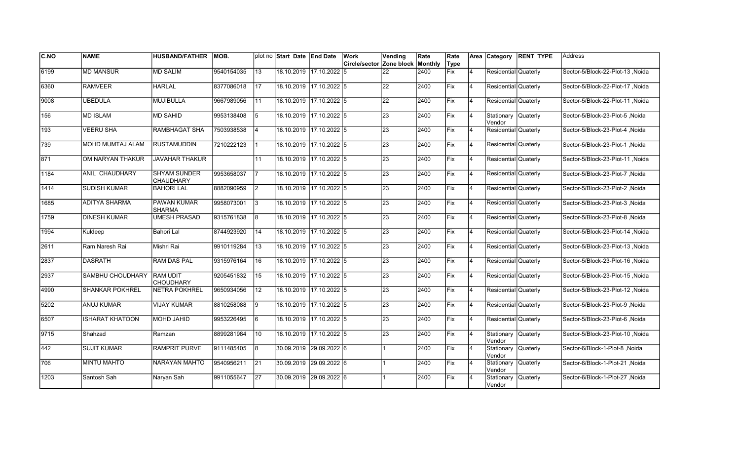| <b>C.NO</b> | <b>NAME</b>            | <b>HUSBAND/FATHER</b>                   | <b>IMOB.</b> |     | plot no Start Date End Date |                         | Work                                    | Vending         | Rate | Rate        |                | Area Category                 | <b>RENT TYPE</b> | Address                          |
|-------------|------------------------|-----------------------------------------|--------------|-----|-----------------------------|-------------------------|-----------------------------------------|-----------------|------|-------------|----------------|-------------------------------|------------------|----------------------------------|
|             |                        |                                         |              |     |                             |                         | <b>Circle/sector Zone block Monthly</b> |                 |      | Type        |                |                               |                  |                                  |
| 6199        | <b>MD MANSUR</b>       | <b>MD SALIM</b>                         | 9540154035   | 13  | 18.10.2019 17.10.2022 5     |                         |                                         | 22              | 2400 | Fix         | 4              | Residential Quaterly          |                  | Sector-5/Block-22-Plot-13, Noida |
| 6360        | <b>RAMVEER</b>         | <b>HARLAL</b>                           | 8377086018   | 17  | 18.10.2019 17.10.2022 5     |                         |                                         | $\overline{22}$ | 2400 | Fix         | $\overline{4}$ | Residential Quaterly          |                  | Sector-5/Block-22-Plot-17 .Noida |
| 19008       | <b>UBEDULA</b>         | <b>MUJIBULLA</b>                        | 9667989056   | 11  | 18.10.2019 17.10.2022 5     |                         |                                         | 22              | 2400 | Fix         | 4              | Residential Quaterly          |                  | Sector-5/Block-22-Plot-11, Noida |
| 156         | <b>MD ISLAM</b>        | <b>MD SAHID</b>                         | 9953138408   | 5   | 18.10.2019 17.10.2022 5     |                         |                                         | 23              | 2400 | Fix         | 4              | Stationary Quaterly<br>Vendor |                  | Sector-5/Block-23-Plot-5, Noida  |
| 193         | <b>VEERU SHA</b>       | <b>RAMBHAGAT SHA</b>                    | 7503938538   | 4   | 18.10.2019 17.10.2022 5     |                         |                                         | 23              | 2400 | Fix         | $\overline{4}$ | Residential Quaterly          |                  | Sector-5/Block-23-Plot-4, Noida  |
| 739         | MOHD MUMTAJ ALAM       | <b>RUSTAMUDDIN</b>                      | 7210222123   |     | 18.10.2019 17.10.2022 5     |                         |                                         | 23              | 2400 | Fix         | $\overline{4}$ | Residential Quaterly          |                  | Sector-5/Block-23-Plot-1, Noida  |
| 871         | OM NARYAN THAKUR       | <b>JAVAHAR THAKUR</b>                   |              | 11  | 18.10.2019 17.10.2022 5     |                         |                                         | 23              | 2400 | Fix         | $\overline{4}$ | Residential Quaterly          |                  | Sector-5/Block-23-Plot-11, Noida |
| 1184        | ANIL CHAUDHARY         | <b>SHYAM SUNDER</b><br><b>CHAUDHARY</b> | 9953658037   |     | 18.10.2019 17.10.2022 5     |                         |                                         | 23              | 2400 | Fix         | 4              | Residential Quaterly          |                  | Sector-5/Block-23-Plot-7 ,Noida  |
| 1414        | <b>SUDISH KUMAR</b>    | <b>BAHORI LAL</b>                       | 8882090959   | 2   | 18.10.2019 17.10.2022 5     |                         |                                         | 23              | 2400 | lFix.       | $\overline{4}$ | Residential Quaterly          |                  | Sector-5/Block-23-Plot-2, Noida  |
| 1685        | ADITYA SHARMA          | <b>PAWAN KUMAR</b><br><b>SHARMA</b>     | 9958073001   | 3   | 18.10.2019 17.10.2022 5     |                         |                                         | 23              | 2400 | Fix         | $\overline{4}$ | Residential Quaterly          |                  | Sector-5/Block-23-Plot-3, Noida  |
| 1759        | <b>DINESH KUMAR</b>    | <b>UMESH PRASAD</b>                     | 9315761838   | 8   | 18.10.2019 17.10.2022 5     |                         |                                         | 23              | 2400 | Fix         | 4              | Residential Quaterly          |                  | Sector-5/Block-23-Plot-8, Noida  |
| 1994        | Kuldeep                | Bahori Lal                              | 8744923920   | 14  | 18.10.2019 17.10.2022 5     |                         |                                         | 23              | 2400 | Fix         | 4              | Residential Quaterly          |                  | Sector-5/Block-23-Plot-14, Noida |
| 2611        | Ram Naresh Rai         | Mishri Rai                              | 9910119284   | 13  | 18.10.2019 17.10.2022 5     |                         |                                         | 23              | 2400 | Fix         | 4              | Residential Quaterly          |                  | Sector-5/Block-23-Plot-13, Noida |
| 2837        | <b>DASRATH</b>         | RAM DAS PAL                             | 9315976164   | 16  |                             | 18.10.2019 17.10.2022 5 |                                         | $\overline{23}$ | 2400 | Fix         | $\overline{4}$ | Residential Quaterly          |                  | Sector-5/Block-23-Plot-16, Noida |
| 2937        | SAMBHU CHOUDHARY       | <b>RAM UDIT</b><br><b>CHOUDHARY</b>     | 9205451832   | 15  | 18.10.2019 17.10.2022 5     |                         |                                         | $\overline{23}$ | 2400 | Fix         | 4              | Residential Quaterly          |                  | Sector-5/Block-23-Plot-15, Noida |
| 4990        | <b>SHANKAR POKHREL</b> | <b>NETRA POKHREL</b>                    | 9650934056   | 12  | 18.10.2019 17.10.2022 5     |                         |                                         | 23              | 2400 | Fix         | 4              | Residential Quaterly          |                  | Sector-5/Block-23-Plot-12, Noida |
| 5202        | ANUJ KUMAR             | VIJAY KUMAR                             | 8810258088   | 9   | 18.10.2019 17.10.2022 5     |                         |                                         | 23              | 2400 | Fix         | 4              | Residential Quaterly          |                  | Sector-5/Block-23-Plot-9, Noida  |
| 6507        | ISHARAT KHATOON        | MOHD JAHID                              | 9953226495   | l 6 | 18.10.2019 17.10.2022 5     |                         |                                         | 23              | 2400 | <b>IFix</b> | 4              | Residential Quaterly          |                  | Sector-5/Block-23-Plot-6, Noida  |
| 9715        | Shahzad                | Ramzan                                  | 8899281984   | 10  | 18.10.2019                  | 17.10.2022 5            |                                         | 23              | 2400 | Fix         | $\overline{4}$ | Stationary<br>Vendor          | Quaterly         | Sector-5/Block-23-Plot-10, Noida |
| 442         | <b>SUJIT KUMAR</b>     | <b>RAMPRIT PURVE</b>                    | 9111485405   | 8   | 30.09.2019 29.09.2022 6     |                         |                                         |                 | 2400 | Fix         | $\overline{4}$ | Stationary<br>Vendor          | <b>Quaterly</b>  | Sector-6/Block-1-Plot-8, Noida   |
| 706         | <b>MINTU MAHTO</b>     | <b>NARAYAN MAHTO</b>                    | 9540956211   | 21  | 30.09.2019 29.09.2022 6     |                         |                                         |                 | 2400 | Fix         | $\overline{4}$ | Stationary Quaterly<br>Vendor |                  | Sector-6/Block-1-Plot-21, Noida  |
| 1203        | Santosh Sah            | Naryan Sah                              | 9911055647   | 27  | 30.09.2019 29.09.2022 6     |                         |                                         |                 | 2400 | Fix         | 4              | Stationary<br>Vendor          | Quaterly         | Sector-6/Block-1-Plot-27, Noida  |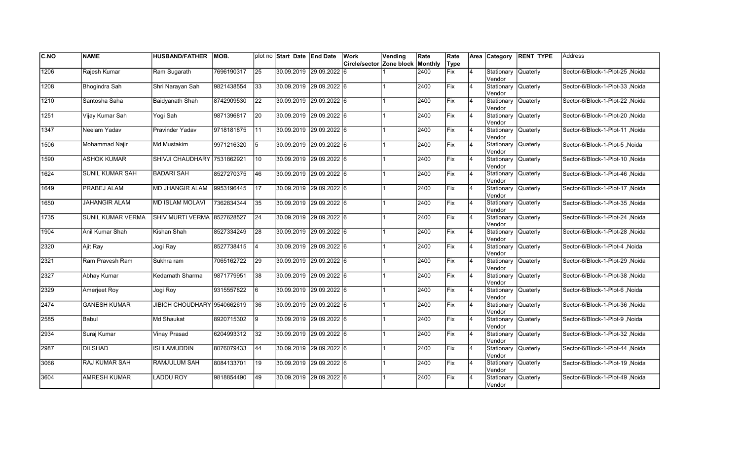| C.NO          | <b>NAME</b>              | <b>HUSBAND/FATHER</b>       | IMOB.      |                 | plot no Start Date End Date |                         | Work                     | Vending | Rate    | Rate        |                | Area Category                  | <b>RENT TYPE</b> | <b>Address</b>                   |
|---------------|--------------------------|-----------------------------|------------|-----------------|-----------------------------|-------------------------|--------------------------|---------|---------|-------------|----------------|--------------------------------|------------------|----------------------------------|
|               |                          |                             |            |                 |                             |                         | Circle/sector Zone block |         | Monthly | Type        |                |                                |                  |                                  |
| 1206          | Rajesh Kumar             | Ram Sugarath                | 7696190317 | $\overline{25}$ |                             | 30.09.2019 29.09.2022 6 |                          |         | 2400    | <b>Fix</b>  | $\overline{4}$ | Stationary<br>Vendor           | <b>Quaterly</b>  | Sector-6/Block-1-Plot-25, Noida  |
| 1208          | Bhogindra Sah            | Shri Narayan Sah            | 9821438554 | 33              | 30.09.2019 29.09.2022 6     |                         |                          |         | 2400    | Fix         | 4              | Stationary Quaterly<br>Vendor  |                  | Sector-6/Block-1-Plot-33 .Noida  |
| 1210          | Santosha Saha            | Baidyanath Shah             | 8742909530 | 22              | 30.09.2019 29.09.2022 6     |                         |                          |         | 2400    | Fix         | 4              | Stationary Quaterly<br>Vendor  |                  | Sector-6/Block-1-Plot-22, Noida  |
| 1251          | Vijay Kumar Sah          | Yogi Sah                    | 9871396817 | 20              | 30.09.2019 29.09.2022 6     |                         |                          |         | 2400    | Fix         | $\overline{4}$ | Stationary Quaterly<br>Vendor  |                  | Sector-6/Block-1-Plot-20, Noida  |
| 1347          | Neelam Yadav             | Pravinder Yadav             | 9718181875 | l 11            | 30.09.2019 29.09.2022 6     |                         |                          |         | 2400    | Fix         | $\overline{4}$ | Stationary<br>Vendor           | <b>Quaterly</b>  | Sector-6/Block-1-Plot-11 , Noida |
| 1506          | Mohammad Najir           | Md Mustakim                 | 9971216320 | 5               |                             | 30.09.2019 29.09.2022 6 |                          |         | 2400    | Fix         | 4              | Stationary<br>Vendor           | Quaterly         | Sector-6/Block-1-Plot-5, Noida   |
| 1590          | <b>ASHOK KUMAR</b>       | SHIVJI CHAUDHARY 7531862921 |            | 10              | 30.09.2019 29.09.2022 6     |                         |                          |         | 2400    | <b>Fix</b>  | $\overline{4}$ | Stationary<br>Vendor           | <b>Quaterly</b>  | Sector-6/Block-1-Plot-10, Noida  |
| 1624          | <b>SUNIL KUMAR SAH</b>   | İBADARI SAH                 | 8527270375 | 46              | 30.09.2019  29.09.2022  6   |                         |                          |         | 2400    | Fix         | 4              | Stationary Quaterly<br>Vendor  |                  | Sector-6/Block-1-Plot-46, Noida  |
| 1649          | PRABEJ ALAM              | <b>MD JHANGIR ALAM</b>      | 9953196445 | 17              | 30.09.2019 29.09.2022 6     |                         |                          |         | 2400    | Fix         | $\overline{4}$ | Stationary<br>lVendor          | Quaterly         | Sector-6/Block-1-Plot-17, Noida  |
| 1650          | <b>JAHANGIR ALAM</b>     | <b>MD ISLAM MOLAVI</b>      | 7362834344 | $\overline{35}$ |                             | 30.09.2019 29.09.2022 6 |                          |         | 2400    | Fix         | $\overline{4}$ | Stationary<br>lVendor          | <b>Quaterly</b>  | Sector-6/Block-1-Plot-35, Noida  |
| 1735          | <b>SUNIL KUMAR VERMA</b> | SHIV MURTI VERMA 8527628527 |            | $\overline{24}$ |                             | 30.09.2019 29.09.2022 6 |                          |         | 2400    | Fix         | 4              | Stationary Quaterly<br>lVendor |                  | Sector-6/Block-1-Plot-24 , Noida |
| 1904          | Anil Kumar Shah          | Kishan Shah                 | 8527334249 | 28              | 30.09.2019 29.09.2022 6     |                         |                          |         | 2400    | Fix         | 4              | Stationary Quaterly<br>Vendor  |                  | Sector-6/Block-1-Plot-28, Noida  |
| 2320          | Ajit Ray                 | Jogi Ray                    | 8527738415 | 4               | 30.09.2019 29.09.2022 6     |                         |                          |         | 2400    | Fix         | $\overline{4}$ | Stationary Quaterly<br>Vendor  |                  | Sector-6/Block-1-Plot-4, Noida   |
| 2321          | Ram Pravesh Ram          | Sukhra ram                  | 7065162722 | 29              |                             | 30.09.2019 29.09.2022 6 |                          |         | 2400    | <b>IFix</b> | $\overline{4}$ | Stationary<br>Vendor           | Quaterly         | Sector-6/Block-1-Plot-29 .Noida  |
| 2327          | Abhay Kumar              | Kedarnath Sharma            | 9871779951 | 38              | 30.09.2019 29.09.2022 6     |                         |                          |         | 2400    | Fix         | $\overline{4}$ | Stationary<br>Vendor           | Quaterly         | Sector-6/Block-1-Plot-38, Noida  |
| 2329          | <b>Amerjeet Roy</b>      | Jogi Roy                    | 9315557822 | 16              | 30.09.2019 29.09.2022 6     |                         |                          |         | 2400    | Fix         | $\overline{4}$ | Stationary Quaterly<br>Vendor  |                  | Sector-6/Block-1-Plot-6, Noida   |
| $\sqrt{2474}$ | <b>GANESH KUMAR</b>      | JIBICH CHOUDHARY 9540662619 |            | 36              | 30.09.2019 29.09.2022 6     |                         |                          |         | 2400    | Fix         | 4              | Stationary Quaterly<br>Vendor  |                  | Sector-6/Block-1-Plot-36, Noida  |
| 2585          | Babul                    | Md Shaukat                  | 8920715302 | l9              |                             | 30.09.2019 29.09.2022 6 |                          |         | 2400    | Fix         | 4              | Stationary<br>Vendor           | Quaterly         | Sector-6/Block-1-Plot-9, Noida   |
| 2934          | Suraj Kumar              | Vinay Prasad                | 6204993312 | 32              |                             | 30.09.2019 29.09.2022 6 |                          |         | 2400    | Fix         | $\overline{4}$ | Stationary<br>Vendor           | Quaterly         | Sector-6/Block-1-Plot-32 , Noida |
| 2987          | <b>DILSHAD</b>           | <b>ISHLAMUDDIN</b>          | 8076079433 | 44              | 30.09.2019 29.09.2022 6     |                         |                          |         | 2400    | Fix         | $\overline{4}$ | Stationary<br>Vendor           | Quaterly         | Sector-6/Block-1-Plot-44 .Noida  |
| 3066          | <b>RAJ KUMAR SAH</b>     | <b>RAMJULUM SAH</b>         | 8084133701 | 19              | 30.09.2019 29.09.2022 6     |                         |                          |         | 2400    | Fix         | $\overline{4}$ | Stationary Quaterly<br>Vendor  |                  | Sector-6/Block-1-Plot-19, Noida  |
| 3604          | <b>AMRESH KUMAR</b>      | <b>LADDU ROY</b>            | 9818854490 | 49              |                             | 30.09.2019 29.09.2022 6 |                          |         | 2400    | Fix         | 4              | Stationary<br>Vendor           | Quaterly         | Sector-6/Block-1-Plot-49, Noida  |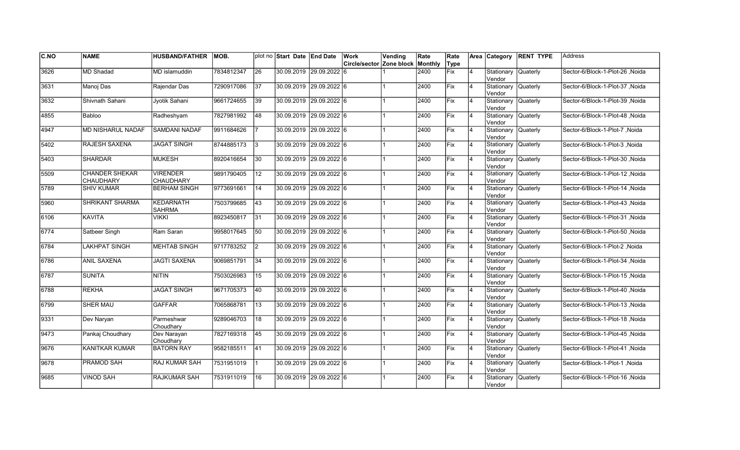| <b>C.NO</b> | <b>NAME</b>                        | <b>HUSBAND/FATHER</b>               | IMOB.      |                 | plot no Start Date End Date |                         | <b>Work</b>                      | Vending | Rate | Rate |    |                                | Area Category RENT TYPE | <b>Address</b>                   |
|-------------|------------------------------------|-------------------------------------|------------|-----------------|-----------------------------|-------------------------|----------------------------------|---------|------|------|----|--------------------------------|-------------------------|----------------------------------|
|             |                                    |                                     |            |                 |                             |                         | Circle/sector Zone block Monthly |         |      | Type |    |                                |                         |                                  |
| 3626        | <b>MD Shadad</b>                   | MD islamuddin                       | 7834812347 | 26              |                             | 30.09.2019 29.09.2022 6 |                                  |         | 2400 | Fix  | 4  | Stationary Quaterly<br>Vendor  |                         | Sector-6/Block-1-Plot-26, Noida  |
| 3631        | Manoj Das                          | Rajendar Das                        | 7290917086 | 37              |                             | 30.09.2019 29.09.2022 6 |                                  |         | 2400 | Fix  | 4  | Stationary Quaterly<br>Vendor  |                         | Sector-6/Block-1-Plot-37 Noida   |
| 3632        | Shivnath Sahani                    | Jvotik Sahani                       | 9661724655 | $\overline{39}$ |                             | 30.09.2019 29.09.2022 6 |                                  |         | 2400 | Fix  | 4  | Stationary Quaterly<br>Vendor  |                         | Sector-6/Block-1-Plot-39 .Noida  |
| 4855        | Babloo                             | Radheshyam                          | 7827981992 | 48              |                             | 30.09.2019 29.09.2022 6 |                                  |         | 2400 | Fix  | 4  | Stationary Quaterly<br>Vendor  |                         | Sector-6/Block-1-Plot-48, Noida  |
| 4947        | <b>MD NISHARUL NADAF</b>           | <b>SAMDANI NADAF</b>                | 9911684626 |                 |                             | 30.09.2019 29.09.2022 6 |                                  |         | 2400 | Fix  | 4  | Stationary Quaterly<br>Vendor  |                         | Sector-6/Block-1-Plot-7, Noida   |
| 5402        | RAJESH SAXENA                      | <b>JAGAT SINGH</b>                  | 8744885173 | 13              |                             | 30.09.2019 29.09.2022 6 |                                  |         | 2400 | Fix  | 4  | Stationary Quaterly<br>lVendor |                         | Sector-6/Block-1-Plot-3, Noida   |
| 5403        | <b>SHARDAR</b>                     | <b>MUKESH</b>                       | 8920416654 | 30              |                             | 30.09.2019 29.09.2022 6 |                                  |         | 2400 | Fix  | 4  | Stationary Quaterly<br>Vendor  |                         | Sector-6/Block-1-Plot-30, Noida  |
| 5509        | <b>CHANDER SHEKAR</b><br>CHAUDHARY | <b>VIRENDER</b><br><b>CHAUDHARY</b> | 9891790405 | 12              |                             | 30.09.2019 29.09.2022 6 |                                  |         | 2400 | Fix  | Ι4 | Stationary Quaterly<br>Vendor  |                         | Sector-6/Block-1-Plot-12, Noida  |
| 5789        | <b>SHIV KUMAR</b>                  | <b>BERHAM SINGH</b>                 | 9773691661 | 14              |                             | 30.09.2019 29.09.2022 6 |                                  |         | 2400 | Fix  | 4  | Stationary Quaterly<br>Vendor  |                         | Sector-6/Block-1-Plot-14, Noida  |
| 5960        | <b>SHRIKANT SHARMA</b>             | <b>KEDARNATH</b><br><b>SAHRMA</b>   | 7503799685 | 43              |                             | 30.09.2019 29.09.2022 6 |                                  |         | 2400 | lFix | 4  | Stationary Quaterly<br>Vendor  |                         | Sector-6/Block-1-Plot-43, Noida  |
| 6106        | <b>KAVITA</b>                      | <b>VIKKI</b>                        | 8923450817 | $\overline{31}$ |                             | 30.09.2019 29.09.2022 6 |                                  |         | 2400 | Fix  | 4  | Stationary Quaterly<br>Vendor  |                         | Sector-6/Block-1-Plot-31, Noida  |
| 6774        | Satbeer Singh                      | Ram Saran                           | 9958017645 | 50              | 30.09.2019 29.09.2022 6     |                         |                                  |         | 2400 | Fix  | 14 | Stationary Quaterly<br>Vendor  |                         | Sector-6/Block-1-Plot-50, Noida  |
| 6784        | <b>LAKHPAT SINGH</b>               | <b>MEHTAB SINGH</b>                 | 9717783252 | $ 2\rangle$     |                             | 30.09.2019 29.09.2022 6 |                                  |         | 2400 | Fix  | 4  | Stationary Quaterly<br>Vendor  |                         | Sector-6/Block-1-Plot-2, Noida   |
| 6786        | <b>ANIL SAXENA</b>                 | <b>JAGTI SAXENA</b>                 | 9069851791 | 34              |                             | 30.09.2019 29.09.2022 6 |                                  |         | 2400 | Fix  | 4  | Stationary Quaterly<br>Vendor  |                         | Sector-6/Block-1-Plot-34, Noida  |
| 6787        | <b>SUNITA</b>                      | <b>NITIN</b>                        | 7503026983 | 15              |                             | 30.09.2019 29.09.2022 6 |                                  |         | 2400 | Fix  | 4  | Stationary Quaterly<br>lVendor |                         | Sector-6/Block-1-Plot-15, Noida  |
| 6788        | <b>REKHA</b>                       | <b>JAGAT SINGH</b>                  | 9671705373 | 40              |                             | 30.09.2019 29.09.2022 6 |                                  |         | 2400 | Fix  | 4  | Stationary Quaterly<br>Vendor  |                         | Noida / Sector-6/Block-1-Plot-40 |
| 6799        | <b>SHER MAU</b>                    | <b>GAFFAR</b>                       | 7065868781 | $ 13\rangle$    |                             | 30.09.2019 29.09.2022 6 |                                  |         | 2400 | Fix  | 4  | Stationary Quaterly<br>Vendor  |                         | Sector-6/Block-1-Plot-13, Noida  |
| 9331        | Dev Naryan                         | Parmeshwar<br>Choudhary             | 9289046703 | 18              |                             | 30.09.2019 29.09.2022 6 |                                  |         | 2400 | lFix | 4  | Stationary Quaterly<br>Vendor  |                         | Sector-6/Block-1-Plot-18, Noida  |
| 9473        | Pankaj Choudhary                   | Dev Narayan<br>Choudhary            | 7827169318 | 45              | 30.09.2019                  | $29.09.2022$ 6          |                                  |         | 2400 | Fix  | 4  | Stationary Quaterly<br>lVendor |                         | Sector-6/Block-1-Plot-45, Noida  |
| 9676        | <b>KANITKAR KUMAR</b>              | <b>BATORN RAY</b>                   | 9582185511 | 41              |                             | 30.09.2019 29.09.2022 6 |                                  |         | 2400 | Fix  | 4  | Stationary Quaterly<br>Vendor  |                         | Sector-6/Block-1-Plot-41, Noida  |
| 9678        | <b>PRAMOD SAH</b>                  | <b>RAJ KUMAR SAH</b>                | 7531951019 |                 | 30.09.2019 29.09.2022 6     |                         |                                  |         | 2400 | Fix  | 4  | Stationary Quaterly<br>Vendor  |                         | Sector-6/Block-1-Plot-1, Noida   |
| 9685        | <b>VINOD SAH</b>                   | <b>RAJKUMAR SAH</b>                 | 7531911019 | 16              |                             | 30.09.2019 29.09.2022 6 |                                  |         | 2400 | Fix  |    | Stationary<br>Vendor           | Quaterly                | Sector-6/Block-1-Plot-16, Noida  |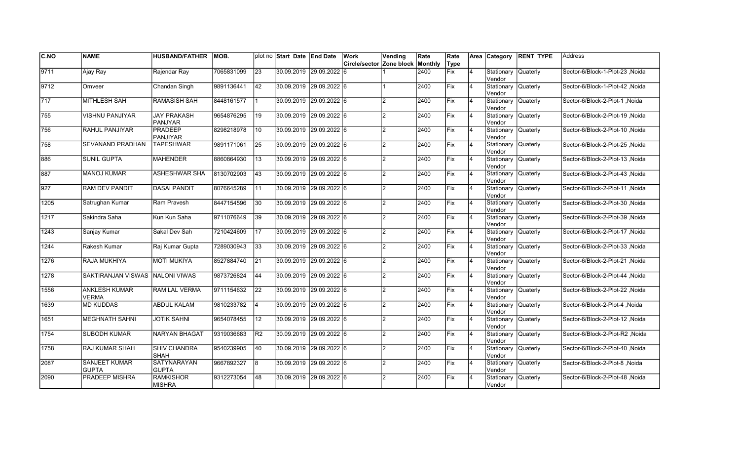| <b>C.NO</b>  | <b>NAME</b>                          | <b>HUSBAND/FATHER</b>                | <b>IMOB.</b> |    | plot no Start Date End Date | Work                                    | Vending        | Rate | Rate       |                | Area Category                 | <b>RENT TYPE</b> | <b>Address</b>                   |
|--------------|--------------------------------------|--------------------------------------|--------------|----|-----------------------------|-----------------------------------------|----------------|------|------------|----------------|-------------------------------|------------------|----------------------------------|
|              |                                      |                                      |              |    |                             | <b>Circle/sector Zone block Monthly</b> |                |      | Type       |                |                               |                  |                                  |
| 9711         | Ajay Ray                             | Rajendar Ray                         | 7065831099   | 23 | 30.09.2019 29.09.2022       | 16                                      |                | 2400 | Fix        | $\overline{4}$ | Stationary<br>Vendor          | <b>Quaterly</b>  | Sector-6/Block-1-Plot-23, Noida  |
| 9712         | Omveer                               | Chandan Singh                        | 9891136441   | 42 | 30.09.2019 29.09.2022 6     |                                         |                | 2400 | Fix        | $\overline{4}$ | Stationary Quaterly<br>Vendor |                  | Sector-6/Block-1-Plot-42 .Noida  |
| $\sqrt{717}$ | <b>MITHLESH SAH</b>                  | <b>RAMASISH SAH</b>                  | 8448161577   |    | 30.09.2019 29.09.2022 6     |                                         | $\mathfrak{p}$ | 2400 | Fix        | $\overline{4}$ | Stationary Quaterly<br>Vendor |                  | Sector-6/Block-2-Plot-1 .Noida   |
| 755          | <b>VISHNU PANJIYAR</b>               | <b>JAY PRAKASH</b><br><b>PANJYAR</b> | 9654876295   | 19 | 30.09.2019 29.09.2022 6     |                                         | $\overline{2}$ | 2400 | Fix        | $\overline{4}$ | Stationary Quaterly<br>Vendor |                  | Sector-6/Block-2-Plot-19, Noida  |
| 756          | RAHUL PANJIYAR                       | <b>PRADEEP</b><br><b>PANJIYAR</b>    | 8298218978   | 10 | 30.09.2019 29.09.2022 6     |                                         | $\overline{2}$ | 2400 | Fix        | $\overline{4}$ | Stationary<br>Vendor          | <b>Quaterly</b>  | Sector-6/Block-2-Plot-10, Noida  |
| 758          | SEVANAND PRADHAN                     | <b>TAPESHWAR</b>                     | 9891171061   | 25 | 30.09.2019 29.09.2022 6     |                                         | $\mathfrak{p}$ | 2400 | Fix        | $\overline{4}$ | Stationary<br>Vendor          | <b>Quaterly</b>  | Sector-6/Block-2-Plot-25, Noida  |
| 886          | <b>SUNIL GUPTA</b>                   | <b>MAHENDER</b>                      | 8860864930   | 13 | 30.09.2019 29.09.2022 6     |                                         | $\mathcal{P}$  | 2400 | Fix        | $\overline{4}$ | Stationary<br>Vendor          | <b>Quaterly</b>  | Sector-6/Block-2-Plot-13, Noida  |
| 887          | <b>MANOJ KUMAR</b>                   | <b>ASHESHWAR SHA</b>                 | 8130702903   | 43 | 30.09.2019 29.09.2022 6     |                                         | $\mathcal{P}$  | 2400 | Fix        | $\overline{4}$ | Stationary Quaterly<br>Vendor |                  | Sector-6/Block-2-Plot-43, Noida  |
| 927          | <b>RAM DEV PANDIT</b>                | <b>DASAI PANDIT</b>                  | 8076645289   | 11 | 30.09.2019 29.09.2022 6     |                                         | $\mathcal{D}$  | 2400 | Fix        | $\overline{4}$ | Stationary<br>Vendor          | <b>Quaterly</b>  | Sector-6/Block-2-Plot-11, Noida  |
| 1205         | Satrughan Kumar                      | Ram Pravesh                          | 8447154596   | 30 | 30.09.2019 29.09.2022 6     |                                         | $\mathfrak{p}$ | 2400 | lFix       | $\overline{4}$ | Stationary Quaterly<br>Vendor |                  | Sector-6/Block-2-Plot-30, Noida  |
| 1217         | Sakindra Saha                        | Kun Kun Saha                         | 9711076649   | 39 | 30.09.2019 29.09.2022 6     |                                         | $\mathcal{P}$  | 2400 | Fix        | 14             | Stationary Quaterly<br>Vendor |                  | Sector-6/Block-2-Plot-39 , Noida |
| 1243         | Sanjay Kumar                         | Sakal Dev Sah                        | 7210424609   | 17 | 30.09.2019 29.09.2022 6     |                                         | $\mathcal{P}$  | 2400 | Fix        | 14             | Stationary Quaterly<br>Vendor |                  | Sector-6/Block-2-Plot-17, Noida  |
| 1244         | Rakesh Kumar                         | Raj Kumar Gupta                      | 7289030943   | 33 | 30.09.2019 29.09.2022 6     |                                         | $\mathfrak{p}$ | 2400 | Fix        | $\overline{4}$ | Stationary Quaterly<br>Vendor |                  | Sector-6/Block-2-Plot-33, Noida  |
| 1276         | RAJA MUKHIYA                         | <b>MOTI MUKIYA</b>                   | 8527884740   | 21 | 30.09.2019 29.09.2022 6     |                                         | $\mathfrak{p}$ | 2400 | Fix        | $\overline{4}$ | Stationary<br>Vendor          | Quaterly         | Sector-6/Block-2-Plot-21, Noida  |
| 1278         | SAKTIRANJAN VISWAS NALONI VIWAS      |                                      | 9873726824   | 44 | 30.09.2019 29.09.2022 6     |                                         | $\mathcal{P}$  | 2400 | Fix        | 14             | Stationary Quaterly<br>Vendor |                  | Sector-6/Block-2-Plot-44, Noida  |
| 1556         | <b>ANKLESH KUMAR</b><br><b>VERMA</b> | <b>RAM LAL VERMA</b>                 | 9711154632   | 22 | 30.09.2019 29.09.2022 6     |                                         | $\mathfrak{p}$ | 2400 | Fix        | $\overline{4}$ | Stationary Quaterly<br>Vendor |                  | Noida Sector-6/Block-2-Plot-22   |
| 1639         | <b>MD KUDDAS</b>                     | <b>ABDUL KALAM</b>                   | 9810233782   | 4  | 30.09.2019 29.09.2022 6     |                                         | $\mathfrak{p}$ | 2400 | <b>Fix</b> | $\overline{4}$ | Stationary Quaterly<br>Vendor |                  | Sector-6/Block-2-Plot-4, Noida   |
| 1651         | <b>MEGHNATH SAHNI</b>                | <b>JOTIK SAHNI</b>                   | 9654078455   | 12 | 30.09.2019 29.09.2022 6     |                                         | $\mathcal{P}$  | 2400 | lFix       | $\overline{4}$ | Stationary<br>Vendor          | Quaterly         | Sector-6/Block-2-Plot-12, Noida  |
| 1754         | SUBODH KUMAR                         | <b>NARYAN BHAGAT</b>                 | 9319036683   | R2 | 30.09.2019 29.09.2022 6     |                                         | $\mathcal{P}$  | 2400 | lFix       | $\overline{4}$ | Stationary<br>Vendor          | Quaterly         | Sector-6/Block-2-Plot-R2 ,Noida  |
| 1758         | <b>RAJ KUMAR SHAH</b>                | <b>SHIV CHANDRA</b><br><b>SHAH</b>   | 9540239905   | 40 | 30.09.2019 29.09.2022 6     |                                         | $\mathcal{P}$  | 2400 | Fix        | $\overline{4}$ | Stationary<br>Vendor          | <b>Quaterly</b>  | Sector-6/Block-2-Plot-40, Noida  |
| 2087         | <b>SANJEET KUMAR</b><br><b>GUPTA</b> | <b>SATYNARAYAN</b><br><b>GUPTA</b>   | 9667892327   | 8  | 30.09.2019 29.09.2022 6     |                                         | $\mathfrak{p}$ | 2400 | Fix        | 14             | Stationary Quaterly<br>Vendor |                  | Sector-6/Block-2-Plot-8, Noida   |
| 2090         | PRADEEP MISHRA                       | <b>RAMKISHOR</b><br><b>MISHRA</b>    | 9312273054   | 48 | 30.09.2019 29.09.2022 6     |                                         | $\mathcal{P}$  | 2400 | Fix        |                | Stationary<br>Vendor          | <b>Quaterly</b>  | Sector-6/Block-2-Plot-48, Noida  |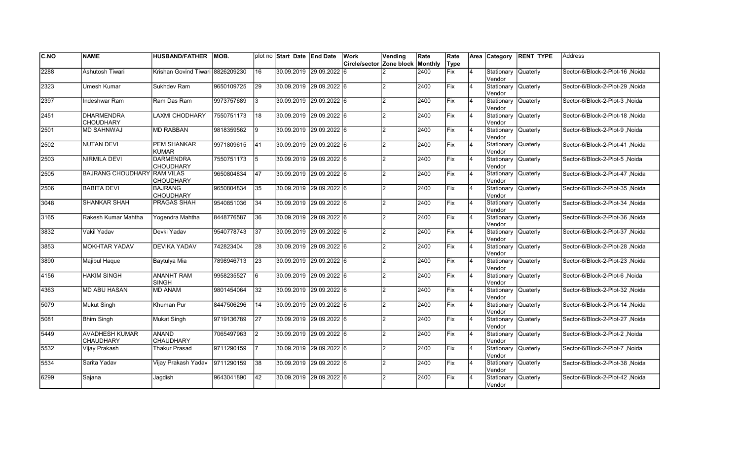| <b>C.NO</b> | <b>NAME</b>                               | <b>HUSBAND/FATHER</b>                | <b>IMOB.</b> |                | plot no Start Date End Date |              | Work                                    | Vending        | Rate | Rate       |                | Area Category                 | <b>RENT TYPE</b> | <b>Address</b>                       |
|-------------|-------------------------------------------|--------------------------------------|--------------|----------------|-----------------------------|--------------|-----------------------------------------|----------------|------|------------|----------------|-------------------------------|------------------|--------------------------------------|
|             |                                           |                                      |              |                |                             |              | <b>Circle/sector Zone block Monthly</b> |                |      | Type       |                |                               |                  |                                      |
| 2288        | Ashutosh Tiwari                           | Krishan Govind Tiwari                | 8826209230   | 16             | 30.09.2019 29.09.2022       |              | 16                                      |                | 2400 | Fix        | $\overline{4}$ | Stationary<br>Vendor          | <b>Quaterly</b>  | Sector-6/Block-2-Plot-16, Noida      |
| 2323        | Umesh Kumar                               | Sukhdev Ram                          | 9650109725   | 29             | 30.09.2019 29.09.2022 6     |              |                                         |                | 2400 | <b>Fix</b> | $\overline{4}$ | Stationary<br>Vendor          | Quaterly         | Noida Sector-6/Block-2-Plot-29       |
| 2397        | Indeshwar Ram                             | Ram Das Ram                          | 9973757689   | l3             | 30.09.2019 29.09.2022 6     |              |                                         | $\mathfrak{p}$ | 2400 | Fix        | $\overline{4}$ | Stationary Quaterly<br>Vendor |                  | Sector-6/Block-2-Plot-3 .Noida       |
| 2451        | <b>DHARMENDRA</b><br><b>CHOUDHARY</b>     | <b>LAXMI CHODHARY</b>                | 7550751173   | 18             | 30.09.2019 29.09.2022 6     |              |                                         | $\overline{2}$ | 2400 | Fix        | $\overline{4}$ | Stationary Quaterly<br>Vendor |                  | Sector-6/Block-2-Plot-18, Noida      |
| 2501        | <b>MD SAHNWAJ</b>                         | <b>MD RABBAN</b>                     | 9818359562   | 9              | 30.09.2019 29.09.2022 6     |              |                                         | $\overline{2}$ | 2400 | Fix        | $\overline{4}$ | Stationary<br>Vendor          | <b>Quaterly</b>  | Sector-6/Block-2-Plot-9, Noida       |
| 2502        | <b>NUTAN DEVI</b>                         | <b>PEM SHANKAR</b><br><b>KUMAR</b>   | 9971809615   | 41             | 30.09.2019 29.09.2022 6     |              |                                         | $\mathfrak{p}$ | 2400 | Fix        | $\overline{4}$ | Stationary<br>Vendor          | <b>Quaterly</b>  | Sector-6/Block-2-Plot-41, Noida      |
| 2503        | NIRMILA DEVI                              | <b>DARMENDRA</b><br><b>CHOUDHARY</b> | 7550751173   | 5              | 30.09.2019 29.09.2022 6     |              |                                         | $\mathcal{P}$  | 2400 | Fix        | $\overline{4}$ | Stationary<br>Vendor          | <b>Quaterly</b>  | Sector-6/Block-2-Plot-5, Noida       |
| 2505        | <b>BAJRANG CHOUDHARY RAM VILAS</b>        | <b>CHOUDHARY</b>                     | 9650804834   | 47             | 30.09.2019 29.09.2022 6     |              |                                         | $\mathcal{P}$  | 2400 | Fix        | $\overline{4}$ | Stationary Quaterly<br>Vendor |                  | Sector-6/Block-2-Plot-47, Noida      |
| 2506        | <b>BABITA DEVI</b>                        | <b>BAJRANG</b><br><b>CHOUDHARY</b>   | 9650804834   | 35             | 30.09.2019 29.09.2022 6     |              |                                         | $\mathcal{D}$  | 2400 | Fix        | $\overline{4}$ | Stationary<br>Vendor          | <b>Quaterly</b>  | Sector-6/Block-2-Plot-35, Noida      |
| 3048        | <b>SHANKAR SHAH</b>                       | <b>PRAGAS SHAH</b>                   | 9540851036   | 34             | 30.09.2019 29.09.2022 6     |              |                                         | $\mathfrak{p}$ | 2400 | lFix       | $\overline{4}$ | Stationary Quaterly<br>Vendor |                  | Sector-6/Block-2-Plot-34 , Noida     |
| 3165        | Rakesh Kumar Mahtha                       | Yogendra Mahtha                      | 8448776587   | 36             | 30.09.2019 29.09.2022 6     |              |                                         | $\mathcal{P}$  | 2400 | Fix        | 14             | Stationary Quaterly<br>Vendor |                  | Sector-6/Block-2-Plot-36, Noida      |
| 3832        | Vakil Yadav                               | Devki Yadav                          | 9540778743   | 37             | 30.09.2019 29.09.2022 6     |              |                                         | $\mathcal{P}$  | 2400 | Fix        | 14             | Stationary Quaterly<br>Vendor |                  | Sector-6/Block-2-Plot-37, Noida      |
| 3853        | MOKHTAR YADAV                             | <b>DEVIKA YADAV</b>                  | 742823404    | 28             | 30.09.2019 29.09.2022 6     |              |                                         | $\mathfrak{p}$ | 2400 | Fix        | $\overline{4}$ | Stationary Quaterly<br>Vendor |                  | Sector-6/Block-2-Plot-28, Noida      |
| 3890        | Majibul Haque                             | Baytulya Mia                         | 7898946713   | 23             | 30.09.2019 29.09.2022 6     |              |                                         | $\mathcal{P}$  | 2400 | Fix        | $\overline{4}$ | Stationary<br>Vendor          | <b>Quaterly</b>  | Sector-6/Block-2-Plot-23, Noida      |
| 4156        | HAKIM SINGH                               | <b>ANANHT RAM</b><br><b>SINGH</b>    | 9958235527   | l6             | 30.09.2019 29.09.2022 6     |              |                                         | $\mathcal{P}$  | 2400 | Fix        | 14             | Stationary Quaterly<br>Vendor |                  | Sector-6/Block-2-Plot-6, Noida       |
| 4363        | <b>MD ABU HASAN</b>                       | <b>MD ANAM</b>                       | 9801454064   | 32             | 30.09.2019 29.09.2022 6     |              |                                         | $\mathfrak{p}$ | 2400 | <b>Fix</b> | $\overline{4}$ | Stationary Quaterly<br>Vendor |                  | Noida Sector-6/Block-2-Plot-32       |
| 5079        | Mukut Singh                               | Khuman Pur                           | 8447506296   | 14             | 30.09.2019 29.09.2022 6     |              |                                         | $\mathfrak{p}$ | 2400 | <b>Fix</b> | $\overline{4}$ | Stationary Quaterly<br>Vendor |                  | Noida Noida Sector-6/Block-2-Plot-14 |
| 5081        | Bhim Singh                                | Mukat Singh                          | 9719136789   | <b>27</b>      | 30.09.2019 29.09.2022 6     |              |                                         | $\mathcal{P}$  | 2400 | <b>Fix</b> | $\overline{4}$ | Stationary<br>Vendor          | Quaterly         | Sector-6/Block-2-Plot-27 ,Noida      |
| 5449        | <b>AVADHESH KUMAR</b><br><b>CHAUDHARY</b> | <b>ANAND</b><br><b>CHAUDHARY</b>     | 7065497963   | $\overline{2}$ | 30.09.2019  29.09.2022  6   |              |                                         | $\mathcal{P}$  | 2400 | lFix       | $\overline{4}$ | Stationary<br>Vendor          | <b>Quaterly</b>  | Sector-6/Block-2-Plot-2, Noida       |
| 5532        | Vijay Prakash                             | Thakur Prasad                        | 9711290159   |                | 30.09.2019 29.09.2022 6     |              |                                         | $\mathcal{P}$  | 2400 | Fix        | $\overline{4}$ | Stationary<br>Vendor          | <b>Quaterly</b>  | Sector-6/Block-2-Plot-7, Noida       |
| 5534        | Sarita Yadav                              | Vijay Prakash Yadav                  | 9711290159   | 38             | 30.09.2019 29.09.2022 6     |              |                                         | $\mathfrak{p}$ | 2400 | Fix        | $\overline{4}$ | Stationary Quaterly<br>Vendor |                  | Sector-6/Block-2-Plot-38, Noida      |
| 6299        | Sajana                                    | Jagdish                              | 9643041890   | 42             | 30.09.2019                  | 29.09.2022 6 |                                         | $\mathcal{P}$  | 2400 | Fix        |                | Stationary<br>Vendor          | <b>Quaterly</b>  | Sector-6/Block-2-Plot-42, Noida      |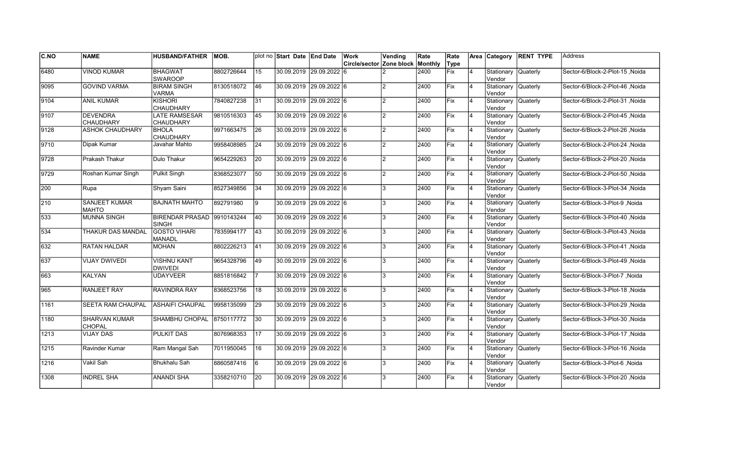| <b>C.NO</b> | <b>NAME</b>                          | <b>HUSBAND/FATHER</b>                      | <b>IMOB.</b> |    | plot no Start Date End Date | Work                                    | Vending        | Rate | Rate       |                | Area Category                 | <b>RENT TYPE</b> | <b>Address</b>                   |
|-------------|--------------------------------------|--------------------------------------------|--------------|----|-----------------------------|-----------------------------------------|----------------|------|------------|----------------|-------------------------------|------------------|----------------------------------|
|             |                                      |                                            |              |    |                             | <b>Circle/sector Zone block Monthly</b> |                |      | Type       |                |                               |                  |                                  |
| 6480        | <b>VINOD KUMAR</b>                   | <b>BHAGWAT</b><br><b>SWAROOP</b>           | 8802726644   | 15 | 30.09.2019 29.09.2022       | 16                                      |                | 2400 | Fix        | $\overline{4}$ | Stationary<br>Vendor          | <b>Quaterly</b>  | Sector-6/Block-2-Plot-15, Noida  |
| 9095        | <b>GOVIND VARMA</b>                  | <b>BIRAM SINGH</b><br><b>VARMA</b>         | 8130518072   | 46 | 30.09.2019 29.09.2022 6     |                                         |                | 2400 | Fix        | $\overline{4}$ | Stationary Quaterly<br>Vendor |                  | Noida / Sector-6/Block-2-Plot-46 |
| 9104        | <b>ANIL KUMAR</b>                    | <b>KISHORI</b><br><b>CHAUDHARY</b>         | 7840827238   | 31 | 30.09.2019 29.09.2022 6     |                                         | $\mathfrak{p}$ | 2400 | Fix        | $\overline{4}$ | Stationary Quaterly<br>Vendor |                  | Sector-6/Block-2-Plot-31 .Noida  |
| 9107        | <b>DEVENDRA</b><br><b>CHAUDHARY</b>  | LATE RAMSESAR<br>CHAUDHARY                 | 9810516303   | 45 | 30.09.2019 29.09.2022 6     |                                         | $\overline{2}$ | 2400 | Fix        | $\overline{4}$ | Stationary Quaterly<br>Vendor |                  | Sector-6/Block-2-Plot-45, Noida  |
| 9128        | <b>ASHOK CHAUDHARY</b>               | <b>BHOLA</b><br><b>CHAUDHARY</b>           | 9971663475   | 26 | 30.09.2019 29.09.2022 6     |                                         | $\overline{2}$ | 2400 | Fix        | $\overline{4}$ | Stationary<br>Vendor          | <b>Quaterly</b>  | Sector-6/Block-2-Plot-26, Noida  |
| 9710        | Dipak Kumar                          | Javahar Mahto                              | 9958408985   | 24 | 30.09.2019 29.09.2022 6     |                                         | $\mathfrak{p}$ | 2400 | Fix        | $\overline{4}$ | Stationary<br>Vendor          | <b>Quaterly</b>  | Sector-6/Block-2-Plot-24, Noida  |
| 9728        | Prakash Thakur                       | Dulo Thakur                                | 9654229263   | 20 | 30.09.2019 29.09.2022 6     |                                         | $\mathcal{P}$  | 2400 | Fix        | $\overline{4}$ | Stationary<br>Vendor          | <b>Quaterly</b>  | Sector-6/Block-2-Plot-20, Noida  |
| 9729        | Roshan Kumar Singh                   | Pulkit Singh                               | 8368523077   | 50 | 30.09.2019 29.09.2022 6     |                                         | $\mathcal{P}$  | 2400 | Fix        | $\overline{4}$ | Stationary Quaterly<br>Vendor |                  | Sector-6/Block-2-Plot-50, Noida  |
| <b>200</b>  | Rupa                                 | Shyam Saini                                | 8527349856   | 34 | 30.09.2019 29.09.2022 6     |                                         | 3              | 2400 | Fix        | $\overline{4}$ | Stationary<br>Vendor          | Quaterly         | Sector-6/Block-3-Plot-34, Noida  |
| l210        | <b>SANJEET KUMAR</b><br><b>MAHTO</b> | <b>BAJNATH MAHTO</b>                       | 892791980    | 9  | 30.09.2019 29.09.2022 6     |                                         | 3              | 2400 | Fix        | $\overline{4}$ | Stationary Quaterly<br>Vendor |                  | Sector-6/Block-3-Plot-9, Noida   |
| 533         | <b>MUNNA SINGH</b>                   | BIRENDAR PRASAD 9910143244<br><b>SINGH</b> |              | 40 | 30.09.2019 29.09.2022 6     |                                         | 3              | 2400 | Fix        | 14             | Stationary Quaterly<br>Vendor |                  | Sector-6/Block-3-Plot-40, Noida  |
| 534         | THAKUR DAS MANDAL                    | <b>GOSTO VIHARI</b><br><b>MANADL</b>       | 7835994177   | 43 | 30.09.2019 29.09.2022 6     |                                         | 3              | 2400 | Fix        | 14             | Stationary Quaterly<br>Vendor |                  | Sector-6/Block-3-Plot-43, Noida  |
| 632         | RATAN HALDAR                         | <b>MOHAN</b>                               | 8802226213   | 41 | 30.09.2019 29.09.2022 6     |                                         | 3              | 2400 | Fix        | $\overline{4}$ | Stationary Quaterly<br>Vendor |                  | Sector-6/Block-3-Plot-41, Noida  |
| 637         | <b>VIJAY DWIVEDI</b>                 | <b>VISHNU KANT</b><br><b>DWIVEDI</b>       | 9654328796   | 49 | 30.09.2019 29.09.2022 6     |                                         | 3              | 2400 | Fix        | $\overline{4}$ | Stationary<br>Vendor          | Quaterly         | Sector-6/Block-3-Plot-49, Noida  |
| 663         | <b>KALYAN</b>                        | <b>UDAYVEER</b>                            | 8851816842   |    | 30.09.2019 29.09.2022 6     |                                         | 3              | 2400 | Fix        | 14             | Stationary Quaterly<br>Vendor |                  | Sector-6/Block-3-Plot-7, Noida   |
| 965         | <b>RANJEET RAY</b>                   | <b>RAVINDRA RAY</b>                        | 8368523756   | 18 | 30.09.2019 29.09.2022 6     |                                         | 3              | 2400 | Fix        | $\overline{4}$ | Stationary Quaterly<br>Vendor |                  | Noida Sector-6/Block-3-Plot-18   |
| 1161        | SEETA RAM CHAUPAL                    | <b>ASHAIFI CHAUPAL</b>                     | 9958135099   | 29 | 30.09.2019 29.09.2022 6     |                                         | 3              | 2400 | <b>Fix</b> | $\overline{4}$ | Stationary Quaterly<br>Vendor |                  | Noida Sector-6/Block-3-Plot-29   |
| 1180        | SHARVAN KUMAR<br>CHOPAL              | SHAMBHU CHOPAL                             | 8750117772   | 30 | 30.09.2019 29.09.2022 6     |                                         | 3              | 2400 | lFix       | $\overline{4}$ | Stationary<br>Vendor          | Quaterly         | Sector-6/Block-3-Plot-30, Noida  |
| 1213        | <b>VIJAY DAS</b>                     | <b>PULKIT DAS</b>                          | 8076968353   | 17 | 30.09.2019 29.09.2022 6     |                                         |                | 2400 | lFix       | $\overline{4}$ | Stationary<br>Vendor          | Quaterly         | Sector-6/Block-3-Plot-17 .Noida  |
| 1215        | Ravinder Kumar                       | Ram Mangal Sah                             | 7011950045   | 16 | 30.09.2019 29.09.2022 6     |                                         | 3              | 2400 | Fix        | $\overline{4}$ | Stationary<br>Vendor          | <b>Quaterly</b>  | Sector-6/Block-3-Plot-16, Noida  |
| 1216        | Vakil Sah                            | Bhukhalu Sah                               | 8860587416   | l6 | 30.09.2019 29.09.2022 6     |                                         | 3              | 2400 | Fix        | 14             | Stationary Quaterly<br>Vendor |                  | Sector-6/Block-3-Plot-6, Noida   |
| 1308        | <b>INDREL SHA</b>                    | ANANDI SHA                                 | 3358210710   | 20 | 30.09.2019 29.09.2022 6     |                                         | 3              | 2400 | Fix        |                | Stationary<br>Vendor          | <b>Quaterly</b>  | Sector-6/Block-3-Plot-20, Noida  |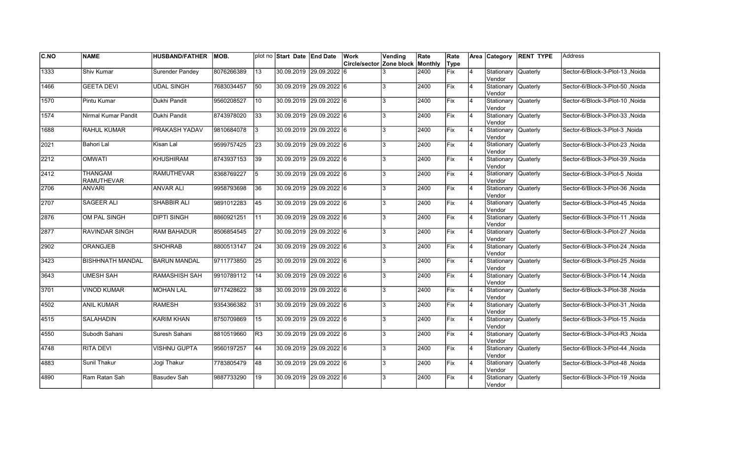| <b>C.NO</b> | <b>NAME</b>                         | <b>HUSBAND/FATHER</b> | IMOB.      |                 | plot no Start Date End Date | Work                             | Vending | Rate | Rate        |                | Area Category                 | <b>RENT TYPE</b> | Address                          |
|-------------|-------------------------------------|-----------------------|------------|-----------------|-----------------------------|----------------------------------|---------|------|-------------|----------------|-------------------------------|------------------|----------------------------------|
|             |                                     |                       |            |                 |                             | Circle/sector Zone block Monthly |         |      | Type        |                |                               |                  |                                  |
| 1333        | Shiv Kumar                          | Surender Pandey       | 8076266389 | 13              | 30.09.2019 29.09.2022 6     |                                  |         | 2400 | Fix         | 4              | Stationary<br>Vendor          | Quaterly         | Sector-6/Block-3-Plot-13, Noida  |
| 1466        | <b>GEETA DEVI</b>                   | <b>UDAL SINGH</b>     | 7683034457 | 50              | 30.09.2019 29.09.2022 6     |                                  | 3       | 2400 | Fix         | $\overline{4}$ | Stationary Quaterly<br>Vendor |                  | Sector-6/Block-3-Plot-50, Noida  |
| 1570        | Pintu Kumar                         | Dukhi Pandit          | 9560208527 | 10              | 30.09.2019 29.09.2022 6     |                                  | 3       | 2400 | Fix         | $\overline{4}$ | Stationary Quaterly<br>Vendor |                  | Sector-6/Block-3-Plot-10 .Noida  |
| 1574        | Nirmal Kumar Pandit                 | Dukhi Pandit          | 8743978020 | 33              | 30.09.2019 29.09.2022 6     |                                  | 3       | 2400 | Fix         | $\overline{4}$ | Stationary Quaterly<br>Vendor |                  | Sector-6/Block-3-Plot-33, Noida  |
| 1688        | <b>RAHUL KUMAR</b>                  | PRAKASH YADAV         | 9810684078 | 3               | 30.09.2019 29.09.2022 6     |                                  | 3       | 2400 | Fix         | $\overline{4}$ | Stationary<br>Vendor          | <b>Quaterly</b>  | Sector-6/Block-3-Plot-3, Noida   |
| 2021        | <b>Bahori Lal</b>                   | Kisan Lal             | 9599757425 | $ 23\rangle$    | 30.09.2019 29.09.2022 6     |                                  | 3       | 2400 | Fix         | $\overline{4}$ | Stationary<br>lVendor         | <b>Quaterly</b>  | Sector-6/Block-3-Plot-23, Noida  |
| 2212        | <b>OMWATI</b>                       | <b>KHUSHIRAM</b>      | 8743937153 | 39              | 30.09.2019 29.09.2022 6     |                                  | 3       | 2400 | Fix         | $\overline{4}$ | Stationary<br>Vendor          | <b>Quaterly</b>  | Sector-6/Block-3-Plot-39 , Noida |
| 2412        | <b>THANGAM</b><br><b>RAMUTHEVAR</b> | <b>RAMUTHEVAR</b>     | 8368769227 | 5               | 30.09.2019 29.09.2022 6     |                                  | 3       | 2400 | Fix         | $\overline{4}$ | Stationary Quaterly<br>Vendor |                  | Sector-6/Block-3-Plot-5, Noida   |
| 2706        | <b>ANVARI</b>                       | <b>ANVAR ALI</b>      | 9958793698 | 36              | 30.09.2019 29.09.2022 6     |                                  | 3       | 2400 | Fix         | $\overline{4}$ | Stationary<br>Vendor          | Quaterly         | Sector-6/Block-3-Plot-36, Noida  |
| 2707        | <b>SAGEER ALI</b>                   | <b>SHABBIR ALI</b>    | 9891012283 | 45              | 30.09.2019 29.09.2022 6     |                                  | 3       | 2400 | Fix         | $\overline{4}$ | Stationary<br>Vendor          | <b>Quaterly</b>  | Sector-6/Block-3-Plot-45, Noida  |
| 2876        | <b>OM PAL SINGH</b>                 | <b>DIPTI SINGH</b>    | 8860921251 | $\overline{11}$ | 30.09.2019 29.09.2022 6     |                                  | 3       | 2400 | Fix         | 4              | Stationary Quaterly<br>Vendor |                  | Sector-6/Block-3-Plot-11 , Noida |
| 2877        | RAVINDAR SINGH                      | <b>RAM BAHADUR</b>    | 8506854545 | 27              | 30.09.2019 29.09.2022 6     |                                  | Ι3      | 2400 | Fix         | $\overline{4}$ | Stationary Quaterly<br>Vendor |                  | Sector-6/Block-3-Plot-27, Noida  |
| 2902        | ORANGJEB                            | <b>SHOHRAB</b>        | 8800513147 | 24              | 30.09.2019 29.09.2022 6     |                                  | 3       | 2400 | Fix         | $\overline{4}$ | Stationary Quaterly<br>Vendor |                  | Sector-6/Block-3-Plot-24, Noida  |
| 3423        | <b>BISHHNATH MANDAL</b>             | <b>BARUN MANDAL</b>   | 9711773850 | 25              | 30.09.2019 29.09.2022 6     |                                  | 3       | 2400 | Fix         | $\overline{4}$ | Stationary<br>Vendor          | Quaterly         | Sector-6/Block-3-Plot-25, Noida  |
| 3643        | <b>UMESH SAH</b>                    | <b>RAMASHISH SAH</b>  | 9910789112 | 14              | 30.09.2019 29.09.2022 6     |                                  | 3       | 2400 | Fix         | $\overline{4}$ | Stationary Quaterly<br>Vendor |                  | Sector-6/Block-3-Plot-14, Noida  |
| 3701        | <b>VINOD KUMAR</b>                  | <b>MOHAN LAL</b>      | 9717428622 | 38              | 30.09.2019 29.09.2022 6     |                                  | 3       | 2400 | Fix         | 4              | Stationary Quaterly<br>Vendor |                  | Sector-6/Block-3-Plot-38, Noida  |
| 4502        | <b>ANIL KUMAR</b>                   | RAMESH                | 9354366382 | 31              | 30.09.2019 29.09.2022 6     |                                  | 3       | 2400 | Fix         | 4              | Stationary Quaterly<br>Vendor |                  | Sector-6/Block-3-Plot-31 , Noida |
| 4515        | <b>SALAHADIN</b>                    | <b>KARIM KHAN</b>     | 8750709869 | 15              | 30.09.2019 29.09.2022 6     |                                  | 3       | 2400 | <b>IFix</b> | 4              | Stationary<br>Vendor          | Quaterly         | Sector-6/Block-3-Plot-15, Noida  |
| 4550        | Subodh Sahani                       | Suresh Sahani         | 8810519660 | lR3             | 30.09.2019 29.09.2022 6     |                                  | 3       | 2400 | Fix         | $\overline{4}$ | Stationary<br>Vendor          | Quaterly         | Sector-6/Block-3-Plot-R3, Noida  |
| 4748        | <b>RITA DEVI</b>                    | <b>VISHNU GUPTA</b>   | 9560197257 | 44              | 30.09.2019 29.09.2022 6     |                                  | 3       | 2400 | Fix         | $\overline{4}$ | Stationary<br>Vendor          | <b>Quaterly</b>  | Sector-6/Block-3-Plot-44, Noida  |
| 4883        | Sunil Thakur                        | Jogi Thakur           | 7783805479 | 48              | 30.09.2019 29.09.2022 6     |                                  | 3       | 2400 | Fix         | $\overline{4}$ | Stationary Quaterly<br>Vendor |                  | Sector-6/Block-3-Plot-48, Noida  |
| 4890        | Ram Ratan Sah                       | Basudev Sah           | 9887733290 | 19              | 30.09.2019 29.09.2022 6     |                                  | 3       | 2400 | Fix         | $\overline{4}$ | Stationary<br>Vendor          | <b>Quaterly</b>  | Sector-6/Block-3-Plot-19, Noida  |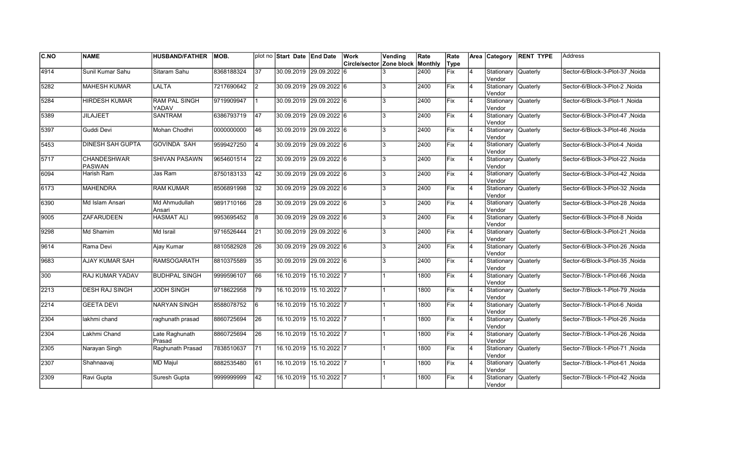| C.NO          | <b>NAME</b>                         | <b>HUSBAND/FATHER</b>         | IMOB.      |                 | plot no Start Date End Date |                         | Work                     | Vending | Rate    | Rate        |                | Area Category                  | <b>RENT TYPE</b> | <b>Address</b>                   |
|---------------|-------------------------------------|-------------------------------|------------|-----------------|-----------------------------|-------------------------|--------------------------|---------|---------|-------------|----------------|--------------------------------|------------------|----------------------------------|
|               |                                     |                               |            |                 |                             |                         | Circle/sector Zone block |         | Monthly | Type        |                |                                |                  |                                  |
| 4914          | Sunil Kumar Sahu                    | Sitaram Sahu                  | 8368188324 | 37              | 30.09.2019 29.09.2022 6     |                         |                          |         | 2400    | <b>Fix</b>  | $\overline{4}$ | Stationary<br>Vendor           | <b>Quaterly</b>  | Sector-6/Block-3-Plot-37, Noida  |
| 5282          | <b>MAHESH KUMAR</b>                 | LALTA                         | 7217690642 | I2              | 30.09.2019 29.09.2022 6     |                         |                          | 3       | 2400    | Fix         | 4              | Stationary Quaterly<br>Vendor  |                  | Sector-6/Block-3-Plot-2, Noida   |
| 5284          | <b>HIRDESH KUMAR</b>                | <b>RAM PAL SINGH</b><br>YADAV | 9719909947 | l 1             | 30.09.2019 29.09.2022 6     |                         |                          | 3       | 2400    | Fix         | 4              | Stationary Quaterly<br>Vendor  |                  | Sector-6/Block-3-Plot-1, Noida   |
| 5389          | <b>JILAJEET</b>                     | <b>SANTRAM</b>                | 6386793719 | 47              | 30.09.2019 29.09.2022 6     |                         |                          | 3       | 2400    | Fix         | $\overline{4}$ | Stationary<br>Vendor           | Quaterly         | Sector-6/Block-3-Plot-47, Noida  |
| 5397          | Guddi Devi                          | Mohan Chodhri                 | 0000000000 | 46              | 30.09.2019 29.09.2022 6     |                         |                          | 3       | 2400    | Fix         | $\overline{4}$ | Stationary<br>Vendor           | <b>Quaterly</b>  | Sector-6/Block-3-Plot-46, Noida  |
| 5453          | <b>DINESH SAH GUPTA</b>             | <b>GOVINDA SAH</b>            | 9599427250 | 4               | 30.09.2019 29.09.2022 6     |                         |                          | 3       | 2400    | Fix         | 4              | Stationary<br>Vendor           | Quaterly         | Sector-6/Block-3-Plot-4, Noida   |
| $\sqrt{5717}$ | <b>CHANDESHWAR</b><br><b>PASWAN</b> | <b>SHIVAN PASAWN</b>          | 9654601514 | 22              | 30.09.2019 29.09.2022 6     |                         |                          | 3       | 2400    | <b>Fix</b>  | $\overline{4}$ | Stationary<br>Vendor           | <b>Quaterly</b>  | Sector-6/Block-3-Plot-22 , Noida |
| 6094          | Harish Ram                          | Jas Ram                       | 8750183133 | 42              | 30.09.2019  29.09.2022  6   |                         |                          | 3       | 2400    | Fix         | 4              | Stationary Quaterly<br>Vendor  |                  | Sector-6/Block-3-Plot-42, Noida  |
| 6173          | <b>MAHENDRA</b>                     | <b>RAM KUMAR</b>              | 8506891998 | 32              | 30.09.2019 29.09.2022 6     |                         |                          | 3       | 2400    | Fix         | $\overline{4}$ | Stationary<br>lVendor          | Quaterly         | Sector-6/Block-3-Plot-32, Noida  |
| 6390          | Md Islam Ansari                     | Md Ahmudullah<br>Ansari       | 9891710166 | $\overline{28}$ | 30.09.2019 29.09.2022 6     |                         |                          | 3       | 2400    | Fix         | $\overline{4}$ | Stationary<br>lVendor          | <b>Quaterly</b>  | Sector-6/Block-3-Plot-28, Noida  |
| 9005          | <b>ZAFARUDEEN</b>                   | <b>HASMAT ALI</b>             | 9953695452 | 8               | 30.09.2019 29.09.2022 6     |                         |                          | 3       | 2400    | Fix         | 4              | Stationary Quaterly<br>lVendor |                  | Sector-6/Block-3-Plot-8, Noida   |
| 9298          | Md Shamim                           | Md Israil                     | 9716526444 | 21              | 30.09.2019 29.09.2022 6     |                         |                          | 3       | 2400    | Fix         | 4              | Stationary Quaterly<br>Vendor  |                  | Sector-6/Block-3-Plot-21 , Noida |
| 9614          | Rama Devi                           | Ajay Kumar                    | 8810582928 | 26              | 30.09.2019 29.09.2022 6     |                         |                          | 3       | 2400    | Fix         | 4              | Stationary Quaterly<br>Vendor  |                  | Sector-6/Block-3-Plot-26, Noida  |
| 9683          | <b>AJAY KUMAR SAH</b>               | <b>RAMSOGARATH</b>            | 8810375589 | 35              | 30.09.2019 29.09.2022 6     |                         |                          | 3       | 2400    | <b>IFix</b> | $\overline{4}$ | Stationary<br>Vendor           | Quaterly         | Sector-6/Block-3-Plot-35, Noida  |
| 300           | RAJ KUMAR YADAV                     | <b>BUDHPAL SINGH</b>          | 9999596107 | 66              |                             | 16.10.2019 15.10.2022 7 |                          |         | 1800    | Fix         | $\overline{4}$ | Stationary<br>Vendor           | Quaterly         | Sector-7/Block-1-Plot-66, Noida  |
| 2213          | <b>DESH RAJ SINGH</b>               | <b>JODH SINGH</b>             | 9718622958 | 79              |                             | 16.10.2019 15.10.2022 7 |                          |         | 1800    | Fix         | $\overline{4}$ | Stationary Quaterly<br>Vendor  |                  | Sector-7/Block-1-Plot-79, Noida  |
| 2214          | <b>GEETA DEVI</b>                   | <b>NARYAN SINGH</b>           | 8588078752 | 6               |                             | 16.10.2019 15.10.2022 7 |                          |         | 1800    | Fix         | 4              | Stationary Quaterly<br>Vendor  |                  | Sector-7/Block-1-Plot-6, Noida   |
| 2304          | lakhmi chand                        | raghunath prasad              | 8860725694 | 26              |                             | 16.10.2019 15.10.2022 7 |                          |         | 1800    | Fix         | 4              | Stationary<br>Vendor           | Quaterly         | Sector-7/Block-1-Plot-26, Noida  |
| 2304          | Lakhmi Chand                        | Late Raghunath<br>Prasad      | 8860725694 | 26              | 16.10.2019                  | $15.10.2022$ 7          |                          |         | 1800    | Fix         | $\overline{4}$ | Stationary<br>Vendor           | Quaterly         | Sector-7/Block-1-Plot-26, Noida  |
| 2305          | Narayan Singh                       | Raghunath Prasad              | 7838510637 | <b>71</b>       | 16.10.2019                  | $15.10.2022$ 7          |                          |         | 1800    | Fix         | $\overline{4}$ | Stationary<br>Vendor           | Quaterly         | Sector-7/Block-1-Plot-71, Noida  |
| 2307          | Shahnaavaj                          | <b>MD Majul</b>               | 8882535480 | 61              |                             | 16.10.2019 15.10.2022 7 |                          |         | 1800    | Fix         | $\overline{4}$ | Stationary Quaterly<br>Vendor  |                  | Sector-7/Block-1-Plot-61, Noida  |
| 2309          | Ravi Gupta                          | Suresh Gupta                  | 999999999  | 42              |                             | 16.10.2019 15.10.2022 7 |                          |         | 1800    | Fix         | $\overline{4}$ | Stationary<br>Vendor           | Quaterly         | Sector-7/Block-1-Plot-42, Noida  |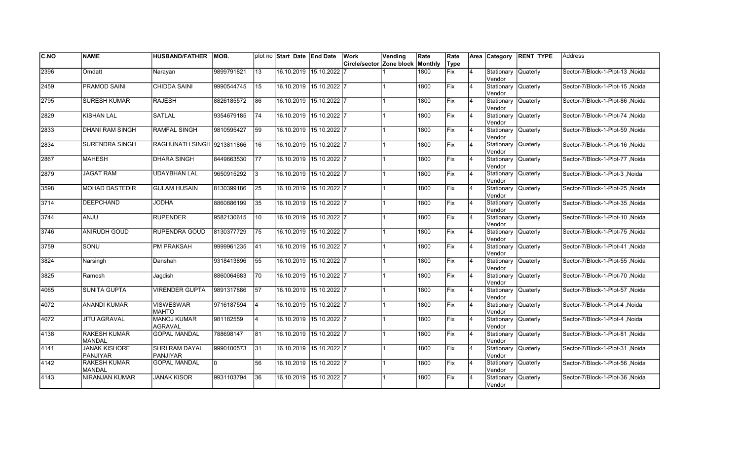| <b>C.NO</b> | <b>NAME</b>                             | <b>HUSBAND/FATHER</b>                    | IMOB.      |                 | plot no Start Date End Date |                         | Work                             | Vending | Rate | Rate        |                | Area Category                 | <b>RENT TYPE</b> | Address                         |
|-------------|-----------------------------------------|------------------------------------------|------------|-----------------|-----------------------------|-------------------------|----------------------------------|---------|------|-------------|----------------|-------------------------------|------------------|---------------------------------|
|             |                                         |                                          |            |                 |                             |                         | Circle/sector Zone block Monthly |         |      | Type        |                |                               |                  |                                 |
| 2396        | Omdatt                                  | Narayan                                  | 9899791821 | 13              |                             | 16.10.2019 15.10.2022   |                                  |         | 1800 | Fix         | 4              | Stationary<br>Vendor          | Quaterly         | Sector-7/Block-1-Plot-13, Noida |
| 2459        | <b>PRAMOD SAINI</b>                     | <b>CHIDDA SAINI</b>                      | 9990544745 | 15              |                             | 16.10.2019 15.10.2022 7 |                                  |         | 1800 | Fix         | $\overline{4}$ | Stationary<br>Vendor          | Quaterly         | Sector-7/Block-1-Plot-15 .Noida |
| 2795        | <b>SURESH KUMAR</b>                     | <b>RAJESH</b>                            | 8826185572 | 86              |                             | 16.10.2019 15.10.2022 7 |                                  |         | 1800 | Fix         | 4              | Stationary Quaterly<br>Vendor |                  | Sector-7/Block-1-Plot-86 Noida  |
| 2829        | <b>KISHAN LAL</b>                       | SATLAL                                   | 9354679185 | 74              |                             | 16.10.2019 15.10.2022 7 |                                  |         | 1800 | Fix         | $\overline{4}$ | Stationary Quaterly<br>Vendor |                  | Sector-7/Block-1-Plot-74 ,Noida |
| 2833        | <b>DHANI RAM SINGH</b>                  | <b>RAMFAL SINGH</b>                      | 9810595427 | 59              |                             | 16.10.2019 15.10.2022 7 |                                  |         | 1800 | Fix         | $\overline{4}$ | Stationary<br>lVendor         | <b>Quaterly</b>  | Sector-7/Block-1-Plot-59, Noida |
| 2834        | SURENDRA SINGH                          | RAGHUNATH SINGH 9213811866               |            | 16              | 16.10.2019                  | $15.10.2022$ 7          |                                  |         | 1800 | Fix         | $\overline{4}$ | Stationary<br>lVendor         | <b>Quaterly</b>  | Sector-7/Block-1-Plot-16, Noida |
| 2867        | <b>MAHESH</b>                           | <b>DHARA SINGH</b>                       | 8449663530 | <b>77</b>       |                             | 16.10.2019 15.10.2022 7 |                                  |         | 1800 | Fix         | $\overline{4}$ | Stationary<br>Vendor          | <b>Quaterly</b>  | Sector-7/Block-1-Plot-77 ,Noida |
| 2879        | <b>JAGAT RAM</b>                        | <b>UDAYBHAN LAL</b>                      | 9650915292 | Ι3              | 16.10.2019 15.10.2022 7     |                         |                                  |         | 1800 | Fix         | $\overline{4}$ | Stationary Quaterly<br>Vendor |                  | Sector-7/Block-1-Plot-3, Noida  |
| 3598        | <b>MOHAD DASTEDIR</b>                   | <b>GULAM HUSAIN</b>                      | 8130399186 | 25              |                             | 16.10.2019 15.10.2022 7 |                                  |         | 1800 | Fix         | $\overline{4}$ | Stationary<br>Vendor          | Quaterly         | Sector-7/Block-1-Plot-25, Noida |
| 3714        | <b>DEEPCHAND</b>                        | <b>JODHA</b>                             | 8860886199 | 35              |                             | 16.10.2019 15.10.2022 7 |                                  |         | 1800 | Fix         | $\overline{4}$ | Stationary<br>Vendor          | <b>Quaterly</b>  | Sector-7/Block-1-Plot-35, Noida |
| 3744        | <b>ULIAA</b>                            | <b>RUPENDER</b>                          | 9582130615 | 10              |                             | 16.10.2019 15.10.2022 7 |                                  |         | 1800 | Fix         | 4              | Stationary Quaterly<br>Vendor |                  | Sector-7/Block-1-Plot-10, Noida |
| 3746        | <b>ANIRUDH GOUD</b>                     | RUPENDRA GOUD                            | 8130377729 | 75              | 16.10.2019 15.10.2022 7     |                         |                                  |         | 1800 | Fix         | $\overline{4}$ | Stationary Quaterly<br>Vendor |                  | Sector-7/Block-1-Plot-75, Noida |
| 3759        | SONU                                    | PM PRAKSAH                               | 9999961235 | 41              |                             | 16.10.2019 15.10.2022 7 |                                  |         | 1800 | Fix         | $\overline{4}$ | Stationary Quaterly<br>Vendor |                  | Sector-7/Block-1-Plot-41, Noida |
| 3824        | Narsingh                                | Danshah                                  | 9318413896 | 55              |                             | 16.10.2019 15.10.2022 7 |                                  |         | 1800 | Fix         | $\overline{4}$ | Stationary<br>lVendor         | Quaterly         | Sector-7/Block-1-Plot-55, Noida |
| 3825        | Ramesh                                  | Jagdish                                  | 8860064683 | 170             |                             | 16.10.2019 15.10.2022 7 |                                  |         | 1800 | Fix         | $\overline{4}$ | Stationary Quaterly<br>Vendor |                  | Sector-7/Block-1-Plot-70, Noida |
| 4065        | <b>SUNITA GUPTA</b>                     | <b>VIRENDER GUPTA</b>                    | 9891317886 | $\overline{57}$ | 16.10.2019 15.10.2022 7     |                         |                                  |         | 1800 | Fix         | 4              | Stationary Quaterly<br>Vendor |                  | Sector-7/Block-1-Plot-57, Noida |
| 4072        | ANANDI KUMAR                            | <b>VISWESWAR</b><br><b>MAHTO</b>         | 9716187594 | 14              |                             | 16.10.2019 15.10.2022 7 |                                  |         | 1800 | Fix         | 4              | Stationary Quaterly<br>Vendor |                  | Sector-7/Block-1-Plot-4, Noida  |
| 4072        | <b>JITU AGRAVAL</b>                     | <b>MANOJ KUMAR</b><br><b>AGRAVAL</b>     | 981182559  | 14              |                             | 16.10.2019 15.10.2022 7 |                                  |         | 1800 | <b>IFix</b> | 4              | Stationary<br>Vendor          | Quaterly         | Sector-7/Block-1-Plot-4, Noida  |
| 4138        | <b>RAKESH KUMAR</b><br><b>MANDAL</b>    | <b>GOPAL MANDAL</b>                      | 788698147  | 81              | 16.10.2019                  | $15.10.2022$ 7          |                                  |         | 1800 | Fix         | $\overline{4}$ | Stationary<br>Vendor          | Quaterly         | Sector-7/Block-1-Plot-81 .Noida |
| 4141        | <b>JANAK KISHORE</b><br><b>PANJIYAR</b> | <b>SHRI RAM DAYAL</b><br><b>PANJIYAR</b> | 9990100573 | 31              |                             | 16.10.2019 15.10.2022 7 |                                  |         | 1800 | Fix         | $\overline{4}$ | Stationary<br>Vendor          | <b>Quaterly</b>  | Sector-7/Block-1-Plot-31, Noida |
| 4142        | <b>RAKESH KUMAR</b><br><b>MANDAL</b>    | <b>GOPAL MANDAL</b>                      | I٥         | 56              | 16.10.2019 15.10.2022 7     |                         |                                  |         | 1800 | Fix         | $\overline{4}$ | Stationary Quaterly<br>Vendor |                  | Sector-7/Block-1-Plot-56, Noida |
| 4143        | NIRANJAN KUMAR                          | <b>JANAK KISOR</b>                       | 9931103794 | 36              |                             | 16.10.2019 15.10.2022 7 |                                  |         | 1800 | Fix         | $\overline{4}$ | Stationary<br>Vendor          | <b>Quaterly</b>  | Sector-7/Block-1-Plot-36, Noida |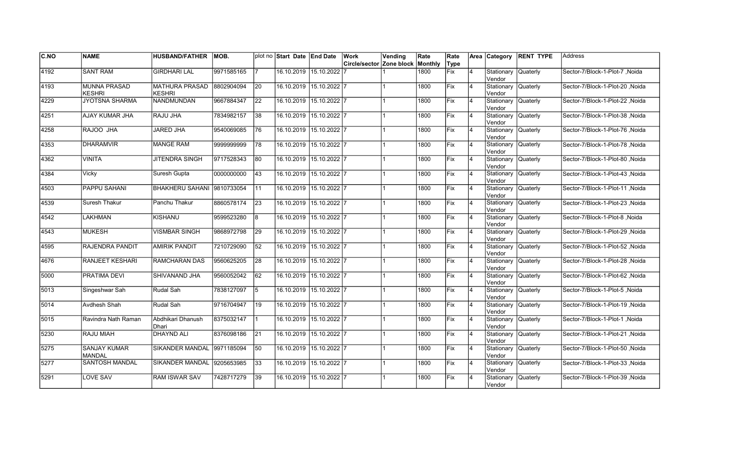| C.NO | <b>NAME</b>                          | <b>HUSBAND/FATHER</b>                  | IMOB.      |                 | plot no Start Date End Date |                         | Work                     | Vending | Rate    | Rate        |                | Area Category                  | <b>RENT TYPE</b> | <b>Address</b>                   |
|------|--------------------------------------|----------------------------------------|------------|-----------------|-----------------------------|-------------------------|--------------------------|---------|---------|-------------|----------------|--------------------------------|------------------|----------------------------------|
|      |                                      |                                        |            |                 |                             |                         | Circle/sector Zone block |         | Monthly | Type        |                |                                |                  |                                  |
| 4192 | <b>SANT RAM</b>                      | <b>GIRDHARI LAL</b>                    | 9971585165 |                 |                             | 16.10.2019 15.10.2022   |                          |         | 1800    | <b>Fix</b>  | $\overline{4}$ | Stationary<br>Vendor           | <b>Quaterly</b>  | Sector-7/Block-1-Plot-7, Noida   |
| 4193 | <b>MUNNA PRASAD</b><br><b>KESHRI</b> | <b>MATHURA PRASAD</b><br><b>KESHRI</b> | 8802904094 | 20              |                             | 16.10.2019 15.10.2022 7 |                          |         | 1800    | Fix         | 4              | Stationary Quaterly<br>Vendor  |                  | Sector-7/Block-1-Plot-20 .Noida  |
| 4229 | <b>JYOTSNA SHARMA</b>                | NANDMUNDAN                             | 9667884347 | 22              |                             | 16.10.2019 15.10.2022 7 |                          |         | 1800    | Fix         | 4              | Stationary Quaterly<br>Vendor  |                  | Sector-7/Block-1-Plot-22, Noida  |
| 4251 | AJAY KUMAR JHA                       | RAJU JHA                               | 7834982157 | 38              |                             | 16.10.2019 15.10.2022 7 |                          |         | 1800    | Fix         | $\overline{4}$ | Stationary Quaterly<br>Vendor  |                  | Sector-7/Block-1-Plot-38, Noida  |
| 4258 | RAJOO JHA                            | <b>JARED JHA</b>                       | 9540069085 | 76              |                             | 16.10.2019 15.10.2022 7 |                          |         | 1800    | Fix         | 4              | Stationary<br>Vendor           | <b>Quaterly</b>  | Sector-7/Block-1-Plot-76, Noida  |
| 4353 | <b>DHARAMVIR</b>                     | <b>MANGE RAM</b>                       | 9999999999 | 78              |                             | 16.10.2019 15.10.2022 7 |                          |         | 1800    | Fix         | 4              | Stationary<br>Vendor           | Quaterly         | Sector-7/Block-1-Plot-78, Noida  |
| 4362 | <b>VINITA</b>                        | JITENDRA SINGH                         | 9717528343 | 80              |                             | 16.10.2019 15.10.2022 7 |                          |         | 1800    | <b>Fix</b>  | 4              | Stationary<br>Vendor           | <b>Quaterly</b>  | Sector-7/Block-1-Plot-80, Noida  |
| 4384 | Vicky                                | Suresh Gupta                           | 0000000000 | 43              | 16.10.2019                  | $15.10.2022$  7         |                          |         | 1800    | Fix         | 4              | Stationary Quaterly<br>Vendor  |                  | Sector-7/Block-1-Plot-43, Noida  |
| 4503 | <b>PAPPU SAHANI</b>                  | BHAKHERU SAHANI 9810733054             |            | 11              | 16.10.2019                  | $15.10.2022$ 7          |                          |         | 1800    | Fix         | $\overline{4}$ | Stationary<br>lVendor          | Quaterly         | Sector-7/Block-1-Plot-11, Noida  |
| 4539 | Suresh Thakur                        | <b>Panchu Thakur</b>                   | 8860578174 | $\overline{23}$ | 16.10.2019                  | $15.10.2022$ 7          |                          |         | 1800    | Fix         | $\overline{4}$ | Stationary<br>lVendor          | <b>Quaterly</b>  | Sector-7/Block-1-Plot-23, Noida  |
| 4542 | LAKHMAN                              | <b>KISHANU</b>                         | 9599523280 | 8               |                             | 16.10.2019 15.10.2022 7 |                          |         | 1800    | Fix         | 4              | Stationary Quaterly<br>lVendor |                  | Sector-7/Block-1-Plot-8, Noida   |
| 4543 | <b>MUKESH</b>                        | <b>VISMBAR SINGH</b>                   | 9868972798 | 29              |                             | 16.10.2019 15.10.2022 7 |                          |         | 1800    | Fix         | 4              | Stationary Quaterly<br>Vendor  |                  | Sector-7/Block-1-Plot-29, Noida  |
| 4595 | RAJENDRA PANDIT                      | <b>AMIRIK PANDIT</b>                   | 7210729090 | 52              |                             | 16.10.2019 15.10.2022 7 |                          |         | 1800    | Fix         | 4              | Stationary Quaterly<br>Vendor  |                  | Sector-7/Block-1-Plot-52, Noida  |
| 4676 | <b>RANJEET KESHARI</b>               | <b>RAMCHARAN DAS</b>                   | 9560625205 | 28              | 16.10.2019                  | $15.10.2022$ 7          |                          |         | 1800    | <b>IFix</b> | $\overline{4}$ | Stationary<br>Vendor           | Quaterly         | Sector-7/Block-1-Plot-28 Noida   |
| 5000 | <b>PRATIMA DEVI</b>                  | SHIVANAND JHA                          | 9560052042 | 62              |                             | 16.10.2019 15.10.2022 7 |                          |         | 1800    | Fix         | $\overline{4}$ | Stationary<br>Vendor           | Quaterly         | Sector-7/Block-1-Plot-62, Noida  |
| 5013 | Singeshwar Sah                       | Rudal Sah                              | 7838127097 | $\overline{5}$  |                             | 16.10.2019 15.10.2022 7 |                          |         | 1800    | Fix         | $\overline{4}$ | Stationary Quaterly<br>Vendor  |                  | Sector-7/Block-1-Plot-5, Noida   |
| 5014 | Avdhesh Shah                         | Rudal Sah                              | 9716704947 | 19              |                             | 16.10.2019 15.10.2022 7 |                          |         | 1800    | Fix         | 4              | Stationary Quaterly<br>Vendor  |                  | Sector-7/Block-1-Plot-19, Noida  |
| 5015 | Ravindra Nath Raman                  | Abdhikari Dhanush<br>Dhari             | 8375032147 | l 1             |                             | 16.10.2019 15.10.2022 7 |                          |         | 1800    | Fix         | 4              | Stationary<br>Vendor           | <b>Quaterly</b>  | Sector-7/Block-1-Plot-1, Noida   |
| 5230 | <b>RAJU MIAH</b>                     | <b>DHAYND ALI</b>                      | 8376098186 | 21              | 16.10.2019                  | $15.10.2022$ 7          |                          |         | 1800    | Fix         | $\overline{4}$ | Stationary<br>Vendor           | Quaterly         | Sector-7/Block-1-Plot-21 , Noida |
| 5275 | <b>SANJAY KUMAR</b><br><b>MANDAL</b> | <b>SIKANDER MANDAL</b>                 | 9971185094 | 50              |                             | 16.10.2019 15.10.2022 7 |                          |         | 1800    | Fix         | $\overline{4}$ | Stationary<br>Vendor           | Quaterly         | Sector-7/Block-1-Plot-50, Noida  |
| 5277 | <b>SANTOSH MANDAL</b>                | <b>SIKANDER MANDAL</b>                 | 9205653985 | 33              |                             | 16.10.2019 15.10.2022 7 |                          |         | 1800    | Fix         | $\overline{4}$ | Stationary Quaterly<br>Vendor  |                  | Sector-7/Block-1-Plot-33, Noida  |
| 5291 | <b>LOVE SAV</b>                      | RAM ISWAR SAV                          | 7428717279 | 39              |                             | 16.10.2019 15.10.2022 7 |                          |         | 1800    | Fix         | $\overline{4}$ | Stationary<br>Vendor           | <b>Quaterly</b>  | Sector-7/Block-1-Plot-39, Noida  |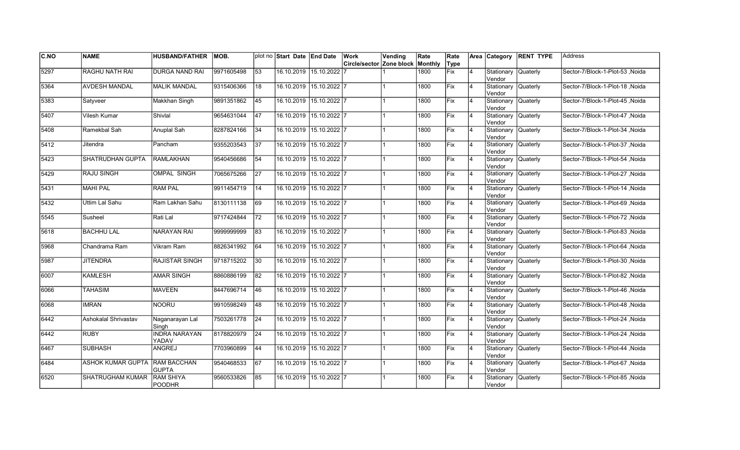| C.NO | <b>NAME</b>                   | <b>HUSBAND/FATHER</b>                | IMOB.      |    | plot no Start Date End Date |                         | Work<br>Circle/sector Zone block | Vending | Rate<br>Monthly | Rate<br>Type |                |                                      | Area Category RENT TYPE | <b>Address</b>                         |
|------|-------------------------------|--------------------------------------|------------|----|-----------------------------|-------------------------|----------------------------------|---------|-----------------|--------------|----------------|--------------------------------------|-------------------------|----------------------------------------|
| 5297 | <b>RAGHU NATH RAI</b>         | <b>DURGA NAND RAI</b>                | 9971605498 | 53 |                             | 16.10.2019 15.10.2022   |                                  |         | 1800            | Fix          | $\overline{4}$ | Stationary                           | <b>Quaterly</b>         | Sector-7/Block-1-Plot-53, Noida        |
|      |                               |                                      |            |    |                             |                         |                                  |         |                 |              |                | Vendor                               |                         |                                        |
| 5364 | <b>AVDESH MANDAL</b>          | <b>MALIK MANDAL</b>                  | 9315406366 | 18 |                             | 16.10.2019 15.10.2022 7 |                                  |         | 1800            | Fix          | $\overline{4}$ | Stationary Quaterly<br>Vendor        |                         | Sector-7/Block-1-Plot-18 Noida         |
| 5383 | Satyveer                      | Makkhan Singh                        | 9891351862 | 45 | 16.10.2019                  | 15.10.2022 7            |                                  |         | 1800            | Fix          | $\overline{4}$ | Stationary Quaterly<br>Vendor        |                         | Sector-7/Block-1-Plot-45, Noida        |
| 5407 | Vilesh Kumar                  | Shivlal                              | 9654631044 | 47 | 16.10.2019                  | $15.10.2022$ 7          |                                  |         | 1800            | Fix          | $\overline{4}$ | Stationary Quaterly<br>Vendor        |                         | Sector-7/Block-1-Plot-47, Noida        |
| 5408 | Ramekbal Sah                  | Anuplal Sah                          | 8287824166 | 34 | 16.10.2019                  | 15.10.2022 7            |                                  |         | 1800            | lFix         | $\overline{4}$ | Stationary<br>Vendor                 | Quaterly                | Noida   Sector-7/Block-1-Plot-34       |
| 5412 | Jitendra                      | Pancham                              | 9355203543 | 37 | 16.10.2019                  | $15.10.2022$ 7          |                                  |         | 1800            | Fix          | 4              | Stationary Quaterly<br>Vendor        |                         | Sector-7/Block-1-Plot-37, Noida        |
| 5423 | <b>SHATRUDHAN GUPTA</b>       | <b>RAMLAKHAN</b>                     | 9540456686 | 54 | 16.10.2019                  | $15.10.2022$ 7          |                                  |         | 1800            | Fix          | $\overline{4}$ | Stationary Quaterly<br>Vendor        |                         | Sector-7/Block-1-Plot-54, Noida        |
| 5429 | RAJU SINGH                    | <b>OMPAL SINGH</b>                   | 7065675266 | 27 | 16.10.2019                  | $15.10.2022$ 7          |                                  |         | 1800            | Fix          |                | Stationary Quaterly<br>Vendor        |                         | Sector-7/Block-1-Plot-27 ,Noida        |
| 5431 | <b>MAHI PAL</b>               | <b>RAM PAL</b>                       | 9911454719 | 14 | 16.10.2019                  | $15.10.2022$ 7          |                                  |         | 1800            | Fix          | 4              | Stationary<br>Vendor                 | Quaterly                | Noida  Sector-7/Block-1-Plot-14, Noida |
| 5432 | Uttim Lal Sahu                | Ram Lakhan Sahu                      | 8130111138 | 69 | 16.10.2019                  | 15.10.2022 7            |                                  |         | 1800            | Fix          | 4              | Stationary<br>Vendor                 | <b>Quaterly</b>         | Sector-7/Block-1-Plot-69, Noida        |
| 5545 | Susheel                       | Rati Lal                             | 9717424844 | 72 | 16.10.2019                  | 15.10.2022 7            |                                  |         | 1800            | Fix          | 4              | Stationary Quaterly<br><b>Vendor</b> |                         | Sector-7/Block-1-Plot-72 ,Noida        |
| 5618 | <b>BACHHU LAL</b>             | NARAYAN RAI                          | 9999999999 | 83 |                             | 16.10.2019 15.10.2022 7 |                                  |         | 1800            | <b>Fix</b>   | <b>4</b>       | Stationary Quaterly<br>Vendor        |                         | Sector-7/Block-1-Plot-83, Noida        |
| 5968 | Chandrama Ram                 | Vikram Ram                           | 8826341992 | 64 |                             | 16.10.2019 15.10.2022 7 |                                  |         | 1800            | Fix          | $\overline{4}$ | Stationary Quaterly<br>Vendor        |                         | Noida   Sector-7/Block-1-Plot-64       |
| 5987 | <b>JITENDRA</b>               | <b>RAJISTAR SINGH</b>                | 9718715202 | 30 | 16.10.2019                  | $15.10.2022$ 7          |                                  |         | 1800            | lFix         | $\overline{4}$ | Stationary<br>Vendor                 | Quaterly                | Sector-7/Block-1-Plot-30, Noida        |
| 6007 | <b>KAMLESH</b>                | <b>AMAR SINGH</b>                    | 8860886199 | 82 |                             | 16.10.2019 15.10.2022 7 |                                  |         | 1800            | Fix          | 4              | Stationary Quaterly<br>Vendor        |                         | Sector-7/Block-1-Plot-82, Noida        |
| 6066 | <b>TAHASIM</b>                | <b>MAVEEN</b>                        | 8447696714 | 46 |                             | 16.10.2019 15.10.2022 7 |                                  |         | 1800            | Fix          | 14             | Stationary Quaterly<br>Vendor        |                         | Sector-7/Block-1-Plot-46, Noida        |
| 6068 | <b>IMRAN</b>                  | <b>NOORU</b>                         | 9910598249 | 48 | 16.10.2019                  | $15.10.2022$ 7          |                                  |         | 1800            | Fix          | 4              | Stationary Quaterly<br>Vendor        |                         | Sector-7/Block-1-Plot-48, Noida        |
| 6442 | Ashokalal Shrivastav          | Naganarayan Lal<br>Singh             | 7503261778 | 24 | 16.10.2019                  | 15.10.2022 7            |                                  |         | 1800            | lFix         | $\overline{4}$ | Stationary<br>Vendor                 | Quaterly                | Noida   Sector-7/Block-1-Plot-24       |
| 6442 | <b>RUBY</b>                   | <b>INDRA NARAYAN</b><br><b>YADAV</b> | 8178820979 | 24 | 16.10.2019                  | 15.10.2022 7            |                                  |         | 1800            | Fix          | $\overline{4}$ | Stationary Quaterly<br>Vendor        |                         | Sector-7/Block-1-Plot-24 .Noida        |
| 6467 | <b>SUBHASH</b>                | <b>ANGREJ</b>                        | 7703960899 | 44 | 16.10.2019                  | 15.10.2022 7            |                                  |         | 1800            | Fix          | 14             | Stationary Quaterly<br>Vendor        |                         | Sector-7/Block-1-Plot-44 .Noida        |
| 6484 | ASHOK KUMAR GUPTA RAM BACCHAN | <b>GUPTA</b>                         | 9540468533 | 67 |                             | 16.10.2019 15.10.2022 7 |                                  |         | 1800            | Fix          |                | Stationary Quaterly<br>Vendor        |                         | Sector-7/Block-1-Plot-67, Noida        |
| 6520 | SHATRUGHAM KUMAR              | <b>RAM SHIYA</b><br><b>POODHR</b>    | 9560533826 | 85 | 16.10.2019                  | 15.10.2022 7            |                                  |         | 1800            | Fix          |                | Stationary Quaterly<br>Vendor        |                         | Sector-7/Block-1-Plot-85, Noida        |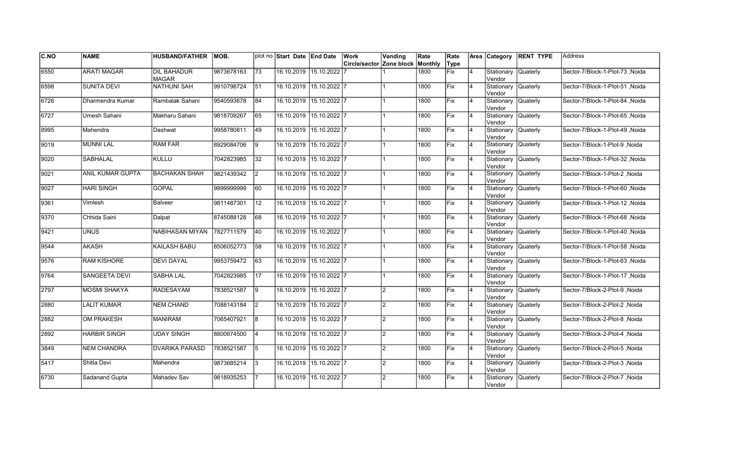| C.NO | <b>NAME</b>          | <b>HUSBAND/FATHER</b>              | IMOB.      |    | plot no Start Date End Date |                         | Work                     | Vending        | Rate    | Rate        |                | Area Category                  | <b>RENT TYPE</b> | <b>Address</b>                   |
|------|----------------------|------------------------------------|------------|----|-----------------------------|-------------------------|--------------------------|----------------|---------|-------------|----------------|--------------------------------|------------------|----------------------------------|
|      |                      |                                    |            |    |                             |                         | Circle/sector Zone block |                | Monthly | Type        |                |                                |                  |                                  |
| 6550 | <b>ARATI MAGAR</b>   | <b>DIL BAHADUR</b><br><b>MAGAR</b> | 9873678163 | 73 |                             | 16.10.2019 15.10.2022   |                          |                | 1800    | <b>Fix</b>  | $\overline{4}$ | Stationary<br>Vendor           | <b>Quaterly</b>  | Sector-7/Block-1-Plot-73, Noida  |
| 6598 | <b>SUNITA DEVI</b>   | <b>NATHUNI SAH</b>                 | 9910798724 | 51 |                             | 16.10.2019 15.10.2022 7 |                          |                | 1800    | Fix         | 4              | Stationary Quaterly<br>Vendor  |                  | Sector-7/Block-1-Plot-51 .Noida  |
| 6726 | Dharmendra Kumar     | Rambalak Sahani                    | 9540593678 | 84 |                             | 16.10.2019 15.10.2022 7 |                          |                | 1800    | Fix         | 4              | Stationary Quaterly<br>Vendor  |                  | Sector-7/Block-1-Plot-84, Noida  |
| 6727 | Umesh Sahani         | Makharu Sahani                     | 9818709267 | 65 |                             | 16.10.2019 15.10.2022 7 |                          |                | 1800    | Fix         | $\overline{4}$ | Stationary Quaterly<br>Vendor  |                  | Sector-7/Block-1-Plot-65, Noida  |
| 8995 | Mahendra             | Dashwat                            | 9958780811 | 49 |                             | 16.10.2019 15.10.2022 7 |                          |                | 1800    | Fix         | $\overline{4}$ | Stationary<br>Vendor           | <b>Quaterly</b>  | Sector-7/Block-1-Plot-49, Noida  |
| 9019 | <b>MUNNI LAL</b>     | <b>RAM FAR</b>                     | 8929084706 | 9  |                             | 16.10.2019 15.10.2022 7 |                          |                | 1800    | Fix         | 4              | Stationary<br>Vendor           | Quaterly         | Sector-7/Block-1-Plot-9, Noida   |
| 9020 | <b>SABHALAL</b>      | <b>KULLU</b>                       | 7042823985 | 32 |                             | 16.10.2019 15.10.2022 7 |                          |                | 1800    | <b>Fix</b>  | $\overline{4}$ | Stationary<br>Vendor           | <b>Quaterly</b>  | Sector-7/Block-1-Plot-32 , Noida |
| 9021 | ANIL KUMAR GUPTA     | <b>BACHAKAN SHAH</b>               | 9821439342 | I2 | 16.10.2019                  | 15.10.2022 7            |                          |                | 1800    | Fix         | 4              | Stationary Quaterly<br>Vendor  |                  | Sector-7/Block-1-Plot-2, Noida   |
| 9027 | <b>HARI SINGH</b>    | <b>GOPAL</b>                       | 9999999999 | 60 | 16.10.2019                  | $15.10.2022$ 7          |                          |                | 1800    | Fix         | $\overline{4}$ | Stationary<br>lVendor          | Quaterly         | Sector-7/Block-1-Plot-60, Noida  |
| 9361 | Vimlesh              | Balveer                            | 9811487301 | 12 | 16.10.2019                  | $15.10.2022$ 7          |                          |                | 1800    | Fix         | $\overline{4}$ | Stationary<br>lVendor          | <b>Quaterly</b>  | Sector-7/Block-1-Plot-12, Noida  |
| 9370 | Chhida Saini         | Dalpat                             | 8745088128 | 68 |                             | 16.10.2019 15.10.2022 7 |                          |                | 1800    | Fix         | 4              | Stationary Quaterly<br>lVendor |                  | Sector-7/Block-1-Plot-68, Noida  |
| 9421 | <b>UNUS</b>          | NABIHASAN MIYAN                    | 7827711579 | 40 |                             | 16.10.2019 15.10.2022 7 |                          |                | 1800    | Fix         | 4              | Stationary Quaterly<br>Vendor  |                  | Sector-7/Block-1-Plot-40, Noida  |
| 9544 | <b>AKASH</b>         | KAILASH BABU                       | 8506052773 | 58 |                             | 16.10.2019 15.10.2022 7 |                          |                | 1800    | Fix         | 4              | Stationary Quaterly<br>Vendor  |                  | Sector-7/Block-1-Plot-58, Noida  |
| 9576 | <b>RAM KISHORE</b>   | <b>DEVI DAYAL</b>                  | 9953759472 | 63 | 16.10.2019                  | $15.10.2022$ 7          |                          |                | 1800    | <b>IFix</b> | $\overline{4}$ | Stationary<br>Vendor           | Quaterly         | Sector-7/Block-1-Plot-63 .Noida  |
| 9764 | <b>SANGEETA DEVI</b> | <b>SABHA LAL</b>                   | 7042823985 | 17 |                             | 16.10.2019 15.10.2022 7 |                          |                | 1800    | Fix         | $\overline{4}$ | Stationary<br>Vendor           | Quaterly         | Sector-7/Block-1-Plot-17, Noida  |
| 2797 | <b>MOSMI SHAKYA</b>  | <b>RADESAYAM</b>                   | 7838521587 | 9  |                             | 16.10.2019 15.10.2022 7 |                          | $\overline{2}$ | 1800    | Fix         | $\overline{4}$ | Stationary Quaterly<br>Vendor  |                  | Sector-7/Block-2-Plot-9, Noida   |
| 2880 | <b>LALIT KUMAR</b>   | <b>NEM CHAND</b>                   | 7088143184 | 2  |                             | 16.10.2019 15.10.2022 7 |                          | $\overline{2}$ | 1800    | Fix         | 4              | Stationary Quaterly<br>Vendor  |                  | Sector-7/Block-2-Plot-2, Noida   |
| 2882 | OM PRAKESH           | <b>MANIRAM</b>                     | 7065407921 | l8 |                             | 16.10.2019 15.10.2022 7 |                          | $\overline{2}$ | 1800    | Fix         | 4              | Stationary<br>Vendor           | Quaterly         | Sector-7/Block-2-Plot-8, Noida   |
| 2892 | <b>HARBIR SINGH</b>  | <b>UDAY SINGH</b>                  | 8800674500 |    | 16.10.2019                  | $15.10.2022$ 7          |                          | $\overline{2}$ | 1800    | Fix         | $\overline{4}$ | Stationary<br>Vendor           | Quaterly         | Sector-7/Block-2-Plot-4, Noida   |
| 3849 | <b>NEM CHANDRA</b>   | <b>DVARIKA PARASD</b>              | 7838521587 | 5  |                             | 16.10.2019 15.10.2022 7 |                          | $\overline{2}$ | 1800    | Fix         | $\overline{4}$ | Stationary<br>Vendor           | Quaterly         | Sector-7/Block-2-Plot-5, Noida   |
| 5417 | Shitla Devi          | Mahendra                           | 9873685214 | 3  |                             | 16.10.2019 15.10.2022 7 |                          | $\overline{2}$ | 1800    | Fix         | $\overline{4}$ | Stationary Quaterly<br>Vendor  |                  | Sector-7/Block-2-Plot-3, Noida   |
| 6730 | Sadanand Gupta       | Mahadev Sav                        | 9818935253 |    |                             | 16.10.2019 15.10.2022 7 |                          | $\overline{2}$ | 1800    | Fix         | $\overline{4}$ | Stationary<br>Vendor           | <b>Quaterly</b>  | Sector-7/Block-2-Plot-7, Noida   |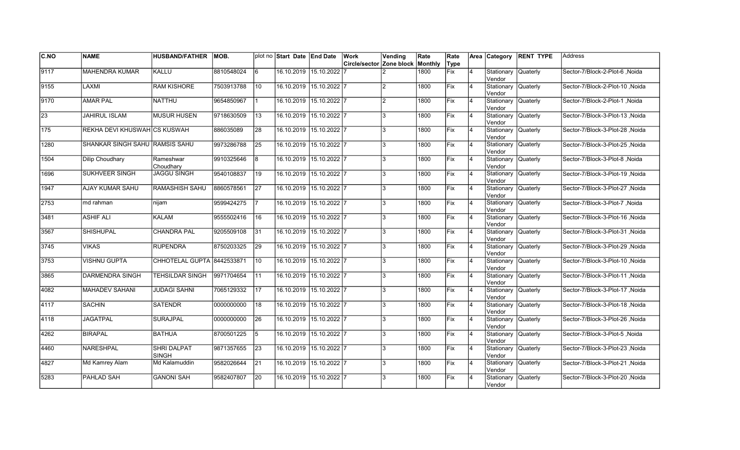| <b>C.NO</b>      | <b>NAME</b>                    | <b>HUSBAND/FATHER</b>              | IMOB.      |                 | plot no Start Date End Date |                         | Work                     | Vending        | Rate    | Rate |                |                                | Area Category RENT TYPE | Address                         |
|------------------|--------------------------------|------------------------------------|------------|-----------------|-----------------------------|-------------------------|--------------------------|----------------|---------|------|----------------|--------------------------------|-------------------------|---------------------------------|
|                  |                                |                                    |            |                 |                             |                         | Circle/sector Zone block |                | Monthly | Type |                |                                |                         |                                 |
| 9117             | <b>MAHENDRA KUMAR</b>          | KALLU                              | 8810548024 | 6               |                             | 16.10.2019 15.10.2022   |                          |                | 1800    | Fix  | $\overline{4}$ | Stationary<br>Vendor           | <b>Quaterly</b>         | Sector-7/Block-2-Plot-6, Noida  |
| 9155             | LAXMI                          | <b>RAM KISHORE</b>                 | 7503913788 | 10              |                             | 16.10.2019 15.10.2022 7 |                          |                | 1800    | Fix  | $\overline{4}$ | Stationary Quaterly<br>Vendor  |                         | Sector-7/Block-2-Plot-10, Noida |
| 9170             | <b>AMAR PAL</b>                | <b>NATTHU</b>                      | 9654850967 | 1               |                             | 16.10.2019 15.10.2022 7 |                          | $\overline{2}$ | 1800    | Fix  | $\overline{4}$ | Stationary Quaterly<br>Vendor  |                         | Sector-7/Block-2-Plot-1, Noida  |
| $\sqrt{23}$      | <b>JAHIRUL ISLAM</b>           | <b>MUSUR HUSEN</b>                 | 9718630509 | 13              |                             | 16.10.2019 15.10.2022 7 |                          | 3              | 1800    | Fix  | 4              | Stationary Quaterly<br>Vendor  |                         | Sector-7/Block-3-Plot-13, Noida |
| $\overline{175}$ | REKHA DEVI KHUSWAH CS KUSWAH   |                                    | 886035089  | 28              | 16.10.2019                  | $15.10.2022$ 7          |                          | 3              | 1800    | Fix  | $\overline{4}$ | Stationary<br>Vendor           | Quaterly                | Sector-7/Block-3-Plot-28, Noida |
| 1280             | SHANKAR SINGH SAHU RAMSIS SAHU |                                    | 9973286788 | 25              | 16.10.2019                  | 15.10.2022 7            |                          | 3              | 1800    | Fix  | $\overline{4}$ | Stationary Quaterly<br>lVendor |                         | Sector-7/Block-3-Plot-25, Noida |
| 1504             | <b>Dilip Choudhary</b>         | Rameshwar<br>Choudharv             | 9910325646 | 8               | 16.10.2019                  | 15.10.2022 7            |                          | 3              | 1800    | Fix  | $\overline{4}$ | Stationary Quaterly<br>Vendor  |                         | Sector-7/Block-3-Plot-8, Noida  |
| 1696             | <b>SUKHVEER SINGH</b>          | <b>JAGGU SINGH</b>                 | 9540108837 | 19              |                             | 16.10.2019 15.10.2022 7 |                          | 3              | 1800    | lFix | <b>4</b>       | Stationary Quaterly<br>Vendor  |                         | Sector-7/Block-3-Plot-19, Noida |
| 1947             | AJAY KUMAR SAHU                | RAMASHISH SAHU                     | 8860578561 | <b>27</b>       | 16.10.2019                  | 15.10.2022 7            |                          | 3              | 1800    | lFix | $\overline{4}$ | Stationary Quaterly<br>Vendor  |                         | Sector-7/Block-3-Plot-27, Noida |
| 2753             | md rahman                      | nijam                              | 9599424275 |                 |                             | 16.10.2019 15.10.2022 7 |                          | 3              | 1800    | Fix  | $\overline{4}$ | Stationary Quaterly<br>Vendor  |                         | Sector-7/Block-3-Plot-7, Noida  |
| 3481             | <b>ASHIF ALI</b>               | KALAM                              | 9555502416 | 16              |                             | 16.10.2019 15.10.2022 7 |                          | 3              | 1800    | Fix  | $\overline{4}$ | Stationary Quaterly<br>Vendor  |                         | Sector-7/Block-3-Plot-16, Noida |
| 3567             | <b>SHISHUPAL</b>               | <b>CHANDRA PAL</b>                 | 9205509108 | 31              | 16.10.2019 15.10.2022 7     |                         |                          | 3              | 1800    | Fix  | <b>4</b>       | Stationary Quaterly<br>Vendor  |                         | Sector-7/Block-3-Plot-31, Noida |
| 3745             | <b>VIKAS</b>                   | <b>RUPENDRA</b>                    | 8750203325 | 29              |                             | 16.10.2019 15.10.2022 7 |                          | 3              | 1800    | Fix  | 4              | Stationary Quaterly<br>Vendor  |                         | Sector-7/Block-3-Plot-29, Noida |
| 3753             | <b>VISHNU GUPTA</b>            | CHHOTELAL GUPTA 8442533871         |            | 10              | 16.10.2019                  | $15.10.2022$ 7          |                          | 3              | 1800    | Fix  | $\overline{4}$ | Stationary<br>Vendor           | <b>Quaterly</b>         | Sector-7/Block-3-Plot-10, Noida |
| 3865             | <b>DARMENDRA SINGH</b>         | <b>TEHSILDAR SINGH</b>             | 9971704654 | 11              |                             | 16.10.2019 15.10.2022 7 |                          | 3              | 1800    | Fix  | $\overline{4}$ | Stationary Quaterly<br>Vendor  |                         | Sector-7/Block-3-Plot-11, Noida |
| 4082             | <b>MAHADEV SAHANI</b>          | <b>JUDAGI SAHNI</b>                | 7065129332 | $\overline{17}$ |                             | 16.10.2019 15.10.2022 7 |                          | 3              | 1800    | Fix  | 14             | Stationary Quaterly<br>Vendor  |                         | Sector-7/Block-3-Plot-17, Noida |
| 4117             | <b>SACHIN</b>                  | <b>SATENDR</b>                     | 0000000000 | 18              |                             | 16.10.2019 15.10.2022 7 |                          | 3              | 1800    | Fix  | $\overline{4}$ | Stationary Quaterly<br>Vendor  |                         | Sector-7/Block-3-Plot-18, Noida |
| 4118             | JAGATPAL                       | <b>SURAJPAL</b>                    | 0000000000 | 26              | 16.10.2019                  | 15.10.2022 7            |                          | 3              | 1800    | lFix | $\overline{4}$ | Stationary Quaterly<br>Vendor  |                         | Sector-7/Block-3-Plot-26, Noida |
| 4262             | <b>BIRAPAL</b>                 | <b>BATHUA</b>                      | 8700501225 | 5               | 16.10.2019                  | 15.10.2022 7            |                          | 3              | 1800    | Fix  | $\overline{4}$ | Stationary Quaterly<br>Vendor  |                         | Sector-7/Block-3-Plot-5, Noida  |
| 4460             | <b>NARESHPAL</b>               | <b>SHRI DALPAT</b><br><b>SINGH</b> | 9871357655 | 23              | 16.10.2019                  | $15.10.2022$ 7          |                          | 3              | 1800    | Fix  | $\overline{4}$ | Stationary Quaterly<br>Vendor  |                         | Sector-7/Block-3-Plot-23, Noida |
| 4827             | Md Kamrey Alam                 | Md Kalamuddin                      | 9582026644 | 21              |                             | 16.10.2019 15.10.2022 7 |                          | 3              | 1800    | Fix  | $\overline{4}$ | Stationary Quaterly<br>Vendor  |                         | Sector-7/Block-3-Plot-21, Noida |
| 5283             | PAHLAD SAH                     | <b>GANONI SAH</b>                  | 9582407807 | 20              |                             | 16.10.2019 15.10.2022 7 |                          | 3              | 1800    | Fix  |                | Stationary Quaterly<br>Vendor  |                         | Sector-7/Block-3-Plot-20, Noida |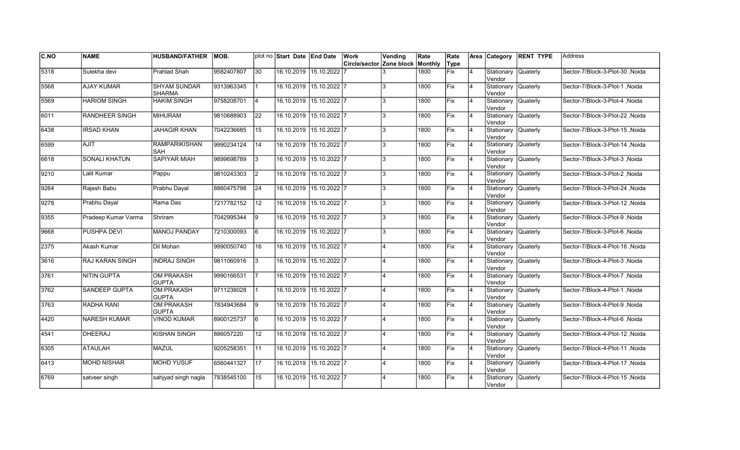| <b>C.NO</b> | <b>NAME</b>          | <b>HUSBAND/FATHER</b>                | IMOB.      |     | plot no Start Date End Date |                         | Work                     | Vending        | Rate    | Rate |                | Area Category                 | <b>RENT TYPE</b> | Address                          |
|-------------|----------------------|--------------------------------------|------------|-----|-----------------------------|-------------------------|--------------------------|----------------|---------|------|----------------|-------------------------------|------------------|----------------------------------|
|             |                      |                                      |            |     |                             |                         | Circle/sector Zone block |                | Monthly | Type |                |                               |                  |                                  |
| 5318        | Sulekha devi         | Prahlad Shah                         | 9582407807 | 30  | 16.10.2019 15.10.2022       |                         |                          |                | 1800    | Fix  | 4              | Stationary<br>Vendor          | Quaterly         | Sector-7/Block-3-Plot-30, Noida  |
| 5568        | <b>AJAY KUMAR</b>    | <b>SHYAM SUNDAR</b><br><b>SHARMA</b> | 9313963345 |     | 16.10.2019 15.10.2022 7     |                         |                          | 3              | 1800    | Fix  | $\overline{4}$ | Stationary<br>Vendor          | Quaterly         | Sector-7/Block-3-Plot-1 .Noida   |
| 5569        | <b>HARIOM SINGH</b>  | <b>HAKIM SINGH</b>                   | 9758208701 | 14  | 16.10.2019 15.10.2022 7     |                         |                          | 3              | 1800    | Fix  | 4              | Stationary Quaterly<br>Vendor |                  | Sector-7/Block-3-Plot-4 .Noida   |
| 6011        | RANDHEER SINGH       | <b>MIHURAM</b>                       | 9810688903 | 22  | 16.10.2019 15.10.2022 7     |                         |                          | 3              | 1800    | Fix  | $\overline{4}$ | Stationary Quaterly<br>Vendor |                  | Sector-7/Block-3-Plot-22, Noida  |
| 6438        | <b>IRSAD KHAN</b>    | <b>JAHAGIR KHAN</b>                  | 7042236685 | 15  | 16.10.2019 15.10.2022 7     |                         |                          | 3              | 1800    | Fix  | $\overline{4}$ | Stationary<br>Vendor          | <b>Quaterly</b>  | Sector-7/Block-3-Plot-15, Noida  |
| 6599        | <b>AJIT</b>          | <b>RAMPARIKISHAN</b><br>SAH          | 9990234124 | 14  | 16.10.2019                  | $15.10.2022$ 7          |                          | 3              | 1800    | Fix  | $\overline{4}$ | Stationary<br>lVendor         | <b>Quaterly</b>  | Noida - Sector-7/Block-3-Plot-14 |
| 6618        | <b>SONALI KHATUN</b> | SAPIYAR MIAH                         | 9899698789 | l 3 | 16.10.2019 15.10.2022 7     |                         |                          | 3              | 1800    | Fix  | $\overline{4}$ | Stationary<br>Vendor          | <b>Quaterly</b>  | Sector-7/Block-3-Plot-3, Noida   |
| 9210        | Lalit Kumar          | Pappu                                | 9810243303 | I2  | 16.10.2019 15.10.2022 7     |                         |                          | 3              | 1800    | Fix  | $\overline{4}$ | Stationary Quaterly<br>Vendor |                  | Sector-7/Block-3-Plot-2, Noida   |
| 9264        | Rajesh Babu          | Prabhu Dayal                         | 8860475798 | 24  | 16.10.2019 15.10.2022 7     |                         |                          | 3              | 1800    | Fix  | $\overline{4}$ | Stationary<br>Vendor          | Quaterly         | Sector-7/Block-3-Plot-24, Noida  |
| 9278        | Prabhu Dayal         | Rama Das                             | 7217782152 | 12  | 16.10.2019 15.10.2022 7     |                         |                          | 3              | 1800    | Fix  | $\overline{4}$ | Stationary<br>Vendor          | Quaterly         | Sector-7/Block-3-Plot-12, Noida  |
| 9355        | Pradeep Kumar Varma  | Shriram                              | 7042995344 | 19  | 16.10.2019 15.10.2022 7     |                         |                          | 3              | 1800    | Fix  | 4              | Stationary Quaterly<br>Vendor |                  | Sector-7/Block-3-Plot-9, Noida   |
| 9668        | PUSHPA DEVI          | <b>MANOJ PANDAY</b>                  | 7210300093 | 6   | 16.10.2019 15.10.2022 7     |                         |                          | 3              | 1800    | Fix  | $\overline{4}$ | Stationary Quaterly<br>Vendor |                  | Sector-7/Block-3-Plot-6, Noida   |
| 2375        | Akash Kumar          | Dil Mohan                            | 9990050740 | 16  | 16.10.2019 15.10.2022 7     |                         |                          | $\overline{4}$ | 1800    | Fix  | $\overline{4}$ | Stationary Quaterly<br>Vendor |                  | Sector-7/Block-4-Plot-16, Noida  |
| 3616        | RAJ KARAN SINGH      | <b>INDRAJ SINGH</b>                  | 9811060916 | Ι3  | 16.10.2019 15.10.2022 7     |                         |                          |                | 1800    | Fix  | $\overline{4}$ | Stationary<br>Vendor          | Quaterly         | Sector-7/Block-4-Plot-3, Noida   |
| 3761        | <b>NITIN GUPTA</b>   | <b>OM PRAKASH</b><br><b>GUPTA</b>    | 9990166531 |     | 16.10.2019 15.10.2022 7     |                         |                          |                | 1800    | Fix  | $\overline{4}$ | Stationary<br>Vendor          | Quaterly         | Sector-7/Block-4-Plot-7, Noida   |
| 3762        | <b>SANDEEP GUPTA</b> | <b>OM PRAKASH</b><br><b>GUPTA</b>    | 9711238028 |     | 16.10.2019 15.10.2022 7     |                         |                          | 4              | 1800    | Fix  | 4              | Stationary Quaterly<br>Vendor |                  | Sector-7/Block-4-Plot-1, Noida   |
| 3763        | RADHA RANI           | <b>OM PRAKASH</b><br><b>GUPTA</b>    | 7834943684 | 9   | 16.10.2019 15.10.2022 7     |                         |                          |                | 1800    | Fix  | 4              | Stationary Quaterly<br>Vendor |                  | Sector-7/Block-4-Plot-9, Noida   |
| 4420        | <b>NARESH KUMAR</b>  | <b>VINOD KUMAR</b>                   | 8900125737 | l6  | 16.10.2019 15.10.2022 7     |                         |                          |                | 1800    | Fix  | 4              | Stationary<br>Vendor          | Quaterly         | Sector-7/Block-4-Plot-6, Noida   |
| 4541        | <b>DHEERAJ</b>       | <b>KISHAN SINGH</b>                  | 886057220  | 12  | 16.10.2019                  | $15.10.2022$ 7          |                          |                | 1800    | Fix  | $\overline{4}$ | Stationary<br>Vendor          | Quaterly         | Sector-7/Block-4-Plot-12, Noida  |
| 6305        | <b>ATAULAH</b>       | <b>MAZUL</b>                         | 9205258351 | 11  | 16.10.2019 15.10.2022 7     |                         |                          |                | 1800    | Fix  | $\overline{4}$ | Stationary<br>Vendor          | <b>Quaterly</b>  | Sector-7/Block-4-Plot-11, Noida  |
| 6413        | <b>MOHD NISHAR</b>   | <b>MOHD YUSUF</b>                    | 6560441327 | 17  | 16.10.2019 15.10.2022 7     |                         |                          |                | 1800    | Fix  | $\overline{4}$ | Stationary Quaterly<br>Vendor |                  | Sector-7/Block-4-Plot-17, Noida  |
| 6769        | satveer singh        | sahjyad singh nagla                  | 7838545100 | 15  |                             | 16.10.2019 15.10.2022 7 |                          |                | 1800    | Fix  | $\overline{4}$ | Stationary<br>Vendor          | <b>Quaterly</b>  | Sector-7/Block-4-Plot-15, Noida  |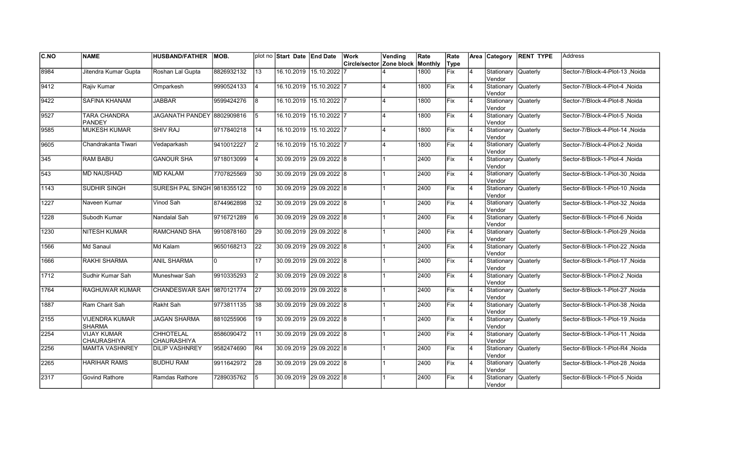| C.NO | <b>NAME</b>                            | <b>HUSBAND/FATHER</b>            | <b>MOB.</b> |                 | plot no Start Date End Date |                         | Work                     | Vending                 | Rate    | Rate        |                | Area Category                 | <b>RENT TYPE</b> | <b>Address</b>                   |
|------|----------------------------------------|----------------------------------|-------------|-----------------|-----------------------------|-------------------------|--------------------------|-------------------------|---------|-------------|----------------|-------------------------------|------------------|----------------------------------|
|      |                                        |                                  |             |                 |                             |                         | Circle/sector Zone block |                         | Monthly | Type        |                |                               |                  |                                  |
| 8984 | Jitendra Kumar Gupta                   | Roshan Lal Gupta                 | 8826932132  | $\overline{13}$ |                             | 16.10.2019 15.10.2022   |                          |                         | 1800    | <b>Fix</b>  | $\overline{4}$ | Stationary<br>Vendor          | <b>Quaterly</b>  | Sector-7/Block-4-Plot-13, Noida  |
| 9412 | Rajiv Kumar                            | Omparkesh                        | 9990524133  | 14              |                             | 16.10.2019 15.10.2022 7 |                          |                         | 1800    | Fix         | 4              | Stationary Quaterly<br>Vendor |                  | Sector-7/Block-4-Plot-4 .Noida   |
| 9422 | <b>SAFINA KHANAM</b>                   | <b>JABBAR</b>                    | 9599424276  | l8              |                             | 16.10.2019 15.10.2022 7 |                          | $\overline{\mathbf{A}}$ | 1800    | Fix         | 4              | Stationary Quaterly<br>Vendor |                  | Sector-7/Block-4-Plot-8, Noida   |
| 9527 | TARA CHANDRA<br><b>PANDEY</b>          | JAGANATH PANDEY 18802909816      |             | 15              |                             | 16.10.2019 15.10.2022 7 |                          | $\overline{\mathbf{A}}$ | 1800    | Fix         | $\overline{4}$ | Stationary<br>Vendor          | <b>Quaterly</b>  | Sector-7/Block-4-Plot-5, Noida   |
| 9585 | <b>MUKESH KUMAR</b>                    | <b>SHIV RAJ</b>                  | 9717840218  | 14              |                             | 16.10.2019 15.10.2022 7 |                          | $\overline{\mathbf{A}}$ | 1800    | <b>IFix</b> | 4              | Stationary<br>Vendor          | <b>Quaterly</b>  | Sector-7/Block-4-Plot-14, Noida  |
| 9605 | Chandrakanta Tiwari                    | Vedaparkash                      | 9410012227  | I2              |                             | 16.10.2019 15.10.2022 7 |                          |                         | 1800    | Fix         | $\overline{4}$ | Stationary<br>Vendor          | Quaterly         | Sector-7/Block-4-Plot-2, Noida   |
| 345  | <b>RAM BABU</b>                        | <b>GANOUR SHA</b>                | 9718013099  | 14              | 30.09.2019 29.09.2022 8     |                         |                          |                         | 2400    | <b>Fix</b>  | 4              | Stationary<br>Vendor          | Quaterly         | Sector-8/Block-1-Plot-4 .Noida   |
| 543  | <b>MD NAUSHAD</b>                      | MD KALAM                         | 7707825569  | 30              | 30.09.2019  29.09.2022  8   |                         |                          |                         | 2400    | Fix         | 4              | Stationary Quaterly<br>Vendor |                  | Sector-8/Block-1-Plot-30, Noida  |
| 1143 | SUDHIR SINGH                           | SURESH PAL SINGH 9818355122      |             | 10              | 30.09.2019 29.09.2022 8     |                         |                          |                         | 2400    | Fix         | $\overline{4}$ | Stationary<br>Vendor          | <b>Quaterly</b>  | Sector-8/Block-1-Plot-10, Noida  |
| 1227 | Naveen Kumar                           | Vinod Sah                        | 8744962898  | $\overline{32}$ | 30.09.2019 29.09.2022 8     |                         |                          |                         | 2400    | Fix         | $\overline{4}$ | Stationary<br>lVendor         | <b>Quaterly</b>  | Sector-8/Block-1-Plot-32, Noida  |
| 1228 | Subodh Kumar                           | Nandalal Sah                     | 9716721289  | 6               |                             | 30.09.2019 29.09.2022 8 |                          |                         | 2400    | Fix         | $\overline{4}$ | Stationary Quaterly<br>Vendor |                  | Sector-8/Block-1-Plot-6, Noida   |
| 1230 | <b>NITESH KUMAR</b>                    | RAMCHAND SHA                     | 9910878160  | 29              | 30.09.2019 29.09.2022 8     |                         |                          |                         | 2400    | Fix         | 4              | Stationary Quaterly<br>Vendor |                  | Sector-8/Block-1-Plot-29, Noida  |
| 1566 | Md Sanaul                              | Md Kalam                         | 9650168213  | 22              | 30.09.2019 29.09.2022 8     |                         |                          |                         | 2400    | Fix         | $\overline{4}$ | Stationary<br>Vendor          | Quaterly         | Sector-8/Block-1-Plot-22 , Noida |
| 1666 | RAKHI SHARMA                           | <b>ANIL SHARMA</b>               | I۵          | 17              | 30.09.2019 29.09.2022 8     |                         |                          |                         | 2400    | <b>IFix</b> | $\overline{4}$ | Stationary<br>Vendor          | Quaterly         | Sector-8/Block-1-Plot-17 Noida   |
| 1712 | Sudhir Kumar Sah                       | Muneshwar Sah                    | 9910335293  | I2              | 30.09.2019 29.09.2022 8     |                         |                          |                         | 2400    | Fix         | $\overline{4}$ | Stationary<br>Vendor          | <b>Quaterly</b>  | Sector-8/Block-1-Plot-2, Noida   |
| 1764 | RAGHUWAR KUMAR                         | <b>CHANDESWAR SAH 9870121774</b> |             | $\overline{27}$ | 30.09.2019 29.09.2022 8     |                         |                          |                         | 2400    | Fix         | $\overline{4}$ | Stationary Quaterly<br>Vendor |                  | Sector-8/Block-1-Plot-27, Noida  |
| 1887 | Ram Charit Sah                         | Rakht Sah                        | 9773811135  | 38              | 30.09.2019 29.09.2022 8     |                         |                          |                         | 2400    | Fix         | 4              | Stationary Quaterly<br>Vendor |                  | Sector-8/Block-1-Plot-38, Noida  |
| 2155 | <b>VIJENDRA KUMAR</b><br><b>SHARMA</b> | <b>JAGAN SHARMA</b>              | 8810255906  | 19              |                             | 30.09.2019 29.09.2022 8 |                          |                         | 2400    | Fix         | 4              | Stationary<br>Vendor          | Quaterly         | Sector-8/Block-1-Plot-19, Noida  |
| 2254 | <b>VIJAY KUMAR</b><br>CHAURASHIYA      | <b>CHHOTELAL</b><br>CHAURASHIYA  | 8586090472  | $\overline{11}$ |                             | 30.09.2019 29.09.2022 8 |                          |                         | 2400    | Fix         | $\overline{4}$ | Stationary<br>Vendor          | Quaterly         | Sector-8/Block-1-Plot-11 , Noida |
| 2256 | <b>MAMTA VASHNREY</b>                  | <b>DILIP VASHNREY</b>            | 9582474690  | IR4             | 30.09.2019 29.09.2022 8     |                         |                          |                         | 2400    | <b>IFix</b> | $\overline{4}$ | Stationary<br>Vendor          | Quaterly         | Sector-8/Block-1-Plot-R4 ,Noida  |
| 2265 | <b>HARIHAR RAMS</b>                    | <b>BUDHU RAM</b>                 | 9911642972  | 28              | 30.09.2019 29.09.2022 8     |                         |                          |                         | 2400    | Fix         | $\overline{4}$ | Stationary Quaterly<br>Vendor |                  | Sector-8/Block-1-Plot-28, Noida  |
| 2317 | Govind Rathore                         | Ramdas Rathore                   | 7289035762  | 5               |                             | 30.09.2019 29.09.2022 8 |                          |                         | 2400    | Fix         | 4              | Stationary<br>Vendor          | Quaterly         | Sector-8/Block-1-Plot-5, Noida   |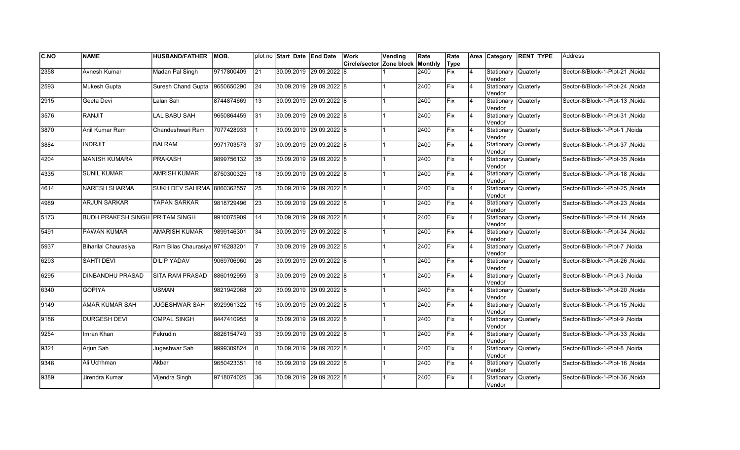| <b>C.NO</b> | <b>NAME</b>                            | <b>HUSBAND/FATHER</b>           | MOB.       |                 | plot no Start Date End Date | Work                             | Vending | Rate | Rate |                | Area Category                 | <b>RENT TYPE</b> | Address                         |
|-------------|----------------------------------------|---------------------------------|------------|-----------------|-----------------------------|----------------------------------|---------|------|------|----------------|-------------------------------|------------------|---------------------------------|
|             |                                        |                                 |            |                 |                             | Circle/sector Zone block Monthly |         |      | Type |                |                               |                  |                                 |
| 2358        | Avnesh Kumar                           | Madan Pal Singh                 | 9717800409 | 21              | 30.09.2019 29.09.2022 8     |                                  |         | 2400 | Fix  | 4              | Stationary<br>Vendor          | Quaterly         | Sector-8/Block-1-Plot-21, Noida |
| 2593        | <b>Mukesh Gupta</b>                    | Suresh Chand Gupta              | 9650650290 | $\overline{24}$ | 30.09.2019 29.09.2022 8     |                                  |         | 2400 | Fix  | $\overline{4}$ | Stationary<br>Vendor          | <b>Quaterly</b>  | Sector-8/Block-1-Plot-24 .Noida |
| 2915        | Geeta Devi                             | Lalan Sah                       | 8744874669 | 13              | 30.09.2019 29.09.2022 8     |                                  |         | 2400 | Fix  | $\overline{4}$ | Stationary Quaterly<br>Vendor |                  | Sector-8/Block-1-Plot-13 .Noida |
| 3576        | <b>RANJIT</b>                          | LAL BABU SAH                    | 9650864459 | 31              | 30.09.2019 29.09.2022 8     |                                  |         | 2400 | Fix  | $\overline{4}$ | Stationary Quaterly<br>Vendor |                  | Sector-8/Block-1-Plot-31, Noida |
| 3870        | Anil Kumar Ram                         | Chandeshwari Ram                | 7077428933 |                 | 30.09.2019 29.09.2022 8     |                                  |         | 2400 | Fix  | $\overline{4}$ | Stationary<br>Vendor          | Quaterly         | Sector-8/Block-1-Plot-1, Noida  |
| 3884        | <b>INDRJIT</b>                         | <b>BALRAM</b>                   | 9971703573 | 37              | 30.09.2019 29.09.2022 8     |                                  |         | 2400 | Fix  | $\overline{4}$ | Stationary<br>lVendor         | <b>Quaterly</b>  | Sector-8/Block-1-Plot-37, Noida |
| 4204        | <b>MANISH KUMARA</b>                   | <b>PRAKASH</b>                  | 9899756132 | 35              | 30.09.2019 29.09.2022 8     |                                  |         | 2400 | Fix  | $\overline{4}$ | Stationary<br>Vendor          | <b>Quaterly</b>  | Sector-8/Block-1-Plot-35, Noida |
| 4335        | <b>SUNIL KUMAR</b>                     | <b>AMRISH KUMAR</b>             | 8750300325 | 18              | 30.09.2019 29.09.2022 8     |                                  |         | 2400 | Fix  | $\overline{4}$ | Stationary Quaterly<br>Vendor |                  | Sector-8/Block-1-Plot-18, Noida |
| 4614        | NARESH SHARMA                          | SUKH DEV SAHRMA 8860362557      |            | 25              | 30.09.2019 29.09.2022 8     |                                  |         | 2400 | Fix  | $\overline{4}$ | Stationary<br>Vendor          | Quaterly         | Sector-8/Block-1-Plot-25, Noida |
| 4989        | <b>ARJUN SARKAR</b>                    | <b>TAPAN SARKAR</b>             | 9818729496 | 23              | 30.09.2019 29.09.2022 8     |                                  |         | 2400 | Fix  | $\overline{4}$ | Stationary<br>Vendor          | Quaterly         | Sector-8/Block-1-Plot-23, Noida |
| 5173        | <b>BUDH PRAKESH SINGH PRITAM SINGH</b> |                                 | 9910075909 | 14              | 30.09.2019 29.09.2022 8     |                                  |         | 2400 | Fix  | 4              | Stationary Quaterly<br>Vendor |                  | Sector-8/Block-1-Plot-14, Noida |
| 5491        | PAWAN KUMAR                            | <b>AMARISH KUMAR</b>            | 9899146301 | 34              | 30.09.2019 29.09.2022 8     |                                  |         | 2400 | Fix  | $\overline{4}$ | Stationary Quaterly<br>Vendor |                  | Sector-8/Block-1-Plot-34, Noida |
| 5937        | Biharilal Chaurasiya                   | Ram Bilas Chaurasiya 9716283201 |            |                 | 30.09.2019 29.09.2022 8     |                                  |         | 2400 | Fix  | $\overline{4}$ | Stationary Quaterly<br>Vendor |                  | Sector-8/Block-1-Plot-7, Noida  |
| 6293        | <b>SAHTI DEVI</b>                      | <b>DILIP YADAV</b>              | 9069706960 | 26              | 30.09.2019 29.09.2022 8     |                                  |         | 2400 | Fix  | $\overline{4}$ | Stationary<br>Vendor          | Quaterly         | Sector-8/Block-1-Plot-26, Noida |
| 6295        | <b>DINBANDHU PRASAD</b>                | <b>SITA RAM PRASAD</b>          | 8860192959 | 3               | 30.09.2019 29.09.2022 8     |                                  |         | 2400 | Fix  | $\overline{4}$ | Stationary Quaterly<br>Vendor |                  | Sector-8/Block-1-Plot-3, Noida  |
| 6340        | <b>GOPIYA</b>                          | <b>USMAN</b>                    | 9821942068 | 20              | 30.09.2019 29.09.2022 8     |                                  |         | 2400 | Fix  | 4              | Stationary Quaterly<br>Vendor |                  | Sector-8/Block-1-Plot-20, Noida |
| 9149        | AMAR KUMAR SAH                         | <b>JUGESHWAR SAH</b>            | 8929961322 | 15              | 30.09.2019 29.09.2022 8     |                                  |         | 2400 | Fix  | 4              | Stationary Quaterly<br>Vendor |                  | Sector-8/Block-1-Plot-15, Noida |
| 9186        | <b>DURGESH DEVI</b>                    | <b>OMPAL SINGH</b>              | 8447410955 | 19              | 30.09.2019 29.09.2022 8     |                                  |         | 2400 | Fix  | 4              | Stationary<br>Vendor          | Quaterly         | Sector-8/Block-1-Plot-9, Noida  |
| 9254        | Imran Khan                             | Fekrudin                        | 8826154749 | 33              | 30.09.2019 29.09.2022 8     |                                  |         | 2400 | Fix  | $\overline{4}$ | Stationary<br>Vendor          | Quaterly         | Sector-8/Block-1-Plot-33, Noida |
| 9321        | Arjun Sah                              | Jugeshwar Sah                   | 9999309824 | l8              | 30.09.2019 29.09.2022 8     |                                  |         | 2400 | Fix  | $\overline{4}$ | Stationary<br>Vendor          | <b>Quaterly</b>  | Sector-8/Block-1-Plot-8, Noida  |
| 9346        | Ali Uchhman                            | Akbar                           | 9650423351 | 16              | 30.09.2019 29.09.2022 8     |                                  |         | 2400 | Fix  | $\overline{4}$ | Stationary Quaterly<br>Vendor |                  | Sector-8/Block-1-Plot-16, Noida |
| 9389        | Jirendra Kumar                         | Vijendra Singh                  | 9718074025 | 36              | 30.09.2019 29.09.2022 8     |                                  |         | 2400 | Fix  | $\overline{4}$ | Stationary<br>Vendor          | <b>Quaterly</b>  | Sector-8/Block-1-Plot-36, Noida |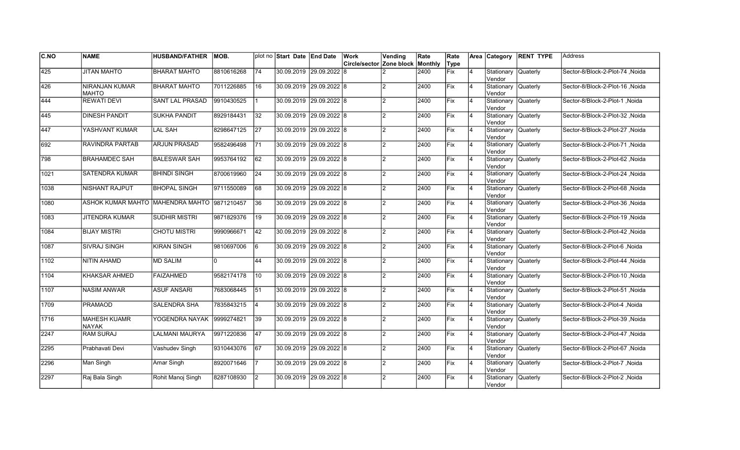| C.NO             | <b>NAME</b>                                 | <b>HUSBAND/FATHER</b>  | MOB.       |                 | plot no Start Date End Date |                         | Work                                    | Vending        | Rate | Rate |                |                               | Area Category RENT TYPE | <b>Address</b>                   |
|------------------|---------------------------------------------|------------------------|------------|-----------------|-----------------------------|-------------------------|-----------------------------------------|----------------|------|------|----------------|-------------------------------|-------------------------|----------------------------------|
|                  |                                             |                        |            |                 |                             |                         | <b>Circle/sector Zone block Monthly</b> |                |      | Type |                |                               |                         |                                  |
| $\overline{425}$ | <b>JITAN MAHTO</b>                          | <b>BHARAT MAHTO</b>    | 8810616268 | 74              |                             | 30.09.2019 29.09.2022 8 |                                         |                | 2400 | Fix  | $\overline{4}$ | Stationary Quaterly<br>Vendor |                         | Sector-8/Block-2-Plot-74, Noida  |
| 426              | <b>NIRANJAN KUMAR</b><br><b>MAHTO</b>       | <b>BHARAT MAHTO</b>    | 7011226885 | 16              |                             | 30.09.2019 29.09.2022 8 |                                         |                | 2400 | Fix  | 4              | Stationary Quaterly<br>Vendor |                         | Sector-8/Block-2-Plot-16, Noida  |
| 444              | <b>REWATI DEVI</b>                          | <b>SANT LAL PRASAD</b> | 9910430525 |                 | 30.09.2019 29.09.2022 8     |                         |                                         | $\mathfrak{p}$ | 2400 | Fix  | 14             | Stationary Quaterly<br>Vendor |                         | Sector-8/Block-2-Plot-1 .Noida   |
| 445              | <b>DINESH PANDIT</b>                        | <b>SUKHA PANDIT</b>    | 8929184431 | $\overline{32}$ | 30.09.2019 29.09.2022 8     |                         |                                         | $\overline{2}$ | 2400 | Fix  | 14             | Stationary Quaterly<br>Vendor |                         | Sector-8/Block-2-Plot-32, Noida  |
| 447              | YASHVANT KUMAR                              | <b>LAL SAH</b>         | 8298647125 | 27              |                             | 30.09.2019 29.09.2022 8 |                                         | $\overline{2}$ | 2400 | Fix  | $\overline{4}$ | Stationary<br>Vendor          | Quaterly                | Sector-8/Block-2-Plot-27, Noida  |
| 692              | RAVINDRA PARTAB                             | <b>ARJUN PRASAD</b>    | 9582496498 | 171             | 30.09.2019 29.09.2022 8     |                         |                                         | $\mathfrak{p}$ | 2400 | Fix  | $\overline{4}$ | Stationary Quaterly<br>Vendor |                         | Sector-8/Block-2-Plot-71, Noida  |
| 798              | <b>BRAHAMDEC SAH</b>                        | <b>BALESWAR SAH</b>    | 9953764192 | 62              | 30.09.2019 29.09.2022 8     |                         |                                         | $\mathcal{P}$  | 2400 | Fix  | $\overline{4}$ | Stationary Quaterly<br>Vendor |                         | Sector-8/Block-2-Plot-62, Noida  |
| 1021             | <b>SATENDRA KUMAR</b>                       | <b>BHINDI SINGH</b>    | 8700619960 | 24              | 30.09.2019 29.09.2022 8     |                         |                                         | $\mathfrak{p}$ | 2400 | Fix  | $\overline{4}$ | Stationary Quaterly<br>Vendor |                         | Sector-8/Block-2-Plot-24 , Noida |
| 1038             | NISHANT RAJPUT                              | <b>BHOPAL SINGH</b>    | 9711550089 | 68              | 30.09.2019 29.09.2022 8     |                         |                                         | $\mathcal{P}$  | 2400 | Fix  | $\overline{4}$ | Stationary<br>Vendor          | <b>Quaterly</b>         | Sector-8/Block-2-Plot-68, Noida  |
| 1080             | ASHOK KUMAR MAHTO MAHENDRA MAHTO 9871210457 |                        |            | 36              |                             | 30.09.2019 29.09.2022 8 |                                         | $\mathfrak{p}$ | 2400 | Fix  | 4              | Stationary Quaterly<br>Vendor |                         | Sector-8/Block-2-Plot-36, Noida  |
| 1083             | <b>JITENDRA KUMAR</b>                       | <b>SUDHIR MISTRI</b>   | 9871829376 | $\overline{19}$ |                             | 30.09.2019 29.09.2022 8 |                                         | $\mathcal{P}$  | 2400 | Fix  | 4              | Stationary Quaterly<br>Vendor |                         | Sector-8/Block-2-Plot-19, Noida  |
| 1084             | <b>BIJAY MISTRI</b>                         | <b>CHOTU MISTRI</b>    | 9990966671 | 42              | 30.09.2019 29.09.2022 8     |                         |                                         | $\mathcal{P}$  | 2400 | Fix  | 14             | Stationary Quaterly<br>Vendor |                         | Sector-8/Block-2-Plot-42, Noida  |
| 1087             | SIVRAJ SINGH                                | <b>KIRAN SINGH</b>     | 9810697006 | 6               | 30.09.2019 29.09.2022 8     |                         |                                         | $\mathfrak{p}$ | 2400 | Fix  | 14             | Stationary Quaterly<br>Vendor |                         | Sector-8/Block-2-Plot-6, Noida   |
| 1102             | <b>NITIN AHAMD</b>                          | <b>MD SALIM</b>        | I٥         | 44              | 30.09.2019 29.09.2022 8     |                         |                                         | $\mathfrak{p}$ | 2400 | Fix  | $\overline{4}$ | Stationary Quaterly<br>Vendor |                         | Sector-8/Block-2-Plot-44, Noida  |
| 1104             | <b>KHAKSAR AHMED</b>                        | <b>FAIZAHMED</b>       | 9582174178 | 10              | 30.09.2019 29.09.2022 8     |                         |                                         | $\mathcal{P}$  | 2400 | Fix  | 4              | Stationary Quaterly<br>Vendor |                         | Sector-8/Block-2-Plot-10, Noida  |
| $\sqrt{1107}$    | <b>NASIM ANWAR</b>                          | <b>ASUF ANSARI</b>     | 7683068445 | 51              | 30.09.2019 29.09.2022 8     |                         |                                         | $\mathfrak{p}$ | 2400 | Fix  | 14             | Stationary Quaterly<br>Vendor |                         | Sector-8/Block-2-Plot-51, Noida  |
| 1709             | <b>PRAMAOD</b>                              | SALENDRA SHA           | 7835843215 | 14              | 30.09.2019 29.09.2022 8     |                         |                                         | $\mathfrak{p}$ | 2400 | Fix  | 14             | Stationary Quaterly<br>Vendor |                         | Sector-8/Block-2-Plot-4, Noida   |
| 1716             | <b>MAHESH KUAMR</b><br><b>NAYAK</b>         | YOGENDRA NAYAK         | 9999274821 | 39              |                             | 30.09.2019 29.09.2022 8 |                                         | $\mathfrak{p}$ | 2400 | Fix  | $\overline{4}$ | Stationary Quaterly<br>Vendor |                         | Sector-8/Block-2-Plot-39 ,Noida  |
| 2247             | <b>RAM SURAJ</b>                            | LALMANI MAURYA         | 9971220836 | 47              | 30.09.2019 29.09.2022 8     |                         |                                         | $\mathfrak{p}$ | 2400 | Fix  | $\overline{4}$ | Stationary Quaterly<br>Vendor |                         | Sector-8/Block-2-Plot-47, Noida  |
| 2295             | Prabhavati Devi                             | Vashudev Singh         | 9310443076 | 67              | 30.09.2019 29.09.2022 8     |                         |                                         | $\mathcal{P}$  | 2400 | Fix  | 4              | Stationary Quaterly<br>Vendor |                         | Sector-8/Block-2-Plot-67, Noida  |
| 2296             | Man Singh                                   | Amar Singh             | 8920071646 |                 | 30.09.2019 29.09.2022 8     |                         |                                         | $\mathfrak{p}$ | 2400 | Fix  | 14             | Stationary Quaterly<br>Vendor |                         | Sector-8/Block-2-Plot-7, Noida   |
| 2297             | Raj Bala Singh                              | Rohit Manoj Singh      | 8287108930 | I2              |                             | 30.09.2019 29.09.2022 8 |                                         | $\mathfrak{p}$ | 2400 | Fix  | $\overline{4}$ | Stationary<br>Vendor          | <b>Quaterly</b>         | Sector-8/Block-2-Plot-2, Noida   |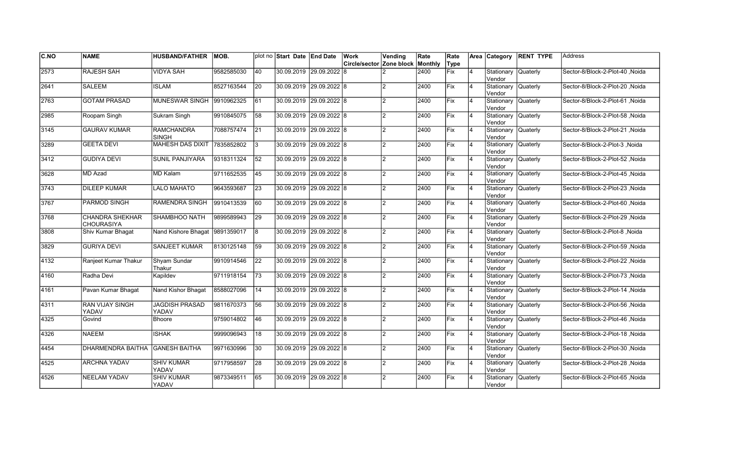| <b>C.NO</b>   | <b>NAME</b>                                 | <b>HUSBAND/FATHER</b>             | MOB.       |                 | plot no Start Date End Date | Work                                    | Vending        | Rate | Rate        |                | Area Category                 | <b>RENT TYPE</b> | Address                          |
|---------------|---------------------------------------------|-----------------------------------|------------|-----------------|-----------------------------|-----------------------------------------|----------------|------|-------------|----------------|-------------------------------|------------------|----------------------------------|
|               |                                             |                                   |            |                 |                             | <b>Circle/sector Zone block Monthly</b> |                |      | Type        |                |                               |                  |                                  |
| 2573          | <b>RAJESH SAH</b>                           | <b>VIDYA SAH</b>                  | 9582585030 | 40              | 30.09.2019 29.09.2022 8     |                                         |                | 2400 | Fix         | 4              | Stationary<br>Vendor          | Quaterly         | Sector-8/Block-2-Plot-40, Noida  |
| 2641          | <b>SALEEM</b>                               | <b>ISLAM</b>                      | 8527163544 | 20              | 30.09.2019 29.09.2022 8     |                                         | $\overline{2}$ | 2400 | Fix         | $\overline{4}$ | Stationary<br>Vendor          | Quaterly         | Sector-8/Block-2-Plot-20, Noida  |
| 2763          | <b>GOTAM PRASAD</b>                         | <b>MUNESWAR SINGH</b>             | 9910962325 | 61              | 30.09.2019 29.09.2022 8     |                                         | $\overline{2}$ | 2400 | Fix         | $\overline{4}$ | Stationary Quaterly<br>Vendor |                  | Sector-8/Block-2-Plot-61 .Noida  |
| 2985          | Roopam Singh                                | Sukram Singh                      | 9910845075 | 58              | 30.09.2019 29.09.2022 8     |                                         | 2              | 2400 | Fix         | $\overline{4}$ | Stationary Quaterly<br>Vendor |                  | Sector-8/Block-2-Plot-58, Noida  |
| 3145          | <b>GAURAV KUMAR</b>                         | <b>RAMCHANDRA</b><br><b>SINGH</b> | 7088757474 | 21              | 30.09.2019 29.09.2022 8     |                                         | $\overline{2}$ | 2400 | Fix         | $\overline{4}$ | Stationary<br>lVendor         | <b>Quaterly</b>  | Sector-8/Block-2-Plot-21, Noida  |
| 3289          | <b>GEETA DEVI</b>                           | <b>MAHESH DAS DIXIT</b>           | 7835852802 | 3               | 30.09.2019 29.09.2022 8     |                                         | $\overline{2}$ | 2400 | Fix         | $\overline{4}$ | Stationary<br>lVendor         | <b>Quaterly</b>  | Sector-8/Block-2-Plot-3, Noida   |
| 3412          | <b>GUDIYA DEVI</b>                          | SUNIL PANJIYARA                   | 9318311324 | 52              | 30.09.2019 29.09.2022 8     |                                         | $\overline{2}$ | 2400 | Fix         | $\overline{4}$ | Stationary<br>Vendor          | <b>Quaterly</b>  | Sector-8/Block-2-Plot-52, Noida  |
| 3628          | MD Azad                                     | <b>MD Kalam</b>                   | 9711652535 | 45              | 30.09.2019 29.09.2022 8     |                                         | 2              | 2400 | Fix         | $\overline{4}$ | Stationary Quaterly<br>Vendor |                  | Sector-8/Block-2-Plot-45, Noida  |
| 3743          | <b>DILEEP KUMAR</b>                         | <b>LALO MAHATO</b>                | 9643593687 | 23              | 30.09.2019 29.09.2022 8     |                                         | $\overline{2}$ | 2400 | lFix.       | $\overline{4}$ | Stationary<br>Vendor          | Quaterly         | Sector-8/Block-2-Plot-23, Noida  |
| 3767          | <b>PARMOD SINGH</b>                         | <b>RAMENDRA SINGH</b>             | 9910413539 | 60              | 30.09.2019 29.09.2022 8     |                                         | $\overline{2}$ | 2400 | <b>IFix</b> | $\overline{4}$ | Stationary<br>Vendor          | Quaterly         | Sector-8/Block-2-Plot-60, Noida  |
| 3768          | <b>CHANDRA SHEKHAR</b><br><b>CHOURASIYA</b> | <b>SHAMBHOO NATH</b>              | 9899589943 | 29              | 30.09.2019 29.09.2022 8     |                                         | $\overline{2}$ | 2400 | Fix         | 4              | Stationary Quaterly<br>Vendor |                  | Sector-8/Block-2-Plot-29, Noida  |
| 3808          | Shiv Kumar Bhagat                           | Nand Kishore Bhagat 9891359017    |            | l8              | 30.09.2019 29.09.2022 8     |                                         | $\overline{2}$ | 2400 | Fix         | $\overline{4}$ | Stationary Quaterly<br>Vendor |                  | Sector-8/Block-2-Plot-8, Noida   |
| 3829          | <b>GURIYA DEVI</b>                          | SANJEET KUMAR                     | 8130125148 | 59              | 30.09.2019 29.09.2022 8     |                                         | 2              | 2400 | Fix         | $\overline{4}$ | Stationary Quaterly<br>Vendor |                  | Sector-8/Block-2-Plot-59, Noida  |
| $\sqrt{4132}$ | Ranjeet Kumar Thakur                        | Shyam Sundar<br>Thakur            | 9910914546 | 22              | 30.09.2019 29.09.2022 8     |                                         | $\overline{2}$ | 2400 | Fix         | $\overline{4}$ | Stationary<br>lVendor         | Quaterly         | Sector-8/Block-2-Plot-22, Noida  |
| 4160          | Radha Devi                                  | Kapildev                          | 9711918154 | $\overline{73}$ | 30.09.2019 29.09.2022 8     |                                         | 2              | 2400 | Fix         | $\overline{4}$ | Stationary<br>Vendor          | Quaterly         | Sector-8/Block-2-Plot-73 , Noida |
| 4161          | Pavan Kumar Bhagat                          | Nand Kishor Bhagat                | 8588027096 | 14              | 30.09.2019 29.09.2022 8     |                                         | $\overline{2}$ | 2400 | Fix         | 4              | Stationary<br>Vendor          | Quaterly         | Sector-8/Block-2-Plot-14, Noida  |
| 4311          | RAN VIJAY SINGH<br>YADAV                    | <b>JAGDISH PRASAD</b><br>YADAV    | 9811670373 | 56              | 30.09.2019 29.09.2022 8     |                                         | $\overline{2}$ | 2400 | Fix         | 4              | Stationary Quaterly<br>Vendor |                  | Sector-8/Block-2-Plot-56, Noida  |
| 4325          | Govind                                      | Bhoore                            | 9759014802 | 46              | 30.09.2019 29.09.2022 8     |                                         | $\overline{2}$ | 2400 | <b>IFix</b> | 4              | Stationary<br>Vendor          | Quaterly         | Sector-8/Block-2-Plot-46, Noida  |
| 4326          | <b>NAEEM</b>                                | <b>ISHAK</b>                      | 9999096943 | 18              | 30.09.2019 29.09.2022 8     |                                         | $\overline{2}$ | 2400 | Fix         | $\overline{4}$ | Stationary<br>Vendor          | Quaterly         | Sector-8/Block-2-Plot-18, Noida  |
| 4454          | <b>DHARMENDRA BAITHA</b>                    | <b>GANESH BAITHA</b>              | 9971630996 | 30              | 30.09.2019 29.09.2022 8     |                                         | $\mathfrak{p}$ | 2400 | Fix         | $\overline{4}$ | Stationary<br>Vendor          | <b>Quaterly</b>  | Sector-8/Block-2-Plot-30, Noida  |
| 4525          | <b>ARCHNA YADAV</b>                         | <b>SHIV KUMAR</b><br>YADAV        | 9717958597 | $\overline{28}$ | 30.09.2019 29.09.2022 8     |                                         | $\overline{2}$ | 2400 | Fix         | $\overline{4}$ | Stationary Quaterly<br>Vendor |                  | Sector-8/Block-2-Plot-28, Noida  |
| 4526          | <b>NEELAM YADAV</b>                         | <b>SHIV KUMAR</b><br>YADAV        | 9873349511 | 65              | 30.09.2019 29.09.2022 8     |                                         | $\overline{2}$ | 2400 | Fix         | 4              | Stationary<br>Vendor          | Quaterly         | Sector-8/Block-2-Plot-65, Noida  |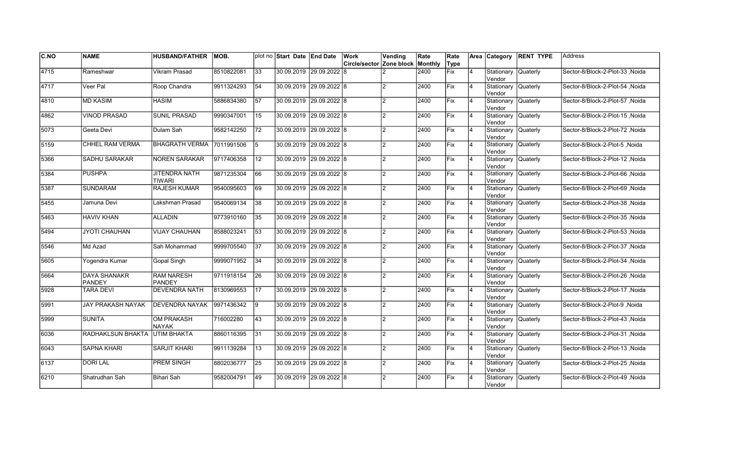| <b>C.NO</b>   | <b>NAME</b>                          | <b>HUSBAND/FATHER</b>                 | MOB.       |                 | plot no Start Date End Date | <b>Work</b>                      | Vending        | Rate | Rate       |    |                                | Area Category RENT TYPE | <b>Address</b>                   |
|---------------|--------------------------------------|---------------------------------------|------------|-----------------|-----------------------------|----------------------------------|----------------|------|------------|----|--------------------------------|-------------------------|----------------------------------|
|               |                                      |                                       |            |                 |                             | Circle/sector Zone block Monthly |                |      | Type       |    |                                |                         |                                  |
| 4715          | Rameshwar                            | Vikram Prasad                         | 8510822081 | $\overline{33}$ | 30.09.2019 29.09.2022 8     |                                  |                | 2400 | Fix        | 4  | Stationary Quaterly<br>Vendor  |                         | Sector-8/Block-2-Plot-33, Noida  |
| $\sqrt{4717}$ | Veer Pal                             | Roop Chandra                          | 9911324293 | 54              | 30.09.2019 29.09.2022 8     |                                  |                | 2400 | Fix        | 4  | Stationary Quaterly<br>Vendor  |                         | Sector-8/Block-2-Plot-54, Noida  |
| 4810          | <b>MD KASIM</b>                      | <b>HASIM</b>                          | 5886834380 | $\overline{57}$ | 30.09.2019 29.09.2022 8     |                                  | 2              | 2400 | Fix        | 4  | Stationary Quaterly<br>Vendor  |                         | Sector-8/Block-2-Plot-57 .Noida  |
| 4862          | <b>VINOD PRASAD</b>                  | <b>SUNIL PRASAD</b>                   | 9990347001 | 15              | 30.09.2019 29.09.2022 8     |                                  | 2              | 2400 | Fix        | 4  | Stationary Quaterly<br>Vendor  |                         | Sector-8/Block-2-Plot-15, Noida  |
| 5073          | Geeta Devi                           | Dulam Sah                             | 9582142250 | 72              | 30.09.2019 29.09.2022 8     |                                  | 2              | 2400 | Fix        | 4  | Stationary Quaterly<br>Vendor  |                         | Sector-8/Block-2-Plot-72, Noida  |
| 5159          | CHHEL RAM VERMA                      | <b>BHAGRATH VERMA</b>                 | 7011991506 | 15              | 30.09.2019 29.09.2022 8     |                                  |                | 2400 | Fix        | 4  | Stationary Quaterly<br>lVendor |                         | Sector-8/Block-2-Plot-5, Noida   |
| 5366          | SADHU SARAKAR                        | <b>NOREN SARAKAR</b>                  | 9717406358 | 12              | 30.09.2019 29.09.2022 8     |                                  | $\mathcal{D}$  | 2400 | Fix        | 4  | Stationary Quaterly<br>Vendor  |                         | Sector-8/Block-2-Plot-12, Noida  |
| 5384          | <b>PUSHPA</b>                        | <b>JITENDRA NATH</b><br><b>TIWARI</b> | 9871235304 | 66              | 30.09.2019 29.09.2022 8     |                                  | $\mathcal{D}$  | 2400 | Fix        | 4  | Stationary Quaterly<br>Vendor  |                         | Sector-8/Block-2-Plot-66, Noida  |
| 5387          | SUNDARAM                             | RAJESH KUMAR                          | 9540095603 | 69              | 30.09.2019 29.09.2022 8     |                                  | $\mathcal{D}$  | 2400 | Fix        | 4  | Stationary Quaterly<br>Vendor  |                         | Sector-8/Block-2-Plot-69, Noida  |
| 5455          | Jamuna Devi                          | Lakshman Prasad                       | 9540069134 | 38              | 30.09.2019 29.09.2022 8     |                                  | $\overline{2}$ | 2400 | lFix       | 4  | Stationary Quaterly<br>Vendor  |                         | Sector-8/Block-2-Plot-38, Noida  |
| 5463          | <b>HAVIV KHAN</b>                    | <b>ALLADIN</b>                        | 9773910160 | 35              | 30.09.2019 29.09.2022 8     |                                  |                | 2400 | Fix        | 4  | Stationary Quaterly<br>Vendor  |                         | Sector-8/Block-2-Plot-35, Noida  |
| 5494          | JYOTI CHAUHAN                        | <b>VIJAY CHAUHAN</b>                  | 8588023241 | 53              | 30.09.2019 29.09.2022 8     |                                  | $\mathcal{D}$  | 2400 | Fix        | 14 | Stationary Quaterly<br>Vendor  |                         | Sector-8/Block-2-Plot-53, Noida  |
| 5546          | Md Azad                              | Sah Mohammad                          | 9999705540 | 37              | 30.09.2019 29.09.2022 8     |                                  | $\overline{2}$ | 2400 | Fix        | 4  | Stationary Quaterly<br>Vendor  |                         | Sector-8/Block-2-Plot-37, Noida  |
| 5605          | Yogendra Kumar                       | Gopal Singh                           | 9999071952 | 34              | 30.09.2019 29.09.2022 8     |                                  | 2              | 2400 | Fix        | 4  | Stationary Quaterly<br>Vendor  |                         | Sector-8/Block-2-Plot-34, Noida  |
| 5664          | <b>DAYA SHANAKR</b><br><b>PANDEY</b> | <b>RAM NARESH</b><br>PANDEY           | 9711918154 | $\overline{26}$ | 30.09.2019 29.09.2022 8     |                                  |                | 2400 | Fix        | 4  | Stationary Quaterly<br>lVendor |                         | Sector-8/Block-2-Plot-26, Noida  |
| 5928          | <b>TARA DEVI</b>                     | <b>DEVENDRA NATH</b>                  | 8130969553 | 17              | 30.09.2019 29.09.2022 8     |                                  | $\overline{2}$ | 2400 | Fix        | 4  | Stationary Quaterly<br>Vendor  |                         | Noida Sector-8/Block-2-Plot-17   |
| 5991          | JAY PRAKASH NAYAK                    | <b>DEVENDRA NAYAK</b>                 | 9971436342 | 19              | 30.09.2019 29.09.2022 8     |                                  | $\overline{2}$ | 2400 | <b>Fix</b> | 4  | Stationary Quaterly<br>Vendor  |                         | Sector-8/Block-2-Plot-9, Noida   |
| 5999          | <b>SUNITA</b>                        | OM PRAKASH<br><b>NAYAK</b>            | 716002280  | 43              | 30.09.2019 29.09.2022 8     |                                  | 2              | 2400 | lFix       | 4  | Stationary Quaterly<br>Vendor  |                         | Sector-8/Block-2-Plot-43, Noida  |
| 6036          | RADHAKLSUN BHAKTA                    | IUTIM BHAKTA                          | 8860116395 | 31              | 30.09.2019 29.09.2022 8     |                                  |                | 2400 | Fix        | 4  | Stationary Quaterly<br>lVendor |                         | Sector-8/Block-2-Plot-31 , Noida |
| 6043          | <b>SAPNA KHARI</b>                   | <b>SARJIT KHARI</b>                   | 9911139284 | 13              | 30.09.2019 29.09.2022 8     |                                  | $\overline{2}$ | 2400 | Fix        | 4  | Stationary Quaterly<br>Vendor  |                         | Sector-8/Block-2-Plot-13, Noida  |
| 6137          | <b>DORI LAL</b>                      | <b>PREM SINGH</b>                     | 8802036777 | 25              | 30.09.2019 29.09.2022 8     |                                  | $\overline{2}$ | 2400 | Fix        | 4  | Stationary Quaterly<br>Vendor  |                         | Sector-8/Block-2-Plot-25, Noida  |
| 6210          | Shatrudhan Sah                       | Bihari Sah                            | 9582004791 | 49              | 30.09.2019 29.09.2022 8     |                                  |                | 2400 | Fix        |    | Stationary Quaterly<br>Vendor  |                         | Sector-8/Block-2-Plot-49, Noida  |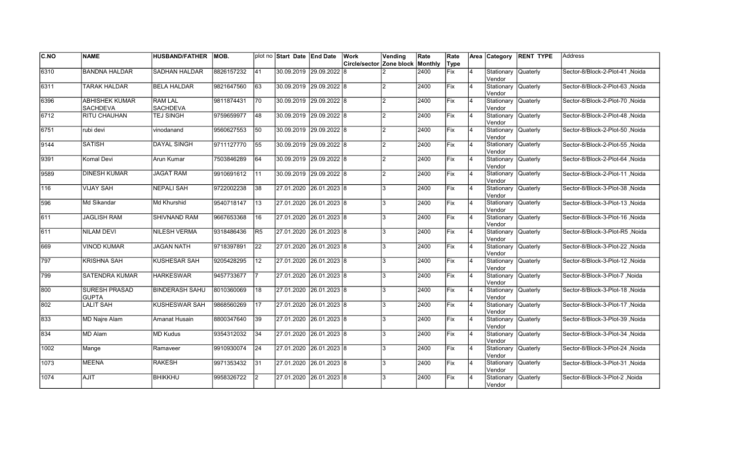| IC.NO | <b>NAME</b>                              | <b>HUSBAND/FATHER</b>             | MOB.        |                 | plot no Start Date End Date |                         | Work                             | Vending        | Rate | Rate       |                | Area Category                 | <b>RENT TYPE</b> | <b>Address</b>                       |
|-------|------------------------------------------|-----------------------------------|-------------|-----------------|-----------------------------|-------------------------|----------------------------------|----------------|------|------------|----------------|-------------------------------|------------------|--------------------------------------|
|       |                                          |                                   |             |                 |                             |                         | Circle/sector Zone block Monthly |                |      | Type       |                |                               |                  |                                      |
| 6310  | <b>BANDNA HALDAR</b>                     | <b>SADHAN HALDAR</b>              | 8826157232  | 41              |                             | 30.09.2019 29.09.2022 8 |                                  |                | 2400 | Fix        | $\overline{4}$ | Stationary<br>Vendor          | <b>Quaterly</b>  | Sector-8/Block-2-Plot-41 ,Noida      |
| 6311  | TARAK HALDAR                             | <b>BELA HALDAR</b>                | 9821647560  | 63              | 30.09.2019 29.09.2022 8     |                         |                                  | $\mathcal{D}$  | 2400 | <b>Fix</b> | 14             | Stationary Quaterly<br>Vendor |                  | Sector-8/Block-2-Plot-63 .Noida      |
| 6396  | <b>ABHISHEK KUMAR</b><br><b>SACHDEVA</b> | <b>RAM LAL</b><br><b>SACHDEVA</b> | 9811874431  | 70              | 30.09.2019 29.09.2022 8     |                         |                                  | $\mathfrak{p}$ | 2400 | Fix        | $\overline{4}$ | Stationary Quaterly<br>Vendor |                  | Sector-8/Block-2-Plot-70, Noida      |
| 6712  | RITU CHAUHAN                             | TEJ SINGH                         | 9759659977  | 48              | 30.09.2019 29.09.2022 8     |                         |                                  | $\overline{2}$ | 2400 | Fix        | 14             | Stationary Quaterly<br>Vendor |                  | Sector-8/Block-2-Plot-48, Noida      |
| 6751  | rubi devi                                | vinodanand                        | 9560627553  | 50              |                             | 30.09.2019 29.09.2022 8 |                                  | $\mathfrak{p}$ | 2400 | Fix        | $\overline{4}$ | Stationary<br>Vendor          | Quaterly         | Sector-8/Block-2-Plot-50, Noida      |
| 9144  | <b>SATISH</b>                            | DAYAL SINGH                       | 9711127770  | 55              |                             | 30.09.2019 29.09.2022 8 |                                  | $\mathfrak{p}$ | 2400 | <b>Fix</b> | 4              | Stationary Quaterly<br>Vendor |                  | Noida Sector-8/Block-2-Plot-55       |
| 9391  | Komal Devi                               | Arun Kumar                        | 7503846289  | 64              | 30.09.2019 29.09.2022 8     |                         |                                  | $\mathfrak{p}$ | 2400 | <b>Fix</b> | 14             | Stationary Quaterly<br>Vendor |                  | Noida Noida Sector-8/Block-2-Plot-64 |
| 9589  | <b>DINESH KUMAR</b>                      | <b>JAGAT RAM</b>                  | 19910691612 | $\overline{11}$ | 30.09.2019 29.09.2022 8     |                         |                                  | $\mathfrak{p}$ | 2400 | lFix       | $\overline{4}$ | Stationary Quaterly<br>Vendor |                  | Noida Sector-8/Block-2-Plot-11       |
| 116   | <b>VIJAY SAH</b>                         | <b>NEPALI SAH</b>                 | 9722002238  | 38              | 27.01.2020 26.01.2023 8     |                         |                                  | 3              | 2400 | Fix        | $\overline{4}$ | Stationary<br>Vendor          | <b>Quaterly</b>  | Sector-8/Block-3-Plot-38, Noida      |
| 596   | Md Sikandar                              | Md Khurshid                       | 9540718147  | 13              | 27.01.2020 26.01.2023 8     |                         |                                  | 3              | 2400 | Fix        | $\overline{4}$ | Stationary Quaterly<br>Vendor |                  | Sector-8/Block-3-Plot-13, Noida      |
| 1611  | JAGLISH RAM                              | SHIVNAND RAM                      | 9667653368  | 16              | 27.01.2020 26.01.2023 8     |                         |                                  | 3              | 2400 | Fix        | 14             | Stationary<br>Vendor          | <b>Quaterly</b>  | Sector-8/Block-3-Plot-16, Noida      |
| 611   | <b>NILAM DEVI</b>                        | <b>NILESH VERMA</b>               | 9318486436  | R5              | 27.01.2020 26.01.2023 8     |                         |                                  | 3              | 2400 | Fix        | 14             | Stationary Quaterly<br>Vendor |                  | Sector-8/Block-3-Plot-R5, Noida      |
| l669  | <b>VINOD KUMAR</b>                       | JAGAN NATH                        | 9718397891  | 22              | 27.01.2020 26.01.2023 8     |                         |                                  | 3              | 2400 | Fix        | 14             | Stationary Quaterly<br>Vendor |                  | Sector-8/Block-3-Plot-22, Noida      |
| 797   | <b>KRISHNA SAH</b>                       | <b>KUSHESAR SAH</b>               | 9205428295  | 12              | 27.01.2020 26.01.2023 8     |                         |                                  | 3              | 2400 | Fix        | $\overline{4}$ | Stationary Quaterly<br>Vendor |                  | Sector-8/Block-3-Plot-12 .Noida      |
| 799   | <b>SATENDRA KUMAR</b>                    | <b>HARKESWAR</b>                  | 9457733677  |                 | 27.01.2020 26.01.2023 8     |                         |                                  | 3              | 2400 | Fix        | 4              | Stationary Quaterly<br>Vendor |                  | Sector-8/Block-3-Plot-7, Noida       |
| 800   | <b>SURESH PRASAD</b><br><b>GUPTA</b>     | <b>BINDERASH SAHU</b>             | 8010360069  | 18              | 27.01.2020 26.01.2023 8     |                         |                                  | 3              | 2400 | Fix        | 14             | Stationary Quaterly<br>Vendor |                  | Sector-8/Block-3-Plot-18, Noida      |
| 802   | LALIT SAH                                | KUSHESWAR SAH                     | 9868560269  | 17              | 27.01.2020 26.01.2023 8     |                         |                                  | 3              | 2400 | Fix        | 14             | Stationary Quaterly<br>Vendor |                  | Sector-8/Block-3-Plot-17, Noida      |
| 833   | <b>MD Najre Alam</b>                     | Amanat Husain                     | 8800347640  | 39              | 27.01.2020 26.01.2023 8     |                         |                                  | 3              | 2400 | lFix       | $\overline{4}$ | Stationary<br>Vendor          | Quaterly         | Sector-8/Block-3-Plot-39, Noida      |
| 834   | MD Alam                                  | <b>MD Kudus</b>                   | 9354312032  | 34              | 27.01.2020 26.01.2023 8     |                         |                                  | 3              | 2400 | lFix       | $\overline{4}$ | Stationary<br>Vendor          | <b>Quaterly</b>  | Sector-8/Block-3-Plot-34, Noida      |
| 1002  | Mange                                    | Ramaveer                          | 9910930074  | 24              | 27.01.2020 26.01.2023 8     |                         |                                  | 3              | 2400 | lFix       | $\overline{4}$ | Stationary<br>Vendor          | Quaterly         | Noida / Sector-8/Block-3-Plot-24     |
| 1073  | <b>MEENA</b>                             | <b>RAKESH</b>                     | 9971353432  | 31              | 27.01.2020 26.01.2023 8     |                         |                                  | 3              | 2400 | Fix        | $\overline{4}$ | Stationary Quaterly<br>Vendor |                  | Sector-8/Block-3-Plot-31, Noida      |
| 1074  | <b>AJIT</b>                              | <b>BHIKKHU</b>                    | 9958326722  | $\overline{2}$  | 27.01.2020                  | 26.01.2023 8            |                                  | 3              | 2400 | Fix        |                | Stationary<br>Vendor          | <b>Quaterly</b>  | Sector-8/Block-3-Plot-2, Noida       |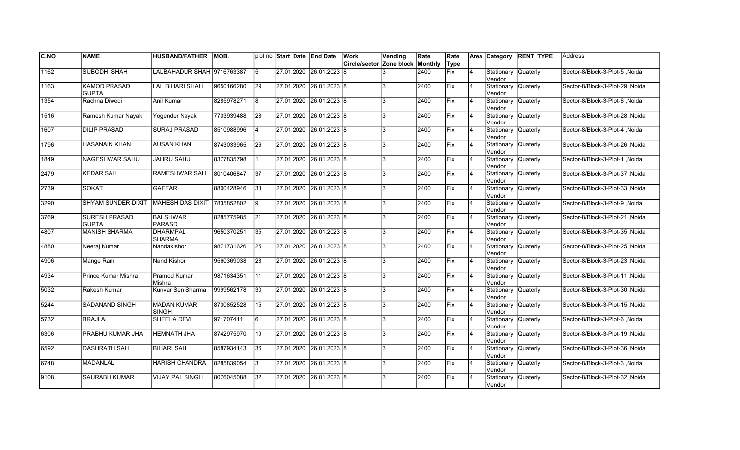| <b>C.NO</b> | <b>NAME</b>                          | <b>HUSBAND/FATHER</b>            | IMOB.      |                 | plot no Start Date End Date | Work                             | Vending | Rate | Rate       |                | Area Category                 | <b>RENT TYPE</b> | <b>Address</b>                  |
|-------------|--------------------------------------|----------------------------------|------------|-----------------|-----------------------------|----------------------------------|---------|------|------------|----------------|-------------------------------|------------------|---------------------------------|
|             |                                      |                                  |            |                 |                             | Circle/sector Zone block Monthly |         |      | Type       |                |                               |                  |                                 |
| 1162        | <b>SUBODH SHAH</b>                   | LALBAHADUR SHAH 9716763387       |            | 5               | 27.01.2020 26.01.2023 8     |                                  |         | 2400 | Fix        | $\overline{4}$ | Stationary Quaterly<br>Vendor |                  | Sector-8/Block-3-Plot-5, Noida  |
| 1163        | <b>KAMOD PRASAD</b><br><b>GUPTA</b>  | LAL BIHARI SHAH                  | 9650166280 | 29              | 27.01.2020 26.01.2023 8     |                                  | 3       | 2400 | <b>Fix</b> | 14             | Stationary Quaterly<br>Vendor |                  | Sector-8/Block-3-Plot-29 .Noida |
| 1354        | Rachna Diwedi                        | Anil Kumar                       | 8285978271 | 8               | 27.01.2020 26.01.2023 8     |                                  | 3       | 2400 | Fix        | 14             | Stationary Quaterly<br>Vendor |                  | Sector-8/Block-3-Plot-8, Noida  |
| 1516        | Ramesh Kumar Nayak                   | Yogender Nayak                   | 7703939488 | 28              | 27.01.2020 26.01.2023 8     |                                  | 3       | 2400 | Fix        | 14             | Stationary Quaterly<br>Vendor |                  | Sector-8/Block-3-Plot-28, Noida |
| 1607        | <b>DILIP PRASAD</b>                  | <b>SURAJ PRASAD</b>              | 8510988996 | 4               | 27.01.2020 26.01.2023 8     |                                  | 3       | 2400 | Fix        | $\overline{4}$ | Stationary<br>Vendor          | <b>Quaterly</b>  | Sector-8/Block-3-Plot-4, Noida  |
| 1796        | HASANAIN KHAN                        | <b>AUSAN KHAN</b>                | 8743033965 | <b>26</b>       | 27.01.2020 26.01.2023 8     |                                  | 3       | 2400 | <b>Fix</b> | 4              | Stationary Quaterly<br>Vendor |                  | Noida Sector-8/Block-3-Plot-26  |
| 1849        | NAGESHWAR SAHU                       | <b>JAHRU SAHU</b>                | 8377835798 |                 | 27.01.2020 26.01.2023 8     |                                  | 3       | 2400 | <b>Fix</b> | 14             | Stationary Quaterly<br>Vendor |                  | Sector-8/Block-3-Plot-1, Noida  |
| 2479        | <b>KEDAR SAH</b>                     | RAMESHWAR SAH                    | 8010406847 | 37              | 27.01.2020 26.01.2023 8     |                                  | 3       | 2400 | lFix       | $\overline{4}$ | Stationary Quaterly<br>Vendor |                  | Noida Sector-8/Block-3-Plot-37  |
| 2739        | <b>SOKAT</b>                         | <b>GAFFAR</b>                    | 8800428946 | 33              | 27.01.2020 26.01.2023 8     |                                  | 3       | 2400 | Fix        | $\overline{4}$ | Stationary<br>Vendor          | <b>Quaterly</b>  | Sector-8/Block-3-Plot-33, Noida |
| 3290        | <b>SHYAM SUNDER DIXIT</b>            | <b>MAHESH DAS DIXIT</b>          | 7835852802 | 9               | 27.01.2020 26.01.2023 8     |                                  | 3       | 2400 | Fix        | $\overline{4}$ | Stationary Quaterly<br>Vendor |                  | Sector-8/Block-3-Plot-9, Noida  |
| 3769        | <b>SURESH PRASAD</b><br><b>GUPTA</b> | <b>BALSHWAR</b><br><b>PARASD</b> | 8285775985 | $\overline{21}$ | 27.01.2020 26.01.2023 8     |                                  | 3       | 2400 | Fix        | 14             | Stationary<br>Vendor          | Quaterly         | Sector-8/Block-3-Plot-21, Noida |
| 4807        | <b>MANISH SHARMA</b>                 | <b>DHARMPAL</b><br><b>SHARMA</b> | 9650370251 | 35              | 27.01.2020 26.01.2023 8     |                                  | 3       | 2400 | Fix        | 14             | Stationary Quaterly<br>Vendor |                  | Sector-8/Block-3-Plot-35, Noida |
| 4880        | Neeraj Kumar                         | Nandakishor                      | 9871731626 | 25              | 27.01.2020 26.01.2023 8     |                                  | 3       | 2400 | Fix        | 14             | Stationary Quaterly<br>Vendor |                  | Sector-8/Block-3-Plot-25, Noida |
| 4906        | Mange Ram                            | Nand Kishor                      | 9560369038 | 23              | 27.01.2020 26.01.2023 8     |                                  | 3       | 2400 | Fix        | $\overline{4}$ | Stationary Quaterly<br>Vendor |                  | Sector-8/Block-3-Plot-23, Noida |
| 4934        | Prince Kumar Mishra                  | <b>Pramod Kumar</b><br>Mishra    | 9871634351 | 11              | 27.01.2020 26.01.2023 8     |                                  | 3       | 2400 | Fix        | 4              | Stationary Quaterly<br>Vendor |                  | Sector-8/Block-3-Plot-11, Noida |
| 5032        | Rakesh Kumar                         | Kunvar Sen Sharma                | 9999562178 | 30              | 27.01.2020 26.01.2023 8     |                                  | 3       | 2400 | Fix        | 14             | Stationary Quaterly<br>Vendor |                  | Sector-8/Block-3-Plot-30, Noida |
| 5244        | SADANAND SINGH                       | <b>MADAN KUMAR</b><br>SINGH      | 8700852528 | 15              | 27.01.2020 26.01.2023 8     |                                  | 3       | 2400 | Fix        | 14             | Stationary Quaterly<br>Vendor |                  | Sector-8/Block-3-Plot-15, Noida |
| 5732        | <b>BRAJLAL</b>                       | SHEELA DEVI                      | 971707411  | l 6             | 27.01.2020 26.01.2023 8     |                                  | 3       | 2400 | Fix        | $\overline{4}$ | Stationary<br>Vendor          | <b>Quaterly</b>  | Sector-8/Block-3-Plot-6, Noida  |
| 6306        | PRABHU KUMAR JHA                     | <b>HEMNATH JHA</b>               | 8742975970 | 19              | 27.01.2020 26.01.2023 8     |                                  | 3       | 2400 | Fix        | $\overline{4}$ | Stationary<br>Vendor          | Quaterly         | Sector-8/Block-3-Plot-19, Noida |
| 6592        | <b>DASHRATH SAH</b>                  | <b>BIHARI SAH</b>                | 8587934143 | 36              | 27.01.2020 26.01.2023 8     |                                  | 3       | 2400 | Fix        | $\overline{4}$ | Stationary<br>Vendor          | Quaterly         | Sector-8/Block-3-Plot-36, Noida |
| 6748        | <b>MADANLAL</b>                      | <b>HARISH CHANDRA</b>            | 8285839054 | 3               | 27.01.2020 26.01.2023 8     |                                  | 3       | 2400 | Fix        | $\overline{4}$ | Stationary Quaterly<br>Vendor |                  | Sector-8/Block-3-Plot-3, Noida  |
| 9108        | SAURABH KUMAR                        | <b>VIJAY PAL SINGH</b>           | 8076045088 | 32              | 27.01.2020 26.01.2023 8     |                                  | 3       | 2400 | Fix        |                | Stationary<br>Vendor          | <b>Quaterly</b>  | Sector-8/Block-3-Plot-32, Noida |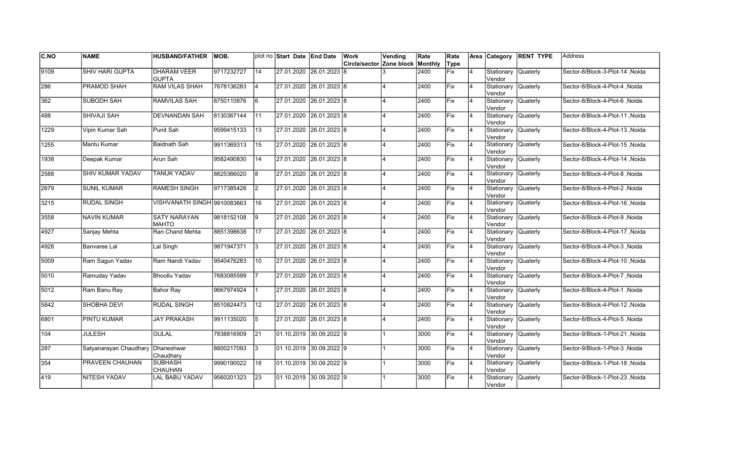| C.NO | <b>NAME</b>            | <b>HUSBAND/FATHER</b>               | IMOB.      |    | plot no Start Date End Date     | Work                     | Vending                 | Rate    | Rate        |                | Area Category                  | <b>RENT TYPE</b> | <b>Address</b>                  |
|------|------------------------|-------------------------------------|------------|----|---------------------------------|--------------------------|-------------------------|---------|-------------|----------------|--------------------------------|------------------|---------------------------------|
|      |                        |                                     |            |    |                                 | Circle/sector Zone block |                         | Monthly | Type        |                |                                |                  |                                 |
| 9109 | <b>SHIV HARI GUPTA</b> | <b>DHARAM VEER</b><br><b>GUPTA</b>  | 9717232727 | 14 | 27.01.2020 26.01.2023 8         |                          |                         | 2400    | <b>Fix</b>  | $\overline{4}$ | Stationary<br>Vendor           | <b>Quaterly</b>  | Sector-8/Block-3-Plot-14, Noida |
| 286  | PRAMOD SHAH            | <b>RAM VILAS SHAH</b>               | 7678136283 | 4  | 27.01.2020 26.01.2023 8         |                          |                         | 2400    | Fix         | 4              | Stationary Quaterly<br>Vendor  |                  | Sector-8/Block-4-Plot-4, Noida  |
| 362  | <b>SUBODH SAH</b>      | <b>RAMVILAS SAH</b>                 | 8750110876 | l6 | 27.01.2020 26.01.2023 8         |                          | $\overline{\mathbf{A}}$ | 2400    | <b>IFix</b> | 4              | Stationary Quaterly<br>Vendor  |                  | Sector-8/Block-4-Plot-6 .Noida  |
| 488  | SHIVAJI SAH            | <b>DEVNANDAN SAH</b>                | 8130367144 | 11 | 27.01.2020 26.01.2023 8         |                          | $\overline{4}$          | 2400    | Fix         | $\overline{4}$ | Stationary<br>Vendor           | <b>Quaterly</b>  | Sector-8/Block-4-Plot-11, Noida |
| 1229 | Vipin Kumar Sah        | Punit Sah                           | 9599415133 | 13 | 27.01.2020 26.01.2023 8         |                          | $\overline{\mathbf{A}}$ | 2400    | Fix         | $\overline{4}$ | Stationary<br>lVendor          | Quaterly         | Sector-8/Block-4-Plot-13, Noida |
| 1255 | Mantu Kumar            | <b>Baidnath Sah</b>                 | 9911369313 | 15 | 27.01.2020 26.01.2023 8         |                          |                         | 2400    | Fix         | $\overline{4}$ | Stationary<br>Vendor           | Quaterly         | Sector-8/Block-4-Plot-15, Noida |
| 1938 | Deepak Kumar           | Arun Sah                            | 9582490830 | 14 | 27.01.2020 26.01.2023 8         |                          | 4                       | 2400    | Fix         | 4              | Stationary Quaterly<br>Vendor  |                  | Sector-8/Block-4-Plot-14, Noida |
| 2588 | SHIV KUMAR YADAV       | <b>TANUK YADAV</b>                  | 8825366020 | 8  | 27.01.2020 26.01.2023 8         |                          | $\overline{\mathbf{A}}$ | 2400    | Fix         | 4              | Stationary Quaterly<br>Vendor  |                  | Sector-8/Block-4-Plot-8, Noida  |
| 2679 | <b>SUNIL KUMAR</b>     | <b>RAMESH SINGH</b>                 | 9717385428 | 2  | 27.01.2020 26.01.2023 8         |                          | 4                       | 2400    | <b>IFix</b> | 4              | Stationary<br>Vendor           | Quaterly         | Sector-8/Block-4-Plot-2, Noida  |
| 3215 | <b>RUDAL SINGH</b>     | VISHVANATH SINGH 9910083663         |            | 16 | 27.01.2020 26.01.2023 8         |                          |                         | 2400    | Fix         | $\overline{4}$ | Stationary<br>Vendor           | Quaterly         | Sector-8/Block-4-Plot-16, Noida |
| 3558 | <b>NAVIN KUMAR</b>     | <b>SATY NARAYAN</b><br><b>MAHTO</b> | 9818152108 | 9  | 27.01.2020 26.01.2023 8         |                          |                         | 2400    | Fix         | $\overline{4}$ | Stationary<br>Vendor           | Quaterly         | Sector-8/Block-4-Plot-9, Noida  |
| 4927 | Sanjay Mehta           | Ran Chand Mehta                     | 8851398638 | 17 | 27.01.2020 26.01.2023 8         |                          | $\overline{A}$          | 2400    | Fix         | $\overline{4}$ | Stationary Quaterly<br>Vendor  |                  | Sector-8/Block-4-Plot-17, Noida |
| 4928 | Banvaree Lal           | Lal Singh                           | 9871947371 | 13 | 27.01.2020 26.01.2023 8         |                          | $\overline{\mathbf{A}}$ | 2400    | Fix         | $\overline{4}$ | Stationary<br>Vendor           | Quaterly         | Sector-8/Block-4-Plot-3, Noida  |
| 5009 | Ram Sagun Yadav        | Ram Nandi Yadav                     | 9540476283 | 10 | 27.01.2020 26.01.2023 8         |                          |                         | 2400    | Fix         | $\overline{4}$ | Stationary<br>Vendor           | <b>Quaterly</b>  | Sector-8/Block-4-Plot-10, Noida |
| 5010 | Ramuday Yadav          | <b>Bhoollu Yadav</b>                | 7683085599 |    | 27.01.2020 26.01.2023 8         |                          |                         | 2400    | Fix         | 4              | Stationary Quaterly<br>lVendor |                  | Sector-8/Block-4-Plot-7, Noida  |
| 5012 | Ram Banu Ray           | Bahor Ray                           | 9667974924 | 11 | 27.01.2020 26.01.2023 8         |                          | $\overline{\mathbf{A}}$ | 2400    | lFix.       | 4              | Stationary Quaterly<br>Vendor  |                  | Sector-8/Block-4-Plot-1, Noida  |
| 5842 | SHOBHA DEVI            | <b>RUDAL SINGH</b>                  | 8510824473 | 12 | 27.01.2020 26.01.2023 8         |                          | $\overline{4}$          | 2400    | <b>IFix</b> | $\overline{4}$ | Stationary Quaterly<br>Vendor  |                  | Sector-8/Block-4-Plot-12, Noida |
| 6801 | PINTU KUMAR            | <b>JAY PRAKASH</b>                  | 9911135020 | 5  | 27.01.2020 26.01.2023 8         |                          | $\overline{\mathbf{A}}$ | 2400    | <b>IFix</b> | $\overline{4}$ | Stationary<br>Vendor           | <b>Quaterly</b>  | Sector-8/Block-4-Plot-5, Noida  |
| 104  | <b>JULESH</b>          | <b>GULAL</b>                        | 7838816909 | 21 | 01.10.2019 30.09.2022 9         |                          |                         | 3000    | Fix         | $\overline{4}$ | Stationary<br>Vendor           | <b>Quaterly</b>  | Sector-9/Block-1-Plot-21 .Noida |
| 287  | Satyanarayan Chaudhary | Dhaneshwar<br>Chaudhary             | 8800217093 | 3  | $\vert$ 01.10.2019 30.09.2022 9 |                          |                         | 3000    | Fix         | $\overline{4}$ | Stationary<br>Vendor           | <b>Quaterly</b>  | Sector-9/Block-1-Plot-3, Noida  |
| 354  | PRAVEEN CHAUHAN        | <b>SUBHASH</b><br><b>CHAUHAN</b>    | 9990190022 | 18 | 01.10.2019 30.09.2022 9         |                          |                         | 3000    | Fix         | $\overline{4}$ | Stationary Quaterly<br>Vendor  |                  | Sector-9/Block-1-Plot-18, Noida |
| 419  | NITESH YADAV           | LAL BABU YADAV                      | 9560201323 | 23 | $01.10.2019$ 30.09.2022 9       |                          |                         | 3000    | Fix         | 4              | Stationary<br>Vendor           | Quaterly         | Sector-9/Block-1-Plot-23, Noida |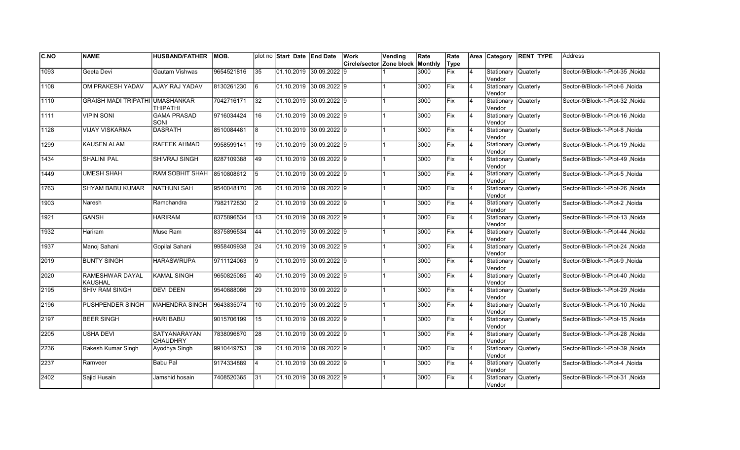| <b>C.NO</b> | <b>NAME</b>                              | <b>HUSBAND/FATHER</b>             | IMOB.      |                 | plot no Start Date End Date             |                | Work                     | Vending | Rate    | Rate        |                | Area Category                          | <b>RENT TYPE</b> | <b>Address</b>                   |
|-------------|------------------------------------------|-----------------------------------|------------|-----------------|-----------------------------------------|----------------|--------------------------|---------|---------|-------------|----------------|----------------------------------------|------------------|----------------------------------|
|             |                                          |                                   |            |                 |                                         |                | Circle/sector Zone block |         | Monthly | Type        |                |                                        |                  |                                  |
| 1093        | Geeta Devi                               | Gautam Vishwas                    | 9654521816 | 35              | 01.10.2019 30.09.2022 9                 |                |                          |         | 3000    | <b>Fix</b>  | $\overline{4}$ | Stationary<br>Vendor                   | Quaterly         | Sector-9/Block-1-Plot-35, Noida  |
| 1108        | OM PRAKESH YADAV                         | AJAY RAJ YADAV                    | 8130261230 | 16              | 01.10.2019 30.09.2022 9                 |                |                          |         | 3000    | Fix         | 4              | Stationary Quaterly<br>Vendor          |                  | Sector-9/Block-1-Plot-6 .Noida   |
| 1110        | <b>GRAISH MADI TRIPATHI UMASHANKAR</b>   | <b>THIPATHI</b>                   | 7042716171 | 32              | 01.10.2019 30.09.2022 9                 |                |                          |         | 3000    | Fix         | 4              | Stationary Quaterly<br>Vendor          |                  | Sector-9/Block-1-Plot-32, Noida  |
| 1111        | <b>VIPIN SONI</b>                        | <b>GAMA PRASAD</b><br><b>SONI</b> | 9716034424 | 16              | $[01.10.2019 \vert 30.09.2022 \vert 9]$ |                |                          |         | 3000    | Fix         | $\overline{4}$ | Stationary<br>Vendor                   | <b>Quaterly</b>  | Sector-9/Block-1-Plot-16, Noida  |
| 1128        | <b>VIJAY VISKARMA</b>                    | <b>DASRATH</b>                    | 8510084481 | 8               | 01.10.2019 30.09.2022 9                 |                |                          |         | 3000    | <b>IFix</b> | $\overline{4}$ | Stationary<br>Vendor                   | <b>Quaterly</b>  | Sector-9/Block-1-Plot-8, Noida   |
| 1299        | <b>KAUSEN ALAM</b>                       | <b>RAFEEK AHMAD</b>               | 9958599141 | 19              | $[01.10.2019 \vert 30.09.2022 \vert 9]$ |                |                          |         | 3000    | Fix         | $\overline{4}$ | Stationary<br>Vendor                   | Quaterly         | Sector-9/Block-1-Plot-19, Noida  |
| 1434        | <b>SHALINI PAL</b>                       | SHIVRAJ SINGH                     | 8287109388 | 49              | 01.10.2019 30.09.2022 9                 |                |                          |         | 3000    | <b>Fix</b>  | $\overline{4}$ | Stationary<br>Vendor                   | Quaterly         | Sector-9/Block-1-Plot-49, Noida  |
| 1449        | <b>UMESH SHAH</b>                        | <b>RAM SOBHIT SHAH</b>            | 8510808612 | 15              | 01.10.2019 30.09.2022 9                 |                |                          |         | 3000    | Fix         | 4              | Stationary Quaterly<br>Vendor          |                  | Sector-9/Block-1-Plot-5, Noida   |
| 1763        | SHYAM BABU KUMAR                         | <b>NATHUNI SAH</b>                | 9540048170 | 26              | 01.10.2019                              | $30.09.2022$ 9 |                          |         | 3000    | Fix         | $\overline{4}$ | Stationary<br>lVendor                  | Quaterly         | Sector-9/Block-1-Plot-26, Noida  |
| 1903        | Naresh                                   | Ramchandra                        | 7982172830 | 2               | 01.10.2019 30.09.2022 9                 |                |                          |         | 3000    | Fix         | $\overline{4}$ | Stationary<br>lVendor                  | <b>Quaterly</b>  | Sector-9/Block-1-Plot-2, Noida   |
| 1921        | <b>GANSH</b>                             | <b>HARIRAM</b>                    | 8375896534 | 13              | $01.10.2019$ 30.09.2022 9               |                |                          |         | 3000    | Fix         | $\overline{4}$ | Stationary   Quaterly<br><b>Vendor</b> |                  | Sector-9/Block-1-Plot-13, Noida  |
| 1932        | Hariram                                  | Muse Ram                          | 8375896534 | 44              | $01.10.2019$ 30.09.2022 9               |                |                          |         | 3000    | <b>Fix</b>  | 4              | Stationary Quaterly<br>Vendor          |                  | Sector-9/Block-1-Plot-44, Noida  |
| 1937        | Manoj Sahani                             | Gopilal Sahani                    | 9958409938 | 24              | 01.10.2019 30.09.2022 9                 |                |                          |         | 3000    | Fix         | $\overline{4}$ | Stationary<br>Vendor                   | Quaterly         | Sector-9/Block-1-Plot-24 , Noida |
| 2019        | <b>BUNTY SINGH</b>                       | <b>HARASWRUPA</b>                 | 9711124063 | Ι9              | 01.10.2019 30.09.2022 9                 |                |                          |         | 3000    | <b>IFix</b> | $\overline{4}$ | Stationary<br>Vendor                   | Quaterly         | Sector-9/Block-1-Plot-9 .Noida   |
| 2020        | <b>RAMESHWAR DAYAL</b><br><b>KAUSHAL</b> | <b>KAMAL SINGH</b>                | 9650825085 | 40              | 01.10.2019 30.09.2022 9                 |                |                          |         | 3000    | Fix         | $\overline{4}$ | Stationary<br>Vendor                   | <b>Quaterly</b>  | Sector-9/Block-1-Plot-40, Noida  |
| 2195        | <b>SHIV RAM SINGH</b>                    | <b>DEVI DEEN</b>                  | 9540888086 | $\overline{29}$ | $01.10.2019$ 30.09.2022 9               |                |                          |         | 3000    | Fix         | $\overline{4}$ | Stationary Quaterly<br>Vendor          |                  | Sector-9/Block-1-Plot-29, Noida  |
| 2196        | PUSHPENDER SINGH                         | <b>MAHENDRA SINGH</b>             | 9643835074 | 10              | $01.10.2019$ 30.09.2022 9               |                |                          |         | 3000    | Fix         | 4              | Stationary Quaterly<br>Vendor          |                  | Sector-9/Block-1-Plot-10, Noida  |
| 2197        | <b>BEER SINGH</b>                        | <b>HARI BABU</b>                  | 9015706199 | 15              | 01.10.2019 30.09.2022 9                 |                |                          |         | 3000    | Fix         | 4              | Stationary<br>Vendor                   | Quaterly         | Sector-9/Block-1-Plot-15, Noida  |
| 2205        | <b>USHA DEVI</b>                         | SATYANARAYAN<br><b>CHAUDHRY</b>   | 7838096870 | 28              | 01.10.2019 30.09.2022 9                 |                |                          |         | 3000    | Fix         | $\overline{4}$ | Stationary<br>Vendor                   | Quaterly         | Sector-9/Block-1-Plot-28, Noida  |
| 2236        | Rakesh Kumar Singh                       | Ayodhya Singh                     | 9910449753 | 39              | $01.10.2019$ 30.09.2022 9               |                |                          |         | 3000    | Fix         | $\overline{4}$ | Stationary<br>Vendor                   | Quaterly         | Sector-9/Block-1-Plot-39 , Noida |
| 2237        | Ramveer                                  | <b>Babu Pal</b>                   | 9174334889 | 4               | $01.10.2019$ 30.09.2022 9               |                |                          |         | 3000    | Fix         | $\overline{4}$ | Stationary Quaterly<br>Vendor          |                  | Sector-9/Block-1-Plot-4, Noida   |
| 2402        | Sajid Husain                             | Jamshid hosain                    | 7408520365 | 31              | 01.10.2019 30.09.2022 9                 |                |                          |         | 3000    | Fix         | 4              | Stationary<br>Vendor                   | Quaterly         | Sector-9/Block-1-Plot-31, Noida  |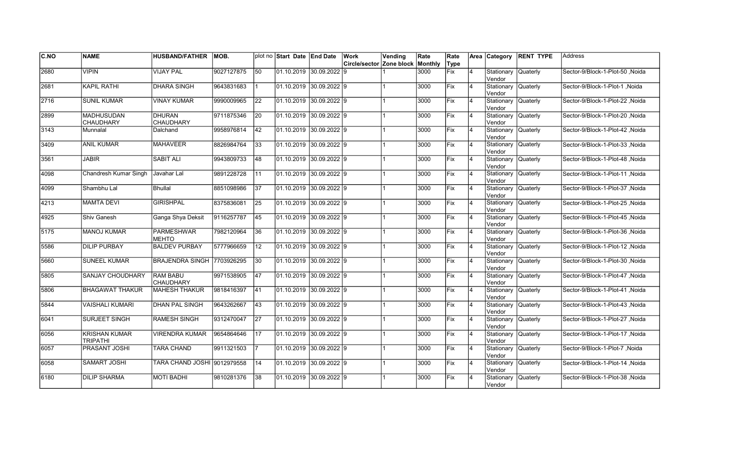| <b>C.NO</b> | <b>NAME</b>                      | <b>HUSBAND/FATHER</b>             | IMOB.      |                 | plot no Start Date End Date     | Work                             | Vending | Rate | Rate        |                | Area Category                 | <b>RENT TYPE</b> | Address                          |
|-------------|----------------------------------|-----------------------------------|------------|-----------------|---------------------------------|----------------------------------|---------|------|-------------|----------------|-------------------------------|------------------|----------------------------------|
|             |                                  |                                   |            |                 |                                 | Circle/sector Zone block Monthly |         |      | Type        |                |                               |                  |                                  |
| 2680        | VIPIN                            | <b>VIJAY PAL</b>                  | 9027127875 | 50              | 01.10.2019 30.09.2022 9         |                                  |         | 3000 | Fix         | 4              | Stationary<br>Vendor          | Quaterly         | Sector-9/Block-1-Plot-50, Noida  |
| 2681        | <b>KAPIL RATHI</b>               | <b>DHARA SINGH</b>                | 9643831683 |                 | 01.10.2019 30.09.2022 9         |                                  |         | 3000 | Fix         | $\overline{4}$ | Stationary<br>Vendor          | Quaterly         | Sector-9/Block-1-Plot-1 .Noida   |
| 2716        | <b>SUNIL KUMAR</b>               | <b>VINAY KUMAR</b>                | 9990009965 | 22              | 01.10.2019 30.09.2022 9         |                                  |         | 3000 | Fix         | 4              | Stationary Quaterly<br>Vendor |                  | Sector-9/Block-1-Plot-22 .Noida  |
| 2899        | <b>MADHUSUDAN</b><br>CHAUDHARY   | <b>DHURAN</b><br><b>CHAUDHARY</b> | 9711875346 | 20              | 01.10.2019 30.09.2022 9         |                                  |         | 3000 | Fix         | $\overline{4}$ | Stationary Quaterly<br>Vendor |                  | Sector-9/Block-1-Plot-20 .Noida  |
| 3143        | Munnalal                         | Dalchand                          | 9958976814 | 42              | l01.10.2019 30.09.2022 l9       |                                  |         | 3000 | <b>IFix</b> | $\overline{4}$ | Stationary<br>Vendor          | Quaterly         | Sector-9/Block-1-Plot-42 .Noida  |
| 3409        | ANIL KUMAR                       | MAHAVEER                          | 8826984764 | 33              | $01.10.2019$ 30.09.2022 9       |                                  |         | 3000 | Fix         | $\overline{4}$ | Stationary<br>Vendor          | <b>Quaterly</b>  | Sector-9/Block-1-Plot-33, Noida  |
| 3561        | <b>JABIR</b>                     | <b>SABIT ALI</b>                  | 9943809733 | 48              | $01.10.2019$ 30.09.2022 9       |                                  |         | 3000 | Fix         | $\overline{4}$ | Stationary<br>Vendor          | <b>Quaterly</b>  | Sector-9/Block-1-Plot-48, Noida  |
| 4098        | Chandresh Kumar Singh            | Javahar Lal                       | 9891228728 | 11              | 01.10.2019 30.09.2022 9         |                                  |         | 3000 | Fix         | 4              | Stationary Quaterly<br>Vendor |                  | Sector-9/Block-1-Plot-11, Noida  |
| 4099        | Shambhu Lal                      | <b>Bhullal</b>                    | 8851098986 | 37              | 01.10.2019 30.09.2022 9         |                                  |         | 3000 | Fix         | 4              | Stationary<br>Vendor          | Quaterly         | Sector-9/Block-1-Plot-37, Noida  |
| 4213        | <b>MAMTA DEVI</b>                | <b>GIRISHPAL</b>                  | 8375836081 | $\overline{25}$ | 01.10.2019 30.09.2022 9         |                                  |         | 3000 | Fix         | $\overline{4}$ | Stationary<br>lVendor         | <b>Quaterly</b>  | Sector-9/Block-1-Plot-25, Noida  |
| 4925        | Shiv Ganesh                      | Ganga Shya Deksit                 | 9116257787 | 45              | 01.10.2019 30.09.2022 9         |                                  |         | 3000 | Fix         | 4              | Stationary<br>Vendor          | <b>Quaterly</b>  | Sector-9/Block-1-Plot-45, Noida  |
| 5175        | <b>MANOJ KUMAR</b>               | <b>PARMESHWAR</b><br><b>MEHTO</b> | 7982120964 | 36              | 01.10.2019 30.09.2022 9         |                                  |         | 3000 | Fix         | $\overline{4}$ | Stationary Quaterly<br>Vendor |                  | Sector-9/Block-1-Plot-36, Noida  |
| 5586        | <b>DILIP PURBAY</b>              | <b>BALDEV PURBAY</b>              | 5777966659 | 12              | 01.10.2019 30.09.2022 9         |                                  |         | 3000 | Fix         | $\overline{4}$ | Stationary Quaterly<br>Vendor |                  | Sector-9/Block-1-Plot-12, Noida  |
| 5660        | <b>SUNEEL KUMAR</b>              | BRAJENDRA SINGH 7703926295        |            | 30              | 01.10.2019 30.09.2022 9         |                                  |         | 3000 | Fix         | $\overline{4}$ | Stationary<br>Vendor          | Quaterly         | Sector-9/Block-1-Plot-30, Noida  |
| 5805        | <b>SANJAY CHOUDHARY</b>          | <b>RAM BABU</b><br>CHAUDHARY      | 9971538905 | 47              | 01.10.2019 30.09.2022 9         |                                  |         | 3000 | Fix         | 4              | Stationary Quaterly<br>Vendor |                  | Sector-9/Block-1-Plot-47 , Noida |
| 5806        | <b>BHAGAWAT THAKUR</b>           | MAHESH THAKUR                     | 9818416397 | 41              | 01.10.2019 30.09.2022 9         |                                  |         | 3000 | <b>Fix</b>  | 4              | Stationary Quaterly<br>Vendor |                  | Sector-9/Block-1-Plot-41 Noida   |
| 5844        | <b>VAISHALI KUMARI</b>           | <b>DHAN PAL SINGH</b>             | 9643262667 | 43              | 01.10.2019 30.09.2022 9         |                                  |         | 3000 | Fix         | 4              | Stationary Quaterly<br>Vendor |                  | Sector-9/Block-1-Plot-43 .Noida  |
| 6041        | SURJEET SINGH                    | <b>RAMESH SINGH</b>               | 9312470047 | 27              | l01.10.2019 30.09.2022 l9       |                                  |         | 3000 | <b>IFix</b> | $\overline{4}$ | Stationary<br>Vendor          | Quaterly         | Sector-9/Block-1-Plot-27 .Noida  |
| 6056        | <b>KRISHAN KUMAR</b><br>TRIPATHI | <b>VIRENDRA KUMAR</b>             | 9654864646 | 17              | 01.10.2019 30.09.2022 9         |                                  |         | 3000 | Fix         | 4              | Stationary<br>Vendor          | <b>Quaterly</b>  | Sector-9/Block-1-Plot-17, Noida  |
| 6057        | <b>PRASANT JOSHI</b>             | TARA CHAND                        | 9911321503 |                 | $\vert$ 01.10.2019 30.09.2022 9 |                                  |         | 3000 | Fix         | $\overline{4}$ | Stationary<br>Vendor          | <b>Quaterly</b>  | Sector-9/Block-1-Plot-7, Noida   |
| 6058        | SAMART JOSHI                     | TARA CHAND JOSHI 9012979558       |            | 14              | 01.10.2019 30.09.2022 9         |                                  |         | 3000 | Fix         | $\overline{4}$ | Stationary Quaterly<br>Vendor |                  | Sector-9/Block-1-Plot-14, Noida  |
| 6180        | <b>DILIP SHARMA</b>              | <b>MOTI BADHI</b>                 | 9810281376 | 38              | 01.10.2019 30.09.2022 9         |                                  |         | 3000 | Fix         | 4              | Stationary<br>Vendor          | Quaterly         | Sector-9/Block-1-Plot-38, Noida  |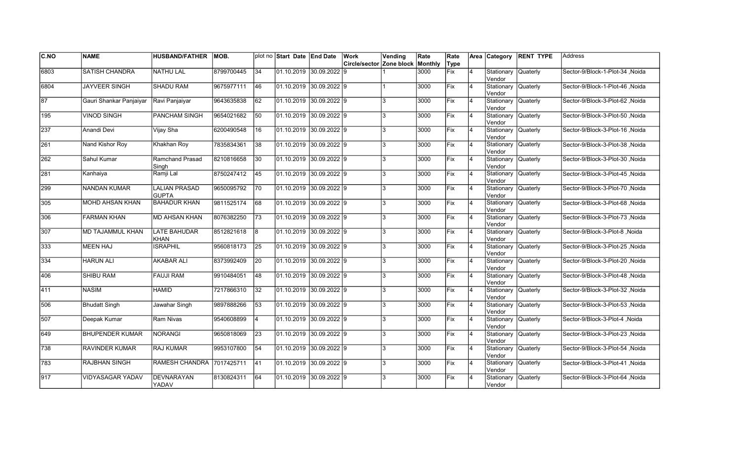| C.NO        | <b>NAME</b>             | <b>HUSBAND/FATHER</b>                | IMOB.      |                 | plot no Start Date End Date |                           | Work                     | Vending | Rate    | Rate        |                         | Area Category                 | <b>RENT TYPE</b> | <b>Address</b>                  |
|-------------|-------------------------|--------------------------------------|------------|-----------------|-----------------------------|---------------------------|--------------------------|---------|---------|-------------|-------------------------|-------------------------------|------------------|---------------------------------|
|             |                         |                                      |            |                 |                             |                           | Circle/sector Zone block |         | Monthly | Type        |                         |                               |                  |                                 |
| 6803        | <b>SATISH CHANDRA</b>   | <b>NATHU LAL</b>                     | 8799700445 | 34              | 01.10.2019 30.09.2022 9     |                           |                          |         | 3000    | Fix         | 4                       | Stationary<br>Vendor          | Quaterly         | Sector-9/Block-1-Plot-34, Noida |
| 6804        | <b>JAYVEER SINGH</b>    | <b>SHADU RAM</b>                     | 9675977111 | 46              | 01.10.2019 30.09.2022 9     |                           |                          |         | 3000    | Fix         | $\overline{4}$          | Stationary Quaterly<br>Vendor |                  | Sector-9/Block-1-Plot-46 .Noida |
| $\sqrt{87}$ | Gauri Shankar Panjaiyar | Ravi Panjaiyar                       | 9643635838 | 62              | 01.10.2019 30.09.2022 9     |                           |                          | 3       | 3000    | Fix         | 4                       | Stationary Quaterly<br>Vendor |                  | Sector-9/Block-3-Plot-62, Noida |
| 195         | <b>VINOD SINGH</b>      | PANCHAM SINGH                        | 9654021682 | 50              | 01.10.2019 30.09.2022 9     |                           |                          | 3       | 3000    | Fix         | 4                       | Stationary<br>Vendor          | Quaterly         | Sector-9/Block-3-Plot-50, Noida |
| 237         | Anandi Devi             | Vijay Sha                            | 6200490548 | 16              | 01.10.2019 30.09.2022 9     |                           |                          | 3       | 3000    | lFix        | $\overline{4}$          | Stationary<br>Vendor          | <b>Quaterly</b>  | Sector-9/Block-3-Plot-16, Noida |
| 261         | Nand Kishor Roy         | Khakhan Roy                          | 7835834361 | 38              | 01.10.2019 30.09.2022 9     |                           |                          | 3       | 3000    | Fix         | $\overline{4}$          | Stationary<br>Vendor          | Quaterly         | Sector-9/Block-3-Plot-38, Noida |
| 262         | Sahul Kumar             | Ramchand Prasad<br>Singh             | 8210816658 | 30              | 01.10.2019 30.09.2022 9     |                           |                          | 3       | 3000    | <b>IFix</b> | 4                       | Stationary<br>Vendor          | Quaterly         | Sector-9/Block-3-Plot-30, Noida |
| 281         | Kanhaiya                | Ramji Lal                            | 8750247412 | 45              | l01.10.2019 30.09.2022 l9   |                           |                          | 3       | 3000    | lFix        | 4                       | Stationary Quaterly<br>Vendor |                  | Sector-9/Block-3-Plot-45, Noida |
| 299         | <b>NANDAN KUMAR</b>     | <b>LALIAN PRASAD</b><br><b>GUPTA</b> | 9650095792 | 170             | 01.10.2019                  | $30.09.2022$ 9            |                          | 3       | 3000    | Fix         | $\overline{4}$          | Stationary<br>Vendor          | Quaterly         | Sector-9/Block-3-Plot-70, Noida |
| 305         | <b>MOHD AHSAN KHAN</b>  | <b>BAHADUR KHAN</b>                  | 9811525174 | 68              | 01.10.2019                  | 30.09.2022 9              |                          | 3       | 3000    | Fix         | $\overline{4}$          | Stationary<br>Vendor          | <b>Quaterly</b>  | Sector-9/Block-3-Plot-68, Noida |
| 306         | <b>FARMAN KHAN</b>      | <b>MD AHSAN KHAN</b>                 | 8076382250 | 73              |                             | $01.10.2019$ 30.09.2022 9 |                          | 3       | 3000    | Fix         | 4                       | Stationary Quaterly<br>Vendor |                  | Sector-9/Block-3-Plot-73, Noida |
| 307         | MD TAJAMMUL KHAN        | LATE BAHUDAR<br>KHAN                 | 8512821618 | l8              | $01.10.2019$ 30.09.2022 9   |                           |                          | 3       | 3000    | <b>IFix</b> | 4                       | Stationary Quaterly<br>Vendor |                  | Sector-9/Block-3-Plot-8, Noida  |
| 333         | <b>MEEN HAJ</b>         | <b>ISRAPHIL</b>                      | 9560818173 | 25              | 01.10.2019 30.09.2022 9     |                           |                          | 3       | 3000    | <b>IFix</b> | 4                       | Stationary<br>Vendor          | Quaterly         | Sector-9/Block-3-Plot-25, Noida |
| 334         | <b>HARUN ALI</b>        | <b>AKABAR ALI</b>                    | 8373992409 | <b>20</b>       | 01.10.2019                  | 30.09.2022 9              |                          | 3       | 3000    | lFix        | $\overline{4}$          | Stationary<br>Vendor          | Quaterly         | Sector-9/Block-3-Plot-20 .Noida |
| 406         | <b>SHIBU RAM</b>        | <b>FAUJI RAM</b>                     | 9910484051 | 48              | 01.10.2019 30.09.2022 9     |                           |                          | 3       | 3000    | Fix         | 4                       | Stationary<br>Vendor          | Quaterly         | Sector-9/Block-3-Plot-48, Noida |
| 411         | <b>NASIM</b>            | <b>HAMID</b>                         | 7217866310 | $\overline{32}$ | $01.10.2019$ 30.09.2022 9   |                           |                          | 3       | 3000    | Fix         | 4                       | Stationary Quaterly<br>Vendor |                  | Sector-9/Block-3-Plot-32, Noida |
| 506         | <b>Bhudatt Singh</b>    | Jawahar Singh                        | 9897888266 | 53              | $01.10.2019$ 30.09.2022 9   |                           |                          | 3       | 3000    | Fix         | Ι4                      | Stationary Quaterly<br>Vendor |                  | Sector-9/Block-3-Plot-53, Noida |
| 507         | Deepak Kumar            | Ram Nivas                            | 9540608899 | $\overline{4}$  | 01.10.2019 30.09.2022 9     |                           |                          | 3       | 3000    | Fix         | Ι4                      | Stationary<br>Vendor          | Quaterly         | Sector-9/Block-3-Plot-4, Noida  |
| 649         | <b>BHUPENDER KUMAR</b>  | NORANGI                              | 9650818069 | 23              | 01.10.2019 30.09.2022 9     |                           |                          | 3       | 3000    | Fix         | 4                       | Stationary<br>Vendor          | Quaterly         | Sector-9/Block-3-Plot-23, Noida |
| 738         | <b>RAVINDER KUMAR</b>   | <b>RAJ KUMAR</b>                     | 9953107800 | 54              | 01.10.2019 30.09.2022 9     |                           |                          | 3       | 3000    | Fix         | 4                       | Stationary<br>Vendor          | <b>Quaterly</b>  | Sector-9/Block-3-Plot-54, Noida |
| 783         | RAJBHAN SINGH           | RAMESH CHANDRA 7017425711            |            | 41              | $01.10.2019$ 30.09.2022 9   |                           |                          | 3       | 3000    | Fix         | $\overline{4}$          | Stationary Quaterly<br>Vendor |                  | Sector-9/Block-3-Plot-41, Noida |
| 917         | VIDYASAGAR YADAV        | DEVNARAYAN<br>YADAV                  | 8130824311 | 64              |                             | 01.10.2019 30.09.2022 9   |                          | 3       | 3000    | Fix         | $\overline{\mathbf{4}}$ | Stationary<br>Vendor          | <b>Quaterly</b>  | Sector-9/Block-3-Plot-64, Noida |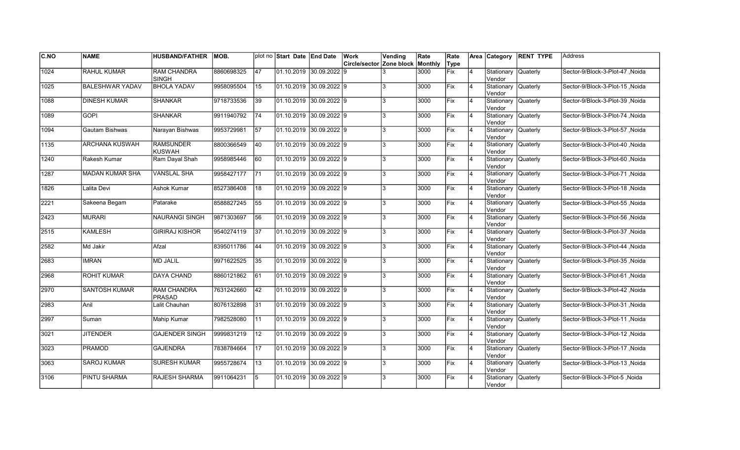| <b>C.NO</b> | <b>NAME</b>            | <b>HUSBAND/FATHER</b>               | MOB.       |     | plot no Start Date End Date             |                | <b>Work</b>                      | Vending      | Rate | Rate |    |                                | Area Category RENT TYPE | <b>Address</b>                  |
|-------------|------------------------|-------------------------------------|------------|-----|-----------------------------------------|----------------|----------------------------------|--------------|------|------|----|--------------------------------|-------------------------|---------------------------------|
|             |                        |                                     |            |     |                                         |                | Circle/sector Zone block Monthly |              |      | Type |    |                                |                         |                                 |
| 1024        | <b>RAHUL KUMAR</b>     | <b>RAM CHANDRA</b><br>SINGH         | 8860698325 | 47  | 01.10.2019 30.09.2022 9                 |                |                                  |              | 3000 | Fix  | 4  | Stationary Quaterly<br>Vendor  |                         | Sector-9/Block-3-Plot-47, Noida |
| 1025        | <b>BALESHWAR YADAV</b> | <b>BHOLA YADAV</b>                  | 9958095504 | 15  | $01.10.2019$ 30.09.2022 9               |                |                                  |              | 3000 | Fix  | 4  | Stationary Quaterly<br>Vendor  |                         | Sector-9/Block-3-Plot-15, Noida |
| 1088        | <b>DINESH KUMAR</b>    | <b>SHANKAR</b>                      | 9718733536 | 39  | 01.10.2019 30.09.2022 9                 |                |                                  | l3           | 3000 | Fix  | 4  | Stationary Quaterly<br>Vendor  |                         | Sector-9/Block-3-Plot-39 .Noida |
| 1089        | <b>GOPI</b>            | <b>SHANKAR</b>                      | 9911940792 | 74  | $01.10.2019$ 30.09.2022 9               |                |                                  | l3           | 3000 | Fix  | 4  | Stationary Quaterly<br>Vendor  |                         | Sector-9/Block-3-Plot-74, Noida |
| 1094        | Gautam Bishwas         | Narayan Bishwas                     | 9953729981 | 57  | $[01.10.2019 \vert 30.09.2022 \vert 9]$ |                |                                  | l3           | 3000 | Fix  | 4  | Stationary Quaterly<br>Vendor  |                         | Sector-9/Block-3-Plot-57, Noida |
| 1135        | <b>ARCHANA KUSWAH</b>  | <b>RAMSUNDER</b><br><b>KUSWAH</b>   | 8800366549 | 40  | 01.10.2019                              | 30.09.20229    |                                  |              | 3000 | Fix  | 4  | Stationary Quaterly<br>Vendor  |                         | Sector-9/Block-3-Plot-40, Noida |
| 1240        | Rakesh Kumar           | Ram Dayal Shah                      | 9958985446 | 60  | 01.10.2019 30.09.2022 9                 |                |                                  | R            | 3000 | Fix  | 4  | Stationary Quaterly<br>Vendor  |                         | Sector-9/Block-3-Plot-60, Noida |
| 1287        | MADAN KUMAR SHA        | <b>VANSLAL SHA</b>                  | 9958427177 | 171 | 01.10.2019 30.09.2022 9                 |                |                                  |              | 3000 | Fix  | Ι4 | Stationary Quaterly<br>Vendor  |                         | Sector-9/Block-3-Plot-71 Noida  |
| 1826        | Lalita Devi            | Ashok Kumar                         | 8527386408 | 18  | 01.10.2019 30.09.2022 9                 |                |                                  | 2            | 3000 | Fix  | 4  | Stationary Quaterly<br>Vendor  |                         | Sector-9/Block-3-Plot-18, Noida |
| 2221        | Sakeena Begam          | Patarake                            | 8588827245 | 55  | 01.10.2019                              | $30.09.2022$ 9 |                                  |              | 3000 | lFix | 4  | Stationary Quaterly<br>Vendor  |                         | Sector-9/Block-3-Plot-55, Noida |
| 2423        | <b>MURARI</b>          | <b>NAURANGI SINGH</b>               | 9871303697 | 56  | $01.10.2019$ 30.09.2022 9               |                |                                  |              | 3000 | Fix  | 4  | Stationary Quaterly<br>Vendor  |                         | Sector-9/Block-3-Plot-56, Noida |
| 2515        | <b>KAMLESH</b>         | <b>GIRIRAJ KISHOR</b>               | 9540274119 | 37  | $[01.10.2019 \ 30.09.2022]9$            |                |                                  | l3           | 3000 | Fix  | 14 | Stationary Quaterly<br>Vendor  |                         | Sector-9/Block-3-Plot-37, Noida |
| 2582        | Md Jakir               | Afzal                               | 8395011786 | 44  | 01.10.2019 30.09.2022 9                 |                |                                  | l3           | 3000 | Fix  | 4  | Stationary Quaterly<br>lVendor |                         | Sector-9/Block-3-Plot-44, Noida |
| 2683        | <b>IMRAN</b>           | <b>MD JALIL</b>                     | 9971622525 | 35  | 01.10.2019 30.09.2022 9                 |                |                                  | l3           | 3000 | Fix  | 4  | Stationary Quaterly<br>Vendor  |                         | Sector-9/Block-3-Plot-35, Noida |
| 2968        | <b>ROHIT KUMAR</b>     | <b>DAYA CHAND</b>                   | 8860121862 | 61  | $01.10.2019$ 30.09.2022 9               |                |                                  | l3           | 3000 | Fix  | 4  | Stationary Quaterly<br>lVendor |                         | Sector-9/Block-3-Plot-61, Noida |
| 2970        | <b>SANTOSH KUMAR</b>   | <b>RAM CHANDRA</b><br><b>PRASAD</b> | 7631242660 | 42  | $[01.10.2019 \ 30.09.2022]9$            |                |                                  | l3           | 3000 | Fix  | 14 | Stationary Quaterly<br>Vendor  |                         | Sector-9/Block-3-Plot-42, Noida |
| 2983        | Anil                   | Lalit Chauhan                       | 8076132898 | 31  | 01.10.2019 30.09.2022 9                 |                |                                  | $\mathbf{R}$ | 3000 | Fix  | 4  | Stationary Quaterly<br>Vendor  |                         | Sector-9/Block-3-Plot-31, Noida |
| 2997        | Suman                  | Mahip Kumar                         | 7982528080 | I11 | 01.10.2019 30.09.2022 9                 |                |                                  | l3           | 3000 | lFix | 4  | Stationary Quaterly<br>Vendor  |                         | Sector-9/Block-3-Plot-11, Noida |
| 3021        | <b>JITENDER</b>        | <b>GAJENDER SINGH</b>               | 9999831219 | 12  | 01.10.2019                              | $30.09.2022$ 9 |                                  |              | 3000 | Fix  | 4  | Stationary Quaterly<br>lVendor |                         | Sector-9/Block-3-Plot-12, Noida |
| 3023        | <b>PRAMOD</b>          | <b>GAJENDRA</b>                     | 7838784664 | 17  | 01.10.2019 30.09.2022 9                 |                |                                  | $\mathbf{R}$ | 3000 | Fix  | 4  | Stationary Quaterly<br>Vendor  |                         | Sector-9/Block-3-Plot-17, Noida |
| 3063        | <b>SAROJ KUMAR</b>     | <b>SURESH KUMAR</b>                 | 9955728674 | 13  | $01.10.2019$ 30.09.2022 9               |                |                                  | l3           | 3000 | Fix  | 4  | Stationary Quaterly<br>Vendor  |                         | Sector-9/Block-3-Plot-13, Noida |
| 3106        | <b>PINTU SHARMA</b>    | RAJESH SHARMA                       | 9911064231 | 15  | $01.10.2019$ 30.09.2022 9               |                |                                  | l3           | 3000 | Fix  |    | Stationary<br>Vendor           | Quaterly                | Sector-9/Block-3-Plot-5, Noida  |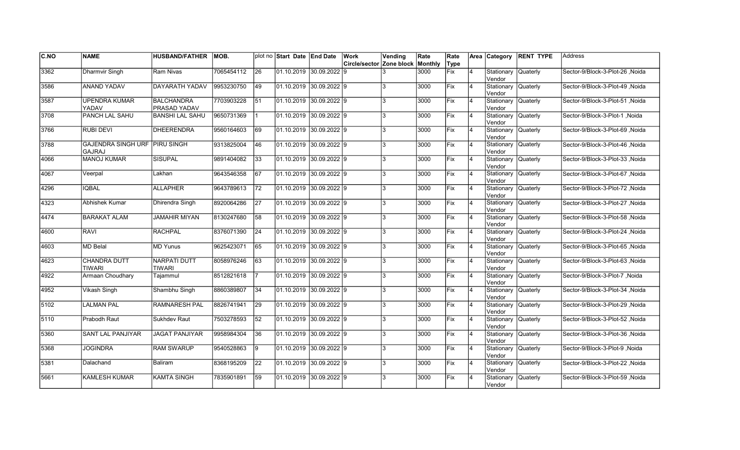| C.NO | <b>NAME</b>                                           | <b>HUSBAND/FATHER</b>                | IMOB.      |                 | plot no Start Date End Date             | Work                     | Vending | Rate    | Rate        |                | Area Category                  | <b>RENT TYPE</b> | <b>Address</b>                   |
|------|-------------------------------------------------------|--------------------------------------|------------|-----------------|-----------------------------------------|--------------------------|---------|---------|-------------|----------------|--------------------------------|------------------|----------------------------------|
|      |                                                       |                                      |            |                 |                                         | Circle/sector Zone block |         | Monthly | Type        |                |                                |                  |                                  |
| 3362 | Dharmvir Singh                                        | Ram Nivas                            | 7065454112 | $\overline{26}$ | 01.10.2019 30.09.2022 9                 |                          |         | 3000    | <b>Fix</b>  | $\overline{4}$ | Stationary<br>Vendor           | <b>Quaterly</b>  | Sector-9/Block-3-Plot-26, Noida  |
| 3586 | <b>ANAND YADAV</b>                                    | DAYARATH YADAV                       | 9953230750 | 49              | 01.10.2019 30.09.2022 9                 |                          | 3       | 3000    | Fix         | 4              | Stationary Quaterly<br>Vendor  |                  | Sector-9/Block-3-Plot-49 .Noida  |
| 3587 | <b>UPENDRA KUMAR</b><br>YADAV                         | BALCHANDRA<br><b>PRASAD YADAV</b>    | 7703903228 | 51              | $[01.10.2019 \vert 30.09.2022 \vert 9]$ |                          | 3       | 3000    | Fix         | 4              | Stationary Quaterly<br>Vendor  |                  | Sector-9/Block-3-Plot-51, Noida  |
| 3708 | PANCH LAL SAHU                                        | <b>BANSHI LAL SAHU</b>               | 9650731369 |                 | $[01.10.2019 \vert 30.09.2022 \vert 9]$ |                          | 3       | 3000    | Fix         | $\overline{4}$ | Stationary Quaterly<br>Vendor  |                  | Sector-9/Block-3-Plot-1, Noida   |
| 3766 | <b>RUBI DEVI</b>                                      | <b>DHEERENDRA</b>                    | 9560164603 | 69              | 01.10.2019 30.09.2022 9                 |                          | 3       | 3000    | <b>IFix</b> | $\overline{4}$ | Stationary<br>Vendor           | <b>Quaterly</b>  | Sector-9/Block-3-Plot-69, Noida  |
| 3788 | <b>GAJENDRA SINGH URF PIRU SINGH</b><br><b>GAJRAJ</b> |                                      | 9313825004 | 46              | $01.10.2019$ 30.09.2022 9               |                          | 3       | 3000    | Fix         | 4              | Stationary<br>Vendor           | Quaterly         | Sector-9/Block-3-Plot-46, Noida  |
| 4066 | <b>MANOJ KUMAR</b>                                    | <b>SISUPAL</b>                       | 9891404082 | 33              | $[01.10.2019 \vert 30.09.2022 \vert 9]$ |                          | 3       | 3000    | <b>Fix</b>  | $\overline{4}$ | Stationary<br>Vendor           | Quaterly         | Sector-9/Block-3-Plot-33, Noida  |
| 4067 | Veerpal                                               | Lakhan                               | 9643546358 | 67              | 01.10.2019 30.09.2022 9                 |                          | 3       | 3000    | Fix         | 4              | Stationary Quaterly<br>Vendor  |                  | Sector-9/Block-3-Plot-67, Noida  |
| 4296 | <b>IQBAL</b>                                          | <b>ALLAPHER</b>                      | 9643789613 | 72              | 01.10.2019 30.09.2022 9                 |                          | 3       | 3000    | Fix         | $\overline{4}$ | Stationary<br>lVendor          | Quaterly         | Sector-9/Block-3-Plot-72, Noida  |
| 4323 | Abhishek Kumar                                        | <b>Dhirendra Singh</b>               | 8920064286 | $\overline{27}$ | 01.10.2019 30.09.2022 9                 |                          | 3       | 3000    | Fix         | $\overline{4}$ | Stationary<br>lVendor          | <b>Quaterly</b>  | Sector-9/Block-3-Plot-27, Noida  |
| 4474 | <b>BARAKAT ALAM</b>                                   | JAMAHIR MIYAN                        | 8130247680 | 58              | $01.10.2019$ 30.09.2022 9               |                          | 3       | 3000    | Fix         | 4              | Stationary Quaterly<br>lVendor |                  | Sector-9/Block-3-Plot-58, Noida  |
| 4600 | <b>RAVI</b>                                           | <b>RACHPAL</b>                       | 8376071390 | 24              | $01.10.2019$ 30.09.2022 9               |                          | 3       | 3000    | Fix         | 4              | Stationary Quaterly<br>Vendor  |                  | Sector-9/Block-3-Plot-24 , Noida |
| 4603 | MD Belal                                              | <b>MD Yunus</b>                      | 9625423071 | 65              | 01.10.2019 30.09.2022 9                 |                          | 3       | 3000    | Fix         | 4              | Stationary Quaterly<br>Vendor  |                  | Sector-9/Block-3-Plot-65, Noida  |
| 4623 | CHANDRA DUTT<br>TIWARI                                | <b>NARPATI DUTT</b><br><b>TIWARI</b> | 8058976246 | 63              | 01.10.2019 30.09.2022 9                 |                          | 3       | 3000    | <b>IFix</b> | $\overline{4}$ | Stationary<br>Vendor           | Quaterly         | Sector-9/Block-3-Plot-63 .Noida  |
| 4922 | Armaan Choudhary                                      | Tajammul                             | 8512821618 |                 | 01.10.2019 30.09.2022 9                 |                          | 3       | 3000    | Fix         | $\overline{4}$ | Stationary<br>Vendor           | Quaterly         | Sector-9/Block-3-Plot-7, Noida   |
| 4952 | <b>Vikash Singh</b>                                   | Shambhu Singh                        | 8860389807 | 34              | $01.10.2019$ 30.09.2022 9               |                          | 3       | 3000    | Fix         | $\overline{4}$ | Stationary Quaterly<br>Vendor  |                  | Sector-9/Block-3-Plot-34, Noida  |
| 5102 | <b>LALMAN PAL</b>                                     | <b>RAMNARESH PAL</b>                 | 8826741941 | $\overline{29}$ | $01.10.2019$ 30.09.2022 9               |                          | 3       | 3000    | Fix         | 4              | Stationary Quaterly<br>Vendor  |                  | Sector-9/Block-3-Plot-29, Noida  |
| 5110 | Prabodh Raut                                          | Sukhdev Raut                         | 7503278593 | 52              | 01.10.2019 30.09.2022 9                 |                          | 3       | 3000    | Fix         | 4              | Stationary<br>Vendor           | Quaterly         | Sector-9/Block-3-Plot-52, Noida  |
| 5360 | <b>SANT LAL PANJIYAR</b>                              | <b>JAGAT PANJIYAR</b>                | 9958984304 | 36              | 01.10.2019 30.09.2022 9                 |                          | 3       | 3000    | Fix         | $\overline{4}$ | Stationary<br>Vendor           | Quaterly         | Sector-9/Block-3-Plot-36, Noida  |
| 5368 | <b>JOGINDRA</b>                                       | <b>RAM SWARUP</b>                    | 9540528863 | l9              | 01.10.2019 30.09.2022 9                 |                          | 3       | 3000    | Fix         | $\overline{4}$ | Stationary<br>Vendor           | Quaterly         | Sector-9/Block-3-Plot-9 .Noida   |
| 5381 | Dalachand                                             | Baliram                              | 8368195209 | 22              | $01.10.2019$ 30.09.2022 9               |                          | 3       | 3000    | Fix         | $\overline{4}$ | Stationary Quaterly<br>Vendor  |                  | Sector-9/Block-3-Plot-22, Noida  |
| 5661 | <b>KAMLESH KUMAR</b>                                  | <b>KAMTA SINGH</b>                   | 7835901891 | 59              | 01.10.2019 30.09.2022 9                 |                          | 3       | 3000    | Fix         | $\overline{4}$ | Stationary<br>Vendor           | <b>Quaterly</b>  | Sector-9/Block-3-Plot-59, Noida  |